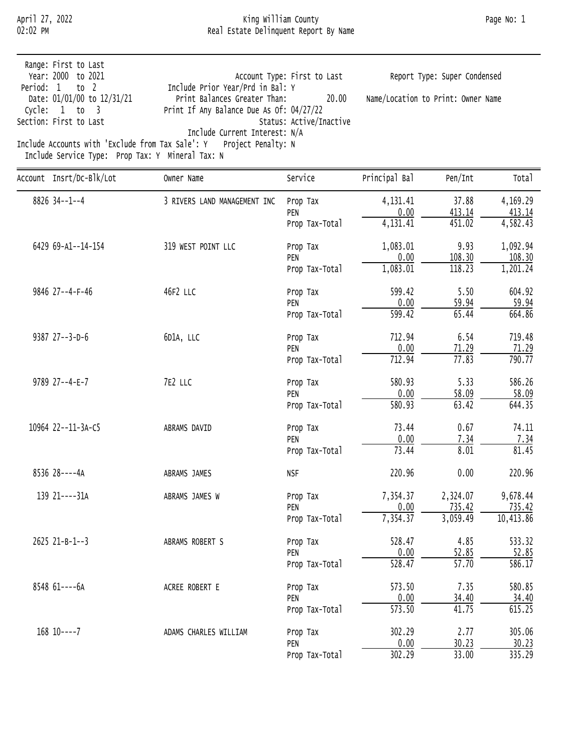#### April 27, 2022 King William County Page No: 1 02:02 PM Real Estate Delinquent Report By Name

| Year: 2000 to 2021<br>Account Type: First to Last<br>Report Type: Super Condensed<br>Include Prior Year/Prd in Bal: Y<br>Period: 1 to 2<br>Print Balances Greater Than:<br>20.00<br>Name/Location to Print: Owner Name<br>Date: 01/01/00 to 12/31/21<br>Print If Any Balance Due As Of: 04/27/22<br>Cycle: $1$ to $3$<br>Section: First to Last<br>Status: Active/Inactive<br>Include Current Interest: N/A<br>Include Accounts with 'Exclude from Tax Sale': Y Project Penalty: N<br>Include Service Type: Prop Tax: Y Mineral Tax: N | Range: First to Last |  |  |
|----------------------------------------------------------------------------------------------------------------------------------------------------------------------------------------------------------------------------------------------------------------------------------------------------------------------------------------------------------------------------------------------------------------------------------------------------------------------------------------------------------------------------------------|----------------------|--|--|
|                                                                                                                                                                                                                                                                                                                                                                                                                                                                                                                                        |                      |  |  |
|                                                                                                                                                                                                                                                                                                                                                                                                                                                                                                                                        |                      |  |  |
|                                                                                                                                                                                                                                                                                                                                                                                                                                                                                                                                        |                      |  |  |
|                                                                                                                                                                                                                                                                                                                                                                                                                                                                                                                                        |                      |  |  |
|                                                                                                                                                                                                                                                                                                                                                                                                                                                                                                                                        |                      |  |  |
|                                                                                                                                                                                                                                                                                                                                                                                                                                                                                                                                        |                      |  |  |
|                                                                                                                                                                                                                                                                                                                                                                                                                                                                                                                                        |                      |  |  |

| Account Insrt/Dc-Blk/Lot | Owner Name                   | Service        | Principal Bal         | Pen/Int            | Total      |
|--------------------------|------------------------------|----------------|-----------------------|--------------------|------------|
| 8826 34--1--4            | 3 RIVERS LAND MANAGEMENT INC | Prop Tax       | 4,131.41              | 37.88              | 4,169.29   |
|                          |                              | PEN            | 0.00                  | 413.14             | 413.14     |
|                          |                              | Prop Tax-Total | $\overline{4,131.41}$ | 451.02             | 4,582.43   |
| 6429 69-A1--14-154       | 319 WEST POINT LLC           | Prop Tax       | 1,083.01              | 9.93               | 1,092.94   |
|                          |                              | PEN            | 0.00                  | 108.30             | 108.30     |
|                          |                              | Prop Tax-Total | 1,083.01              | 118.23             | 1,201.24   |
| 9846 27--4-F-46          | 46F2 LLC                     | Prop Tax       | 599.42                | 5.50               | 604.92     |
|                          |                              | PEN            | 0.00                  | 59.94              | 59.94      |
|                          |                              | Prop Tax-Total | $\overline{599.42}$   | 65.44              | 664.86     |
| 9387 27--3-D-6           | 6D1A, LLC                    | Prop Tax       | 712.94                | 6.54               | 719.48     |
|                          |                              | PEN            | 0.00                  | 71.29              | 71.29      |
|                          |                              | Prop Tax-Total | 712.94                | $\overline{77.83}$ | 790.77     |
| 9789 27--4-E-7           | 7E2 LLC                      | Prop Tax       | 580.93                | 5.33               | 586.26     |
|                          |                              | PEN            | 0.00                  | 58.09              | 58.09      |
|                          |                              | Prop Tax-Total | 580.93                | 63.42              | 644.35     |
| 10964 22--11-3A-C5       | ABRAMS DAVID                 | Prop Tax       | 73.44                 | 0.67               | 74.11      |
|                          |                              | PEN            | 0.00                  | 7.34               | 7.34       |
|                          |                              | Prop Tax-Total | 73.44                 | 8.01               | 81.45      |
| 8536 28----4A            | ABRAMS JAMES                 | <b>NSF</b>     | 220.96                | 0.00               | 220.96     |
| 139 21----31A            | ABRAMS JAMES W               | Prop Tax       | 7,354.37              | 2,324.07           | 9,678.44   |
|                          |                              | PEN            | 0.00                  | 735.42             | 735.42     |
|                          |                              | Prop Tax-Total | 7,354.37              | 3,059.49           | 10, 413.86 |
| 2625 21-B-1--3           | ABRAMS ROBERT S              | Prop Tax       | 528.47                | 4.85               | 533.32     |
|                          |                              | PEN            | 0.00                  | 52.85              | 52.85      |
|                          |                              | Prop Tax-Total | 528.47                | $\overline{57.70}$ | 586.17     |
| 8548 61----6A            | ACREE ROBERT E               | Prop Tax       | 573.50                | 7.35               | 580.85     |
|                          |                              | PEN            | 0.00                  | 34.40              | 34.40      |
|                          |                              | Prop Tax-Total | $\overline{573.50}$   | $\overline{41.75}$ | 615.25     |
| $168$ 10----7            | ADAMS CHARLES WILLIAM        | Prop Tax       | 302.29                | 2.77               | 305.06     |
|                          |                              | PEN            | 0.00                  | 30.23              | 30.23      |
|                          |                              | Prop Tax-Total | 302.29                | 33.00              | 335.29     |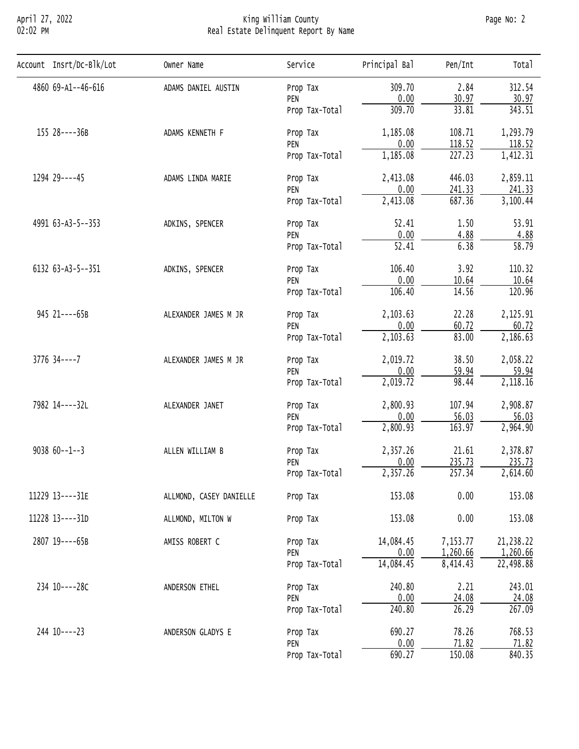# April 27, 2022 King William County Page No: 2 02:02 PM Real Estate Delinquent Report By Name

| Account Insrt/Dc-Blk/Lot | Owner Name                                                                                                                                                                                                                                                                                                                                                                                                                                                                                                                                                                                                                                                                                                                                                                                                                                                                                                                                                                                                                                                                                                                                                                                                                                                                                                                                                                                                                        | Service            | Principal Bal | Pen/Int | Tota <sub>1</sub> |
|--------------------------|-----------------------------------------------------------------------------------------------------------------------------------------------------------------------------------------------------------------------------------------------------------------------------------------------------------------------------------------------------------------------------------------------------------------------------------------------------------------------------------------------------------------------------------------------------------------------------------------------------------------------------------------------------------------------------------------------------------------------------------------------------------------------------------------------------------------------------------------------------------------------------------------------------------------------------------------------------------------------------------------------------------------------------------------------------------------------------------------------------------------------------------------------------------------------------------------------------------------------------------------------------------------------------------------------------------------------------------------------------------------------------------------------------------------------------------|--------------------|---------------|---------|-------------------|
| 4860 69-A1--46-616       | ADAMS DANIEL AUSTIN                                                                                                                                                                                                                                                                                                                                                                                                                                                                                                                                                                                                                                                                                                                                                                                                                                                                                                                                                                                                                                                                                                                                                                                                                                                                                                                                                                                                               | Prop Tax           | 309.70        | 2.84    | 312.54            |
|                          |                                                                                                                                                                                                                                                                                                                                                                                                                                                                                                                                                                                                                                                                                                                                                                                                                                                                                                                                                                                                                                                                                                                                                                                                                                                                                                                                                                                                                                   | PEN                | 0.00          |         | 30.97             |
|                          | 30.97<br>309.70<br>33.81<br>Prop Tax-Total<br>108.71<br>1,185.08<br>ADAMS KENNETH F<br>Prop Tax<br>0.00<br>118.52<br>PEN<br>227.23<br>1,185.08<br>Prop Tax-Total<br>446.03<br>2,413.08<br>ADAMS LINDA MARIE<br>Prop Tax<br>0.00<br>241.33<br>PEN<br>687.36<br>2,413.08<br>Prop Tax-Total<br>52.41<br>1.50<br>ADKINS, SPENCER<br>Prop Tax<br>0.00<br>4.88<br>PEN<br>$\overline{52.41}$<br>6.38<br>Prop Tax-Total<br>3.92<br>106.40<br>ADKINS, SPENCER<br>Prop Tax<br>0.00<br>10.64<br>PEN<br>106.40<br>14.56<br>Prop Tax-Total<br>22.28<br>2,103.63<br>ALEXANDER JAMES M JR<br>Prop Tax<br>0.00<br>60.72<br>PEN<br>83.00<br>2,103.63<br>Prop Tax-Total<br>2,019.72<br>38.50<br>ALEXANDER JAMES M JR<br>Prop Tax<br>0.00<br>59.94<br>PEN<br>2,019.72<br>98.44<br>Prop Tax-Total<br>107.94<br>2,800.93<br>ALEXANDER JANET<br>Prop Tax<br>0.00<br>56.03<br>PEN<br>163.97<br>2,800.93<br>Prop Tax-Total<br>2,357.26<br>21.61<br>ALLEN WILLIAM B<br>Prop Tax<br>0.00<br>235.73<br>PEN<br>2,357.26<br>257.34<br>Prop Tax-Total<br>0.00<br>153.08<br>ALLMOND, CASEY DANIELLE<br>Prop Tax<br>0.00<br>153.08<br>Prop Tax<br>ALLMOND, MILTON W<br>14,084.45<br>7,153.77<br>AMISS ROBERT C<br>Prop Tax<br>0.00<br>1,260.66<br>PEN<br>14,084.45<br>8,414.43<br>Prop Tax-Total<br>2.21<br>240.80<br>ANDERSON ETHEL<br>Prop Tax<br>0.00<br>24.08<br>PEN<br>240.80<br>26.29<br>Prop Tax-Total<br>78.26<br>690.27<br>ANDERSON GLADYS E<br>Prop Tax | 343.51             |               |         |                   |
| 155 28----36B            |                                                                                                                                                                                                                                                                                                                                                                                                                                                                                                                                                                                                                                                                                                                                                                                                                                                                                                                                                                                                                                                                                                                                                                                                                                                                                                                                                                                                                                   |                    |               |         | 1,293.79          |
|                          | 0.00<br><u>71.82</u><br>PEN                                                                                                                                                                                                                                                                                                                                                                                                                                                                                                                                                                                                                                                                                                                                                                                                                                                                                                                                                                                                                                                                                                                                                                                                                                                                                                                                                                                                       | 118.52             |               |         |                   |
|                          |                                                                                                                                                                                                                                                                                                                                                                                                                                                                                                                                                                                                                                                                                                                                                                                                                                                                                                                                                                                                                                                                                                                                                                                                                                                                                                                                                                                                                                   |                    |               |         | 1,412.31          |
| 1294 29 ---- 45          |                                                                                                                                                                                                                                                                                                                                                                                                                                                                                                                                                                                                                                                                                                                                                                                                                                                                                                                                                                                                                                                                                                                                                                                                                                                                                                                                                                                                                                   |                    |               |         | 2,859.11          |
|                          | 690.27<br>150.08<br>Prop Tax-Total                                                                                                                                                                                                                                                                                                                                                                                                                                                                                                                                                                                                                                                                                                                                                                                                                                                                                                                                                                                                                                                                                                                                                                                                                                                                                                                                                                                                | 241.33             |               |         |                   |
|                          |                                                                                                                                                                                                                                                                                                                                                                                                                                                                                                                                                                                                                                                                                                                                                                                                                                                                                                                                                                                                                                                                                                                                                                                                                                                                                                                                                                                                                                   |                    |               |         | 3,100.44          |
| 4991 63-A3-5--353        |                                                                                                                                                                                                                                                                                                                                                                                                                                                                                                                                                                                                                                                                                                                                                                                                                                                                                                                                                                                                                                                                                                                                                                                                                                                                                                                                                                                                                                   |                    |               |         | 53.91             |
|                          |                                                                                                                                                                                                                                                                                                                                                                                                                                                                                                                                                                                                                                                                                                                                                                                                                                                                                                                                                                                                                                                                                                                                                                                                                                                                                                                                                                                                                                   |                    |               |         | 4.88              |
|                          |                                                                                                                                                                                                                                                                                                                                                                                                                                                                                                                                                                                                                                                                                                                                                                                                                                                                                                                                                                                                                                                                                                                                                                                                                                                                                                                                                                                                                                   | $\overline{58.79}$ |               |         |                   |
| 6132 63-A3-5--351        |                                                                                                                                                                                                                                                                                                                                                                                                                                                                                                                                                                                                                                                                                                                                                                                                                                                                                                                                                                                                                                                                                                                                                                                                                                                                                                                                                                                                                                   |                    |               |         | 110.32            |
|                          |                                                                                                                                                                                                                                                                                                                                                                                                                                                                                                                                                                                                                                                                                                                                                                                                                                                                                                                                                                                                                                                                                                                                                                                                                                                                                                                                                                                                                                   |                    |               |         | 10.64             |
|                          |                                                                                                                                                                                                                                                                                                                                                                                                                                                                                                                                                                                                                                                                                                                                                                                                                                                                                                                                                                                                                                                                                                                                                                                                                                                                                                                                                                                                                                   |                    |               |         | 120.96            |
| 945 21----65B            |                                                                                                                                                                                                                                                                                                                                                                                                                                                                                                                                                                                                                                                                                                                                                                                                                                                                                                                                                                                                                                                                                                                                                                                                                                                                                                                                                                                                                                   |                    |               |         | 2,125.91          |
|                          |                                                                                                                                                                                                                                                                                                                                                                                                                                                                                                                                                                                                                                                                                                                                                                                                                                                                                                                                                                                                                                                                                                                                                                                                                                                                                                                                                                                                                                   |                    |               |         | 60.72             |
|                          |                                                                                                                                                                                                                                                                                                                                                                                                                                                                                                                                                                                                                                                                                                                                                                                                                                                                                                                                                                                                                                                                                                                                                                                                                                                                                                                                                                                                                                   |                    |               |         | 2,186.63          |
| $3776$ $34---7$          |                                                                                                                                                                                                                                                                                                                                                                                                                                                                                                                                                                                                                                                                                                                                                                                                                                                                                                                                                                                                                                                                                                                                                                                                                                                                                                                                                                                                                                   |                    |               |         | 2,058.22          |
|                          |                                                                                                                                                                                                                                                                                                                                                                                                                                                                                                                                                                                                                                                                                                                                                                                                                                                                                                                                                                                                                                                                                                                                                                                                                                                                                                                                                                                                                                   |                    |               |         | 59.94             |
|                          |                                                                                                                                                                                                                                                                                                                                                                                                                                                                                                                                                                                                                                                                                                                                                                                                                                                                                                                                                                                                                                                                                                                                                                                                                                                                                                                                                                                                                                   |                    |               |         | 2,118.16          |
| 7982 14----32L           |                                                                                                                                                                                                                                                                                                                                                                                                                                                                                                                                                                                                                                                                                                                                                                                                                                                                                                                                                                                                                                                                                                                                                                                                                                                                                                                                                                                                                                   |                    |               |         | 2,908.87          |
|                          |                                                                                                                                                                                                                                                                                                                                                                                                                                                                                                                                                                                                                                                                                                                                                                                                                                                                                                                                                                                                                                                                                                                                                                                                                                                                                                                                                                                                                                   |                    |               |         | 56.03             |
|                          |                                                                                                                                                                                                                                                                                                                                                                                                                                                                                                                                                                                                                                                                                                                                                                                                                                                                                                                                                                                                                                                                                                                                                                                                                                                                                                                                                                                                                                   |                    |               |         | 2,964.90          |
| $903860--1--3$           |                                                                                                                                                                                                                                                                                                                                                                                                                                                                                                                                                                                                                                                                                                                                                                                                                                                                                                                                                                                                                                                                                                                                                                                                                                                                                                                                                                                                                                   |                    |               |         | 2,378.87          |
|                          |                                                                                                                                                                                                                                                                                                                                                                                                                                                                                                                                                                                                                                                                                                                                                                                                                                                                                                                                                                                                                                                                                                                                                                                                                                                                                                                                                                                                                                   |                    |               |         | 235.73            |
|                          |                                                                                                                                                                                                                                                                                                                                                                                                                                                                                                                                                                                                                                                                                                                                                                                                                                                                                                                                                                                                                                                                                                                                                                                                                                                                                                                                                                                                                                   |                    |               |         | 2,614.60          |
| 11229 13----31E          |                                                                                                                                                                                                                                                                                                                                                                                                                                                                                                                                                                                                                                                                                                                                                                                                                                                                                                                                                                                                                                                                                                                                                                                                                                                                                                                                                                                                                                   |                    |               |         | 153.08            |
| 11228 13----31D          |                                                                                                                                                                                                                                                                                                                                                                                                                                                                                                                                                                                                                                                                                                                                                                                                                                                                                                                                                                                                                                                                                                                                                                                                                                                                                                                                                                                                                                   |                    |               |         | 153.08            |
| 2807 19----65B           |                                                                                                                                                                                                                                                                                                                                                                                                                                                                                                                                                                                                                                                                                                                                                                                                                                                                                                                                                                                                                                                                                                                                                                                                                                                                                                                                                                                                                                   |                    |               |         | 21,238.22         |
|                          |                                                                                                                                                                                                                                                                                                                                                                                                                                                                                                                                                                                                                                                                                                                                                                                                                                                                                                                                                                                                                                                                                                                                                                                                                                                                                                                                                                                                                                   |                    |               |         | 1,260.66          |
|                          |                                                                                                                                                                                                                                                                                                                                                                                                                                                                                                                                                                                                                                                                                                                                                                                                                                                                                                                                                                                                                                                                                                                                                                                                                                                                                                                                                                                                                                   |                    |               |         | 22,498.88         |
| 234 10----28C            |                                                                                                                                                                                                                                                                                                                                                                                                                                                                                                                                                                                                                                                                                                                                                                                                                                                                                                                                                                                                                                                                                                                                                                                                                                                                                                                                                                                                                                   |                    |               |         | 243.01            |
|                          |                                                                                                                                                                                                                                                                                                                                                                                                                                                                                                                                                                                                                                                                                                                                                                                                                                                                                                                                                                                                                                                                                                                                                                                                                                                                                                                                                                                                                                   |                    |               |         | 24.08             |
|                          |                                                                                                                                                                                                                                                                                                                                                                                                                                                                                                                                                                                                                                                                                                                                                                                                                                                                                                                                                                                                                                                                                                                                                                                                                                                                                                                                                                                                                                   |                    |               |         | 267.09            |
|                          |                                                                                                                                                                                                                                                                                                                                                                                                                                                                                                                                                                                                                                                                                                                                                                                                                                                                                                                                                                                                                                                                                                                                                                                                                                                                                                                                                                                                                                   |                    |               |         |                   |
| 244 10----23             |                                                                                                                                                                                                                                                                                                                                                                                                                                                                                                                                                                                                                                                                                                                                                                                                                                                                                                                                                                                                                                                                                                                                                                                                                                                                                                                                                                                                                                   |                    |               |         | 768.53            |
|                          |                                                                                                                                                                                                                                                                                                                                                                                                                                                                                                                                                                                                                                                                                                                                                                                                                                                                                                                                                                                                                                                                                                                                                                                                                                                                                                                                                                                                                                   |                    |               |         | 71.82             |
|                          |                                                                                                                                                                                                                                                                                                                                                                                                                                                                                                                                                                                                                                                                                                                                                                                                                                                                                                                                                                                                                                                                                                                                                                                                                                                                                                                                                                                                                                   |                    |               |         | 840.35            |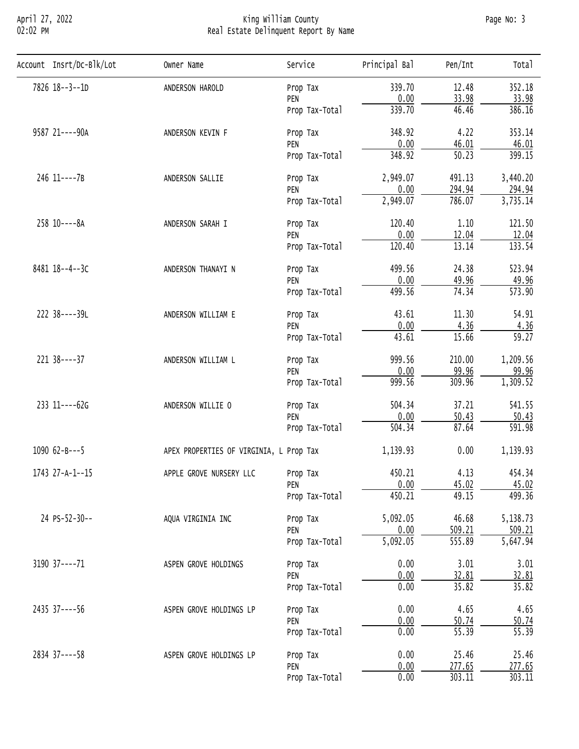# April 27, 2022 King William County Page No: 3 02:02 PM Real Estate Delinquent Report By Name

| 7826 18--3--1D<br>339.70<br>352.18<br>12.48<br>ANDERSON HAROLD<br>Prop Tax<br>0.00<br>33.98<br>33.98<br>PEN<br>46.46<br>339.70<br>386.16<br>Prop Tax-Total<br>348.92<br>4.22<br>353.14<br>9587 21 ---- 90A<br>Prop Tax<br>ANDERSON KEVIN F<br>0.00<br>46.01<br>46.01<br>PEN<br>$\overline{50.23}$<br>348.92<br>399.15<br>Prop Tax-Total<br>246 11----7B<br>2,949.07<br>491.13<br>3,440.20<br>ANDERSON SALLIE<br>Prop Tax<br>294.94<br>294.94<br>PEN<br>0.00<br>3,735.14<br>786.07<br>2,949.07<br>Prop Tax-Total<br>258 10----8A<br>120.40<br>121.50<br>1.10<br>ANDERSON SARAH I<br>Prop Tax<br>0.00<br>12.04<br>12.04<br>PEN<br>13.14<br>133.54<br>120.40<br>Prop Tax-Total<br>8481 18--4--3C<br>499.56<br>24.38<br>523.94<br>ANDERSON THANAYI N<br>Prop Tax<br>0.00<br>49.96<br>49.96<br>PEN<br>74.34<br>499.56<br>573.90<br>Prop Tax-Total<br>222 38----39L<br>43.61<br>11.30<br>54.91<br>ANDERSON WILLIAM E<br>Prop Tax<br>0.00<br>4.36<br>4.36<br>PEN<br>43.61<br>15.66<br>59.27<br>Prop Tax-Total<br>221 38----37<br>999.56<br>210.00<br>1,209.56<br>ANDERSON WILLIAM L<br>Prop Tax<br>99.96<br>99.96<br>0.00<br>PEN<br>1,309.52<br>999.56<br>309.96<br>Prop Tax-Total<br>233 11----62G<br>504.34<br>37.21<br>541.55<br>ANDERSON WILLIE O<br>Prop Tax<br>0.00<br>50.43<br>50.43<br>PEN<br>87.64<br>504.34<br>591.98<br>Prop Tax-Total<br>1090 $62 - B - -5$<br>1,139.93<br>0.00<br>1,139.93<br>APEX PROPERTIES OF VIRGINIA, L Prop Tax<br>450.21<br>454.34<br>1743 27-A-1--15<br>APPLE GROVE NURSERY LLC<br>4.13<br>Prop Tax<br>0.00<br>45.02<br>45.02<br>PEN<br>450.21<br>49.15<br>499.36<br>Prop Tax-Total<br>24 PS-52-30--<br>5,092.05<br>46.68<br>5,138.73<br>AQUA VIRGINIA INC<br>Prop Tax<br>509.21<br>509.21<br>0.00<br>PEN<br>5,092.05<br>555.89<br>5,647.94<br>Prop Tax-Total<br>0.00<br>3.01<br>3190 37 ---- 71<br>3.01<br>ASPEN GROVE HOLDINGS<br>Prop Tax<br>0.00<br>32.81<br>32.81<br>PEN<br>0.00<br>35.82<br>35.82<br>Prop Tax-Total<br>4.65<br>2435 37----56<br>0.00<br>4.65<br>ASPEN GROVE HOLDINGS LP<br>Prop Tax<br>0.00<br>50.74<br>50.74<br>PEN<br>0.00<br>55.39<br>55.39<br>Prop Tax-Total<br>2834 37----58<br>0.00<br>25.46<br>25.46<br>ASPEN GROVE HOLDINGS LP<br>Prop Tax<br>277.65<br>277.65<br>0.00<br>PEN<br>303.11<br>0.00<br>303.11 |                          |                             |                                      |  |  |       |
|-----------------------------------------------------------------------------------------------------------------------------------------------------------------------------------------------------------------------------------------------------------------------------------------------------------------------------------------------------------------------------------------------------------------------------------------------------------------------------------------------------------------------------------------------------------------------------------------------------------------------------------------------------------------------------------------------------------------------------------------------------------------------------------------------------------------------------------------------------------------------------------------------------------------------------------------------------------------------------------------------------------------------------------------------------------------------------------------------------------------------------------------------------------------------------------------------------------------------------------------------------------------------------------------------------------------------------------------------------------------------------------------------------------------------------------------------------------------------------------------------------------------------------------------------------------------------------------------------------------------------------------------------------------------------------------------------------------------------------------------------------------------------------------------------------------------------------------------------------------------------------------------------------------------------------------------------------------------------------------------------------------------------------------------------------------------------------------------------------------------------------------------------------------------------------------------------------------------------------------------------------------------------|--------------------------|-----------------------------|--------------------------------------|--|--|-------|
|                                                                                                                                                                                                                                                                                                                                                                                                                                                                                                                                                                                                                                                                                                                                                                                                                                                                                                                                                                                                                                                                                                                                                                                                                                                                                                                                                                                                                                                                                                                                                                                                                                                                                                                                                                                                                                                                                                                                                                                                                                                                                                                                                                                                                                                                       | Account Insrt/Dc-Blk/Lot |                             |                                      |  |  | Total |
|                                                                                                                                                                                                                                                                                                                                                                                                                                                                                                                                                                                                                                                                                                                                                                                                                                                                                                                                                                                                                                                                                                                                                                                                                                                                                                                                                                                                                                                                                                                                                                                                                                                                                                                                                                                                                                                                                                                                                                                                                                                                                                                                                                                                                                                                       |                          |                             |                                      |  |  |       |
|                                                                                                                                                                                                                                                                                                                                                                                                                                                                                                                                                                                                                                                                                                                                                                                                                                                                                                                                                                                                                                                                                                                                                                                                                                                                                                                                                                                                                                                                                                                                                                                                                                                                                                                                                                                                                                                                                                                                                                                                                                                                                                                                                                                                                                                                       |                          |                             |                                      |  |  |       |
|                                                                                                                                                                                                                                                                                                                                                                                                                                                                                                                                                                                                                                                                                                                                                                                                                                                                                                                                                                                                                                                                                                                                                                                                                                                                                                                                                                                                                                                                                                                                                                                                                                                                                                                                                                                                                                                                                                                                                                                                                                                                                                                                                                                                                                                                       |                          |                             |                                      |  |  |       |
|                                                                                                                                                                                                                                                                                                                                                                                                                                                                                                                                                                                                                                                                                                                                                                                                                                                                                                                                                                                                                                                                                                                                                                                                                                                                                                                                                                                                                                                                                                                                                                                                                                                                                                                                                                                                                                                                                                                                                                                                                                                                                                                                                                                                                                                                       |                          |                             |                                      |  |  |       |
|                                                                                                                                                                                                                                                                                                                                                                                                                                                                                                                                                                                                                                                                                                                                                                                                                                                                                                                                                                                                                                                                                                                                                                                                                                                                                                                                                                                                                                                                                                                                                                                                                                                                                                                                                                                                                                                                                                                                                                                                                                                                                                                                                                                                                                                                       |                          |                             |                                      |  |  |       |
|                                                                                                                                                                                                                                                                                                                                                                                                                                                                                                                                                                                                                                                                                                                                                                                                                                                                                                                                                                                                                                                                                                                                                                                                                                                                                                                                                                                                                                                                                                                                                                                                                                                                                                                                                                                                                                                                                                                                                                                                                                                                                                                                                                                                                                                                       |                          |                             |                                      |  |  |       |
|                                                                                                                                                                                                                                                                                                                                                                                                                                                                                                                                                                                                                                                                                                                                                                                                                                                                                                                                                                                                                                                                                                                                                                                                                                                                                                                                                                                                                                                                                                                                                                                                                                                                                                                                                                                                                                                                                                                                                                                                                                                                                                                                                                                                                                                                       |                          |                             |                                      |  |  |       |
|                                                                                                                                                                                                                                                                                                                                                                                                                                                                                                                                                                                                                                                                                                                                                                                                                                                                                                                                                                                                                                                                                                                                                                                                                                                                                                                                                                                                                                                                                                                                                                                                                                                                                                                                                                                                                                                                                                                                                                                                                                                                                                                                                                                                                                                                       |                          |                             |                                      |  |  |       |
|                                                                                                                                                                                                                                                                                                                                                                                                                                                                                                                                                                                                                                                                                                                                                                                                                                                                                                                                                                                                                                                                                                                                                                                                                                                                                                                                                                                                                                                                                                                                                                                                                                                                                                                                                                                                                                                                                                                                                                                                                                                                                                                                                                                                                                                                       |                          |                             |                                      |  |  |       |
|                                                                                                                                                                                                                                                                                                                                                                                                                                                                                                                                                                                                                                                                                                                                                                                                                                                                                                                                                                                                                                                                                                                                                                                                                                                                                                                                                                                                                                                                                                                                                                                                                                                                                                                                                                                                                                                                                                                                                                                                                                                                                                                                                                                                                                                                       |                          |                             |                                      |  |  |       |
|                                                                                                                                                                                                                                                                                                                                                                                                                                                                                                                                                                                                                                                                                                                                                                                                                                                                                                                                                                                                                                                                                                                                                                                                                                                                                                                                                                                                                                                                                                                                                                                                                                                                                                                                                                                                                                                                                                                                                                                                                                                                                                                                                                                                                                                                       |                          |                             |                                      |  |  |       |
|                                                                                                                                                                                                                                                                                                                                                                                                                                                                                                                                                                                                                                                                                                                                                                                                                                                                                                                                                                                                                                                                                                                                                                                                                                                                                                                                                                                                                                                                                                                                                                                                                                                                                                                                                                                                                                                                                                                                                                                                                                                                                                                                                                                                                                                                       |                          |                             |                                      |  |  |       |
|                                                                                                                                                                                                                                                                                                                                                                                                                                                                                                                                                                                                                                                                                                                                                                                                                                                                                                                                                                                                                                                                                                                                                                                                                                                                                                                                                                                                                                                                                                                                                                                                                                                                                                                                                                                                                                                                                                                                                                                                                                                                                                                                                                                                                                                                       |                          |                             | Service<br>Pen/Int<br>Prop Tax-Total |  |  |       |
|                                                                                                                                                                                                                                                                                                                                                                                                                                                                                                                                                                                                                                                                                                                                                                                                                                                                                                                                                                                                                                                                                                                                                                                                                                                                                                                                                                                                                                                                                                                                                                                                                                                                                                                                                                                                                                                                                                                                                                                                                                                                                                                                                                                                                                                                       |                          |                             |                                      |  |  |       |
|                                                                                                                                                                                                                                                                                                                                                                                                                                                                                                                                                                                                                                                                                                                                                                                                                                                                                                                                                                                                                                                                                                                                                                                                                                                                                                                                                                                                                                                                                                                                                                                                                                                                                                                                                                                                                                                                                                                                                                                                                                                                                                                                                                                                                                                                       |                          |                             |                                      |  |  |       |
|                                                                                                                                                                                                                                                                                                                                                                                                                                                                                                                                                                                                                                                                                                                                                                                                                                                                                                                                                                                                                                                                                                                                                                                                                                                                                                                                                                                                                                                                                                                                                                                                                                                                                                                                                                                                                                                                                                                                                                                                                                                                                                                                                                                                                                                                       |                          |                             |                                      |  |  |       |
|                                                                                                                                                                                                                                                                                                                                                                                                                                                                                                                                                                                                                                                                                                                                                                                                                                                                                                                                                                                                                                                                                                                                                                                                                                                                                                                                                                                                                                                                                                                                                                                                                                                                                                                                                                                                                                                                                                                                                                                                                                                                                                                                                                                                                                                                       |                          |                             |                                      |  |  |       |
|                                                                                                                                                                                                                                                                                                                                                                                                                                                                                                                                                                                                                                                                                                                                                                                                                                                                                                                                                                                                                                                                                                                                                                                                                                                                                                                                                                                                                                                                                                                                                                                                                                                                                                                                                                                                                                                                                                                                                                                                                                                                                                                                                                                                                                                                       |                          |                             |                                      |  |  |       |
|                                                                                                                                                                                                                                                                                                                                                                                                                                                                                                                                                                                                                                                                                                                                                                                                                                                                                                                                                                                                                                                                                                                                                                                                                                                                                                                                                                                                                                                                                                                                                                                                                                                                                                                                                                                                                                                                                                                                                                                                                                                                                                                                                                                                                                                                       |                          | Principal Bal<br>Owner Name |                                      |  |  |       |
|                                                                                                                                                                                                                                                                                                                                                                                                                                                                                                                                                                                                                                                                                                                                                                                                                                                                                                                                                                                                                                                                                                                                                                                                                                                                                                                                                                                                                                                                                                                                                                                                                                                                                                                                                                                                                                                                                                                                                                                                                                                                                                                                                                                                                                                                       |                          |                             |                                      |  |  |       |
|                                                                                                                                                                                                                                                                                                                                                                                                                                                                                                                                                                                                                                                                                                                                                                                                                                                                                                                                                                                                                                                                                                                                                                                                                                                                                                                                                                                                                                                                                                                                                                                                                                                                                                                                                                                                                                                                                                                                                                                                                                                                                                                                                                                                                                                                       |                          |                             |                                      |  |  |       |
|                                                                                                                                                                                                                                                                                                                                                                                                                                                                                                                                                                                                                                                                                                                                                                                                                                                                                                                                                                                                                                                                                                                                                                                                                                                                                                                                                                                                                                                                                                                                                                                                                                                                                                                                                                                                                                                                                                                                                                                                                                                                                                                                                                                                                                                                       |                          |                             |                                      |  |  |       |
|                                                                                                                                                                                                                                                                                                                                                                                                                                                                                                                                                                                                                                                                                                                                                                                                                                                                                                                                                                                                                                                                                                                                                                                                                                                                                                                                                                                                                                                                                                                                                                                                                                                                                                                                                                                                                                                                                                                                                                                                                                                                                                                                                                                                                                                                       |                          |                             |                                      |  |  |       |
|                                                                                                                                                                                                                                                                                                                                                                                                                                                                                                                                                                                                                                                                                                                                                                                                                                                                                                                                                                                                                                                                                                                                                                                                                                                                                                                                                                                                                                                                                                                                                                                                                                                                                                                                                                                                                                                                                                                                                                                                                                                                                                                                                                                                                                                                       |                          |                             |                                      |  |  |       |
|                                                                                                                                                                                                                                                                                                                                                                                                                                                                                                                                                                                                                                                                                                                                                                                                                                                                                                                                                                                                                                                                                                                                                                                                                                                                                                                                                                                                                                                                                                                                                                                                                                                                                                                                                                                                                                                                                                                                                                                                                                                                                                                                                                                                                                                                       |                          |                             |                                      |  |  |       |
|                                                                                                                                                                                                                                                                                                                                                                                                                                                                                                                                                                                                                                                                                                                                                                                                                                                                                                                                                                                                                                                                                                                                                                                                                                                                                                                                                                                                                                                                                                                                                                                                                                                                                                                                                                                                                                                                                                                                                                                                                                                                                                                                                                                                                                                                       |                          |                             |                                      |  |  |       |
|                                                                                                                                                                                                                                                                                                                                                                                                                                                                                                                                                                                                                                                                                                                                                                                                                                                                                                                                                                                                                                                                                                                                                                                                                                                                                                                                                                                                                                                                                                                                                                                                                                                                                                                                                                                                                                                                                                                                                                                                                                                                                                                                                                                                                                                                       |                          |                             |                                      |  |  |       |
|                                                                                                                                                                                                                                                                                                                                                                                                                                                                                                                                                                                                                                                                                                                                                                                                                                                                                                                                                                                                                                                                                                                                                                                                                                                                                                                                                                                                                                                                                                                                                                                                                                                                                                                                                                                                                                                                                                                                                                                                                                                                                                                                                                                                                                                                       |                          |                             |                                      |  |  |       |
|                                                                                                                                                                                                                                                                                                                                                                                                                                                                                                                                                                                                                                                                                                                                                                                                                                                                                                                                                                                                                                                                                                                                                                                                                                                                                                                                                                                                                                                                                                                                                                                                                                                                                                                                                                                                                                                                                                                                                                                                                                                                                                                                                                                                                                                                       |                          |                             |                                      |  |  |       |
|                                                                                                                                                                                                                                                                                                                                                                                                                                                                                                                                                                                                                                                                                                                                                                                                                                                                                                                                                                                                                                                                                                                                                                                                                                                                                                                                                                                                                                                                                                                                                                                                                                                                                                                                                                                                                                                                                                                                                                                                                                                                                                                                                                                                                                                                       |                          |                             |                                      |  |  |       |
|                                                                                                                                                                                                                                                                                                                                                                                                                                                                                                                                                                                                                                                                                                                                                                                                                                                                                                                                                                                                                                                                                                                                                                                                                                                                                                                                                                                                                                                                                                                                                                                                                                                                                                                                                                                                                                                                                                                                                                                                                                                                                                                                                                                                                                                                       |                          |                             |                                      |  |  |       |
|                                                                                                                                                                                                                                                                                                                                                                                                                                                                                                                                                                                                                                                                                                                                                                                                                                                                                                                                                                                                                                                                                                                                                                                                                                                                                                                                                                                                                                                                                                                                                                                                                                                                                                                                                                                                                                                                                                                                                                                                                                                                                                                                                                                                                                                                       |                          |                             |                                      |  |  |       |
|                                                                                                                                                                                                                                                                                                                                                                                                                                                                                                                                                                                                                                                                                                                                                                                                                                                                                                                                                                                                                                                                                                                                                                                                                                                                                                                                                                                                                                                                                                                                                                                                                                                                                                                                                                                                                                                                                                                                                                                                                                                                                                                                                                                                                                                                       |                          |                             |                                      |  |  |       |
|                                                                                                                                                                                                                                                                                                                                                                                                                                                                                                                                                                                                                                                                                                                                                                                                                                                                                                                                                                                                                                                                                                                                                                                                                                                                                                                                                                                                                                                                                                                                                                                                                                                                                                                                                                                                                                                                                                                                                                                                                                                                                                                                                                                                                                                                       |                          |                             |                                      |  |  |       |
|                                                                                                                                                                                                                                                                                                                                                                                                                                                                                                                                                                                                                                                                                                                                                                                                                                                                                                                                                                                                                                                                                                                                                                                                                                                                                                                                                                                                                                                                                                                                                                                                                                                                                                                                                                                                                                                                                                                                                                                                                                                                                                                                                                                                                                                                       |                          |                             |                                      |  |  |       |
|                                                                                                                                                                                                                                                                                                                                                                                                                                                                                                                                                                                                                                                                                                                                                                                                                                                                                                                                                                                                                                                                                                                                                                                                                                                                                                                                                                                                                                                                                                                                                                                                                                                                                                                                                                                                                                                                                                                                                                                                                                                                                                                                                                                                                                                                       |                          |                             |                                      |  |  |       |
|                                                                                                                                                                                                                                                                                                                                                                                                                                                                                                                                                                                                                                                                                                                                                                                                                                                                                                                                                                                                                                                                                                                                                                                                                                                                                                                                                                                                                                                                                                                                                                                                                                                                                                                                                                                                                                                                                                                                                                                                                                                                                                                                                                                                                                                                       |                          |                             |                                      |  |  |       |
|                                                                                                                                                                                                                                                                                                                                                                                                                                                                                                                                                                                                                                                                                                                                                                                                                                                                                                                                                                                                                                                                                                                                                                                                                                                                                                                                                                                                                                                                                                                                                                                                                                                                                                                                                                                                                                                                                                                                                                                                                                                                                                                                                                                                                                                                       |                          |                             |                                      |  |  |       |
|                                                                                                                                                                                                                                                                                                                                                                                                                                                                                                                                                                                                                                                                                                                                                                                                                                                                                                                                                                                                                                                                                                                                                                                                                                                                                                                                                                                                                                                                                                                                                                                                                                                                                                                                                                                                                                                                                                                                                                                                                                                                                                                                                                                                                                                                       |                          |                             |                                      |  |  |       |
|                                                                                                                                                                                                                                                                                                                                                                                                                                                                                                                                                                                                                                                                                                                                                                                                                                                                                                                                                                                                                                                                                                                                                                                                                                                                                                                                                                                                                                                                                                                                                                                                                                                                                                                                                                                                                                                                                                                                                                                                                                                                                                                                                                                                                                                                       |                          |                             |                                      |  |  |       |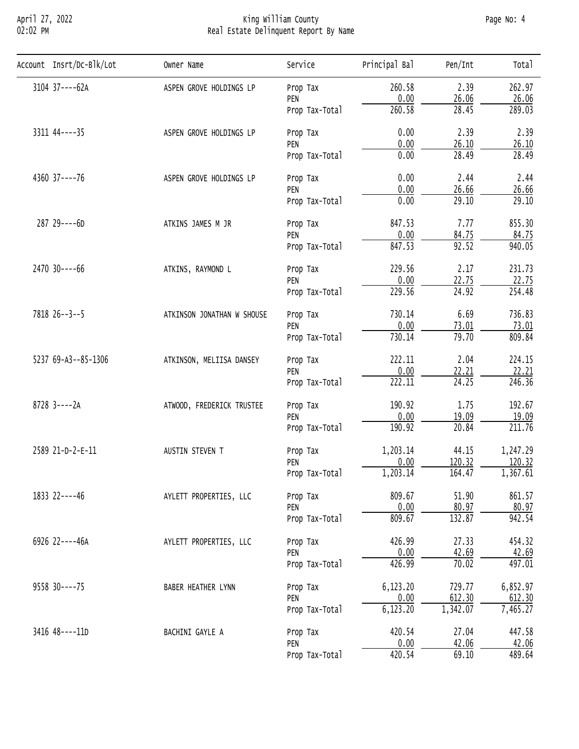# April 27, 2022 King William County Page No: 4 02:02 PM Real Estate Delinquent Report By Name

| Account Insrt/Dc-Blk/Lot                                                                                     | Owner Name                                                                                                                                                                                                                                                                                                                                                                                                                                                                                                                                                                                                                                                                                                                                                                                                                                                                                                                                                                                                                                                                                                                                                                                                                                                                                                                                             | Service                                                   | Principal Bal | Pen/Int | Total    |
|--------------------------------------------------------------------------------------------------------------|--------------------------------------------------------------------------------------------------------------------------------------------------------------------------------------------------------------------------------------------------------------------------------------------------------------------------------------------------------------------------------------------------------------------------------------------------------------------------------------------------------------------------------------------------------------------------------------------------------------------------------------------------------------------------------------------------------------------------------------------------------------------------------------------------------------------------------------------------------------------------------------------------------------------------------------------------------------------------------------------------------------------------------------------------------------------------------------------------------------------------------------------------------------------------------------------------------------------------------------------------------------------------------------------------------------------------------------------------------|-----------------------------------------------------------|---------------|---------|----------|
| 3104 37----62A                                                                                               | ASPEN GROVE HOLDINGS LP                                                                                                                                                                                                                                                                                                                                                                                                                                                                                                                                                                                                                                                                                                                                                                                                                                                                                                                                                                                                                                                                                                                                                                                                                                                                                                                                | Prop Tax                                                  | 260.58        | 2.39    | 262.97   |
|                                                                                                              |                                                                                                                                                                                                                                                                                                                                                                                                                                                                                                                                                                                                                                                                                                                                                                                                                                                                                                                                                                                                                                                                                                                                                                                                                                                                                                                                                        | PEN                                                       |               | 26.06   | 26.06    |
|                                                                                                              |                                                                                                                                                                                                                                                                                                                                                                                                                                                                                                                                                                                                                                                                                                                                                                                                                                                                                                                                                                                                                                                                                                                                                                                                                                                                                                                                                        | Prop Tax-Total                                            | 260.58        | 28.45   | 289.03   |
| 3311 44 ---- 35                                                                                              | ASPEN GROVE HOLDINGS LP                                                                                                                                                                                                                                                                                                                                                                                                                                                                                                                                                                                                                                                                                                                                                                                                                                                                                                                                                                                                                                                                                                                                                                                                                                                                                                                                | Prop Tax                                                  | 0.00          | 2.39    | 2.39     |
|                                                                                                              |                                                                                                                                                                                                                                                                                                                                                                                                                                                                                                                                                                                                                                                                                                                                                                                                                                                                                                                                                                                                                                                                                                                                                                                                                                                                                                                                                        |                                                           |               |         | 26.10    |
|                                                                                                              | 0.00<br>0.00<br>26.10<br>PEN<br>0.00<br>28.49<br>Prop Tax-Total<br>0.00<br>2.44<br>ASPEN GROVE HOLDINGS LP<br>Prop Tax<br>0.00<br>26.66<br>PEN<br>0.00<br>29.10<br>Prop Tax-Total<br>847.53<br>7.77<br>ATKINS JAMES M JR<br>Prop Tax<br>0.00<br>84.75<br>PEN<br>92.52<br>847.53<br>Prop Tax-Total<br>229.56<br>2.17<br>ATKINS, RAYMOND L<br>Prop Tax<br>0.00<br>22.75<br>PEN<br>$\overline{24.92}$<br>229.56<br>Prop Tax-Total<br>730.14<br>6.69<br>ATKINSON JONATHAN W SHOUSE<br>Prop Tax<br>0.00<br>73.01<br>PEN<br>730.14<br>79.70<br>Prop Tax-Total<br>222.11<br>2.04<br>ATKINSON, MELIISA DANSEY<br>Prop Tax<br>0.00<br>22.21<br>PEN<br>222.11<br>24.25<br>Prop Tax-Total<br>190.92<br>1.75<br>ATWOOD, FREDERICK TRUSTEE<br>Prop Tax<br>0.00<br>19.09<br>PEN<br>190.92<br>20.84<br>Prop Tax-Total<br>1,203.14<br>44.15<br>AUSTIN STEVEN T<br>Prop Tax<br>120.32<br>0.00<br>PEN<br>164.47<br>1,203.14<br>Prop Tax-Total<br>809.67<br>51.90<br>AYLETT PROPERTIES, LLC<br>Prop Tax<br>0.00<br>80.97<br>PEN<br>809.67<br>132.87<br>Prop Tax-Total<br>426.99<br>27.33<br>AYLETT PROPERTIES, LLC<br>Prop Tax<br>0.00<br>42.69<br>PEN<br>426.99<br>70.02<br>Prop Tax-Total<br>6,123.20<br>729.77<br>BABER HEATHER LYNN<br>Prop Tax<br>612.30<br>0.00<br>PEN<br>6, 123.20<br>1,342.07<br>Prop Tax-Total<br>420.54<br>27.04<br>BACHINI GAYLE A<br>Prop Tax | 28.49                                                     |               |         |          |
| 4360 37----76                                                                                                |                                                                                                                                                                                                                                                                                                                                                                                                                                                                                                                                                                                                                                                                                                                                                                                                                                                                                                                                                                                                                                                                                                                                                                                                                                                                                                                                                        | 2.44                                                      |               |         |          |
|                                                                                                              |                                                                                                                                                                                                                                                                                                                                                                                                                                                                                                                                                                                                                                                                                                                                                                                                                                                                                                                                                                                                                                                                                                                                                                                                                                                                                                                                                        |                                                           |               |         | 26.66    |
|                                                                                                              |                                                                                                                                                                                                                                                                                                                                                                                                                                                                                                                                                                                                                                                                                                                                                                                                                                                                                                                                                                                                                                                                                                                                                                                                                                                                                                                                                        | 29.10                                                     |               |         |          |
| 287 29----6D                                                                                                 |                                                                                                                                                                                                                                                                                                                                                                                                                                                                                                                                                                                                                                                                                                                                                                                                                                                                                                                                                                                                                                                                                                                                                                                                                                                                                                                                                        |                                                           | 855.30        |         |          |
|                                                                                                              |                                                                                                                                                                                                                                                                                                                                                                                                                                                                                                                                                                                                                                                                                                                                                                                                                                                                                                                                                                                                                                                                                                                                                                                                                                                                                                                                                        | 0.00<br>42.06<br>PEN<br>420.54<br>69.10<br>Prop Tax-Total | 84.75         |         |          |
|                                                                                                              |                                                                                                                                                                                                                                                                                                                                                                                                                                                                                                                                                                                                                                                                                                                                                                                                                                                                                                                                                                                                                                                                                                                                                                                                                                                                                                                                                        |                                                           | 940.05        |         |          |
| 2470 30----66<br>7818 26--3--5<br>5237 69-A3--85-1306<br>$8728$ 3----2A<br>2589 21-D-2-E-11<br>1833 22----46 | 231.73                                                                                                                                                                                                                                                                                                                                                                                                                                                                                                                                                                                                                                                                                                                                                                                                                                                                                                                                                                                                                                                                                                                                                                                                                                                                                                                                                 |                                                           |               |         |          |
|                                                                                                              |                                                                                                                                                                                                                                                                                                                                                                                                                                                                                                                                                                                                                                                                                                                                                                                                                                                                                                                                                                                                                                                                                                                                                                                                                                                                                                                                                        |                                                           |               |         | 22.75    |
|                                                                                                              |                                                                                                                                                                                                                                                                                                                                                                                                                                                                                                                                                                                                                                                                                                                                                                                                                                                                                                                                                                                                                                                                                                                                                                                                                                                                                                                                                        | 254.48                                                    |               |         |          |
|                                                                                                              |                                                                                                                                                                                                                                                                                                                                                                                                                                                                                                                                                                                                                                                                                                                                                                                                                                                                                                                                                                                                                                                                                                                                                                                                                                                                                                                                                        |                                                           |               |         | 736.83   |
|                                                                                                              |                                                                                                                                                                                                                                                                                                                                                                                                                                                                                                                                                                                                                                                                                                                                                                                                                                                                                                                                                                                                                                                                                                                                                                                                                                                                                                                                                        |                                                           |               |         | 73.01    |
|                                                                                                              |                                                                                                                                                                                                                                                                                                                                                                                                                                                                                                                                                                                                                                                                                                                                                                                                                                                                                                                                                                                                                                                                                                                                                                                                                                                                                                                                                        |                                                           |               |         | 809.84   |
|                                                                                                              |                                                                                                                                                                                                                                                                                                                                                                                                                                                                                                                                                                                                                                                                                                                                                                                                                                                                                                                                                                                                                                                                                                                                                                                                                                                                                                                                                        |                                                           |               |         | 224.15   |
|                                                                                                              |                                                                                                                                                                                                                                                                                                                                                                                                                                                                                                                                                                                                                                                                                                                                                                                                                                                                                                                                                                                                                                                                                                                                                                                                                                                                                                                                                        |                                                           |               |         | 22.21    |
|                                                                                                              |                                                                                                                                                                                                                                                                                                                                                                                                                                                                                                                                                                                                                                                                                                                                                                                                                                                                                                                                                                                                                                                                                                                                                                                                                                                                                                                                                        |                                                           |               |         | 246.36   |
|                                                                                                              |                                                                                                                                                                                                                                                                                                                                                                                                                                                                                                                                                                                                                                                                                                                                                                                                                                                                                                                                                                                                                                                                                                                                                                                                                                                                                                                                                        |                                                           |               |         | 192.67   |
|                                                                                                              |                                                                                                                                                                                                                                                                                                                                                                                                                                                                                                                                                                                                                                                                                                                                                                                                                                                                                                                                                                                                                                                                                                                                                                                                                                                                                                                                                        |                                                           |               |         | 19.09    |
|                                                                                                              |                                                                                                                                                                                                                                                                                                                                                                                                                                                                                                                                                                                                                                                                                                                                                                                                                                                                                                                                                                                                                                                                                                                                                                                                                                                                                                                                                        |                                                           |               |         | 211.76   |
|                                                                                                              |                                                                                                                                                                                                                                                                                                                                                                                                                                                                                                                                                                                                                                                                                                                                                                                                                                                                                                                                                                                                                                                                                                                                                                                                                                                                                                                                                        |                                                           |               |         | 1,247.29 |
|                                                                                                              |                                                                                                                                                                                                                                                                                                                                                                                                                                                                                                                                                                                                                                                                                                                                                                                                                                                                                                                                                                                                                                                                                                                                                                                                                                                                                                                                                        |                                                           |               |         | 120.32   |
|                                                                                                              |                                                                                                                                                                                                                                                                                                                                                                                                                                                                                                                                                                                                                                                                                                                                                                                                                                                                                                                                                                                                                                                                                                                                                                                                                                                                                                                                                        |                                                           |               |         | 1,367.61 |
|                                                                                                              |                                                                                                                                                                                                                                                                                                                                                                                                                                                                                                                                                                                                                                                                                                                                                                                                                                                                                                                                                                                                                                                                                                                                                                                                                                                                                                                                                        | 861.57                                                    |               |         |          |
|                                                                                                              |                                                                                                                                                                                                                                                                                                                                                                                                                                                                                                                                                                                                                                                                                                                                                                                                                                                                                                                                                                                                                                                                                                                                                                                                                                                                                                                                                        |                                                           |               |         | 80.97    |
|                                                                                                              |                                                                                                                                                                                                                                                                                                                                                                                                                                                                                                                                                                                                                                                                                                                                                                                                                                                                                                                                                                                                                                                                                                                                                                                                                                                                                                                                                        |                                                           |               |         | 942.54   |
| 6926 22----46A                                                                                               |                                                                                                                                                                                                                                                                                                                                                                                                                                                                                                                                                                                                                                                                                                                                                                                                                                                                                                                                                                                                                                                                                                                                                                                                                                                                                                                                                        |                                                           |               |         | 454.32   |
|                                                                                                              |                                                                                                                                                                                                                                                                                                                                                                                                                                                                                                                                                                                                                                                                                                                                                                                                                                                                                                                                                                                                                                                                                                                                                                                                                                                                                                                                                        |                                                           |               |         | 42.69    |
|                                                                                                              |                                                                                                                                                                                                                                                                                                                                                                                                                                                                                                                                                                                                                                                                                                                                                                                                                                                                                                                                                                                                                                                                                                                                                                                                                                                                                                                                                        |                                                           |               |         | 497.01   |
| $9558$ 30----75                                                                                              |                                                                                                                                                                                                                                                                                                                                                                                                                                                                                                                                                                                                                                                                                                                                                                                                                                                                                                                                                                                                                                                                                                                                                                                                                                                                                                                                                        |                                                           |               |         | 6,852.97 |
|                                                                                                              |                                                                                                                                                                                                                                                                                                                                                                                                                                                                                                                                                                                                                                                                                                                                                                                                                                                                                                                                                                                                                                                                                                                                                                                                                                                                                                                                                        |                                                           |               |         | 612.30   |
|                                                                                                              |                                                                                                                                                                                                                                                                                                                                                                                                                                                                                                                                                                                                                                                                                                                                                                                                                                                                                                                                                                                                                                                                                                                                                                                                                                                                                                                                                        |                                                           |               |         | 7,465.27 |
| 3416 48----11D                                                                                               |                                                                                                                                                                                                                                                                                                                                                                                                                                                                                                                                                                                                                                                                                                                                                                                                                                                                                                                                                                                                                                                                                                                                                                                                                                                                                                                                                        |                                                           |               |         | 447.58   |
|                                                                                                              |                                                                                                                                                                                                                                                                                                                                                                                                                                                                                                                                                                                                                                                                                                                                                                                                                                                                                                                                                                                                                                                                                                                                                                                                                                                                                                                                                        |                                                           |               |         | 42.06    |
|                                                                                                              |                                                                                                                                                                                                                                                                                                                                                                                                                                                                                                                                                                                                                                                                                                                                                                                                                                                                                                                                                                                                                                                                                                                                                                                                                                                                                                                                                        |                                                           |               |         | 489.64   |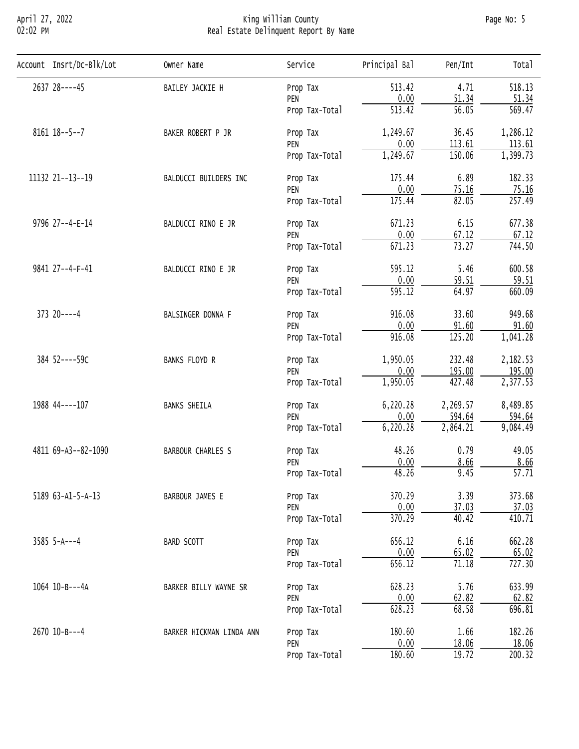#### April 27, 2022 King William County Page No: 5 02:02 PM Real Estate Delinquent Report By Name

| Account Insrt/Dc-Blk/Lot | Owner Name        | Service                                                                                                                                                                                                                                                                                                                                                                                                                                                                                                                                                                                                                                                                                                                                                                                                                                                                                                                                                                                                                                                                                                                                                                                                                                                                                                                                                                                                                         | Principal Bal   | Pen/Int | Tota <sub>1</sub>   |
|--------------------------|-------------------|---------------------------------------------------------------------------------------------------------------------------------------------------------------------------------------------------------------------------------------------------------------------------------------------------------------------------------------------------------------------------------------------------------------------------------------------------------------------------------------------------------------------------------------------------------------------------------------------------------------------------------------------------------------------------------------------------------------------------------------------------------------------------------------------------------------------------------------------------------------------------------------------------------------------------------------------------------------------------------------------------------------------------------------------------------------------------------------------------------------------------------------------------------------------------------------------------------------------------------------------------------------------------------------------------------------------------------------------------------------------------------------------------------------------------------|-----------------|---------|---------------------|
| 2637 28----45            | BAILEY JACKIE H   |                                                                                                                                                                                                                                                                                                                                                                                                                                                                                                                                                                                                                                                                                                                                                                                                                                                                                                                                                                                                                                                                                                                                                                                                                                                                                                                                                                                                                                 | 513.42          | 4.71    | 518.13              |
|                          |                   | PEN                                                                                                                                                                                                                                                                                                                                                                                                                                                                                                                                                                                                                                                                                                                                                                                                                                                                                                                                                                                                                                                                                                                                                                                                                                                                                                                                                                                                                             |                 |         | 51.34               |
|                          |                   | Prop Tax-Total                                                                                                                                                                                                                                                                                                                                                                                                                                                                                                                                                                                                                                                                                                                                                                                                                                                                                                                                                                                                                                                                                                                                                                                                                                                                                                                                                                                                                  |                 |         | $\overline{569.47}$ |
| $8161$ $18--5--7$        | BAKER ROBERT P JR | Prop Tax                                                                                                                                                                                                                                                                                                                                                                                                                                                                                                                                                                                                                                                                                                                                                                                                                                                                                                                                                                                                                                                                                                                                                                                                                                                                                                                                                                                                                        | 1,249.67        | 36.45   | 1,286.12            |
|                          |                   |                                                                                                                                                                                                                                                                                                                                                                                                                                                                                                                                                                                                                                                                                                                                                                                                                                                                                                                                                                                                                                                                                                                                                                                                                                                                                                                                                                                                                                 |                 |         | 113.61              |
|                          |                   | Prop Tax<br>0.00<br>51.34<br>$\overline{513.42}$<br>$\overline{56.05}$<br>113.61<br>0.00<br>PEN<br>1,249.67<br>150.06<br>Prop Tax-Total<br>6.89<br>175.44<br>BALDUCCI BUILDERS INC<br>Prop Tax<br>0.00<br>75.16<br>PEN<br>82.05<br>175.44<br>Prop Tax-Total<br>671.23<br>6.15<br>BALDUCCI RINO E JR<br>Prop Tax<br>0.00<br>$\frac{67.12}{73.27}$<br>PEN<br>671.23<br>Prop Tax-Total<br>5.46<br>595.12<br>BALDUCCI RINO E JR<br>Prop Tax<br>0.00<br>59.51<br>PEN<br>64.97<br>595.12<br>Prop Tax-Total<br>916.08<br>33.60<br>BALSINGER DONNA F<br>Prop Tax<br>0.00<br>91.60<br>PEN<br>916.08<br>125.20<br>Prop Tax-Total<br>232.48<br>1,950.05<br><b>BANKS FLOYD R</b><br>Prop Tax<br>0.00<br>195.00<br>PEN<br>427.48<br>1,950.05<br>Prop Tax-Total<br>2,269.57<br>6,220.28<br><b>BANKS SHEILA</b><br>Prop Tax<br>0.00<br>594.64<br>PEN<br>2,864.21<br>6,220.28<br>Prop Tax-Total<br>48.26<br>0.79<br><b>BARBOUR CHARLES S</b><br>Prop Tax<br>0.00<br>8.66<br>PEN<br>48.26<br>9.45<br>Prop Tax-Total<br>3.39<br>370.29<br>BARBOUR JAMES E<br>Prop Tax<br>0.00<br>37.03<br>PEN<br>370.29<br>40.42<br>Prop Tax-Total<br>6.16<br>656.12<br>BARD SCOTT<br>Prop Tax<br>0.00<br>65.02<br>PEN<br>71.18<br>656.12<br>Prop Tax-Total<br>5.76<br>628.23<br>BARKER BILLY WAYNE SR<br>Prop Tax<br>0.00<br>62.82<br>PEN<br>628.23<br>68.58<br>Prop Tax-Total<br>1.66<br>180.60<br>BARKER HICKMAN LINDA ANN<br>Prop Tax<br>0.00<br>18.06<br>PEN | 1,399.73        |         |                     |
| 11132 21 -- 13 -- 19     |                   | 182.33                                                                                                                                                                                                                                                                                                                                                                                                                                                                                                                                                                                                                                                                                                                                                                                                                                                                                                                                                                                                                                                                                                                                                                                                                                                                                                                                                                                                                          |                 |         |                     |
|                          |                   |                                                                                                                                                                                                                                                                                                                                                                                                                                                                                                                                                                                                                                                                                                                                                                                                                                                                                                                                                                                                                                                                                                                                                                                                                                                                                                                                                                                                                                 | 180.60<br>19.72 | 75.16   |                     |
|                          |                   | 257.49                                                                                                                                                                                                                                                                                                                                                                                                                                                                                                                                                                                                                                                                                                                                                                                                                                                                                                                                                                                                                                                                                                                                                                                                                                                                                                                                                                                                                          |                 |         |                     |
| 9796 27--4-E-14          |                   |                                                                                                                                                                                                                                                                                                                                                                                                                                                                                                                                                                                                                                                                                                                                                                                                                                                                                                                                                                                                                                                                                                                                                                                                                                                                                                                                                                                                                                 |                 |         | 677.38              |
|                          |                   |                                                                                                                                                                                                                                                                                                                                                                                                                                                                                                                                                                                                                                                                                                                                                                                                                                                                                                                                                                                                                                                                                                                                                                                                                                                                                                                                                                                                                                 |                 | 67.12   |                     |
|                          |                   |                                                                                                                                                                                                                                                                                                                                                                                                                                                                                                                                                                                                                                                                                                                                                                                                                                                                                                                                                                                                                                                                                                                                                                                                                                                                                                                                                                                                                                 |                 | 744.50  |                     |
| 9841 27--4-F-41          |                   |                                                                                                                                                                                                                                                                                                                                                                                                                                                                                                                                                                                                                                                                                                                                                                                                                                                                                                                                                                                                                                                                                                                                                                                                                                                                                                                                                                                                                                 |                 |         | 600.58              |
|                          |                   |                                                                                                                                                                                                                                                                                                                                                                                                                                                                                                                                                                                                                                                                                                                                                                                                                                                                                                                                                                                                                                                                                                                                                                                                                                                                                                                                                                                                                                 |                 | 59.51   |                     |
|                          |                   |                                                                                                                                                                                                                                                                                                                                                                                                                                                                                                                                                                                                                                                                                                                                                                                                                                                                                                                                                                                                                                                                                                                                                                                                                                                                                                                                                                                                                                 |                 |         | 660.09              |
| $373$ $20---4$           |                   |                                                                                                                                                                                                                                                                                                                                                                                                                                                                                                                                                                                                                                                                                                                                                                                                                                                                                                                                                                                                                                                                                                                                                                                                                                                                                                                                                                                                                                 |                 |         | 949.68              |
|                          | Prop Tax-Total    | 91.60                                                                                                                                                                                                                                                                                                                                                                                                                                                                                                                                                                                                                                                                                                                                                                                                                                                                                                                                                                                                                                                                                                                                                                                                                                                                                                                                                                                                                           |                 |         |                     |
|                          |                   |                                                                                                                                                                                                                                                                                                                                                                                                                                                                                                                                                                                                                                                                                                                                                                                                                                                                                                                                                                                                                                                                                                                                                                                                                                                                                                                                                                                                                                 |                 |         | 1,041.28            |
| 384 52----59C            |                   |                                                                                                                                                                                                                                                                                                                                                                                                                                                                                                                                                                                                                                                                                                                                                                                                                                                                                                                                                                                                                                                                                                                                                                                                                                                                                                                                                                                                                                 |                 |         | 2,182.53            |
|                          |                   |                                                                                                                                                                                                                                                                                                                                                                                                                                                                                                                                                                                                                                                                                                                                                                                                                                                                                                                                                                                                                                                                                                                                                                                                                                                                                                                                                                                                                                 |                 |         | 195.00              |
|                          |                   |                                                                                                                                                                                                                                                                                                                                                                                                                                                                                                                                                                                                                                                                                                                                                                                                                                                                                                                                                                                                                                                                                                                                                                                                                                                                                                                                                                                                                                 |                 |         | 2,377.53            |
| 1988 44----107           |                   |                                                                                                                                                                                                                                                                                                                                                                                                                                                                                                                                                                                                                                                                                                                                                                                                                                                                                                                                                                                                                                                                                                                                                                                                                                                                                                                                                                                                                                 |                 |         | 8,489.85            |
|                          |                   |                                                                                                                                                                                                                                                                                                                                                                                                                                                                                                                                                                                                                                                                                                                                                                                                                                                                                                                                                                                                                                                                                                                                                                                                                                                                                                                                                                                                                                 |                 |         | 594.64              |
|                          |                   |                                                                                                                                                                                                                                                                                                                                                                                                                                                                                                                                                                                                                                                                                                                                                                                                                                                                                                                                                                                                                                                                                                                                                                                                                                                                                                                                                                                                                                 |                 |         | 9,084.49            |
| 4811 69-A3--82-1090      |                   |                                                                                                                                                                                                                                                                                                                                                                                                                                                                                                                                                                                                                                                                                                                                                                                                                                                                                                                                                                                                                                                                                                                                                                                                                                                                                                                                                                                                                                 |                 | 49.05   |                     |
|                          |                   |                                                                                                                                                                                                                                                                                                                                                                                                                                                                                                                                                                                                                                                                                                                                                                                                                                                                                                                                                                                                                                                                                                                                                                                                                                                                                                                                                                                                                                 |                 |         | 8.66                |
|                          |                   |                                                                                                                                                                                                                                                                                                                                                                                                                                                                                                                                                                                                                                                                                                                                                                                                                                                                                                                                                                                                                                                                                                                                                                                                                                                                                                                                                                                                                                 |                 |         | $\overline{57.71}$  |
| 5189 63-A1-5-A-13        |                   | 373.68                                                                                                                                                                                                                                                                                                                                                                                                                                                                                                                                                                                                                                                                                                                                                                                                                                                                                                                                                                                                                                                                                                                                                                                                                                                                                                                                                                                                                          |                 |         |                     |
|                          |                   |                                                                                                                                                                                                                                                                                                                                                                                                                                                                                                                                                                                                                                                                                                                                                                                                                                                                                                                                                                                                                                                                                                                                                                                                                                                                                                                                                                                                                                 |                 |         | 37.03               |
|                          |                   | 410.71                                                                                                                                                                                                                                                                                                                                                                                                                                                                                                                                                                                                                                                                                                                                                                                                                                                                                                                                                                                                                                                                                                                                                                                                                                                                                                                                                                                                                          |                 |         |                     |
| $3585$ 5-A---4           |                   |                                                                                                                                                                                                                                                                                                                                                                                                                                                                                                                                                                                                                                                                                                                                                                                                                                                                                                                                                                                                                                                                                                                                                                                                                                                                                                                                                                                                                                 |                 |         | 662.28              |
|                          |                   |                                                                                                                                                                                                                                                                                                                                                                                                                                                                                                                                                                                                                                                                                                                                                                                                                                                                                                                                                                                                                                                                                                                                                                                                                                                                                                                                                                                                                                 |                 |         | 65.02               |
|                          |                   |                                                                                                                                                                                                                                                                                                                                                                                                                                                                                                                                                                                                                                                                                                                                                                                                                                                                                                                                                                                                                                                                                                                                                                                                                                                                                                                                                                                                                                 |                 |         | 727.30              |
| 1064 10-B---4A           |                   |                                                                                                                                                                                                                                                                                                                                                                                                                                                                                                                                                                                                                                                                                                                                                                                                                                                                                                                                                                                                                                                                                                                                                                                                                                                                                                                                                                                                                                 |                 |         | 633.99              |
|                          |                   |                                                                                                                                                                                                                                                                                                                                                                                                                                                                                                                                                                                                                                                                                                                                                                                                                                                                                                                                                                                                                                                                                                                                                                                                                                                                                                                                                                                                                                 |                 |         | 62.82               |
|                          |                   |                                                                                                                                                                                                                                                                                                                                                                                                                                                                                                                                                                                                                                                                                                                                                                                                                                                                                                                                                                                                                                                                                                                                                                                                                                                                                                                                                                                                                                 |                 |         | 696.81              |
| 2670 10-B---4            |                   |                                                                                                                                                                                                                                                                                                                                                                                                                                                                                                                                                                                                                                                                                                                                                                                                                                                                                                                                                                                                                                                                                                                                                                                                                                                                                                                                                                                                                                 |                 |         | 182.26              |
|                          |                   |                                                                                                                                                                                                                                                                                                                                                                                                                                                                                                                                                                                                                                                                                                                                                                                                                                                                                                                                                                                                                                                                                                                                                                                                                                                                                                                                                                                                                                 |                 |         | 18.06               |
|                          |                   |                                                                                                                                                                                                                                                                                                                                                                                                                                                                                                                                                                                                                                                                                                                                                                                                                                                                                                                                                                                                                                                                                                                                                                                                                                                                                                                                                                                                                                 |                 |         | $\overline{200.32}$ |
|                          |                   |                                                                                                                                                                                                                                                                                                                                                                                                                                                                                                                                                                                                                                                                                                                                                                                                                                                                                                                                                                                                                                                                                                                                                                                                                                                                                                                                                                                                                                 |                 |         |                     |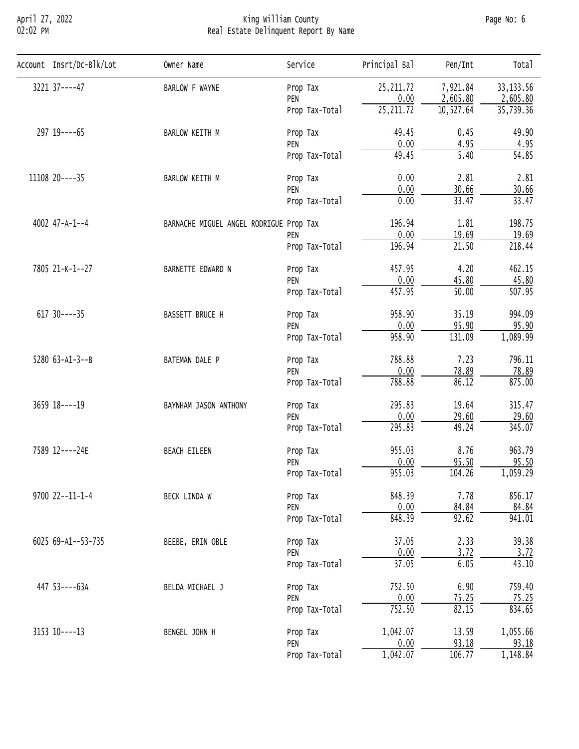# April 27, 2022 King William County Page No: 6 02:02 PM Real Estate Delinquent Report By Name

| Account Insrt/Dc-Blk/Lot | Owner Name                                                                                                                                                                                                                                                                                                                                                                                                                                                                                                                                                                                                                                                                                                                                                                                                                                                                                                                                                                                                                                                                                                                                                                                                                                                            | Service        | Principal Bal | Pen/Int             | Tota <sub>1</sub> |
|--------------------------|-----------------------------------------------------------------------------------------------------------------------------------------------------------------------------------------------------------------------------------------------------------------------------------------------------------------------------------------------------------------------------------------------------------------------------------------------------------------------------------------------------------------------------------------------------------------------------------------------------------------------------------------------------------------------------------------------------------------------------------------------------------------------------------------------------------------------------------------------------------------------------------------------------------------------------------------------------------------------------------------------------------------------------------------------------------------------------------------------------------------------------------------------------------------------------------------------------------------------------------------------------------------------|----------------|---------------|---------------------|-------------------|
| 3221 37----47            | BARLOW F WAYNE                                                                                                                                                                                                                                                                                                                                                                                                                                                                                                                                                                                                                                                                                                                                                                                                                                                                                                                                                                                                                                                                                                                                                                                                                                                        |                |               |                     | 33, 133.56        |
|                          |                                                                                                                                                                                                                                                                                                                                                                                                                                                                                                                                                                                                                                                                                                                                                                                                                                                                                                                                                                                                                                                                                                                                                                                                                                                                       | PEN            |               |                     | 2,605.80          |
|                          |                                                                                                                                                                                                                                                                                                                                                                                                                                                                                                                                                                                                                                                                                                                                                                                                                                                                                                                                                                                                                                                                                                                                                                                                                                                                       | Prop Tax-Total | 25, 211.72    | 10, 527.64          | 35,739.36         |
| 297 19 ---- 65           | BARLOW KEITH M                                                                                                                                                                                                                                                                                                                                                                                                                                                                                                                                                                                                                                                                                                                                                                                                                                                                                                                                                                                                                                                                                                                                                                                                                                                        | Prop Tax       | 49.45         | 0.45                | 49.90             |
|                          |                                                                                                                                                                                                                                                                                                                                                                                                                                                                                                                                                                                                                                                                                                                                                                                                                                                                                                                                                                                                                                                                                                                                                                                                                                                                       |                |               |                     | 4.95              |
|                          |                                                                                                                                                                                                                                                                                                                                                                                                                                                                                                                                                                                                                                                                                                                                                                                                                                                                                                                                                                                                                                                                                                                                                                                                                                                                       |                |               |                     | 54.85             |
| 11108 20----35           | BARLOW KEITH M                                                                                                                                                                                                                                                                                                                                                                                                                                                                                                                                                                                                                                                                                                                                                                                                                                                                                                                                                                                                                                                                                                                                                                                                                                                        | Prop Tax       | 0.00          | 2.81                | 2.81              |
|                          |                                                                                                                                                                                                                                                                                                                                                                                                                                                                                                                                                                                                                                                                                                                                                                                                                                                                                                                                                                                                                                                                                                                                                                                                                                                                       | PEN            |               |                     | 30.66             |
|                          |                                                                                                                                                                                                                                                                                                                                                                                                                                                                                                                                                                                                                                                                                                                                                                                                                                                                                                                                                                                                                                                                                                                                                                                                                                                                       | Prop Tax-Total |               |                     | 33.47             |
| 4002 47-A-1--4           |                                                                                                                                                                                                                                                                                                                                                                                                                                                                                                                                                                                                                                                                                                                                                                                                                                                                                                                                                                                                                                                                                                                                                                                                                                                                       |                | 196.94        | 1.81                | 198.75            |
|                          |                                                                                                                                                                                                                                                                                                                                                                                                                                                                                                                                                                                                                                                                                                                                                                                                                                                                                                                                                                                                                                                                                                                                                                                                                                                                       | PEN            | 0.00          |                     | 19.69             |
|                          |                                                                                                                                                                                                                                                                                                                                                                                                                                                                                                                                                                                                                                                                                                                                                                                                                                                                                                                                                                                                                                                                                                                                                                                                                                                                       | Prop Tax-Total | 196.94        | 21.50               | 218.44            |
| 7805 21-K-1--27          | 25, 211.72<br>7,921.84<br>Prop Tax<br>0.00<br>2,605.80<br>0.00<br>4.95<br>PEN<br>49.45<br>5.40<br>Prop Tax-Total<br>0.00<br>30.66<br>33.47<br>0.00<br>BARNACHE MIGUEL ANGEL RODRIGUE Prop Tax<br>19.69<br>4.20<br>457.95<br>BARNETTE EDWARD N<br>Prop Tax<br>0.00<br>45.80<br>PEN<br>$\overline{50.00}$<br>457.95<br>Prop Tax-Total<br>958.90<br>35.19<br>BASSETT BRUCE H<br>Prop Tax<br>95.90<br>0.00<br>PEN<br>958.90<br>131.09<br>Prop Tax-Total<br>7.23<br>788.88<br>BATEMAN DALE P<br>Prop Tax<br>0.00<br>78.89<br>PEN<br>86.12<br>788.88<br>Prop Tax-Total<br>295.83<br>19.64<br>BAYNHAM JASON ANTHONY<br>Prop Tax<br>0.00<br>29.60<br>PEN<br>295.83<br>49.24<br>Prop Tax-Total<br>8.76<br>955.03<br><b>BEACH EILEEN</b><br>Prop Tax<br>0.00<br>95.50<br>PEN<br>955.03<br>104.26<br>Prop Tax-Total<br>7.78<br>848.39<br>BECK LINDA W<br>Prop Tax<br>0.00<br>84.84<br>PEN<br>848.39<br>92.62<br>Prop Tax-Total<br>2.33<br>37.05<br>BEEBE, ERIN OBLE<br>Prop Tax<br>3.72<br>0.00<br>PEN<br>37.05<br>6.05<br>Prop Tax-Total<br>752.50<br>6.90<br>BELDA MICHAEL J<br>Prop Tax<br>0.00<br>$\frac{75.25}{82.15}$<br>PEN<br>752.50<br>Prop Tax-Total<br>1,042.07<br>13.59<br>BENGEL JOHN H<br>Prop Tax<br>0.00<br>93.18<br>PEN<br>1,042.07<br>106.77<br>Prop Tax-Total |                | 462.15        |                     |                   |
|                          |                                                                                                                                                                                                                                                                                                                                                                                                                                                                                                                                                                                                                                                                                                                                                                                                                                                                                                                                                                                                                                                                                                                                                                                                                                                                       |                |               |                     | 45.80             |
|                          |                                                                                                                                                                                                                                                                                                                                                                                                                                                                                                                                                                                                                                                                                                                                                                                                                                                                                                                                                                                                                                                                                                                                                                                                                                                                       |                |               | $\overline{507.95}$ |                   |
| $617$ 30----35           |                                                                                                                                                                                                                                                                                                                                                                                                                                                                                                                                                                                                                                                                                                                                                                                                                                                                                                                                                                                                                                                                                                                                                                                                                                                                       | 994.09         |               |                     |                   |
|                          |                                                                                                                                                                                                                                                                                                                                                                                                                                                                                                                                                                                                                                                                                                                                                                                                                                                                                                                                                                                                                                                                                                                                                                                                                                                                       |                |               |                     | 95.90             |
|                          |                                                                                                                                                                                                                                                                                                                                                                                                                                                                                                                                                                                                                                                                                                                                                                                                                                                                                                                                                                                                                                                                                                                                                                                                                                                                       | 1,089.99       |               |                     |                   |
| $5280$ $63 - A1 - 3 - B$ |                                                                                                                                                                                                                                                                                                                                                                                                                                                                                                                                                                                                                                                                                                                                                                                                                                                                                                                                                                                                                                                                                                                                                                                                                                                                       |                |               |                     | 796.11            |
|                          |                                                                                                                                                                                                                                                                                                                                                                                                                                                                                                                                                                                                                                                                                                                                                                                                                                                                                                                                                                                                                                                                                                                                                                                                                                                                       |                | 78.89         |                     |                   |
|                          |                                                                                                                                                                                                                                                                                                                                                                                                                                                                                                                                                                                                                                                                                                                                                                                                                                                                                                                                                                                                                                                                                                                                                                                                                                                                       |                |               |                     | 875.00            |
| 3659 18----19            |                                                                                                                                                                                                                                                                                                                                                                                                                                                                                                                                                                                                                                                                                                                                                                                                                                                                                                                                                                                                                                                                                                                                                                                                                                                                       |                |               |                     | 315.47            |
|                          |                                                                                                                                                                                                                                                                                                                                                                                                                                                                                                                                                                                                                                                                                                                                                                                                                                                                                                                                                                                                                                                                                                                                                                                                                                                                       |                |               |                     | 29.60             |
|                          |                                                                                                                                                                                                                                                                                                                                                                                                                                                                                                                                                                                                                                                                                                                                                                                                                                                                                                                                                                                                                                                                                                                                                                                                                                                                       |                |               |                     | 345.07            |
| 7589 12----24E           |                                                                                                                                                                                                                                                                                                                                                                                                                                                                                                                                                                                                                                                                                                                                                                                                                                                                                                                                                                                                                                                                                                                                                                                                                                                                       |                |               |                     | 963.79            |
|                          |                                                                                                                                                                                                                                                                                                                                                                                                                                                                                                                                                                                                                                                                                                                                                                                                                                                                                                                                                                                                                                                                                                                                                                                                                                                                       |                |               |                     | 95.50             |
|                          |                                                                                                                                                                                                                                                                                                                                                                                                                                                                                                                                                                                                                                                                                                                                                                                                                                                                                                                                                                                                                                                                                                                                                                                                                                                                       |                |               |                     | 1,059.29          |
| 9700 22--11-1-4          |                                                                                                                                                                                                                                                                                                                                                                                                                                                                                                                                                                                                                                                                                                                                                                                                                                                                                                                                                                                                                                                                                                                                                                                                                                                                       |                |               | 856.17              |                   |
|                          |                                                                                                                                                                                                                                                                                                                                                                                                                                                                                                                                                                                                                                                                                                                                                                                                                                                                                                                                                                                                                                                                                                                                                                                                                                                                       |                |               |                     | 84.84             |
|                          |                                                                                                                                                                                                                                                                                                                                                                                                                                                                                                                                                                                                                                                                                                                                                                                                                                                                                                                                                                                                                                                                                                                                                                                                                                                                       |                |               |                     | 941.01            |
| 6025 69-A1--53-735       |                                                                                                                                                                                                                                                                                                                                                                                                                                                                                                                                                                                                                                                                                                                                                                                                                                                                                                                                                                                                                                                                                                                                                                                                                                                                       |                |               |                     | 39.38             |
|                          |                                                                                                                                                                                                                                                                                                                                                                                                                                                                                                                                                                                                                                                                                                                                                                                                                                                                                                                                                                                                                                                                                                                                                                                                                                                                       | 3.72           |               |                     |                   |
|                          |                                                                                                                                                                                                                                                                                                                                                                                                                                                                                                                                                                                                                                                                                                                                                                                                                                                                                                                                                                                                                                                                                                                                                                                                                                                                       |                |               |                     | 43.10             |
| 447 53----63A            |                                                                                                                                                                                                                                                                                                                                                                                                                                                                                                                                                                                                                                                                                                                                                                                                                                                                                                                                                                                                                                                                                                                                                                                                                                                                       |                |               |                     | 759.40            |
|                          |                                                                                                                                                                                                                                                                                                                                                                                                                                                                                                                                                                                                                                                                                                                                                                                                                                                                                                                                                                                                                                                                                                                                                                                                                                                                       |                |               |                     | 75.25             |
|                          |                                                                                                                                                                                                                                                                                                                                                                                                                                                                                                                                                                                                                                                                                                                                                                                                                                                                                                                                                                                                                                                                                                                                                                                                                                                                       | 834.65         |               |                     |                   |
| $3153$ $10---13$         |                                                                                                                                                                                                                                                                                                                                                                                                                                                                                                                                                                                                                                                                                                                                                                                                                                                                                                                                                                                                                                                                                                                                                                                                                                                                       |                |               |                     | 1,055.66          |
|                          |                                                                                                                                                                                                                                                                                                                                                                                                                                                                                                                                                                                                                                                                                                                                                                                                                                                                                                                                                                                                                                                                                                                                                                                                                                                                       |                |               |                     | 93.18             |
|                          |                                                                                                                                                                                                                                                                                                                                                                                                                                                                                                                                                                                                                                                                                                                                                                                                                                                                                                                                                                                                                                                                                                                                                                                                                                                                       |                |               |                     | 1,148.84          |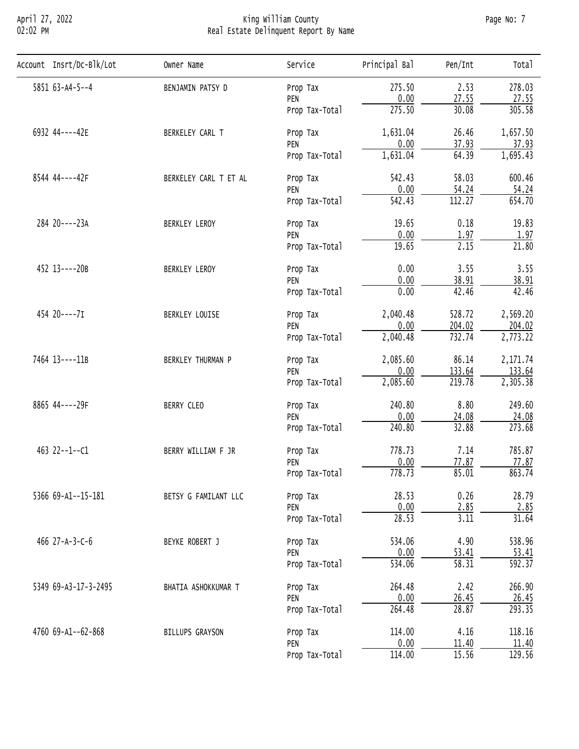# April 27, 2022 King William County Page No: 7 02:02 PM Real Estate Delinquent Report By Name

| Account Insrt/Dc-Blk/Lot | Owner Name                                                                                                                                          | Service        | Principal Bal                                                                                                                                                                                                                                                                                                                                                                                                                                                                                                                                                                                                                                                                                                                                                                                                                                                                                                                                                                                                                                                                                                                           | Pen/Int            | Total                 |
|--------------------------|-----------------------------------------------------------------------------------------------------------------------------------------------------|----------------|-----------------------------------------------------------------------------------------------------------------------------------------------------------------------------------------------------------------------------------------------------------------------------------------------------------------------------------------------------------------------------------------------------------------------------------------------------------------------------------------------------------------------------------------------------------------------------------------------------------------------------------------------------------------------------------------------------------------------------------------------------------------------------------------------------------------------------------------------------------------------------------------------------------------------------------------------------------------------------------------------------------------------------------------------------------------------------------------------------------------------------------------|--------------------|-----------------------|
| 5851 63-A4-5--4          | BENJAMIN PATSY D                                                                                                                                    | Prop Tax       | 275.50                                                                                                                                                                                                                                                                                                                                                                                                                                                                                                                                                                                                                                                                                                                                                                                                                                                                                                                                                                                                                                                                                                                                  | 2.53               | 278.03                |
|                          |                                                                                                                                                     | PEN            | 0.00                                                                                                                                                                                                                                                                                                                                                                                                                                                                                                                                                                                                                                                                                                                                                                                                                                                                                                                                                                                                                                                                                                                                    |                    | 27.55                 |
|                          |                                                                                                                                                     | Prop Tax-Total | 275.50                                                                                                                                                                                                                                                                                                                                                                                                                                                                                                                                                                                                                                                                                                                                                                                                                                                                                                                                                                                                                                                                                                                                  | 30.08              | 305.58                |
| 6932 44----42E           | BERKELEY CARL T                                                                                                                                     | Prop Tax       | 1,631.04                                                                                                                                                                                                                                                                                                                                                                                                                                                                                                                                                                                                                                                                                                                                                                                                                                                                                                                                                                                                                                                                                                                                | 26.46              | 1,657.50              |
|                          |                                                                                                                                                     |                |                                                                                                                                                                                                                                                                                                                                                                                                                                                                                                                                                                                                                                                                                                                                                                                                                                                                                                                                                                                                                                                                                                                                         |                    | 37.93                 |
|                          |                                                                                                                                                     | Prop Tax-Total | 27.55<br>0.00<br>37.93<br>PEN<br>1,631.04<br>64.39<br>542.43<br>58.03<br>Prop Tax<br>0.00<br>54.24<br>PEN<br>112.27<br>$\overline{542.43}$<br>Prop Tax-Total<br>0.18<br>19.65<br>Prop Tax<br>0.00<br>1.97<br>PEN<br>$\overline{2.15}$<br>19.65<br>Prop Tax-Total<br>0.00<br>3.55<br>Prop Tax<br>0.00<br>38.91<br>PEN<br>0.00<br>42.46<br>Prop Tax-Total<br>528.72<br>2,040.48<br>Prop Tax<br>0.00<br>204.02<br>PEN<br>732.74<br>2,040.48<br>Prop Tax-Total<br>2,085.60<br>86.14<br>Prop Tax<br>0.00<br>133.64<br>PEN<br>2,085.60<br>219.78<br>Prop Tax-Total<br>240.80<br>8.80<br>Prop Tax<br>0.00<br>24.08<br>PEN<br>240.80<br>32.88<br>Prop Tax-Total<br>7.14<br>778.73<br>Prop Tax<br>0.00<br>77.87<br>PEN<br>778.73<br>85.01<br>Prop Tax-Total<br>28.53<br>0.26<br>Prop Tax<br>0.00<br>2.85<br>PEN<br>28.53<br>3.11<br>Prop Tax-Total<br>4.90<br>534.06<br>Prop Tax<br>0.00<br>53.41<br>PEN<br>$\overline{58.31}$<br>534.06<br>Prop Tax-Total<br>2.42<br>264.48<br>Prop Tax<br>0.00<br>26.45<br>PEN<br>28.87<br>264.48<br>Prop Tax-Total<br>4.16<br>114.00<br>Prop Tax<br>0.00<br>11.40<br>PEN<br>15.56<br>114.00<br>Prop Tax-Total | 1,695.43           |                       |
| 8544 44----42F           | BERKELEY CARL T ET AL                                                                                                                               |                |                                                                                                                                                                                                                                                                                                                                                                                                                                                                                                                                                                                                                                                                                                                                                                                                                                                                                                                                                                                                                                                                                                                                         |                    | 600.46                |
|                          |                                                                                                                                                     |                |                                                                                                                                                                                                                                                                                                                                                                                                                                                                                                                                                                                                                                                                                                                                                                                                                                                                                                                                                                                                                                                                                                                                         |                    | 54.24                 |
|                          |                                                                                                                                                     |                |                                                                                                                                                                                                                                                                                                                                                                                                                                                                                                                                                                                                                                                                                                                                                                                                                                                                                                                                                                                                                                                                                                                                         | 654.70             |                       |
| 284 20----23A            | BERKLEY LEROY<br>BERKLEY LEROY<br>BERKLEY LOUISE<br>BERKLEY THURMAN P<br>BERRY CLEO<br>BERRY WILLIAM F JR<br>BETSY G FAMILANT LLC<br>BEYKE ROBERT J | 19.83          |                                                                                                                                                                                                                                                                                                                                                                                                                                                                                                                                                                                                                                                                                                                                                                                                                                                                                                                                                                                                                                                                                                                                         |                    |                       |
|                          |                                                                                                                                                     |                |                                                                                                                                                                                                                                                                                                                                                                                                                                                                                                                                                                                                                                                                                                                                                                                                                                                                                                                                                                                                                                                                                                                                         |                    | 1.97                  |
|                          |                                                                                                                                                     |                |                                                                                                                                                                                                                                                                                                                                                                                                                                                                                                                                                                                                                                                                                                                                                                                                                                                                                                                                                                                                                                                                                                                                         | $\overline{21.80}$ |                       |
| 452 13----20B            | 454 20----7I<br>463 22--1--C1<br>466 $27-A-3-C-6$<br>BHATIA ASHOKKUMAR T<br>BILLUPS GRAYSON                                                         | 3.55           |                                                                                                                                                                                                                                                                                                                                                                                                                                                                                                                                                                                                                                                                                                                                                                                                                                                                                                                                                                                                                                                                                                                                         |                    |                       |
|                          |                                                                                                                                                     |                |                                                                                                                                                                                                                                                                                                                                                                                                                                                                                                                                                                                                                                                                                                                                                                                                                                                                                                                                                                                                                                                                                                                                         |                    | 38.91                 |
|                          |                                                                                                                                                     |                | 42.46                                                                                                                                                                                                                                                                                                                                                                                                                                                                                                                                                                                                                                                                                                                                                                                                                                                                                                                                                                                                                                                                                                                                   |                    |                       |
|                          |                                                                                                                                                     |                |                                                                                                                                                                                                                                                                                                                                                                                                                                                                                                                                                                                                                                                                                                                                                                                                                                                                                                                                                                                                                                                                                                                                         |                    | 2,569.20              |
|                          |                                                                                                                                                     |                |                                                                                                                                                                                                                                                                                                                                                                                                                                                                                                                                                                                                                                                                                                                                                                                                                                                                                                                                                                                                                                                                                                                                         |                    | 204.02                |
|                          |                                                                                                                                                     |                |                                                                                                                                                                                                                                                                                                                                                                                                                                                                                                                                                                                                                                                                                                                                                                                                                                                                                                                                                                                                                                                                                                                                         |                    | $\overline{2,773.22}$ |
| 7464 13----11B           |                                                                                                                                                     |                |                                                                                                                                                                                                                                                                                                                                                                                                                                                                                                                                                                                                                                                                                                                                                                                                                                                                                                                                                                                                                                                                                                                                         |                    | 2,171.74              |
|                          |                                                                                                                                                     |                |                                                                                                                                                                                                                                                                                                                                                                                                                                                                                                                                                                                                                                                                                                                                                                                                                                                                                                                                                                                                                                                                                                                                         |                    | 133.64                |
|                          |                                                                                                                                                     |                |                                                                                                                                                                                                                                                                                                                                                                                                                                                                                                                                                                                                                                                                                                                                                                                                                                                                                                                                                                                                                                                                                                                                         |                    | 2,305.38              |
| 8865 44----29F           |                                                                                                                                                     |                |                                                                                                                                                                                                                                                                                                                                                                                                                                                                                                                                                                                                                                                                                                                                                                                                                                                                                                                                                                                                                                                                                                                                         |                    | 249.60                |
|                          |                                                                                                                                                     |                |                                                                                                                                                                                                                                                                                                                                                                                                                                                                                                                                                                                                                                                                                                                                                                                                                                                                                                                                                                                                                                                                                                                                         |                    | 24.08                 |
|                          |                                                                                                                                                     |                |                                                                                                                                                                                                                                                                                                                                                                                                                                                                                                                                                                                                                                                                                                                                                                                                                                                                                                                                                                                                                                                                                                                                         |                    | 273.68                |
|                          |                                                                                                                                                     |                | 785.87                                                                                                                                                                                                                                                                                                                                                                                                                                                                                                                                                                                                                                                                                                                                                                                                                                                                                                                                                                                                                                                                                                                                  |                    |                       |
|                          |                                                                                                                                                     |                |                                                                                                                                                                                                                                                                                                                                                                                                                                                                                                                                                                                                                                                                                                                                                                                                                                                                                                                                                                                                                                                                                                                                         |                    | 77.87                 |
|                          |                                                                                                                                                     |                |                                                                                                                                                                                                                                                                                                                                                                                                                                                                                                                                                                                                                                                                                                                                                                                                                                                                                                                                                                                                                                                                                                                                         |                    | 863.74                |
| 5366 69-A1--15-181       |                                                                                                                                                     | 28.79          |                                                                                                                                                                                                                                                                                                                                                                                                                                                                                                                                                                                                                                                                                                                                                                                                                                                                                                                                                                                                                                                                                                                                         |                    |                       |
|                          |                                                                                                                                                     |                |                                                                                                                                                                                                                                                                                                                                                                                                                                                                                                                                                                                                                                                                                                                                                                                                                                                                                                                                                                                                                                                                                                                                         |                    | 2.85                  |
|                          |                                                                                                                                                     |                |                                                                                                                                                                                                                                                                                                                                                                                                                                                                                                                                                                                                                                                                                                                                                                                                                                                                                                                                                                                                                                                                                                                                         |                    | 31.64                 |
|                          |                                                                                                                                                     |                |                                                                                                                                                                                                                                                                                                                                                                                                                                                                                                                                                                                                                                                                                                                                                                                                                                                                                                                                                                                                                                                                                                                                         |                    | 538.96                |
|                          |                                                                                                                                                     |                |                                                                                                                                                                                                                                                                                                                                                                                                                                                                                                                                                                                                                                                                                                                                                                                                                                                                                                                                                                                                                                                                                                                                         |                    | 53.41                 |
|                          |                                                                                                                                                     |                |                                                                                                                                                                                                                                                                                                                                                                                                                                                                                                                                                                                                                                                                                                                                                                                                                                                                                                                                                                                                                                                                                                                                         |                    | $\overline{592.37}$   |
| 5349 69-A3-17-3-2495     |                                                                                                                                                     |                |                                                                                                                                                                                                                                                                                                                                                                                                                                                                                                                                                                                                                                                                                                                                                                                                                                                                                                                                                                                                                                                                                                                                         |                    | 266.90                |
|                          |                                                                                                                                                     |                |                                                                                                                                                                                                                                                                                                                                                                                                                                                                                                                                                                                                                                                                                                                                                                                                                                                                                                                                                                                                                                                                                                                                         |                    | 26.45                 |
|                          |                                                                                                                                                     | 293.35         |                                                                                                                                                                                                                                                                                                                                                                                                                                                                                                                                                                                                                                                                                                                                                                                                                                                                                                                                                                                                                                                                                                                                         |                    |                       |
| 4760 69-A1--62-868       |                                                                                                                                                     |                |                                                                                                                                                                                                                                                                                                                                                                                                                                                                                                                                                                                                                                                                                                                                                                                                                                                                                                                                                                                                                                                                                                                                         |                    | 118.16                |
|                          |                                                                                                                                                     |                |                                                                                                                                                                                                                                                                                                                                                                                                                                                                                                                                                                                                                                                                                                                                                                                                                                                                                                                                                                                                                                                                                                                                         |                    | 11.40                 |
|                          |                                                                                                                                                     |                |                                                                                                                                                                                                                                                                                                                                                                                                                                                                                                                                                                                                                                                                                                                                                                                                                                                                                                                                                                                                                                                                                                                                         |                    | 129.56                |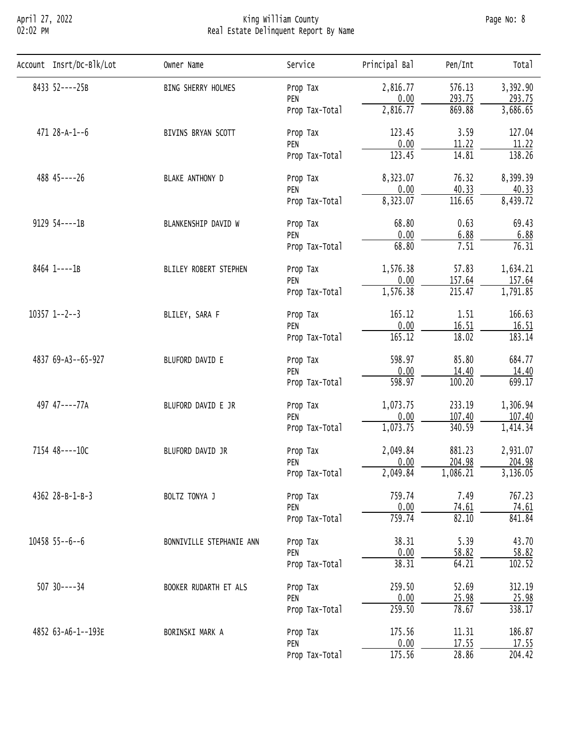## April 27, 2022 King William County Page No: 8 02:02 PM Real Estate Delinquent Report By Name

| Account Insrt/Dc-Blk/Lot | Owner Name                                                                                                                                                                                                                                                                                                                                                                                                                                                                                                                                                                                                                                                                                                                                                                                                                                                                                                                                                                                                                                                                                                                                                                                                                                                                                                                                                                       | Service                                                                                                     | Principal Bal | Pen/Int | Total    |
|--------------------------|----------------------------------------------------------------------------------------------------------------------------------------------------------------------------------------------------------------------------------------------------------------------------------------------------------------------------------------------------------------------------------------------------------------------------------------------------------------------------------------------------------------------------------------------------------------------------------------------------------------------------------------------------------------------------------------------------------------------------------------------------------------------------------------------------------------------------------------------------------------------------------------------------------------------------------------------------------------------------------------------------------------------------------------------------------------------------------------------------------------------------------------------------------------------------------------------------------------------------------------------------------------------------------------------------------------------------------------------------------------------------------|-------------------------------------------------------------------------------------------------------------|---------------|---------|----------|
| 8433 52----25B           | BING SHERRY HOLMES                                                                                                                                                                                                                                                                                                                                                                                                                                                                                                                                                                                                                                                                                                                                                                                                                                                                                                                                                                                                                                                                                                                                                                                                                                                                                                                                                               | Prop Tax                                                                                                    | 2,816.77      | 576.13  | 3,392.90 |
|                          |                                                                                                                                                                                                                                                                                                                                                                                                                                                                                                                                                                                                                                                                                                                                                                                                                                                                                                                                                                                                                                                                                                                                                                                                                                                                                                                                                                                  | PEN                                                                                                         |               |         | 293.75   |
|                          | 0.00<br>293.75<br>2,816.77<br>869.88<br>Prop Tax-Total<br>3.59<br>123.45<br>BIVINS BRYAN SCOTT<br>Prop Tax<br>0.00<br>11.22<br>PEN<br>123.45<br>14.81<br>Prop Tax-Total<br>8,323.07<br>76.32<br>BLAKE ANTHONY D<br>Prop Tax<br>0.00<br>40.33<br>PEN<br>8,323.07<br>116.65<br>Prop Tax-Total<br>68.80<br>0.63<br>BLANKENSHIP DAVID W<br>Prop Tax<br>0.00<br>6.88<br>PEN<br>7.51<br>68.80<br>Prop Tax-Total<br>1,576.38<br>57.83<br>BLILEY ROBERT STEPHEN<br>Prop Tax<br>0.00<br>157.64<br>PEN<br>215.47<br>1,576.38<br>Prop Tax-Total<br>165.12<br>1.51<br>BLILEY, SARA F<br>Prop Tax<br>0.00<br>16.51<br>PEN<br>165.12<br>18.02<br>Prop Tax-Total<br>598.97<br>85.80<br>BLUFORD DAVID E<br>Prop Tax<br>0.00<br>14.40<br>PEN<br>598.97<br>100.20<br>Prop Tax-Total<br>1,073.75<br>233.19<br>BLUFORD DAVID E JR<br>Prop Tax<br>0.00<br>107.40<br>PEN<br>1,073.75<br>340.59<br>Prop Tax-Total<br>2,049.84<br>881.23<br>BLUFORD DAVID JR<br>Prop Tax<br>204.98<br>0.00<br>PEN<br>1,086.21<br>2,049.84<br>Prop Tax-Total<br>759.74<br>7.49<br>BOLTZ TONYA J<br>Prop Tax<br>0.00<br>74.61<br>PEN<br>759.74<br>82.10<br>Prop Tax-Total<br>5.39<br>38.31<br>BONNIVILLE STEPHANIE ANN<br>Prop Tax<br>0.00<br>58.82<br>PEN<br>38.31<br>64.21<br>Prop Tax-Total<br>259.50<br>52.69<br>BOOKER RUDARTH ET ALS<br>Prop Tax<br>0.00<br><u>25.98</u><br>PEN<br>78.67<br>259.50<br>Prop Tax-Total | 3,686.65                                                                                                    |               |         |          |
| $471 28 - A - 1 - 6$     |                                                                                                                                                                                                                                                                                                                                                                                                                                                                                                                                                                                                                                                                                                                                                                                                                                                                                                                                                                                                                                                                                                                                                                                                                                                                                                                                                                                  |                                                                                                             |               |         | 127.04   |
|                          |                                                                                                                                                                                                                                                                                                                                                                                                                                                                                                                                                                                                                                                                                                                                                                                                                                                                                                                                                                                                                                                                                                                                                                                                                                                                                                                                                                                  | 175.56<br>11.31<br>BORINSKI MARK A<br>Prop Tax<br>0.00<br>17.55<br>PEN<br>175.56<br>28.86<br>Prop Tax-Total | 11.22         |         |          |
|                          |                                                                                                                                                                                                                                                                                                                                                                                                                                                                                                                                                                                                                                                                                                                                                                                                                                                                                                                                                                                                                                                                                                                                                                                                                                                                                                                                                                                  |                                                                                                             |               |         | 138.26   |
| 488 45----26             |                                                                                                                                                                                                                                                                                                                                                                                                                                                                                                                                                                                                                                                                                                                                                                                                                                                                                                                                                                                                                                                                                                                                                                                                                                                                                                                                                                                  |                                                                                                             |               |         | 8,399.39 |
|                          |                                                                                                                                                                                                                                                                                                                                                                                                                                                                                                                                                                                                                                                                                                                                                                                                                                                                                                                                                                                                                                                                                                                                                                                                                                                                                                                                                                                  |                                                                                                             |               |         | 40.33    |
|                          |                                                                                                                                                                                                                                                                                                                                                                                                                                                                                                                                                                                                                                                                                                                                                                                                                                                                                                                                                                                                                                                                                                                                                                                                                                                                                                                                                                                  | 8,439.72                                                                                                    |               |         |          |
| 9129 54----1B            |                                                                                                                                                                                                                                                                                                                                                                                                                                                                                                                                                                                                                                                                                                                                                                                                                                                                                                                                                                                                                                                                                                                                                                                                                                                                                                                                                                                  |                                                                                                             |               |         | 69.43    |
|                          |                                                                                                                                                                                                                                                                                                                                                                                                                                                                                                                                                                                                                                                                                                                                                                                                                                                                                                                                                                                                                                                                                                                                                                                                                                                                                                                                                                                  |                                                                                                             |               | 6.88    |          |
|                          |                                                                                                                                                                                                                                                                                                                                                                                                                                                                                                                                                                                                                                                                                                                                                                                                                                                                                                                                                                                                                                                                                                                                                                                                                                                                                                                                                                                  |                                                                                                             |               | 76.31   |          |
| 8464 1----1B             |                                                                                                                                                                                                                                                                                                                                                                                                                                                                                                                                                                                                                                                                                                                                                                                                                                                                                                                                                                                                                                                                                                                                                                                                                                                                                                                                                                                  |                                                                                                             |               |         | 1,634.21 |
|                          |                                                                                                                                                                                                                                                                                                                                                                                                                                                                                                                                                                                                                                                                                                                                                                                                                                                                                                                                                                                                                                                                                                                                                                                                                                                                                                                                                                                  |                                                                                                             | 157.64        |         |          |
|                          |                                                                                                                                                                                                                                                                                                                                                                                                                                                                                                                                                                                                                                                                                                                                                                                                                                                                                                                                                                                                                                                                                                                                                                                                                                                                                                                                                                                  |                                                                                                             |               |         | 1,791.85 |
| $10357$ 1--2--3          |                                                                                                                                                                                                                                                                                                                                                                                                                                                                                                                                                                                                                                                                                                                                                                                                                                                                                                                                                                                                                                                                                                                                                                                                                                                                                                                                                                                  |                                                                                                             |               |         | 166.63   |
|                          |                                                                                                                                                                                                                                                                                                                                                                                                                                                                                                                                                                                                                                                                                                                                                                                                                                                                                                                                                                                                                                                                                                                                                                                                                                                                                                                                                                                  |                                                                                                             |               |         | 16.51    |
|                          |                                                                                                                                                                                                                                                                                                                                                                                                                                                                                                                                                                                                                                                                                                                                                                                                                                                                                                                                                                                                                                                                                                                                                                                                                                                                                                                                                                                  |                                                                                                             |               |         | 183.14   |
| 4837 69-A3--65-927       |                                                                                                                                                                                                                                                                                                                                                                                                                                                                                                                                                                                                                                                                                                                                                                                                                                                                                                                                                                                                                                                                                                                                                                                                                                                                                                                                                                                  |                                                                                                             |               |         | 684.77   |
|                          |                                                                                                                                                                                                                                                                                                                                                                                                                                                                                                                                                                                                                                                                                                                                                                                                                                                                                                                                                                                                                                                                                                                                                                                                                                                                                                                                                                                  | 14.40                                                                                                       |               |         |          |
|                          |                                                                                                                                                                                                                                                                                                                                                                                                                                                                                                                                                                                                                                                                                                                                                                                                                                                                                                                                                                                                                                                                                                                                                                                                                                                                                                                                                                                  |                                                                                                             |               |         | 699.17   |
| 497 47----77A            |                                                                                                                                                                                                                                                                                                                                                                                                                                                                                                                                                                                                                                                                                                                                                                                                                                                                                                                                                                                                                                                                                                                                                                                                                                                                                                                                                                                  |                                                                                                             |               |         | 1,306.94 |
|                          |                                                                                                                                                                                                                                                                                                                                                                                                                                                                                                                                                                                                                                                                                                                                                                                                                                                                                                                                                                                                                                                                                                                                                                                                                                                                                                                                                                                  |                                                                                                             |               |         | 107.40   |
|                          |                                                                                                                                                                                                                                                                                                                                                                                                                                                                                                                                                                                                                                                                                                                                                                                                                                                                                                                                                                                                                                                                                                                                                                                                                                                                                                                                                                                  |                                                                                                             |               |         | 1,414.34 |
| 7154 48----10C           |                                                                                                                                                                                                                                                                                                                                                                                                                                                                                                                                                                                                                                                                                                                                                                                                                                                                                                                                                                                                                                                                                                                                                                                                                                                                                                                                                                                  | 2,931.07                                                                                                    |               |         |          |
|                          |                                                                                                                                                                                                                                                                                                                                                                                                                                                                                                                                                                                                                                                                                                                                                                                                                                                                                                                                                                                                                                                                                                                                                                                                                                                                                                                                                                                  |                                                                                                             |               |         | 204.98   |
|                          |                                                                                                                                                                                                                                                                                                                                                                                                                                                                                                                                                                                                                                                                                                                                                                                                                                                                                                                                                                                                                                                                                                                                                                                                                                                                                                                                                                                  |                                                                                                             |               |         | 3,136.05 |
| 4362 28-B-1-B-3          |                                                                                                                                                                                                                                                                                                                                                                                                                                                                                                                                                                                                                                                                                                                                                                                                                                                                                                                                                                                                                                                                                                                                                                                                                                                                                                                                                                                  |                                                                                                             |               |         | 767.23   |
|                          |                                                                                                                                                                                                                                                                                                                                                                                                                                                                                                                                                                                                                                                                                                                                                                                                                                                                                                                                                                                                                                                                                                                                                                                                                                                                                                                                                                                  |                                                                                                             |               |         | 74.61    |
|                          |                                                                                                                                                                                                                                                                                                                                                                                                                                                                                                                                                                                                                                                                                                                                                                                                                                                                                                                                                                                                                                                                                                                                                                                                                                                                                                                                                                                  |                                                                                                             |               |         | 841.84   |
| $10458$ 55--6--6         |                                                                                                                                                                                                                                                                                                                                                                                                                                                                                                                                                                                                                                                                                                                                                                                                                                                                                                                                                                                                                                                                                                                                                                                                                                                                                                                                                                                  |                                                                                                             |               |         | 43.70    |
|                          |                                                                                                                                                                                                                                                                                                                                                                                                                                                                                                                                                                                                                                                                                                                                                                                                                                                                                                                                                                                                                                                                                                                                                                                                                                                                                                                                                                                  |                                                                                                             |               |         | 58.82    |
|                          |                                                                                                                                                                                                                                                                                                                                                                                                                                                                                                                                                                                                                                                                                                                                                                                                                                                                                                                                                                                                                                                                                                                                                                                                                                                                                                                                                                                  |                                                                                                             |               |         | 102.52   |
| $507$ 30----34           |                                                                                                                                                                                                                                                                                                                                                                                                                                                                                                                                                                                                                                                                                                                                                                                                                                                                                                                                                                                                                                                                                                                                                                                                                                                                                                                                                                                  |                                                                                                             |               |         | 312.19   |
|                          |                                                                                                                                                                                                                                                                                                                                                                                                                                                                                                                                                                                                                                                                                                                                                                                                                                                                                                                                                                                                                                                                                                                                                                                                                                                                                                                                                                                  |                                                                                                             |               |         | 25.98    |
|                          |                                                                                                                                                                                                                                                                                                                                                                                                                                                                                                                                                                                                                                                                                                                                                                                                                                                                                                                                                                                                                                                                                                                                                                                                                                                                                                                                                                                  |                                                                                                             |               |         | 338.17   |
| 4852 63-A6-1--193E       |                                                                                                                                                                                                                                                                                                                                                                                                                                                                                                                                                                                                                                                                                                                                                                                                                                                                                                                                                                                                                                                                                                                                                                                                                                                                                                                                                                                  |                                                                                                             |               |         | 186.87   |
|                          |                                                                                                                                                                                                                                                                                                                                                                                                                                                                                                                                                                                                                                                                                                                                                                                                                                                                                                                                                                                                                                                                                                                                                                                                                                                                                                                                                                                  |                                                                                                             |               |         | 17.55    |
|                          |                                                                                                                                                                                                                                                                                                                                                                                                                                                                                                                                                                                                                                                                                                                                                                                                                                                                                                                                                                                                                                                                                                                                                                                                                                                                                                                                                                                  |                                                                                                             |               |         | 204.42   |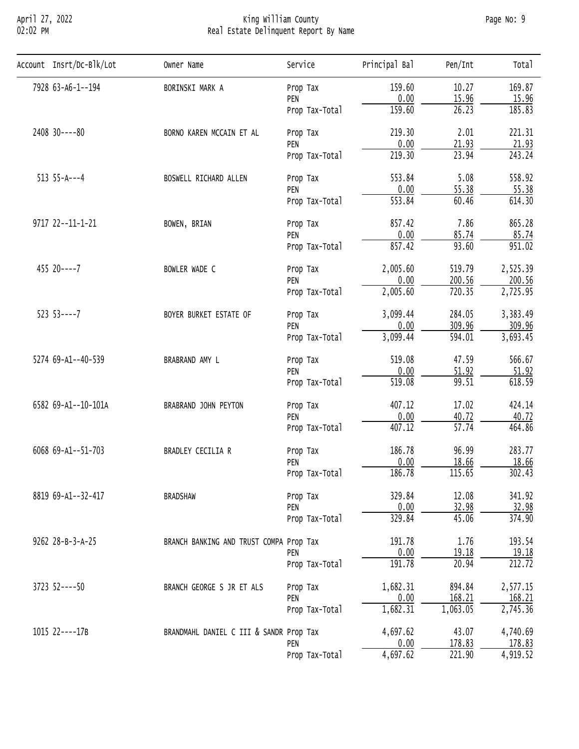#### April 27, 2022 King William County Page No: 9 02:02 PM Real Estate Delinquent Report By Name

| Account Insrt/Dc-Blk/Lot                                                                                                                                       | Owner Name                                                                                                                                                                                                                                                     | Service                                                                                                                                                                                                                                                                                                                                                                                                                                                                                                                                                                                                                                                                                                                                                                                                                                                                                                                                                                                                                                                                         | Principal Bal                     | Pen/Int | Total    |
|----------------------------------------------------------------------------------------------------------------------------------------------------------------|----------------------------------------------------------------------------------------------------------------------------------------------------------------------------------------------------------------------------------------------------------------|---------------------------------------------------------------------------------------------------------------------------------------------------------------------------------------------------------------------------------------------------------------------------------------------------------------------------------------------------------------------------------------------------------------------------------------------------------------------------------------------------------------------------------------------------------------------------------------------------------------------------------------------------------------------------------------------------------------------------------------------------------------------------------------------------------------------------------------------------------------------------------------------------------------------------------------------------------------------------------------------------------------------------------------------------------------------------------|-----------------------------------|---------|----------|
| 7928 63-A6-1--194                                                                                                                                              | BORINSKI MARK A                                                                                                                                                                                                                                                | Prop Tax                                                                                                                                                                                                                                                                                                                                                                                                                                                                                                                                                                                                                                                                                                                                                                                                                                                                                                                                                                                                                                                                        | 159.60                            | 10.27   | 169.87   |
|                                                                                                                                                                |                                                                                                                                                                                                                                                                | PEN                                                                                                                                                                                                                                                                                                                                                                                                                                                                                                                                                                                                                                                                                                                                                                                                                                                                                                                                                                                                                                                                             | 0.00                              |         | 15.96    |
|                                                                                                                                                                |                                                                                                                                                                                                                                                                | Prop Tax-Total                                                                                                                                                                                                                                                                                                                                                                                                                                                                                                                                                                                                                                                                                                                                                                                                                                                                                                                                                                                                                                                                  | 159.60                            | 26.23   | 185.83   |
| 2408 30----80                                                                                                                                                  | BORNO KAREN MCCAIN ET AL                                                                                                                                                                                                                                       | Prop Tax                                                                                                                                                                                                                                                                                                                                                                                                                                                                                                                                                                                                                                                                                                                                                                                                                                                                                                                                                                                                                                                                        | 219.30                            | 2.01    | 221.31   |
|                                                                                                                                                                |                                                                                                                                                                                                                                                                | PEN                                                                                                                                                                                                                                                                                                                                                                                                                                                                                                                                                                                                                                                                                                                                                                                                                                                                                                                                                                                                                                                                             |                                   |         | 21.93    |
|                                                                                                                                                                |                                                                                                                                                                                                                                                                | 15.96<br>0.00<br>21.93<br>219.30<br>23.94<br>Prop Tax-Total<br>553.84<br>5.08<br>Prop Tax<br>0.00<br>55.38<br>PEN<br>553.84<br>60.46<br>Prop Tax-Total<br>7.86<br>857.42<br>Prop Tax<br>0.00<br>85.74<br>PEN<br>857.42<br>93.60<br>Prop Tax-Total<br>2,005.60<br>519.79<br>Prop Tax<br>0.00<br>200.56<br>PEN<br>2,005.60<br>720.35<br>Prop Tax-Total<br>3,099.44<br>284.05<br>Prop Tax<br>309.96<br>0.00<br>PEN<br>3,099.44<br>594.01<br>Prop Tax-Total<br>519.08<br>47.59<br>Prop Tax<br>0.00<br>51.92<br>PEN<br>99.51<br>519.08<br>Prop Tax-Total<br>407.12<br>17.02<br>Prop Tax<br>0.00<br>40.72<br>PEN<br>$\overline{57.74}$<br>407.12<br>Prop Tax-Total<br>186.78<br>96.99<br>Prop Tax<br>0.00<br>18.66<br>PEN<br>186.78<br>115.65<br>Prop Tax-Total<br>329.84<br>12.08<br>Prop Tax<br>32.98<br>0.00<br>PEN<br>329.84<br>45.06<br>Prop Tax-Total<br>1.76<br>191.78<br>0.00<br>19.18<br>PEN<br>191.78<br>20.94<br>Prop Tax-Total<br>1,682.31<br>894.84<br>Prop Tax<br>0.00<br>168.21<br>PEN<br>1,682.31<br>1,063.05<br>Prop Tax-Total<br>4,697.62<br>43.07<br>178.83<br>PEN | 243.24                            |         |          |
| $513 55 - A - -4$                                                                                                                                              | BOSWELL RICHARD ALLEN                                                                                                                                                                                                                                          |                                                                                                                                                                                                                                                                                                                                                                                                                                                                                                                                                                                                                                                                                                                                                                                                                                                                                                                                                                                                                                                                                 |                                   |         | 558.92   |
|                                                                                                                                                                |                                                                                                                                                                                                                                                                |                                                                                                                                                                                                                                                                                                                                                                                                                                                                                                                                                                                                                                                                                                                                                                                                                                                                                                                                                                                                                                                                                 |                                   |         | 55.38    |
|                                                                                                                                                                |                                                                                                                                                                                                                                                                |                                                                                                                                                                                                                                                                                                                                                                                                                                                                                                                                                                                                                                                                                                                                                                                                                                                                                                                                                                                                                                                                                 | $\frac{0.00}{4,697.62}$<br>221.90 | 614.30  |          |
| 9717 22--11-1-21                                                                                                                                               | BOWEN, BRIAN                                                                                                                                                                                                                                                   |                                                                                                                                                                                                                                                                                                                                                                                                                                                                                                                                                                                                                                                                                                                                                                                                                                                                                                                                                                                                                                                                                 |                                   |         | 865.28   |
|                                                                                                                                                                |                                                                                                                                                                                                                                                                |                                                                                                                                                                                                                                                                                                                                                                                                                                                                                                                                                                                                                                                                                                                                                                                                                                                                                                                                                                                                                                                                                 |                                   |         | 85.74    |
|                                                                                                                                                                |                                                                                                                                                                                                                                                                |                                                                                                                                                                                                                                                                                                                                                                                                                                                                                                                                                                                                                                                                                                                                                                                                                                                                                                                                                                                                                                                                                 |                                   |         | 951.02   |
| $455$ 20----7                                                                                                                                                  | BOWLER WADE C<br>BOYER BURKET ESTATE OF<br>BRABRAND AMY L<br>BRABRAND JOHN PEYTON<br>BRADLEY CECILIA R<br><b>BRADSHAW</b><br>BRANCH BANKING AND TRUST COMPA Prop Tax<br>BRANCH GEORGE S JR ET ALS<br>BRANDMAHL DANIEL C III & SANDR Prop Tax<br>Prop Tax-Total | 2,525.39                                                                                                                                                                                                                                                                                                                                                                                                                                                                                                                                                                                                                                                                                                                                                                                                                                                                                                                                                                                                                                                                        |                                   |         |          |
|                                                                                                                                                                |                                                                                                                                                                                                                                                                |                                                                                                                                                                                                                                                                                                                                                                                                                                                                                                                                                                                                                                                                                                                                                                                                                                                                                                                                                                                                                                                                                 |                                   | 200.56  |          |
|                                                                                                                                                                |                                                                                                                                                                                                                                                                | 2,725.95                                                                                                                                                                                                                                                                                                                                                                                                                                                                                                                                                                                                                                                                                                                                                                                                                                                                                                                                                                                                                                                                        |                                   |         |          |
| $523$ $53---7$<br>5274 69-A1--40-539<br>6582 69-A1--10-101A<br>6068 69-A1--51-703<br>8819 69-A1--32-417<br>9262 28-B-3-A-25<br>3723 52----50<br>1015 22----17B |                                                                                                                                                                                                                                                                |                                                                                                                                                                                                                                                                                                                                                                                                                                                                                                                                                                                                                                                                                                                                                                                                                                                                                                                                                                                                                                                                                 |                                   |         | 3,383.49 |
|                                                                                                                                                                |                                                                                                                                                                                                                                                                | 309.96                                                                                                                                                                                                                                                                                                                                                                                                                                                                                                                                                                                                                                                                                                                                                                                                                                                                                                                                                                                                                                                                          |                                   |         |          |
|                                                                                                                                                                |                                                                                                                                                                                                                                                                |                                                                                                                                                                                                                                                                                                                                                                                                                                                                                                                                                                                                                                                                                                                                                                                                                                                                                                                                                                                                                                                                                 |                                   |         | 3,693.45 |
|                                                                                                                                                                |                                                                                                                                                                                                                                                                |                                                                                                                                                                                                                                                                                                                                                                                                                                                                                                                                                                                                                                                                                                                                                                                                                                                                                                                                                                                                                                                                                 |                                   |         | 566.67   |
|                                                                                                                                                                |                                                                                                                                                                                                                                                                | 51.92                                                                                                                                                                                                                                                                                                                                                                                                                                                                                                                                                                                                                                                                                                                                                                                                                                                                                                                                                                                                                                                                           |                                   |         |          |
|                                                                                                                                                                |                                                                                                                                                                                                                                                                |                                                                                                                                                                                                                                                                                                                                                                                                                                                                                                                                                                                                                                                                                                                                                                                                                                                                                                                                                                                                                                                                                 |                                   |         | 618.59   |
|                                                                                                                                                                |                                                                                                                                                                                                                                                                |                                                                                                                                                                                                                                                                                                                                                                                                                                                                                                                                                                                                                                                                                                                                                                                                                                                                                                                                                                                                                                                                                 |                                   |         | 424.14   |
|                                                                                                                                                                |                                                                                                                                                                                                                                                                |                                                                                                                                                                                                                                                                                                                                                                                                                                                                                                                                                                                                                                                                                                                                                                                                                                                                                                                                                                                                                                                                                 |                                   |         | 40.72    |
|                                                                                                                                                                |                                                                                                                                                                                                                                                                |                                                                                                                                                                                                                                                                                                                                                                                                                                                                                                                                                                                                                                                                                                                                                                                                                                                                                                                                                                                                                                                                                 |                                   |         | 464.86   |
|                                                                                                                                                                |                                                                                                                                                                                                                                                                |                                                                                                                                                                                                                                                                                                                                                                                                                                                                                                                                                                                                                                                                                                                                                                                                                                                                                                                                                                                                                                                                                 |                                   |         | 283.77   |
|                                                                                                                                                                |                                                                                                                                                                                                                                                                |                                                                                                                                                                                                                                                                                                                                                                                                                                                                                                                                                                                                                                                                                                                                                                                                                                                                                                                                                                                                                                                                                 |                                   |         | 18.66    |
|                                                                                                                                                                |                                                                                                                                                                                                                                                                |                                                                                                                                                                                                                                                                                                                                                                                                                                                                                                                                                                                                                                                                                                                                                                                                                                                                                                                                                                                                                                                                                 |                                   |         | 302.43   |
|                                                                                                                                                                |                                                                                                                                                                                                                                                                |                                                                                                                                                                                                                                                                                                                                                                                                                                                                                                                                                                                                                                                                                                                                                                                                                                                                                                                                                                                                                                                                                 | 341.92                            |         |          |
|                                                                                                                                                                |                                                                                                                                                                                                                                                                |                                                                                                                                                                                                                                                                                                                                                                                                                                                                                                                                                                                                                                                                                                                                                                                                                                                                                                                                                                                                                                                                                 |                                   |         | 32.98    |
|                                                                                                                                                                |                                                                                                                                                                                                                                                                | 374.90                                                                                                                                                                                                                                                                                                                                                                                                                                                                                                                                                                                                                                                                                                                                                                                                                                                                                                                                                                                                                                                                          |                                   |         |          |
|                                                                                                                                                                |                                                                                                                                                                                                                                                                |                                                                                                                                                                                                                                                                                                                                                                                                                                                                                                                                                                                                                                                                                                                                                                                                                                                                                                                                                                                                                                                                                 |                                   |         | 193.54   |
|                                                                                                                                                                |                                                                                                                                                                                                                                                                |                                                                                                                                                                                                                                                                                                                                                                                                                                                                                                                                                                                                                                                                                                                                                                                                                                                                                                                                                                                                                                                                                 |                                   |         | 19.18    |
|                                                                                                                                                                |                                                                                                                                                                                                                                                                |                                                                                                                                                                                                                                                                                                                                                                                                                                                                                                                                                                                                                                                                                                                                                                                                                                                                                                                                                                                                                                                                                 | 212.72                            |         |          |
|                                                                                                                                                                |                                                                                                                                                                                                                                                                |                                                                                                                                                                                                                                                                                                                                                                                                                                                                                                                                                                                                                                                                                                                                                                                                                                                                                                                                                                                                                                                                                 |                                   |         | 2,577.15 |
|                                                                                                                                                                |                                                                                                                                                                                                                                                                |                                                                                                                                                                                                                                                                                                                                                                                                                                                                                                                                                                                                                                                                                                                                                                                                                                                                                                                                                                                                                                                                                 |                                   |         | 168.21   |
|                                                                                                                                                                |                                                                                                                                                                                                                                                                | 2,745.36                                                                                                                                                                                                                                                                                                                                                                                                                                                                                                                                                                                                                                                                                                                                                                                                                                                                                                                                                                                                                                                                        |                                   |         |          |
|                                                                                                                                                                |                                                                                                                                                                                                                                                                |                                                                                                                                                                                                                                                                                                                                                                                                                                                                                                                                                                                                                                                                                                                                                                                                                                                                                                                                                                                                                                                                                 |                                   |         |          |
|                                                                                                                                                                |                                                                                                                                                                                                                                                                |                                                                                                                                                                                                                                                                                                                                                                                                                                                                                                                                                                                                                                                                                                                                                                                                                                                                                                                                                                                                                                                                                 |                                   |         | 4,740.69 |
|                                                                                                                                                                |                                                                                                                                                                                                                                                                |                                                                                                                                                                                                                                                                                                                                                                                                                                                                                                                                                                                                                                                                                                                                                                                                                                                                                                                                                                                                                                                                                 |                                   |         | 178.83   |
|                                                                                                                                                                |                                                                                                                                                                                                                                                                |                                                                                                                                                                                                                                                                                                                                                                                                                                                                                                                                                                                                                                                                                                                                                                                                                                                                                                                                                                                                                                                                                 |                                   |         | 4,919.52 |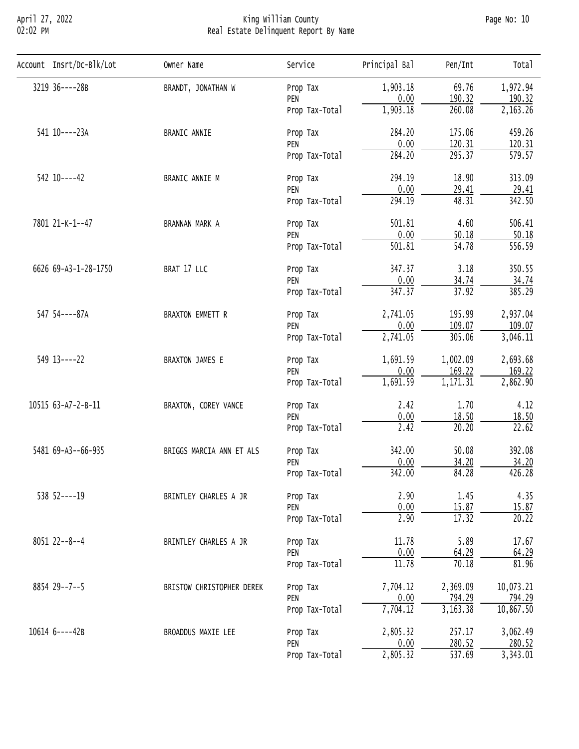# April 27, 2022 King William County Page No: 10 02:02 PM Real Estate Delinquent Report By Name

| Account Insrt/Dc-Blk/Lot | Owner Name                                                                                                                                                                                                                                                                                                                                                                                                                                                                                                                                                                                                                                                                                                                                                                                                                                                                                                                                                                                                                                                                                                                                            | Service | Principal Bal | Pen/Int | Total     |
|--------------------------|-------------------------------------------------------------------------------------------------------------------------------------------------------------------------------------------------------------------------------------------------------------------------------------------------------------------------------------------------------------------------------------------------------------------------------------------------------------------------------------------------------------------------------------------------------------------------------------------------------------------------------------------------------------------------------------------------------------------------------------------------------------------------------------------------------------------------------------------------------------------------------------------------------------------------------------------------------------------------------------------------------------------------------------------------------------------------------------------------------------------------------------------------------|---------|---------------|---------|-----------|
| 3219 36----28B           | 1,903.18<br>BRANDT, JONATHAN W<br>Prop Tax<br>0.00<br>PEN<br>1,903.18<br>Prop Tax-Total<br>284.20<br>BRANIC ANNIE<br>Prop Tax<br>0.00<br>PEN<br>284.20<br>Prop Tax-Total<br>294.19<br>BRANIC ANNIE M<br>Prop Tax<br>0.00<br>PEN<br>294.19<br>Prop Tax-Total<br>501.81<br>BRANNAN MARK A<br>Prop Tax<br>0.00<br>PEN<br>501.81<br>Prop Tax-Total<br>BRAT 17 LLC<br>347.37<br>Prop Tax<br>0.00<br>PEN<br>347.37<br>Prop Tax-Total<br><b>BRAXTON EMMETT R</b><br>2,741.05<br>Prop Tax<br>0.00<br>PEN<br>2,741.05<br>Prop Tax-Total<br>1,691.59<br>BRAXTON JAMES E<br>Prop Tax<br>0.00<br>PEN<br>1,691.59<br>Prop Tax-Total<br>2.42<br>BRAXTON, COREY VANCE<br>Prop Tax<br>0.00<br>PEN<br>2.42<br>Prop Tax-Total<br>342.00<br>BRIGGS MARCIA ANN ET ALS<br>Prop Tax<br>0.00<br>PEN<br>342.00<br>Prop Tax-Total<br>2.90<br>BRINTLEY CHARLES A JR<br>Prop Tax<br>0.00<br>PEN<br>2.90<br>Prop Tax-Total<br>11.78<br>BRINTLEY CHARLES A JR<br>Prop Tax<br>0.00<br>PEN<br>11.78<br>Prop Tax-Total<br>7,704.12<br>Prop Tax<br>BRISTOW CHRISTOPHER DEREK<br>0.00<br>PEN<br>7,704.12<br>Prop Tax-Total<br>2,805.32<br>BROADDUS MAXIE LEE<br>Prop Tax<br>0.00<br>PEN | 69.76   | 1,972.94      |         |           |
|                          |                                                                                                                                                                                                                                                                                                                                                                                                                                                                                                                                                                                                                                                                                                                                                                                                                                                                                                                                                                                                                                                                                                                                                       |         |               |         | 190.32    |
|                          |                                                                                                                                                                                                                                                                                                                                                                                                                                                                                                                                                                                                                                                                                                                                                                                                                                                                                                                                                                                                                                                                                                                                                       |         |               |         | 2,163.26  |
| 541 10----23A            |                                                                                                                                                                                                                                                                                                                                                                                                                                                                                                                                                                                                                                                                                                                                                                                                                                                                                                                                                                                                                                                                                                                                                       |         |               | 175.06  | 459.26    |
|                          | 190.32<br>260.08<br>120.31<br>295.37<br>18.90<br>29.41<br>48.31<br>4.60<br>50.18<br>54.78<br>3.18<br>34.74<br>37.92<br>195.99<br>109.07<br>305.06<br>1,002.09<br>169.22<br>1,171.31<br>1.70<br>18.50<br>20.20<br>50.08<br>34.20<br>84.28<br>1.45<br>15.87<br>17.32<br>5.89<br>64.29<br>70.18<br>2,369.09<br>794.29<br>3,163.38<br>257.17<br>280.52<br>2,805.32<br>537.69<br>Prop Tax-Total                                                                                                                                                                                                                                                                                                                                                                                                                                                                                                                                                                                                                                                                                                                                                            | 120.31  |               |         |           |
|                          |                                                                                                                                                                                                                                                                                                                                                                                                                                                                                                                                                                                                                                                                                                                                                                                                                                                                                                                                                                                                                                                                                                                                                       |         |               |         | 579.57    |
| $542$ 10----42           |                                                                                                                                                                                                                                                                                                                                                                                                                                                                                                                                                                                                                                                                                                                                                                                                                                                                                                                                                                                                                                                                                                                                                       |         |               |         | 313.09    |
|                          |                                                                                                                                                                                                                                                                                                                                                                                                                                                                                                                                                                                                                                                                                                                                                                                                                                                                                                                                                                                                                                                                                                                                                       |         | 29.41         |         |           |
|                          |                                                                                                                                                                                                                                                                                                                                                                                                                                                                                                                                                                                                                                                                                                                                                                                                                                                                                                                                                                                                                                                                                                                                                       | 342.50  |               |         |           |
| 7801 21-K-1--47          |                                                                                                                                                                                                                                                                                                                                                                                                                                                                                                                                                                                                                                                                                                                                                                                                                                                                                                                                                                                                                                                                                                                                                       |         |               |         | 506.41    |
|                          |                                                                                                                                                                                                                                                                                                                                                                                                                                                                                                                                                                                                                                                                                                                                                                                                                                                                                                                                                                                                                                                                                                                                                       |         | 50.18         |         |           |
|                          |                                                                                                                                                                                                                                                                                                                                                                                                                                                                                                                                                                                                                                                                                                                                                                                                                                                                                                                                                                                                                                                                                                                                                       |         |               | 556.59  |           |
| 6626 69-A3-1-28-1750     |                                                                                                                                                                                                                                                                                                                                                                                                                                                                                                                                                                                                                                                                                                                                                                                                                                                                                                                                                                                                                                                                                                                                                       | 350.55  |               |         |           |
|                          |                                                                                                                                                                                                                                                                                                                                                                                                                                                                                                                                                                                                                                                                                                                                                                                                                                                                                                                                                                                                                                                                                                                                                       |         |               |         | 34.74     |
|                          |                                                                                                                                                                                                                                                                                                                                                                                                                                                                                                                                                                                                                                                                                                                                                                                                                                                                                                                                                                                                                                                                                                                                                       |         |               |         | 385.29    |
| 547 54----87A            |                                                                                                                                                                                                                                                                                                                                                                                                                                                                                                                                                                                                                                                                                                                                                                                                                                                                                                                                                                                                                                                                                                                                                       |         |               |         | 2,937.04  |
|                          |                                                                                                                                                                                                                                                                                                                                                                                                                                                                                                                                                                                                                                                                                                                                                                                                                                                                                                                                                                                                                                                                                                                                                       |         |               |         | 109.07    |
|                          |                                                                                                                                                                                                                                                                                                                                                                                                                                                                                                                                                                                                                                                                                                                                                                                                                                                                                                                                                                                                                                                                                                                                                       |         |               |         | 3,046.11  |
| $549$ $13---22$          |                                                                                                                                                                                                                                                                                                                                                                                                                                                                                                                                                                                                                                                                                                                                                                                                                                                                                                                                                                                                                                                                                                                                                       |         |               |         | 2,693.68  |
|                          |                                                                                                                                                                                                                                                                                                                                                                                                                                                                                                                                                                                                                                                                                                                                                                                                                                                                                                                                                                                                                                                                                                                                                       |         |               |         | 169.22    |
|                          |                                                                                                                                                                                                                                                                                                                                                                                                                                                                                                                                                                                                                                                                                                                                                                                                                                                                                                                                                                                                                                                                                                                                                       |         |               |         | 2,862.90  |
| 10515 63-A7-2-B-11       |                                                                                                                                                                                                                                                                                                                                                                                                                                                                                                                                                                                                                                                                                                                                                                                                                                                                                                                                                                                                                                                                                                                                                       |         |               |         | 4.12      |
|                          |                                                                                                                                                                                                                                                                                                                                                                                                                                                                                                                                                                                                                                                                                                                                                                                                                                                                                                                                                                                                                                                                                                                                                       |         |               |         | 18.50     |
|                          |                                                                                                                                                                                                                                                                                                                                                                                                                                                                                                                                                                                                                                                                                                                                                                                                                                                                                                                                                                                                                                                                                                                                                       |         |               |         | 22.62     |
| 5481 69-A3--66-935       |                                                                                                                                                                                                                                                                                                                                                                                                                                                                                                                                                                                                                                                                                                                                                                                                                                                                                                                                                                                                                                                                                                                                                       | 392.08  |               |         |           |
|                          |                                                                                                                                                                                                                                                                                                                                                                                                                                                                                                                                                                                                                                                                                                                                                                                                                                                                                                                                                                                                                                                                                                                                                       |         |               |         | 34.20     |
|                          |                                                                                                                                                                                                                                                                                                                                                                                                                                                                                                                                                                                                                                                                                                                                                                                                                                                                                                                                                                                                                                                                                                                                                       |         |               |         | 426.28    |
| $538$ $52---19$          |                                                                                                                                                                                                                                                                                                                                                                                                                                                                                                                                                                                                                                                                                                                                                                                                                                                                                                                                                                                                                                                                                                                                                       | 4.35    |               |         |           |
|                          |                                                                                                                                                                                                                                                                                                                                                                                                                                                                                                                                                                                                                                                                                                                                                                                                                                                                                                                                                                                                                                                                                                                                                       |         |               |         | 15.87     |
|                          |                                                                                                                                                                                                                                                                                                                                                                                                                                                                                                                                                                                                                                                                                                                                                                                                                                                                                                                                                                                                                                                                                                                                                       |         |               | 20.22   |           |
| $8051$ 22--8--4          |                                                                                                                                                                                                                                                                                                                                                                                                                                                                                                                                                                                                                                                                                                                                                                                                                                                                                                                                                                                                                                                                                                                                                       |         |               |         | 17.67     |
|                          |                                                                                                                                                                                                                                                                                                                                                                                                                                                                                                                                                                                                                                                                                                                                                                                                                                                                                                                                                                                                                                                                                                                                                       |         |               |         | 64.29     |
|                          |                                                                                                                                                                                                                                                                                                                                                                                                                                                                                                                                                                                                                                                                                                                                                                                                                                                                                                                                                                                                                                                                                                                                                       |         |               |         | 81.96     |
| $8854$ 29--7--5          |                                                                                                                                                                                                                                                                                                                                                                                                                                                                                                                                                                                                                                                                                                                                                                                                                                                                                                                                                                                                                                                                                                                                                       |         |               |         | 10,073.21 |
|                          |                                                                                                                                                                                                                                                                                                                                                                                                                                                                                                                                                                                                                                                                                                                                                                                                                                                                                                                                                                                                                                                                                                                                                       |         |               |         | 794.29    |
|                          |                                                                                                                                                                                                                                                                                                                                                                                                                                                                                                                                                                                                                                                                                                                                                                                                                                                                                                                                                                                                                                                                                                                                                       |         |               |         | 10,867.50 |
| 10614 6----42B           |                                                                                                                                                                                                                                                                                                                                                                                                                                                                                                                                                                                                                                                                                                                                                                                                                                                                                                                                                                                                                                                                                                                                                       |         |               |         | 3,062.49  |
|                          |                                                                                                                                                                                                                                                                                                                                                                                                                                                                                                                                                                                                                                                                                                                                                                                                                                                                                                                                                                                                                                                                                                                                                       |         |               |         | 280.52    |
|                          |                                                                                                                                                                                                                                                                                                                                                                                                                                                                                                                                                                                                                                                                                                                                                                                                                                                                                                                                                                                                                                                                                                                                                       |         |               |         | 3,343.01  |
|                          |                                                                                                                                                                                                                                                                                                                                                                                                                                                                                                                                                                                                                                                                                                                                                                                                                                                                                                                                                                                                                                                                                                                                                       |         |               |         |           |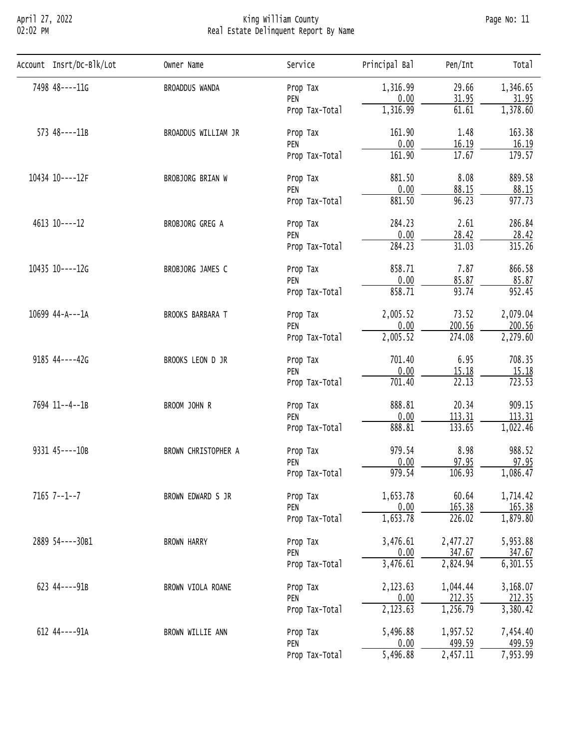# April 27, 2022 King William County Page No: 11 02:02 PM Real Estate Delinquent Report By Name

| Account Insrt/Dc-Blk/Lot | Owner Name                                                                                                                                                                                                                                                                                                                                                                                                                                                                                                                                                                                                                                                                                                                                                                                                                                                                                                                                                                                                                                                                                                                                                                                                             | Service        | Principal Bal                                                                                       | Pen/Int | Tota <sub>1</sub> |
|--------------------------|------------------------------------------------------------------------------------------------------------------------------------------------------------------------------------------------------------------------------------------------------------------------------------------------------------------------------------------------------------------------------------------------------------------------------------------------------------------------------------------------------------------------------------------------------------------------------------------------------------------------------------------------------------------------------------------------------------------------------------------------------------------------------------------------------------------------------------------------------------------------------------------------------------------------------------------------------------------------------------------------------------------------------------------------------------------------------------------------------------------------------------------------------------------------------------------------------------------------|----------------|-----------------------------------------------------------------------------------------------------|---------|-------------------|
| 7498 48----11G           | BROADDUS WANDA                                                                                                                                                                                                                                                                                                                                                                                                                                                                                                                                                                                                                                                                                                                                                                                                                                                                                                                                                                                                                                                                                                                                                                                                         | Prop Tax       | 1,316.99                                                                                            | 29.66   | 1,346.65          |
|                          |                                                                                                                                                                                                                                                                                                                                                                                                                                                                                                                                                                                                                                                                                                                                                                                                                                                                                                                                                                                                                                                                                                                                                                                                                        |                |                                                                                                     |         | 31.95             |
|                          |                                                                                                                                                                                                                                                                                                                                                                                                                                                                                                                                                                                                                                                                                                                                                                                                                                                                                                                                                                                                                                                                                                                                                                                                                        |                |                                                                                                     |         | 1,378.60          |
| $573$ $48---11B$         | 0.00<br>31.95<br>PEN<br>1,316.99<br>61.61<br>Prop Tax-Total<br>161.90<br>1.48<br>BROADDUS WILLIAM JR<br>Prop Tax<br>0.00<br>16.19<br>PEN<br>17.67<br>161.90<br>Prop Tax-Total<br>881.50<br>8.08<br>BROBJORG BRIAN W<br>Prop Tax<br>0.00<br>88.15<br>PEN<br>881.50<br>96.23<br>Prop Tax-Total<br>284.23<br>2.61<br>BROBJORG GREG A<br>Prop Tax<br>0.00<br>28.42<br>PEN<br>284.23<br>31.03<br>Prop Tax-Total<br>7.87<br>858.71<br>BROBJORG JAMES C<br>Prop Tax<br>0.00<br>PEN<br>85.87<br>93.74<br>858.71<br>Prop Tax-Total<br>73.52<br>2,005.52<br>BROOKS BARBARA T<br>Prop Tax<br>0.00<br>200.56<br>PEN<br>2,005.52<br>274.08<br>Prop Tax-Total<br>701.40<br>6.95<br>BROOKS LEON D JR<br>Prop Tax<br>0.00<br>15.18<br>PEN<br>$\overline{22.13}$<br>701.40<br>Prop Tax-Total<br>888.81<br>20.34<br>BROOM JOHN R<br>Prop Tax<br>0.00<br>113.31<br>PEN<br>888.81<br>133.65<br>Prop Tax-Total<br>979.54<br>8.98<br>BROWN CHRISTOPHER A<br>Prop Tax<br>0.00<br>97.95<br>PEN<br>979.54<br>106.93<br>Prop Tax-Total<br>1,653.78<br>60.64<br>BROWN EDWARD S JR<br>Prop Tax<br>0.00<br>165.38<br>PEN<br>1,653.78<br>226.02<br>Prop Tax-Total<br>3,476.61<br>2,477.27<br><b>BROWN HARRY</b><br>Prop Tax<br>0.00<br>347.67<br>PEN | 163.38         |                                                                                                     |         |                   |
|                          |                                                                                                                                                                                                                                                                                                                                                                                                                                                                                                                                                                                                                                                                                                                                                                                                                                                                                                                                                                                                                                                                                                                                                                                                                        |                |                                                                                                     |         | 16.19             |
|                          |                                                                                                                                                                                                                                                                                                                                                                                                                                                                                                                                                                                                                                                                                                                                                                                                                                                                                                                                                                                                                                                                                                                                                                                                                        |                |                                                                                                     |         | 179.57            |
| 10434 10----12F          | 3,476.61<br>2,824.94<br>Prop Tax-Total<br>2,123.63<br>1,044.44<br>BROWN VIOLA ROANE<br>Prop Tax<br>0.00<br>212.35<br>PEN                                                                                                                                                                                                                                                                                                                                                                                                                                                                                                                                                                                                                                                                                                                                                                                                                                                                                                                                                                                                                                                                                               | 889.58         |                                                                                                     |         |                   |
|                          |                                                                                                                                                                                                                                                                                                                                                                                                                                                                                                                                                                                                                                                                                                                                                                                                                                                                                                                                                                                                                                                                                                                                                                                                                        |                | 2,123.63<br>1,256.79<br>5,496.88<br>1,957.52<br>499.59<br>0.00<br>5,496.88<br>$\overline{2,457.11}$ | 88.15   |                   |
|                          |                                                                                                                                                                                                                                                                                                                                                                                                                                                                                                                                                                                                                                                                                                                                                                                                                                                                                                                                                                                                                                                                                                                                                                                                                        | Prop Tax-Total | 977.73                                                                                              |         |                   |
| 4613 10----12            |                                                                                                                                                                                                                                                                                                                                                                                                                                                                                                                                                                                                                                                                                                                                                                                                                                                                                                                                                                                                                                                                                                                                                                                                                        |                |                                                                                                     |         | 286.84            |
|                          |                                                                                                                                                                                                                                                                                                                                                                                                                                                                                                                                                                                                                                                                                                                                                                                                                                                                                                                                                                                                                                                                                                                                                                                                                        |                | 28.42                                                                                               |         |                   |
|                          |                                                                                                                                                                                                                                                                                                                                                                                                                                                                                                                                                                                                                                                                                                                                                                                                                                                                                                                                                                                                                                                                                                                                                                                                                        |                |                                                                                                     | 315.26  |                   |
| 10435 10----12G          |                                                                                                                                                                                                                                                                                                                                                                                                                                                                                                                                                                                                                                                                                                                                                                                                                                                                                                                                                                                                                                                                                                                                                                                                                        |                |                                                                                                     |         | 866.58            |
|                          |                                                                                                                                                                                                                                                                                                                                                                                                                                                                                                                                                                                                                                                                                                                                                                                                                                                                                                                                                                                                                                                                                                                                                                                                                        |                |                                                                                                     |         | 85.87             |
|                          |                                                                                                                                                                                                                                                                                                                                                                                                                                                                                                                                                                                                                                                                                                                                                                                                                                                                                                                                                                                                                                                                                                                                                                                                                        |                |                                                                                                     | 952.45  |                   |
| 10699 44-A---1A          | 2,079.04                                                                                                                                                                                                                                                                                                                                                                                                                                                                                                                                                                                                                                                                                                                                                                                                                                                                                                                                                                                                                                                                                                                                                                                                               |                |                                                                                                     |         |                   |
|                          |                                                                                                                                                                                                                                                                                                                                                                                                                                                                                                                                                                                                                                                                                                                                                                                                                                                                                                                                                                                                                                                                                                                                                                                                                        |                |                                                                                                     |         | 200.56            |
|                          |                                                                                                                                                                                                                                                                                                                                                                                                                                                                                                                                                                                                                                                                                                                                                                                                                                                                                                                                                                                                                                                                                                                                                                                                                        | 2,279.60       |                                                                                                     |         |                   |
| 9185 44----42G           |                                                                                                                                                                                                                                                                                                                                                                                                                                                                                                                                                                                                                                                                                                                                                                                                                                                                                                                                                                                                                                                                                                                                                                                                                        |                |                                                                                                     |         | 708.35            |
|                          |                                                                                                                                                                                                                                                                                                                                                                                                                                                                                                                                                                                                                                                                                                                                                                                                                                                                                                                                                                                                                                                                                                                                                                                                                        | 15.18          |                                                                                                     |         |                   |
|                          |                                                                                                                                                                                                                                                                                                                                                                                                                                                                                                                                                                                                                                                                                                                                                                                                                                                                                                                                                                                                                                                                                                                                                                                                                        |                |                                                                                                     |         | 723.53            |
| 7694 11--4--1B           |                                                                                                                                                                                                                                                                                                                                                                                                                                                                                                                                                                                                                                                                                                                                                                                                                                                                                                                                                                                                                                                                                                                                                                                                                        |                |                                                                                                     |         | 909.15            |
|                          |                                                                                                                                                                                                                                                                                                                                                                                                                                                                                                                                                                                                                                                                                                                                                                                                                                                                                                                                                                                                                                                                                                                                                                                                                        |                |                                                                                                     |         | 113.31            |
|                          |                                                                                                                                                                                                                                                                                                                                                                                                                                                                                                                                                                                                                                                                                                                                                                                                                                                                                                                                                                                                                                                                                                                                                                                                                        |                |                                                                                                     |         | 1,022.46          |
| 9331 45----10B           |                                                                                                                                                                                                                                                                                                                                                                                                                                                                                                                                                                                                                                                                                                                                                                                                                                                                                                                                                                                                                                                                                                                                                                                                                        | 988.52         |                                                                                                     |         |                   |
|                          |                                                                                                                                                                                                                                                                                                                                                                                                                                                                                                                                                                                                                                                                                                                                                                                                                                                                                                                                                                                                                                                                                                                                                                                                                        |                |                                                                                                     |         | 97.95             |
|                          |                                                                                                                                                                                                                                                                                                                                                                                                                                                                                                                                                                                                                                                                                                                                                                                                                                                                                                                                                                                                                                                                                                                                                                                                                        |                |                                                                                                     |         | 1,086.47          |
| $7165$ $7--1--7$         |                                                                                                                                                                                                                                                                                                                                                                                                                                                                                                                                                                                                                                                                                                                                                                                                                                                                                                                                                                                                                                                                                                                                                                                                                        | 1,714.42       |                                                                                                     |         |                   |
|                          |                                                                                                                                                                                                                                                                                                                                                                                                                                                                                                                                                                                                                                                                                                                                                                                                                                                                                                                                                                                                                                                                                                                                                                                                                        |                |                                                                                                     |         | 165.38            |
|                          |                                                                                                                                                                                                                                                                                                                                                                                                                                                                                                                                                                                                                                                                                                                                                                                                                                                                                                                                                                                                                                                                                                                                                                                                                        |                |                                                                                                     |         | 1,879.80          |
| 2889 54----30B1          |                                                                                                                                                                                                                                                                                                                                                                                                                                                                                                                                                                                                                                                                                                                                                                                                                                                                                                                                                                                                                                                                                                                                                                                                                        |                |                                                                                                     |         | 5,953.88          |
|                          |                                                                                                                                                                                                                                                                                                                                                                                                                                                                                                                                                                                                                                                                                                                                                                                                                                                                                                                                                                                                                                                                                                                                                                                                                        |                |                                                                                                     |         | 347.67            |
|                          |                                                                                                                                                                                                                                                                                                                                                                                                                                                                                                                                                                                                                                                                                                                                                                                                                                                                                                                                                                                                                                                                                                                                                                                                                        |                |                                                                                                     |         | 6, 301.55         |
| 623 44----91B            |                                                                                                                                                                                                                                                                                                                                                                                                                                                                                                                                                                                                                                                                                                                                                                                                                                                                                                                                                                                                                                                                                                                                                                                                                        |                |                                                                                                     |         | 3,168.07          |
|                          |                                                                                                                                                                                                                                                                                                                                                                                                                                                                                                                                                                                                                                                                                                                                                                                                                                                                                                                                                                                                                                                                                                                                                                                                                        |                |                                                                                                     |         | 212.35            |
|                          |                                                                                                                                                                                                                                                                                                                                                                                                                                                                                                                                                                                                                                                                                                                                                                                                                                                                                                                                                                                                                                                                                                                                                                                                                        |                |                                                                                                     |         | 3,380.42          |
| 612 44----91A            | BROWN WILLIE ANN                                                                                                                                                                                                                                                                                                                                                                                                                                                                                                                                                                                                                                                                                                                                                                                                                                                                                                                                                                                                                                                                                                                                                                                                       | Prop Tax       |                                                                                                     |         | 7,454.40          |
|                          |                                                                                                                                                                                                                                                                                                                                                                                                                                                                                                                                                                                                                                                                                                                                                                                                                                                                                                                                                                                                                                                                                                                                                                                                                        | PEN            |                                                                                                     |         | 499.59            |
|                          |                                                                                                                                                                                                                                                                                                                                                                                                                                                                                                                                                                                                                                                                                                                                                                                                                                                                                                                                                                                                                                                                                                                                                                                                                        | Prop Tax-Total |                                                                                                     |         | 7,953.99          |
|                          |                                                                                                                                                                                                                                                                                                                                                                                                                                                                                                                                                                                                                                                                                                                                                                                                                                                                                                                                                                                                                                                                                                                                                                                                                        |                |                                                                                                     |         |                   |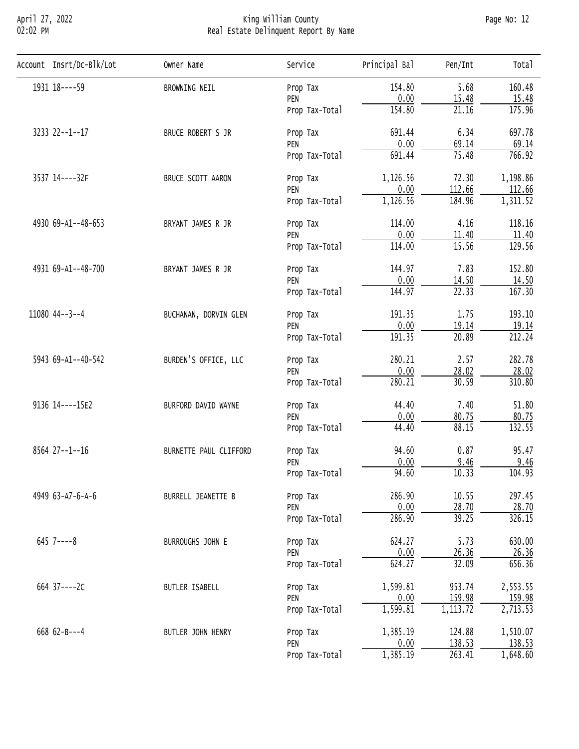# April 27, 2022 King William County Page No: 12 02:02 PM Real Estate Delinquent Report By Name

| Account Insrt/Dc-Blk/Lot | Owner Name                                                                                                                                                                                                                                                                                                                                                                                                                                                                                                                                                                                                                                                                                                                                                                                                                              | Service                                                                                                                                                                                                                                                                                                                                                                                                                                                                                                                                                                                                                | Principal Bal | Pen/Int | Total    |
|--------------------------|-----------------------------------------------------------------------------------------------------------------------------------------------------------------------------------------------------------------------------------------------------------------------------------------------------------------------------------------------------------------------------------------------------------------------------------------------------------------------------------------------------------------------------------------------------------------------------------------------------------------------------------------------------------------------------------------------------------------------------------------------------------------------------------------------------------------------------------------|------------------------------------------------------------------------------------------------------------------------------------------------------------------------------------------------------------------------------------------------------------------------------------------------------------------------------------------------------------------------------------------------------------------------------------------------------------------------------------------------------------------------------------------------------------------------------------------------------------------------|---------------|---------|----------|
| 1931 18 ---- 59          | BROWNING NEIL                                                                                                                                                                                                                                                                                                                                                                                                                                                                                                                                                                                                                                                                                                                                                                                                                           | Prop Tax                                                                                                                                                                                                                                                                                                                                                                                                                                                                                                                                                                                                               | 154.80        | 5.68    | 160.48   |
|                          |                                                                                                                                                                                                                                                                                                                                                                                                                                                                                                                                                                                                                                                                                                                                                                                                                                         | PEN                                                                                                                                                                                                                                                                                                                                                                                                                                                                                                                                                                                                                    |               |         | 15.48    |
|                          |                                                                                                                                                                                                                                                                                                                                                                                                                                                                                                                                                                                                                                                                                                                                                                                                                                         | Prop Tax-Total                                                                                                                                                                                                                                                                                                                                                                                                                                                                                                                                                                                                         |               |         | 175.96   |
| 3233 22--1--17           | 0.00<br>15.48<br>21.16<br>154.80<br>691.44<br>6.34<br>BRUCE ROBERT S JR<br>Prop Tax<br>0.00<br>69.14<br>PEN<br>75.48<br>691.44<br>Prop Tax-Total<br>1,126.56<br>72.30<br>BRUCE SCOTT AARON<br>Prop Tax<br>0.00<br>112.66<br>PEN<br>1,126.56<br>184.96<br>Prop Tax-Total<br>4.16<br>114.00<br>BRYANT JAMES R JR<br>Prop Tax<br>0.00<br>PEN<br>11.40<br>15.56<br>114.00<br>Prop Tax-Total<br>7.83<br>144.97<br>BRYANT JAMES R JR<br>Prop Tax<br>0.00<br>14.50<br>PEN<br>$\overline{22.33}$<br>144.97<br>Prop Tax-Total<br>191.35<br>1.75<br>BUCHANAN, DORVIN GLEN<br>Prop Tax<br>0.00<br>19.14<br>PEN<br>191.35<br>20.89<br>Prop Tax-Total<br>280.21<br>2.57<br>BURDEN'S OFFICE, LLC<br>Prop Tax<br>0.00<br>28.02<br>PEN<br>280.21<br>30.59<br>Prop Tax-Total<br>44.40<br>7.40<br>BURFORD DAVID WAYNE<br>Prop Tax<br>0.00<br>80.75<br>PEN | 697.78                                                                                                                                                                                                                                                                                                                                                                                                                                                                                                                                                                                                                 |               |         |          |
|                          |                                                                                                                                                                                                                                                                                                                                                                                                                                                                                                                                                                                                                                                                                                                                                                                                                                         | 88.15<br>44.40<br>Prop Tax-Total<br>94.60<br>0.87<br>BURNETTE PAUL CLIFFORD<br>Prop Tax<br>0.00<br>9.46<br>PEN<br>94.60<br>10.33<br>Prop Tax-Total<br>286.90<br>10.55<br>BURRELL JEANETTE B<br>Prop Tax<br>0.00<br>28.70<br>PEN<br>286.90<br>39.25<br>Prop Tax-Total<br>5.73<br>624.27<br>BURROUGHS JOHN E<br>Prop Tax<br>0.00<br>26.36<br>PEN<br>624.27<br>32.09<br>Prop Tax-Total<br>1,599.81<br>953.74<br>BUTLER ISABELL<br>Prop Tax<br>0.00<br>159.98<br>PEN<br>1,599.81<br>1,113.72<br>Prop Tax-Total<br>1,385.19<br>124.88<br>BUTLER JOHN HENRY<br>Prop Tax<br>138.53<br>0.00<br>PEN<br>263.41<br>Prop Tax-Total | 69.14         |         |          |
|                          |                                                                                                                                                                                                                                                                                                                                                                                                                                                                                                                                                                                                                                                                                                                                                                                                                                         |                                                                                                                                                                                                                                                                                                                                                                                                                                                                                                                                                                                                                        | 766.92        |         |          |
| 3537 14----32F           |                                                                                                                                                                                                                                                                                                                                                                                                                                                                                                                                                                                                                                                                                                                                                                                                                                         |                                                                                                                                                                                                                                                                                                                                                                                                                                                                                                                                                                                                                        |               |         | 1,198.86 |
|                          |                                                                                                                                                                                                                                                                                                                                                                                                                                                                                                                                                                                                                                                                                                                                                                                                                                         |                                                                                                                                                                                                                                                                                                                                                                                                                                                                                                                                                                                                                        | 1,385.19      | 112.66  |          |
|                          |                                                                                                                                                                                                                                                                                                                                                                                                                                                                                                                                                                                                                                                                                                                                                                                                                                         |                                                                                                                                                                                                                                                                                                                                                                                                                                                                                                                                                                                                                        |               |         | 1,311.52 |
| 4930 69-A1--48-653       |                                                                                                                                                                                                                                                                                                                                                                                                                                                                                                                                                                                                                                                                                                                                                                                                                                         |                                                                                                                                                                                                                                                                                                                                                                                                                                                                                                                                                                                                                        |               |         | 118.16   |
|                          |                                                                                                                                                                                                                                                                                                                                                                                                                                                                                                                                                                                                                                                                                                                                                                                                                                         | 11.40                                                                                                                                                                                                                                                                                                                                                                                                                                                                                                                                                                                                                  |               |         |          |
|                          |                                                                                                                                                                                                                                                                                                                                                                                                                                                                                                                                                                                                                                                                                                                                                                                                                                         |                                                                                                                                                                                                                                                                                                                                                                                                                                                                                                                                                                                                                        |               | 129.56  |          |
| 4931 69-A1--48-700       | $645$ 7----8<br>664 37----2C<br>668 $62 - B - -4$                                                                                                                                                                                                                                                                                                                                                                                                                                                                                                                                                                                                                                                                                                                                                                                       | 152.80                                                                                                                                                                                                                                                                                                                                                                                                                                                                                                                                                                                                                 |               |         |          |
|                          |                                                                                                                                                                                                                                                                                                                                                                                                                                                                                                                                                                                                                                                                                                                                                                                                                                         | 14.50                                                                                                                                                                                                                                                                                                                                                                                                                                                                                                                                                                                                                  |               |         |          |
|                          |                                                                                                                                                                                                                                                                                                                                                                                                                                                                                                                                                                                                                                                                                                                                                                                                                                         | 167.30                                                                                                                                                                                                                                                                                                                                                                                                                                                                                                                                                                                                                 |               |         |          |
| 11080 44--3--4           |                                                                                                                                                                                                                                                                                                                                                                                                                                                                                                                                                                                                                                                                                                                                                                                                                                         |                                                                                                                                                                                                                                                                                                                                                                                                                                                                                                                                                                                                                        |               |         | 193.10   |
|                          |                                                                                                                                                                                                                                                                                                                                                                                                                                                                                                                                                                                                                                                                                                                                                                                                                                         |                                                                                                                                                                                                                                                                                                                                                                                                                                                                                                                                                                                                                        |               |         | 19.14    |
|                          |                                                                                                                                                                                                                                                                                                                                                                                                                                                                                                                                                                                                                                                                                                                                                                                                                                         |                                                                                                                                                                                                                                                                                                                                                                                                                                                                                                                                                                                                                        |               |         | 212.24   |
| 5943 69-A1--40-542       |                                                                                                                                                                                                                                                                                                                                                                                                                                                                                                                                                                                                                                                                                                                                                                                                                                         |                                                                                                                                                                                                                                                                                                                                                                                                                                                                                                                                                                                                                        |               |         | 282.78   |
|                          |                                                                                                                                                                                                                                                                                                                                                                                                                                                                                                                                                                                                                                                                                                                                                                                                                                         |                                                                                                                                                                                                                                                                                                                                                                                                                                                                                                                                                                                                                        |               |         | 28.02    |
|                          |                                                                                                                                                                                                                                                                                                                                                                                                                                                                                                                                                                                                                                                                                                                                                                                                                                         | 310.80                                                                                                                                                                                                                                                                                                                                                                                                                                                                                                                                                                                                                 |               |         |          |
| 9136 14----15E2          |                                                                                                                                                                                                                                                                                                                                                                                                                                                                                                                                                                                                                                                                                                                                                                                                                                         | 51.80                                                                                                                                                                                                                                                                                                                                                                                                                                                                                                                                                                                                                  |               |         |          |
|                          |                                                                                                                                                                                                                                                                                                                                                                                                                                                                                                                                                                                                                                                                                                                                                                                                                                         |                                                                                                                                                                                                                                                                                                                                                                                                                                                                                                                                                                                                                        |               |         | 80.75    |
|                          |                                                                                                                                                                                                                                                                                                                                                                                                                                                                                                                                                                                                                                                                                                                                                                                                                                         |                                                                                                                                                                                                                                                                                                                                                                                                                                                                                                                                                                                                                        |               |         | 132.55   |
| 8564 27--1--16           |                                                                                                                                                                                                                                                                                                                                                                                                                                                                                                                                                                                                                                                                                                                                                                                                                                         |                                                                                                                                                                                                                                                                                                                                                                                                                                                                                                                                                                                                                        |               |         | 95.47    |
|                          |                                                                                                                                                                                                                                                                                                                                                                                                                                                                                                                                                                                                                                                                                                                                                                                                                                         |                                                                                                                                                                                                                                                                                                                                                                                                                                                                                                                                                                                                                        |               |         | 9.46     |
|                          |                                                                                                                                                                                                                                                                                                                                                                                                                                                                                                                                                                                                                                                                                                                                                                                                                                         |                                                                                                                                                                                                                                                                                                                                                                                                                                                                                                                                                                                                                        |               |         | 104.93   |
| 4949 63-A7-6-A-6         |                                                                                                                                                                                                                                                                                                                                                                                                                                                                                                                                                                                                                                                                                                                                                                                                                                         |                                                                                                                                                                                                                                                                                                                                                                                                                                                                                                                                                                                                                        |               |         | 297.45   |
|                          |                                                                                                                                                                                                                                                                                                                                                                                                                                                                                                                                                                                                                                                                                                                                                                                                                                         |                                                                                                                                                                                                                                                                                                                                                                                                                                                                                                                                                                                                                        | 28.70         |         |          |
|                          |                                                                                                                                                                                                                                                                                                                                                                                                                                                                                                                                                                                                                                                                                                                                                                                                                                         |                                                                                                                                                                                                                                                                                                                                                                                                                                                                                                                                                                                                                        |               |         | 326.15   |
|                          |                                                                                                                                                                                                                                                                                                                                                                                                                                                                                                                                                                                                                                                                                                                                                                                                                                         |                                                                                                                                                                                                                                                                                                                                                                                                                                                                                                                                                                                                                        |               |         | 630.00   |
|                          |                                                                                                                                                                                                                                                                                                                                                                                                                                                                                                                                                                                                                                                                                                                                                                                                                                         |                                                                                                                                                                                                                                                                                                                                                                                                                                                                                                                                                                                                                        |               |         | 26.36    |
|                          |                                                                                                                                                                                                                                                                                                                                                                                                                                                                                                                                                                                                                                                                                                                                                                                                                                         |                                                                                                                                                                                                                                                                                                                                                                                                                                                                                                                                                                                                                        |               |         | 656.36   |
|                          |                                                                                                                                                                                                                                                                                                                                                                                                                                                                                                                                                                                                                                                                                                                                                                                                                                         |                                                                                                                                                                                                                                                                                                                                                                                                                                                                                                                                                                                                                        |               |         | 2,553.55 |
|                          |                                                                                                                                                                                                                                                                                                                                                                                                                                                                                                                                                                                                                                                                                                                                                                                                                                         |                                                                                                                                                                                                                                                                                                                                                                                                                                                                                                                                                                                                                        |               |         | 159.98   |
|                          |                                                                                                                                                                                                                                                                                                                                                                                                                                                                                                                                                                                                                                                                                                                                                                                                                                         |                                                                                                                                                                                                                                                                                                                                                                                                                                                                                                                                                                                                                        |               |         | 2,713.53 |
|                          |                                                                                                                                                                                                                                                                                                                                                                                                                                                                                                                                                                                                                                                                                                                                                                                                                                         |                                                                                                                                                                                                                                                                                                                                                                                                                                                                                                                                                                                                                        |               |         | 1,510.07 |
|                          |                                                                                                                                                                                                                                                                                                                                                                                                                                                                                                                                                                                                                                                                                                                                                                                                                                         |                                                                                                                                                                                                                                                                                                                                                                                                                                                                                                                                                                                                                        |               |         | 138.53   |
|                          |                                                                                                                                                                                                                                                                                                                                                                                                                                                                                                                                                                                                                                                                                                                                                                                                                                         |                                                                                                                                                                                                                                                                                                                                                                                                                                                                                                                                                                                                                        |               |         | 1,648.60 |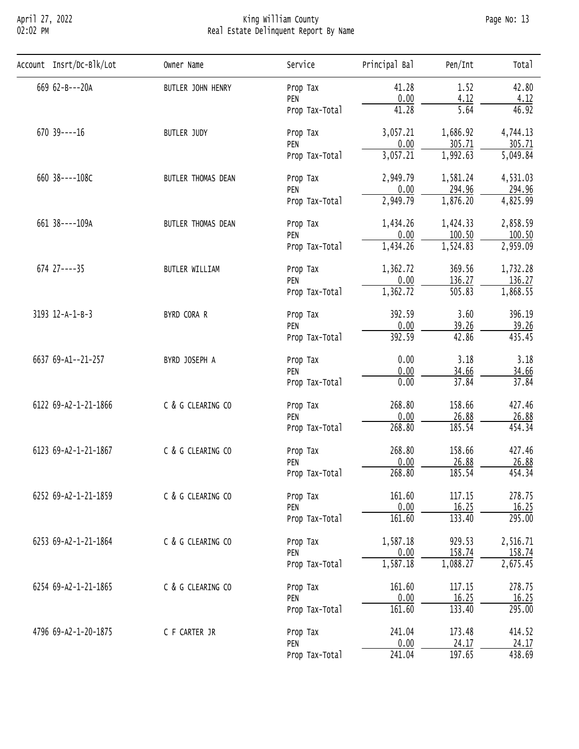# April 27, 2022 King William County Page No: 13 02:02 PM Real Estate Delinquent Report By Name

| Account Insrt/Dc-Blk/Lot | Owner Name                                                                                                                                                                                                                                                                                                                                                                                                                                                                                                                                                                                                                                                                                                                                                                                                                                                                                                                                                                                                                                                                                                                                                                                                                                                                                                                                                                                 | Service        | Principal Bal | Pen/Int | Total    |
|--------------------------|--------------------------------------------------------------------------------------------------------------------------------------------------------------------------------------------------------------------------------------------------------------------------------------------------------------------------------------------------------------------------------------------------------------------------------------------------------------------------------------------------------------------------------------------------------------------------------------------------------------------------------------------------------------------------------------------------------------------------------------------------------------------------------------------------------------------------------------------------------------------------------------------------------------------------------------------------------------------------------------------------------------------------------------------------------------------------------------------------------------------------------------------------------------------------------------------------------------------------------------------------------------------------------------------------------------------------------------------------------------------------------------------|----------------|---------------|---------|----------|
| 669 62-B---20A           | BUTLER JOHN HENRY                                                                                                                                                                                                                                                                                                                                                                                                                                                                                                                                                                                                                                                                                                                                                                                                                                                                                                                                                                                                                                                                                                                                                                                                                                                                                                                                                                          | Prop Tax       | 41.28         | 1.52    | 42.80    |
|                          | 0.00<br>4.12<br>PEN<br>41.28<br>5.64<br>Prop Tax-Total<br>3,057.21<br>1,686.92<br>BUTLER JUDY<br>Prop Tax<br>0.00<br>305.71<br>PEN<br>3,057.21<br>1,992.63<br>Prop Tax-Total<br>2,949.79<br>1,581.24<br>BUTLER THOMAS DEAN<br>Prop Tax<br>294.96<br>0.00<br>PEN<br>2,949.79<br>1,876.20<br>Prop Tax-Total<br>1,434.26<br>1,424.33<br>BUTLER THOMAS DEAN<br>Prop Tax<br>0.00<br>100.50<br>PEN<br>1,434.26<br>1,524.83<br>Prop Tax-Total<br>1,362.72<br>369.56<br><b>BUTLER WILLIAM</b><br>Prop Tax<br>0.00<br>136.27<br>PEN<br>1,362.72<br>505.83<br>Prop Tax-Total<br>392.59<br>3.60<br>BYRD CORA R<br>Prop Tax<br>0.00<br>39.26<br>PEN<br>42.86<br>392.59<br>Prop Tax-Total<br>0.00<br>3.18<br>BYRD JOSEPH A<br>Prop Tax<br>0.00<br>34.66<br>PEN<br>37.84<br>0.00<br>Prop Tax-Total<br>C & G CLEARING CO<br>268.80<br>158.66<br>Prop Tax<br>0.00<br>26.88<br>PEN<br>268.80<br>185.54<br>Prop Tax-Total<br>268.80<br>158.66<br>C & G CLEARING CO<br>Prop Tax<br>0.00<br>26.88<br>PEN<br>185.54<br>268.80<br>Prop Tax-Total<br>C & G CLEARING CO<br>161.60<br>117.15<br>Prop Tax<br>0.00<br>16.25<br>PEN<br>161.60<br>133.40<br>Prop Tax-Total<br>C & G CLEARING CO<br>1,587.18<br>929.53<br>Prop Tax<br>0.00<br>158.74<br>PEN<br>1,587.18<br>1,088.27<br>Prop Tax-Total<br>C & G CLEARING CO<br>161.60<br>117.15<br>Prop Tax<br>0.00<br>16.25<br>PEN<br>161.60<br>133.40<br>Prop Tax-Total | 4.12           |               |         |          |
|                          |                                                                                                                                                                                                                                                                                                                                                                                                                                                                                                                                                                                                                                                                                                                                                                                                                                                                                                                                                                                                                                                                                                                                                                                                                                                                                                                                                                                            | 46.92          |               |         |          |
| $670$ 39 ----16          |                                                                                                                                                                                                                                                                                                                                                                                                                                                                                                                                                                                                                                                                                                                                                                                                                                                                                                                                                                                                                                                                                                                                                                                                                                                                                                                                                                                            |                |               |         | 4,744.13 |
|                          |                                                                                                                                                                                                                                                                                                                                                                                                                                                                                                                                                                                                                                                                                                                                                                                                                                                                                                                                                                                                                                                                                                                                                                                                                                                                                                                                                                                            |                |               |         | 305.71   |
|                          |                                                                                                                                                                                                                                                                                                                                                                                                                                                                                                                                                                                                                                                                                                                                                                                                                                                                                                                                                                                                                                                                                                                                                                                                                                                                                                                                                                                            |                |               |         | 5,049.84 |
| 660 38----108C           |                                                                                                                                                                                                                                                                                                                                                                                                                                                                                                                                                                                                                                                                                                                                                                                                                                                                                                                                                                                                                                                                                                                                                                                                                                                                                                                                                                                            |                |               |         | 4,531.03 |
|                          |                                                                                                                                                                                                                                                                                                                                                                                                                                                                                                                                                                                                                                                                                                                                                                                                                                                                                                                                                                                                                                                                                                                                                                                                                                                                                                                                                                                            |                | 294.96        |         |          |
|                          |                                                                                                                                                                                                                                                                                                                                                                                                                                                                                                                                                                                                                                                                                                                                                                                                                                                                                                                                                                                                                                                                                                                                                                                                                                                                                                                                                                                            | 4,825.99       |               |         |          |
| 661 38----109A           |                                                                                                                                                                                                                                                                                                                                                                                                                                                                                                                                                                                                                                                                                                                                                                                                                                                                                                                                                                                                                                                                                                                                                                                                                                                                                                                                                                                            |                |               |         | 2,858.59 |
|                          |                                                                                                                                                                                                                                                                                                                                                                                                                                                                                                                                                                                                                                                                                                                                                                                                                                                                                                                                                                                                                                                                                                                                                                                                                                                                                                                                                                                            |                |               |         | 100.50   |
|                          |                                                                                                                                                                                                                                                                                                                                                                                                                                                                                                                                                                                                                                                                                                                                                                                                                                                                                                                                                                                                                                                                                                                                                                                                                                                                                                                                                                                            |                |               |         | 2,959.09 |
| $674$ $27---35$          |                                                                                                                                                                                                                                                                                                                                                                                                                                                                                                                                                                                                                                                                                                                                                                                                                                                                                                                                                                                                                                                                                                                                                                                                                                                                                                                                                                                            |                |               |         | 1,732.28 |
|                          |                                                                                                                                                                                                                                                                                                                                                                                                                                                                                                                                                                                                                                                                                                                                                                                                                                                                                                                                                                                                                                                                                                                                                                                                                                                                                                                                                                                            |                |               |         | 136.27   |
|                          |                                                                                                                                                                                                                                                                                                                                                                                                                                                                                                                                                                                                                                                                                                                                                                                                                                                                                                                                                                                                                                                                                                                                                                                                                                                                                                                                                                                            |                |               |         | 1,868.55 |
| 3193 12-A-1-B-3          |                                                                                                                                                                                                                                                                                                                                                                                                                                                                                                                                                                                                                                                                                                                                                                                                                                                                                                                                                                                                                                                                                                                                                                                                                                                                                                                                                                                            |                |               |         | 396.19   |
|                          |                                                                                                                                                                                                                                                                                                                                                                                                                                                                                                                                                                                                                                                                                                                                                                                                                                                                                                                                                                                                                                                                                                                                                                                                                                                                                                                                                                                            |                |               |         | 39.26    |
|                          |                                                                                                                                                                                                                                                                                                                                                                                                                                                                                                                                                                                                                                                                                                                                                                                                                                                                                                                                                                                                                                                                                                                                                                                                                                                                                                                                                                                            |                |               |         | 435.45   |
| 6637 69-A1--21-257       |                                                                                                                                                                                                                                                                                                                                                                                                                                                                                                                                                                                                                                                                                                                                                                                                                                                                                                                                                                                                                                                                                                                                                                                                                                                                                                                                                                                            |                |               |         | 3.18     |
|                          |                                                                                                                                                                                                                                                                                                                                                                                                                                                                                                                                                                                                                                                                                                                                                                                                                                                                                                                                                                                                                                                                                                                                                                                                                                                                                                                                                                                            |                |               |         | 34.66    |
|                          |                                                                                                                                                                                                                                                                                                                                                                                                                                                                                                                                                                                                                                                                                                                                                                                                                                                                                                                                                                                                                                                                                                                                                                                                                                                                                                                                                                                            |                |               |         | 37.84    |
| 6122 69-A2-1-21-1866     |                                                                                                                                                                                                                                                                                                                                                                                                                                                                                                                                                                                                                                                                                                                                                                                                                                                                                                                                                                                                                                                                                                                                                                                                                                                                                                                                                                                            |                |               |         | 427.46   |
|                          |                                                                                                                                                                                                                                                                                                                                                                                                                                                                                                                                                                                                                                                                                                                                                                                                                                                                                                                                                                                                                                                                                                                                                                                                                                                                                                                                                                                            | 26.88          |               |         |          |
|                          |                                                                                                                                                                                                                                                                                                                                                                                                                                                                                                                                                                                                                                                                                                                                                                                                                                                                                                                                                                                                                                                                                                                                                                                                                                                                                                                                                                                            |                |               |         | 454.34   |
| 6123 69-A2-1-21-1867     |                                                                                                                                                                                                                                                                                                                                                                                                                                                                                                                                                                                                                                                                                                                                                                                                                                                                                                                                                                                                                                                                                                                                                                                                                                                                                                                                                                                            |                |               |         | 427.46   |
|                          |                                                                                                                                                                                                                                                                                                                                                                                                                                                                                                                                                                                                                                                                                                                                                                                                                                                                                                                                                                                                                                                                                                                                                                                                                                                                                                                                                                                            |                |               |         | 26.88    |
|                          |                                                                                                                                                                                                                                                                                                                                                                                                                                                                                                                                                                                                                                                                                                                                                                                                                                                                                                                                                                                                                                                                                                                                                                                                                                                                                                                                                                                            |                |               |         | 454.34   |
| 6252 69-A2-1-21-1859     |                                                                                                                                                                                                                                                                                                                                                                                                                                                                                                                                                                                                                                                                                                                                                                                                                                                                                                                                                                                                                                                                                                                                                                                                                                                                                                                                                                                            |                |               |         | 278.75   |
|                          |                                                                                                                                                                                                                                                                                                                                                                                                                                                                                                                                                                                                                                                                                                                                                                                                                                                                                                                                                                                                                                                                                                                                                                                                                                                                                                                                                                                            |                |               |         | 16.25    |
|                          |                                                                                                                                                                                                                                                                                                                                                                                                                                                                                                                                                                                                                                                                                                                                                                                                                                                                                                                                                                                                                                                                                                                                                                                                                                                                                                                                                                                            |                |               |         | 295.00   |
| 6253 69-A2-1-21-1864     |                                                                                                                                                                                                                                                                                                                                                                                                                                                                                                                                                                                                                                                                                                                                                                                                                                                                                                                                                                                                                                                                                                                                                                                                                                                                                                                                                                                            |                |               |         | 2,516.71 |
|                          |                                                                                                                                                                                                                                                                                                                                                                                                                                                                                                                                                                                                                                                                                                                                                                                                                                                                                                                                                                                                                                                                                                                                                                                                                                                                                                                                                                                            |                |               |         | 158.74   |
|                          |                                                                                                                                                                                                                                                                                                                                                                                                                                                                                                                                                                                                                                                                                                                                                                                                                                                                                                                                                                                                                                                                                                                                                                                                                                                                                                                                                                                            |                |               |         | 2,675.45 |
| 6254 69-A2-1-21-1865     |                                                                                                                                                                                                                                                                                                                                                                                                                                                                                                                                                                                                                                                                                                                                                                                                                                                                                                                                                                                                                                                                                                                                                                                                                                                                                                                                                                                            |                |               |         | 278.75   |
|                          |                                                                                                                                                                                                                                                                                                                                                                                                                                                                                                                                                                                                                                                                                                                                                                                                                                                                                                                                                                                                                                                                                                                                                                                                                                                                                                                                                                                            |                |               |         | 16.25    |
|                          |                                                                                                                                                                                                                                                                                                                                                                                                                                                                                                                                                                                                                                                                                                                                                                                                                                                                                                                                                                                                                                                                                                                                                                                                                                                                                                                                                                                            |                |               |         | 295.00   |
| 4796 69-A2-1-20-1875     | C F CARTER JR                                                                                                                                                                                                                                                                                                                                                                                                                                                                                                                                                                                                                                                                                                                                                                                                                                                                                                                                                                                                                                                                                                                                                                                                                                                                                                                                                                              | Prop Tax       | 241.04        | 173.48  | 414.52   |
|                          |                                                                                                                                                                                                                                                                                                                                                                                                                                                                                                                                                                                                                                                                                                                                                                                                                                                                                                                                                                                                                                                                                                                                                                                                                                                                                                                                                                                            | PEN            | 0.00          | 24.17   | 24.17    |
|                          |                                                                                                                                                                                                                                                                                                                                                                                                                                                                                                                                                                                                                                                                                                                                                                                                                                                                                                                                                                                                                                                                                                                                                                                                                                                                                                                                                                                            | Prop Tax-Total | 241.04        | 197.65  | 438.69   |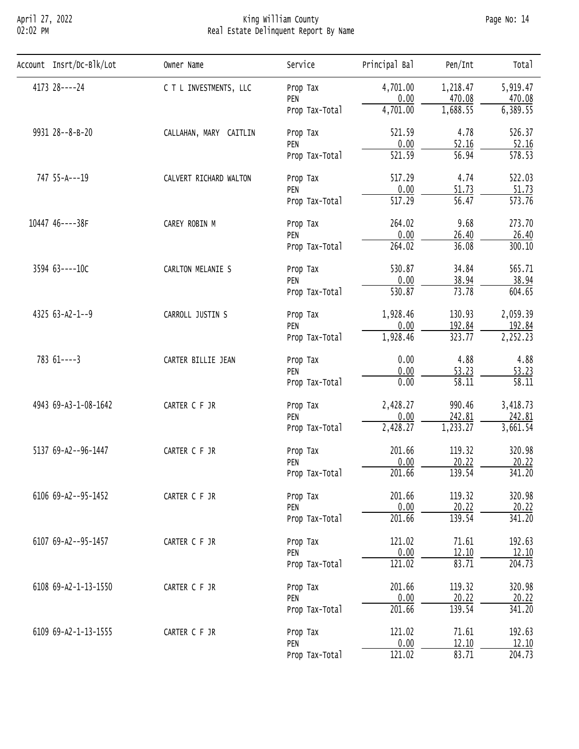## April 27, 2022 King William County Page No: 14 02:02 PM Real Estate Delinquent Report By Name

| 4173 28----24<br>4,701.00<br>5,919.47<br>C T L INVESTMENTS, LLC<br>1,218.47<br>Prop Tax<br>0.00<br>470.08<br>PEN<br>1,688.55<br>4,701.00<br>Prop Tax-Total<br>9931 28--8-B-20<br>521.59<br>4.78<br>CALLAHAN, MARY CAITLIN<br>Prop Tax<br>0.00<br>52.16<br>PEN<br>$\overline{56.94}$<br>521.59<br>Prop Tax-Total<br>747 55-A---19<br>517.29<br>4.74<br>CALVERT RICHARD WALTON<br>Prop Tax<br>0.00<br>51.73<br>PEN<br>$\overline{517.29}$<br>56.47<br>Prop Tax-Total |
|--------------------------------------------------------------------------------------------------------------------------------------------------------------------------------------------------------------------------------------------------------------------------------------------------------------------------------------------------------------------------------------------------------------------------------------------------------------------|
| 470.08<br>6,389.55<br>526.37<br>52.16<br>578.53<br>522.03<br>51.73<br>573.76                                                                                                                                                                                                                                                                                                                                                                                       |
|                                                                                                                                                                                                                                                                                                                                                                                                                                                                    |
|                                                                                                                                                                                                                                                                                                                                                                                                                                                                    |
|                                                                                                                                                                                                                                                                                                                                                                                                                                                                    |
|                                                                                                                                                                                                                                                                                                                                                                                                                                                                    |
|                                                                                                                                                                                                                                                                                                                                                                                                                                                                    |
|                                                                                                                                                                                                                                                                                                                                                                                                                                                                    |
|                                                                                                                                                                                                                                                                                                                                                                                                                                                                    |
|                                                                                                                                                                                                                                                                                                                                                                                                                                                                    |
| 10447 46----38F<br>264.02<br>9.68<br>273.70<br>CAREY ROBIN M<br>Prop Tax                                                                                                                                                                                                                                                                                                                                                                                           |
| 0.00<br>26.40<br>26.40<br>PEN                                                                                                                                                                                                                                                                                                                                                                                                                                      |
| 264.02<br>36.08<br>300.10<br>Prop Tax-Total                                                                                                                                                                                                                                                                                                                                                                                                                        |
| 3594 63----10C<br>530.87<br>34.84<br>565.71<br>CARLTON MELANIE S<br>Prop Tax                                                                                                                                                                                                                                                                                                                                                                                       |
| 0.00<br>38.94<br>38.94<br>PEN                                                                                                                                                                                                                                                                                                                                                                                                                                      |
| 530.87<br>73.78<br>604.65<br>Prop Tax-Total                                                                                                                                                                                                                                                                                                                                                                                                                        |
| $4325$ 63-A2-1--9<br>1,928.46<br>130.93<br>2,059.39<br>CARROLL JUSTIN S<br>Prop Tax                                                                                                                                                                                                                                                                                                                                                                                |
| 192.84<br>0.00<br>192.84<br>PEN                                                                                                                                                                                                                                                                                                                                                                                                                                    |
| 323.77<br>2,252.23<br>1,928.46<br>Prop Tax-Total                                                                                                                                                                                                                                                                                                                                                                                                                   |
| $78361---3$<br>4.88<br>0.00<br>4.88<br>CARTER BILLIE JEAN<br>Prop Tax                                                                                                                                                                                                                                                                                                                                                                                              |
| 0.00<br>53.23<br>53.23<br>PEN                                                                                                                                                                                                                                                                                                                                                                                                                                      |
| 0.00<br>58.11<br>58.11<br>Prop Tax-Total                                                                                                                                                                                                                                                                                                                                                                                                                           |
| 4943 69-A3-1-08-1642<br>2,428.27<br>990.46<br>3,418.73<br>CARTER C F JR<br>Prop Tax                                                                                                                                                                                                                                                                                                                                                                                |
| 0.00<br>242.81<br>242.81<br>PEN                                                                                                                                                                                                                                                                                                                                                                                                                                    |
| 2,428.27<br>1,233.27<br>3,661.54<br>Prop Tax-Total                                                                                                                                                                                                                                                                                                                                                                                                                 |
| 5137 69-A2--96-1447<br>201.66<br>119.32<br>320.98<br>CARTER C F JR<br>Prop Tax                                                                                                                                                                                                                                                                                                                                                                                     |
| 20.22<br>0.00<br>20.22<br>PEN                                                                                                                                                                                                                                                                                                                                                                                                                                      |
| 201.66<br>139.54<br>341.20<br>Prop Tax-Total                                                                                                                                                                                                                                                                                                                                                                                                                       |
| 201.66<br>119.32<br>320.98<br>6106 69-A2--95-1452<br>CARTER C F JR<br>Prop Tax                                                                                                                                                                                                                                                                                                                                                                                     |
| 0.00<br>20.22<br>20.22<br>PEN                                                                                                                                                                                                                                                                                                                                                                                                                                      |
| 201.66<br>139.54<br>341.20<br>Prop Tax-Total                                                                                                                                                                                                                                                                                                                                                                                                                       |
| 192.63<br>6107 69-A2--95-1457<br>121.02<br>71.61<br>CARTER C F JR<br>Prop Tax                                                                                                                                                                                                                                                                                                                                                                                      |
| 0.00<br>12.10<br>12.10<br>PEN                                                                                                                                                                                                                                                                                                                                                                                                                                      |
| 121.02<br>83.71<br>204.73<br>Prop Tax-Total                                                                                                                                                                                                                                                                                                                                                                                                                        |
| 320.98<br>6108 69-A2-1-13-1550<br>201.66<br>119.32<br>CARTER C F JR<br>Prop Tax                                                                                                                                                                                                                                                                                                                                                                                    |
| 0.00<br>20.22<br>20.22<br>PEN                                                                                                                                                                                                                                                                                                                                                                                                                                      |
| 201.66<br>139.54<br>341.20<br>Prop Tax-Total                                                                                                                                                                                                                                                                                                                                                                                                                       |
| 192.63<br>6109 69-A2-1-13-1555<br>121.02<br>71.61<br>CARTER C F JR<br>Prop Tax                                                                                                                                                                                                                                                                                                                                                                                     |
| 0.00<br>12.10<br>12.10<br>PEN                                                                                                                                                                                                                                                                                                                                                                                                                                      |
| 121.02<br>83.71<br>204.73<br>Prop Tax-Total                                                                                                                                                                                                                                                                                                                                                                                                                        |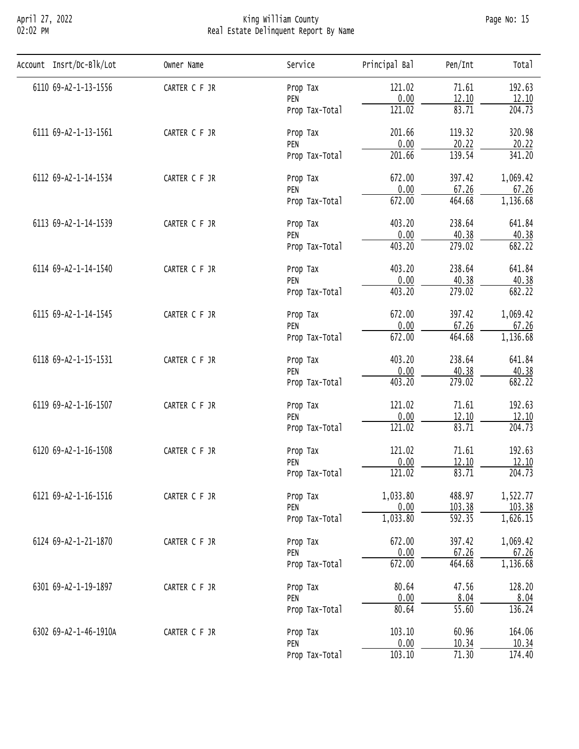# April 27, 2022 King William County Page No: 15 02:02 PM Real Estate Delinquent Report By Name

| Account Insrt/Dc-Blk/Lot | Owner Name                                                                                                                                                                                                                                                                                                                                                                                                                                                                                                                                                                                                                                                                                                                                                                                                                                                                                                                                                                                                                                                                                                                       | Service             | Principal Bal       | Pen/Int            | Total               |
|--------------------------|----------------------------------------------------------------------------------------------------------------------------------------------------------------------------------------------------------------------------------------------------------------------------------------------------------------------------------------------------------------------------------------------------------------------------------------------------------------------------------------------------------------------------------------------------------------------------------------------------------------------------------------------------------------------------------------------------------------------------------------------------------------------------------------------------------------------------------------------------------------------------------------------------------------------------------------------------------------------------------------------------------------------------------------------------------------------------------------------------------------------------------|---------------------|---------------------|--------------------|---------------------|
| 6110 69-A2-1-13-1556     | CARTER C F JR                                                                                                                                                                                                                                                                                                                                                                                                                                                                                                                                                                                                                                                                                                                                                                                                                                                                                                                                                                                                                                                                                                                    | Prop Tax            | 121.02              | 71.61              | 192.63              |
|                          |                                                                                                                                                                                                                                                                                                                                                                                                                                                                                                                                                                                                                                                                                                                                                                                                                                                                                                                                                                                                                                                                                                                                  | PEN                 | 0.00                |                    | 12.10               |
|                          | <u>12.10</u><br>83.71<br>121.02<br>Prop Tax-Total<br>119.32<br>201.66<br>CARTER C F JR<br>Prop Tax<br>0.00<br>20.22<br>PEN<br>139.54<br>201.66<br>Prop Tax-Total<br>672.00<br>397.42<br>CARTER C F JR<br>Prop Tax<br>0.00<br>67.26<br>PEN<br>464.68<br>672.00<br>Prop Tax-Total<br>403.20<br>238.64<br>CARTER C F JR<br>Prop Tax<br>0.00<br>40.38<br>PEN<br>403.20<br>$\overline{279.02}$<br>Prop Tax-Total<br>403.20<br>238.64<br>CARTER C F JR<br>Prop Tax<br>0.00<br>40.38<br>PEN<br>403.20<br>$\overline{279.02}$<br>Prop Tax-Total<br>397.42<br>672.00<br>CARTER C F JR<br>Prop Tax<br>0.00<br>PEN<br>67.26<br>672.00<br>464.68<br>Prop Tax-Total<br>238.64<br>403.20<br>CARTER C F JR<br>Prop Tax<br>0.00<br>40.38<br>PEN<br>403.20<br>$\overline{279.02}$<br>Prop Tax-Total<br>121.02<br>71.61<br>CARTER C F JR<br>Prop Tax<br>0.00<br>12.10<br>PEN<br>121.02<br>83.71<br>Prop Tax-Total<br>121.02<br>71.61<br>CARTER C F JR<br>Prop Tax<br>0.00<br>12.10<br>PEN<br>121.02<br>83.71<br>Prop Tax-Total<br>1,033.80<br>488.97<br>CARTER C F JR<br>Prop Tax<br>0.00<br>103.38<br>PEN<br>1,033.80<br>592.35<br>Prop Tax-Total |                     | $\overline{204.73}$ |                    |                     |
| 6111 69-A2-1-13-1561     |                                                                                                                                                                                                                                                                                                                                                                                                                                                                                                                                                                                                                                                                                                                                                                                                                                                                                                                                                                                                                                                                                                                                  |                     |                     |                    | 320.98              |
|                          |                                                                                                                                                                                                                                                                                                                                                                                                                                                                                                                                                                                                                                                                                                                                                                                                                                                                                                                                                                                                                                                                                                                                  |                     |                     |                    | 20.22               |
|                          |                                                                                                                                                                                                                                                                                                                                                                                                                                                                                                                                                                                                                                                                                                                                                                                                                                                                                                                                                                                                                                                                                                                                  |                     |                     |                    | 341.20              |
| 6112 69-A2-1-14-1534     |                                                                                                                                                                                                                                                                                                                                                                                                                                                                                                                                                                                                                                                                                                                                                                                                                                                                                                                                                                                                                                                                                                                                  |                     |                     |                    | 1,069.42            |
|                          |                                                                                                                                                                                                                                                                                                                                                                                                                                                                                                                                                                                                                                                                                                                                                                                                                                                                                                                                                                                                                                                                                                                                  | 67.26               |                     |                    |                     |
|                          |                                                                                                                                                                                                                                                                                                                                                                                                                                                                                                                                                                                                                                                                                                                                                                                                                                                                                                                                                                                                                                                                                                                                  |                     |                     |                    | 1,136.68            |
| 6113 69-A2-1-14-1539     |                                                                                                                                                                                                                                                                                                                                                                                                                                                                                                                                                                                                                                                                                                                                                                                                                                                                                                                                                                                                                                                                                                                                  |                     |                     |                    | 641.84              |
|                          |                                                                                                                                                                                                                                                                                                                                                                                                                                                                                                                                                                                                                                                                                                                                                                                                                                                                                                                                                                                                                                                                                                                                  |                     |                     |                    | 40.38               |
|                          |                                                                                                                                                                                                                                                                                                                                                                                                                                                                                                                                                                                                                                                                                                                                                                                                                                                                                                                                                                                                                                                                                                                                  |                     |                     |                    | 682.22              |
| 6114 69-A2-1-14-1540     |                                                                                                                                                                                                                                                                                                                                                                                                                                                                                                                                                                                                                                                                                                                                                                                                                                                                                                                                                                                                                                                                                                                                  |                     |                     |                    | 641.84              |
|                          |                                                                                                                                                                                                                                                                                                                                                                                                                                                                                                                                                                                                                                                                                                                                                                                                                                                                                                                                                                                                                                                                                                                                  |                     |                     |                    | 40.38               |
|                          |                                                                                                                                                                                                                                                                                                                                                                                                                                                                                                                                                                                                                                                                                                                                                                                                                                                                                                                                                                                                                                                                                                                                  |                     |                     |                    | 682.22              |
| 6115 69-A2-1-14-1545     |                                                                                                                                                                                                                                                                                                                                                                                                                                                                                                                                                                                                                                                                                                                                                                                                                                                                                                                                                                                                                                                                                                                                  |                     |                     |                    | 1,069.42            |
|                          |                                                                                                                                                                                                                                                                                                                                                                                                                                                                                                                                                                                                                                                                                                                                                                                                                                                                                                                                                                                                                                                                                                                                  |                     |                     |                    | 67.26               |
|                          |                                                                                                                                                                                                                                                                                                                                                                                                                                                                                                                                                                                                                                                                                                                                                                                                                                                                                                                                                                                                                                                                                                                                  |                     |                     |                    | 1,136.68            |
| 6118 69-A2-1-15-1531     |                                                                                                                                                                                                                                                                                                                                                                                                                                                                                                                                                                                                                                                                                                                                                                                                                                                                                                                                                                                                                                                                                                                                  |                     |                     |                    | 641.84              |
|                          |                                                                                                                                                                                                                                                                                                                                                                                                                                                                                                                                                                                                                                                                                                                                                                                                                                                                                                                                                                                                                                                                                                                                  |                     |                     |                    | 40.38               |
|                          |                                                                                                                                                                                                                                                                                                                                                                                                                                                                                                                                                                                                                                                                                                                                                                                                                                                                                                                                                                                                                                                                                                                                  |                     |                     |                    | 682.22              |
| 6119 69-A2-1-16-1507     |                                                                                                                                                                                                                                                                                                                                                                                                                                                                                                                                                                                                                                                                                                                                                                                                                                                                                                                                                                                                                                                                                                                                  |                     |                     |                    | 192.63              |
|                          |                                                                                                                                                                                                                                                                                                                                                                                                                                                                                                                                                                                                                                                                                                                                                                                                                                                                                                                                                                                                                                                                                                                                  | 12.10               |                     |                    |                     |
|                          |                                                                                                                                                                                                                                                                                                                                                                                                                                                                                                                                                                                                                                                                                                                                                                                                                                                                                                                                                                                                                                                                                                                                  | $\overline{204.73}$ |                     |                    |                     |
| 6120 69-A2-1-16-1508     |                                                                                                                                                                                                                                                                                                                                                                                                                                                                                                                                                                                                                                                                                                                                                                                                                                                                                                                                                                                                                                                                                                                                  |                     |                     |                    | 192.63              |
|                          |                                                                                                                                                                                                                                                                                                                                                                                                                                                                                                                                                                                                                                                                                                                                                                                                                                                                                                                                                                                                                                                                                                                                  |                     |                     |                    | 12.10               |
|                          |                                                                                                                                                                                                                                                                                                                                                                                                                                                                                                                                                                                                                                                                                                                                                                                                                                                                                                                                                                                                                                                                                                                                  |                     |                     |                    | $\overline{204.73}$ |
| 6121 69-A2-1-16-1516     |                                                                                                                                                                                                                                                                                                                                                                                                                                                                                                                                                                                                                                                                                                                                                                                                                                                                                                                                                                                                                                                                                                                                  |                     |                     |                    | 1,522.77            |
|                          |                                                                                                                                                                                                                                                                                                                                                                                                                                                                                                                                                                                                                                                                                                                                                                                                                                                                                                                                                                                                                                                                                                                                  |                     |                     |                    | 103.38              |
|                          |                                                                                                                                                                                                                                                                                                                                                                                                                                                                                                                                                                                                                                                                                                                                                                                                                                                                                                                                                                                                                                                                                                                                  |                     |                     |                    | 1,626.15            |
| 6124 69-A2-1-21-1870     | CARTER C F JR                                                                                                                                                                                                                                                                                                                                                                                                                                                                                                                                                                                                                                                                                                                                                                                                                                                                                                                                                                                                                                                                                                                    | Prop Tax            | 672.00              | 397.42             | 1,069.42            |
|                          |                                                                                                                                                                                                                                                                                                                                                                                                                                                                                                                                                                                                                                                                                                                                                                                                                                                                                                                                                                                                                                                                                                                                  | PEN                 | 0.00                | 67.26              | 67.26               |
|                          |                                                                                                                                                                                                                                                                                                                                                                                                                                                                                                                                                                                                                                                                                                                                                                                                                                                                                                                                                                                                                                                                                                                                  | Prop Tax-Total      | 672.00              | 464.68             | 1,136.68            |
| 6301 69-A2-1-19-1897     | CARTER C F JR                                                                                                                                                                                                                                                                                                                                                                                                                                                                                                                                                                                                                                                                                                                                                                                                                                                                                                                                                                                                                                                                                                                    | Prop Tax            | 80.64               | 47.56              | 128.20              |
|                          |                                                                                                                                                                                                                                                                                                                                                                                                                                                                                                                                                                                                                                                                                                                                                                                                                                                                                                                                                                                                                                                                                                                                  | PEN                 | 0.00                | 8.04               | 8.04                |
|                          |                                                                                                                                                                                                                                                                                                                                                                                                                                                                                                                                                                                                                                                                                                                                                                                                                                                                                                                                                                                                                                                                                                                                  | Prop Tax-Total      | 80.64               | $\overline{55.60}$ | 136.24              |
| 6302 69-A2-1-46-1910A    | CARTER C F JR                                                                                                                                                                                                                                                                                                                                                                                                                                                                                                                                                                                                                                                                                                                                                                                                                                                                                                                                                                                                                                                                                                                    | Prop Tax            | 103.10              | 60.96              | 164.06              |
|                          |                                                                                                                                                                                                                                                                                                                                                                                                                                                                                                                                                                                                                                                                                                                                                                                                                                                                                                                                                                                                                                                                                                                                  | PEN                 | 0.00                | 10.34              | 10.34               |
|                          |                                                                                                                                                                                                                                                                                                                                                                                                                                                                                                                                                                                                                                                                                                                                                                                                                                                                                                                                                                                                                                                                                                                                  | Prop Tax-Total      | 103.10              | 71.30              | 174.40              |
|                          |                                                                                                                                                                                                                                                                                                                                                                                                                                                                                                                                                                                                                                                                                                                                                                                                                                                                                                                                                                                                                                                                                                                                  |                     |                     |                    |                     |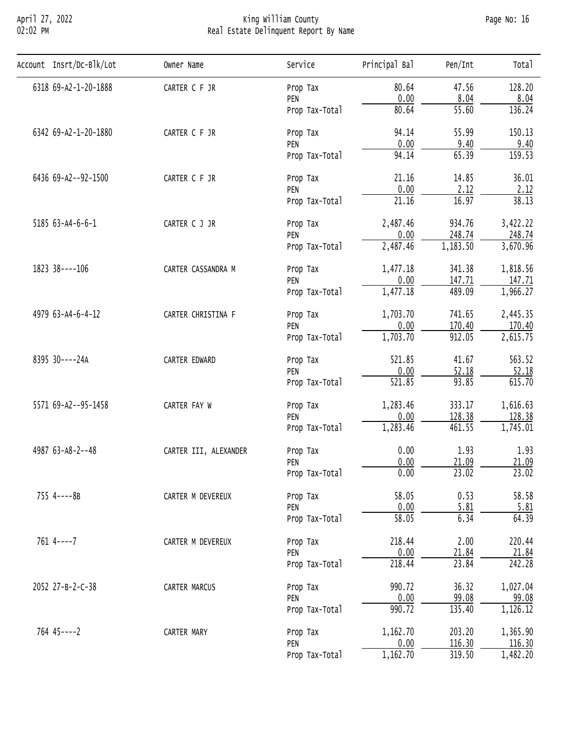# April 27, 2022 King William County Page No: 16 02:02 PM Real Estate Delinquent Report By Name

| Account Insrt/Dc-Blk/Lot | Owner Name                                                                                                                                                                                                                                                                                                                                                                                                                                                                                                                                                                                                                                                                                                                                                                                                                                                                                                                                                                                                                         | Service        | Principal Bal                                              | Pen/Int                                                                                                                                                                                                                                                                                                                                                                | Tota <sub>1</sub> |
|--------------------------|------------------------------------------------------------------------------------------------------------------------------------------------------------------------------------------------------------------------------------------------------------------------------------------------------------------------------------------------------------------------------------------------------------------------------------------------------------------------------------------------------------------------------------------------------------------------------------------------------------------------------------------------------------------------------------------------------------------------------------------------------------------------------------------------------------------------------------------------------------------------------------------------------------------------------------------------------------------------------------------------------------------------------------|----------------|------------------------------------------------------------|------------------------------------------------------------------------------------------------------------------------------------------------------------------------------------------------------------------------------------------------------------------------------------------------------------------------------------------------------------------------|-------------------|
| 6318 69-A2-1-20-1888     | 80.64<br>CARTER C F JR<br>Prop Tax<br>0.00<br>PEN<br>80.64<br>Prop Tax-Total<br>94.14<br>CARTER C F JR<br>Prop Tax<br>0.00<br>PEN<br>94.14<br>Prop Tax-Total<br>21.16<br>CARTER C F JR<br>Prop Tax<br>0.00<br>PEN<br>$\overline{21.16}$<br>Prop Tax-Total<br>2,487.46<br>CARTER C J JR<br>Prop Tax<br>0.00<br>PEN<br>2,487.46<br>Prop Tax-Total<br>1,477.18<br>CARTER CASSANDRA M<br>Prop Tax<br>0.00<br>PEN<br>1,477.18<br>Prop Tax-Total<br>1,703.70<br>CARTER CHRISTINA F<br>Prop Tax<br>0.00<br>PEN<br>1,703.70<br>Prop Tax-Total<br>521.85<br>CARTER EDWARD<br>Prop Tax<br>0.00<br>PEN<br>521.85<br>Prop Tax-Total<br>1,283.46<br>CARTER FAY W<br>Prop Tax<br>0.00<br>PEN<br>1,283.46<br>Prop Tax-Total<br>0.00<br>CARTER III, ALEXANDER<br>Prop Tax<br>0.00<br>PEN<br>0.00<br>Prop Tax-Total<br>58.05<br>CARTER M DEVEREUX<br>Prop Tax<br>0.00<br>PEN<br>58.05<br>Prop Tax-Total<br>218.44<br>CARTER M DEVEREUX<br>Prop Tax<br>0.00<br>PEN<br>218.44<br>Prop Tax-Total<br>990.72<br>CARTER MARCUS<br>Prop Tax<br>0.00<br>PEN | 47.56          | 128.20                                                     |                                                                                                                                                                                                                                                                                                                                                                        |                   |
|                          |                                                                                                                                                                                                                                                                                                                                                                                                                                                                                                                                                                                                                                                                                                                                                                                                                                                                                                                                                                                                                                    |                |                                                            |                                                                                                                                                                                                                                                                                                                                                                        | 8.04              |
|                          |                                                                                                                                                                                                                                                                                                                                                                                                                                                                                                                                                                                                                                                                                                                                                                                                                                                                                                                                                                                                                                    |                |                                                            | 8.04<br>$\overline{55.60}$<br>55.99<br>9.40<br>65.39<br>14.85<br>2.12<br>16.97<br>934.76<br>248.74<br>1,183.50<br>341.38<br>147.71<br>489.09<br>741.65<br>170.40<br>912.05<br>41.67<br>52.18<br>93.85<br>333.17<br>128.38<br>461.55<br>1.93<br>21.09<br>23.02<br>0.53<br>5.81<br>6.34<br>2.00<br>21.84<br>23.84<br>36.32<br>99.08<br>$\frac{990.72}{990.72}$<br>135.40 | 136.24            |
| 6342 69-A2-1-20-1880     |                                                                                                                                                                                                                                                                                                                                                                                                                                                                                                                                                                                                                                                                                                                                                                                                                                                                                                                                                                                                                                    |                |                                                            |                                                                                                                                                                                                                                                                                                                                                                        | 150.13            |
|                          |                                                                                                                                                                                                                                                                                                                                                                                                                                                                                                                                                                                                                                                                                                                                                                                                                                                                                                                                                                                                                                    | Prop Tax-Total | 9.40                                                       |                                                                                                                                                                                                                                                                                                                                                                        |                   |
|                          |                                                                                                                                                                                                                                                                                                                                                                                                                                                                                                                                                                                                                                                                                                                                                                                                                                                                                                                                                                                                                                    | 159.53         |                                                            |                                                                                                                                                                                                                                                                                                                                                                        |                   |
| 6436 69-A2--92-1500      |                                                                                                                                                                                                                                                                                                                                                                                                                                                                                                                                                                                                                                                                                                                                                                                                                                                                                                                                                                                                                                    | 36.01          |                                                            |                                                                                                                                                                                                                                                                                                                                                                        |                   |
|                          |                                                                                                                                                                                                                                                                                                                                                                                                                                                                                                                                                                                                                                                                                                                                                                                                                                                                                                                                                                                                                                    |                |                                                            | 2.12                                                                                                                                                                                                                                                                                                                                                                   |                   |
|                          |                                                                                                                                                                                                                                                                                                                                                                                                                                                                                                                                                                                                                                                                                                                                                                                                                                                                                                                                                                                                                                    |                | 38.13                                                      |                                                                                                                                                                                                                                                                                                                                                                        |                   |
| 5185 63-A4-6-6-1         |                                                                                                                                                                                                                                                                                                                                                                                                                                                                                                                                                                                                                                                                                                                                                                                                                                                                                                                                                                                                                                    |                |                                                            |                                                                                                                                                                                                                                                                                                                                                                        | 3,422.22          |
|                          |                                                                                                                                                                                                                                                                                                                                                                                                                                                                                                                                                                                                                                                                                                                                                                                                                                                                                                                                                                                                                                    |                |                                                            |                                                                                                                                                                                                                                                                                                                                                                        | 248.74            |
|                          |                                                                                                                                                                                                                                                                                                                                                                                                                                                                                                                                                                                                                                                                                                                                                                                                                                                                                                                                                                                                                                    |                |                                                            |                                                                                                                                                                                                                                                                                                                                                                        | 3,670.96          |
| 1823 38----106           |                                                                                                                                                                                                                                                                                                                                                                                                                                                                                                                                                                                                                                                                                                                                                                                                                                                                                                                                                                                                                                    |                |                                                            |                                                                                                                                                                                                                                                                                                                                                                        | 1,818.56          |
|                          |                                                                                                                                                                                                                                                                                                                                                                                                                                                                                                                                                                                                                                                                                                                                                                                                                                                                                                                                                                                                                                    |                |                                                            | 147.71                                                                                                                                                                                                                                                                                                                                                                 |                   |
|                          |                                                                                                                                                                                                                                                                                                                                                                                                                                                                                                                                                                                                                                                                                                                                                                                                                                                                                                                                                                                                                                    |                |                                                            |                                                                                                                                                                                                                                                                                                                                                                        | 1,966.27          |
| 4979 63-A4-6-4-12        |                                                                                                                                                                                                                                                                                                                                                                                                                                                                                                                                                                                                                                                                                                                                                                                                                                                                                                                                                                                                                                    |                |                                                            |                                                                                                                                                                                                                                                                                                                                                                        | 2,445.35          |
|                          |                                                                                                                                                                                                                                                                                                                                                                                                                                                                                                                                                                                                                                                                                                                                                                                                                                                                                                                                                                                                                                    |                |                                                            |                                                                                                                                                                                                                                                                                                                                                                        | 170.40            |
|                          |                                                                                                                                                                                                                                                                                                                                                                                                                                                                                                                                                                                                                                                                                                                                                                                                                                                                                                                                                                                                                                    |                |                                                            |                                                                                                                                                                                                                                                                                                                                                                        | 2,615.75          |
| 8395 30----24A           |                                                                                                                                                                                                                                                                                                                                                                                                                                                                                                                                                                                                                                                                                                                                                                                                                                                                                                                                                                                                                                    |                |                                                            |                                                                                                                                                                                                                                                                                                                                                                        | 563.52            |
|                          |                                                                                                                                                                                                                                                                                                                                                                                                                                                                                                                                                                                                                                                                                                                                                                                                                                                                                                                                                                                                                                    |                |                                                            |                                                                                                                                                                                                                                                                                                                                                                        | 52.18             |
|                          |                                                                                                                                                                                                                                                                                                                                                                                                                                                                                                                                                                                                                                                                                                                                                                                                                                                                                                                                                                                                                                    |                |                                                            |                                                                                                                                                                                                                                                                                                                                                                        | 615.70            |
| 5571 69-A2--95-1458      |                                                                                                                                                                                                                                                                                                                                                                                                                                                                                                                                                                                                                                                                                                                                                                                                                                                                                                                                                                                                                                    |                |                                                            |                                                                                                                                                                                                                                                                                                                                                                        | 1,616.63          |
|                          |                                                                                                                                                                                                                                                                                                                                                                                                                                                                                                                                                                                                                                                                                                                                                                                                                                                                                                                                                                                                                                    |                |                                                            | 128.38                                                                                                                                                                                                                                                                                                                                                                 |                   |
|                          |                                                                                                                                                                                                                                                                                                                                                                                                                                                                                                                                                                                                                                                                                                                                                                                                                                                                                                                                                                                                                                    |                |                                                            |                                                                                                                                                                                                                                                                                                                                                                        | 1,745.01          |
| 4987 63-A8-2--48         |                                                                                                                                                                                                                                                                                                                                                                                                                                                                                                                                                                                                                                                                                                                                                                                                                                                                                                                                                                                                                                    |                |                                                            |                                                                                                                                                                                                                                                                                                                                                                        | 1.93              |
|                          |                                                                                                                                                                                                                                                                                                                                                                                                                                                                                                                                                                                                                                                                                                                                                                                                                                                                                                                                                                                                                                    |                |                                                            |                                                                                                                                                                                                                                                                                                                                                                        | 21.09             |
|                          |                                                                                                                                                                                                                                                                                                                                                                                                                                                                                                                                                                                                                                                                                                                                                                                                                                                                                                                                                                                                                                    |                | 1,162.70<br>203.20<br>0.00<br>116.30<br>1,162.70<br>319.50 | 23.02                                                                                                                                                                                                                                                                                                                                                                  |                   |
| 755 4----8B              |                                                                                                                                                                                                                                                                                                                                                                                                                                                                                                                                                                                                                                                                                                                                                                                                                                                                                                                                                                                                                                    |                |                                                            |                                                                                                                                                                                                                                                                                                                                                                        | 58.58             |
|                          |                                                                                                                                                                                                                                                                                                                                                                                                                                                                                                                                                                                                                                                                                                                                                                                                                                                                                                                                                                                                                                    |                |                                                            |                                                                                                                                                                                                                                                                                                                                                                        | 5.81              |
|                          |                                                                                                                                                                                                                                                                                                                                                                                                                                                                                                                                                                                                                                                                                                                                                                                                                                                                                                                                                                                                                                    |                |                                                            |                                                                                                                                                                                                                                                                                                                                                                        | 64.39             |
| $761$ 4----7             |                                                                                                                                                                                                                                                                                                                                                                                                                                                                                                                                                                                                                                                                                                                                                                                                                                                                                                                                                                                                                                    |                |                                                            |                                                                                                                                                                                                                                                                                                                                                                        | 220.44            |
|                          |                                                                                                                                                                                                                                                                                                                                                                                                                                                                                                                                                                                                                                                                                                                                                                                                                                                                                                                                                                                                                                    |                |                                                            |                                                                                                                                                                                                                                                                                                                                                                        | 21.84             |
|                          |                                                                                                                                                                                                                                                                                                                                                                                                                                                                                                                                                                                                                                                                                                                                                                                                                                                                                                                                                                                                                                    |                |                                                            |                                                                                                                                                                                                                                                                                                                                                                        | 242.28            |
| 2052 27-B-2-C-38         |                                                                                                                                                                                                                                                                                                                                                                                                                                                                                                                                                                                                                                                                                                                                                                                                                                                                                                                                                                                                                                    |                |                                                            |                                                                                                                                                                                                                                                                                                                                                                        | 1,027.04          |
|                          |                                                                                                                                                                                                                                                                                                                                                                                                                                                                                                                                                                                                                                                                                                                                                                                                                                                                                                                                                                                                                                    |                |                                                            |                                                                                                                                                                                                                                                                                                                                                                        | 99.08             |
|                          |                                                                                                                                                                                                                                                                                                                                                                                                                                                                                                                                                                                                                                                                                                                                                                                                                                                                                                                                                                                                                                    |                |                                                            |                                                                                                                                                                                                                                                                                                                                                                        | 1,126.12          |
| $764$ 45----2            | CARTER MARY                                                                                                                                                                                                                                                                                                                                                                                                                                                                                                                                                                                                                                                                                                                                                                                                                                                                                                                                                                                                                        | Prop Tax       |                                                            |                                                                                                                                                                                                                                                                                                                                                                        | 1,365.90          |
|                          |                                                                                                                                                                                                                                                                                                                                                                                                                                                                                                                                                                                                                                                                                                                                                                                                                                                                                                                                                                                                                                    | PEN            |                                                            |                                                                                                                                                                                                                                                                                                                                                                        | 116.30            |
|                          |                                                                                                                                                                                                                                                                                                                                                                                                                                                                                                                                                                                                                                                                                                                                                                                                                                                                                                                                                                                                                                    | Prop Tax-Total |                                                            |                                                                                                                                                                                                                                                                                                                                                                        | 1,482.20          |
|                          |                                                                                                                                                                                                                                                                                                                                                                                                                                                                                                                                                                                                                                                                                                                                                                                                                                                                                                                                                                                                                                    |                |                                                            |                                                                                                                                                                                                                                                                                                                                                                        |                   |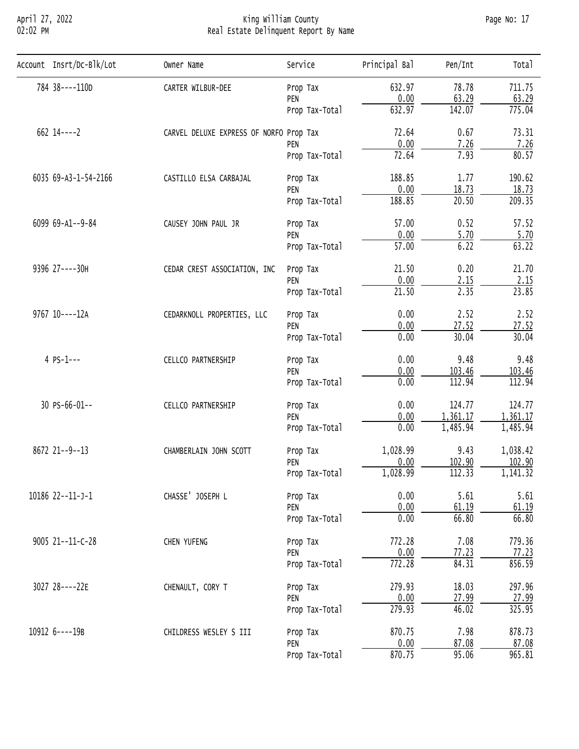# April 27, 2022 King William County Page No: 17 02:02 PM Real Estate Delinquent Report By Name

| Account Insrt/Dc-Blk/Lot | Owner Name                                                                                                                                                                                                                                                                                                                                                                                                                                                                                                                                                                                                                                                                                                                                                                                                                                                                                                                                                                                                                                                                                                                                                                                                                                                                                                     | Service                                                         | Principal Bal                    | Pen/Int | Total    |
|--------------------------|----------------------------------------------------------------------------------------------------------------------------------------------------------------------------------------------------------------------------------------------------------------------------------------------------------------------------------------------------------------------------------------------------------------------------------------------------------------------------------------------------------------------------------------------------------------------------------------------------------------------------------------------------------------------------------------------------------------------------------------------------------------------------------------------------------------------------------------------------------------------------------------------------------------------------------------------------------------------------------------------------------------------------------------------------------------------------------------------------------------------------------------------------------------------------------------------------------------------------------------------------------------------------------------------------------------|-----------------------------------------------------------------|----------------------------------|---------|----------|
| 784 38----110D           | CARTER WILBUR-DEE                                                                                                                                                                                                                                                                                                                                                                                                                                                                                                                                                                                                                                                                                                                                                                                                                                                                                                                                                                                                                                                                                                                                                                                                                                                                                              | Prop Tax                                                        | 632.97                           | 78.78   | 711.75   |
|                          |                                                                                                                                                                                                                                                                                                                                                                                                                                                                                                                                                                                                                                                                                                                                                                                                                                                                                                                                                                                                                                                                                                                                                                                                                                                                                                                | PEN                                                             |                                  |         | 63.29    |
|                          |                                                                                                                                                                                                                                                                                                                                                                                                                                                                                                                                                                                                                                                                                                                                                                                                                                                                                                                                                                                                                                                                                                                                                                                                                                                                                                                | Prop Tax-Total                                                  |                                  |         | 775.04   |
| $662$ 14----2            |                                                                                                                                                                                                                                                                                                                                                                                                                                                                                                                                                                                                                                                                                                                                                                                                                                                                                                                                                                                                                                                                                                                                                                                                                                                                                                                |                                                                 | 72.64                            | 0.67    | 73.31    |
|                          | 0.00<br>63.29<br>142.07<br>632.97<br>CARVEL DELUXE EXPRESS OF NORFO Prop Tax<br>0.00<br>7.26<br>PEN<br>72.64<br>7.93<br>Prop Tax-Total<br>188.85<br>1.77<br>CASTILLO ELSA CARBAJAL<br>Prop Tax<br>0.00<br>18.73<br>PEN<br>$\overline{20.50}$<br>188.85<br>Prop Tax-Total<br>57.00<br>0.52<br>CAUSEY JOHN PAUL JR<br>Prop Tax<br>0.00<br>5.70<br>PEN<br>$\overline{57.00}$<br>6.22<br>Prop Tax-Total<br>21.50<br>0.20<br>CEDAR CREST ASSOCIATION, INC<br>Prop Tax<br>0.00<br>2.15<br>PEN<br>21.50<br>2.35<br>Prop Tax-Total<br>2.52<br>0.00<br>CEDARKNOLL PROPERTIES, LLC<br>Prop Tax<br>0.00<br>27.52<br>PEN<br>30.04<br>0.00<br>Prop Tax-Total<br>0.00<br>9.48<br>CELLCO PARTNERSHIP<br>Prop Tax<br>0.00<br>PEN<br>103.46<br>112.94<br>0.00<br>Prop Tax-Total<br>0.00<br>124.77<br>CELLCO PARTNERSHIP<br>Prop Tax<br>0.00<br>1,361.17<br>PEN<br>1,485.94<br>0.00<br>Prop Tax-Total<br>9.43<br>1,028.99<br>CHAMBERLAIN JOHN SCOTT<br>Prop Tax<br>102.90<br>0.00<br>PEN<br>1,028.99<br>112.33<br>Prop Tax-Total<br>CHASSE' JOSEPH L<br>5.61<br>0.00<br>Prop Tax<br>0.00<br>61.19<br>PEN<br>0.00<br>66.80<br>Prop Tax-Total<br>772.28<br>7.08<br>CHEN YUFENG<br>Prop Tax<br>0.00<br>77.23<br>PEN<br>772.28<br>84.31<br>Prop Tax-Total<br>279.93<br>18.03<br>CHENAULT, CORY T<br>Prop Tax<br>0.00<br>27.99<br>PEN | 7.26                                                            |                                  |         |          |
|                          |                                                                                                                                                                                                                                                                                                                                                                                                                                                                                                                                                                                                                                                                                                                                                                                                                                                                                                                                                                                                                                                                                                                                                                                                                                                                                                                | 279.93<br>46.02<br>Prop Tax-Total<br>870.75<br>7.98<br>Prop Tax | 80.57                            |         |          |
| 6035 69-A3-1-54-2166     |                                                                                                                                                                                                                                                                                                                                                                                                                                                                                                                                                                                                                                                                                                                                                                                                                                                                                                                                                                                                                                                                                                                                                                                                                                                                                                                | 190.62                                                          |                                  |         |          |
|                          |                                                                                                                                                                                                                                                                                                                                                                                                                                                                                                                                                                                                                                                                                                                                                                                                                                                                                                                                                                                                                                                                                                                                                                                                                                                                                                                |                                                                 | 0.00<br>87.08<br>870.75<br>95.06 | 18.73   |          |
|                          |                                                                                                                                                                                                                                                                                                                                                                                                                                                                                                                                                                                                                                                                                                                                                                                                                                                                                                                                                                                                                                                                                                                                                                                                                                                                                                                |                                                                 |                                  | 209.35  |          |
| 6099 69-A1--9-84         |                                                                                                                                                                                                                                                                                                                                                                                                                                                                                                                                                                                                                                                                                                                                                                                                                                                                                                                                                                                                                                                                                                                                                                                                                                                                                                                |                                                                 |                                  |         | 57.52    |
|                          |                                                                                                                                                                                                                                                                                                                                                                                                                                                                                                                                                                                                                                                                                                                                                                                                                                                                                                                                                                                                                                                                                                                                                                                                                                                                                                                |                                                                 |                                  |         | 5.70     |
|                          |                                                                                                                                                                                                                                                                                                                                                                                                                                                                                                                                                                                                                                                                                                                                                                                                                                                                                                                                                                                                                                                                                                                                                                                                                                                                                                                |                                                                 |                                  | 63.22   |          |
| 9396 27----30H           |                                                                                                                                                                                                                                                                                                                                                                                                                                                                                                                                                                                                                                                                                                                                                                                                                                                                                                                                                                                                                                                                                                                                                                                                                                                                                                                |                                                                 |                                  | 21.70   |          |
|                          |                                                                                                                                                                                                                                                                                                                                                                                                                                                                                                                                                                                                                                                                                                                                                                                                                                                                                                                                                                                                                                                                                                                                                                                                                                                                                                                | 2.15                                                            |                                  |         |          |
|                          |                                                                                                                                                                                                                                                                                                                                                                                                                                                                                                                                                                                                                                                                                                                                                                                                                                                                                                                                                                                                                                                                                                                                                                                                                                                                                                                |                                                                 |                                  |         | 23.85    |
| 9767 10----12A           |                                                                                                                                                                                                                                                                                                                                                                                                                                                                                                                                                                                                                                                                                                                                                                                                                                                                                                                                                                                                                                                                                                                                                                                                                                                                                                                |                                                                 |                                  |         | 2.52     |
|                          |                                                                                                                                                                                                                                                                                                                                                                                                                                                                                                                                                                                                                                                                                                                                                                                                                                                                                                                                                                                                                                                                                                                                                                                                                                                                                                                |                                                                 |                                  |         | 27.52    |
|                          |                                                                                                                                                                                                                                                                                                                                                                                                                                                                                                                                                                                                                                                                                                                                                                                                                                                                                                                                                                                                                                                                                                                                                                                                                                                                                                                |                                                                 |                                  |         | 30.04    |
| 4 PS-1---                |                                                                                                                                                                                                                                                                                                                                                                                                                                                                                                                                                                                                                                                                                                                                                                                                                                                                                                                                                                                                                                                                                                                                                                                                                                                                                                                |                                                                 |                                  |         | 9.48     |
|                          |                                                                                                                                                                                                                                                                                                                                                                                                                                                                                                                                                                                                                                                                                                                                                                                                                                                                                                                                                                                                                                                                                                                                                                                                                                                                                                                |                                                                 |                                  |         | 103.46   |
|                          |                                                                                                                                                                                                                                                                                                                                                                                                                                                                                                                                                                                                                                                                                                                                                                                                                                                                                                                                                                                                                                                                                                                                                                                                                                                                                                                |                                                                 |                                  |         | 112.94   |
| 30 PS-66-01--            |                                                                                                                                                                                                                                                                                                                                                                                                                                                                                                                                                                                                                                                                                                                                                                                                                                                                                                                                                                                                                                                                                                                                                                                                                                                                                                                | 124.77                                                          |                                  |         |          |
|                          |                                                                                                                                                                                                                                                                                                                                                                                                                                                                                                                                                                                                                                                                                                                                                                                                                                                                                                                                                                                                                                                                                                                                                                                                                                                                                                                |                                                                 |                                  |         | 1,361.17 |
|                          |                                                                                                                                                                                                                                                                                                                                                                                                                                                                                                                                                                                                                                                                                                                                                                                                                                                                                                                                                                                                                                                                                                                                                                                                                                                                                                                |                                                                 |                                  |         | 1,485.94 |
| 8672 21--9--13           |                                                                                                                                                                                                                                                                                                                                                                                                                                                                                                                                                                                                                                                                                                                                                                                                                                                                                                                                                                                                                                                                                                                                                                                                                                                                                                                |                                                                 |                                  |         | 1,038.42 |
|                          |                                                                                                                                                                                                                                                                                                                                                                                                                                                                                                                                                                                                                                                                                                                                                                                                                                                                                                                                                                                                                                                                                                                                                                                                                                                                                                                |                                                                 |                                  |         | 102.90   |
|                          |                                                                                                                                                                                                                                                                                                                                                                                                                                                                                                                                                                                                                                                                                                                                                                                                                                                                                                                                                                                                                                                                                                                                                                                                                                                                                                                |                                                                 |                                  |         | 1,141.32 |
| 10186 22--11-J-1         | 9005 21--11-C-28<br>3027 28----22E<br>CHILDRESS WESLEY S III<br>PEN<br>Prop Tax-Total                                                                                                                                                                                                                                                                                                                                                                                                                                                                                                                                                                                                                                                                                                                                                                                                                                                                                                                                                                                                                                                                                                                                                                                                                          | 5.61                                                            |                                  |         |          |
|                          |                                                                                                                                                                                                                                                                                                                                                                                                                                                                                                                                                                                                                                                                                                                                                                                                                                                                                                                                                                                                                                                                                                                                                                                                                                                                                                                | 61.19                                                           |                                  |         |          |
|                          |                                                                                                                                                                                                                                                                                                                                                                                                                                                                                                                                                                                                                                                                                                                                                                                                                                                                                                                                                                                                                                                                                                                                                                                                                                                                                                                |                                                                 |                                  |         | 66.80    |
|                          |                                                                                                                                                                                                                                                                                                                                                                                                                                                                                                                                                                                                                                                                                                                                                                                                                                                                                                                                                                                                                                                                                                                                                                                                                                                                                                                |                                                                 |                                  |         | 779.36   |
|                          |                                                                                                                                                                                                                                                                                                                                                                                                                                                                                                                                                                                                                                                                                                                                                                                                                                                                                                                                                                                                                                                                                                                                                                                                                                                                                                                |                                                                 |                                  |         | 77.23    |
|                          |                                                                                                                                                                                                                                                                                                                                                                                                                                                                                                                                                                                                                                                                                                                                                                                                                                                                                                                                                                                                                                                                                                                                                                                                                                                                                                                |                                                                 |                                  |         | 856.59   |
|                          |                                                                                                                                                                                                                                                                                                                                                                                                                                                                                                                                                                                                                                                                                                                                                                                                                                                                                                                                                                                                                                                                                                                                                                                                                                                                                                                |                                                                 |                                  |         | 297.96   |
|                          |                                                                                                                                                                                                                                                                                                                                                                                                                                                                                                                                                                                                                                                                                                                                                                                                                                                                                                                                                                                                                                                                                                                                                                                                                                                                                                                |                                                                 |                                  |         | 27.99    |
|                          |                                                                                                                                                                                                                                                                                                                                                                                                                                                                                                                                                                                                                                                                                                                                                                                                                                                                                                                                                                                                                                                                                                                                                                                                                                                                                                                |                                                                 |                                  |         | 325.95   |
| 10912 6----19B           |                                                                                                                                                                                                                                                                                                                                                                                                                                                                                                                                                                                                                                                                                                                                                                                                                                                                                                                                                                                                                                                                                                                                                                                                                                                                                                                |                                                                 |                                  |         | 878.73   |
|                          |                                                                                                                                                                                                                                                                                                                                                                                                                                                                                                                                                                                                                                                                                                                                                                                                                                                                                                                                                                                                                                                                                                                                                                                                                                                                                                                |                                                                 |                                  |         | 87.08    |
|                          |                                                                                                                                                                                                                                                                                                                                                                                                                                                                                                                                                                                                                                                                                                                                                                                                                                                                                                                                                                                                                                                                                                                                                                                                                                                                                                                |                                                                 |                                  |         | 965.81   |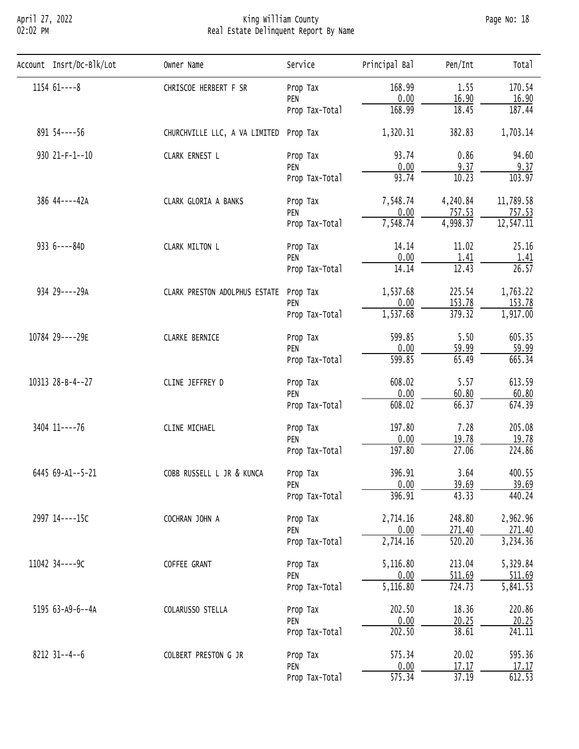# April 27, 2022 King William County Page No: 18 02:02 PM Real Estate Delinquent Report By Name

| Account Insrt/Dc-Blk/Lot | Owner Name                                                                                                                                                                                                                                                                                                                                                                                                                                                                                                                                                                                                                                                                                                                                                                                                                                                                                                                                                                                                                                                                                                                                                                                                                                                                                                                                                                                                                                                                                                | Service        | Principal Bal | Pen/Int                          | Total     |
|--------------------------|-----------------------------------------------------------------------------------------------------------------------------------------------------------------------------------------------------------------------------------------------------------------------------------------------------------------------------------------------------------------------------------------------------------------------------------------------------------------------------------------------------------------------------------------------------------------------------------------------------------------------------------------------------------------------------------------------------------------------------------------------------------------------------------------------------------------------------------------------------------------------------------------------------------------------------------------------------------------------------------------------------------------------------------------------------------------------------------------------------------------------------------------------------------------------------------------------------------------------------------------------------------------------------------------------------------------------------------------------------------------------------------------------------------------------------------------------------------------------------------------------------------|----------------|---------------|----------------------------------|-----------|
| $115461--8$              | CHRISCOE HERBERT F SR                                                                                                                                                                                                                                                                                                                                                                                                                                                                                                                                                                                                                                                                                                                                                                                                                                                                                                                                                                                                                                                                                                                                                                                                                                                                                                                                                                                                                                                                                     | Prop Tax       | 168.99        | 1.55                             | 170.54    |
|                          | 0.00<br>16.90<br>PEN<br>168.99<br>18.45<br>Prop Tax-Total<br>1,320.31<br>382.83<br>CHURCHVILLE LLC, A VA LIMITED<br>Prop Tax<br>93.74<br>0.86<br>CLARK ERNEST L<br>Prop Tax<br>0.00<br>9.37<br>PEN<br>93.74<br>10.23<br>Prop Tax-Total<br>7,548.74<br>4,240.84<br>CLARK GLORIA A BANKS<br>Prop Tax<br>0.00<br>757.53<br>PEN<br>7,548.74<br>4,998.37<br>Prop Tax-Total<br>14.14<br>11.02<br>CLARK MILTON L<br>Prop Tax<br>0.00<br>1.41<br>PEN<br>12.43<br>14.14<br>Prop Tax-Total<br>225.54<br>1,537.68<br>CLARK PRESTON ADOLPHUS ESTATE<br>Prop Tax<br>0.00<br>153.78<br>PEN<br>1,537.68<br>379.32<br>Prop Tax-Total<br>5.50<br>599.85<br><b>CLARKE BERNICE</b><br>Prop Tax<br>0.00<br>59.99<br>PEN<br>599.85<br>65.49<br>Prop Tax-Total<br>608.02<br>5.57<br>CLINE JEFFREY D<br>Prop Tax<br>0.00<br>60.80<br>PEN<br>608.02<br>66.37<br>Prop Tax-Total<br>197.80<br>7.28<br>CLINE MICHAEL<br>Prop Tax<br>0.00<br>19.78<br>PEN<br>197.80<br>27.06<br>Prop Tax-Total<br>396.91<br>3.64<br>COBB RUSSELL L JR & KUNCA<br>Prop Tax<br>0.00<br>39.69<br>PEN<br>396.91<br>43.33<br>Prop Tax-Total<br>2,714.16<br>248.80<br>COCHRAN JOHN A<br>Prop Tax<br>0.00<br>271.40<br>PEN<br>2,714.16<br>520.20<br>Prop Tax-Total<br>213.04<br>5,116.80<br>COFFEE GRANT<br>Prop Tax<br>0.00<br>511.69<br>PEN<br>5,116.80<br>724.73<br>Prop Tax-Total<br>202.50<br>18.36<br>COLARUSSO STELLA<br>Prop Tax<br>0.00<br>20.25<br>PEN<br>202.50<br>38.61<br>Prop Tax-Total<br>575.34<br>20.02<br>COLBERT PRESTON G JR<br>Prop Tax | 16.90          |               |                                  |           |
|                          |                                                                                                                                                                                                                                                                                                                                                                                                                                                                                                                                                                                                                                                                                                                                                                                                                                                                                                                                                                                                                                                                                                                                                                                                                                                                                                                                                                                                                                                                                                           | 187.44         |               |                                  |           |
| 891 54 ---- 56           |                                                                                                                                                                                                                                                                                                                                                                                                                                                                                                                                                                                                                                                                                                                                                                                                                                                                                                                                                                                                                                                                                                                                                                                                                                                                                                                                                                                                                                                                                                           |                |               |                                  | 1,703.14  |
| 930 21-F-1--10           |                                                                                                                                                                                                                                                                                                                                                                                                                                                                                                                                                                                                                                                                                                                                                                                                                                                                                                                                                                                                                                                                                                                                                                                                                                                                                                                                                                                                                                                                                                           |                |               |                                  | 94.60     |
|                          |                                                                                                                                                                                                                                                                                                                                                                                                                                                                                                                                                                                                                                                                                                                                                                                                                                                                                                                                                                                                                                                                                                                                                                                                                                                                                                                                                                                                                                                                                                           |                |               |                                  | 9.37      |
|                          |                                                                                                                                                                                                                                                                                                                                                                                                                                                                                                                                                                                                                                                                                                                                                                                                                                                                                                                                                                                                                                                                                                                                                                                                                                                                                                                                                                                                                                                                                                           | 103.97         |               |                                  |           |
| 386 44----42A            |                                                                                                                                                                                                                                                                                                                                                                                                                                                                                                                                                                                                                                                                                                                                                                                                                                                                                                                                                                                                                                                                                                                                                                                                                                                                                                                                                                                                                                                                                                           |                |               |                                  | 11,789.58 |
|                          | 757.53                                                                                                                                                                                                                                                                                                                                                                                                                                                                                                                                                                                                                                                                                                                                                                                                                                                                                                                                                                                                                                                                                                                                                                                                                                                                                                                                                                                                                                                                                                    |                |               |                                  |           |
|                          |                                                                                                                                                                                                                                                                                                                                                                                                                                                                                                                                                                                                                                                                                                                                                                                                                                                                                                                                                                                                                                                                                                                                                                                                                                                                                                                                                                                                                                                                                                           |                |               |                                  | 12,547.11 |
| 933 6----84D             |                                                                                                                                                                                                                                                                                                                                                                                                                                                                                                                                                                                                                                                                                                                                                                                                                                                                                                                                                                                                                                                                                                                                                                                                                                                                                                                                                                                                                                                                                                           |                |               |                                  | 25.16     |
|                          |                                                                                                                                                                                                                                                                                                                                                                                                                                                                                                                                                                                                                                                                                                                                                                                                                                                                                                                                                                                                                                                                                                                                                                                                                                                                                                                                                                                                                                                                                                           |                |               |                                  | 1.41      |
|                          |                                                                                                                                                                                                                                                                                                                                                                                                                                                                                                                                                                                                                                                                                                                                                                                                                                                                                                                                                                                                                                                                                                                                                                                                                                                                                                                                                                                                                                                                                                           |                |               |                                  | 26.57     |
| 934 29----29A            |                                                                                                                                                                                                                                                                                                                                                                                                                                                                                                                                                                                                                                                                                                                                                                                                                                                                                                                                                                                                                                                                                                                                                                                                                                                                                                                                                                                                                                                                                                           |                |               |                                  | 1,763.22  |
|                          |                                                                                                                                                                                                                                                                                                                                                                                                                                                                                                                                                                                                                                                                                                                                                                                                                                                                                                                                                                                                                                                                                                                                                                                                                                                                                                                                                                                                                                                                                                           |                |               |                                  | 153.78    |
|                          |                                                                                                                                                                                                                                                                                                                                                                                                                                                                                                                                                                                                                                                                                                                                                                                                                                                                                                                                                                                                                                                                                                                                                                                                                                                                                                                                                                                                                                                                                                           |                |               |                                  | 1,917.00  |
| 10784 29----29E          |                                                                                                                                                                                                                                                                                                                                                                                                                                                                                                                                                                                                                                                                                                                                                                                                                                                                                                                                                                                                                                                                                                                                                                                                                                                                                                                                                                                                                                                                                                           |                |               |                                  | 605.35    |
|                          |                                                                                                                                                                                                                                                                                                                                                                                                                                                                                                                                                                                                                                                                                                                                                                                                                                                                                                                                                                                                                                                                                                                                                                                                                                                                                                                                                                                                                                                                                                           |                |               |                                  | 59.99     |
|                          |                                                                                                                                                                                                                                                                                                                                                                                                                                                                                                                                                                                                                                                                                                                                                                                                                                                                                                                                                                                                                                                                                                                                                                                                                                                                                                                                                                                                                                                                                                           |                |               |                                  | 665.34    |
| 10313 28-B-4--27         |                                                                                                                                                                                                                                                                                                                                                                                                                                                                                                                                                                                                                                                                                                                                                                                                                                                                                                                                                                                                                                                                                                                                                                                                                                                                                                                                                                                                                                                                                                           |                |               |                                  | 613.59    |
|                          |                                                                                                                                                                                                                                                                                                                                                                                                                                                                                                                                                                                                                                                                                                                                                                                                                                                                                                                                                                                                                                                                                                                                                                                                                                                                                                                                                                                                                                                                                                           |                |               |                                  | 60.80     |
|                          |                                                                                                                                                                                                                                                                                                                                                                                                                                                                                                                                                                                                                                                                                                                                                                                                                                                                                                                                                                                                                                                                                                                                                                                                                                                                                                                                                                                                                                                                                                           |                |               |                                  | 674.39    |
| 3404 11----76            |                                                                                                                                                                                                                                                                                                                                                                                                                                                                                                                                                                                                                                                                                                                                                                                                                                                                                                                                                                                                                                                                                                                                                                                                                                                                                                                                                                                                                                                                                                           |                |               |                                  | 205.08    |
|                          |                                                                                                                                                                                                                                                                                                                                                                                                                                                                                                                                                                                                                                                                                                                                                                                                                                                                                                                                                                                                                                                                                                                                                                                                                                                                                                                                                                                                                                                                                                           | 19.78          |               |                                  |           |
|                          |                                                                                                                                                                                                                                                                                                                                                                                                                                                                                                                                                                                                                                                                                                                                                                                                                                                                                                                                                                                                                                                                                                                                                                                                                                                                                                                                                                                                                                                                                                           | 224.86         |               |                                  |           |
| 6445 69-A1--5-21         |                                                                                                                                                                                                                                                                                                                                                                                                                                                                                                                                                                                                                                                                                                                                                                                                                                                                                                                                                                                                                                                                                                                                                                                                                                                                                                                                                                                                                                                                                                           |                |               |                                  | 400.55    |
|                          |                                                                                                                                                                                                                                                                                                                                                                                                                                                                                                                                                                                                                                                                                                                                                                                                                                                                                                                                                                                                                                                                                                                                                                                                                                                                                                                                                                                                                                                                                                           |                |               | 0.00<br>17.17<br>575.34<br>37.19 | 39.69     |
|                          |                                                                                                                                                                                                                                                                                                                                                                                                                                                                                                                                                                                                                                                                                                                                                                                                                                                                                                                                                                                                                                                                                                                                                                                                                                                                                                                                                                                                                                                                                                           |                |               |                                  | 440.24    |
| 2997 14----15C           |                                                                                                                                                                                                                                                                                                                                                                                                                                                                                                                                                                                                                                                                                                                                                                                                                                                                                                                                                                                                                                                                                                                                                                                                                                                                                                                                                                                                                                                                                                           |                |               |                                  | 2,962.96  |
|                          |                                                                                                                                                                                                                                                                                                                                                                                                                                                                                                                                                                                                                                                                                                                                                                                                                                                                                                                                                                                                                                                                                                                                                                                                                                                                                                                                                                                                                                                                                                           |                |               |                                  | 271.40    |
|                          |                                                                                                                                                                                                                                                                                                                                                                                                                                                                                                                                                                                                                                                                                                                                                                                                                                                                                                                                                                                                                                                                                                                                                                                                                                                                                                                                                                                                                                                                                                           |                |               |                                  | 3,234.36  |
| 11042 34----9C           |                                                                                                                                                                                                                                                                                                                                                                                                                                                                                                                                                                                                                                                                                                                                                                                                                                                                                                                                                                                                                                                                                                                                                                                                                                                                                                                                                                                                                                                                                                           |                |               |                                  | 5,329.84  |
|                          |                                                                                                                                                                                                                                                                                                                                                                                                                                                                                                                                                                                                                                                                                                                                                                                                                                                                                                                                                                                                                                                                                                                                                                                                                                                                                                                                                                                                                                                                                                           |                |               |                                  | 511.69    |
|                          |                                                                                                                                                                                                                                                                                                                                                                                                                                                                                                                                                                                                                                                                                                                                                                                                                                                                                                                                                                                                                                                                                                                                                                                                                                                                                                                                                                                                                                                                                                           |                |               |                                  | 5,841.53  |
| 5195 63-A9-6--4A         |                                                                                                                                                                                                                                                                                                                                                                                                                                                                                                                                                                                                                                                                                                                                                                                                                                                                                                                                                                                                                                                                                                                                                                                                                                                                                                                                                                                                                                                                                                           |                |               |                                  | 220.86    |
|                          |                                                                                                                                                                                                                                                                                                                                                                                                                                                                                                                                                                                                                                                                                                                                                                                                                                                                                                                                                                                                                                                                                                                                                                                                                                                                                                                                                                                                                                                                                                           |                |               |                                  | 20.25     |
|                          |                                                                                                                                                                                                                                                                                                                                                                                                                                                                                                                                                                                                                                                                                                                                                                                                                                                                                                                                                                                                                                                                                                                                                                                                                                                                                                                                                                                                                                                                                                           |                |               |                                  | 241.11    |
| $8212$ 31--4--6          |                                                                                                                                                                                                                                                                                                                                                                                                                                                                                                                                                                                                                                                                                                                                                                                                                                                                                                                                                                                                                                                                                                                                                                                                                                                                                                                                                                                                                                                                                                           |                |               |                                  | 595.36    |
|                          |                                                                                                                                                                                                                                                                                                                                                                                                                                                                                                                                                                                                                                                                                                                                                                                                                                                                                                                                                                                                                                                                                                                                                                                                                                                                                                                                                                                                                                                                                                           | PEN            |               |                                  | 17.17     |
|                          |                                                                                                                                                                                                                                                                                                                                                                                                                                                                                                                                                                                                                                                                                                                                                                                                                                                                                                                                                                                                                                                                                                                                                                                                                                                                                                                                                                                                                                                                                                           | Prop Tax-Total |               |                                  | 612.53    |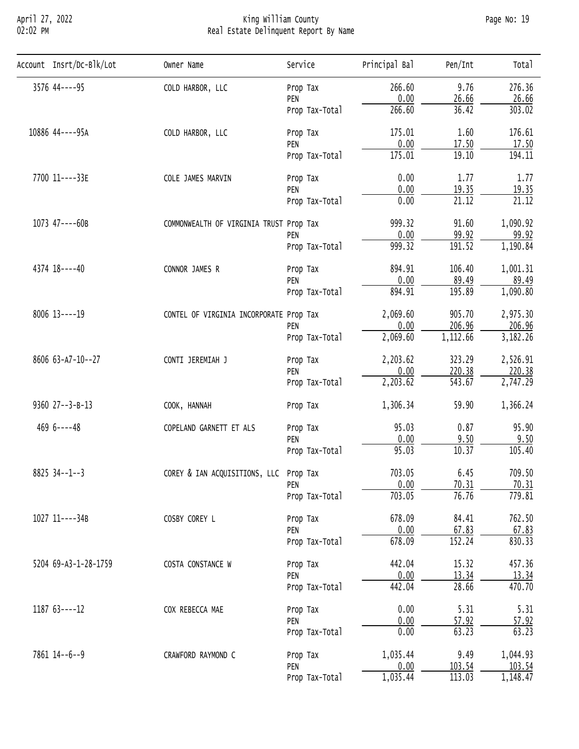# April 27, 2022 King William County Page No: 19 02:02 PM Real Estate Delinquent Report By Name

| Account Insrt/Dc-Blk/Lot            | Owner Name                                                                                                                                                                                                                                                                                                                                                                                                                                                                                                                                                                                                                                                                                                                                                                                                                                                                                                                                                                                                                                                                                                                                                                                                                                                                                                                                                                                                                     | Service                                                                                                                                                                                                                  | Principal Bal | Pen/Int | Total    |
|-------------------------------------|--------------------------------------------------------------------------------------------------------------------------------------------------------------------------------------------------------------------------------------------------------------------------------------------------------------------------------------------------------------------------------------------------------------------------------------------------------------------------------------------------------------------------------------------------------------------------------------------------------------------------------------------------------------------------------------------------------------------------------------------------------------------------------------------------------------------------------------------------------------------------------------------------------------------------------------------------------------------------------------------------------------------------------------------------------------------------------------------------------------------------------------------------------------------------------------------------------------------------------------------------------------------------------------------------------------------------------------------------------------------------------------------------------------------------------|--------------------------------------------------------------------------------------------------------------------------------------------------------------------------------------------------------------------------|---------------|---------|----------|
| 3576 44----95                       | COLD HARBOR, LLC                                                                                                                                                                                                                                                                                                                                                                                                                                                                                                                                                                                                                                                                                                                                                                                                                                                                                                                                                                                                                                                                                                                                                                                                                                                                                                                                                                                                               | Prop Tax                                                                                                                                                                                                                 | 266.60        | 9.76    | 276.36   |
|                                     |                                                                                                                                                                                                                                                                                                                                                                                                                                                                                                                                                                                                                                                                                                                                                                                                                                                                                                                                                                                                                                                                                                                                                                                                                                                                                                                                                                                                                                | PEN                                                                                                                                                                                                                      |               |         | 26.66    |
|                                     |                                                                                                                                                                                                                                                                                                                                                                                                                                                                                                                                                                                                                                                                                                                                                                                                                                                                                                                                                                                                                                                                                                                                                                                                                                                                                                                                                                                                                                |                                                                                                                                                                                                                          |               |         | 303.02   |
| 10886 44----95A<br>COLD HARBOR, LLC | Prop Tax                                                                                                                                                                                                                                                                                                                                                                                                                                                                                                                                                                                                                                                                                                                                                                                                                                                                                                                                                                                                                                                                                                                                                                                                                                                                                                                                                                                                                       | 175.01                                                                                                                                                                                                                   | 1.60          |         |          |
|                                     | 0.00<br>26.66<br>266.60<br>36.42<br>Prop Tax-Total<br>0.00<br>17.50<br>PEN<br>175.01<br>19.10<br>Prop Tax-Total<br>0.00<br>1.77<br>COLE JAMES MARVIN<br>Prop Tax<br>0.00<br>19.35<br>PEN<br>0.00<br>21.12<br>Prop Tax-Total<br>999.32<br>91.60<br>COMMONWEALTH OF VIRGINIA TRUST Prop Tax<br>0.00<br>99.92<br>PEN<br>191.52<br>999.32<br>Prop Tax-Total<br>894.91<br>106.40<br>CONNOR JAMES R<br>Prop Tax<br>0.00<br>89.49<br>PEN<br>894.91<br>195.89<br>Prop Tax-Total<br>2,069.60<br>905.70<br>CONTEL OF VIRGINIA INCORPORATE Prop Tax<br>206.96<br>0.00<br>PEN<br>2,069.60<br>1,112.66<br>Prop Tax-Total<br>2,203.62<br>323.29<br>CONTI JEREMIAH J<br>Prop Tax<br>0.00<br>220.38<br>PEN<br>2,203.62<br>543.67<br>Prop Tax-Total<br>1,306.34<br>59.90<br>COOK, HANNAH<br>Prop Tax<br>95.03<br>0.87<br>COPELAND GARNETT ET ALS<br>Prop Tax<br>0.00<br>9.50<br>PEN<br>95.03<br>10.37<br>Prop Tax-Total<br>703.05<br>COREY & IAN ACQUISITIONS, LLC Prop Tax<br>6.45<br>0.00<br>70.31<br>PEN<br>703.05<br>76.76<br>Prop Tax-Total<br>COSBY COREY L<br>84.41<br>678.09<br>Prop Tax<br>0.00<br>67.83<br>PEN<br>152.24<br>678.09<br>Prop Tax-Total<br>442.04<br>15.32<br>COSTA CONSTANCE W<br>Prop Tax<br>0.00<br>13.34<br>PEN<br>442.04<br>28.66<br>Prop Tax-Total<br>0.00<br>5.31<br>COX REBECCA MAE<br>Prop Tax<br>0.00<br>57.92<br>PEN<br>63.23<br>0.00<br>Prop Tax-Total<br>1,035.44<br>9.49<br>CRAWFORD RAYMOND C<br>Prop Tax |                                                                                                                                                                                                                          |               |         |          |
|                                     |                                                                                                                                                                                                                                                                                                                                                                                                                                                                                                                                                                                                                                                                                                                                                                                                                                                                                                                                                                                                                                                                                                                                                                                                                                                                                                                                                                                                                                |                                                                                                                                                                                                                          |               |         |          |
| 7700 11----33E                      |                                                                                                                                                                                                                                                                                                                                                                                                                                                                                                                                                                                                                                                                                                                                                                                                                                                                                                                                                                                                                                                                                                                                                                                                                                                                                                                                                                                                                                |                                                                                                                                                                                                                          |               |         | 1.77     |
|                                     |                                                                                                                                                                                                                                                                                                                                                                                                                                                                                                                                                                                                                                                                                                                                                                                                                                                                                                                                                                                                                                                                                                                                                                                                                                                                                                                                                                                                                                | 176.61<br>17.50<br>194.11<br>19.35<br>21.12<br>1,090.92<br>99.92<br>1,190.84<br>1,001.31<br>89.49<br>1,090.80<br>2,975.30<br>206.96<br>3,182.26<br>2,526.91<br>220.38<br>2,747.29<br>1,366.24<br>95.90<br>9.50<br>105.40 |               |         |          |
|                                     |                                                                                                                                                                                                                                                                                                                                                                                                                                                                                                                                                                                                                                                                                                                                                                                                                                                                                                                                                                                                                                                                                                                                                                                                                                                                                                                                                                                                                                |                                                                                                                                                                                                                          |               |         |          |
| 1073 47----60B                      |                                                                                                                                                                                                                                                                                                                                                                                                                                                                                                                                                                                                                                                                                                                                                                                                                                                                                                                                                                                                                                                                                                                                                                                                                                                                                                                                                                                                                                |                                                                                                                                                                                                                          |               |         |          |
|                                     |                                                                                                                                                                                                                                                                                                                                                                                                                                                                                                                                                                                                                                                                                                                                                                                                                                                                                                                                                                                                                                                                                                                                                                                                                                                                                                                                                                                                                                |                                                                                                                                                                                                                          |               |         |          |
|                                     |                                                                                                                                                                                                                                                                                                                                                                                                                                                                                                                                                                                                                                                                                                                                                                                                                                                                                                                                                                                                                                                                                                                                                                                                                                                                                                                                                                                                                                |                                                                                                                                                                                                                          |               |         |          |
| 4374 18----40                       |                                                                                                                                                                                                                                                                                                                                                                                                                                                                                                                                                                                                                                                                                                                                                                                                                                                                                                                                                                                                                                                                                                                                                                                                                                                                                                                                                                                                                                |                                                                                                                                                                                                                          |               |         |          |
|                                     |                                                                                                                                                                                                                                                                                                                                                                                                                                                                                                                                                                                                                                                                                                                                                                                                                                                                                                                                                                                                                                                                                                                                                                                                                                                                                                                                                                                                                                | 0.00<br>103.54<br>PEN<br>113.03<br>1,035.44<br>Prop Tax-Total                                                                                                                                                            |               |         |          |
| $8006$ 13----19                     |                                                                                                                                                                                                                                                                                                                                                                                                                                                                                                                                                                                                                                                                                                                                                                                                                                                                                                                                                                                                                                                                                                                                                                                                                                                                                                                                                                                                                                |                                                                                                                                                                                                                          |               |         |          |
| 8606 63-A7-10--27                   |                                                                                                                                                                                                                                                                                                                                                                                                                                                                                                                                                                                                                                                                                                                                                                                                                                                                                                                                                                                                                                                                                                                                                                                                                                                                                                                                                                                                                                |                                                                                                                                                                                                                          |               |         |          |
|                                     |                                                                                                                                                                                                                                                                                                                                                                                                                                                                                                                                                                                                                                                                                                                                                                                                                                                                                                                                                                                                                                                                                                                                                                                                                                                                                                                                                                                                                                |                                                                                                                                                                                                                          |               |         |          |
|                                     |                                                                                                                                                                                                                                                                                                                                                                                                                                                                                                                                                                                                                                                                                                                                                                                                                                                                                                                                                                                                                                                                                                                                                                                                                                                                                                                                                                                                                                |                                                                                                                                                                                                                          |               |         |          |
|                                     |                                                                                                                                                                                                                                                                                                                                                                                                                                                                                                                                                                                                                                                                                                                                                                                                                                                                                                                                                                                                                                                                                                                                                                                                                                                                                                                                                                                                                                |                                                                                                                                                                                                                          |               |         |          |
|                                     |                                                                                                                                                                                                                                                                                                                                                                                                                                                                                                                                                                                                                                                                                                                                                                                                                                                                                                                                                                                                                                                                                                                                                                                                                                                                                                                                                                                                                                |                                                                                                                                                                                                                          |               |         |          |
|                                     |                                                                                                                                                                                                                                                                                                                                                                                                                                                                                                                                                                                                                                                                                                                                                                                                                                                                                                                                                                                                                                                                                                                                                                                                                                                                                                                                                                                                                                |                                                                                                                                                                                                                          |               |         |          |
| 9360 27--3-B-13                     |                                                                                                                                                                                                                                                                                                                                                                                                                                                                                                                                                                                                                                                                                                                                                                                                                                                                                                                                                                                                                                                                                                                                                                                                                                                                                                                                                                                                                                |                                                                                                                                                                                                                          |               |         |          |
| $4696---48$                         |                                                                                                                                                                                                                                                                                                                                                                                                                                                                                                                                                                                                                                                                                                                                                                                                                                                                                                                                                                                                                                                                                                                                                                                                                                                                                                                                                                                                                                |                                                                                                                                                                                                                          |               |         |          |
|                                     |                                                                                                                                                                                                                                                                                                                                                                                                                                                                                                                                                                                                                                                                                                                                                                                                                                                                                                                                                                                                                                                                                                                                                                                                                                                                                                                                                                                                                                |                                                                                                                                                                                                                          |               |         |          |
|                                     |                                                                                                                                                                                                                                                                                                                                                                                                                                                                                                                                                                                                                                                                                                                                                                                                                                                                                                                                                                                                                                                                                                                                                                                                                                                                                                                                                                                                                                |                                                                                                                                                                                                                          |               |         |          |
| $8825$ 34--1--3                     |                                                                                                                                                                                                                                                                                                                                                                                                                                                                                                                                                                                                                                                                                                                                                                                                                                                                                                                                                                                                                                                                                                                                                                                                                                                                                                                                                                                                                                |                                                                                                                                                                                                                          |               | 709.50  |          |
|                                     |                                                                                                                                                                                                                                                                                                                                                                                                                                                                                                                                                                                                                                                                                                                                                                                                                                                                                                                                                                                                                                                                                                                                                                                                                                                                                                                                                                                                                                |                                                                                                                                                                                                                          |               |         | 70.31    |
|                                     |                                                                                                                                                                                                                                                                                                                                                                                                                                                                                                                                                                                                                                                                                                                                                                                                                                                                                                                                                                                                                                                                                                                                                                                                                                                                                                                                                                                                                                |                                                                                                                                                                                                                          |               |         | 779.81   |
| 1027 11----34B                      |                                                                                                                                                                                                                                                                                                                                                                                                                                                                                                                                                                                                                                                                                                                                                                                                                                                                                                                                                                                                                                                                                                                                                                                                                                                                                                                                                                                                                                |                                                                                                                                                                                                                          |               |         | 762.50   |
|                                     |                                                                                                                                                                                                                                                                                                                                                                                                                                                                                                                                                                                                                                                                                                                                                                                                                                                                                                                                                                                                                                                                                                                                                                                                                                                                                                                                                                                                                                |                                                                                                                                                                                                                          |               |         | 67.83    |
|                                     |                                                                                                                                                                                                                                                                                                                                                                                                                                                                                                                                                                                                                                                                                                                                                                                                                                                                                                                                                                                                                                                                                                                                                                                                                                                                                                                                                                                                                                |                                                                                                                                                                                                                          |               |         | 830.33   |
| 5204 69-A3-1-28-1759                |                                                                                                                                                                                                                                                                                                                                                                                                                                                                                                                                                                                                                                                                                                                                                                                                                                                                                                                                                                                                                                                                                                                                                                                                                                                                                                                                                                                                                                |                                                                                                                                                                                                                          |               |         | 457.36   |
|                                     |                                                                                                                                                                                                                                                                                                                                                                                                                                                                                                                                                                                                                                                                                                                                                                                                                                                                                                                                                                                                                                                                                                                                                                                                                                                                                                                                                                                                                                |                                                                                                                                                                                                                          |               |         | 13.34    |
|                                     |                                                                                                                                                                                                                                                                                                                                                                                                                                                                                                                                                                                                                                                                                                                                                                                                                                                                                                                                                                                                                                                                                                                                                                                                                                                                                                                                                                                                                                |                                                                                                                                                                                                                          |               |         | 470.70   |
| 1187 63----12                       |                                                                                                                                                                                                                                                                                                                                                                                                                                                                                                                                                                                                                                                                                                                                                                                                                                                                                                                                                                                                                                                                                                                                                                                                                                                                                                                                                                                                                                |                                                                                                                                                                                                                          |               |         | 5.31     |
|                                     |                                                                                                                                                                                                                                                                                                                                                                                                                                                                                                                                                                                                                                                                                                                                                                                                                                                                                                                                                                                                                                                                                                                                                                                                                                                                                                                                                                                                                                |                                                                                                                                                                                                                          |               |         | 57.92    |
|                                     |                                                                                                                                                                                                                                                                                                                                                                                                                                                                                                                                                                                                                                                                                                                                                                                                                                                                                                                                                                                                                                                                                                                                                                                                                                                                                                                                                                                                                                |                                                                                                                                                                                                                          |               |         | 63.23    |
| 7861 14--6--9                       |                                                                                                                                                                                                                                                                                                                                                                                                                                                                                                                                                                                                                                                                                                                                                                                                                                                                                                                                                                                                                                                                                                                                                                                                                                                                                                                                                                                                                                |                                                                                                                                                                                                                          |               |         | 1,044.93 |
|                                     |                                                                                                                                                                                                                                                                                                                                                                                                                                                                                                                                                                                                                                                                                                                                                                                                                                                                                                                                                                                                                                                                                                                                                                                                                                                                                                                                                                                                                                |                                                                                                                                                                                                                          |               |         | 103.54   |
|                                     |                                                                                                                                                                                                                                                                                                                                                                                                                                                                                                                                                                                                                                                                                                                                                                                                                                                                                                                                                                                                                                                                                                                                                                                                                                                                                                                                                                                                                                |                                                                                                                                                                                                                          |               |         | 1,148.47 |
|                                     |                                                                                                                                                                                                                                                                                                                                                                                                                                                                                                                                                                                                                                                                                                                                                                                                                                                                                                                                                                                                                                                                                                                                                                                                                                                                                                                                                                                                                                |                                                                                                                                                                                                                          |               |         |          |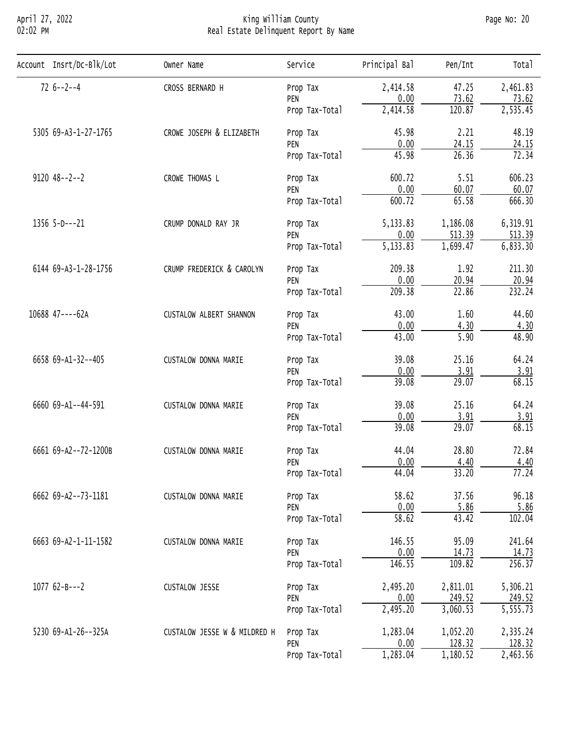# April 27, 2022 King William County Page No: 20 02:02 PM Real Estate Delinquent Report By Name

| Account Insrt/Dc-Blk/Lot | Owner Name                                                                                                                                                                                                                                                                                                                                                                                                                                                                                                                                                                                                                                                                                                                                                                                                                                                                                                                                                                                                                                                                                                                                                                                                                                                                                                                                                                                           | Service        | Principal Bal                          | Pen/Int | Total    |
|--------------------------|------------------------------------------------------------------------------------------------------------------------------------------------------------------------------------------------------------------------------------------------------------------------------------------------------------------------------------------------------------------------------------------------------------------------------------------------------------------------------------------------------------------------------------------------------------------------------------------------------------------------------------------------------------------------------------------------------------------------------------------------------------------------------------------------------------------------------------------------------------------------------------------------------------------------------------------------------------------------------------------------------------------------------------------------------------------------------------------------------------------------------------------------------------------------------------------------------------------------------------------------------------------------------------------------------------------------------------------------------------------------------------------------------|----------------|----------------------------------------|---------|----------|
| $726 - -2 - -4$          | CROSS BERNARD H                                                                                                                                                                                                                                                                                                                                                                                                                                                                                                                                                                                                                                                                                                                                                                                                                                                                                                                                                                                                                                                                                                                                                                                                                                                                                                                                                                                      | Prop Tax       | 2,414.58                               | 47.25   | 2,461.83 |
|                          |                                                                                                                                                                                                                                                                                                                                                                                                                                                                                                                                                                                                                                                                                                                                                                                                                                                                                                                                                                                                                                                                                                                                                                                                                                                                                                                                                                                                      | PEN            |                                        |         | 73.62    |
|                          |                                                                                                                                                                                                                                                                                                                                                                                                                                                                                                                                                                                                                                                                                                                                                                                                                                                                                                                                                                                                                                                                                                                                                                                                                                                                                                                                                                                                      | Prop Tax-Total |                                        |         | 2,535.45 |
| 5305 69-A3-1-27-1765     | CROWE JOSEPH & ELIZABETH                                                                                                                                                                                                                                                                                                                                                                                                                                                                                                                                                                                                                                                                                                                                                                                                                                                                                                                                                                                                                                                                                                                                                                                                                                                                                                                                                                             | Prop Tax       | 45.98                                  | 2.21    | 48.19    |
|                          | 0.00<br>73.62<br>2,414.58<br>120.87<br>0.00<br>24.15<br>PEN<br>45.98<br>26.36<br>Prop Tax-Total<br>600.72<br>5.51<br>CROWE THOMAS L<br>Prop Tax<br>0.00<br>60.07<br>PEN<br>65.58<br>600.72<br>Prop Tax-Total<br>5,133.83<br>1,186.08<br>CRUMP DONALD RAY JR<br>Prop Tax<br>513.39<br>0.00<br>PEN<br>$\overline{5,133.83}$<br>1,699.47<br>Prop Tax-Total<br>CRUMP FREDERICK & CAROLYN<br>209.38<br>1.92<br>Prop Tax<br>0.00<br>20.94<br>PEN<br>22.86<br>209.38<br>Prop Tax-Total<br>43.00<br>1.60<br>CUSTALOW ALBERT SHANNON<br>Prop Tax<br>0.00<br>4.30<br>PEN<br>5.90<br>43.00<br>Prop Tax-Total<br>39.08<br>25.16<br>CUSTALOW DONNA MARIE<br>Prop Tax<br>3.91<br>0.00<br>PEN<br>39.08<br>29.07<br>Prop Tax-Total<br>39.08<br>25.16<br>CUSTALOW DONNA MARIE<br>Prop Tax<br>3.91<br>0.00<br>PEN<br>39.08<br>29.07<br>Prop Tax-Total<br>44.04<br>28.80<br>CUSTALOW DONNA MARIE<br>Prop Tax<br>0.00<br>4.40<br>PEN<br>33.20<br>44.04<br>Prop Tax-Total<br>58.62<br>37.56<br>CUSTALOW DONNA MARIE<br>Prop Tax<br>0.00<br>5.86<br>PEN<br>$\overline{58.62}$<br>43.42<br>Prop Tax-Total<br>146.55<br>95.09<br>CUSTALOW DONNA MARIE<br>Prop Tax<br>0.00<br>14.73<br>PEN<br>146.55<br>109.82<br>Prop Tax-Total<br>2,495.20<br>2,811.01<br>CUSTALOW JESSE<br>Prop Tax<br>0.00<br>249.52<br>PEN<br>2,495.20<br>3,060.53<br>Prop Tax-Total<br>CUSTALOW JESSE W & MILDRED H<br>1,283.04<br>1,052.20<br>Prop Tax | 24.15          |                                        |         |          |
|                          |                                                                                                                                                                                                                                                                                                                                                                                                                                                                                                                                                                                                                                                                                                                                                                                                                                                                                                                                                                                                                                                                                                                                                                                                                                                                                                                                                                                                      | 72.34          |                                        |         |          |
| $9120$ $48--2--2$        |                                                                                                                                                                                                                                                                                                                                                                                                                                                                                                                                                                                                                                                                                                                                                                                                                                                                                                                                                                                                                                                                                                                                                                                                                                                                                                                                                                                                      | 606.23         |                                        |         |          |
|                          |                                                                                                                                                                                                                                                                                                                                                                                                                                                                                                                                                                                                                                                                                                                                                                                                                                                                                                                                                                                                                                                                                                                                                                                                                                                                                                                                                                                                      |                | 60.07                                  |         |          |
|                          |                                                                                                                                                                                                                                                                                                                                                                                                                                                                                                                                                                                                                                                                                                                                                                                                                                                                                                                                                                                                                                                                                                                                                                                                                                                                                                                                                                                                      |                |                                        |         | 666.30   |
| $1356$ 5-D---21          |                                                                                                                                                                                                                                                                                                                                                                                                                                                                                                                                                                                                                                                                                                                                                                                                                                                                                                                                                                                                                                                                                                                                                                                                                                                                                                                                                                                                      |                |                                        |         | 6,319.91 |
|                          |                                                                                                                                                                                                                                                                                                                                                                                                                                                                                                                                                                                                                                                                                                                                                                                                                                                                                                                                                                                                                                                                                                                                                                                                                                                                                                                                                                                                      |                |                                        |         | 513.39   |
|                          |                                                                                                                                                                                                                                                                                                                                                                                                                                                                                                                                                                                                                                                                                                                                                                                                                                                                                                                                                                                                                                                                                                                                                                                                                                                                                                                                                                                                      |                |                                        |         | 6,833.30 |
| 6144 69-A3-1-28-1756     |                                                                                                                                                                                                                                                                                                                                                                                                                                                                                                                                                                                                                                                                                                                                                                                                                                                                                                                                                                                                                                                                                                                                                                                                                                                                                                                                                                                                      |                |                                        |         | 211.30   |
|                          |                                                                                                                                                                                                                                                                                                                                                                                                                                                                                                                                                                                                                                                                                                                                                                                                                                                                                                                                                                                                                                                                                                                                                                                                                                                                                                                                                                                                      |                |                                        |         | 20.94    |
|                          |                                                                                                                                                                                                                                                                                                                                                                                                                                                                                                                                                                                                                                                                                                                                                                                                                                                                                                                                                                                                                                                                                                                                                                                                                                                                                                                                                                                                      |                |                                        |         | 232.24   |
| 10688 47----62A          |                                                                                                                                                                                                                                                                                                                                                                                                                                                                                                                                                                                                                                                                                                                                                                                                                                                                                                                                                                                                                                                                                                                                                                                                                                                                                                                                                                                                      |                |                                        |         | 44.60    |
|                          |                                                                                                                                                                                                                                                                                                                                                                                                                                                                                                                                                                                                                                                                                                                                                                                                                                                                                                                                                                                                                                                                                                                                                                                                                                                                                                                                                                                                      |                |                                        |         | 4.30     |
|                          |                                                                                                                                                                                                                                                                                                                                                                                                                                                                                                                                                                                                                                                                                                                                                                                                                                                                                                                                                                                                                                                                                                                                                                                                                                                                                                                                                                                                      |                |                                        |         | 48.90    |
| 6658 69-A1-32--405       |                                                                                                                                                                                                                                                                                                                                                                                                                                                                                                                                                                                                                                                                                                                                                                                                                                                                                                                                                                                                                                                                                                                                                                                                                                                                                                                                                                                                      |                |                                        |         | 64.24    |
|                          |                                                                                                                                                                                                                                                                                                                                                                                                                                                                                                                                                                                                                                                                                                                                                                                                                                                                                                                                                                                                                                                                                                                                                                                                                                                                                                                                                                                                      |                |                                        |         | 3.91     |
|                          |                                                                                                                                                                                                                                                                                                                                                                                                                                                                                                                                                                                                                                                                                                                                                                                                                                                                                                                                                                                                                                                                                                                                                                                                                                                                                                                                                                                                      |                |                                        |         | 68.15    |
| 6660 69-A1--44-591       |                                                                                                                                                                                                                                                                                                                                                                                                                                                                                                                                                                                                                                                                                                                                                                                                                                                                                                                                                                                                                                                                                                                                                                                                                                                                                                                                                                                                      |                | 64.24                                  |         |          |
|                          |                                                                                                                                                                                                                                                                                                                                                                                                                                                                                                                                                                                                                                                                                                                                                                                                                                                                                                                                                                                                                                                                                                                                                                                                                                                                                                                                                                                                      |                | 0.00<br>128.32<br>1,283.04<br>1,180.52 | 3.91    |          |
|                          |                                                                                                                                                                                                                                                                                                                                                                                                                                                                                                                                                                                                                                                                                                                                                                                                                                                                                                                                                                                                                                                                                                                                                                                                                                                                                                                                                                                                      |                |                                        |         | 68.15    |
| 6661 69-A2--72-1200B     |                                                                                                                                                                                                                                                                                                                                                                                                                                                                                                                                                                                                                                                                                                                                                                                                                                                                                                                                                                                                                                                                                                                                                                                                                                                                                                                                                                                                      |                |                                        |         | 72.84    |
|                          |                                                                                                                                                                                                                                                                                                                                                                                                                                                                                                                                                                                                                                                                                                                                                                                                                                                                                                                                                                                                                                                                                                                                                                                                                                                                                                                                                                                                      |                | 4.40                                   |         |          |
|                          |                                                                                                                                                                                                                                                                                                                                                                                                                                                                                                                                                                                                                                                                                                                                                                                                                                                                                                                                                                                                                                                                                                                                                                                                                                                                                                                                                                                                      |                |                                        |         | 77.24    |
| 6662 69-A2--73-1181      |                                                                                                                                                                                                                                                                                                                                                                                                                                                                                                                                                                                                                                                                                                                                                                                                                                                                                                                                                                                                                                                                                                                                                                                                                                                                                                                                                                                                      |                |                                        |         | 96.18    |
|                          |                                                                                                                                                                                                                                                                                                                                                                                                                                                                                                                                                                                                                                                                                                                                                                                                                                                                                                                                                                                                                                                                                                                                                                                                                                                                                                                                                                                                      |                |                                        |         | 5.86     |
|                          |                                                                                                                                                                                                                                                                                                                                                                                                                                                                                                                                                                                                                                                                                                                                                                                                                                                                                                                                                                                                                                                                                                                                                                                                                                                                                                                                                                                                      |                |                                        |         | 102.04   |
| 6663 69-A2-1-11-1582     |                                                                                                                                                                                                                                                                                                                                                                                                                                                                                                                                                                                                                                                                                                                                                                                                                                                                                                                                                                                                                                                                                                                                                                                                                                                                                                                                                                                                      |                |                                        |         | 241.64   |
|                          |                                                                                                                                                                                                                                                                                                                                                                                                                                                                                                                                                                                                                                                                                                                                                                                                                                                                                                                                                                                                                                                                                                                                                                                                                                                                                                                                                                                                      |                |                                        |         | 14.73    |
|                          |                                                                                                                                                                                                                                                                                                                                                                                                                                                                                                                                                                                                                                                                                                                                                                                                                                                                                                                                                                                                                                                                                                                                                                                                                                                                                                                                                                                                      |                |                                        |         | 256.37   |
| $107762 - B - -2$        |                                                                                                                                                                                                                                                                                                                                                                                                                                                                                                                                                                                                                                                                                                                                                                                                                                                                                                                                                                                                                                                                                                                                                                                                                                                                                                                                                                                                      |                |                                        |         | 5,306.21 |
|                          |                                                                                                                                                                                                                                                                                                                                                                                                                                                                                                                                                                                                                                                                                                                                                                                                                                                                                                                                                                                                                                                                                                                                                                                                                                                                                                                                                                                                      |                |                                        |         | 249.52   |
|                          |                                                                                                                                                                                                                                                                                                                                                                                                                                                                                                                                                                                                                                                                                                                                                                                                                                                                                                                                                                                                                                                                                                                                                                                                                                                                                                                                                                                                      |                |                                        |         | 5,555.73 |
| 5230 69-A1-26--325A      |                                                                                                                                                                                                                                                                                                                                                                                                                                                                                                                                                                                                                                                                                                                                                                                                                                                                                                                                                                                                                                                                                                                                                                                                                                                                                                                                                                                                      |                |                                        |         | 2,335.24 |
|                          |                                                                                                                                                                                                                                                                                                                                                                                                                                                                                                                                                                                                                                                                                                                                                                                                                                                                                                                                                                                                                                                                                                                                                                                                                                                                                                                                                                                                      | PEN            |                                        |         | 128.32   |
|                          |                                                                                                                                                                                                                                                                                                                                                                                                                                                                                                                                                                                                                                                                                                                                                                                                                                                                                                                                                                                                                                                                                                                                                                                                                                                                                                                                                                                                      | Prop Tax-Total |                                        |         | 2,463.56 |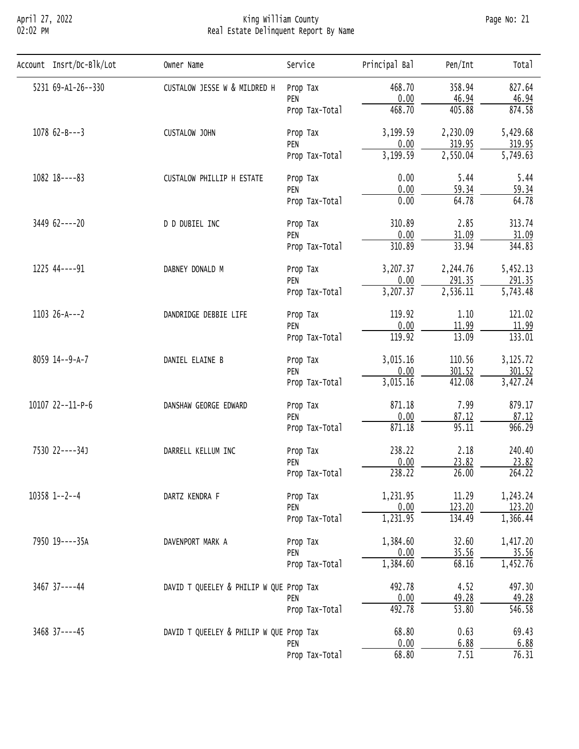#### April 27, 2022 King William County Page No: 21 02:02 PM Real Estate Delinquent Report By Name

| Account Insrt/Dc-Blk/Lot | Owner Name                                                                                                                                                                                                                                                                                                                                                                                                                                                                                                                                                                                                                                                                                                                                                                                                                                                                                                                                                                                                                                                                                                                                                                                                                                                                                                                                                 | Service                                                                                                                                                                       | Principal Bal                  | Pen/Int               | Total    |
|--------------------------|------------------------------------------------------------------------------------------------------------------------------------------------------------------------------------------------------------------------------------------------------------------------------------------------------------------------------------------------------------------------------------------------------------------------------------------------------------------------------------------------------------------------------------------------------------------------------------------------------------------------------------------------------------------------------------------------------------------------------------------------------------------------------------------------------------------------------------------------------------------------------------------------------------------------------------------------------------------------------------------------------------------------------------------------------------------------------------------------------------------------------------------------------------------------------------------------------------------------------------------------------------------------------------------------------------------------------------------------------------|-------------------------------------------------------------------------------------------------------------------------------------------------------------------------------|--------------------------------|-----------------------|----------|
| 5231 69-A1-26--330       | CUSTALOW JESSE W & MILDRED H<br>468.70<br>358.94<br>Prop Tax<br>0.00<br>46.94<br>PEN<br>468.70<br>405.88<br>Prop Tax-Total<br>3,199.59<br>CUSTALOW JOHN<br>Prop Tax<br>0.00<br>PEN<br>3, 199.59<br>2,550.04<br>Prop Tax-Total<br>0.00<br>5.44<br>CUSTALOW PHILLIP H ESTATE<br>Prop Tax<br>0.00<br>59.34<br>PEN<br>0.00<br>64.78<br>Prop Tax-Total<br>310.89<br>2.85<br>D D DUBIEL INC<br>Prop Tax<br>0.00<br>PEN<br>33.94<br>310.89<br>Prop Tax-Total<br>3,207.37<br>DABNEY DONALD M<br>Prop Tax<br>0.00<br>291.35<br>PEN<br>3,207.37<br>2,536.11<br>Prop Tax-Total<br>119.92<br>DANDRIDGE DEBBIE LIFE<br>Prop Tax<br>0.00<br>PEN<br>119.92<br>13.09<br>Prop Tax-Total<br>3,015.16<br>DANIEL ELAINE B<br>Prop Tax<br>0.00<br>301.52<br>PEN<br>3,015.16<br>412.08<br>Prop Tax-Total<br>871.18<br>DANSHAW GEORGE EDWARD<br>Prop Tax<br>0.00<br>PEN<br>95.11<br>871.18<br>Prop Tax-Total<br>238.22<br>DARRELL KELLUM INC<br>Prop Tax<br>0.00<br>23.82<br>PEN<br>238.22<br>Prop Tax-Total<br>1,231.95<br>DARTZ KENDRA F<br>Prop Tax<br>0.00<br>PEN<br>1,231.95<br>134.49<br>Prop Tax-Total<br>1,384.60<br>DAVENPORT MARK A<br>Prop Tax<br>0.00<br>PEN<br>1,384.60<br>Prop Tax-Total<br>492.78<br>DAVID T QUEELEY & PHILIP W QUE Prop Tax<br>0.00<br>PEN<br>492.78<br>Prop Tax-Total<br>0.63<br>68.80<br>DAVID T QUEELEY & PHILIP W QUE Prop Tax<br>0.00<br>PEN |                                                                                                                                                                               | 827.64                         |                       |          |
|                          |                                                                                                                                                                                                                                                                                                                                                                                                                                                                                                                                                                                                                                                                                                                                                                                                                                                                                                                                                                                                                                                                                                                                                                                                                                                                                                                                                            |                                                                                                                                                                               |                                |                       | 46.94    |
|                          |                                                                                                                                                                                                                                                                                                                                                                                                                                                                                                                                                                                                                                                                                                                                                                                                                                                                                                                                                                                                                                                                                                                                                                                                                                                                                                                                                            |                                                                                                                                                                               |                                |                       | 874.58   |
| $1078$ 62-B---3          |                                                                                                                                                                                                                                                                                                                                                                                                                                                                                                                                                                                                                                                                                                                                                                                                                                                                                                                                                                                                                                                                                                                                                                                                                                                                                                                                                            |                                                                                                                                                                               |                                | 2,230.09              | 5,429.68 |
|                          |                                                                                                                                                                                                                                                                                                                                                                                                                                                                                                                                                                                                                                                                                                                                                                                                                                                                                                                                                                                                                                                                                                                                                                                                                                                                                                                                                            | 319.95<br>31.09<br>2,244.76<br>1.10<br>11.99<br>110.56<br>7.99<br>87.12<br>2.18<br>26.00<br>11.29<br>123.20<br>32.60<br>35.56<br>68.16<br>4.52<br>49.28<br>$\overline{53.80}$ | 319.95                         |                       |          |
|                          |                                                                                                                                                                                                                                                                                                                                                                                                                                                                                                                                                                                                                                                                                                                                                                                                                                                                                                                                                                                                                                                                                                                                                                                                                                                                                                                                                            |                                                                                                                                                                               |                                |                       |          |
| $1082$ $18---83$         |                                                                                                                                                                                                                                                                                                                                                                                                                                                                                                                                                                                                                                                                                                                                                                                                                                                                                                                                                                                                                                                                                                                                                                                                                                                                                                                                                            |                                                                                                                                                                               |                                |                       | 5.44     |
|                          |                                                                                                                                                                                                                                                                                                                                                                                                                                                                                                                                                                                                                                                                                                                                                                                                                                                                                                                                                                                                                                                                                                                                                                                                                                                                                                                                                            |                                                                                                                                                                               | $\overline{5,749.63}$<br>59.34 |                       |          |
|                          |                                                                                                                                                                                                                                                                                                                                                                                                                                                                                                                                                                                                                                                                                                                                                                                                                                                                                                                                                                                                                                                                                                                                                                                                                                                                                                                                                            |                                                                                                                                                                               |                                | 64.78                 |          |
| 3449 62----20            |                                                                                                                                                                                                                                                                                                                                                                                                                                                                                                                                                                                                                                                                                                                                                                                                                                                                                                                                                                                                                                                                                                                                                                                                                                                                                                                                                            |                                                                                                                                                                               |                                |                       | 313.74   |
|                          |                                                                                                                                                                                                                                                                                                                                                                                                                                                                                                                                                                                                                                                                                                                                                                                                                                                                                                                                                                                                                                                                                                                                                                                                                                                                                                                                                            | 31.09                                                                                                                                                                         |                                |                       |          |
|                          |                                                                                                                                                                                                                                                                                                                                                                                                                                                                                                                                                                                                                                                                                                                                                                                                                                                                                                                                                                                                                                                                                                                                                                                                                                                                                                                                                            |                                                                                                                                                                               |                                | 344.83                |          |
| 1225 44----91            |                                                                                                                                                                                                                                                                                                                                                                                                                                                                                                                                                                                                                                                                                                                                                                                                                                                                                                                                                                                                                                                                                                                                                                                                                                                                                                                                                            |                                                                                                                                                                               |                                |                       | 5,452.13 |
|                          |                                                                                                                                                                                                                                                                                                                                                                                                                                                                                                                                                                                                                                                                                                                                                                                                                                                                                                                                                                                                                                                                                                                                                                                                                                                                                                                                                            |                                                                                                                                                                               |                                | 291.35                |          |
|                          |                                                                                                                                                                                                                                                                                                                                                                                                                                                                                                                                                                                                                                                                                                                                                                                                                                                                                                                                                                                                                                                                                                                                                                                                                                                                                                                                                            |                                                                                                                                                                               | 6.88<br>7.51<br>68.80          | $\overline{5,743.48}$ |          |
| $1103 26-A--2$           |                                                                                                                                                                                                                                                                                                                                                                                                                                                                                                                                                                                                                                                                                                                                                                                                                                                                                                                                                                                                                                                                                                                                                                                                                                                                                                                                                            |                                                                                                                                                                               |                                |                       | 121.02   |
|                          |                                                                                                                                                                                                                                                                                                                                                                                                                                                                                                                                                                                                                                                                                                                                                                                                                                                                                                                                                                                                                                                                                                                                                                                                                                                                                                                                                            |                                                                                                                                                                               |                                |                       | 11.99    |
|                          |                                                                                                                                                                                                                                                                                                                                                                                                                                                                                                                                                                                                                                                                                                                                                                                                                                                                                                                                                                                                                                                                                                                                                                                                                                                                                                                                                            |                                                                                                                                                                               |                                |                       | 133.01   |
| 8059 14--9-A-7           |                                                                                                                                                                                                                                                                                                                                                                                                                                                                                                                                                                                                                                                                                                                                                                                                                                                                                                                                                                                                                                                                                                                                                                                                                                                                                                                                                            |                                                                                                                                                                               |                                |                       | 3,125.72 |
|                          |                                                                                                                                                                                                                                                                                                                                                                                                                                                                                                                                                                                                                                                                                                                                                                                                                                                                                                                                                                                                                                                                                                                                                                                                                                                                                                                                                            |                                                                                                                                                                               |                                |                       | 301.52   |
|                          |                                                                                                                                                                                                                                                                                                                                                                                                                                                                                                                                                                                                                                                                                                                                                                                                                                                                                                                                                                                                                                                                                                                                                                                                                                                                                                                                                            |                                                                                                                                                                               |                                |                       | 3,427.24 |
| 10107 22--11-P-6         |                                                                                                                                                                                                                                                                                                                                                                                                                                                                                                                                                                                                                                                                                                                                                                                                                                                                                                                                                                                                                                                                                                                                                                                                                                                                                                                                                            |                                                                                                                                                                               |                                |                       | 879.17   |
|                          |                                                                                                                                                                                                                                                                                                                                                                                                                                                                                                                                                                                                                                                                                                                                                                                                                                                                                                                                                                                                                                                                                                                                                                                                                                                                                                                                                            |                                                                                                                                                                               |                                |                       | 87.12    |
|                          |                                                                                                                                                                                                                                                                                                                                                                                                                                                                                                                                                                                                                                                                                                                                                                                                                                                                                                                                                                                                                                                                                                                                                                                                                                                                                                                                                            |                                                                                                                                                                               |                                |                       | 966.29   |
| 7530 22----34J           |                                                                                                                                                                                                                                                                                                                                                                                                                                                                                                                                                                                                                                                                                                                                                                                                                                                                                                                                                                                                                                                                                                                                                                                                                                                                                                                                                            |                                                                                                                                                                               |                                | 240.40                |          |
|                          |                                                                                                                                                                                                                                                                                                                                                                                                                                                                                                                                                                                                                                                                                                                                                                                                                                                                                                                                                                                                                                                                                                                                                                                                                                                                                                                                                            |                                                                                                                                                                               |                                |                       | 23.82    |
|                          |                                                                                                                                                                                                                                                                                                                                                                                                                                                                                                                                                                                                                                                                                                                                                                                                                                                                                                                                                                                                                                                                                                                                                                                                                                                                                                                                                            |                                                                                                                                                                               |                                |                       | 264.22   |
| $10358$ 1--2--4          | Prop Tax-Total                                                                                                                                                                                                                                                                                                                                                                                                                                                                                                                                                                                                                                                                                                                                                                                                                                                                                                                                                                                                                                                                                                                                                                                                                                                                                                                                             | 1,243.24                                                                                                                                                                      |                                |                       |          |
|                          |                                                                                                                                                                                                                                                                                                                                                                                                                                                                                                                                                                                                                                                                                                                                                                                                                                                                                                                                                                                                                                                                                                                                                                                                                                                                                                                                                            | 123.20                                                                                                                                                                        |                                |                       |          |
|                          |                                                                                                                                                                                                                                                                                                                                                                                                                                                                                                                                                                                                                                                                                                                                                                                                                                                                                                                                                                                                                                                                                                                                                                                                                                                                                                                                                            |                                                                                                                                                                               |                                |                       | 1,366.44 |
| 7950 19----35A           |                                                                                                                                                                                                                                                                                                                                                                                                                                                                                                                                                                                                                                                                                                                                                                                                                                                                                                                                                                                                                                                                                                                                                                                                                                                                                                                                                            |                                                                                                                                                                               |                                |                       | 1,417.20 |
|                          |                                                                                                                                                                                                                                                                                                                                                                                                                                                                                                                                                                                                                                                                                                                                                                                                                                                                                                                                                                                                                                                                                                                                                                                                                                                                                                                                                            |                                                                                                                                                                               |                                |                       | 35.56    |
|                          |                                                                                                                                                                                                                                                                                                                                                                                                                                                                                                                                                                                                                                                                                                                                                                                                                                                                                                                                                                                                                                                                                                                                                                                                                                                                                                                                                            |                                                                                                                                                                               |                                |                       | 1,452.76 |
| 3467 37----44            |                                                                                                                                                                                                                                                                                                                                                                                                                                                                                                                                                                                                                                                                                                                                                                                                                                                                                                                                                                                                                                                                                                                                                                                                                                                                                                                                                            |                                                                                                                                                                               |                                |                       | 497.30   |
|                          |                                                                                                                                                                                                                                                                                                                                                                                                                                                                                                                                                                                                                                                                                                                                                                                                                                                                                                                                                                                                                                                                                                                                                                                                                                                                                                                                                            |                                                                                                                                                                               |                                |                       | 49.28    |
|                          |                                                                                                                                                                                                                                                                                                                                                                                                                                                                                                                                                                                                                                                                                                                                                                                                                                                                                                                                                                                                                                                                                                                                                                                                                                                                                                                                                            |                                                                                                                                                                               |                                |                       | 546.58   |
| 3468 37----45            |                                                                                                                                                                                                                                                                                                                                                                                                                                                                                                                                                                                                                                                                                                                                                                                                                                                                                                                                                                                                                                                                                                                                                                                                                                                                                                                                                            |                                                                                                                                                                               |                                |                       | 69.43    |
|                          |                                                                                                                                                                                                                                                                                                                                                                                                                                                                                                                                                                                                                                                                                                                                                                                                                                                                                                                                                                                                                                                                                                                                                                                                                                                                                                                                                            |                                                                                                                                                                               |                                |                       | 6.88     |
|                          |                                                                                                                                                                                                                                                                                                                                                                                                                                                                                                                                                                                                                                                                                                                                                                                                                                                                                                                                                                                                                                                                                                                                                                                                                                                                                                                                                            |                                                                                                                                                                               |                                |                       | 76.31    |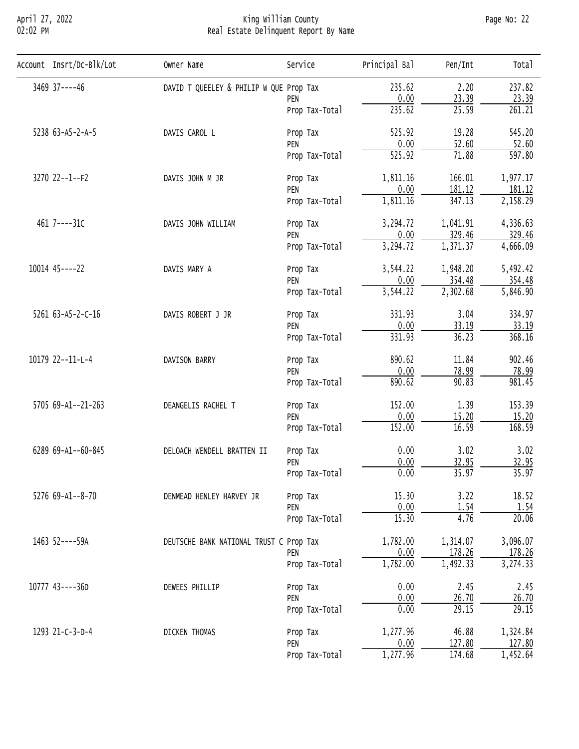# April 27, 2022 King William County Page No: 22 02:02 PM Real Estate Delinquent Report By Name

| Account Insrt/Dc-Blk/Lot | Owner Name                                                                                                                                                                                                                                                                                                                                                                                                                                                                                                                                                                                                                                                                                                                                                                                                                                                                                                                                                                                                                                                                                                                                                                                                                                                                                                                                                                                                                                                                         | Service        | Principal Bal                        | Pen/Int  | Total    |
|--------------------------|------------------------------------------------------------------------------------------------------------------------------------------------------------------------------------------------------------------------------------------------------------------------------------------------------------------------------------------------------------------------------------------------------------------------------------------------------------------------------------------------------------------------------------------------------------------------------------------------------------------------------------------------------------------------------------------------------------------------------------------------------------------------------------------------------------------------------------------------------------------------------------------------------------------------------------------------------------------------------------------------------------------------------------------------------------------------------------------------------------------------------------------------------------------------------------------------------------------------------------------------------------------------------------------------------------------------------------------------------------------------------------------------------------------------------------------------------------------------------------|----------------|--------------------------------------|----------|----------|
| 3469 37----46            |                                                                                                                                                                                                                                                                                                                                                                                                                                                                                                                                                                                                                                                                                                                                                                                                                                                                                                                                                                                                                                                                                                                                                                                                                                                                                                                                                                                                                                                                                    |                | 235.62                               | 2.20     | 237.82   |
|                          |                                                                                                                                                                                                                                                                                                                                                                                                                                                                                                                                                                                                                                                                                                                                                                                                                                                                                                                                                                                                                                                                                                                                                                                                                                                                                                                                                                                                                                                                                    | PEN            |                                      |          | 23.39    |
|                          |                                                                                                                                                                                                                                                                                                                                                                                                                                                                                                                                                                                                                                                                                                                                                                                                                                                                                                                                                                                                                                                                                                                                                                                                                                                                                                                                                                                                                                                                                    | Prop Tax-Total |                                      |          | 261.21   |
| 5238 63-A5-2-A-5         | DAVID T QUEELEY & PHILIP W QUE Prop Tax<br>0.00<br>23.39<br>235.62<br>25.59<br>525.92<br>19.28<br>DAVIS CAROL L<br>Prop Tax<br>0.00<br>52.60<br>PEN<br>525.92<br>71.88<br>Prop Tax-Total<br>1,811.16<br>166.01<br>DAVIS JOHN M JR<br>Prop Tax<br>0.00<br>181.12<br>PEN<br>347.13<br>1,811.16<br>Prop Tax-Total<br>3,294.72<br>1,041.91<br>DAVIS JOHN WILLIAM<br>Prop Tax<br>329.46<br>0.00<br>PEN<br>3,294.72<br>1,371.37<br>Prop Tax-Total<br>1,948.20<br>DAVIS MARY A<br>3,544.22<br>Prop Tax<br>0.00<br>354.48<br>PEN<br>3,544.22<br>2,302.68<br>Prop Tax-Total<br>331.93<br>3.04<br>DAVIS ROBERT J JR<br>Prop Tax<br>0.00<br>33.19<br>PEN<br>331.93<br>36.23<br>Prop Tax-Total<br>890.62<br>11.84<br>DAVISON BARRY<br>Prop Tax<br>0.00<br>78.99<br>PEN<br>890.62<br>90.83<br>Prop Tax-Total<br>152.00<br>1.39<br>DEANGELIS RACHEL T<br>Prop Tax<br>0.00<br>15.20<br>PEN<br>152.00<br>16.59<br>Prop Tax-Total<br>3.02<br>0.00<br>DELOACH WENDELL BRATTEN II<br>Prop Tax<br>32.95<br>0.00<br>PEN<br>35.97<br>0.00<br>Prop Tax-Total<br>15.30<br>3.22<br>DENMEAD HENLEY HARVEY JR<br>Prop Tax<br>0.00<br>1.54<br>PEN<br>15.30<br>4.76<br>Prop Tax-Total<br>1,782.00<br>1,314.07<br>DEUTSCHE BANK NATIONAL TRUST C Prop Tax<br>0.00<br>178.26<br>PEN<br>1,782.00<br>1,492.33<br>Prop Tax-Total<br>0.00<br>2.45<br>DEWEES PHILLIP<br>Prop Tax<br>0.00<br>26.70<br>PEN<br>0.00<br>29.15<br>Prop Tax-Total<br>1,277.96<br>46.88<br>DICKEN THOMAS<br>Prop Tax<br>127.80<br>0.00<br>PEN | 545.20         |                                      |          |          |
|                          |                                                                                                                                                                                                                                                                                                                                                                                                                                                                                                                                                                                                                                                                                                                                                                                                                                                                                                                                                                                                                                                                                                                                                                                                                                                                                                                                                                                                                                                                                    | 52.60          |                                      |          |          |
|                          |                                                                                                                                                                                                                                                                                                                                                                                                                                                                                                                                                                                                                                                                                                                                                                                                                                                                                                                                                                                                                                                                                                                                                                                                                                                                                                                                                                                                                                                                                    | 597.80         |                                      |          |          |
| 3270 22--1--F2           |                                                                                                                                                                                                                                                                                                                                                                                                                                                                                                                                                                                                                                                                                                                                                                                                                                                                                                                                                                                                                                                                                                                                                                                                                                                                                                                                                                                                                                                                                    |                |                                      |          | 1,977.17 |
|                          |                                                                                                                                                                                                                                                                                                                                                                                                                                                                                                                                                                                                                                                                                                                                                                                                                                                                                                                                                                                                                                                                                                                                                                                                                                                                                                                                                                                                                                                                                    |                | 1,277.96<br>174.68<br>Prop Tax-Total | 181.12   |          |
|                          |                                                                                                                                                                                                                                                                                                                                                                                                                                                                                                                                                                                                                                                                                                                                                                                                                                                                                                                                                                                                                                                                                                                                                                                                                                                                                                                                                                                                                                                                                    |                |                                      | 2,158.29 |          |
| 461 7----31C             |                                                                                                                                                                                                                                                                                                                                                                                                                                                                                                                                                                                                                                                                                                                                                                                                                                                                                                                                                                                                                                                                                                                                                                                                                                                                                                                                                                                                                                                                                    |                |                                      |          | 4,336.63 |
|                          |                                                                                                                                                                                                                                                                                                                                                                                                                                                                                                                                                                                                                                                                                                                                                                                                                                                                                                                                                                                                                                                                                                                                                                                                                                                                                                                                                                                                                                                                                    | 329.46         |                                      |          |          |
|                          |                                                                                                                                                                                                                                                                                                                                                                                                                                                                                                                                                                                                                                                                                                                                                                                                                                                                                                                                                                                                                                                                                                                                                                                                                                                                                                                                                                                                                                                                                    |                |                                      |          | 4,666.09 |
| $10014$ $45---22$        | 1293 21-C-3-D-4                                                                                                                                                                                                                                                                                                                                                                                                                                                                                                                                                                                                                                                                                                                                                                                                                                                                                                                                                                                                                                                                                                                                                                                                                                                                                                                                                                                                                                                                    | 5,492.42       |                                      |          |          |
|                          |                                                                                                                                                                                                                                                                                                                                                                                                                                                                                                                                                                                                                                                                                                                                                                                                                                                                                                                                                                                                                                                                                                                                                                                                                                                                                                                                                                                                                                                                                    | 354.48         |                                      |          |          |
|                          |                                                                                                                                                                                                                                                                                                                                                                                                                                                                                                                                                                                                                                                                                                                                                                                                                                                                                                                                                                                                                                                                                                                                                                                                                                                                                                                                                                                                                                                                                    |                | 5,846.90                             |          |          |
| 5261 63-A5-2-C-16        |                                                                                                                                                                                                                                                                                                                                                                                                                                                                                                                                                                                                                                                                                                                                                                                                                                                                                                                                                                                                                                                                                                                                                                                                                                                                                                                                                                                                                                                                                    |                |                                      |          | 334.97   |
|                          |                                                                                                                                                                                                                                                                                                                                                                                                                                                                                                                                                                                                                                                                                                                                                                                                                                                                                                                                                                                                                                                                                                                                                                                                                                                                                                                                                                                                                                                                                    |                |                                      |          | 33.19    |
|                          |                                                                                                                                                                                                                                                                                                                                                                                                                                                                                                                                                                                                                                                                                                                                                                                                                                                                                                                                                                                                                                                                                                                                                                                                                                                                                                                                                                                                                                                                                    |                |                                      |          | 368.16   |
| 10179 22--11-L-4         |                                                                                                                                                                                                                                                                                                                                                                                                                                                                                                                                                                                                                                                                                                                                                                                                                                                                                                                                                                                                                                                                                                                                                                                                                                                                                                                                                                                                                                                                                    |                |                                      |          | 902.46   |
|                          |                                                                                                                                                                                                                                                                                                                                                                                                                                                                                                                                                                                                                                                                                                                                                                                                                                                                                                                                                                                                                                                                                                                                                                                                                                                                                                                                                                                                                                                                                    |                |                                      |          | 78.99    |
|                          |                                                                                                                                                                                                                                                                                                                                                                                                                                                                                                                                                                                                                                                                                                                                                                                                                                                                                                                                                                                                                                                                                                                                                                                                                                                                                                                                                                                                                                                                                    |                | 981.45                               |          |          |
| 5705 69-A1--21-263       |                                                                                                                                                                                                                                                                                                                                                                                                                                                                                                                                                                                                                                                                                                                                                                                                                                                                                                                                                                                                                                                                                                                                                                                                                                                                                                                                                                                                                                                                                    |                |                                      | 153.39   |          |
|                          |                                                                                                                                                                                                                                                                                                                                                                                                                                                                                                                                                                                                                                                                                                                                                                                                                                                                                                                                                                                                                                                                                                                                                                                                                                                                                                                                                                                                                                                                                    |                |                                      |          | 15.20    |
|                          |                                                                                                                                                                                                                                                                                                                                                                                                                                                                                                                                                                                                                                                                                                                                                                                                                                                                                                                                                                                                                                                                                                                                                                                                                                                                                                                                                                                                                                                                                    |                |                                      |          | 168.59   |
| 6289 69-A1--60-845       |                                                                                                                                                                                                                                                                                                                                                                                                                                                                                                                                                                                                                                                                                                                                                                                                                                                                                                                                                                                                                                                                                                                                                                                                                                                                                                                                                                                                                                                                                    |                |                                      |          | 3.02     |
|                          |                                                                                                                                                                                                                                                                                                                                                                                                                                                                                                                                                                                                                                                                                                                                                                                                                                                                                                                                                                                                                                                                                                                                                                                                                                                                                                                                                                                                                                                                                    |                | 32.95                                |          |          |
|                          |                                                                                                                                                                                                                                                                                                                                                                                                                                                                                                                                                                                                                                                                                                                                                                                                                                                                                                                                                                                                                                                                                                                                                                                                                                                                                                                                                                                                                                                                                    |                |                                      |          | 35.97    |
| 5276 69-A1--8-70         |                                                                                                                                                                                                                                                                                                                                                                                                                                                                                                                                                                                                                                                                                                                                                                                                                                                                                                                                                                                                                                                                                                                                                                                                                                                                                                                                                                                                                                                                                    | 18.52          |                                      |          |          |
|                          |                                                                                                                                                                                                                                                                                                                                                                                                                                                                                                                                                                                                                                                                                                                                                                                                                                                                                                                                                                                                                                                                                                                                                                                                                                                                                                                                                                                                                                                                                    | 1.54           |                                      |          |          |
|                          |                                                                                                                                                                                                                                                                                                                                                                                                                                                                                                                                                                                                                                                                                                                                                                                                                                                                                                                                                                                                                                                                                                                                                                                                                                                                                                                                                                                                                                                                                    |                |                                      |          | 20.06    |
| 1463 52----59A           |                                                                                                                                                                                                                                                                                                                                                                                                                                                                                                                                                                                                                                                                                                                                                                                                                                                                                                                                                                                                                                                                                                                                                                                                                                                                                                                                                                                                                                                                                    |                |                                      |          | 3,096.07 |
|                          |                                                                                                                                                                                                                                                                                                                                                                                                                                                                                                                                                                                                                                                                                                                                                                                                                                                                                                                                                                                                                                                                                                                                                                                                                                                                                                                                                                                                                                                                                    |                |                                      |          | 178.26   |
|                          |                                                                                                                                                                                                                                                                                                                                                                                                                                                                                                                                                                                                                                                                                                                                                                                                                                                                                                                                                                                                                                                                                                                                                                                                                                                                                                                                                                                                                                                                                    |                |                                      |          | 3,274.33 |
| 10777 43----36D          |                                                                                                                                                                                                                                                                                                                                                                                                                                                                                                                                                                                                                                                                                                                                                                                                                                                                                                                                                                                                                                                                                                                                                                                                                                                                                                                                                                                                                                                                                    |                |                                      |          | 2.45     |
|                          |                                                                                                                                                                                                                                                                                                                                                                                                                                                                                                                                                                                                                                                                                                                                                                                                                                                                                                                                                                                                                                                                                                                                                                                                                                                                                                                                                                                                                                                                                    |                |                                      |          | 26.70    |
|                          |                                                                                                                                                                                                                                                                                                                                                                                                                                                                                                                                                                                                                                                                                                                                                                                                                                                                                                                                                                                                                                                                                                                                                                                                                                                                                                                                                                                                                                                                                    |                |                                      |          | 29.15    |
|                          |                                                                                                                                                                                                                                                                                                                                                                                                                                                                                                                                                                                                                                                                                                                                                                                                                                                                                                                                                                                                                                                                                                                                                                                                                                                                                                                                                                                                                                                                                    |                |                                      |          | 1,324.84 |
|                          |                                                                                                                                                                                                                                                                                                                                                                                                                                                                                                                                                                                                                                                                                                                                                                                                                                                                                                                                                                                                                                                                                                                                                                                                                                                                                                                                                                                                                                                                                    |                |                                      |          | 127.80   |
|                          |                                                                                                                                                                                                                                                                                                                                                                                                                                                                                                                                                                                                                                                                                                                                                                                                                                                                                                                                                                                                                                                                                                                                                                                                                                                                                                                                                                                                                                                                                    |                |                                      |          | 1,452.64 |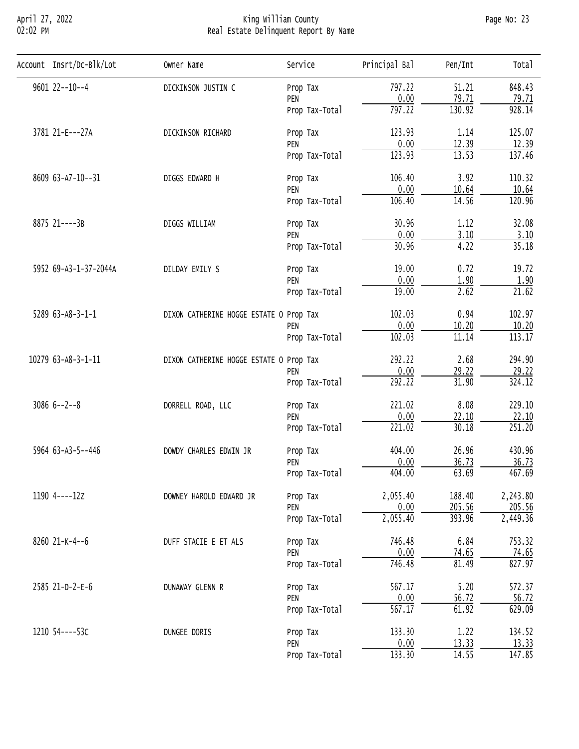# April 27, 2022 King William County Page No: 23 02:02 PM Real Estate Delinquent Report By Name

| Account Insrt/Dc-Blk/Lot | Owner Name         | Service                                                                                                                                                                                                                                                                                                                                                                                                                                                                                                                                                                                                                                                                                                                                                                                                                                                                                                                                                                                                                                                                                                                                                                                                                                                                                                                                                                                                                | Principal Bal      | Pen/Int | Tota <sub>1</sub> |
|--------------------------|--------------------|------------------------------------------------------------------------------------------------------------------------------------------------------------------------------------------------------------------------------------------------------------------------------------------------------------------------------------------------------------------------------------------------------------------------------------------------------------------------------------------------------------------------------------------------------------------------------------------------------------------------------------------------------------------------------------------------------------------------------------------------------------------------------------------------------------------------------------------------------------------------------------------------------------------------------------------------------------------------------------------------------------------------------------------------------------------------------------------------------------------------------------------------------------------------------------------------------------------------------------------------------------------------------------------------------------------------------------------------------------------------------------------------------------------------|--------------------|---------|-------------------|
| $9601$ $22--10--4$       | DICKINSON JUSTIN C |                                                                                                                                                                                                                                                                                                                                                                                                                                                                                                                                                                                                                                                                                                                                                                                                                                                                                                                                                                                                                                                                                                                                                                                                                                                                                                                                                                                                                        | 797.22             | 51.21   | 848.43            |
|                          |                    | PEN                                                                                                                                                                                                                                                                                                                                                                                                                                                                                                                                                                                                                                                                                                                                                                                                                                                                                                                                                                                                                                                                                                                                                                                                                                                                                                                                                                                                                    |                    |         | 79.71             |
|                          |                    | Prop Tax-Total                                                                                                                                                                                                                                                                                                                                                                                                                                                                                                                                                                                                                                                                                                                                                                                                                                                                                                                                                                                                                                                                                                                                                                                                                                                                                                                                                                                                         | 797.22             | 130.92  | 928.14            |
| 3781 21-E---27A          | DICKINSON RICHARD  | Prop Tax<br>0.00<br>79.71<br>123.93<br>1.14<br>Prop Tax<br>0.00<br>12.39<br>PEN<br>13.53<br>123.93<br>Prop Tax-Total<br>106.40<br>3.92<br>DIGGS EDWARD H<br>Prop Tax<br>0.00<br>10.64<br>PEN<br>14.56<br>106.40<br>Prop Tax-Total<br>30.96<br>1.12<br>DIGGS WILLIAM<br>Prop Tax<br>0.00<br>3.10<br>PEN<br>30.96<br>4.22<br>Prop Tax-Total<br>19.00<br>0.72<br>DILDAY EMILY S<br>Prop Tax<br>0.00<br>1.90<br>PEN<br>2.62<br>19.00<br>Prop Tax-Total<br>102.03<br>0.94<br>DIXON CATHERINE HOGGE ESTATE O Prop Tax<br>0.00<br>10.20<br>PEN<br>102.03<br>11.14<br>Prop Tax-Total<br>292.22<br>2.68<br>DIXON CATHERINE HOGGE ESTATE O Prop Tax<br>0.00<br>29.22<br>PEN<br>292.22<br>31.90<br>Prop Tax-Total<br>221.02<br>8.08<br>DORRELL ROAD, LLC<br>Prop Tax<br>0.00<br>22.10<br>PEN<br>221.02<br>30.18<br>Prop Tax-Total<br>26.96<br>404.00<br>DOWDY CHARLES EDWIN JR<br>Prop Tax<br>0.00<br>36.73<br>PEN<br>404.00<br>63.69<br>Prop Tax-Total<br>2,055.40<br>188.40<br>DOWNEY HAROLD EDWARD JR<br>Prop Tax<br>0.00<br>205.56<br>PEN<br>2,055.40<br>393.96<br>Prop Tax-Total<br>6.84<br>746.48<br>DUFF STACIE E ET ALS<br>Prop Tax<br>0.00<br>74.65<br>PEN<br>746.48<br>81.49<br>Prop Tax-Total<br>567.17<br>5.20<br>DUNAWAY GLENN R<br>Prop Tax<br>0.00<br>56.72<br>PEN<br>61.92<br>567.17<br>Prop Tax-Total<br>1.22<br>133.30<br>DUNGEE DORIS<br>Prop Tax<br>0.00<br>13.33<br>PEN<br>133.30<br>14.55<br>Prop Tax-Total |                    | 125.07  |                   |
|                          |                    |                                                                                                                                                                                                                                                                                                                                                                                                                                                                                                                                                                                                                                                                                                                                                                                                                                                                                                                                                                                                                                                                                                                                                                                                                                                                                                                                                                                                                        | 12.39              |         |                   |
|                          |                    |                                                                                                                                                                                                                                                                                                                                                                                                                                                                                                                                                                                                                                                                                                                                                                                                                                                                                                                                                                                                                                                                                                                                                                                                                                                                                                                                                                                                                        |                    | 137.46  |                   |
| 8609 63-A7-10--31        |                    | 110.32                                                                                                                                                                                                                                                                                                                                                                                                                                                                                                                                                                                                                                                                                                                                                                                                                                                                                                                                                                                                                                                                                                                                                                                                                                                                                                                                                                                                                 |                    |         |                   |
|                          |                    |                                                                                                                                                                                                                                                                                                                                                                                                                                                                                                                                                                                                                                                                                                                                                                                                                                                                                                                                                                                                                                                                                                                                                                                                                                                                                                                                                                                                                        |                    | 10.64   |                   |
|                          |                    |                                                                                                                                                                                                                                                                                                                                                                                                                                                                                                                                                                                                                                                                                                                                                                                                                                                                                                                                                                                                                                                                                                                                                                                                                                                                                                                                                                                                                        |                    |         | 120.96            |
| 8875 21----3B            |                    | 32.08                                                                                                                                                                                                                                                                                                                                                                                                                                                                                                                                                                                                                                                                                                                                                                                                                                                                                                                                                                                                                                                                                                                                                                                                                                                                                                                                                                                                                  |                    |         |                   |
|                          |                    |                                                                                                                                                                                                                                                                                                                                                                                                                                                                                                                                                                                                                                                                                                                                                                                                                                                                                                                                                                                                                                                                                                                                                                                                                                                                                                                                                                                                                        |                    | 3.10    |                   |
|                          |                    |                                                                                                                                                                                                                                                                                                                                                                                                                                                                                                                                                                                                                                                                                                                                                                                                                                                                                                                                                                                                                                                                                                                                                                                                                                                                                                                                                                                                                        |                    |         | 35.18             |
| 5952 69-A3-1-37-2044A    |                    |                                                                                                                                                                                                                                                                                                                                                                                                                                                                                                                                                                                                                                                                                                                                                                                                                                                                                                                                                                                                                                                                                                                                                                                                                                                                                                                                                                                                                        | 19.72              |         |                   |
|                          |                    | 1.90                                                                                                                                                                                                                                                                                                                                                                                                                                                                                                                                                                                                                                                                                                                                                                                                                                                                                                                                                                                                                                                                                                                                                                                                                                                                                                                                                                                                                   |                    |         |                   |
|                          |                    |                                                                                                                                                                                                                                                                                                                                                                                                                                                                                                                                                                                                                                                                                                                                                                                                                                                                                                                                                                                                                                                                                                                                                                                                                                                                                                                                                                                                                        | $\overline{21.62}$ |         |                   |
| 5289 63-A8-3-1-1         |                    |                                                                                                                                                                                                                                                                                                                                                                                                                                                                                                                                                                                                                                                                                                                                                                                                                                                                                                                                                                                                                                                                                                                                                                                                                                                                                                                                                                                                                        |                    |         | 102.97            |
|                          |                    |                                                                                                                                                                                                                                                                                                                                                                                                                                                                                                                                                                                                                                                                                                                                                                                                                                                                                                                                                                                                                                                                                                                                                                                                                                                                                                                                                                                                                        |                    |         | 10.20             |
|                          |                    |                                                                                                                                                                                                                                                                                                                                                                                                                                                                                                                                                                                                                                                                                                                                                                                                                                                                                                                                                                                                                                                                                                                                                                                                                                                                                                                                                                                                                        |                    |         | 113.17            |
| 10279 63-A8-3-1-11       |                    |                                                                                                                                                                                                                                                                                                                                                                                                                                                                                                                                                                                                                                                                                                                                                                                                                                                                                                                                                                                                                                                                                                                                                                                                                                                                                                                                                                                                                        |                    |         | 294.90            |
|                          |                    |                                                                                                                                                                                                                                                                                                                                                                                                                                                                                                                                                                                                                                                                                                                                                                                                                                                                                                                                                                                                                                                                                                                                                                                                                                                                                                                                                                                                                        |                    |         | 29.22             |
|                          |                    |                                                                                                                                                                                                                                                                                                                                                                                                                                                                                                                                                                                                                                                                                                                                                                                                                                                                                                                                                                                                                                                                                                                                                                                                                                                                                                                                                                                                                        |                    |         | 324.12            |
| $30866 -2 -8$            |                    |                                                                                                                                                                                                                                                                                                                                                                                                                                                                                                                                                                                                                                                                                                                                                                                                                                                                                                                                                                                                                                                                                                                                                                                                                                                                                                                                                                                                                        |                    |         | 229.10            |
|                          |                    |                                                                                                                                                                                                                                                                                                                                                                                                                                                                                                                                                                                                                                                                                                                                                                                                                                                                                                                                                                                                                                                                                                                                                                                                                                                                                                                                                                                                                        |                    |         | 22.10             |
|                          |                    |                                                                                                                                                                                                                                                                                                                                                                                                                                                                                                                                                                                                                                                                                                                                                                                                                                                                                                                                                                                                                                                                                                                                                                                                                                                                                                                                                                                                                        |                    |         | 251.20            |
| 5964 63-A3-5--446        |                    |                                                                                                                                                                                                                                                                                                                                                                                                                                                                                                                                                                                                                                                                                                                                                                                                                                                                                                                                                                                                                                                                                                                                                                                                                                                                                                                                                                                                                        |                    | 430.96  |                   |
|                          |                    |                                                                                                                                                                                                                                                                                                                                                                                                                                                                                                                                                                                                                                                                                                                                                                                                                                                                                                                                                                                                                                                                                                                                                                                                                                                                                                                                                                                                                        |                    |         | 36.73             |
|                          |                    |                                                                                                                                                                                                                                                                                                                                                                                                                                                                                                                                                                                                                                                                                                                                                                                                                                                                                                                                                                                                                                                                                                                                                                                                                                                                                                                                                                                                                        |                    |         | 467.69            |
| 1190 4----12z            |                    |                                                                                                                                                                                                                                                                                                                                                                                                                                                                                                                                                                                                                                                                                                                                                                                                                                                                                                                                                                                                                                                                                                                                                                                                                                                                                                                                                                                                                        | 2,243.80           |         |                   |
|                          |                    |                                                                                                                                                                                                                                                                                                                                                                                                                                                                                                                                                                                                                                                                                                                                                                                                                                                                                                                                                                                                                                                                                                                                                                                                                                                                                                                                                                                                                        |                    | 205.56  |                   |
|                          |                    |                                                                                                                                                                                                                                                                                                                                                                                                                                                                                                                                                                                                                                                                                                                                                                                                                                                                                                                                                                                                                                                                                                                                                                                                                                                                                                                                                                                                                        | 2,449.36           |         |                   |
| 8260 21-K-4--6           |                    |                                                                                                                                                                                                                                                                                                                                                                                                                                                                                                                                                                                                                                                                                                                                                                                                                                                                                                                                                                                                                                                                                                                                                                                                                                                                                                                                                                                                                        |                    |         | 753.32            |
|                          |                    |                                                                                                                                                                                                                                                                                                                                                                                                                                                                                                                                                                                                                                                                                                                                                                                                                                                                                                                                                                                                                                                                                                                                                                                                                                                                                                                                                                                                                        |                    |         | 74.65             |
|                          |                    |                                                                                                                                                                                                                                                                                                                                                                                                                                                                                                                                                                                                                                                                                                                                                                                                                                                                                                                                                                                                                                                                                                                                                                                                                                                                                                                                                                                                                        |                    |         | 827.97            |
| 2585 21-D-2-E-6          |                    |                                                                                                                                                                                                                                                                                                                                                                                                                                                                                                                                                                                                                                                                                                                                                                                                                                                                                                                                                                                                                                                                                                                                                                                                                                                                                                                                                                                                                        |                    |         | 572.37            |
|                          |                    |                                                                                                                                                                                                                                                                                                                                                                                                                                                                                                                                                                                                                                                                                                                                                                                                                                                                                                                                                                                                                                                                                                                                                                                                                                                                                                                                                                                                                        |                    |         | 56.72             |
|                          |                    |                                                                                                                                                                                                                                                                                                                                                                                                                                                                                                                                                                                                                                                                                                                                                                                                                                                                                                                                                                                                                                                                                                                                                                                                                                                                                                                                                                                                                        |                    |         | 629.09            |
| 1210 54----53C           |                    |                                                                                                                                                                                                                                                                                                                                                                                                                                                                                                                                                                                                                                                                                                                                                                                                                                                                                                                                                                                                                                                                                                                                                                                                                                                                                                                                                                                                                        |                    |         | 134.52            |
|                          |                    |                                                                                                                                                                                                                                                                                                                                                                                                                                                                                                                                                                                                                                                                                                                                                                                                                                                                                                                                                                                                                                                                                                                                                                                                                                                                                                                                                                                                                        |                    |         | 13.33             |
|                          |                    |                                                                                                                                                                                                                                                                                                                                                                                                                                                                                                                                                                                                                                                                                                                                                                                                                                                                                                                                                                                                                                                                                                                                                                                                                                                                                                                                                                                                                        |                    |         | 147.85            |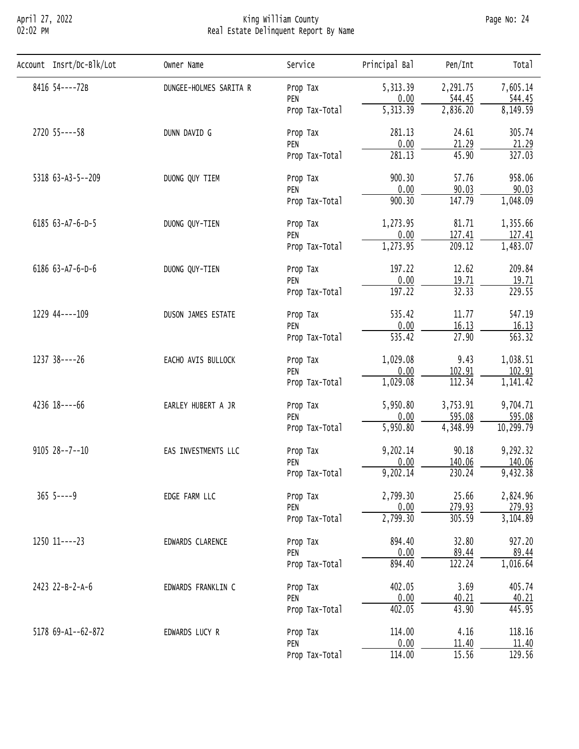# April 27, 2022 King William County Page No: 24 02:02 PM Real Estate Delinquent Report By Name

| Account Insrt/Dc-Blk/Lot | Owner Name             | Service                                                                                                                                                                                                                                                                                                                                                                                                  | Principal Bal | Pen/Int                                                                                                                                                                                                                                                                                                                                                                                                                                                                                                                                                                                                                                                                                                                                                                    | Total               |
|--------------------------|------------------------|----------------------------------------------------------------------------------------------------------------------------------------------------------------------------------------------------------------------------------------------------------------------------------------------------------------------------------------------------------------------------------------------------------|---------------|----------------------------------------------------------------------------------------------------------------------------------------------------------------------------------------------------------------------------------------------------------------------------------------------------------------------------------------------------------------------------------------------------------------------------------------------------------------------------------------------------------------------------------------------------------------------------------------------------------------------------------------------------------------------------------------------------------------------------------------------------------------------------|---------------------|
| 8416 54----72B           | DUNGEE-HOLMES SARITA R | Prop Tax                                                                                                                                                                                                                                                                                                                                                                                                 | 5,313.39      | 2,291.75                                                                                                                                                                                                                                                                                                                                                                                                                                                                                                                                                                                                                                                                                                                                                                   | 7,605.14            |
|                          |                        | PEN                                                                                                                                                                                                                                                                                                                                                                                                      |               |                                                                                                                                                                                                                                                                                                                                                                                                                                                                                                                                                                                                                                                                                                                                                                            | 544.45              |
|                          |                        | Prop Tax-Total                                                                                                                                                                                                                                                                                                                                                                                           |               |                                                                                                                                                                                                                                                                                                                                                                                                                                                                                                                                                                                                                                                                                                                                                                            | 8,149.59            |
| 2720 55----58            | DUNN DAVID G           | Prop Tax                                                                                                                                                                                                                                                                                                                                                                                                 | 281.13        | 24.61                                                                                                                                                                                                                                                                                                                                                                                                                                                                                                                                                                                                                                                                                                                                                                      | 305.74              |
|                          |                        |                                                                                                                                                                                                                                                                                                                                                                                                          |               |                                                                                                                                                                                                                                                                                                                                                                                                                                                                                                                                                                                                                                                                                                                                                                            | 21.29               |
|                          |                        | Prop Tax-Total                                                                                                                                                                                                                                                                                                                                                                                           |               | 0.00<br>544.45<br>$\overline{5,313.39}$<br>2,836.20<br>0.00<br>21.29<br>281.13<br>45.90<br>900.30<br>57.76<br>0.00<br>90.03<br>147.79<br>900.30<br>1,273.95<br>81.71<br>0.00<br>127.41<br>$\overline{209.12}$<br>1,273.95<br>12.62<br>197.22<br>0.00<br>19.71<br>32.33<br>197.22<br>535.42<br>11.77<br>0.00<br>16.13<br>535.42<br>27.90<br>9.43<br>1,029.08<br>102.91<br>0.00<br>1,029.08<br>112.34<br>3,753.91<br>5,950.80<br>595.08<br>0.00<br>5,950.80<br>4,348.99<br>9,202.14<br>90.18<br>0.00<br>140.06<br>9,202.14<br>230.24<br>25.66<br>2,799.30<br>0.00<br>279.93<br>2,799.30<br>305.59<br>32.80<br>894.40<br>0.00<br>$\frac{89.44}{122.24}$<br>894.40<br>402.05<br>3.69<br>0.00<br>40.21<br>402.05<br>43.90<br>4.16<br>114.00<br>0.00<br>11.40<br>15.56<br>114.00 | 327.03              |
| 5318 63-A3-5--209        | DUONG QUY TIEM         | PEN<br>Prop Tax<br>PEN<br>Prop Tax-Total<br>Prop Tax<br>PEN<br>Prop Tax-Total<br>Prop Tax<br>PEN<br>Prop Tax-Total<br>Prop Tax<br>PEN<br>Prop Tax-Total<br>Prop Tax<br>PEN<br>Prop Tax-Total<br>Prop Tax<br>PEN<br>Prop Tax-Total<br>Prop Tax<br>PEN<br>Prop Tax-Total<br>Prop Tax<br>PEN<br>Prop Tax-Total<br>Prop Tax<br>PEN<br>Prop Tax-Total<br>Prop Tax<br>PEN<br>Prop Tax-Total<br>Prop Tax<br>PEN | 958.06        |                                                                                                                                                                                                                                                                                                                                                                                                                                                                                                                                                                                                                                                                                                                                                                            |                     |
|                          |                        |                                                                                                                                                                                                                                                                                                                                                                                                          |               |                                                                                                                                                                                                                                                                                                                                                                                                                                                                                                                                                                                                                                                                                                                                                                            | 90.03               |
|                          |                        |                                                                                                                                                                                                                                                                                                                                                                                                          |               | 1,048.09                                                                                                                                                                                                                                                                                                                                                                                                                                                                                                                                                                                                                                                                                                                                                                   |                     |
| 6185 63-A7-6-D-5         | DUONG QUY-TIEN         |                                                                                                                                                                                                                                                                                                                                                                                                          |               |                                                                                                                                                                                                                                                                                                                                                                                                                                                                                                                                                                                                                                                                                                                                                                            | 1,355.66            |
|                          |                        |                                                                                                                                                                                                                                                                                                                                                                                                          |               |                                                                                                                                                                                                                                                                                                                                                                                                                                                                                                                                                                                                                                                                                                                                                                            | 127.41              |
|                          |                        |                                                                                                                                                                                                                                                                                                                                                                                                          |               | 1,483.07                                                                                                                                                                                                                                                                                                                                                                                                                                                                                                                                                                                                                                                                                                                                                                   |                     |
| 6186 63-A7-6-D-6         | DUONG QUY-TIEN         |                                                                                                                                                                                                                                                                                                                                                                                                          |               |                                                                                                                                                                                                                                                                                                                                                                                                                                                                                                                                                                                                                                                                                                                                                                            | 209.84              |
|                          |                        |                                                                                                                                                                                                                                                                                                                                                                                                          |               |                                                                                                                                                                                                                                                                                                                                                                                                                                                                                                                                                                                                                                                                                                                                                                            | 19.71               |
|                          |                        |                                                                                                                                                                                                                                                                                                                                                                                                          |               |                                                                                                                                                                                                                                                                                                                                                                                                                                                                                                                                                                                                                                                                                                                                                                            | 229.55              |
| 1229 44 ---- 109         | DUSON JAMES ESTATE     |                                                                                                                                                                                                                                                                                                                                                                                                          |               |                                                                                                                                                                                                                                                                                                                                                                                                                                                                                                                                                                                                                                                                                                                                                                            | 547.19              |
|                          |                        |                                                                                                                                                                                                                                                                                                                                                                                                          |               |                                                                                                                                                                                                                                                                                                                                                                                                                                                                                                                                                                                                                                                                                                                                                                            | 16.13               |
|                          |                        |                                                                                                                                                                                                                                                                                                                                                                                                          |               |                                                                                                                                                                                                                                                                                                                                                                                                                                                                                                                                                                                                                                                                                                                                                                            | $\overline{563.32}$ |
| 1237 38----26            | EACHO AVIS BULLOCK     | 1,038.51                                                                                                                                                                                                                                                                                                                                                                                                 |               |                                                                                                                                                                                                                                                                                                                                                                                                                                                                                                                                                                                                                                                                                                                                                                            |                     |
|                          |                        |                                                                                                                                                                                                                                                                                                                                                                                                          | 102.91        |                                                                                                                                                                                                                                                                                                                                                                                                                                                                                                                                                                                                                                                                                                                                                                            |                     |
|                          |                        |                                                                                                                                                                                                                                                                                                                                                                                                          | 1,141.42      |                                                                                                                                                                                                                                                                                                                                                                                                                                                                                                                                                                                                                                                                                                                                                                            |                     |
| 4236 18----66            | EARLEY HUBERT A JR     |                                                                                                                                                                                                                                                                                                                                                                                                          |               | 9,704.71                                                                                                                                                                                                                                                                                                                                                                                                                                                                                                                                                                                                                                                                                                                                                                   |                     |
|                          |                        |                                                                                                                                                                                                                                                                                                                                                                                                          |               |                                                                                                                                                                                                                                                                                                                                                                                                                                                                                                                                                                                                                                                                                                                                                                            | 595.08              |
|                          |                        |                                                                                                                                                                                                                                                                                                                                                                                                          |               |                                                                                                                                                                                                                                                                                                                                                                                                                                                                                                                                                                                                                                                                                                                                                                            | 10, 299.79          |
| $9105 28--7--10$         | EAS INVESTMENTS LLC    |                                                                                                                                                                                                                                                                                                                                                                                                          |               |                                                                                                                                                                                                                                                                                                                                                                                                                                                                                                                                                                                                                                                                                                                                                                            | 9,292.32            |
|                          |                        |                                                                                                                                                                                                                                                                                                                                                                                                          |               |                                                                                                                                                                                                                                                                                                                                                                                                                                                                                                                                                                                                                                                                                                                                                                            | 140.06              |
|                          |                        |                                                                                                                                                                                                                                                                                                                                                                                                          |               |                                                                                                                                                                                                                                                                                                                                                                                                                                                                                                                                                                                                                                                                                                                                                                            | 9,432.38            |
| $365$ 5----9             | EDGE FARM LLC          |                                                                                                                                                                                                                                                                                                                                                                                                          |               |                                                                                                                                                                                                                                                                                                                                                                                                                                                                                                                                                                                                                                                                                                                                                                            | 2,824.96            |
|                          |                        |                                                                                                                                                                                                                                                                                                                                                                                                          |               |                                                                                                                                                                                                                                                                                                                                                                                                                                                                                                                                                                                                                                                                                                                                                                            | 279.93              |
|                          |                        |                                                                                                                                                                                                                                                                                                                                                                                                          |               |                                                                                                                                                                                                                                                                                                                                                                                                                                                                                                                                                                                                                                                                                                                                                                            | 3,104.89            |
| $1250$ $11---23$         | EDWARDS CLARENCE       |                                                                                                                                                                                                                                                                                                                                                                                                          |               |                                                                                                                                                                                                                                                                                                                                                                                                                                                                                                                                                                                                                                                                                                                                                                            | 927.20              |
|                          |                        |                                                                                                                                                                                                                                                                                                                                                                                                          |               |                                                                                                                                                                                                                                                                                                                                                                                                                                                                                                                                                                                                                                                                                                                                                                            | 89.44               |
|                          |                        |                                                                                                                                                                                                                                                                                                                                                                                                          |               |                                                                                                                                                                                                                                                                                                                                                                                                                                                                                                                                                                                                                                                                                                                                                                            | 1,016.64            |
| 2423 22-B-2-A-6          | EDWARDS FRANKLIN C     |                                                                                                                                                                                                                                                                                                                                                                                                          |               |                                                                                                                                                                                                                                                                                                                                                                                                                                                                                                                                                                                                                                                                                                                                                                            | 405.74              |
|                          |                        |                                                                                                                                                                                                                                                                                                                                                                                                          |               |                                                                                                                                                                                                                                                                                                                                                                                                                                                                                                                                                                                                                                                                                                                                                                            | 40.21               |
|                          |                        |                                                                                                                                                                                                                                                                                                                                                                                                          |               |                                                                                                                                                                                                                                                                                                                                                                                                                                                                                                                                                                                                                                                                                                                                                                            | 445.95              |
| 5178 69-A1--62-872       | EDWARDS LUCY R         |                                                                                                                                                                                                                                                                                                                                                                                                          |               |                                                                                                                                                                                                                                                                                                                                                                                                                                                                                                                                                                                                                                                                                                                                                                            | 118.16              |
|                          |                        |                                                                                                                                                                                                                                                                                                                                                                                                          |               |                                                                                                                                                                                                                                                                                                                                                                                                                                                                                                                                                                                                                                                                                                                                                                            | 11.40               |
|                          |                        | Prop Tax-Total                                                                                                                                                                                                                                                                                                                                                                                           |               |                                                                                                                                                                                                                                                                                                                                                                                                                                                                                                                                                                                                                                                                                                                                                                            | 129.56              |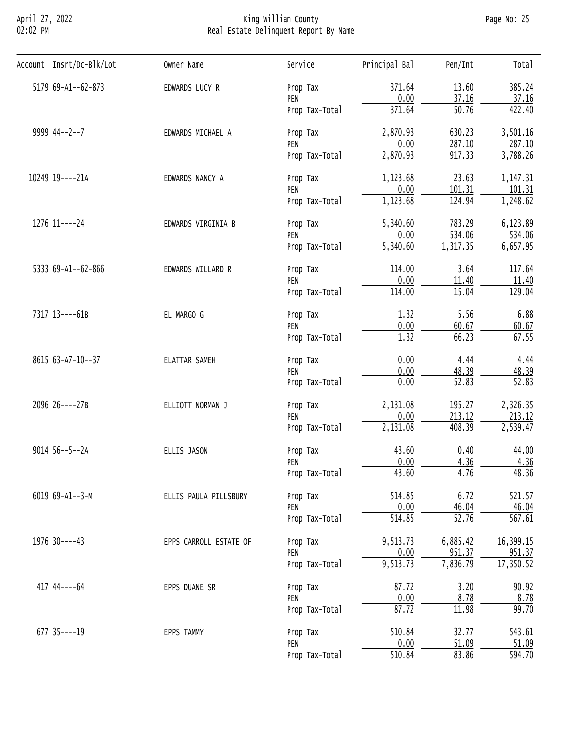# April 27, 2022 King William County Page No: 25 02:02 PM Real Estate Delinquent Report By Name

| Account Insrt/Dc-Blk/Lot | Owner Name             | Service                                                                                                                                                                                                                                                                                                                                                                        | Principal Bal | Pen/Int                                                                                                                                                                                                                                                                                                                                                                                                                                                                                                                                                                                                                                                                                                                                                                  | Total              |
|--------------------------|------------------------|--------------------------------------------------------------------------------------------------------------------------------------------------------------------------------------------------------------------------------------------------------------------------------------------------------------------------------------------------------------------------------|---------------|--------------------------------------------------------------------------------------------------------------------------------------------------------------------------------------------------------------------------------------------------------------------------------------------------------------------------------------------------------------------------------------------------------------------------------------------------------------------------------------------------------------------------------------------------------------------------------------------------------------------------------------------------------------------------------------------------------------------------------------------------------------------------|--------------------|
| 5179 69-A1--62-873       | EDWARDS LUCY R         | Prop Tax                                                                                                                                                                                                                                                                                                                                                                       | 371.64        | 13.60                                                                                                                                                                                                                                                                                                                                                                                                                                                                                                                                                                                                                                                                                                                                                                    | 385.24             |
|                          |                        | PEN                                                                                                                                                                                                                                                                                                                                                                            | 0.00          |                                                                                                                                                                                                                                                                                                                                                                                                                                                                                                                                                                                                                                                                                                                                                                          | 37.16              |
|                          |                        | Prop Tax-Total                                                                                                                                                                                                                                                                                                                                                                 | 371.64        |                                                                                                                                                                                                                                                                                                                                                                                                                                                                                                                                                                                                                                                                                                                                                                          | 422.40             |
| 9999 44--2--7            | EDWARDS MICHAEL A      | Prop Tax                                                                                                                                                                                                                                                                                                                                                                       | 2,870.93      | 630.23                                                                                                                                                                                                                                                                                                                                                                                                                                                                                                                                                                                                                                                                                                                                                                   | 3,501.16           |
|                          |                        | PEN                                                                                                                                                                                                                                                                                                                                                                            |               |                                                                                                                                                                                                                                                                                                                                                                                                                                                                                                                                                                                                                                                                                                                                                                          | 287.10             |
|                          |                        | Prop Tax-Total                                                                                                                                                                                                                                                                                                                                                                 |               | 37.16<br>$\overline{50.76}$<br>0.00<br>287.10<br>$\overline{917.33}$<br>2,870.93<br>23.63<br>1,123.68<br>0.00<br>101.31<br>1,123.68<br>124.94<br>783.29<br>5,340.60<br>0.00<br>534.06<br>1,317.35<br>5,340.60<br>3.64<br>114.00<br>0.00<br>11.40<br>15.04<br>114.00<br>1.32<br>5.56<br>$\frac{0.00}{1.32}$<br>60.67<br>66.23<br>0.00<br>4.44<br>0.00<br>48.39<br>$\overline{52.83}$<br>0.00<br>195.27<br>2,131.08<br>0.00<br>213.12<br>408.39<br>2,131.08<br>43.60<br>0.40<br>0.00<br>4.36<br>43.60<br>4.76<br>6.72<br>514.85<br>0.00<br>46.04<br>514.85<br>$\overline{52.76}$<br>9,513.73<br>6,885.42<br>0.00<br>951.37<br>9,513.73<br>7,836.79<br>87.72<br>3.20<br>$\frac{0.00}{87.72}$<br>8.78<br>11.98<br>32.77<br>510.84<br>0.00<br>$\frac{51.09}{83.86}$<br>510.84 | 3,788.26           |
| 10249 19----21A          | EDWARDS NANCY A        | Prop Tax<br>PEN<br>Prop Tax-Total<br>Prop Tax<br>PEN<br>Prop Tax-Total<br>Prop Tax<br>PEN<br>Prop Tax-Total<br>Prop Tax<br>PEN<br>Prop Tax-Total<br>Prop Tax<br>PEN<br>Prop Tax-Total<br>Prop Tax<br>PEN<br>Prop Tax-Total<br>Prop Tax<br>PEN<br>Prop Tax-Total<br>Prop Tax<br>PEN<br>Prop Tax-Total<br>Prop Tax<br>PEN<br>Prop Tax-Total<br>Prop Tax<br>PEN<br>Prop Tax-Total | 1,147.31      |                                                                                                                                                                                                                                                                                                                                                                                                                                                                                                                                                                                                                                                                                                                                                                          |                    |
|                          |                        |                                                                                                                                                                                                                                                                                                                                                                                |               |                                                                                                                                                                                                                                                                                                                                                                                                                                                                                                                                                                                                                                                                                                                                                                          | 101.31             |
|                          |                        |                                                                                                                                                                                                                                                                                                                                                                                |               |                                                                                                                                                                                                                                                                                                                                                                                                                                                                                                                                                                                                                                                                                                                                                                          | 1,248.62           |
| 1276 11----24            | EDWARDS VIRGINIA B     |                                                                                                                                                                                                                                                                                                                                                                                |               |                                                                                                                                                                                                                                                                                                                                                                                                                                                                                                                                                                                                                                                                                                                                                                          | 6,123.89           |
|                          |                        |                                                                                                                                                                                                                                                                                                                                                                                |               |                                                                                                                                                                                                                                                                                                                                                                                                                                                                                                                                                                                                                                                                                                                                                                          | 534.06             |
|                          |                        |                                                                                                                                                                                                                                                                                                                                                                                | 6,657.95      |                                                                                                                                                                                                                                                                                                                                                                                                                                                                                                                                                                                                                                                                                                                                                                          |                    |
| 5333 69-A1--62-866       | EDWARDS WILLARD R      |                                                                                                                                                                                                                                                                                                                                                                                | 117.64        |                                                                                                                                                                                                                                                                                                                                                                                                                                                                                                                                                                                                                                                                                                                                                                          |                    |
|                          |                        |                                                                                                                                                                                                                                                                                                                                                                                |               |                                                                                                                                                                                                                                                                                                                                                                                                                                                                                                                                                                                                                                                                                                                                                                          | 11.40              |
|                          |                        |                                                                                                                                                                                                                                                                                                                                                                                |               | 129.04                                                                                                                                                                                                                                                                                                                                                                                                                                                                                                                                                                                                                                                                                                                                                                   |                    |
| 7317 13----61B           | EL MARGO G             | Prop Tax<br>PEN<br>Prop Tax-Total                                                                                                                                                                                                                                                                                                                                              | 6.88          |                                                                                                                                                                                                                                                                                                                                                                                                                                                                                                                                                                                                                                                                                                                                                                          |                    |
|                          |                        |                                                                                                                                                                                                                                                                                                                                                                                |               |                                                                                                                                                                                                                                                                                                                                                                                                                                                                                                                                                                                                                                                                                                                                                                          | 60.67              |
|                          |                        |                                                                                                                                                                                                                                                                                                                                                                                |               |                                                                                                                                                                                                                                                                                                                                                                                                                                                                                                                                                                                                                                                                                                                                                                          | 67.55              |
| 8615 63-A7-10--37        | ELATTAR SAMEH          |                                                                                                                                                                                                                                                                                                                                                                                |               |                                                                                                                                                                                                                                                                                                                                                                                                                                                                                                                                                                                                                                                                                                                                                                          | 4.44               |
|                          |                        |                                                                                                                                                                                                                                                                                                                                                                                |               |                                                                                                                                                                                                                                                                                                                                                                                                                                                                                                                                                                                                                                                                                                                                                                          | 48.39              |
|                          |                        |                                                                                                                                                                                                                                                                                                                                                                                |               |                                                                                                                                                                                                                                                                                                                                                                                                                                                                                                                                                                                                                                                                                                                                                                          | $\overline{52.83}$ |
| 2096 26----27B           | ELLIOTT NORMAN J       |                                                                                                                                                                                                                                                                                                                                                                                |               | 2,326.35                                                                                                                                                                                                                                                                                                                                                                                                                                                                                                                                                                                                                                                                                                                                                                 |                    |
|                          |                        |                                                                                                                                                                                                                                                                                                                                                                                |               | 213.12                                                                                                                                                                                                                                                                                                                                                                                                                                                                                                                                                                                                                                                                                                                                                                   |                    |
|                          |                        |                                                                                                                                                                                                                                                                                                                                                                                |               |                                                                                                                                                                                                                                                                                                                                                                                                                                                                                                                                                                                                                                                                                                                                                                          | 2,539.47           |
| $9014$ 56--5--2A         | ELLIS JASON            |                                                                                                                                                                                                                                                                                                                                                                                |               | 44.00                                                                                                                                                                                                                                                                                                                                                                                                                                                                                                                                                                                                                                                                                                                                                                    |                    |
|                          |                        |                                                                                                                                                                                                                                                                                                                                                                                |               |                                                                                                                                                                                                                                                                                                                                                                                                                                                                                                                                                                                                                                                                                                                                                                          | 4.36               |
|                          |                        |                                                                                                                                                                                                                                                                                                                                                                                |               |                                                                                                                                                                                                                                                                                                                                                                                                                                                                                                                                                                                                                                                                                                                                                                          | 48.36              |
| $6019 69 - A1 - -3 - M$  | ELLIS PAULA PILLSBURY  |                                                                                                                                                                                                                                                                                                                                                                                |               |                                                                                                                                                                                                                                                                                                                                                                                                                                                                                                                                                                                                                                                                                                                                                                          | 521.57             |
|                          |                        |                                                                                                                                                                                                                                                                                                                                                                                |               |                                                                                                                                                                                                                                                                                                                                                                                                                                                                                                                                                                                                                                                                                                                                                                          | 46.04              |
|                          |                        |                                                                                                                                                                                                                                                                                                                                                                                |               |                                                                                                                                                                                                                                                                                                                                                                                                                                                                                                                                                                                                                                                                                                                                                                          | 567.61             |
| 1976 30----43            | EPPS CARROLL ESTATE OF |                                                                                                                                                                                                                                                                                                                                                                                |               |                                                                                                                                                                                                                                                                                                                                                                                                                                                                                                                                                                                                                                                                                                                                                                          | 16,399.15          |
|                          |                        |                                                                                                                                                                                                                                                                                                                                                                                |               |                                                                                                                                                                                                                                                                                                                                                                                                                                                                                                                                                                                                                                                                                                                                                                          | 951.37             |
|                          |                        |                                                                                                                                                                                                                                                                                                                                                                                |               |                                                                                                                                                                                                                                                                                                                                                                                                                                                                                                                                                                                                                                                                                                                                                                          | 17,350.52          |
| 417 44 ---- 64           | EPPS DUANE SR          |                                                                                                                                                                                                                                                                                                                                                                                |               |                                                                                                                                                                                                                                                                                                                                                                                                                                                                                                                                                                                                                                                                                                                                                                          | 90.92              |
|                          |                        |                                                                                                                                                                                                                                                                                                                                                                                |               |                                                                                                                                                                                                                                                                                                                                                                                                                                                                                                                                                                                                                                                                                                                                                                          | 8.78               |
|                          |                        |                                                                                                                                                                                                                                                                                                                                                                                |               |                                                                                                                                                                                                                                                                                                                                                                                                                                                                                                                                                                                                                                                                                                                                                                          | 99.70              |
| $677$ 35 - - - - 19      | EPPS TAMMY             |                                                                                                                                                                                                                                                                                                                                                                                |               |                                                                                                                                                                                                                                                                                                                                                                                                                                                                                                                                                                                                                                                                                                                                                                          | 543.61             |
|                          |                        |                                                                                                                                                                                                                                                                                                                                                                                |               |                                                                                                                                                                                                                                                                                                                                                                                                                                                                                                                                                                                                                                                                                                                                                                          | 51.09              |
|                          |                        |                                                                                                                                                                                                                                                                                                                                                                                |               |                                                                                                                                                                                                                                                                                                                                                                                                                                                                                                                                                                                                                                                                                                                                                                          | 594.70             |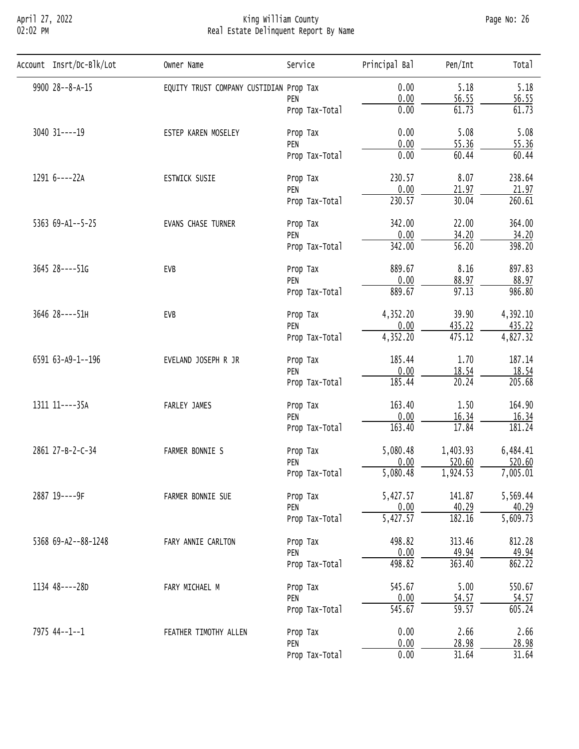# April 27, 2022 King William County Page No: 26 02:02 PM Real Estate Delinquent Report By Name

| Account Insrt/Dc-Blk/Lot | Owner Name                              | Service                                                                                                                                                                                                                                                                                                                                                             | Principal Bal | Pen/Int                                                                                                                                                                                                                                                                                                                                                                                                                                                                                                                                                                                                                                                                                                                                                             | Total                 |
|--------------------------|-----------------------------------------|---------------------------------------------------------------------------------------------------------------------------------------------------------------------------------------------------------------------------------------------------------------------------------------------------------------------------------------------------------------------|---------------|---------------------------------------------------------------------------------------------------------------------------------------------------------------------------------------------------------------------------------------------------------------------------------------------------------------------------------------------------------------------------------------------------------------------------------------------------------------------------------------------------------------------------------------------------------------------------------------------------------------------------------------------------------------------------------------------------------------------------------------------------------------------|-----------------------|
| 9900 28--8-A-15          | EQUITY TRUST COMPANY CUSTIDIAN Prop Tax |                                                                                                                                                                                                                                                                                                                                                                     | 0.00          | 5.18                                                                                                                                                                                                                                                                                                                                                                                                                                                                                                                                                                                                                                                                                                                                                                | 5.18                  |
|                          |                                         | PEN                                                                                                                                                                                                                                                                                                                                                                 |               |                                                                                                                                                                                                                                                                                                                                                                                                                                                                                                                                                                                                                                                                                                                                                                     | 56.55                 |
|                          |                                         | Prop Tax-Total                                                                                                                                                                                                                                                                                                                                                      | 0.00          | 61.73                                                                                                                                                                                                                                                                                                                                                                                                                                                                                                                                                                                                                                                                                                                                                               | 61.73                 |
| 3040 31 ---- 19          | ESTEP KAREN MOSELEY                     | Prop Tax                                                                                                                                                                                                                                                                                                                                                            | 0.00          | 5.08                                                                                                                                                                                                                                                                                                                                                                                                                                                                                                                                                                                                                                                                                                                                                                | 5.08                  |
|                          |                                         |                                                                                                                                                                                                                                                                                                                                                                     |               |                                                                                                                                                                                                                                                                                                                                                                                                                                                                                                                                                                                                                                                                                                                                                                     | 55.36                 |
|                          |                                         | Prop Tax-Total                                                                                                                                                                                                                                                                                                                                                      |               | 0.00<br>56.55<br>0.00<br>55.36<br>0.00<br>60.44<br>230.57<br>8.07<br>0.00<br>21.97<br>230.57<br>30.04<br>342.00<br>22.00<br>0.00<br>34.20<br>342.00<br>$\overline{56.20}$<br>889.67<br>8.16<br>0.00<br>88.97<br>$\overline{97.13}$<br>889.67<br>4,352.20<br>39.90<br>0.00<br>435.22<br>4,352.20<br>475.12<br>185.44<br>1.70<br>0.00<br>18.54<br>185.44<br>20.24<br>163.40<br>1.50<br>0.00<br>16.34<br>17.84<br>163.40<br>5,080.48<br>1,403.93<br>0.00<br>520.60<br>5,080.48<br>1,924.53<br>5,427.57<br>141.87<br>0.00<br>40.29<br>$\overline{5,427.57}$<br>182.16<br>498.82<br>313.46<br>0.00<br>49.94<br>498.82<br>363.40<br>545.67<br>5.00<br>0.00<br>54.57<br>$\overline{545.67}$<br>$\overline{59.57}$<br>2.66<br>0.00<br>0.00<br><u>28.98</u><br>0.00<br>31.64 | 60.44                 |
| 1291 6----22A            | ESTWICK SUSIE                           | Prop Tax                                                                                                                                                                                                                                                                                                                                                            |               |                                                                                                                                                                                                                                                                                                                                                                                                                                                                                                                                                                                                                                                                                                                                                                     | 238.64                |
|                          |                                         | PEN                                                                                                                                                                                                                                                                                                                                                                 |               |                                                                                                                                                                                                                                                                                                                                                                                                                                                                                                                                                                                                                                                                                                                                                                     | 21.97                 |
|                          |                                         | Prop Tax-Total                                                                                                                                                                                                                                                                                                                                                      |               | 260.61                                                                                                                                                                                                                                                                                                                                                                                                                                                                                                                                                                                                                                                                                                                                                              |                       |
| 5363 69-A1--5-25         | EVANS CHASE TURNER                      | PEN<br>Prop Tax<br>PEN<br>Prop Tax-Total<br>Prop Tax<br>PEN<br>Prop Tax-Total<br>Prop Tax<br>PEN<br>Prop Tax-Total<br>Prop Tax<br>PEN<br>Prop Tax-Total<br>Prop Tax<br>PEN<br>Prop Tax-Total<br>Prop Tax<br>PEN<br>Prop Tax-Total<br>Prop Tax<br>PEN<br>Prop Tax-Total<br>Prop Tax<br>PEN<br>Prop Tax-Total<br>Prop Tax<br>PEN<br>Prop Tax-Total<br>Prop Tax<br>PEN | 364.00        |                                                                                                                                                                                                                                                                                                                                                                                                                                                                                                                                                                                                                                                                                                                                                                     |                       |
|                          |                                         |                                                                                                                                                                                                                                                                                                                                                                     |               |                                                                                                                                                                                                                                                                                                                                                                                                                                                                                                                                                                                                                                                                                                                                                                     | 34.20                 |
|                          |                                         |                                                                                                                                                                                                                                                                                                                                                                     |               | 398.20                                                                                                                                                                                                                                                                                                                                                                                                                                                                                                                                                                                                                                                                                                                                                              |                       |
| 3645 28----51G           | EVB                                     |                                                                                                                                                                                                                                                                                                                                                                     |               |                                                                                                                                                                                                                                                                                                                                                                                                                                                                                                                                                                                                                                                                                                                                                                     | 897.83                |
|                          |                                         |                                                                                                                                                                                                                                                                                                                                                                     |               |                                                                                                                                                                                                                                                                                                                                                                                                                                                                                                                                                                                                                                                                                                                                                                     | 88.97                 |
|                          |                                         |                                                                                                                                                                                                                                                                                                                                                                     |               |                                                                                                                                                                                                                                                                                                                                                                                                                                                                                                                                                                                                                                                                                                                                                                     | 986.80                |
| 3646 28----51H           | EVB                                     |                                                                                                                                                                                                                                                                                                                                                                     |               |                                                                                                                                                                                                                                                                                                                                                                                                                                                                                                                                                                                                                                                                                                                                                                     | 4,392.10              |
|                          |                                         |                                                                                                                                                                                                                                                                                                                                                                     |               |                                                                                                                                                                                                                                                                                                                                                                                                                                                                                                                                                                                                                                                                                                                                                                     | 435.22                |
|                          |                                         |                                                                                                                                                                                                                                                                                                                                                                     |               |                                                                                                                                                                                                                                                                                                                                                                                                                                                                                                                                                                                                                                                                                                                                                                     | $\overline{4,827.32}$ |
| 6591 63-A9-1--196        | EVELAND JOSEPH R JR                     |                                                                                                                                                                                                                                                                                                                                                                     | 187.14        |                                                                                                                                                                                                                                                                                                                                                                                                                                                                                                                                                                                                                                                                                                                                                                     |                       |
|                          |                                         |                                                                                                                                                                                                                                                                                                                                                                     | 18.54         |                                                                                                                                                                                                                                                                                                                                                                                                                                                                                                                                                                                                                                                                                                                                                                     |                       |
|                          |                                         |                                                                                                                                                                                                                                                                                                                                                                     |               |                                                                                                                                                                                                                                                                                                                                                                                                                                                                                                                                                                                                                                                                                                                                                                     | 205.68                |
| 1311 11----35A           | FARLEY JAMES                            |                                                                                                                                                                                                                                                                                                                                                                     |               | 164.90                                                                                                                                                                                                                                                                                                                                                                                                                                                                                                                                                                                                                                                                                                                                                              |                       |
|                          |                                         |                                                                                                                                                                                                                                                                                                                                                                     |               |                                                                                                                                                                                                                                                                                                                                                                                                                                                                                                                                                                                                                                                                                                                                                                     | 16.34                 |
|                          |                                         |                                                                                                                                                                                                                                                                                                                                                                     |               |                                                                                                                                                                                                                                                                                                                                                                                                                                                                                                                                                                                                                                                                                                                                                                     | 181.24                |
| 2861 27-B-2-C-34         | FARMER BONNIE S                         |                                                                                                                                                                                                                                                                                                                                                                     |               |                                                                                                                                                                                                                                                                                                                                                                                                                                                                                                                                                                                                                                                                                                                                                                     | 6,484.41              |
|                          |                                         |                                                                                                                                                                                                                                                                                                                                                                     |               |                                                                                                                                                                                                                                                                                                                                                                                                                                                                                                                                                                                                                                                                                                                                                                     | 520.60                |
|                          |                                         |                                                                                                                                                                                                                                                                                                                                                                     |               |                                                                                                                                                                                                                                                                                                                                                                                                                                                                                                                                                                                                                                                                                                                                                                     | 7,005.01              |
| 2887 19----9F            | FARMER BONNIE SUE                       |                                                                                                                                                                                                                                                                                                                                                                     |               |                                                                                                                                                                                                                                                                                                                                                                                                                                                                                                                                                                                                                                                                                                                                                                     | 5,569.44              |
|                          |                                         |                                                                                                                                                                                                                                                                                                                                                                     |               |                                                                                                                                                                                                                                                                                                                                                                                                                                                                                                                                                                                                                                                                                                                                                                     | 40.29                 |
|                          |                                         |                                                                                                                                                                                                                                                                                                                                                                     |               |                                                                                                                                                                                                                                                                                                                                                                                                                                                                                                                                                                                                                                                                                                                                                                     | $\overline{5,609.73}$ |
| 5368 69-A2--88-1248      | FARY ANNIE CARLTON                      | Prop Tax-Total                                                                                                                                                                                                                                                                                                                                                      | 812.28        |                                                                                                                                                                                                                                                                                                                                                                                                                                                                                                                                                                                                                                                                                                                                                                     |                       |
|                          |                                         |                                                                                                                                                                                                                                                                                                                                                                     |               |                                                                                                                                                                                                                                                                                                                                                                                                                                                                                                                                                                                                                                                                                                                                                                     | 49.94                 |
|                          |                                         |                                                                                                                                                                                                                                                                                                                                                                     |               |                                                                                                                                                                                                                                                                                                                                                                                                                                                                                                                                                                                                                                                                                                                                                                     | 862.22                |
| 1134 48----28D           | FARY MICHAEL M                          |                                                                                                                                                                                                                                                                                                                                                                     |               |                                                                                                                                                                                                                                                                                                                                                                                                                                                                                                                                                                                                                                                                                                                                                                     | 550.67                |
|                          |                                         |                                                                                                                                                                                                                                                                                                                                                                     |               |                                                                                                                                                                                                                                                                                                                                                                                                                                                                                                                                                                                                                                                                                                                                                                     | 54.57                 |
|                          |                                         |                                                                                                                                                                                                                                                                                                                                                                     |               |                                                                                                                                                                                                                                                                                                                                                                                                                                                                                                                                                                                                                                                                                                                                                                     | 605.24                |
| 7975 44--1--1            | FEATHER TIMOTHY ALLEN                   | 2.66                                                                                                                                                                                                                                                                                                                                                                |               |                                                                                                                                                                                                                                                                                                                                                                                                                                                                                                                                                                                                                                                                                                                                                                     |                       |
|                          |                                         |                                                                                                                                                                                                                                                                                                                                                                     |               |                                                                                                                                                                                                                                                                                                                                                                                                                                                                                                                                                                                                                                                                                                                                                                     | 28.98                 |
|                          |                                         |                                                                                                                                                                                                                                                                                                                                                                     |               |                                                                                                                                                                                                                                                                                                                                                                                                                                                                                                                                                                                                                                                                                                                                                                     | 31.64                 |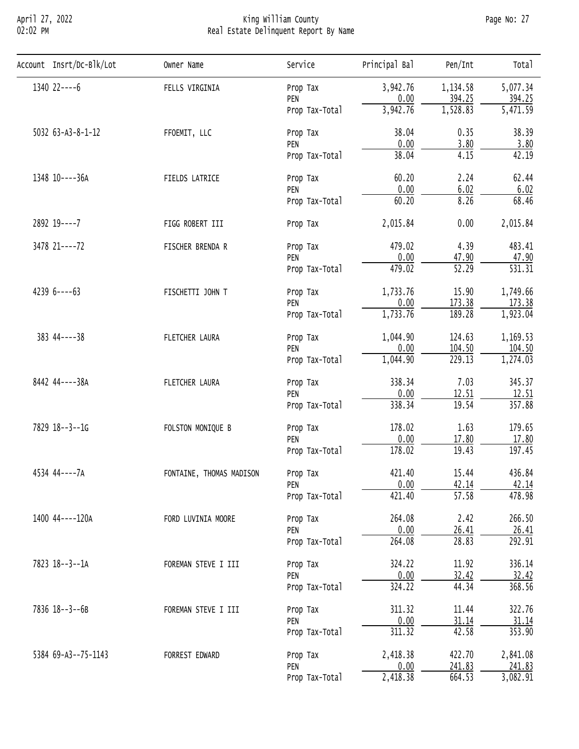# April 27, 2022 King William County Page No: 27 02:02 PM Real Estate Delinquent Report By Name

| Account Insrt/Dc-Blk/Lot | Owner Name                                                                   | Service                           | Principal Bal                                                                                                                                                                                                                                                                                                                                                                                                                                                                                                                                                                                                                                                                                                                                                 | Pen/Int  | Tota <sub>1</sub>     |
|--------------------------|------------------------------------------------------------------------------|-----------------------------------|---------------------------------------------------------------------------------------------------------------------------------------------------------------------------------------------------------------------------------------------------------------------------------------------------------------------------------------------------------------------------------------------------------------------------------------------------------------------------------------------------------------------------------------------------------------------------------------------------------------------------------------------------------------------------------------------------------------------------------------------------------------|----------|-----------------------|
| 1340 22----6             | FELLS VIRGINIA                                                               | Prop Tax                          | 3,942.76                                                                                                                                                                                                                                                                                                                                                                                                                                                                                                                                                                                                                                                                                                                                                      | 1,134.58 | 5,077.34              |
|                          |                                                                              | PEN                               |                                                                                                                                                                                                                                                                                                                                                                                                                                                                                                                                                                                                                                                                                                                                                               |          | 394.25                |
|                          |                                                                              | Prop Tax-Total                    |                                                                                                                                                                                                                                                                                                                                                                                                                                                                                                                                                                                                                                                                                                                                                               |          | $\overline{5,471.59}$ |
| 5032 63-A3-8-1-12        | FFOEMIT, LLC                                                                 | Prop Tax                          | 38.04                                                                                                                                                                                                                                                                                                                                                                                                                                                                                                                                                                                                                                                                                                                                                         | 0.35     | 38.39                 |
|                          |                                                                              | PEN                               |                                                                                                                                                                                                                                                                                                                                                                                                                                                                                                                                                                                                                                                                                                                                                               |          | 3.80                  |
|                          |                                                                              | Prop Tax-Total                    |                                                                                                                                                                                                                                                                                                                                                                                                                                                                                                                                                                                                                                                                                                                                                               |          | 42.19                 |
| 1348 10----36A           | FIELDS LATRICE                                                               | Prop Tax                          | 0.00<br>394.25<br>1,528.83<br>3,942.76<br>0.00<br>3.80<br>38.04<br>4.15<br>60.20<br>2.24<br>0.00<br>6.02<br>60.20<br>8.26<br>2,015.84<br>0.00<br>4.39<br>479.02<br>0.00<br>47.90<br>$\overline{52.29}$<br>479.02<br>15.90<br>1,733.76<br>173.38<br>0.00<br>1,733.76<br>189.28<br>124.63<br>1,044.90<br>0.00<br>104.50<br>229.13<br>1,044.90<br>338.34<br>7.03<br>0.00<br>12.51<br>338.34<br>19.54<br>178.02<br>1.63<br>0.00<br>17.80<br>178.02<br>19.43<br>421.40<br>15.44<br>0.00<br>42.14<br>421.40<br>$\overline{57.58}$<br>2.42<br>264.08<br>0.00<br>26.41<br>28.83<br>264.08<br>11.92<br>324.22<br>0.00<br>32.42<br>324.22<br>44.34<br>311.32<br>11.44<br>0.00<br>31.14<br>311.32<br>42.58<br>422.70<br>2,418.38<br>0.00<br>241.83<br>2,418.38<br>664.53 | 62.44    |                       |
|                          |                                                                              | PEN                               |                                                                                                                                                                                                                                                                                                                                                                                                                                                                                                                                                                                                                                                                                                                                                               |          | 6.02                  |
|                          |                                                                              | Prop Tax-Total                    |                                                                                                                                                                                                                                                                                                                                                                                                                                                                                                                                                                                                                                                                                                                                                               |          | 68.46                 |
| 2892 19 ---- 7           | FIGG ROBERT III                                                              | Prop Tax                          |                                                                                                                                                                                                                                                                                                                                                                                                                                                                                                                                                                                                                                                                                                                                                               |          | 2,015.84              |
| 3478 21----72            | FISCHER BRENDA R                                                             | Prop Tax                          |                                                                                                                                                                                                                                                                                                                                                                                                                                                                                                                                                                                                                                                                                                                                                               |          | 483.41                |
|                          |                                                                              | PEN                               |                                                                                                                                                                                                                                                                                                                                                                                                                                                                                                                                                                                                                                                                                                                                                               | 47.90    |                       |
|                          |                                                                              | Prop Tax-Total<br>Prop Tax<br>PEN | $\overline{531.31}$                                                                                                                                                                                                                                                                                                                                                                                                                                                                                                                                                                                                                                                                                                                                           |          |                       |
| $42396---63$             | FISCHETTI JOHN T                                                             |                                   |                                                                                                                                                                                                                                                                                                                                                                                                                                                                                                                                                                                                                                                                                                                                                               |          | 1,749.66              |
|                          |                                                                              |                                   |                                                                                                                                                                                                                                                                                                                                                                                                                                                                                                                                                                                                                                                                                                                                                               |          | 173.38                |
|                          |                                                                              | Prop Tax-Total                    |                                                                                                                                                                                                                                                                                                                                                                                                                                                                                                                                                                                                                                                                                                                                                               | 1,923.04 |                       |
| $383$ 44----38           | FLETCHER LAURA                                                               | Prop Tax                          |                                                                                                                                                                                                                                                                                                                                                                                                                                                                                                                                                                                                                                                                                                                                                               |          | 1,169.53              |
|                          |                                                                              | PEN                               |                                                                                                                                                                                                                                                                                                                                                                                                                                                                                                                                                                                                                                                                                                                                                               |          | 104.50                |
|                          |                                                                              | Prop Tax-Total                    |                                                                                                                                                                                                                                                                                                                                                                                                                                                                                                                                                                                                                                                                                                                                                               |          | 1,274.03              |
| 8442 44----38A           | FLETCHER LAURA<br>Prop Tax<br>PEN<br>Prop Tax-Total                          |                                   | 345.37                                                                                                                                                                                                                                                                                                                                                                                                                                                                                                                                                                                                                                                                                                                                                        |          |                       |
|                          |                                                                              |                                   |                                                                                                                                                                                                                                                                                                                                                                                                                                                                                                                                                                                                                                                                                                                                                               | 12.51    |                       |
|                          |                                                                              |                                   |                                                                                                                                                                                                                                                                                                                                                                                                                                                                                                                                                                                                                                                                                                                                                               |          | 357.88                |
| 7829 18--3--1G           | FOLSTON MONIQUE B                                                            | Prop Tax                          |                                                                                                                                                                                                                                                                                                                                                                                                                                                                                                                                                                                                                                                                                                                                                               | 179.65   |                       |
|                          |                                                                              | PEN                               |                                                                                                                                                                                                                                                                                                                                                                                                                                                                                                                                                                                                                                                                                                                                                               |          | 17.80                 |
|                          |                                                                              | Prop Tax-Total                    |                                                                                                                                                                                                                                                                                                                                                                                                                                                                                                                                                                                                                                                                                                                                                               |          | 197.45                |
| 4534 44----7A            | FONTAINE, THOMAS MADISON                                                     | Prop Tax                          |                                                                                                                                                                                                                                                                                                                                                                                                                                                                                                                                                                                                                                                                                                                                                               |          | 436.84                |
|                          |                                                                              | PEN                               |                                                                                                                                                                                                                                                                                                                                                                                                                                                                                                                                                                                                                                                                                                                                                               |          | 42.14                 |
|                          |                                                                              | Prop Tax-Total                    |                                                                                                                                                                                                                                                                                                                                                                                                                                                                                                                                                                                                                                                                                                                                                               |          | 478.98                |
| 1400 44----120A          | FORD LUVINIA MOORE                                                           | Prop Tax                          |                                                                                                                                                                                                                                                                                                                                                                                                                                                                                                                                                                                                                                                                                                                                                               |          | 266.50                |
|                          |                                                                              | PEN                               |                                                                                                                                                                                                                                                                                                                                                                                                                                                                                                                                                                                                                                                                                                                                                               |          | 26.41                 |
|                          |                                                                              | Prop Tax-Total                    |                                                                                                                                                                                                                                                                                                                                                                                                                                                                                                                                                                                                                                                                                                                                                               |          | 292.91                |
| 7823 18--3--1A           | FOREMAN STEVE I III                                                          | Prop Tax                          |                                                                                                                                                                                                                                                                                                                                                                                                                                                                                                                                                                                                                                                                                                                                                               |          | 336.14                |
|                          |                                                                              | PEN                               |                                                                                                                                                                                                                                                                                                                                                                                                                                                                                                                                                                                                                                                                                                                                                               |          | 32.42                 |
|                          |                                                                              | Prop Tax-Total                    |                                                                                                                                                                                                                                                                                                                                                                                                                                                                                                                                                                                                                                                                                                                                                               |          | 368.56                |
| 7836 18--3--6B           | FOREMAN STEVE I III                                                          | Prop Tax                          |                                                                                                                                                                                                                                                                                                                                                                                                                                                                                                                                                                                                                                                                                                                                                               |          | 322.76                |
|                          | PEN<br>Prop Tax-Total<br>FORREST EDWARD<br>Prop Tax<br>PEN<br>Prop Tax-Total | 31.14                             |                                                                                                                                                                                                                                                                                                                                                                                                                                                                                                                                                                                                                                                                                                                                                               |          |                       |
|                          |                                                                              |                                   |                                                                                                                                                                                                                                                                                                                                                                                                                                                                                                                                                                                                                                                                                                                                                               |          | 353.90                |
| 5384 69-A3--75-1143      |                                                                              |                                   |                                                                                                                                                                                                                                                                                                                                                                                                                                                                                                                                                                                                                                                                                                                                                               |          | 2,841.08              |
|                          |                                                                              |                                   |                                                                                                                                                                                                                                                                                                                                                                                                                                                                                                                                                                                                                                                                                                                                                               |          | 241.83                |
|                          |                                                                              |                                   |                                                                                                                                                                                                                                                                                                                                                                                                                                                                                                                                                                                                                                                                                                                                                               |          | 3,082.91              |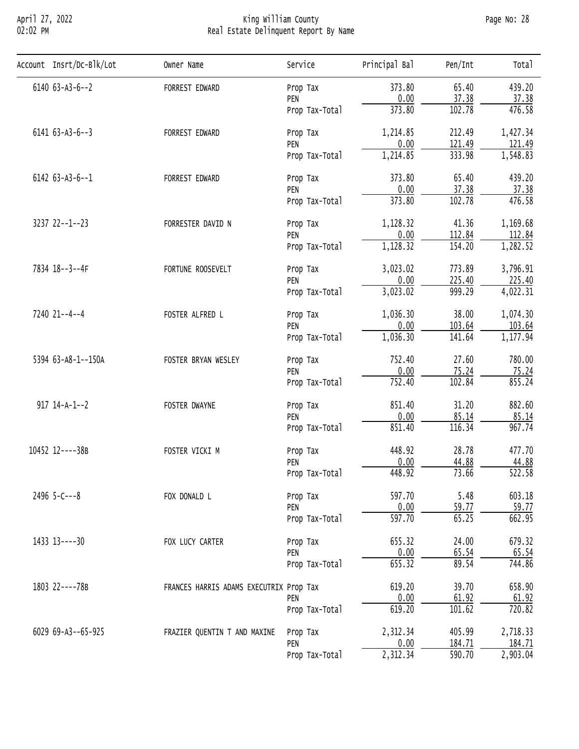# April 27, 2022 King William County Page No: 28 02:02 PM Real Estate Delinquent Report By Name

| Account Insrt/Dc-Blk/Lot | Owner Name                                                              | Service                                                                                                                    | Principal Bal | Pen/Int                                                                                                                                                                                                                                                                                                                                                                                                                                                                                                                                                                                                                                                                                                               | Total                 |
|--------------------------|-------------------------------------------------------------------------|----------------------------------------------------------------------------------------------------------------------------|---------------|-----------------------------------------------------------------------------------------------------------------------------------------------------------------------------------------------------------------------------------------------------------------------------------------------------------------------------------------------------------------------------------------------------------------------------------------------------------------------------------------------------------------------------------------------------------------------------------------------------------------------------------------------------------------------------------------------------------------------|-----------------------|
| $6140$ $63 - A3 - 6 - 2$ | FORREST EDWARD                                                          | Prop Tax                                                                                                                   | 373.80        | 65.40                                                                                                                                                                                                                                                                                                                                                                                                                                                                                                                                                                                                                                                                                                                 | 439.20                |
|                          |                                                                         |                                                                                                                            |               |                                                                                                                                                                                                                                                                                                                                                                                                                                                                                                                                                                                                                                                                                                                       | 37.38                 |
|                          |                                                                         | Prop Tax-Total                                                                                                             |               |                                                                                                                                                                                                                                                                                                                                                                                                                                                                                                                                                                                                                                                                                                                       | 476.58                |
| $6141 63 - A3 - 6 - -3$  | FORREST EDWARD                                                          | Prop Tax                                                                                                                   | 1,214.85      | 212.49                                                                                                                                                                                                                                                                                                                                                                                                                                                                                                                                                                                                                                                                                                                | 1,427.34              |
|                          |                                                                         |                                                                                                                            |               |                                                                                                                                                                                                                                                                                                                                                                                                                                                                                                                                                                                                                                                                                                                       | 121.49                |
|                          |                                                                         |                                                                                                                            |               |                                                                                                                                                                                                                                                                                                                                                                                                                                                                                                                                                                                                                                                                                                                       | 1,548.83              |
| $6142$ $63 - A3 - 6 - 1$ | FORREST EDWARD                                                          | Prop Tax                                                                                                                   | 373.80        | 65.40                                                                                                                                                                                                                                                                                                                                                                                                                                                                                                                                                                                                                                                                                                                 | 439.20                |
|                          |                                                                         |                                                                                                                            |               |                                                                                                                                                                                                                                                                                                                                                                                                                                                                                                                                                                                                                                                                                                                       | 37.38                 |
|                          |                                                                         | Prop Tax-Total                                                                                                             |               |                                                                                                                                                                                                                                                                                                                                                                                                                                                                                                                                                                                                                                                                                                                       | 476.58                |
| $3237$ $22--1--23$       | FORRESTER DAVID N                                                       | Prop Tax                                                                                                                   | 1,128.32      | 41.36                                                                                                                                                                                                                                                                                                                                                                                                                                                                                                                                                                                                                                                                                                                 | 1,169.68              |
|                          |                                                                         | PEN                                                                                                                        |               |                                                                                                                                                                                                                                                                                                                                                                                                                                                                                                                                                                                                                                                                                                                       | 112.84                |
|                          |                                                                         | Prop Tax-Total                                                                                                             |               | 0.00<br>37.38<br>373.80<br>102.78<br>0.00<br>121.49<br>333.98<br>1,214.85<br>0.00<br>37.38<br>373.80<br>102.78<br>0.00<br>112.84<br>1,128.32<br>154.20<br>3,023.02<br>773.89<br>0.00<br>225.40<br>3,023.02<br>999.29<br>1,036.30<br>38.00<br>0.00<br>103.64<br>1,036.30<br>141.64<br>752.40<br>27.60<br>0.00<br>75.24<br>752.40<br>102.84<br>851.40<br>31.20<br>0.00<br>85.14<br>851.40<br>116.34<br>448.92<br>28.78<br>0.00<br>44.88<br>448.92<br>73.66<br>597.70<br>5.48<br>0.00<br>59.77<br>$\overline{597.70}$<br>65.25<br>655.32<br>24.00<br>0.00<br>65.54<br>655.32<br>89.54<br>619.20<br>39.70<br>0.00<br>61.92<br>101.62<br>619.20<br>2,312.34<br>405.99<br>0.00<br>184.71<br>2,312.34<br>$\overline{590.70}$ | 1,282.52              |
| 7834 18--3--4F           | FORTUNE ROOSEVELT                                                       | Prop Tax                                                                                                                   |               |                                                                                                                                                                                                                                                                                                                                                                                                                                                                                                                                                                                                                                                                                                                       | 3,796.91              |
|                          |                                                                         | PEN                                                                                                                        |               |                                                                                                                                                                                                                                                                                                                                                                                                                                                                                                                                                                                                                                                                                                                       | 225.40                |
|                          |                                                                         | Prop Tax-Total                                                                                                             |               |                                                                                                                                                                                                                                                                                                                                                                                                                                                                                                                                                                                                                                                                                                                       | $\overline{4,022.31}$ |
| 7240 21--4--4            | FOSTER ALFRED L                                                         | Prop Tax                                                                                                                   |               |                                                                                                                                                                                                                                                                                                                                                                                                                                                                                                                                                                                                                                                                                                                       | 1,074.30              |
|                          |                                                                         | PEN                                                                                                                        |               |                                                                                                                                                                                                                                                                                                                                                                                                                                                                                                                                                                                                                                                                                                                       | 103.64                |
|                          |                                                                         | Prop Tax-Total                                                                                                             |               |                                                                                                                                                                                                                                                                                                                                                                                                                                                                                                                                                                                                                                                                                                                       | 1,177.94              |
| 5394 63-A8-1--150A       | FOSTER BRYAN WESLEY                                                     | Prop Tax                                                                                                                   |               | 780.00                                                                                                                                                                                                                                                                                                                                                                                                                                                                                                                                                                                                                                                                                                                |                       |
|                          |                                                                         | PEN                                                                                                                        |               |                                                                                                                                                                                                                                                                                                                                                                                                                                                                                                                                                                                                                                                                                                                       | 75.24                 |
|                          |                                                                         | Prop Tax-Total                                                                                                             |               |                                                                                                                                                                                                                                                                                                                                                                                                                                                                                                                                                                                                                                                                                                                       | 855.24                |
| $917$ $14-A-1--2$        | FOSTER DWAYNE                                                           | Prop Tax                                                                                                                   |               |                                                                                                                                                                                                                                                                                                                                                                                                                                                                                                                                                                                                                                                                                                                       | 882.60                |
|                          |                                                                         | PEN                                                                                                                        |               |                                                                                                                                                                                                                                                                                                                                                                                                                                                                                                                                                                                                                                                                                                                       | 85.14                 |
|                          |                                                                         | Prop Tax-Total                                                                                                             |               |                                                                                                                                                                                                                                                                                                                                                                                                                                                                                                                                                                                                                                                                                                                       | 967.74                |
| 10452 12----38B          | FOSTER VICKI M                                                          | Prop Tax                                                                                                                   |               |                                                                                                                                                                                                                                                                                                                                                                                                                                                                                                                                                                                                                                                                                                                       | 477.70                |
|                          |                                                                         | PEN                                                                                                                        |               |                                                                                                                                                                                                                                                                                                                                                                                                                                                                                                                                                                                                                                                                                                                       | 44.88                 |
|                          |                                                                         | Prop Tax-Total                                                                                                             |               |                                                                                                                                                                                                                                                                                                                                                                                                                                                                                                                                                                                                                                                                                                                       | $\overline{522.58}$   |
| $2496$ 5-C---8           | FOX DONALD L                                                            | Prop Tax                                                                                                                   |               |                                                                                                                                                                                                                                                                                                                                                                                                                                                                                                                                                                                                                                                                                                                       | 603.18                |
|                          |                                                                         | PEN                                                                                                                        |               |                                                                                                                                                                                                                                                                                                                                                                                                                                                                                                                                                                                                                                                                                                                       | 59.77                 |
|                          |                                                                         | Prop Tax-Total                                                                                                             |               |                                                                                                                                                                                                                                                                                                                                                                                                                                                                                                                                                                                                                                                                                                                       | 662.95                |
| 1433 13----30            | FOX LUCY CARTER                                                         | PEN<br>PEN<br>Prop Tax-Total<br>PEN<br>Prop Tax<br>PEN<br>Prop Tax-Total<br>PEN<br>Prop Tax-Total<br>PEN<br>Prop Tax-Total | 679.32        |                                                                                                                                                                                                                                                                                                                                                                                                                                                                                                                                                                                                                                                                                                                       |                       |
|                          |                                                                         |                                                                                                                            |               |                                                                                                                                                                                                                                                                                                                                                                                                                                                                                                                                                                                                                                                                                                                       | 65.54                 |
|                          |                                                                         |                                                                                                                            |               |                                                                                                                                                                                                                                                                                                                                                                                                                                                                                                                                                                                                                                                                                                                       | 744.86                |
| 1803 22----78B           |                                                                         | Prop Tax                                                                                                                   | 658.90        |                                                                                                                                                                                                                                                                                                                                                                                                                                                                                                                                                                                                                                                                                                                       |                       |
|                          | FRANCES HARRIS ADAMS EXECUTRIX Prop Tax<br>FRAZIER QUENTIN T AND MAXINE | 61.92                                                                                                                      |               |                                                                                                                                                                                                                                                                                                                                                                                                                                                                                                                                                                                                                                                                                                                       |                       |
|                          |                                                                         |                                                                                                                            |               |                                                                                                                                                                                                                                                                                                                                                                                                                                                                                                                                                                                                                                                                                                                       | 720.82                |
| 6029 69-A3--65-925       |                                                                         |                                                                                                                            |               |                                                                                                                                                                                                                                                                                                                                                                                                                                                                                                                                                                                                                                                                                                                       | 2,718.33              |
|                          |                                                                         |                                                                                                                            |               |                                                                                                                                                                                                                                                                                                                                                                                                                                                                                                                                                                                                                                                                                                                       | 184.71                |
|                          |                                                                         |                                                                                                                            |               |                                                                                                                                                                                                                                                                                                                                                                                                                                                                                                                                                                                                                                                                                                                       | 2,903.04              |
|                          |                                                                         |                                                                                                                            |               |                                                                                                                                                                                                                                                                                                                                                                                                                                                                                                                                                                                                                                                                                                                       |                       |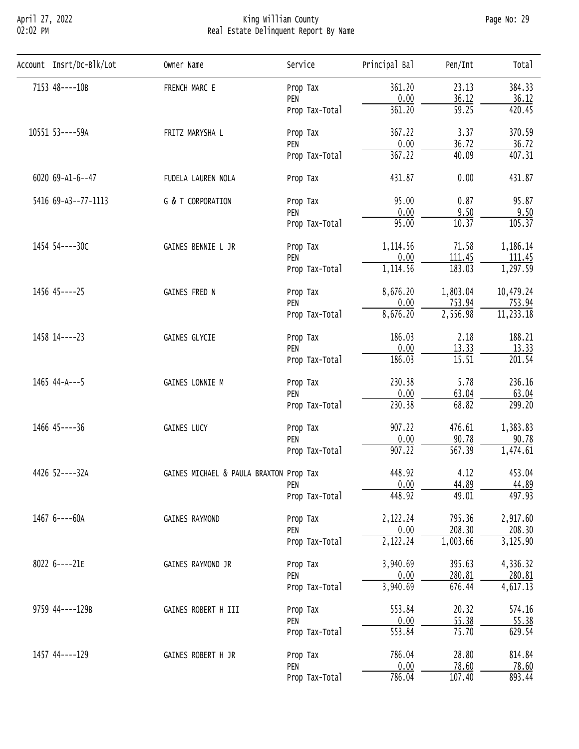# April 27, 2022 King William County Page No: 29 02:02 PM Real Estate Delinquent Report By Name

| Account Insrt/Dc-Blk/Lot | Owner Name                                                                                                                                     | Service                                                                                                                                                                                                                                                                                                                                                                                                                                                                                                                                                                                                                                                                                                                                                   | Principal Bal                                                                                                                                                                              | Pen/Int  | Tota <sub>1</sub> |
|--------------------------|------------------------------------------------------------------------------------------------------------------------------------------------|-----------------------------------------------------------------------------------------------------------------------------------------------------------------------------------------------------------------------------------------------------------------------------------------------------------------------------------------------------------------------------------------------------------------------------------------------------------------------------------------------------------------------------------------------------------------------------------------------------------------------------------------------------------------------------------------------------------------------------------------------------------|--------------------------------------------------------------------------------------------------------------------------------------------------------------------------------------------|----------|-------------------|
| 7153 48----10B           | FRENCH MARC E                                                                                                                                  | Prop Tax                                                                                                                                                                                                                                                                                                                                                                                                                                                                                                                                                                                                                                                                                                                                                  | 361.20                                                                                                                                                                                     | 23.13    | 384.33            |
|                          |                                                                                                                                                |                                                                                                                                                                                                                                                                                                                                                                                                                                                                                                                                                                                                                                                                                                                                                           |                                                                                                                                                                                            |          | 36.12             |
|                          |                                                                                                                                                |                                                                                                                                                                                                                                                                                                                                                                                                                                                                                                                                                                                                                                                                                                                                                           |                                                                                                                                                                                            |          | 420.45            |
| 10551 53----59A          | FRITZ MARYSHA L                                                                                                                                | Prop Tax                                                                                                                                                                                                                                                                                                                                                                                                                                                                                                                                                                                                                                                                                                                                                  | 367.22                                                                                                                                                                                     | 3.37     | 370.59            |
|                          |                                                                                                                                                |                                                                                                                                                                                                                                                                                                                                                                                                                                                                                                                                                                                                                                                                                                                                                           |                                                                                                                                                                                            |          | 36.72             |
|                          |                                                                                                                                                |                                                                                                                                                                                                                                                                                                                                                                                                                                                                                                                                                                                                                                                                                                                                                           |                                                                                                                                                                                            |          |                   |
| 6020 69-A1-6--47         | FUDELA LAUREN NOLA                                                                                                                             | Prop Tax                                                                                                                                                                                                                                                                                                                                                                                                                                                                                                                                                                                                                                                                                                                                                  | 431.87                                                                                                                                                                                     | 0.00     | 431.87            |
| 5416 69-A3--77-1113      | G & T CORPORATION                                                                                                                              | Prop Tax                                                                                                                                                                                                                                                                                                                                                                                                                                                                                                                                                                                                                                                                                                                                                  | 95.00                                                                                                                                                                                      | 0.87     | 95.87             |
|                          |                                                                                                                                                | $\overline{59.25}$<br>361.20<br>Prop Tax-Total<br>36.72<br>$\frac{0.00}{367.22}$<br>PEN<br>40.09<br>Prop Tax-Total<br>0.00<br>9.50<br>PEN<br>95.00<br>10.37<br>Prop Tax-Total<br>71.58<br>1,114.56<br>Prop Tax<br>0.00<br>111.45<br>PEN<br>183.03<br>1,114.56<br>Prop Tax-Total<br>1,803.04<br>8,676.20<br>Prop Tax<br>0.00<br>753.94<br>PEN<br>8,676.20<br>2,556.98<br>Prop Tax-Total<br>186.03<br>2.18<br>Prop Tax<br>0.00<br>13.33<br>PEN<br>186.03<br>15.51<br>Prop Tax-Total<br>230.38<br>5.78<br>Prop Tax<br>0.00<br>63.04<br>PEN<br>68.82<br>230.38<br>Prop Tax-Total<br>907.22<br>476.61<br>Prop Tax<br>0.00<br>90.78<br>PEN<br>567.39<br>907.22<br>Prop Tax-Total<br>448.92<br>4.12<br>0.00<br>44.89<br>PEN<br>448.92<br>49.01<br>Prop Tax-Total | 9.50                                                                                                                                                                                       |          |                   |
|                          |                                                                                                                                                |                                                                                                                                                                                                                                                                                                                                                                                                                                                                                                                                                                                                                                                                                                                                                           |                                                                                                                                                                                            |          | 105.37            |
| 1454 54----30C           | GAINES BENNIE L JR                                                                                                                             |                                                                                                                                                                                                                                                                                                                                                                                                                                                                                                                                                                                                                                                                                                                                                           |                                                                                                                                                                                            |          | 1,186.14          |
|                          |                                                                                                                                                |                                                                                                                                                                                                                                                                                                                                                                                                                                                                                                                                                                                                                                                                                                                                                           |                                                                                                                                                                                            |          | 111.45            |
|                          |                                                                                                                                                |                                                                                                                                                                                                                                                                                                                                                                                                                                                                                                                                                                                                                                                                                                                                                           |                                                                                                                                                                                            |          |                   |
| 1456 45----25            | GAINES FRED N                                                                                                                                  |                                                                                                                                                                                                                                                                                                                                                                                                                                                                                                                                                                                                                                                                                                                                                           |                                                                                                                                                                                            |          | 10,479.24         |
|                          |                                                                                                                                                |                                                                                                                                                                                                                                                                                                                                                                                                                                                                                                                                                                                                                                                                                                                                                           |                                                                                                                                                                                            |          | 753.94            |
|                          |                                                                                                                                                |                                                                                                                                                                                                                                                                                                                                                                                                                                                                                                                                                                                                                                                                                                                                                           |                                                                                                                                                                                            |          |                   |
| 1458 14----23            | GAINES GLYCIE                                                                                                                                  |                                                                                                                                                                                                                                                                                                                                                                                                                                                                                                                                                                                                                                                                                                                                                           |                                                                                                                                                                                            |          | 188.21            |
|                          |                                                                                                                                                |                                                                                                                                                                                                                                                                                                                                                                                                                                                                                                                                                                                                                                                                                                                                                           |                                                                                                                                                                                            |          | 13.33             |
|                          |                                                                                                                                                |                                                                                                                                                                                                                                                                                                                                                                                                                                                                                                                                                                                                                                                                                                                                                           |                                                                                                                                                                                            |          | 201.54            |
| $1465$ 44-A---5          | GAINES LONNIE M                                                                                                                                | 2,122.24<br>795.36<br>Prop Tax<br>0.00<br>208.30<br>PEN<br>2,122.24<br>1,003.66<br>Prop Tax-Total                                                                                                                                                                                                                                                                                                                                                                                                                                                                                                                                                                                                                                                         | 236.16                                                                                                                                                                                     |          |                   |
|                          |                                                                                                                                                |                                                                                                                                                                                                                                                                                                                                                                                                                                                                                                                                                                                                                                                                                                                                                           | 63.04                                                                                                                                                                                      |          |                   |
|                          |                                                                                                                                                |                                                                                                                                                                                                                                                                                                                                                                                                                                                                                                                                                                                                                                                                                                                                                           |                                                                                                                                                                                            |          |                   |
| 1466 45----36            | <b>GAINES LUCY</b>                                                                                                                             |                                                                                                                                                                                                                                                                                                                                                                                                                                                                                                                                                                                                                                                                                                                                                           | 0.00<br>36.12<br>3,940.69<br>395.63<br>0.00<br>280.81<br>3,940.69<br>676.44<br>20.32<br>553.84<br>0.00<br>55.38<br>553.84<br>75.70<br>28.80<br>786.04<br>0.00<br>78.60<br>107.40<br>786.04 | 1,383.83 |                   |
|                          |                                                                                                                                                |                                                                                                                                                                                                                                                                                                                                                                                                                                                                                                                                                                                                                                                                                                                                                           |                                                                                                                                                                                            |          | 90.78             |
|                          |                                                                                                                                                |                                                                                                                                                                                                                                                                                                                                                                                                                                                                                                                                                                                                                                                                                                                                                           |                                                                                                                                                                                            |          | 1,474.61          |
| 4426 52----32A           |                                                                                                                                                |                                                                                                                                                                                                                                                                                                                                                                                                                                                                                                                                                                                                                                                                                                                                                           |                                                                                                                                                                                            |          | 453.04            |
|                          |                                                                                                                                                |                                                                                                                                                                                                                                                                                                                                                                                                                                                                                                                                                                                                                                                                                                                                                           |                                                                                                                                                                                            |          | 44.89             |
|                          |                                                                                                                                                |                                                                                                                                                                                                                                                                                                                                                                                                                                                                                                                                                                                                                                                                                                                                                           |                                                                                                                                                                                            |          | 497.93            |
| 1467 6----60A            | GAINES RAYMOND                                                                                                                                 |                                                                                                                                                                                                                                                                                                                                                                                                                                                                                                                                                                                                                                                                                                                                                           |                                                                                                                                                                                            |          | 2,917.60          |
|                          |                                                                                                                                                |                                                                                                                                                                                                                                                                                                                                                                                                                                                                                                                                                                                                                                                                                                                                                           |                                                                                                                                                                                            |          | 208.30            |
|                          |                                                                                                                                                |                                                                                                                                                                                                                                                                                                                                                                                                                                                                                                                                                                                                                                                                                                                                                           |                                                                                                                                                                                            |          |                   |
| 8022 6----21E            | GAINES RAYMOND JR                                                                                                                              | Prop Tax                                                                                                                                                                                                                                                                                                                                                                                                                                                                                                                                                                                                                                                                                                                                                  |                                                                                                                                                                                            | 4,336.32 |                   |
|                          |                                                                                                                                                | PEN<br>PEN<br>Prop Tax-Total<br>Prop Tax<br>PEN<br>Prop Tax-Total<br>Prop Tax<br>PEN<br>Prop Tax-Total                                                                                                                                                                                                                                                                                                                                                                                                                                                                                                                                                                                                                                                    | 280.81                                                                                                                                                                                     |          |                   |
|                          |                                                                                                                                                |                                                                                                                                                                                                                                                                                                                                                                                                                                                                                                                                                                                                                                                                                                                                                           |                                                                                                                                                                                            |          | 4,617.13          |
| 9759 44----129B          | 407.31<br>1,297.59<br>11, 233.18<br>299.20<br>GAINES MICHAEL & PAULA BRAXTON Prop Tax<br>3,125.90<br>GAINES ROBERT H III<br>GAINES ROBERT H JR | 574.16                                                                                                                                                                                                                                                                                                                                                                                                                                                                                                                                                                                                                                                                                                                                                    |                                                                                                                                                                                            |          |                   |
|                          |                                                                                                                                                | 55.38                                                                                                                                                                                                                                                                                                                                                                                                                                                                                                                                                                                                                                                                                                                                                     |                                                                                                                                                                                            |          |                   |
|                          |                                                                                                                                                |                                                                                                                                                                                                                                                                                                                                                                                                                                                                                                                                                                                                                                                                                                                                                           | 629.54                                                                                                                                                                                     |          |                   |
| 1457 44----129           |                                                                                                                                                |                                                                                                                                                                                                                                                                                                                                                                                                                                                                                                                                                                                                                                                                                                                                                           |                                                                                                                                                                                            |          | 814.84            |
|                          |                                                                                                                                                |                                                                                                                                                                                                                                                                                                                                                                                                                                                                                                                                                                                                                                                                                                                                                           |                                                                                                                                                                                            |          | 78.60             |
|                          |                                                                                                                                                |                                                                                                                                                                                                                                                                                                                                                                                                                                                                                                                                                                                                                                                                                                                                                           |                                                                                                                                                                                            |          | 893.44            |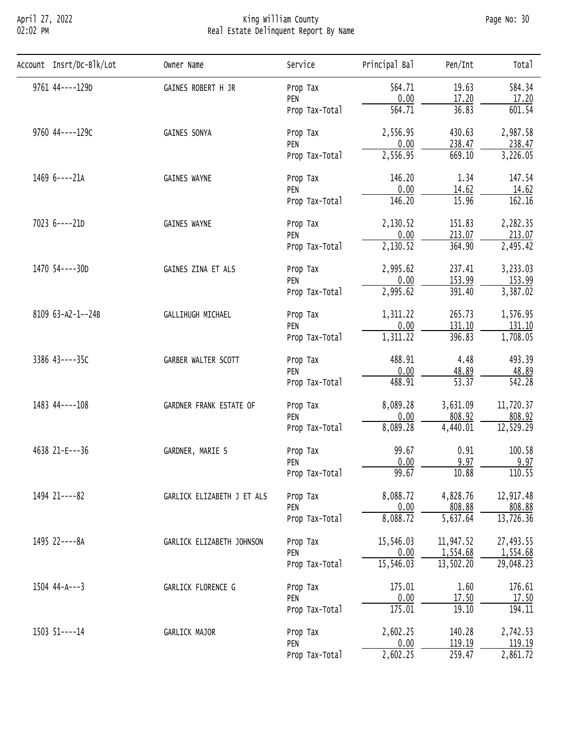# April 27, 2022 King William County Page No: 30 02:02 PM Real Estate Delinquent Report By Name

| Account Insrt/Dc-Blk/Lot | Owner Name                                                                                                                                                                                                                                                                                                                                                                                                                                                                                                                                                                        | Service        | Principal Bal                                                                                                                                                                                                                                                                                                                                                                                                                                                                                                                                                                                                                                                                                                                                                                                            | Pen/Int            | Total     |
|--------------------------|-----------------------------------------------------------------------------------------------------------------------------------------------------------------------------------------------------------------------------------------------------------------------------------------------------------------------------------------------------------------------------------------------------------------------------------------------------------------------------------------------------------------------------------------------------------------------------------|----------------|----------------------------------------------------------------------------------------------------------------------------------------------------------------------------------------------------------------------------------------------------------------------------------------------------------------------------------------------------------------------------------------------------------------------------------------------------------------------------------------------------------------------------------------------------------------------------------------------------------------------------------------------------------------------------------------------------------------------------------------------------------------------------------------------------------|--------------------|-----------|
| 9761 44 --- - 129D       | GAINES ROBERT H JR                                                                                                                                                                                                                                                                                                                                                                                                                                                                                                                                                                | Prop Tax       | 564.71                                                                                                                                                                                                                                                                                                                                                                                                                                                                                                                                                                                                                                                                                                                                                                                                   | 19.63              | 584.34    |
|                          |                                                                                                                                                                                                                                                                                                                                                                                                                                                                                                                                                                                   |                |                                                                                                                                                                                                                                                                                                                                                                                                                                                                                                                                                                                                                                                                                                                                                                                                          |                    | 17.20     |
|                          |                                                                                                                                                                                                                                                                                                                                                                                                                                                                                                                                                                                   | Prop Tax-Total |                                                                                                                                                                                                                                                                                                                                                                                                                                                                                                                                                                                                                                                                                                                                                                                                          |                    | 601.54    |
| 9760 44----129C          | GAINES SONYA                                                                                                                                                                                                                                                                                                                                                                                                                                                                                                                                                                      | Prop Tax       | 0.00<br>17.20<br>$\overline{564.71}$<br>36.83<br>2,556.95<br>430.63<br>0.00<br>238.47<br>2,556.95<br>669.10<br>146.20<br>1.34<br>0.00<br>14.62<br>146.20<br>15.96<br>2,130.52<br>151.83<br>0.00<br>213.07<br>2,130.52<br>364.90<br>2,995.62<br>237.41<br>0.00<br>153.99<br>2,995.62<br>391.40<br>1,311.22<br>265.73<br>0.00<br>131.10<br>1,311.22<br>396.83<br>488.91<br>4.48<br>0.00<br>48.89<br>$\overline{53.37}$<br>488.91<br>8,089.28<br>3,631.09<br>0.00<br>808.92<br>8,089.28<br>4,440.01<br>99.67<br>0.91<br>0.00<br>9.97<br>99.67<br>10.88<br>8,088.72<br>4,828.76<br>0.00<br>808.88<br>8,088.72<br>$\overline{5,637.64}$<br>15,546.03<br>11,947.52<br>1,554.68<br>0.00<br>15,546.03<br>13,502.20<br>175.01<br>1.60<br>0.00<br>17.50<br>175.01<br>19.10<br>2,602.25<br>140.28<br>0.00<br>119.19 | 2,987.58           |           |
|                          |                                                                                                                                                                                                                                                                                                                                                                                                                                                                                                                                                                                   |                |                                                                                                                                                                                                                                                                                                                                                                                                                                                                                                                                                                                                                                                                                                                                                                                                          |                    | 238.47    |
|                          |                                                                                                                                                                                                                                                                                                                                                                                                                                                                                                                                                                                   | Prop Tax-Total |                                                                                                                                                                                                                                                                                                                                                                                                                                                                                                                                                                                                                                                                                                                                                                                                          |                    | 3,226.05  |
| 1469 6----21A            | PEN<br>PEN<br><b>GAINES WAYNE</b><br>Prop Tax<br>PEN<br>Prop Tax-Total<br><b>GAINES WAYNE</b><br>Prop Tax<br>PEN<br>Prop Tax-Total<br>GAINES ZINA ET ALS<br>Prop Tax<br>PEN<br>Prop Tax-Total<br>GALLIHUGH MICHAEL<br>Prop Tax<br>PEN<br>Prop Tax-Total<br>GARBER WALTER SCOTT<br>Prop Tax<br>PEN<br>Prop Tax-Total<br>GARDNER FRANK ESTATE OF<br>Prop Tax<br>PEN<br>Prop Tax-Total<br>GARDNER, MARIE S<br>Prop Tax<br>PEN<br>Prop Tax-Total<br>GARLICK ELIZABETH J ET ALS<br>Prop Tax<br>PEN<br>Prop Tax-Total<br>Prop Tax<br>GARLICK ELIZABETH JOHNSON<br>PEN<br>Prop Tax-Total | 147.54         |                                                                                                                                                                                                                                                                                                                                                                                                                                                                                                                                                                                                                                                                                                                                                                                                          |                    |           |
|                          |                                                                                                                                                                                                                                                                                                                                                                                                                                                                                                                                                                                   |                |                                                                                                                                                                                                                                                                                                                                                                                                                                                                                                                                                                                                                                                                                                                                                                                                          | 2,602.25<br>259.47 | 14.62     |
|                          |                                                                                                                                                                                                                                                                                                                                                                                                                                                                                                                                                                                   |                |                                                                                                                                                                                                                                                                                                                                                                                                                                                                                                                                                                                                                                                                                                                                                                                                          |                    | 162.16    |
| 7023 6----21D            |                                                                                                                                                                                                                                                                                                                                                                                                                                                                                                                                                                                   |                |                                                                                                                                                                                                                                                                                                                                                                                                                                                                                                                                                                                                                                                                                                                                                                                                          |                    | 2,282.35  |
|                          |                                                                                                                                                                                                                                                                                                                                                                                                                                                                                                                                                                                   |                |                                                                                                                                                                                                                                                                                                                                                                                                                                                                                                                                                                                                                                                                                                                                                                                                          | 213.07             |           |
|                          |                                                                                                                                                                                                                                                                                                                                                                                                                                                                                                                                                                                   |                | 2,495.42                                                                                                                                                                                                                                                                                                                                                                                                                                                                                                                                                                                                                                                                                                                                                                                                 |                    |           |
| 1470 54----30D           |                                                                                                                                                                                                                                                                                                                                                                                                                                                                                                                                                                                   |                |                                                                                                                                                                                                                                                                                                                                                                                                                                                                                                                                                                                                                                                                                                                                                                                                          |                    | 3,233.03  |
|                          |                                                                                                                                                                                                                                                                                                                                                                                                                                                                                                                                                                                   |                |                                                                                                                                                                                                                                                                                                                                                                                                                                                                                                                                                                                                                                                                                                                                                                                                          |                    | 153.99    |
|                          |                                                                                                                                                                                                                                                                                                                                                                                                                                                                                                                                                                                   |                |                                                                                                                                                                                                                                                                                                                                                                                                                                                                                                                                                                                                                                                                                                                                                                                                          |                    | 3,387.02  |
| 8109 63-A2-1--24B        |                                                                                                                                                                                                                                                                                                                                                                                                                                                                                                                                                                                   |                |                                                                                                                                                                                                                                                                                                                                                                                                                                                                                                                                                                                                                                                                                                                                                                                                          |                    | 1,576.95  |
|                          |                                                                                                                                                                                                                                                                                                                                                                                                                                                                                                                                                                                   |                |                                                                                                                                                                                                                                                                                                                                                                                                                                                                                                                                                                                                                                                                                                                                                                                                          |                    | 131.10    |
|                          |                                                                                                                                                                                                                                                                                                                                                                                                                                                                                                                                                                                   |                |                                                                                                                                                                                                                                                                                                                                                                                                                                                                                                                                                                                                                                                                                                                                                                                                          | 1,708.05           |           |
| 3386 43----35C           |                                                                                                                                                                                                                                                                                                                                                                                                                                                                                                                                                                                   |                | 493.39                                                                                                                                                                                                                                                                                                                                                                                                                                                                                                                                                                                                                                                                                                                                                                                                   |                    |           |
|                          |                                                                                                                                                                                                                                                                                                                                                                                                                                                                                                                                                                                   |                |                                                                                                                                                                                                                                                                                                                                                                                                                                                                                                                                                                                                                                                                                                                                                                                                          |                    | 48.89     |
|                          |                                                                                                                                                                                                                                                                                                                                                                                                                                                                                                                                                                                   |                | $\overline{542.28}$                                                                                                                                                                                                                                                                                                                                                                                                                                                                                                                                                                                                                                                                                                                                                                                      |                    |           |
| 1483 44----108           |                                                                                                                                                                                                                                                                                                                                                                                                                                                                                                                                                                                   |                |                                                                                                                                                                                                                                                                                                                                                                                                                                                                                                                                                                                                                                                                                                                                                                                                          |                    | 11,720.37 |
|                          |                                                                                                                                                                                                                                                                                                                                                                                                                                                                                                                                                                                   |                |                                                                                                                                                                                                                                                                                                                                                                                                                                                                                                                                                                                                                                                                                                                                                                                                          |                    | 808.92    |
|                          |                                                                                                                                                                                                                                                                                                                                                                                                                                                                                                                                                                                   |                |                                                                                                                                                                                                                                                                                                                                                                                                                                                                                                                                                                                                                                                                                                                                                                                                          |                    | 12,529.29 |
| 4638 21-E---36           |                                                                                                                                                                                                                                                                                                                                                                                                                                                                                                                                                                                   |                |                                                                                                                                                                                                                                                                                                                                                                                                                                                                                                                                                                                                                                                                                                                                                                                                          |                    | 100.58    |
|                          |                                                                                                                                                                                                                                                                                                                                                                                                                                                                                                                                                                                   |                |                                                                                                                                                                                                                                                                                                                                                                                                                                                                                                                                                                                                                                                                                                                                                                                                          |                    | 9.97      |
|                          |                                                                                                                                                                                                                                                                                                                                                                                                                                                                                                                                                                                   |                |                                                                                                                                                                                                                                                                                                                                                                                                                                                                                                                                                                                                                                                                                                                                                                                                          |                    | 110.55    |
| 1494 21----82            |                                                                                                                                                                                                                                                                                                                                                                                                                                                                                                                                                                                   |                |                                                                                                                                                                                                                                                                                                                                                                                                                                                                                                                                                                                                                                                                                                                                                                                                          |                    | 12,917.48 |
|                          |                                                                                                                                                                                                                                                                                                                                                                                                                                                                                                                                                                                   |                |                                                                                                                                                                                                                                                                                                                                                                                                                                                                                                                                                                                                                                                                                                                                                                                                          |                    | 808.88    |
|                          |                                                                                                                                                                                                                                                                                                                                                                                                                                                                                                                                                                                   |                |                                                                                                                                                                                                                                                                                                                                                                                                                                                                                                                                                                                                                                                                                                                                                                                                          |                    | 13,726.36 |
| 1495 22----8A            |                                                                                                                                                                                                                                                                                                                                                                                                                                                                                                                                                                                   |                |                                                                                                                                                                                                                                                                                                                                                                                                                                                                                                                                                                                                                                                                                                                                                                                                          |                    | 27,493.55 |
|                          |                                                                                                                                                                                                                                                                                                                                                                                                                                                                                                                                                                                   |                |                                                                                                                                                                                                                                                                                                                                                                                                                                                                                                                                                                                                                                                                                                                                                                                                          |                    | 1,554.68  |
|                          |                                                                                                                                                                                                                                                                                                                                                                                                                                                                                                                                                                                   |                |                                                                                                                                                                                                                                                                                                                                                                                                                                                                                                                                                                                                                                                                                                                                                                                                          |                    | 29,048.23 |
| $1504$ $44-A--3$         | GARLICK FLORENCE G                                                                                                                                                                                                                                                                                                                                                                                                                                                                                                                                                                | Prop Tax       |                                                                                                                                                                                                                                                                                                                                                                                                                                                                                                                                                                                                                                                                                                                                                                                                          |                    | 176.61    |
|                          |                                                                                                                                                                                                                                                                                                                                                                                                                                                                                                                                                                                   | PEN            |                                                                                                                                                                                                                                                                                                                                                                                                                                                                                                                                                                                                                                                                                                                                                                                                          |                    | 17.50     |
|                          |                                                                                                                                                                                                                                                                                                                                                                                                                                                                                                                                                                                   | Prop Tax-Total |                                                                                                                                                                                                                                                                                                                                                                                                                                                                                                                                                                                                                                                                                                                                                                                                          |                    | 194.11    |
| 1503 51----14            | GARLICK MAJOR                                                                                                                                                                                                                                                                                                                                                                                                                                                                                                                                                                     | Prop Tax       |                                                                                                                                                                                                                                                                                                                                                                                                                                                                                                                                                                                                                                                                                                                                                                                                          |                    | 2,742.53  |
|                          |                                                                                                                                                                                                                                                                                                                                                                                                                                                                                                                                                                                   | PEN            |                                                                                                                                                                                                                                                                                                                                                                                                                                                                                                                                                                                                                                                                                                                                                                                                          |                    | 119.19    |
|                          |                                                                                                                                                                                                                                                                                                                                                                                                                                                                                                                                                                                   | Prop Tax-Total |                                                                                                                                                                                                                                                                                                                                                                                                                                                                                                                                                                                                                                                                                                                                                                                                          |                    | 2,861.72  |
|                          |                                                                                                                                                                                                                                                                                                                                                                                                                                                                                                                                                                                   |                |                                                                                                                                                                                                                                                                                                                                                                                                                                                                                                                                                                                                                                                                                                                                                                                                          |                    |           |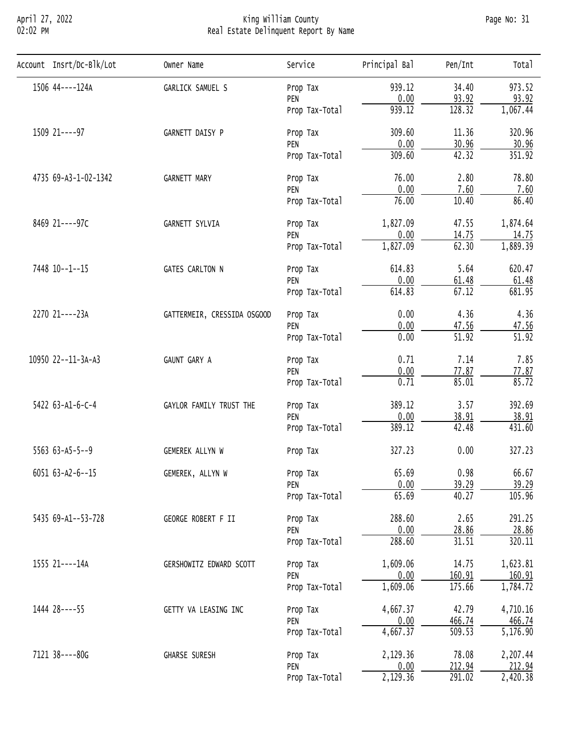#### April 27, 2022 King William County Page No: 31 02:02 PM Real Estate Delinquent Report By Name

| Account Insrt/Dc-Blk/Lot  | Owner Name                                   | Service                                                                                                                                                                                                                                                                                                                  | Principal Bal                                                                                                                                                                                                                                                                                                                                                                                                                                                                                                                                                                                                                                                                                                                              | Pen/Int  | Total    |
|---------------------------|----------------------------------------------|--------------------------------------------------------------------------------------------------------------------------------------------------------------------------------------------------------------------------------------------------------------------------------------------------------------------------|--------------------------------------------------------------------------------------------------------------------------------------------------------------------------------------------------------------------------------------------------------------------------------------------------------------------------------------------------------------------------------------------------------------------------------------------------------------------------------------------------------------------------------------------------------------------------------------------------------------------------------------------------------------------------------------------------------------------------------------------|----------|----------|
| 1506 44----124A           | GARLICK SAMUEL S                             | Prop Tax                                                                                                                                                                                                                                                                                                                 | 939.12                                                                                                                                                                                                                                                                                                                                                                                                                                                                                                                                                                                                                                                                                                                                     | 34.40    | 973.52   |
|                           |                                              |                                                                                                                                                                                                                                                                                                                          |                                                                                                                                                                                                                                                                                                                                                                                                                                                                                                                                                                                                                                                                                                                                            |          | 93.92    |
|                           |                                              |                                                                                                                                                                                                                                                                                                                          |                                                                                                                                                                                                                                                                                                                                                                                                                                                                                                                                                                                                                                                                                                                                            |          | 1,067.44 |
| 1509 21----97             | GARNETT DAISY P                              | Prop Tax                                                                                                                                                                                                                                                                                                                 | 309.60                                                                                                                                                                                                                                                                                                                                                                                                                                                                                                                                                                                                                                                                                                                                     | 11.36    | 320.96   |
|                           |                                              |                                                                                                                                                                                                                                                                                                                          |                                                                                                                                                                                                                                                                                                                                                                                                                                                                                                                                                                                                                                                                                                                                            |          | 30.96    |
|                           |                                              |                                                                                                                                                                                                                                                                                                                          |                                                                                                                                                                                                                                                                                                                                                                                                                                                                                                                                                                                                                                                                                                                                            |          | 351.92   |
| 4735 69-A3-1-02-1342      | <b>GARNETT MARY</b>                          | Prop Tax                                                                                                                                                                                                                                                                                                                 | 0.00<br>93.92<br>939.12<br>128.32<br>0.00<br>30.96<br>42.32<br>309.60<br>76.00<br>2.80<br>0.00<br>7.60<br>76.00<br>10.40<br>1,827.09<br>47.55<br>0.00<br>14.75<br>62.30<br>1,827.09<br>5.64<br>614.83<br>0.00<br>61.48<br>67.12<br>614.83<br>0.00<br>4.36<br>0.00<br>47.56<br>$\overline{51.92}$<br>0.00<br>7.14<br>0.71<br>0.00<br>77.87<br>0.71<br>85.01<br>389.12<br>3.57<br>0.00<br>38.91<br>389.12<br>42.48<br>327.23<br>0.00<br>65.69<br>0.98<br>0.00<br>39.29<br>65.69<br>40.27<br>288.60<br>2.65<br>0.00<br>28.86<br>288.60<br>31.51<br>1,609.06<br>14.75<br>0.00<br>160.91<br>1,609.06<br>175.66<br>4,667.37<br>42.79<br>$\frac{0.00}{4,667.37}$<br>466.74<br>509.53<br>2,129.36<br>78.08<br>212.94<br>0.00<br>2,129.36<br>291.02 | 78.80    |          |
|                           |                                              |                                                                                                                                                                                                                                                                                                                          |                                                                                                                                                                                                                                                                                                                                                                                                                                                                                                                                                                                                                                                                                                                                            |          | 7.60     |
|                           |                                              |                                                                                                                                                                                                                                                                                                                          |                                                                                                                                                                                                                                                                                                                                                                                                                                                                                                                                                                                                                                                                                                                                            |          | 86.40    |
| 8469 21----97C            | GARNETT SYLVIA                               | Prop Tax                                                                                                                                                                                                                                                                                                                 |                                                                                                                                                                                                                                                                                                                                                                                                                                                                                                                                                                                                                                                                                                                                            | 1,874.64 |          |
|                           |                                              | PEN                                                                                                                                                                                                                                                                                                                      |                                                                                                                                                                                                                                                                                                                                                                                                                                                                                                                                                                                                                                                                                                                                            |          | 14.75    |
|                           |                                              | Prop Tax-Total                                                                                                                                                                                                                                                                                                           |                                                                                                                                                                                                                                                                                                                                                                                                                                                                                                                                                                                                                                                                                                                                            |          | 1,889.39 |
| 7448 10--1--15            | <b>GATES CARLTON N</b>                       | Prop Tax                                                                                                                                                                                                                                                                                                                 |                                                                                                                                                                                                                                                                                                                                                                                                                                                                                                                                                                                                                                                                                                                                            | 620.47   |          |
|                           |                                              | PEN                                                                                                                                                                                                                                                                                                                      |                                                                                                                                                                                                                                                                                                                                                                                                                                                                                                                                                                                                                                                                                                                                            |          | 61.48    |
|                           |                                              | Prop Tax-Total                                                                                                                                                                                                                                                                                                           |                                                                                                                                                                                                                                                                                                                                                                                                                                                                                                                                                                                                                                                                                                                                            |          | 681.95   |
| 2270 21----23A            | GATTERMEIR, CRESSIDA OSGOOD                  | Prop Tax                                                                                                                                                                                                                                                                                                                 |                                                                                                                                                                                                                                                                                                                                                                                                                                                                                                                                                                                                                                                                                                                                            |          | 4.36     |
|                           |                                              | PEN                                                                                                                                                                                                                                                                                                                      |                                                                                                                                                                                                                                                                                                                                                                                                                                                                                                                                                                                                                                                                                                                                            |          | 47.56    |
|                           |                                              | Prop Tax-Total                                                                                                                                                                                                                                                                                                           |                                                                                                                                                                                                                                                                                                                                                                                                                                                                                                                                                                                                                                                                                                                                            |          | 51.92    |
| 10950 22--11-3A-A3        | GAUNT GARY A                                 | Prop Tax                                                                                                                                                                                                                                                                                                                 |                                                                                                                                                                                                                                                                                                                                                                                                                                                                                                                                                                                                                                                                                                                                            | 7.85     |          |
|                           |                                              | PEN<br>Prop Tax-Total<br>PEN<br>Prop Tax-Total<br>PEN<br>Prop Tax-Total<br>PEN<br>Prop Tax-Total<br>Prop Tax<br>PEN<br>Prop Tax-Total<br>Prop Tax<br>Prop Tax<br>PEN<br>Prop Tax-Total<br>Prop Tax<br>PEN<br>Prop Tax-Total<br>Prop Tax<br>PEN<br>Prop Tax-Total<br>Prop Tax<br>PEN<br>Prop Tax-Total<br>Prop Tax<br>PEN | 77.87                                                                                                                                                                                                                                                                                                                                                                                                                                                                                                                                                                                                                                                                                                                                      |          |          |
|                           |                                              |                                                                                                                                                                                                                                                                                                                          |                                                                                                                                                                                                                                                                                                                                                                                                                                                                                                                                                                                                                                                                                                                                            |          | 85.72    |
| 5422 63-A1-6-C-4          | GAYLOR FAMILY TRUST THE                      |                                                                                                                                                                                                                                                                                                                          |                                                                                                                                                                                                                                                                                                                                                                                                                                                                                                                                                                                                                                                                                                                                            | 392.69   |          |
|                           |                                              |                                                                                                                                                                                                                                                                                                                          |                                                                                                                                                                                                                                                                                                                                                                                                                                                                                                                                                                                                                                                                                                                                            |          | 38.91    |
|                           |                                              |                                                                                                                                                                                                                                                                                                                          |                                                                                                                                                                                                                                                                                                                                                                                                                                                                                                                                                                                                                                                                                                                                            |          | 431.60   |
| $5563$ $63 - A5 - 5 - -9$ | GEMEREK ALLYN W                              |                                                                                                                                                                                                                                                                                                                          |                                                                                                                                                                                                                                                                                                                                                                                                                                                                                                                                                                                                                                                                                                                                            |          | 327.23   |
| 6051 63-A2-6--15          | GEMEREK, ALLYN W                             | Prop Tax-Total                                                                                                                                                                                                                                                                                                           | 66.67                                                                                                                                                                                                                                                                                                                                                                                                                                                                                                                                                                                                                                                                                                                                      |          |          |
|                           |                                              |                                                                                                                                                                                                                                                                                                                          |                                                                                                                                                                                                                                                                                                                                                                                                                                                                                                                                                                                                                                                                                                                                            |          | 39.29    |
|                           |                                              |                                                                                                                                                                                                                                                                                                                          |                                                                                                                                                                                                                                                                                                                                                                                                                                                                                                                                                                                                                                                                                                                                            |          | 105.96   |
| 5435 69-A1--53-728        | GEORGE ROBERT F II                           |                                                                                                                                                                                                                                                                                                                          |                                                                                                                                                                                                                                                                                                                                                                                                                                                                                                                                                                                                                                                                                                                                            |          | 291.25   |
|                           |                                              |                                                                                                                                                                                                                                                                                                                          |                                                                                                                                                                                                                                                                                                                                                                                                                                                                                                                                                                                                                                                                                                                                            |          | 28.86    |
|                           |                                              |                                                                                                                                                                                                                                                                                                                          |                                                                                                                                                                                                                                                                                                                                                                                                                                                                                                                                                                                                                                                                                                                                            |          | 320.11   |
| 1555 21----14A            | GERSHOWITZ EDWARD SCOTT                      |                                                                                                                                                                                                                                                                                                                          | 1,623.81                                                                                                                                                                                                                                                                                                                                                                                                                                                                                                                                                                                                                                                                                                                                   |          |          |
|                           |                                              |                                                                                                                                                                                                                                                                                                                          |                                                                                                                                                                                                                                                                                                                                                                                                                                                                                                                                                                                                                                                                                                                                            | 160.91   |          |
|                           |                                              |                                                                                                                                                                                                                                                                                                                          |                                                                                                                                                                                                                                                                                                                                                                                                                                                                                                                                                                                                                                                                                                                                            |          | 1,784.72 |
| 1444 28----55             | GETTY VA LEASING INC<br><b>GHARSE SURESH</b> | 4,710.16                                                                                                                                                                                                                                                                                                                 |                                                                                                                                                                                                                                                                                                                                                                                                                                                                                                                                                                                                                                                                                                                                            |          |          |
|                           |                                              |                                                                                                                                                                                                                                                                                                                          |                                                                                                                                                                                                                                                                                                                                                                                                                                                                                                                                                                                                                                                                                                                                            |          | 466.74   |
|                           |                                              |                                                                                                                                                                                                                                                                                                                          | 5,176.90                                                                                                                                                                                                                                                                                                                                                                                                                                                                                                                                                                                                                                                                                                                                   |          |          |
| 7121 38----80G            |                                              |                                                                                                                                                                                                                                                                                                                          |                                                                                                                                                                                                                                                                                                                                                                                                                                                                                                                                                                                                                                                                                                                                            |          | 2,207.44 |
|                           |                                              |                                                                                                                                                                                                                                                                                                                          |                                                                                                                                                                                                                                                                                                                                                                                                                                                                                                                                                                                                                                                                                                                                            |          | 212.94   |
|                           |                                              |                                                                                                                                                                                                                                                                                                                          |                                                                                                                                                                                                                                                                                                                                                                                                                                                                                                                                                                                                                                                                                                                                            |          | 2,420.38 |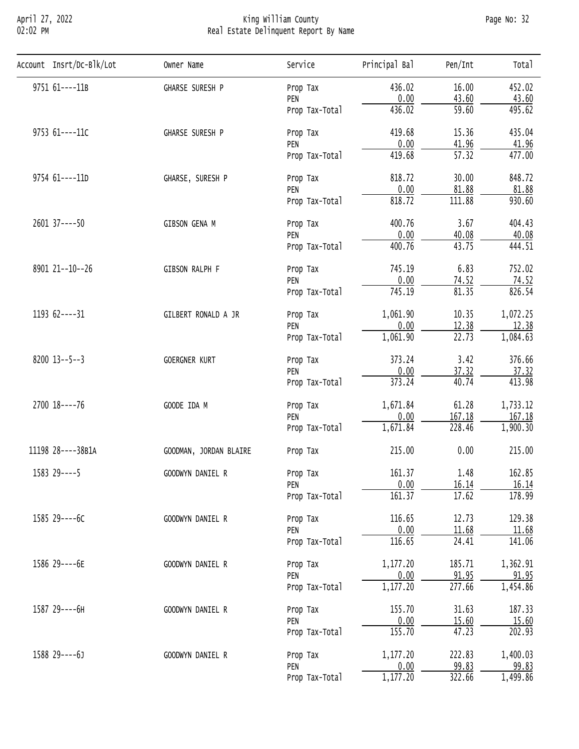# April 27, 2022 King William County Page No: 32 02:02 PM Real Estate Delinquent Report By Name

| Account Insrt/Dc-Blk/Lot | Owner Name                                                                                                                                                                                                                                   | Service                                                                                                                                                                                                                                                                                                                                                                                                                                                                                                                                                                                                                                                                                                                                                                                                                                                                                                                                                                                                                                                                                                                            | Principal Bal      | Pen/Int | Total    |
|--------------------------|----------------------------------------------------------------------------------------------------------------------------------------------------------------------------------------------------------------------------------------------|------------------------------------------------------------------------------------------------------------------------------------------------------------------------------------------------------------------------------------------------------------------------------------------------------------------------------------------------------------------------------------------------------------------------------------------------------------------------------------------------------------------------------------------------------------------------------------------------------------------------------------------------------------------------------------------------------------------------------------------------------------------------------------------------------------------------------------------------------------------------------------------------------------------------------------------------------------------------------------------------------------------------------------------------------------------------------------------------------------------------------------|--------------------|---------|----------|
| 9751 61----11B           | GHARSE SURESH P                                                                                                                                                                                                                              | Prop Tax                                                                                                                                                                                                                                                                                                                                                                                                                                                                                                                                                                                                                                                                                                                                                                                                                                                                                                                                                                                                                                                                                                                           | 436.02             | 16.00   | 452.02   |
|                          |                                                                                                                                                                                                                                              | PEN                                                                                                                                                                                                                                                                                                                                                                                                                                                                                                                                                                                                                                                                                                                                                                                                                                                                                                                                                                                                                                                                                                                                |                    |         | 43.60    |
|                          |                                                                                                                                                                                                                                              |                                                                                                                                                                                                                                                                                                                                                                                                                                                                                                                                                                                                                                                                                                                                                                                                                                                                                                                                                                                                                                                                                                                                    |                    |         | 495.62   |
| 9753 61----11C           | GHARSE SURESH P                                                                                                                                                                                                                              | Prop Tax                                                                                                                                                                                                                                                                                                                                                                                                                                                                                                                                                                                                                                                                                                                                                                                                                                                                                                                                                                                                                                                                                                                           | 419.68             | 15.36   | 435.04   |
|                          |                                                                                                                                                                                                                                              |                                                                                                                                                                                                                                                                                                                                                                                                                                                                                                                                                                                                                                                                                                                                                                                                                                                                                                                                                                                                                                                                                                                                    |                    |         | 41.96    |
|                          |                                                                                                                                                                                                                                              |                                                                                                                                                                                                                                                                                                                                                                                                                                                                                                                                                                                                                                                                                                                                                                                                                                                                                                                                                                                                                                                                                                                                    |                    |         | 477.00   |
| 9754 61----11D           | GHARSE, SURESH P                                                                                                                                                                                                                             | Prop Tax                                                                                                                                                                                                                                                                                                                                                                                                                                                                                                                                                                                                                                                                                                                                                                                                                                                                                                                                                                                                                                                                                                                           | 818.72             | 30.00   | 848.72   |
|                          |                                                                                                                                                                                                                                              |                                                                                                                                                                                                                                                                                                                                                                                                                                                                                                                                                                                                                                                                                                                                                                                                                                                                                                                                                                                                                                                                                                                                    |                    |         | 81.88    |
|                          |                                                                                                                                                                                                                                              | 0.00<br>43.60<br>436.02<br>59.60<br>Prop Tax-Total<br>0.00<br>41.96<br>PEN<br>$\overline{57.32}$<br>419.68<br>Prop Tax-Total<br>0.00<br>PEN<br>81.88<br>818.72<br>111.88<br>Prop Tax-Total<br>400.76<br>3.67<br>Prop Tax<br>0.00<br>40.08<br>PEN<br>400.76<br>43.75<br>Prop Tax-Total<br>745.19<br>6.83<br>Prop Tax<br>0.00<br>74.52<br>PEN<br>81.35<br>745.19<br>Prop Tax-Total<br>10.35<br>1,061.90<br>Prop Tax<br>0.00<br>12.38<br>PEN<br>1,061.90<br>22.73<br>Prop Tax-Total<br>373.24<br>3.42<br>Prop Tax<br>0.00<br>37.32<br>PEN<br>373.24<br>40.74<br>Prop Tax-Total<br>1,671.84<br>61.28<br>Prop Tax<br>0.00<br>167.18<br>PEN<br>228.46<br>1,671.84<br>Prop Tax-Total<br>0.00<br>215.00<br>Prop Tax<br>161.37<br>1.48<br>Prop Tax<br>0.00<br>16.14<br>PEN<br>161.37<br>17.62<br>Prop Tax-Total<br>116.65<br>12.73<br>Prop Tax<br>0.00<br>11.68<br>PEN<br>116.65<br>24.41<br>Prop Tax-Total<br>1,177.20<br>185.71<br>Prop Tax<br>0.00<br>91.95<br>PEN<br>1,177.20<br>277.66<br>Prop Tax-Total<br>155.70<br>31.63<br>Prop Tax<br>0.00<br>15.60<br>PEN<br>155.70<br>47.23<br>Prop Tax-Total<br>1,177.20<br>222.83<br>Prop Tax | 930.60             |         |          |
| 2601 37 ---- 50          | GIBSON GENA M<br>GIBSON RALPH F<br>GILBERT RONALD A JR<br>GOERGNER KURT<br>GOODE IDA M<br>GOODMAN, JORDAN BLAIRE<br>GOODWYN DANIEL R<br>GOODWYN DANIEL R<br>GOODWYN DANIEL R<br>GOODWYN DANIEL R<br>GOODWYN DANIEL R<br>99.83<br>0.00<br>PEN | 404.43                                                                                                                                                                                                                                                                                                                                                                                                                                                                                                                                                                                                                                                                                                                                                                                                                                                                                                                                                                                                                                                                                                                             |                    |         |          |
|                          |                                                                                                                                                                                                                                              |                                                                                                                                                                                                                                                                                                                                                                                                                                                                                                                                                                                                                                                                                                                                                                                                                                                                                                                                                                                                                                                                                                                                    |                    |         | 40.08    |
|                          |                                                                                                                                                                                                                                              |                                                                                                                                                                                                                                                                                                                                                                                                                                                                                                                                                                                                                                                                                                                                                                                                                                                                                                                                                                                                                                                                                                                                    |                    |         | 444.51   |
| 8901 21 -- 10 -- 26      |                                                                                                                                                                                                                                              |                                                                                                                                                                                                                                                                                                                                                                                                                                                                                                                                                                                                                                                                                                                                                                                                                                                                                                                                                                                                                                                                                                                                    | 1,177.20<br>322.66 | 752.02  |          |
|                          |                                                                                                                                                                                                                                              |                                                                                                                                                                                                                                                                                                                                                                                                                                                                                                                                                                                                                                                                                                                                                                                                                                                                                                                                                                                                                                                                                                                                    |                    |         | 74.52    |
|                          |                                                                                                                                                                                                                                              |                                                                                                                                                                                                                                                                                                                                                                                                                                                                                                                                                                                                                                                                                                                                                                                                                                                                                                                                                                                                                                                                                                                                    |                    |         | 826.54   |
| 1193 62----31            |                                                                                                                                                                                                                                              |                                                                                                                                                                                                                                                                                                                                                                                                                                                                                                                                                                                                                                                                                                                                                                                                                                                                                                                                                                                                                                                                                                                                    |                    |         | 1,072.25 |
|                          |                                                                                                                                                                                                                                              |                                                                                                                                                                                                                                                                                                                                                                                                                                                                                                                                                                                                                                                                                                                                                                                                                                                                                                                                                                                                                                                                                                                                    |                    |         | 12.38    |
|                          |                                                                                                                                                                                                                                              |                                                                                                                                                                                                                                                                                                                                                                                                                                                                                                                                                                                                                                                                                                                                                                                                                                                                                                                                                                                                                                                                                                                                    |                    |         | 1,084.63 |
| $8200$ 13--5--3          | Prop Tax-Total                                                                                                                                                                                                                               |                                                                                                                                                                                                                                                                                                                                                                                                                                                                                                                                                                                                                                                                                                                                                                                                                                                                                                                                                                                                                                                                                                                                    | 376.66             |         |          |
|                          |                                                                                                                                                                                                                                              |                                                                                                                                                                                                                                                                                                                                                                                                                                                                                                                                                                                                                                                                                                                                                                                                                                                                                                                                                                                                                                                                                                                                    |                    |         | 37.32    |
|                          |                                                                                                                                                                                                                                              |                                                                                                                                                                                                                                                                                                                                                                                                                                                                                                                                                                                                                                                                                                                                                                                                                                                                                                                                                                                                                                                                                                                                    |                    |         | 413.98   |
| 2700 18----76            |                                                                                                                                                                                                                                              |                                                                                                                                                                                                                                                                                                                                                                                                                                                                                                                                                                                                                                                                                                                                                                                                                                                                                                                                                                                                                                                                                                                                    | 1,733.12           |         |          |
|                          |                                                                                                                                                                                                                                              |                                                                                                                                                                                                                                                                                                                                                                                                                                                                                                                                                                                                                                                                                                                                                                                                                                                                                                                                                                                                                                                                                                                                    |                    |         | 167.18   |
|                          |                                                                                                                                                                                                                                              |                                                                                                                                                                                                                                                                                                                                                                                                                                                                                                                                                                                                                                                                                                                                                                                                                                                                                                                                                                                                                                                                                                                                    |                    |         | 1,900.30 |
| 11198 28----38B1A        |                                                                                                                                                                                                                                              |                                                                                                                                                                                                                                                                                                                                                                                                                                                                                                                                                                                                                                                                                                                                                                                                                                                                                                                                                                                                                                                                                                                                    |                    |         | 215.00   |
| 1583 29----5             |                                                                                                                                                                                                                                              | 162.85                                                                                                                                                                                                                                                                                                                                                                                                                                                                                                                                                                                                                                                                                                                                                                                                                                                                                                                                                                                                                                                                                                                             |                    |         |          |
|                          |                                                                                                                                                                                                                                              |                                                                                                                                                                                                                                                                                                                                                                                                                                                                                                                                                                                                                                                                                                                                                                                                                                                                                                                                                                                                                                                                                                                                    |                    |         | 16.14    |
|                          |                                                                                                                                                                                                                                              |                                                                                                                                                                                                                                                                                                                                                                                                                                                                                                                                                                                                                                                                                                                                                                                                                                                                                                                                                                                                                                                                                                                                    |                    |         | 178.99   |
| 1585 29----6C            |                                                                                                                                                                                                                                              |                                                                                                                                                                                                                                                                                                                                                                                                                                                                                                                                                                                                                                                                                                                                                                                                                                                                                                                                                                                                                                                                                                                                    |                    |         | 129.38   |
|                          |                                                                                                                                                                                                                                              |                                                                                                                                                                                                                                                                                                                                                                                                                                                                                                                                                                                                                                                                                                                                                                                                                                                                                                                                                                                                                                                                                                                                    |                    |         | 11.68    |
|                          |                                                                                                                                                                                                                                              |                                                                                                                                                                                                                                                                                                                                                                                                                                                                                                                                                                                                                                                                                                                                                                                                                                                                                                                                                                                                                                                                                                                                    |                    |         | 141.06   |
| 1586 29----6E            |                                                                                                                                                                                                                                              | 1,362.91                                                                                                                                                                                                                                                                                                                                                                                                                                                                                                                                                                                                                                                                                                                                                                                                                                                                                                                                                                                                                                                                                                                           |                    |         |          |
|                          |                                                                                                                                                                                                                                              | 91.95                                                                                                                                                                                                                                                                                                                                                                                                                                                                                                                                                                                                                                                                                                                                                                                                                                                                                                                                                                                                                                                                                                                              |                    |         |          |
|                          |                                                                                                                                                                                                                                              |                                                                                                                                                                                                                                                                                                                                                                                                                                                                                                                                                                                                                                                                                                                                                                                                                                                                                                                                                                                                                                                                                                                                    |                    |         | 1,454.86 |
| 1587 29----6H            |                                                                                                                                                                                                                                              | 187.33                                                                                                                                                                                                                                                                                                                                                                                                                                                                                                                                                                                                                                                                                                                                                                                                                                                                                                                                                                                                                                                                                                                             |                    |         |          |
|                          |                                                                                                                                                                                                                                              |                                                                                                                                                                                                                                                                                                                                                                                                                                                                                                                                                                                                                                                                                                                                                                                                                                                                                                                                                                                                                                                                                                                                    |                    |         | 15.60    |
|                          |                                                                                                                                                                                                                                              | 202.93                                                                                                                                                                                                                                                                                                                                                                                                                                                                                                                                                                                                                                                                                                                                                                                                                                                                                                                                                                                                                                                                                                                             |                    |         |          |
| 1588 29----6J            |                                                                                                                                                                                                                                              |                                                                                                                                                                                                                                                                                                                                                                                                                                                                                                                                                                                                                                                                                                                                                                                                                                                                                                                                                                                                                                                                                                                                    |                    |         | 1,400.03 |
|                          |                                                                                                                                                                                                                                              |                                                                                                                                                                                                                                                                                                                                                                                                                                                                                                                                                                                                                                                                                                                                                                                                                                                                                                                                                                                                                                                                                                                                    |                    |         | 99.83    |
|                          |                                                                                                                                                                                                                                              |                                                                                                                                                                                                                                                                                                                                                                                                                                                                                                                                                                                                                                                                                                                                                                                                                                                                                                                                                                                                                                                                                                                                    |                    |         | 1,499.86 |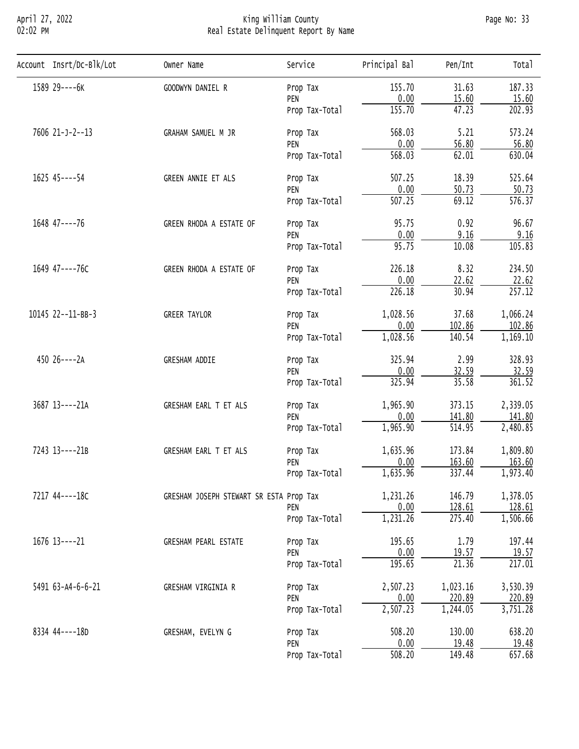# April 27, 2022 King William County Page No: 33 02:02 PM Real Estate Delinquent Report By Name

| Account Insrt/Dc-Blk/Lot | Owner Name                                                                                                                                                | Service        | Principal Bal | Pen/Int                                                                                                                                                                                                                                                                                                                                                                                                                                                                                                                                                                          | Total               |
|--------------------------|-----------------------------------------------------------------------------------------------------------------------------------------------------------|----------------|---------------|----------------------------------------------------------------------------------------------------------------------------------------------------------------------------------------------------------------------------------------------------------------------------------------------------------------------------------------------------------------------------------------------------------------------------------------------------------------------------------------------------------------------------------------------------------------------------------|---------------------|
| 1589 29----6K            | GOODWYN DANIEL R                                                                                                                                          | Prop Tax       | 155.70        | 31.63                                                                                                                                                                                                                                                                                                                                                                                                                                                                                                                                                                            | 187.33              |
|                          |                                                                                                                                                           | PEN            |               |                                                                                                                                                                                                                                                                                                                                                                                                                                                                                                                                                                                  | 15.60               |
|                          |                                                                                                                                                           | Prop Tax-Total |               |                                                                                                                                                                                                                                                                                                                                                                                                                                                                                                                                                                                  | 202.93              |
| 7606 21-J-2--13          | GRAHAM SAMUEL M JR                                                                                                                                        | Prop Tax       | 568.03        | 5.21                                                                                                                                                                                                                                                                                                                                                                                                                                                                                                                                                                             | 573.24              |
|                          |                                                                                                                                                           |                |               |                                                                                                                                                                                                                                                                                                                                                                                                                                                                                                                                                                                  | 56.80               |
|                          |                                                                                                                                                           |                |               |                                                                                                                                                                                                                                                                                                                                                                                                                                                                                                                                                                                  | 630.04              |
| 1625 45----54            | GREEN ANNIE ET ALS                                                                                                                                        | Prop Tax       | 507.25        | 18.39                                                                                                                                                                                                                                                                                                                                                                                                                                                                                                                                                                            | 525.64              |
|                          |                                                                                                                                                           |                |               |                                                                                                                                                                                                                                                                                                                                                                                                                                                                                                                                                                                  | 50.73               |
|                          |                                                                                                                                                           | Prop Tax-Total |               |                                                                                                                                                                                                                                                                                                                                                                                                                                                                                                                                                                                  | $\overline{576.37}$ |
| 1648 47----76            | GREEN RHODA A ESTATE OF                                                                                                                                   | Prop Tax       | 95.75         | 0.92                                                                                                                                                                                                                                                                                                                                                                                                                                                                                                                                                                             | 96.67               |
|                          |                                                                                                                                                           | PEN            | 0.00          | 9.16                                                                                                                                                                                                                                                                                                                                                                                                                                                                                                                                                                             | 9.16                |
|                          |                                                                                                                                                           | Prop Tax-Total |               | 0.00<br>15.60<br>155.70<br>47.23<br>0.00<br>56.80<br>568.03<br>62.01<br>0.00<br>50.73<br>$\overline{507.25}$<br>69.12<br>95.75<br>10.08<br>8.32<br>226.18<br>0.00<br>22.62<br>226.18<br>30.94<br>37.68<br>0.00<br>102.86<br>140.54<br>325.94<br>2.99<br>32.59<br>0.00<br>325.94<br>35.58<br>373.15<br>0.00<br>141.80<br>514.95<br>173.84<br>163.60<br>0.00<br>337.44<br>146.79<br>0.00<br>128.61<br>275.40<br>195.65<br>1.79<br>0.00<br>19.57<br>195.65<br>$\overline{21.36}$<br>1,023.16<br>0.00<br>220.89<br>1,244.05<br>508.20<br>130.00<br>0.00<br>19.48<br>508.20<br>149.48 | 105.83              |
| 1649 47----76C           | GREEN RHODA A ESTATE OF                                                                                                                                   | Prop Tax       |               |                                                                                                                                                                                                                                                                                                                                                                                                                                                                                                                                                                                  | 234.50              |
|                          |                                                                                                                                                           | PEN            |               |                                                                                                                                                                                                                                                                                                                                                                                                                                                                                                                                                                                  | 22.62               |
|                          |                                                                                                                                                           | Prop Tax-Total |               |                                                                                                                                                                                                                                                                                                                                                                                                                                                                                                                                                                                  | 257.12              |
| 10145 22--11-BB-3        | <b>GREER TAYLOR</b>                                                                                                                                       | Prop Tax       | 1,028.56      |                                                                                                                                                                                                                                                                                                                                                                                                                                                                                                                                                                                  | 1,066.24            |
|                          |                                                                                                                                                           | PEN            |               |                                                                                                                                                                                                                                                                                                                                                                                                                                                                                                                                                                                  | 102.86              |
|                          |                                                                                                                                                           | Prop Tax-Total | 1,028.56      |                                                                                                                                                                                                                                                                                                                                                                                                                                                                                                                                                                                  | 1,169.10            |
| 450 26----2A             | <b>GRESHAM ADDIE</b>                                                                                                                                      | Prop Tax       |               |                                                                                                                                                                                                                                                                                                                                                                                                                                                                                                                                                                                  | 328.93              |
|                          |                                                                                                                                                           | PEN            |               |                                                                                                                                                                                                                                                                                                                                                                                                                                                                                                                                                                                  | 32.59               |
|                          |                                                                                                                                                           | Prop Tax-Total |               |                                                                                                                                                                                                                                                                                                                                                                                                                                                                                                                                                                                  | 361.52              |
| 3687 13----21A           | GRESHAM EARL T ET ALS                                                                                                                                     | Prop Tax       | 1,965.90      |                                                                                                                                                                                                                                                                                                                                                                                                                                                                                                                                                                                  | 2,339.05            |
|                          |                                                                                                                                                           | PEN            |               |                                                                                                                                                                                                                                                                                                                                                                                                                                                                                                                                                                                  | 141.80              |
|                          |                                                                                                                                                           | Prop Tax-Total | 1,965.90      |                                                                                                                                                                                                                                                                                                                                                                                                                                                                                                                                                                                  | 2,480.85            |
| 7243 13----21B           | GRESHAM EARL T ET ALS                                                                                                                                     | Prop Tax       | 1,635.96      |                                                                                                                                                                                                                                                                                                                                                                                                                                                                                                                                                                                  | 1,809.80            |
|                          |                                                                                                                                                           | PEN            |               |                                                                                                                                                                                                                                                                                                                                                                                                                                                                                                                                                                                  | 163.60              |
|                          |                                                                                                                                                           | Prop Tax-Total |               |                                                                                                                                                                                                                                                                                                                                                                                                                                                                                                                                                                                  | 1,973.40            |
| 7217 44----18C           |                                                                                                                                                           |                | 1,231.26      |                                                                                                                                                                                                                                                                                                                                                                                                                                                                                                                                                                                  | 1,378.05            |
|                          |                                                                                                                                                           | PEN            |               |                                                                                                                                                                                                                                                                                                                                                                                                                                                                                                                                                                                  | 128.61              |
|                          |                                                                                                                                                           | Prop Tax-Total |               |                                                                                                                                                                                                                                                                                                                                                                                                                                                                                                                                                                                  | 1,506.66            |
| 1676 13----21            | GRESHAM PEARL ESTATE                                                                                                                                      | Prop Tax       |               |                                                                                                                                                                                                                                                                                                                                                                                                                                                                                                                                                                                  | 197.44              |
|                          |                                                                                                                                                           | PEN            |               |                                                                                                                                                                                                                                                                                                                                                                                                                                                                                                                                                                                  | 19.57               |
|                          |                                                                                                                                                           | Prop Tax-Total |               |                                                                                                                                                                                                                                                                                                                                                                                                                                                                                                                                                                                  | 217.01              |
| 5491 63-A4-6-6-21        | GRESHAM VIRGINIA R                                                                                                                                        | Prop Tax       | 2,507.23      |                                                                                                                                                                                                                                                                                                                                                                                                                                                                                                                                                                                  | 3,530.39            |
|                          |                                                                                                                                                           | PEN            |               |                                                                                                                                                                                                                                                                                                                                                                                                                                                                                                                                                                                  | 220.89              |
|                          |                                                                                                                                                           | Prop Tax-Total | 2,507.23      |                                                                                                                                                                                                                                                                                                                                                                                                                                                                                                                                                                                  | 3,751.28            |
| 8334 44----18D           | PEN<br>Prop Tax-Total<br>PEN<br>1,635.96<br>GRESHAM JOSEPH STEWART SR ESTA Prop Tax<br>1,231.26<br>GRESHAM, EVELYN G<br>Prop Tax<br>PEN<br>Prop Tax-Total | 638.20         |               |                                                                                                                                                                                                                                                                                                                                                                                                                                                                                                                                                                                  |                     |
|                          |                                                                                                                                                           |                |               |                                                                                                                                                                                                                                                                                                                                                                                                                                                                                                                                                                                  | 19.48               |
|                          |                                                                                                                                                           |                |               |                                                                                                                                                                                                                                                                                                                                                                                                                                                                                                                                                                                  | 657.68              |
|                          |                                                                                                                                                           |                |               |                                                                                                                                                                                                                                                                                                                                                                                                                                                                                                                                                                                  |                     |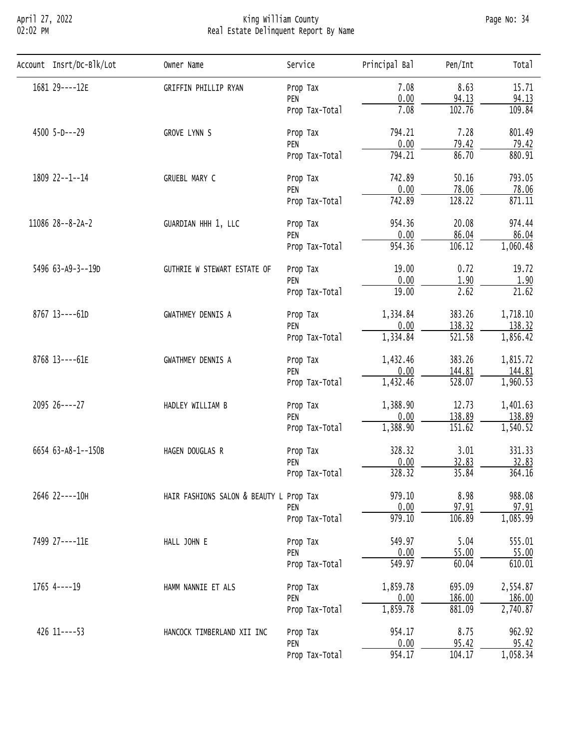# April 27, 2022 King William County Page No: 34 02:02 PM Real Estate Delinquent Report By Name

| Account Insrt/Dc-Blk/Lot | Owner Name                  | Service                                                                                                                                                                                                                 | Principal Bal                                                                                                                                                                                                                                                                                                                                                                                                                                                                                                                                                                                                                                      | Pen/Int  | Tota <sub>1</sub> |
|--------------------------|-----------------------------|-------------------------------------------------------------------------------------------------------------------------------------------------------------------------------------------------------------------------|----------------------------------------------------------------------------------------------------------------------------------------------------------------------------------------------------------------------------------------------------------------------------------------------------------------------------------------------------------------------------------------------------------------------------------------------------------------------------------------------------------------------------------------------------------------------------------------------------------------------------------------------------|----------|-------------------|
| 1681 29----12E           | GRIFFIN PHILLIP RYAN        | Prop Tax                                                                                                                                                                                                                | 7.08                                                                                                                                                                                                                                                                                                                                                                                                                                                                                                                                                                                                                                               | 8.63     | 15.71             |
|                          |                             | PEN                                                                                                                                                                                                                     |                                                                                                                                                                                                                                                                                                                                                                                                                                                                                                                                                                                                                                                    |          | 94.13             |
|                          |                             | Prop Tax-Total                                                                                                                                                                                                          | 7.08                                                                                                                                                                                                                                                                                                                                                                                                                                                                                                                                                                                                                                               | 102.76   | 109.84            |
| 4500 5-D---29            | GROVE LYNN S                | Prop Tax                                                                                                                                                                                                                | 794.21                                                                                                                                                                                                                                                                                                                                                                                                                                                                                                                                                                                                                                             | 7.28     | 801.49            |
|                          |                             | PEN                                                                                                                                                                                                                     |                                                                                                                                                                                                                                                                                                                                                                                                                                                                                                                                                                                                                                                    |          | 79.42             |
|                          |                             | Prop Tax-Total                                                                                                                                                                                                          |                                                                                                                                                                                                                                                                                                                                                                                                                                                                                                                                                                                                                                                    |          | 880.91            |
| 1809 22--1--14           | GRUEBL MARY C               | Prop Tax                                                                                                                                                                                                                | 742.89                                                                                                                                                                                                                                                                                                                                                                                                                                                                                                                                                                                                                                             | 50.16    | 793.05            |
|                          |                             |                                                                                                                                                                                                                         |                                                                                                                                                                                                                                                                                                                                                                                                                                                                                                                                                                                                                                                    |          | 78.06             |
|                          |                             | Prop Tax-Total                                                                                                                                                                                                          |                                                                                                                                                                                                                                                                                                                                                                                                                                                                                                                                                                                                                                                    |          | 871.11            |
| 11086 28--8-2A-2         | GUARDIAN HHH 1, LLC         | Prop Tax                                                                                                                                                                                                                | 954.36                                                                                                                                                                                                                                                                                                                                                                                                                                                                                                                                                                                                                                             | 20.08    | 974.44            |
|                          |                             | PEN                                                                                                                                                                                                                     |                                                                                                                                                                                                                                                                                                                                                                                                                                                                                                                                                                                                                                                    |          | 86.04             |
|                          |                             | Prop Tax-Total                                                                                                                                                                                                          |                                                                                                                                                                                                                                                                                                                                                                                                                                                                                                                                                                                                                                                    |          | 1,060.48          |
| 5496 63-A9-3--19D        | GUTHRIE W STEWART ESTATE OF | Prop Tax                                                                                                                                                                                                                | 19.00                                                                                                                                                                                                                                                                                                                                                                                                                                                                                                                                                                                                                                              | 0.72     | 19.72             |
|                          |                             | PEN                                                                                                                                                                                                                     |                                                                                                                                                                                                                                                                                                                                                                                                                                                                                                                                                                                                                                                    |          | 1.90              |
|                          |                             | Prop Tax-Total                                                                                                                                                                                                          |                                                                                                                                                                                                                                                                                                                                                                                                                                                                                                                                                                                                                                                    |          | 21.62             |
| 8767 13----61D           | <b>GWATHMEY DENNIS A</b>    | Prop Tax                                                                                                                                                                                                                | 1,334.84                                                                                                                                                                                                                                                                                                                                                                                                                                                                                                                                                                                                                                           | 383.26   | 1,718.10          |
|                          |                             | PEN                                                                                                                                                                                                                     |                                                                                                                                                                                                                                                                                                                                                                                                                                                                                                                                                                                                                                                    |          | 138.32            |
|                          |                             | Prop Tax-Total                                                                                                                                                                                                          |                                                                                                                                                                                                                                                                                                                                                                                                                                                                                                                                                                                                                                                    |          | 1,856.42          |
| 8768 13----61E           | <b>GWATHMEY DENNIS A</b>    | Prop Tax                                                                                                                                                                                                                | 0.00<br>94.13<br>0.00<br><u>79.42</u><br>794.21<br>86.70<br>0.00<br>78.06<br>742.89<br>128.22<br>0.00<br>86.04<br>954.36<br>106.12<br>0.00<br>1.90<br>$\overline{2.62}$<br>19.00<br>0.00<br>138.32<br>1,334.84<br>521.58<br>383.26<br>1,432.46<br>0.00<br>144.81<br>1,432.46<br>528.07<br>12.73<br>1,388.90<br>0.00<br>138.89<br>1,388.90<br>151.62<br>328.32<br>3.01<br>32.83<br>0.00<br>328.32<br>35.84<br>8.98<br>979.10<br>97.91<br>0.00<br>106.89<br>979.10<br>5.04<br>549.97<br>0.00<br>55.00<br>549.97<br>60.04<br>1,859.78<br>695.09<br>0.00<br>186.00<br>1,859.78<br>881.09<br>8.75<br>954.17<br>0.00<br>$\frac{95.42}{104.17}$<br>954.17 | 1,815.72 |                   |
|                          |                             | PEN                                                                                                                                                                                                                     |                                                                                                                                                                                                                                                                                                                                                                                                                                                                                                                                                                                                                                                    |          | 144.81            |
|                          |                             |                                                                                                                                                                                                                         |                                                                                                                                                                                                                                                                                                                                                                                                                                                                                                                                                                                                                                                    |          | 1,960.53          |
| 2095 26----27            | HADLEY WILLIAM B            | Prop Tax                                                                                                                                                                                                                |                                                                                                                                                                                                                                                                                                                                                                                                                                                                                                                                                                                                                                                    |          | 1,401.63          |
|                          |                             | PEN                                                                                                                                                                                                                     |                                                                                                                                                                                                                                                                                                                                                                                                                                                                                                                                                                                                                                                    |          | 138.89            |
|                          |                             | Prop Tax-Total                                                                                                                                                                                                          |                                                                                                                                                                                                                                                                                                                                                                                                                                                                                                                                                                                                                                                    |          | 1,540.52          |
| 6654 63-A8-1--150B       | HAGEN DOUGLAS R             | Prop Tax                                                                                                                                                                                                                |                                                                                                                                                                                                                                                                                                                                                                                                                                                                                                                                                                                                                                                    |          | 331.33            |
|                          |                             | PEN                                                                                                                                                                                                                     |                                                                                                                                                                                                                                                                                                                                                                                                                                                                                                                                                                                                                                                    |          | 32.83             |
|                          |                             | Prop Tax-Total                                                                                                                                                                                                          |                                                                                                                                                                                                                                                                                                                                                                                                                                                                                                                                                                                                                                                    |          | 364.16            |
| 2646 22----10H           |                             |                                                                                                                                                                                                                         |                                                                                                                                                                                                                                                                                                                                                                                                                                                                                                                                                                                                                                                    |          | 988.08            |
|                          |                             | PEN                                                                                                                                                                                                                     |                                                                                                                                                                                                                                                                                                                                                                                                                                                                                                                                                                                                                                                    |          | 97.91             |
|                          |                             | Prop Tax-Total                                                                                                                                                                                                          |                                                                                                                                                                                                                                                                                                                                                                                                                                                                                                                                                                                                                                                    |          | 1,085.99          |
| 7499 27----11E           | HALL JOHN E                 | Prop Tax                                                                                                                                                                                                                |                                                                                                                                                                                                                                                                                                                                                                                                                                                                                                                                                                                                                                                    |          | 555.01            |
|                          |                             | PEN<br>Prop Tax-Total<br>HAIR FASHIONS SALON & BEAUTY L Prop Tax<br>PEN<br>Prop Tax-Total<br>HAMM NANNIE ET ALS<br>Prop Tax<br>PEN<br>Prop Tax-Total<br>HANCOCK TIMBERLAND XII INC<br>Prop Tax<br>PEN<br>Prop Tax-Total | 55.00                                                                                                                                                                                                                                                                                                                                                                                                                                                                                                                                                                                                                                              |          |                   |
|                          |                             |                                                                                                                                                                                                                         |                                                                                                                                                                                                                                                                                                                                                                                                                                                                                                                                                                                                                                                    |          | 610.01            |
| $1765$ 4----19           |                             |                                                                                                                                                                                                                         |                                                                                                                                                                                                                                                                                                                                                                                                                                                                                                                                                                                                                                                    |          | 2,554.87          |
|                          |                             |                                                                                                                                                                                                                         |                                                                                                                                                                                                                                                                                                                                                                                                                                                                                                                                                                                                                                                    |          | 186.00            |
|                          |                             |                                                                                                                                                                                                                         |                                                                                                                                                                                                                                                                                                                                                                                                                                                                                                                                                                                                                                                    |          | 2,740.87          |
| 426 11 ---- 53           |                             |                                                                                                                                                                                                                         | 962.92                                                                                                                                                                                                                                                                                                                                                                                                                                                                                                                                                                                                                                             |          |                   |
|                          |                             |                                                                                                                                                                                                                         |                                                                                                                                                                                                                                                                                                                                                                                                                                                                                                                                                                                                                                                    |          | 95.42             |
|                          |                             |                                                                                                                                                                                                                         |                                                                                                                                                                                                                                                                                                                                                                                                                                                                                                                                                                                                                                                    |          | 1,058.34          |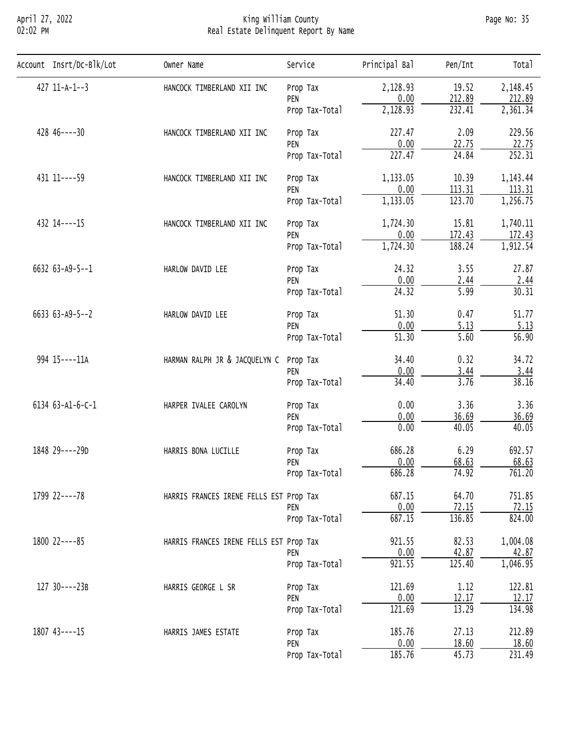#### April 27, 2022 King William County Page No: 35 02:02 PM Real Estate Delinquent Report By Name

| Account Insrt/Dc-Blk/Lot | Owner Name                              | Service        | Principal Bal                                                                                                                                                                                                                                                                                                                                                                                                                                                                                                                                                                                                                  | Pen/Int         | Total              |
|--------------------------|-----------------------------------------|----------------|--------------------------------------------------------------------------------------------------------------------------------------------------------------------------------------------------------------------------------------------------------------------------------------------------------------------------------------------------------------------------------------------------------------------------------------------------------------------------------------------------------------------------------------------------------------------------------------------------------------------------------|-----------------|--------------------|
| $427$ 11-A-1--3          | HANCOCK TIMBERLAND XII INC              | Prop Tax       | 2,128.93                                                                                                                                                                                                                                                                                                                                                                                                                                                                                                                                                                                                                       | 19.52           | 2,148.45           |
|                          |                                         | PEN            |                                                                                                                                                                                                                                                                                                                                                                                                                                                                                                                                                                                                                                |                 | 212.89             |
|                          |                                         | Prop Tax-Total |                                                                                                                                                                                                                                                                                                                                                                                                                                                                                                                                                                                                                                |                 | 2,361.34           |
| $428$ $46---30$          | HANCOCK TIMBERLAND XII INC              | Prop Tax       | 227.47                                                                                                                                                                                                                                                                                                                                                                                                                                                                                                                                                                                                                         | 2.09            | 229.56             |
|                          |                                         | PEN            |                                                                                                                                                                                                                                                                                                                                                                                                                                                                                                                                                                                                                                |                 | 22.75              |
|                          |                                         | Prop Tax-Total |                                                                                                                                                                                                                                                                                                                                                                                                                                                                                                                                                                                                                                |                 | 252.31             |
| 431 11 ---- 59           | HANCOCK TIMBERLAND XII INC              | Prop Tax       | 1,133.05                                                                                                                                                                                                                                                                                                                                                                                                                                                                                                                                                                                                                       | 10.39           | 1, 143.44          |
|                          |                                         | PEN            |                                                                                                                                                                                                                                                                                                                                                                                                                                                                                                                                                                                                                                |                 | 113.31             |
|                          |                                         | Prop Tax-Total |                                                                                                                                                                                                                                                                                                                                                                                                                                                                                                                                                                                                                                |                 | 1,256.75           |
| 432 14----15             | HANCOCK TIMBERLAND XII INC              | Prop Tax       | 212.89<br>0.00<br>2,128.93<br>232.41<br>0.00<br>22.75<br>227.47<br>24.84<br>0.00<br>113.31<br>1,133.05<br>123.70<br>1,724.30<br>15.81<br>172.43<br>0.00<br>1,724.30<br>188.24<br>24.32<br>3.55<br>0.00<br>2.44<br>$\overline{24.32}$<br>5.99<br>51.30<br>0.47<br>0.00<br>5.13<br>51.30<br>5.60<br>0.32<br>34.40<br>0.00<br>3.44<br>34.40<br>3.76<br>0.00<br>3.36<br>0.00<br>36.69<br>0.00<br>40.05<br>686.28<br>6.29<br>0.00<br>68.63<br>686.28<br>74.92<br>687.15<br>64.70<br>72.15<br>0.00<br>136.85<br>687.15<br>921.55<br>82.53<br>0.00<br>42.87<br>125.40<br>921.55<br>121.69<br>1.12<br>0.00<br>12.17<br>121.69<br>13.29 | 1,740.11        |                    |
|                          |                                         | PEN            |                                                                                                                                                                                                                                                                                                                                                                                                                                                                                                                                                                                                                                |                 | 172.43             |
|                          |                                         | Prop Tax-Total |                                                                                                                                                                                                                                                                                                                                                                                                                                                                                                                                                                                                                                |                 | 1,912.54           |
| 6632 63-A9-5--1          | HARLOW DAVID LEE                        | Prop Tax       |                                                                                                                                                                                                                                                                                                                                                                                                                                                                                                                                                                                                                                |                 | 27.87              |
|                          |                                         | PEN            |                                                                                                                                                                                                                                                                                                                                                                                                                                                                                                                                                                                                                                |                 | 2.44               |
|                          |                                         | Prop Tax-Total |                                                                                                                                                                                                                                                                                                                                                                                                                                                                                                                                                                                                                                |                 | 30.31              |
| $6633 63 - A9 - 5 - -2$  | HARLOW DAVID LEE                        | Prop Tax       |                                                                                                                                                                                                                                                                                                                                                                                                                                                                                                                                                                                                                                |                 | 51.77              |
|                          |                                         | PEN            |                                                                                                                                                                                                                                                                                                                                                                                                                                                                                                                                                                                                                                |                 | 5.13               |
|                          |                                         | Prop Tax-Total |                                                                                                                                                                                                                                                                                                                                                                                                                                                                                                                                                                                                                                |                 | $\overline{56.90}$ |
| 994 15 ---- 11A          | HARMAN RALPH JR & JACQUELYN C           | Prop Tax       | 27.13<br>185.76<br>0.00<br>18.60                                                                                                                                                                                                                                                                                                                                                                                                                                                                                                                                                                                               | 34.72           |                    |
|                          |                                         | PEN            |                                                                                                                                                                                                                                                                                                                                                                                                                                                                                                                                                                                                                                |                 | 3.44               |
|                          |                                         | Prop Tax-Total |                                                                                                                                                                                                                                                                                                                                                                                                                                                                                                                                                                                                                                |                 | 38.16              |
| 6134 63-A1-6-C-1         | HARPER IVALEE CAROLYN                   | Prop Tax       |                                                                                                                                                                                                                                                                                                                                                                                                                                                                                                                                                                                                                                |                 | 3.36               |
|                          |                                         | PEN            |                                                                                                                                                                                                                                                                                                                                                                                                                                                                                                                                                                                                                                |                 | 36.69              |
|                          |                                         | Prop Tax-Total |                                                                                                                                                                                                                                                                                                                                                                                                                                                                                                                                                                                                                                |                 | 40.05              |
| 1848 29----29D           | HARRIS BONA LUCILLE                     | Prop Tax       |                                                                                                                                                                                                                                                                                                                                                                                                                                                                                                                                                                                                                                |                 | 692.57             |
|                          |                                         | PEN            |                                                                                                                                                                                                                                                                                                                                                                                                                                                                                                                                                                                                                                |                 | 68.63              |
|                          |                                         | Prop Tax-Total |                                                                                                                                                                                                                                                                                                                                                                                                                                                                                                                                                                                                                                |                 | 761.20             |
| 1799 22----78            | HARRIS FRANCES IRENE FELLS EST Prop Tax |                |                                                                                                                                                                                                                                                                                                                                                                                                                                                                                                                                                                                                                                |                 | 751.85             |
|                          |                                         | PEN            |                                                                                                                                                                                                                                                                                                                                                                                                                                                                                                                                                                                                                                |                 | 72.15              |
|                          |                                         | Prop Tax-Total |                                                                                                                                                                                                                                                                                                                                                                                                                                                                                                                                                                                                                                | 185.76<br>45.73 | 824.00             |
| 1800 22----85            | HARRIS FRANCES IRENE FELLS EST Prop Tax |                |                                                                                                                                                                                                                                                                                                                                                                                                                                                                                                                                                                                                                                |                 | 1,004.08           |
|                          |                                         | PEN            |                                                                                                                                                                                                                                                                                                                                                                                                                                                                                                                                                                                                                                |                 | 42.87              |
|                          |                                         | Prop Tax-Total |                                                                                                                                                                                                                                                                                                                                                                                                                                                                                                                                                                                                                                |                 | 1,046.95           |
| 127 30----23B            | HARRIS GEORGE L SR                      | Prop Tax       |                                                                                                                                                                                                                                                                                                                                                                                                                                                                                                                                                                                                                                | 122.81          |                    |
|                          |                                         | PEN            |                                                                                                                                                                                                                                                                                                                                                                                                                                                                                                                                                                                                                                |                 | 12.17              |
|                          |                                         | Prop Tax-Total |                                                                                                                                                                                                                                                                                                                                                                                                                                                                                                                                                                                                                                |                 | 134.98             |
| 1807 43----15            | HARRIS JAMES ESTATE                     | Prop Tax       |                                                                                                                                                                                                                                                                                                                                                                                                                                                                                                                                                                                                                                |                 | 212.89             |
|                          |                                         | PEN            |                                                                                                                                                                                                                                                                                                                                                                                                                                                                                                                                                                                                                                |                 | 18.60              |
|                          |                                         | Prop Tax-Total |                                                                                                                                                                                                                                                                                                                                                                                                                                                                                                                                                                                                                                |                 | 231.49             |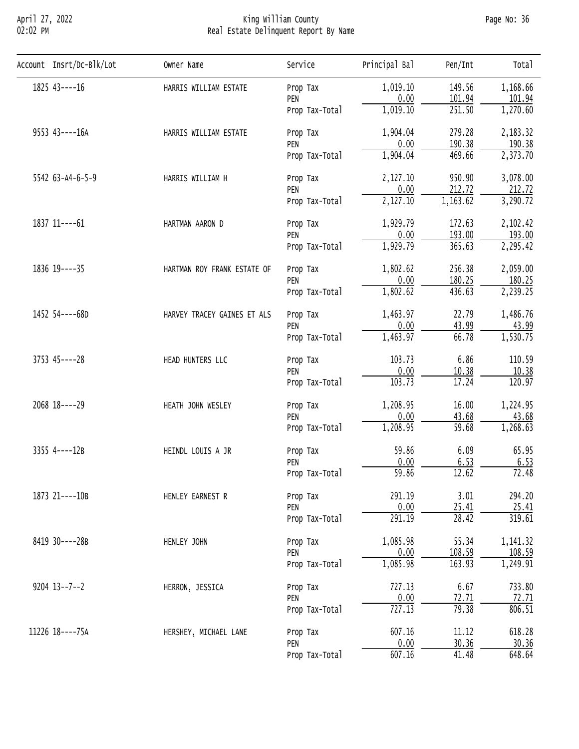# April 27, 2022 King William County Page No: 36 02:02 PM Real Estate Delinquent Report By Name

| Account Insrt/Dc-Blk/Lot | Owner Name                  | Service        | Principal Bal | Pen/Int  | Total     |
|--------------------------|-----------------------------|----------------|---------------|----------|-----------|
| $1825$ 43----16          | HARRIS WILLIAM ESTATE       | Prop Tax       | 1,019.10      | 149.56   | 1,168.66  |
|                          |                             | PEN            | 0.00          | 101.94   | 101.94    |
|                          |                             | Prop Tax-Total | 1,019.10      | 251.50   | 1,270.60  |
| 9553 43----16A           | HARRIS WILLIAM ESTATE       | Prop Tax       | 1,904.04      | 279.28   | 2,183.32  |
|                          |                             | PEN            | 0.00          | 190.38   | 190.38    |
|                          |                             | Prop Tax-Total | 1,904.04      | 469.66   | 2,373.70  |
| 5542 63-A4-6-5-9         | HARRIS WILLIAM H            | Prop Tax       | 2,127.10      | 950.90   | 3,078.00  |
|                          |                             | PEN            | 0.00          | 212.72   | 212.72    |
|                          |                             | Prop Tax-Total | 2,127.10      | 1,163.62 | 3,290.72  |
| 1837 11----61            | HARTMAN AARON D             | Prop Tax       | 1,929.79      | 172.63   | 2,102.42  |
|                          |                             | PEN            | 0.00          | 193.00   | 193.00    |
|                          |                             | Prop Tax-Total | 1,929.79      | 365.63   | 2,295.42  |
| 1836 19 ---- 35          | HARTMAN ROY FRANK ESTATE OF | Prop Tax       | 1,802.62      | 256.38   | 2,059.00  |
|                          |                             | PEN            | 0.00          | 180.25   | 180.25    |
|                          |                             | Prop Tax-Total | 1,802.62      | 436.63   | 2,239.25  |
| 1452 54----68D           | HARVEY TRACEY GAINES ET ALS | Prop Tax       | 1,463.97      | 22.79    | 1,486.76  |
|                          |                             | PEN            | 0.00          | 43.99    | 43.99     |
|                          |                             | Prop Tax-Total | 1,463.97      | 66.78    | 1,530.75  |
| 3753 45----28            | HEAD HUNTERS LLC            | Prop Tax       | 103.73        | 6.86     | 110.59    |
|                          |                             | PEN            | 0.00          | 10.38    | 10.38     |
|                          |                             | Prop Tax-Total | 103.73        | 17.24    | 120.97    |
| 2068 18----29            | HEATH JOHN WESLEY           | Prop Tax       | 1,208.95      | 16.00    | 1,224.95  |
|                          |                             | PEN            | 0.00          | 43.68    | 43.68     |
|                          |                             | Prop Tax-Total | 1,208.95      | 59.68    | 1,268.63  |
| 3355 4----12B            | HEINDL LOUIS A JR           | Prop Tax       | 59.86         | 6.09     | 65.95     |
|                          |                             | PEN            | 0.00          | 6.53     | 6.53      |
|                          |                             | Prop Tax-Total | 59.86         | 12.62    | 72.48     |
| 1873 21----10B           | HENLEY EARNEST R            | Prop Tax       | 291.19        | 3.01     | 294.20    |
|                          |                             | PEN            | 0.00          | 25.41    | 25.41     |
|                          |                             | Prop Tax-Total | 291.19        | 28.42    | 319.61    |
| 8419 30----28B           | HENLEY JOHN                 | Prop Tax       | 1,085.98      | 55.34    | 1, 141.32 |
|                          |                             | PEN            | 0.00          | 108.59   | 108.59    |
|                          |                             | Prop Tax-Total | 1,085.98      | 163.93   | 1,249.91  |
| $9204$ $13--7--2$        | HERRON, JESSICA             | Prop Tax       | 727.13        | 6.67     | 733.80    |
|                          |                             | PEN            | 0.00          | 72.71    | 72.71     |
|                          |                             | Prop Tax-Total | 727.13        | 79.38    | 806.51    |
| 11226 18----75A          | HERSHEY, MICHAEL LANE       | Prop Tax       | 607.16        | 11.12    | 618.28    |
|                          |                             | PEN            | 0.00          | 30.36    | 30.36     |
|                          |                             | Prop Tax-Total | 607.16        | 41.48    | 648.64    |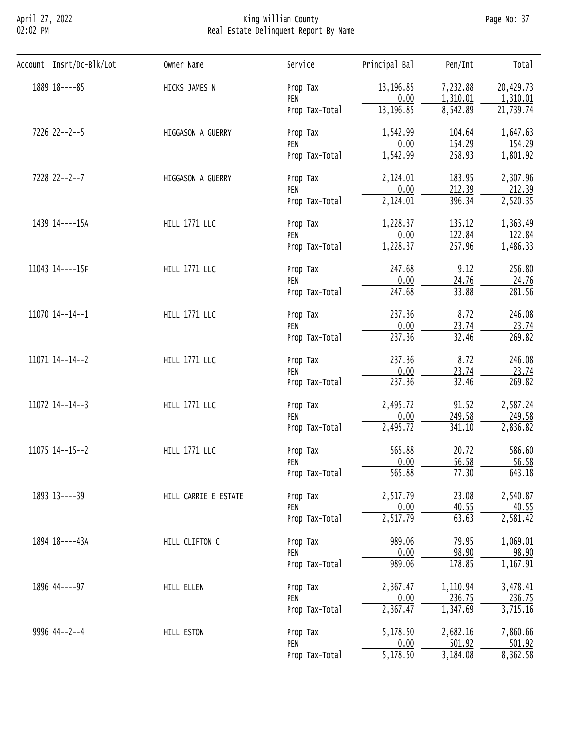## April 27, 2022 King William County Page No: 37 02:02 PM Real Estate Delinquent Report By Name

| Account Insrt/Dc-Blk/Lot | Owner Name           | Service                                                                                                                                                                                                                                                                                                                                                                                                                                                                                                                                                                                                                                                                                                                                                                                                                                                                                                                                                                                                                                                                                     | Principal Bal                                                                          | Pen/Int  | Total     |
|--------------------------|----------------------|---------------------------------------------------------------------------------------------------------------------------------------------------------------------------------------------------------------------------------------------------------------------------------------------------------------------------------------------------------------------------------------------------------------------------------------------------------------------------------------------------------------------------------------------------------------------------------------------------------------------------------------------------------------------------------------------------------------------------------------------------------------------------------------------------------------------------------------------------------------------------------------------------------------------------------------------------------------------------------------------------------------------------------------------------------------------------------------------|----------------------------------------------------------------------------------------|----------|-----------|
| 1889 18----85            | HICKS JAMES N        | Prop Tax                                                                                                                                                                                                                                                                                                                                                                                                                                                                                                                                                                                                                                                                                                                                                                                                                                                                                                                                                                                                                                                                                    | 13, 196.85                                                                             | 7,232.88 | 20,429.73 |
|                          |                      | PEN                                                                                                                                                                                                                                                                                                                                                                                                                                                                                                                                                                                                                                                                                                                                                                                                                                                                                                                                                                                                                                                                                         |                                                                                        |          | 1,310.01  |
|                          |                      | Prop Tax-Total                                                                                                                                                                                                                                                                                                                                                                                                                                                                                                                                                                                                                                                                                                                                                                                                                                                                                                                                                                                                                                                                              |                                                                                        |          | 21,739.74 |
| 7226 22--2--5            | HIGGASON A GUERRY    | 0.00<br>1,310.01<br>8,542.89<br>13,196.85<br>1,542.99<br>104.64<br>Prop Tax<br>0.00<br>154.29<br>PEN<br>1,542.99<br>258.93<br>Prop Tax-Total<br>2,124.01<br>183.95<br>Prop Tax<br>0.00<br>212.39<br>PEN<br>2,124.01<br>396.34<br>Prop Tax-Total<br>1,228.37<br>135.12<br>Prop Tax<br>0.00<br>122.84<br>PEN<br>257.96<br>1,228.37<br>Prop Tax-Total<br>247.68<br>9.12<br>Prop Tax<br>0.00<br>24.76<br>PEN<br>247.68<br>33.88<br>Prop Tax-Total<br>8.72<br>237.36<br>Prop Tax<br>0.00<br>23.74<br>PEN<br>32.46<br>237.36<br>Prop Tax-Total<br>8.72<br>237.36<br>Prop Tax<br>0.00<br>23.74<br>PEN<br>32.46<br>237.36<br>Prop Tax-Total<br>2,495.72<br>91.52<br>Prop Tax<br>0.00<br>249.58<br>PEN<br>2,495.72<br>341.10<br>Prop Tax-Total<br>565.88<br>20.72<br>Prop Tax<br>0.00<br>56.58<br>PEN<br>565.88<br>77.30<br>Prop Tax-Total<br>23.08<br>2,517.79<br>Prop Tax<br>0.00<br>40.55<br>PEN<br>63.63<br>2,517.79<br>Prop Tax-Total<br>989.06<br>79.95<br>Prop Tax<br>0.00<br>98.90<br>PEN<br>989.06<br>178.85<br>Prop Tax-Total<br>2,367.47<br>1,110.94<br>Prop Tax<br>0.00<br>236.75<br>PEN | 1,647.63                                                                               |          |           |
|                          |                      |                                                                                                                                                                                                                                                                                                                                                                                                                                                                                                                                                                                                                                                                                                                                                                                                                                                                                                                                                                                                                                                                                             | 1,347.69<br>2,367.47<br>5,178.50<br>2,682.16<br>0.00<br>501.92<br>3,184.08<br>5,178.50 | 154.29   |           |
|                          |                      |                                                                                                                                                                                                                                                                                                                                                                                                                                                                                                                                                                                                                                                                                                                                                                                                                                                                                                                                                                                                                                                                                             |                                                                                        |          | 1,801.92  |
| 7228 22--2--7            | HIGGASON A GUERRY    | 2,307.96                                                                                                                                                                                                                                                                                                                                                                                                                                                                                                                                                                                                                                                                                                                                                                                                                                                                                                                                                                                                                                                                                    |                                                                                        |          |           |
|                          |                      |                                                                                                                                                                                                                                                                                                                                                                                                                                                                                                                                                                                                                                                                                                                                                                                                                                                                                                                                                                                                                                                                                             |                                                                                        | 212.39   |           |
|                          |                      |                                                                                                                                                                                                                                                                                                                                                                                                                                                                                                                                                                                                                                                                                                                                                                                                                                                                                                                                                                                                                                                                                             |                                                                                        |          | 2,520.35  |
| 1439 14----15A           | <b>HILL 1771 LLC</b> |                                                                                                                                                                                                                                                                                                                                                                                                                                                                                                                                                                                                                                                                                                                                                                                                                                                                                                                                                                                                                                                                                             |                                                                                        |          | 1,363.49  |
|                          |                      |                                                                                                                                                                                                                                                                                                                                                                                                                                                                                                                                                                                                                                                                                                                                                                                                                                                                                                                                                                                                                                                                                             |                                                                                        | 122.84   |           |
|                          |                      |                                                                                                                                                                                                                                                                                                                                                                                                                                                                                                                                                                                                                                                                                                                                                                                                                                                                                                                                                                                                                                                                                             |                                                                                        |          | 1,486.33  |
| 11043 14----15F          | <b>HILL 1771 LLC</b> |                                                                                                                                                                                                                                                                                                                                                                                                                                                                                                                                                                                                                                                                                                                                                                                                                                                                                                                                                                                                                                                                                             |                                                                                        |          | 256.80    |
|                          |                      |                                                                                                                                                                                                                                                                                                                                                                                                                                                                                                                                                                                                                                                                                                                                                                                                                                                                                                                                                                                                                                                                                             |                                                                                        |          | 24.76     |
|                          |                      |                                                                                                                                                                                                                                                                                                                                                                                                                                                                                                                                                                                                                                                                                                                                                                                                                                                                                                                                                                                                                                                                                             |                                                                                        |          | 281.56    |
| 11070 14--14--1          | <b>HILL 1771 LLC</b> |                                                                                                                                                                                                                                                                                                                                                                                                                                                                                                                                                                                                                                                                                                                                                                                                                                                                                                                                                                                                                                                                                             |                                                                                        |          | 246.08    |
|                          |                      |                                                                                                                                                                                                                                                                                                                                                                                                                                                                                                                                                                                                                                                                                                                                                                                                                                                                                                                                                                                                                                                                                             |                                                                                        |          | 23.74     |
|                          |                      |                                                                                                                                                                                                                                                                                                                                                                                                                                                                                                                                                                                                                                                                                                                                                                                                                                                                                                                                                                                                                                                                                             |                                                                                        |          | 269.82    |
| 11071 14--14--2          | <b>HILL 1771 LLC</b> |                                                                                                                                                                                                                                                                                                                                                                                                                                                                                                                                                                                                                                                                                                                                                                                                                                                                                                                                                                                                                                                                                             |                                                                                        |          | 246.08    |
|                          |                      |                                                                                                                                                                                                                                                                                                                                                                                                                                                                                                                                                                                                                                                                                                                                                                                                                                                                                                                                                                                                                                                                                             |                                                                                        |          | 23.74     |
|                          |                      |                                                                                                                                                                                                                                                                                                                                                                                                                                                                                                                                                                                                                                                                                                                                                                                                                                                                                                                                                                                                                                                                                             |                                                                                        |          | 269.82    |
| 11072 14--14--3          | <b>HILL 1771 LLC</b> |                                                                                                                                                                                                                                                                                                                                                                                                                                                                                                                                                                                                                                                                                                                                                                                                                                                                                                                                                                                                                                                                                             |                                                                                        |          | 2,587.24  |
|                          |                      |                                                                                                                                                                                                                                                                                                                                                                                                                                                                                                                                                                                                                                                                                                                                                                                                                                                                                                                                                                                                                                                                                             |                                                                                        |          | 249.58    |
|                          |                      |                                                                                                                                                                                                                                                                                                                                                                                                                                                                                                                                                                                                                                                                                                                                                                                                                                                                                                                                                                                                                                                                                             |                                                                                        |          | 2,836.82  |
| 11075 14--15--2          | <b>HILL 1771 LLC</b> |                                                                                                                                                                                                                                                                                                                                                                                                                                                                                                                                                                                                                                                                                                                                                                                                                                                                                                                                                                                                                                                                                             |                                                                                        |          | 586.60    |
|                          |                      |                                                                                                                                                                                                                                                                                                                                                                                                                                                                                                                                                                                                                                                                                                                                                                                                                                                                                                                                                                                                                                                                                             |                                                                                        |          | 56.58     |
|                          |                      |                                                                                                                                                                                                                                                                                                                                                                                                                                                                                                                                                                                                                                                                                                                                                                                                                                                                                                                                                                                                                                                                                             |                                                                                        |          | 643.18    |
| 1893 13----39            | HILL CARRIE E ESTATE |                                                                                                                                                                                                                                                                                                                                                                                                                                                                                                                                                                                                                                                                                                                                                                                                                                                                                                                                                                                                                                                                                             |                                                                                        |          | 2,540.87  |
|                          |                      |                                                                                                                                                                                                                                                                                                                                                                                                                                                                                                                                                                                                                                                                                                                                                                                                                                                                                                                                                                                                                                                                                             |                                                                                        |          | 40.55     |
|                          |                      |                                                                                                                                                                                                                                                                                                                                                                                                                                                                                                                                                                                                                                                                                                                                                                                                                                                                                                                                                                                                                                                                                             |                                                                                        |          | 2,581.42  |
| 1894 18----43A           | HILL CLIFTON C       |                                                                                                                                                                                                                                                                                                                                                                                                                                                                                                                                                                                                                                                                                                                                                                                                                                                                                                                                                                                                                                                                                             |                                                                                        |          | 1,069.01  |
|                          |                      |                                                                                                                                                                                                                                                                                                                                                                                                                                                                                                                                                                                                                                                                                                                                                                                                                                                                                                                                                                                                                                                                                             |                                                                                        |          | 98.90     |
|                          |                      |                                                                                                                                                                                                                                                                                                                                                                                                                                                                                                                                                                                                                                                                                                                                                                                                                                                                                                                                                                                                                                                                                             |                                                                                        |          | 1,167.91  |
| 1896 44----97            | HILL ELLEN           |                                                                                                                                                                                                                                                                                                                                                                                                                                                                                                                                                                                                                                                                                                                                                                                                                                                                                                                                                                                                                                                                                             |                                                                                        |          | 3,478.41  |
|                          |                      |                                                                                                                                                                                                                                                                                                                                                                                                                                                                                                                                                                                                                                                                                                                                                                                                                                                                                                                                                                                                                                                                                             |                                                                                        |          | 236.75    |
|                          |                      | Prop Tax-Total                                                                                                                                                                                                                                                                                                                                                                                                                                                                                                                                                                                                                                                                                                                                                                                                                                                                                                                                                                                                                                                                              |                                                                                        |          | 3,715.16  |
| 9996 44--2--4            | HILL ESTON           | Prop Tax                                                                                                                                                                                                                                                                                                                                                                                                                                                                                                                                                                                                                                                                                                                                                                                                                                                                                                                                                                                                                                                                                    |                                                                                        |          | 7,860.66  |
|                          |                      | PEN                                                                                                                                                                                                                                                                                                                                                                                                                                                                                                                                                                                                                                                                                                                                                                                                                                                                                                                                                                                                                                                                                         |                                                                                        |          | 501.92    |
|                          |                      | Prop Tax-Total                                                                                                                                                                                                                                                                                                                                                                                                                                                                                                                                                                                                                                                                                                                                                                                                                                                                                                                                                                                                                                                                              |                                                                                        |          | 8,362.58  |
|                          |                      |                                                                                                                                                                                                                                                                                                                                                                                                                                                                                                                                                                                                                                                                                                                                                                                                                                                                                                                                                                                                                                                                                             |                                                                                        |          |           |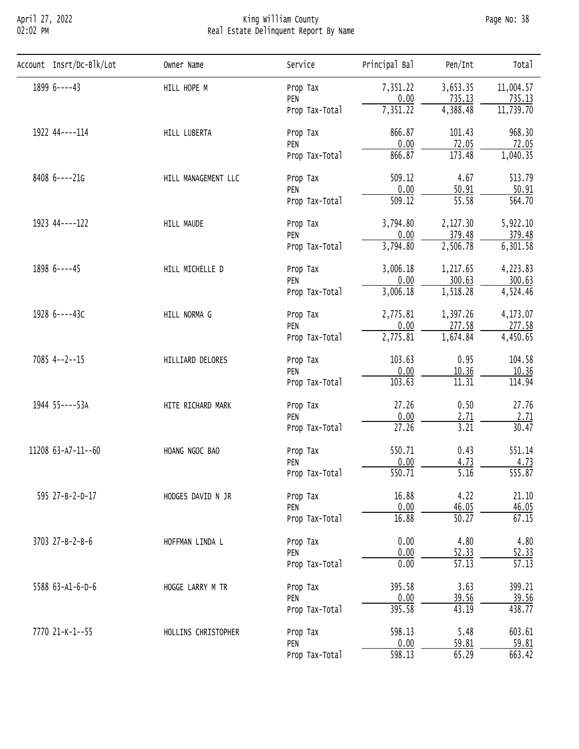## April 27, 2022 King William County Page No: 38 02:02 PM Real Estate Delinquent Report By Name

| Account Insrt/Dc-Blk/Lot | Owner Name                                                                                                                                                                                                                                                                                            | Service        | Principal Bal                                                                                                                                                                                                                                                                                                                                                                                                                                                                                                                                                                                                                                                                                                                    | Pen/Int  | Total               |
|--------------------------|-------------------------------------------------------------------------------------------------------------------------------------------------------------------------------------------------------------------------------------------------------------------------------------------------------|----------------|----------------------------------------------------------------------------------------------------------------------------------------------------------------------------------------------------------------------------------------------------------------------------------------------------------------------------------------------------------------------------------------------------------------------------------------------------------------------------------------------------------------------------------------------------------------------------------------------------------------------------------------------------------------------------------------------------------------------------------|----------|---------------------|
| 1899 6----43             | HILL HOPE M                                                                                                                                                                                                                                                                                           | Prop Tax       |                                                                                                                                                                                                                                                                                                                                                                                                                                                                                                                                                                                                                                                                                                                                  |          | 11,004.57           |
|                          |                                                                                                                                                                                                                                                                                                       | PEN            |                                                                                                                                                                                                                                                                                                                                                                                                                                                                                                                                                                                                                                                                                                                                  | 735.13   | 735.13              |
|                          |                                                                                                                                                                                                                                                                                                       | Prop Tax-Total | 7,351.22                                                                                                                                                                                                                                                                                                                                                                                                                                                                                                                                                                                                                                                                                                                         | 4,388.48 | 11,739.70           |
| 1922 44----114           | HILL LUBERTA                                                                                                                                                                                                                                                                                          | Prop Tax       | 866.87                                                                                                                                                                                                                                                                                                                                                                                                                                                                                                                                                                                                                                                                                                                           | 101.43   | 968.30              |
|                          |                                                                                                                                                                                                                                                                                                       | PEN            |                                                                                                                                                                                                                                                                                                                                                                                                                                                                                                                                                                                                                                                                                                                                  |          | 72.05               |
|                          |                                                                                                                                                                                                                                                                                                       | Prop Tax-Total |                                                                                                                                                                                                                                                                                                                                                                                                                                                                                                                                                                                                                                                                                                                                  |          | 1,040.35            |
| 8408 6----21G            | 509.12<br>4.67<br>HILL MANAGEMENT LLC<br>Prop Tax                                                                                                                                                                                                                                                     | 513.79         |                                                                                                                                                                                                                                                                                                                                                                                                                                                                                                                                                                                                                                                                                                                                  |          |                     |
|                          |                                                                                                                                                                                                                                                                                                       |                | 7,351.22<br>3,653.35<br>0.00<br>0.00<br>72.05<br>173.48<br>866.87<br>0.00<br>50.91<br>$\overline{55.58}$<br>509.12<br>3,794.80<br>2,127.30<br>0.00<br>379.48<br>3,794.80<br>2,506.78<br>3,006.18<br>1,217.65<br>0.00<br>300.63<br>1,518.28<br>3,006.18<br>2,775.81<br>1,397.26<br>0.00<br>277.58<br>2,775.81<br>1,674.84<br>0.95<br>103.63<br>0.00<br>10.36<br>103.63<br>11.31<br>27.26<br>0.50<br>0.00<br>2.71<br>3.21<br>27.26<br>0.43<br>550.71<br>0.00<br>4.73<br>$\overline{550.71}$<br>5.16<br>16.88<br>4.22<br>0.00<br>46.05<br>16.88<br>50.27<br>4.80<br>0.00<br>0.00<br>52.33<br>0.00<br>$\overline{57.13}$<br>3.63<br>395.58<br>0.00<br>39.56<br>395.58<br>43.19<br>5.48<br>598.13<br>0.00<br>59.81<br>598.13<br>65.29 | 50.91    |                     |
|                          |                                                                                                                                                                                                                                                                                                       | Prop Tax-Total |                                                                                                                                                                                                                                                                                                                                                                                                                                                                                                                                                                                                                                                                                                                                  |          | $\overline{564.70}$ |
| 1923 44----122           | HILL MAUDE                                                                                                                                                                                                                                                                                            | Prop Tax       |                                                                                                                                                                                                                                                                                                                                                                                                                                                                                                                                                                                                                                                                                                                                  |          | 5,922.10            |
|                          |                                                                                                                                                                                                                                                                                                       | PEN            |                                                                                                                                                                                                                                                                                                                                                                                                                                                                                                                                                                                                                                                                                                                                  | 379.48   |                     |
|                          |                                                                                                                                                                                                                                                                                                       | Prop Tax-Total |                                                                                                                                                                                                                                                                                                                                                                                                                                                                                                                                                                                                                                                                                                                                  |          | 6, 301.58           |
| 1898 6----45             | HILL MICHELLE D                                                                                                                                                                                                                                                                                       | Prop Tax       |                                                                                                                                                                                                                                                                                                                                                                                                                                                                                                                                                                                                                                                                                                                                  |          | 4,223.83            |
|                          |                                                                                                                                                                                                                                                                                                       | PEN            |                                                                                                                                                                                                                                                                                                                                                                                                                                                                                                                                                                                                                                                                                                                                  | 300.63   |                     |
|                          |                                                                                                                                                                                                                                                                                                       |                |                                                                                                                                                                                                                                                                                                                                                                                                                                                                                                                                                                                                                                                                                                                                  |          | 4,524.46            |
| 1928 6----43C            | HILL NORMA G                                                                                                                                                                                                                                                                                          | Prop Tax       |                                                                                                                                                                                                                                                                                                                                                                                                                                                                                                                                                                                                                                                                                                                                  |          | 4,173.07            |
|                          | PEN<br>Prop Tax-Total<br>PEN<br>Prop Tax-Total<br>HILLIARD DELORES<br>Prop Tax<br>PEN<br>Prop Tax-Total<br>HITE RICHARD MARK<br>Prop Tax<br>PEN<br>Prop Tax-Total<br>HOANG NGOC BAO<br>Prop Tax<br>PEN<br>Prop Tax-Total<br>595 27-B-2-D-17<br>HODGES DAVID N JR<br>Prop Tax<br>PEN<br>Prop Tax-Total | 277.58         |                                                                                                                                                                                                                                                                                                                                                                                                                                                                                                                                                                                                                                                                                                                                  |          |                     |
|                          |                                                                                                                                                                                                                                                                                                       |                |                                                                                                                                                                                                                                                                                                                                                                                                                                                                                                                                                                                                                                                                                                                                  |          | 4,450.65            |
| $7085$ 4--2--15          |                                                                                                                                                                                                                                                                                                       |                |                                                                                                                                                                                                                                                                                                                                                                                                                                                                                                                                                                                                                                                                                                                                  |          | 104.58              |
|                          |                                                                                                                                                                                                                                                                                                       |                |                                                                                                                                                                                                                                                                                                                                                                                                                                                                                                                                                                                                                                                                                                                                  |          | 10.36               |
|                          |                                                                                                                                                                                                                                                                                                       |                |                                                                                                                                                                                                                                                                                                                                                                                                                                                                                                                                                                                                                                                                                                                                  |          | 114.94              |
| 1944 55----53A           |                                                                                                                                                                                                                                                                                                       |                | 27.76                                                                                                                                                                                                                                                                                                                                                                                                                                                                                                                                                                                                                                                                                                                            |          |                     |
|                          |                                                                                                                                                                                                                                                                                                       |                |                                                                                                                                                                                                                                                                                                                                                                                                                                                                                                                                                                                                                                                                                                                                  | 2.71     |                     |
|                          |                                                                                                                                                                                                                                                                                                       |                |                                                                                                                                                                                                                                                                                                                                                                                                                                                                                                                                                                                                                                                                                                                                  |          | 30.47               |
| 11208 63-A7-11--60       |                                                                                                                                                                                                                                                                                                       |                |                                                                                                                                                                                                                                                                                                                                                                                                                                                                                                                                                                                                                                                                                                                                  |          | 551.14              |
|                          |                                                                                                                                                                                                                                                                                                       |                |                                                                                                                                                                                                                                                                                                                                                                                                                                                                                                                                                                                                                                                                                                                                  |          | 4.73                |
|                          |                                                                                                                                                                                                                                                                                                       |                |                                                                                                                                                                                                                                                                                                                                                                                                                                                                                                                                                                                                                                                                                                                                  |          | $\overline{555.87}$ |
|                          |                                                                                                                                                                                                                                                                                                       |                |                                                                                                                                                                                                                                                                                                                                                                                                                                                                                                                                                                                                                                                                                                                                  |          | 21.10               |
|                          |                                                                                                                                                                                                                                                                                                       |                |                                                                                                                                                                                                                                                                                                                                                                                                                                                                                                                                                                                                                                                                                                                                  | 46.05    |                     |
|                          |                                                                                                                                                                                                                                                                                                       |                |                                                                                                                                                                                                                                                                                                                                                                                                                                                                                                                                                                                                                                                                                                                                  |          | 67.15               |
| 3703 27-B-2-B-6          | HOFFMAN LINDA L                                                                                                                                                                                                                                                                                       | Prop Tax       |                                                                                                                                                                                                                                                                                                                                                                                                                                                                                                                                                                                                                                                                                                                                  |          | 4.80                |
|                          |                                                                                                                                                                                                                                                                                                       | PEN            |                                                                                                                                                                                                                                                                                                                                                                                                                                                                                                                                                                                                                                                                                                                                  |          | 52.33               |
|                          |                                                                                                                                                                                                                                                                                                       | Prop Tax-Total |                                                                                                                                                                                                                                                                                                                                                                                                                                                                                                                                                                                                                                                                                                                                  |          | $\overline{57.13}$  |
| 5588 63-A1-6-D-6         | HOGGE LARRY M TR                                                                                                                                                                                                                                                                                      | Prop Tax       |                                                                                                                                                                                                                                                                                                                                                                                                                                                                                                                                                                                                                                                                                                                                  |          | 399.21              |
|                          |                                                                                                                                                                                                                                                                                                       | PEN            |                                                                                                                                                                                                                                                                                                                                                                                                                                                                                                                                                                                                                                                                                                                                  |          | 39.56               |
|                          |                                                                                                                                                                                                                                                                                                       | Prop Tax-Total |                                                                                                                                                                                                                                                                                                                                                                                                                                                                                                                                                                                                                                                                                                                                  |          | 438.77              |
| 7770 21-K-1--55          | HOLLINS CHRISTOPHER                                                                                                                                                                                                                                                                                   | Prop Tax       |                                                                                                                                                                                                                                                                                                                                                                                                                                                                                                                                                                                                                                                                                                                                  |          | 603.61              |
|                          |                                                                                                                                                                                                                                                                                                       | PEN            |                                                                                                                                                                                                                                                                                                                                                                                                                                                                                                                                                                                                                                                                                                                                  |          | 59.81               |
|                          |                                                                                                                                                                                                                                                                                                       | Prop Tax-Total |                                                                                                                                                                                                                                                                                                                                                                                                                                                                                                                                                                                                                                                                                                                                  |          | 663.42              |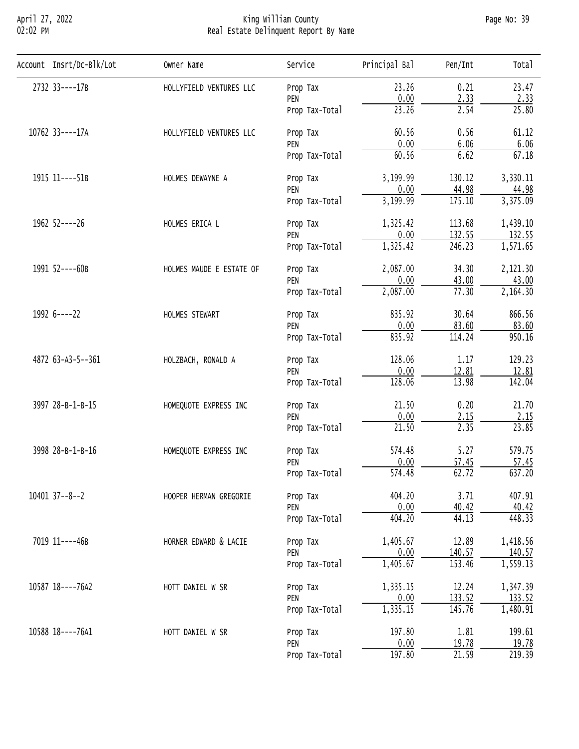# April 27, 2022 King William County Page No: 39 02:02 PM Real Estate Delinquent Report By Name

| Account Insrt/Dc-Blk/Lot | Owner Name               | Service                                                                                                                                                                                                                                                                                                                                                                                                                                             | Principal Bal | Pen/Int                                                                                                                                                                                                                                                                                                                                                                                                                                                                                                                                                                                                                                                                                                                  | Total               |
|--------------------------|--------------------------|-----------------------------------------------------------------------------------------------------------------------------------------------------------------------------------------------------------------------------------------------------------------------------------------------------------------------------------------------------------------------------------------------------------------------------------------------------|---------------|--------------------------------------------------------------------------------------------------------------------------------------------------------------------------------------------------------------------------------------------------------------------------------------------------------------------------------------------------------------------------------------------------------------------------------------------------------------------------------------------------------------------------------------------------------------------------------------------------------------------------------------------------------------------------------------------------------------------------|---------------------|
| 2732 33----17B           | HOLLYFIELD VENTURES LLC  | Prop Tax                                                                                                                                                                                                                                                                                                                                                                                                                                            | 23.26         | 0.21                                                                                                                                                                                                                                                                                                                                                                                                                                                                                                                                                                                                                                                                                                                     | 23.47               |
|                          |                          |                                                                                                                                                                                                                                                                                                                                                                                                                                                     |               |                                                                                                                                                                                                                                                                                                                                                                                                                                                                                                                                                                                                                                                                                                                          | 2.33                |
|                          |                          |                                                                                                                                                                                                                                                                                                                                                                                                                                                     |               |                                                                                                                                                                                                                                                                                                                                                                                                                                                                                                                                                                                                                                                                                                                          | 25.80               |
| 10762 33----17A          | HOLLYFIELD VENTURES LLC  | Prop Tax                                                                                                                                                                                                                                                                                                                                                                                                                                            | 60.56         | 0.00<br>2.33<br>23.26<br>2.54<br>0.56<br>0.00<br>6.06<br>60.56<br>6.62<br>3,199.99<br>130.12<br>0.00<br>44.98<br>3,199.99<br>175.10<br>1,325.42<br>113.68<br>0.00<br>132.55<br>1,325.42<br>246.23<br>2,087.00<br>34.30<br>0.00<br>43.00<br>2,087.00<br>77.30<br>835.92<br>30.64<br>0.00<br>83.60<br>835.92<br>114.24<br>1.17<br>128.06<br>0.00<br>12.81<br>128.06<br>13.98<br>0.20<br>21.50<br>0.00<br>2.15<br>2.35<br>21.50<br>574.48<br>5.27<br>0.00<br>57.45<br>574.48<br>62.72<br>3.71<br>404.20<br>0.00<br>40.42<br>44.13<br>404.20<br>1,405.67<br>12.89<br>0.00<br>140.57<br>1,405.67<br>153.46<br>1,335.15<br>12.24<br>0.00<br>133.52<br>145.76<br>1,335.15<br>197.80<br>1.81<br>0.00<br>19.78<br>197.80<br>21.59 | 61.12               |
|                          |                          |                                                                                                                                                                                                                                                                                                                                                                                                                                                     |               |                                                                                                                                                                                                                                                                                                                                                                                                                                                                                                                                                                                                                                                                                                                          | 6.06                |
|                          |                          |                                                                                                                                                                                                                                                                                                                                                                                                                                                     |               |                                                                                                                                                                                                                                                                                                                                                                                                                                                                                                                                                                                                                                                                                                                          | 67.18               |
| 1915 11----51B           | HOLMES DEWAYNE A         | PEN<br>Prop Tax-Total<br>PEN<br>Prop Tax-Total<br>Prop Tax<br>PEN<br>Prop Tax-Total<br>Prop Tax<br>PEN<br>Prop Tax-Total<br>Prop Tax<br>PEN<br>Prop Tax-Total<br>Prop Tax<br>PEN<br>Prop Tax-Total<br>Prop Tax<br>PEN<br>Prop Tax-Total<br>Prop Tax<br>PEN<br>Prop Tax-Total<br>Prop Tax<br>PEN<br>Prop Tax-Total<br>Prop Tax<br>PEN<br>Prop Tax-Total<br>Prop Tax<br>PEN<br>Prop Tax-Total<br>Prop Tax<br>PEN<br>Prop Tax-Total<br>Prop Tax<br>PEN | 3,330.11      |                                                                                                                                                                                                                                                                                                                                                                                                                                                                                                                                                                                                                                                                                                                          |                     |
|                          |                          |                                                                                                                                                                                                                                                                                                                                                                                                                                                     |               |                                                                                                                                                                                                                                                                                                                                                                                                                                                                                                                                                                                                                                                                                                                          | 44.98               |
|                          |                          |                                                                                                                                                                                                                                                                                                                                                                                                                                                     |               | 3,375.09                                                                                                                                                                                                                                                                                                                                                                                                                                                                                                                                                                                                                                                                                                                 |                     |
| 1962 52----26            | HOLMES ERICA L           |                                                                                                                                                                                                                                                                                                                                                                                                                                                     |               |                                                                                                                                                                                                                                                                                                                                                                                                                                                                                                                                                                                                                                                                                                                          | 1,439.10            |
|                          |                          |                                                                                                                                                                                                                                                                                                                                                                                                                                                     |               | 132.55                                                                                                                                                                                                                                                                                                                                                                                                                                                                                                                                                                                                                                                                                                                   |                     |
|                          |                          |                                                                                                                                                                                                                                                                                                                                                                                                                                                     | 1,571.65      |                                                                                                                                                                                                                                                                                                                                                                                                                                                                                                                                                                                                                                                                                                                          |                     |
| 1991 52----60B           | HOLMES MAUDE E ESTATE OF |                                                                                                                                                                                                                                                                                                                                                                                                                                                     | 2,121.30      |                                                                                                                                                                                                                                                                                                                                                                                                                                                                                                                                                                                                                                                                                                                          |                     |
|                          |                          |                                                                                                                                                                                                                                                                                                                                                                                                                                                     |               | 43.00                                                                                                                                                                                                                                                                                                                                                                                                                                                                                                                                                                                                                                                                                                                    |                     |
|                          |                          |                                                                                                                                                                                                                                                                                                                                                                                                                                                     |               |                                                                                                                                                                                                                                                                                                                                                                                                                                                                                                                                                                                                                                                                                                                          | 2,164.30            |
| 1992 6----22             | HOLMES STEWART           |                                                                                                                                                                                                                                                                                                                                                                                                                                                     |               |                                                                                                                                                                                                                                                                                                                                                                                                                                                                                                                                                                                                                                                                                                                          | 866.56              |
|                          |                          |                                                                                                                                                                                                                                                                                                                                                                                                                                                     |               |                                                                                                                                                                                                                                                                                                                                                                                                                                                                                                                                                                                                                                                                                                                          | 83.60               |
|                          |                          |                                                                                                                                                                                                                                                                                                                                                                                                                                                     |               |                                                                                                                                                                                                                                                                                                                                                                                                                                                                                                                                                                                                                                                                                                                          | 950.16              |
| 4872 63-A3-5--361        | HOLZBACH, RONALD A       |                                                                                                                                                                                                                                                                                                                                                                                                                                                     |               |                                                                                                                                                                                                                                                                                                                                                                                                                                                                                                                                                                                                                                                                                                                          | 129.23              |
|                          |                          | 12.81                                                                                                                                                                                                                                                                                                                                                                                                                                               |               |                                                                                                                                                                                                                                                                                                                                                                                                                                                                                                                                                                                                                                                                                                                          |                     |
|                          |                          |                                                                                                                                                                                                                                                                                                                                                                                                                                                     |               |                                                                                                                                                                                                                                                                                                                                                                                                                                                                                                                                                                                                                                                                                                                          | 142.04              |
| 3997 28-B-1-B-15         | HOMEQUOTE EXPRESS INC    |                                                                                                                                                                                                                                                                                                                                                                                                                                                     | 21.70         |                                                                                                                                                                                                                                                                                                                                                                                                                                                                                                                                                                                                                                                                                                                          |                     |
|                          |                          |                                                                                                                                                                                                                                                                                                                                                                                                                                                     |               |                                                                                                                                                                                                                                                                                                                                                                                                                                                                                                                                                                                                                                                                                                                          | 2.15                |
|                          |                          |                                                                                                                                                                                                                                                                                                                                                                                                                                                     |               |                                                                                                                                                                                                                                                                                                                                                                                                                                                                                                                                                                                                                                                                                                                          | 23.85               |
| 3998 28-B-1-B-16         | HOMEQUOTE EXPRESS INC    |                                                                                                                                                                                                                                                                                                                                                                                                                                                     |               | 579.75                                                                                                                                                                                                                                                                                                                                                                                                                                                                                                                                                                                                                                                                                                                   |                     |
|                          |                          |                                                                                                                                                                                                                                                                                                                                                                                                                                                     |               |                                                                                                                                                                                                                                                                                                                                                                                                                                                                                                                                                                                                                                                                                                                          | 57.45               |
|                          |                          |                                                                                                                                                                                                                                                                                                                                                                                                                                                     |               |                                                                                                                                                                                                                                                                                                                                                                                                                                                                                                                                                                                                                                                                                                                          | 637.20              |
| 10401 37--8--2           | HOOPER HERMAN GREGORIE   |                                                                                                                                                                                                                                                                                                                                                                                                                                                     |               |                                                                                                                                                                                                                                                                                                                                                                                                                                                                                                                                                                                                                                                                                                                          | 407.91              |
|                          |                          |                                                                                                                                                                                                                                                                                                                                                                                                                                                     |               |                                                                                                                                                                                                                                                                                                                                                                                                                                                                                                                                                                                                                                                                                                                          | 40.42               |
|                          |                          |                                                                                                                                                                                                                                                                                                                                                                                                                                                     |               |                                                                                                                                                                                                                                                                                                                                                                                                                                                                                                                                                                                                                                                                                                                          | 448.33              |
| 7019 11----46B           | HORNER EDWARD & LACIE    |                                                                                                                                                                                                                                                                                                                                                                                                                                                     |               |                                                                                                                                                                                                                                                                                                                                                                                                                                                                                                                                                                                                                                                                                                                          | 1,418.56            |
|                          |                          |                                                                                                                                                                                                                                                                                                                                                                                                                                                     |               |                                                                                                                                                                                                                                                                                                                                                                                                                                                                                                                                                                                                                                                                                                                          | 140.57              |
|                          |                          |                                                                                                                                                                                                                                                                                                                                                                                                                                                     |               |                                                                                                                                                                                                                                                                                                                                                                                                                                                                                                                                                                                                                                                                                                                          | 1,559.13            |
| 10587 18----76A2         | HOTT DANIEL W SR         |                                                                                                                                                                                                                                                                                                                                                                                                                                                     |               |                                                                                                                                                                                                                                                                                                                                                                                                                                                                                                                                                                                                                                                                                                                          | 1,347.39            |
|                          |                          |                                                                                                                                                                                                                                                                                                                                                                                                                                                     |               |                                                                                                                                                                                                                                                                                                                                                                                                                                                                                                                                                                                                                                                                                                                          | 133.52              |
|                          |                          |                                                                                                                                                                                                                                                                                                                                                                                                                                                     |               |                                                                                                                                                                                                                                                                                                                                                                                                                                                                                                                                                                                                                                                                                                                          | 1,480.91            |
| 10588 18----76A1         | HOTT DANIEL W SR         |                                                                                                                                                                                                                                                                                                                                                                                                                                                     |               |                                                                                                                                                                                                                                                                                                                                                                                                                                                                                                                                                                                                                                                                                                                          | 199.61              |
|                          |                          |                                                                                                                                                                                                                                                                                                                                                                                                                                                     |               |                                                                                                                                                                                                                                                                                                                                                                                                                                                                                                                                                                                                                                                                                                                          | 19.78               |
|                          |                          | Prop Tax-Total                                                                                                                                                                                                                                                                                                                                                                                                                                      |               |                                                                                                                                                                                                                                                                                                                                                                                                                                                                                                                                                                                                                                                                                                                          | $\overline{219.39}$ |
|                          |                          |                                                                                                                                                                                                                                                                                                                                                                                                                                                     |               |                                                                                                                                                                                                                                                                                                                                                                                                                                                                                                                                                                                                                                                                                                                          |                     |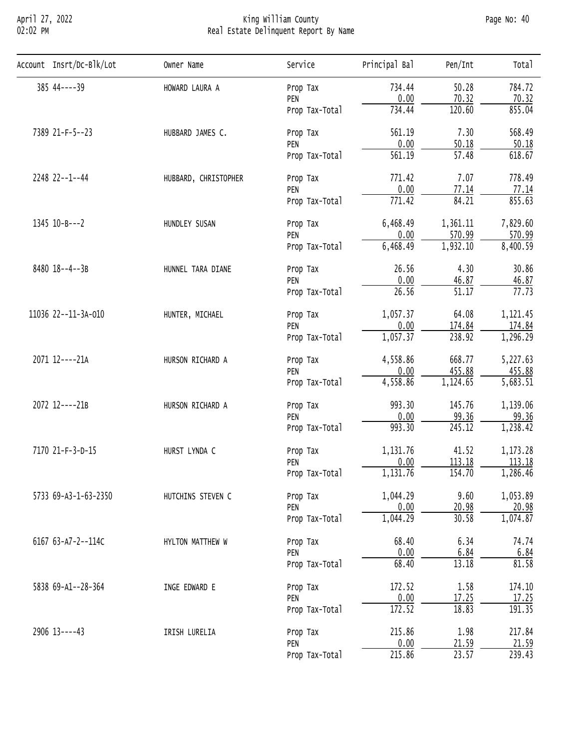## April 27, 2022 King William County Page No: 40 02:02 PM Real Estate Delinquent Report By Name

| Account Insrt/Dc-Blk/Lot                        | Owner Name                                           | Service        | Principal Bal | Pen/Int                                                                                                                                                                                                                                                                                                                                                                                                                                                                                                                                                                                                                                                                                                           | Total                 |
|-------------------------------------------------|------------------------------------------------------|----------------|---------------|-------------------------------------------------------------------------------------------------------------------------------------------------------------------------------------------------------------------------------------------------------------------------------------------------------------------------------------------------------------------------------------------------------------------------------------------------------------------------------------------------------------------------------------------------------------------------------------------------------------------------------------------------------------------------------------------------------------------|-----------------------|
| $385$ 44----39                                  | HOWARD LAURA A                                       | Prop Tax       | 734.44        | 50.28                                                                                                                                                                                                                                                                                                                                                                                                                                                                                                                                                                                                                                                                                                             | 784.72                |
|                                                 |                                                      | PEN            |               |                                                                                                                                                                                                                                                                                                                                                                                                                                                                                                                                                                                                                                                                                                                   | 70.32                 |
|                                                 |                                                      | Prop Tax-Total | 734.44        | 120.60                                                                                                                                                                                                                                                                                                                                                                                                                                                                                                                                                                                                                                                                                                            | 855.04                |
| 7389 21-F-5--23                                 | HUBBARD JAMES C.                                     | Prop Tax       | 561.19        | 7.30                                                                                                                                                                                                                                                                                                                                                                                                                                                                                                                                                                                                                                                                                                              | 568.49                |
|                                                 |                                                      | PEN            |               |                                                                                                                                                                                                                                                                                                                                                                                                                                                                                                                                                                                                                                                                                                                   | 50.18                 |
|                                                 |                                                      | Prop Tax-Total |               |                                                                                                                                                                                                                                                                                                                                                                                                                                                                                                                                                                                                                                                                                                                   | 618.67                |
| 2248 22--1--44                                  | HUBBARD, CHRISTOPHER                                 | Prop Tax       | 771.42        | 7.07                                                                                                                                                                                                                                                                                                                                                                                                                                                                                                                                                                                                                                                                                                              | 778.49                |
|                                                 |                                                      | PEN            |               | 0.00<br>70.32<br>0.00<br>50.18<br>$\overline{57.48}$<br>561.19<br>0.00<br>77.14<br>84.21<br>771.42<br>6,468.49<br>1,361.11<br>0.00<br>570.99<br>1,932.10<br>6,468.49<br>26.56<br>4.30<br>0.00<br>46.87<br>$\overline{51.17}$<br>26.56<br>64.08<br>1,057.37<br>0.00<br>174.84<br>238.92<br>1,057.37<br>4,558.86<br>668.77<br>0.00<br>455.88<br>4,558.86<br>1,124.65<br>993.30<br>145.76<br>0.00<br>99.36<br>993.30<br>245.12<br>1,131.76<br>41.52<br>0.00<br>113.18<br>1,131.76<br>154.70<br>1,044.29<br>9.60<br>0.00<br>20.98<br>1,044.29<br>30.58<br>68.40<br>6.34<br>0.00<br>6.84<br>68.40<br>13.18<br>1.58<br>172.52<br>0.00<br>17.25<br>172.52<br>18.83<br>1.98<br>215.86<br>0.00<br>21.59<br>23.57<br>215.86 | 77.14                 |
|                                                 |                                                      | Prop Tax-Total |               |                                                                                                                                                                                                                                                                                                                                                                                                                                                                                                                                                                                                                                                                                                                   | 855.63                |
| $1345$ $10 - B - -2$                            | HUNDLEY SUSAN                                        | Prop Tax       |               |                                                                                                                                                                                                                                                                                                                                                                                                                                                                                                                                                                                                                                                                                                                   | 7,829.60              |
|                                                 |                                                      | PEN            |               | 570.99                                                                                                                                                                                                                                                                                                                                                                                                                                                                                                                                                                                                                                                                                                            |                       |
|                                                 |                                                      | Prop Tax-Total |               |                                                                                                                                                                                                                                                                                                                                                                                                                                                                                                                                                                                                                                                                                                                   | 8,400.59              |
| 8480 18--4--3B<br>HUNNEL TARA DIANE<br>Prop Tax |                                                      | 30.86          |               |                                                                                                                                                                                                                                                                                                                                                                                                                                                                                                                                                                                                                                                                                                                   |                       |
|                                                 |                                                      | PEN            |               |                                                                                                                                                                                                                                                                                                                                                                                                                                                                                                                                                                                                                                                                                                                   | 46.87                 |
|                                                 |                                                      | Prop Tax-Total |               |                                                                                                                                                                                                                                                                                                                                                                                                                                                                                                                                                                                                                                                                                                                   | 77.73                 |
| 11036 22--11-3A-010                             | HUNTER, MICHAEL<br>Prop Tax<br>PEN<br>Prop Tax-Total | 1,121.45       |               |                                                                                                                                                                                                                                                                                                                                                                                                                                                                                                                                                                                                                                                                                                                   |                       |
|                                                 |                                                      |                |               |                                                                                                                                                                                                                                                                                                                                                                                                                                                                                                                                                                                                                                                                                                                   | 174.84                |
|                                                 |                                                      |                |               |                                                                                                                                                                                                                                                                                                                                                                                                                                                                                                                                                                                                                                                                                                                   | 1,296.29              |
| 2071 12----21A                                  | HURSON RICHARD A                                     | Prop Tax       |               |                                                                                                                                                                                                                                                                                                                                                                                                                                                                                                                                                                                                                                                                                                                   | 5,227.63              |
|                                                 | PEN                                                  | 455.88         |               |                                                                                                                                                                                                                                                                                                                                                                                                                                                                                                                                                                                                                                                                                                                   |                       |
|                                                 |                                                      | Prop Tax-Total |               |                                                                                                                                                                                                                                                                                                                                                                                                                                                                                                                                                                                                                                                                                                                   | $\overline{5,683.51}$ |
| 2072 12----21B                                  | HURSON RICHARD A                                     | Prop Tax       |               |                                                                                                                                                                                                                                                                                                                                                                                                                                                                                                                                                                                                                                                                                                                   | 1,139.06              |
|                                                 |                                                      | PEN            |               |                                                                                                                                                                                                                                                                                                                                                                                                                                                                                                                                                                                                                                                                                                                   | 99.36                 |
|                                                 |                                                      | Prop Tax-Total |               |                                                                                                                                                                                                                                                                                                                                                                                                                                                                                                                                                                                                                                                                                                                   | 1,238.42              |
| 7170 21-F-3-D-15                                | HURST LYNDA C                                        | Prop Tax       |               |                                                                                                                                                                                                                                                                                                                                                                                                                                                                                                                                                                                                                                                                                                                   | 1,173.28              |
|                                                 |                                                      | PEN            |               |                                                                                                                                                                                                                                                                                                                                                                                                                                                                                                                                                                                                                                                                                                                   | 113.18                |
|                                                 |                                                      | Prop Tax-Total |               |                                                                                                                                                                                                                                                                                                                                                                                                                                                                                                                                                                                                                                                                                                                   | 1,286.46              |
| 5733 69-A3-1-63-2350                            | HUTCHINS STEVEN C                                    | Prop Tax       |               | 1,053.89                                                                                                                                                                                                                                                                                                                                                                                                                                                                                                                                                                                                                                                                                                          |                       |
|                                                 |                                                      | PEN            |               |                                                                                                                                                                                                                                                                                                                                                                                                                                                                                                                                                                                                                                                                                                                   | 20.98                 |
|                                                 |                                                      | Prop Tax-Total |               |                                                                                                                                                                                                                                                                                                                                                                                                                                                                                                                                                                                                                                                                                                                   | 1,074.87              |
| 6167 63-A7-2--114C                              | HYLTON MATTHEW W                                     | Prop Tax       |               |                                                                                                                                                                                                                                                                                                                                                                                                                                                                                                                                                                                                                                                                                                                   | 74.74                 |
|                                                 |                                                      | PEN            |               |                                                                                                                                                                                                                                                                                                                                                                                                                                                                                                                                                                                                                                                                                                                   | 6.84                  |
|                                                 |                                                      | Prop Tax-Total |               |                                                                                                                                                                                                                                                                                                                                                                                                                                                                                                                                                                                                                                                                                                                   | 81.58                 |
| 5838 69-A1--28-364                              | INGE EDWARD E                                        | Prop Tax       |               |                                                                                                                                                                                                                                                                                                                                                                                                                                                                                                                                                                                                                                                                                                                   | 174.10                |
|                                                 |                                                      | PEN            |               |                                                                                                                                                                                                                                                                                                                                                                                                                                                                                                                                                                                                                                                                                                                   | 17.25                 |
|                                                 |                                                      | Prop Tax-Total |               |                                                                                                                                                                                                                                                                                                                                                                                                                                                                                                                                                                                                                                                                                                                   | 191.35                |
| 2906 13----43                                   | IRISH LURELIA                                        | Prop Tax       |               |                                                                                                                                                                                                                                                                                                                                                                                                                                                                                                                                                                                                                                                                                                                   | 217.84                |
|                                                 |                                                      | PEN            |               |                                                                                                                                                                                                                                                                                                                                                                                                                                                                                                                                                                                                                                                                                                                   | 21.59                 |
|                                                 |                                                      | Prop Tax-Total |               |                                                                                                                                                                                                                                                                                                                                                                                                                                                                                                                                                                                                                                                                                                                   | 239.43                |
|                                                 |                                                      |                |               |                                                                                                                                                                                                                                                                                                                                                                                                                                                                                                                                                                                                                                                                                                                   |                       |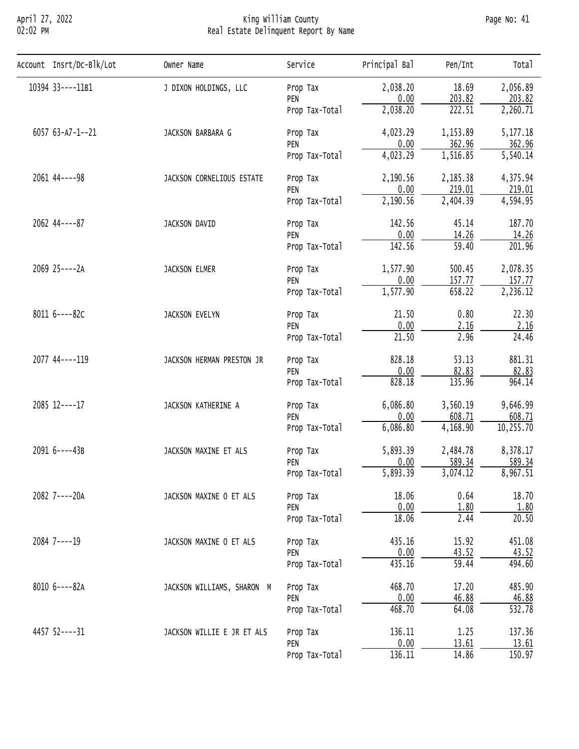## April 27, 2022 King William County Page No: 41 02:02 PM Real Estate Delinquent Report By Name

| Account Insrt/Dc-Blk/Lot        | Owner Name                                                                                                                                                                                                                                                                                                                                                                                                                                                                                                                                                                                                                                                                                                                                                                                                                                                                                                                                                                                                                                                                                                                                                                                                                                                                                                                                                                                                                                                               | Service        | Principal Bal                    | Pen/Int | Total     |
|---------------------------------|--------------------------------------------------------------------------------------------------------------------------------------------------------------------------------------------------------------------------------------------------------------------------------------------------------------------------------------------------------------------------------------------------------------------------------------------------------------------------------------------------------------------------------------------------------------------------------------------------------------------------------------------------------------------------------------------------------------------------------------------------------------------------------------------------------------------------------------------------------------------------------------------------------------------------------------------------------------------------------------------------------------------------------------------------------------------------------------------------------------------------------------------------------------------------------------------------------------------------------------------------------------------------------------------------------------------------------------------------------------------------------------------------------------------------------------------------------------------------|----------------|----------------------------------|---------|-----------|
| 10394 33----11B1                | J DIXON HOLDINGS, LLC                                                                                                                                                                                                                                                                                                                                                                                                                                                                                                                                                                                                                                                                                                                                                                                                                                                                                                                                                                                                                                                                                                                                                                                                                                                                                                                                                                                                                                                    | Prop Tax       | 2,038.20                         | 18.69   | 2,056.89  |
|                                 |                                                                                                                                                                                                                                                                                                                                                                                                                                                                                                                                                                                                                                                                                                                                                                                                                                                                                                                                                                                                                                                                                                                                                                                                                                                                                                                                                                                                                                                                          | PEN            | 0.00                             |         | 203.82    |
|                                 |                                                                                                                                                                                                                                                                                                                                                                                                                                                                                                                                                                                                                                                                                                                                                                                                                                                                                                                                                                                                                                                                                                                                                                                                                                                                                                                                                                                                                                                                          | Prop Tax-Total | 2,038.20                         | 222.51  | 2,260.71  |
| 6057 63-A7-1--21                | 203.82<br>4,023.29<br>1,153.89<br>JACKSON BARBARA G<br>Prop Tax<br>0.00<br>362.96<br>PEN<br>4,023.29<br>1,516.85<br>Prop Tax-Total<br>2,190.56<br>2,185.38<br>JACKSON CORNELIOUS ESTATE<br>Prop Tax<br>0.00<br>219.01<br>PEN<br>2,404.39<br>2,190.56<br>Prop Tax-Total<br>142.56<br>45.14<br>JACKSON DAVID<br>Prop Tax<br>0.00<br><u>14.26</u><br>PEN<br>$\overline{59.40}$<br>142.56<br>Prop Tax-Total<br>1,577.90<br>500.45<br>JACKSON ELMER<br>Prop Tax<br>0.00<br>157.77<br>PEN<br>658.22<br>1,577.90<br>Prop Tax-Total<br>21.50<br>0.80<br>JACKSON EVELYN<br>Prop Tax<br>0.00<br>2.16<br>PEN<br>2.96<br>21.50<br>Prop Tax-Total<br>828.18<br>53.13<br>JACKSON HERMAN PRESTON JR<br>Prop Tax<br>0.00<br>82.83<br>PEN<br>828.18<br>135.96<br>Prop Tax-Total<br>6,086.80<br>3,560.19<br>JACKSON KATHERINE A<br>Prop Tax<br>0.00<br>608.71<br>PEN<br>6,086.80<br>4,168.90<br>Prop Tax-Total<br>5,893.39<br>2,484.78<br>JACKSON MAXINE ET ALS<br>Prop Tax<br>0.00<br>589.34<br>PEN<br>5,893.39<br>3,074.12<br>Prop Tax-Total<br>18.06<br>0.64<br>JACKSON MAXINE O ET ALS<br>Prop Tax<br>0.00<br>1.80<br>PEN<br>18.06<br>2.44<br>Prop Tax-Total<br>15.92<br>435.16<br>JACKSON MAXINE O ET ALS<br>Prop Tax<br>0.00<br>43.52<br>PEN<br>$\overline{59.44}$<br>435.16<br>Prop Tax-Total<br>468.70<br>17.20<br>Prop Tax<br>JACKSON WILLIAMS, SHARON M<br>0.00<br>46.88<br>PEN<br>468.70<br>64.08<br>Prop Tax-Total<br>1.25<br>136.11<br>JACKSON WILLIE E JR ET ALS<br>Prop Tax |                | 5, 177. 18                       |         |           |
|                                 |                                                                                                                                                                                                                                                                                                                                                                                                                                                                                                                                                                                                                                                                                                                                                                                                                                                                                                                                                                                                                                                                                                                                                                                                                                                                                                                                                                                                                                                                          |                | 0.00<br>13.61<br>136.11<br>14.86 | 362.96  |           |
|                                 |                                                                                                                                                                                                                                                                                                                                                                                                                                                                                                                                                                                                                                                                                                                                                                                                                                                                                                                                                                                                                                                                                                                                                                                                                                                                                                                                                                                                                                                                          |                |                                  |         | 5,540.14  |
| 2061 44 ---- 98                 |                                                                                                                                                                                                                                                                                                                                                                                                                                                                                                                                                                                                                                                                                                                                                                                                                                                                                                                                                                                                                                                                                                                                                                                                                                                                                                                                                                                                                                                                          | 4,375.94       |                                  |         |           |
|                                 |                                                                                                                                                                                                                                                                                                                                                                                                                                                                                                                                                                                                                                                                                                                                                                                                                                                                                                                                                                                                                                                                                                                                                                                                                                                                                                                                                                                                                                                                          |                |                                  | 219.01  |           |
|                                 |                                                                                                                                                                                                                                                                                                                                                                                                                                                                                                                                                                                                                                                                                                                                                                                                                                                                                                                                                                                                                                                                                                                                                                                                                                                                                                                                                                                                                                                                          |                |                                  |         | 4,594.95  |
| 2062 44----87                   |                                                                                                                                                                                                                                                                                                                                                                                                                                                                                                                                                                                                                                                                                                                                                                                                                                                                                                                                                                                                                                                                                                                                                                                                                                                                                                                                                                                                                                                                          |                |                                  |         | 187.70    |
|                                 |                                                                                                                                                                                                                                                                                                                                                                                                                                                                                                                                                                                                                                                                                                                                                                                                                                                                                                                                                                                                                                                                                                                                                                                                                                                                                                                                                                                                                                                                          |                | 14.26                            |         |           |
|                                 |                                                                                                                                                                                                                                                                                                                                                                                                                                                                                                                                                                                                                                                                                                                                                                                                                                                                                                                                                                                                                                                                                                                                                                                                                                                                                                                                                                                                                                                                          |                |                                  |         | 201.96    |
| 2069 25 ---- 2A                 |                                                                                                                                                                                                                                                                                                                                                                                                                                                                                                                                                                                                                                                                                                                                                                                                                                                                                                                                                                                                                                                                                                                                                                                                                                                                                                                                                                                                                                                                          |                |                                  |         | 2,078.35  |
|                                 |                                                                                                                                                                                                                                                                                                                                                                                                                                                                                                                                                                                                                                                                                                                                                                                                                                                                                                                                                                                                                                                                                                                                                                                                                                                                                                                                                                                                                                                                          |                |                                  | 157.77  |           |
|                                 |                                                                                                                                                                                                                                                                                                                                                                                                                                                                                                                                                                                                                                                                                                                                                                                                                                                                                                                                                                                                                                                                                                                                                                                                                                                                                                                                                                                                                                                                          |                |                                  |         | 2,236.12  |
| 8011 6----82C<br>2077 44----119 |                                                                                                                                                                                                                                                                                                                                                                                                                                                                                                                                                                                                                                                                                                                                                                                                                                                                                                                                                                                                                                                                                                                                                                                                                                                                                                                                                                                                                                                                          |                |                                  |         | 22.30     |
|                                 |                                                                                                                                                                                                                                                                                                                                                                                                                                                                                                                                                                                                                                                                                                                                                                                                                                                                                                                                                                                                                                                                                                                                                                                                                                                                                                                                                                                                                                                                          |                |                                  | 2.16    |           |
|                                 |                                                                                                                                                                                                                                                                                                                                                                                                                                                                                                                                                                                                                                                                                                                                                                                                                                                                                                                                                                                                                                                                                                                                                                                                                                                                                                                                                                                                                                                                          |                |                                  |         | 24.46     |
|                                 |                                                                                                                                                                                                                                                                                                                                                                                                                                                                                                                                                                                                                                                                                                                                                                                                                                                                                                                                                                                                                                                                                                                                                                                                                                                                                                                                                                                                                                                                          |                |                                  |         | 881.31    |
|                                 |                                                                                                                                                                                                                                                                                                                                                                                                                                                                                                                                                                                                                                                                                                                                                                                                                                                                                                                                                                                                                                                                                                                                                                                                                                                                                                                                                                                                                                                                          |                |                                  |         | 82.83     |
|                                 |                                                                                                                                                                                                                                                                                                                                                                                                                                                                                                                                                                                                                                                                                                                                                                                                                                                                                                                                                                                                                                                                                                                                                                                                                                                                                                                                                                                                                                                                          |                |                                  |         | 964.14    |
| 2085 12----17                   |                                                                                                                                                                                                                                                                                                                                                                                                                                                                                                                                                                                                                                                                                                                                                                                                                                                                                                                                                                                                                                                                                                                                                                                                                                                                                                                                                                                                                                                                          |                |                                  |         | 9,646.99  |
|                                 |                                                                                                                                                                                                                                                                                                                                                                                                                                                                                                                                                                                                                                                                                                                                                                                                                                                                                                                                                                                                                                                                                                                                                                                                                                                                                                                                                                                                                                                                          |                |                                  | 608.71  |           |
|                                 |                                                                                                                                                                                                                                                                                                                                                                                                                                                                                                                                                                                                                                                                                                                                                                                                                                                                                                                                                                                                                                                                                                                                                                                                                                                                                                                                                                                                                                                                          |                |                                  |         | 10,255.70 |
| 2091 6----43B                   |                                                                                                                                                                                                                                                                                                                                                                                                                                                                                                                                                                                                                                                                                                                                                                                                                                                                                                                                                                                                                                                                                                                                                                                                                                                                                                                                                                                                                                                                          |                |                                  |         | 8,378.17  |
|                                 |                                                                                                                                                                                                                                                                                                                                                                                                                                                                                                                                                                                                                                                                                                                                                                                                                                                                                                                                                                                                                                                                                                                                                                                                                                                                                                                                                                                                                                                                          |                |                                  |         | 589.34    |
|                                 |                                                                                                                                                                                                                                                                                                                                                                                                                                                                                                                                                                                                                                                                                                                                                                                                                                                                                                                                                                                                                                                                                                                                                                                                                                                                                                                                                                                                                                                                          |                |                                  |         | 8,967.51  |
| 2082 7----20A                   |                                                                                                                                                                                                                                                                                                                                                                                                                                                                                                                                                                                                                                                                                                                                                                                                                                                                                                                                                                                                                                                                                                                                                                                                                                                                                                                                                                                                                                                                          |                |                                  |         | 18.70     |
|                                 |                                                                                                                                                                                                                                                                                                                                                                                                                                                                                                                                                                                                                                                                                                                                                                                                                                                                                                                                                                                                                                                                                                                                                                                                                                                                                                                                                                                                                                                                          |                | 1.80                             |         |           |
|                                 |                                                                                                                                                                                                                                                                                                                                                                                                                                                                                                                                                                                                                                                                                                                                                                                                                                                                                                                                                                                                                                                                                                                                                                                                                                                                                                                                                                                                                                                                          |                |                                  |         | 20.50     |
| 2084 7----19                    |                                                                                                                                                                                                                                                                                                                                                                                                                                                                                                                                                                                                                                                                                                                                                                                                                                                                                                                                                                                                                                                                                                                                                                                                                                                                                                                                                                                                                                                                          |                |                                  |         | 451.08    |
|                                 |                                                                                                                                                                                                                                                                                                                                                                                                                                                                                                                                                                                                                                                                                                                                                                                                                                                                                                                                                                                                                                                                                                                                                                                                                                                                                                                                                                                                                                                                          |                |                                  |         | 43.52     |
|                                 |                                                                                                                                                                                                                                                                                                                                                                                                                                                                                                                                                                                                                                                                                                                                                                                                                                                                                                                                                                                                                                                                                                                                                                                                                                                                                                                                                                                                                                                                          |                |                                  |         | 494.60    |
| 8010 6----82A                   |                                                                                                                                                                                                                                                                                                                                                                                                                                                                                                                                                                                                                                                                                                                                                                                                                                                                                                                                                                                                                                                                                                                                                                                                                                                                                                                                                                                                                                                                          |                |                                  |         | 485.90    |
|                                 |                                                                                                                                                                                                                                                                                                                                                                                                                                                                                                                                                                                                                                                                                                                                                                                                                                                                                                                                                                                                                                                                                                                                                                                                                                                                                                                                                                                                                                                                          |                |                                  |         | 46.88     |
|                                 |                                                                                                                                                                                                                                                                                                                                                                                                                                                                                                                                                                                                                                                                                                                                                                                                                                                                                                                                                                                                                                                                                                                                                                                                                                                                                                                                                                                                                                                                          |                |                                  |         | 532.78    |
| 4457 52----31                   |                                                                                                                                                                                                                                                                                                                                                                                                                                                                                                                                                                                                                                                                                                                                                                                                                                                                                                                                                                                                                                                                                                                                                                                                                                                                                                                                                                                                                                                                          |                |                                  |         | 137.36    |
|                                 |                                                                                                                                                                                                                                                                                                                                                                                                                                                                                                                                                                                                                                                                                                                                                                                                                                                                                                                                                                                                                                                                                                                                                                                                                                                                                                                                                                                                                                                                          | PEN            |                                  |         | 13.61     |
|                                 |                                                                                                                                                                                                                                                                                                                                                                                                                                                                                                                                                                                                                                                                                                                                                                                                                                                                                                                                                                                                                                                                                                                                                                                                                                                                                                                                                                                                                                                                          | Prop Tax-Total |                                  |         | 150.97    |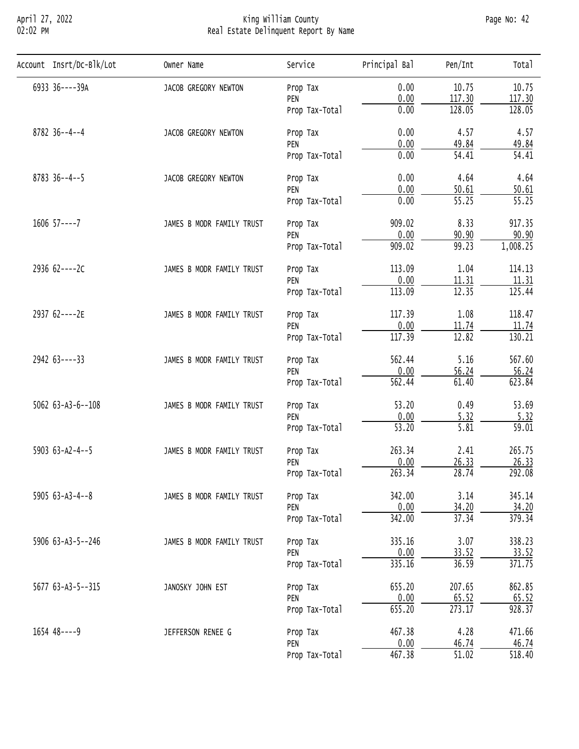## April 27, 2022 King William County Page No: 42 02:02 PM Real Estate Delinquent Report By Name

| Account Insrt/Dc-Blk/Lot   | Owner Name                                                                                                                       | Service        | Principal Bal                                                                                                                                                                                                                                                                                                                                                                                                                                                                                                                                                                                                                                                                                                       | Pen/Int | Total              |
|----------------------------|----------------------------------------------------------------------------------------------------------------------------------|----------------|---------------------------------------------------------------------------------------------------------------------------------------------------------------------------------------------------------------------------------------------------------------------------------------------------------------------------------------------------------------------------------------------------------------------------------------------------------------------------------------------------------------------------------------------------------------------------------------------------------------------------------------------------------------------------------------------------------------------|---------|--------------------|
| 6933 36----39A             | JACOB GREGORY NEWTON                                                                                                             | Prop Tax       | 0.00                                                                                                                                                                                                                                                                                                                                                                                                                                                                                                                                                                                                                                                                                                                | 10.75   | 10.75              |
|                            |                                                                                                                                  | PEN            |                                                                                                                                                                                                                                                                                                                                                                                                                                                                                                                                                                                                                                                                                                                     |         | 117.30             |
|                            |                                                                                                                                  | Prop Tax-Total |                                                                                                                                                                                                                                                                                                                                                                                                                                                                                                                                                                                                                                                                                                                     |         | 128.05             |
| $8782$ 36--4--4            | JACOB GREGORY NEWTON                                                                                                             | Prop Tax       | 0.00<br>117.30<br>128.05<br>0.00<br>0.00<br>4.57<br>0.00<br>49.84<br>$\overline{54.41}$<br>0.00<br>0.00<br>4.64<br>0.00<br>50.61<br>$\overline{55.25}$<br>0.00<br>909.02<br>8.33<br>0.00<br>90.90<br>909.02<br>99.23<br>113.09<br>1.04<br>0.00<br>11.31<br>113.09<br>12.35<br>117.39<br>1.08<br>0.00<br>11.74<br>12.82<br>117.39<br>562.44<br>5.16<br>0.00<br>56.24<br>562.44<br>61.40<br>53.20<br>0.49<br>0.00<br>5.32<br>$\overline{53.20}$<br>5.81<br>263.34<br>2.41<br>0.00<br>26.33<br>263.34<br>28.74<br>342.00<br>3.14<br>0.00<br>34.20<br>342.00<br>37.34<br>3.07<br>335.16<br>0.00<br>33.52<br>335.16<br>36.59<br>655.20<br>207.65<br>0.00<br>65.52<br>655.20<br>273.17<br>467.38<br>4.28<br>0.00<br>46.74 | 4.57    |                    |
|                            |                                                                                                                                  | PEN            |                                                                                                                                                                                                                                                                                                                                                                                                                                                                                                                                                                                                                                                                                                                     |         | 49.84              |
|                            |                                                                                                                                  | Prop Tax-Total |                                                                                                                                                                                                                                                                                                                                                                                                                                                                                                                                                                                                                                                                                                                     | 54.41   |                    |
| $8783$ 36--4--5            | JACOB GREGORY NEWTON                                                                                                             | Prop Tax       |                                                                                                                                                                                                                                                                                                                                                                                                                                                                                                                                                                                                                                                                                                                     |         | 4.64               |
|                            |                                                                                                                                  | PEN            | 467.38<br>$\overline{51.02}$                                                                                                                                                                                                                                                                                                                                                                                                                                                                                                                                                                                                                                                                                        | 50.61   |                    |
|                            |                                                                                                                                  | Prop Tax-Total |                                                                                                                                                                                                                                                                                                                                                                                                                                                                                                                                                                                                                                                                                                                     |         | $\overline{55.25}$ |
| $1606$ $57---7$            | JAMES B MODR FAMILY TRUST                                                                                                        | Prop Tax       |                                                                                                                                                                                                                                                                                                                                                                                                                                                                                                                                                                                                                                                                                                                     |         | 917.35             |
|                            |                                                                                                                                  | PEN            |                                                                                                                                                                                                                                                                                                                                                                                                                                                                                                                                                                                                                                                                                                                     |         | 90.90              |
|                            |                                                                                                                                  | Prop Tax-Total |                                                                                                                                                                                                                                                                                                                                                                                                                                                                                                                                                                                                                                                                                                                     |         | 1,008.25           |
| 2936 62----2C              | JAMES B MODR FAMILY TRUST                                                                                                        | Prop Tax       |                                                                                                                                                                                                                                                                                                                                                                                                                                                                                                                                                                                                                                                                                                                     |         | 114.13             |
|                            |                                                                                                                                  | PEN            |                                                                                                                                                                                                                                                                                                                                                                                                                                                                                                                                                                                                                                                                                                                     |         | 11.31              |
|                            |                                                                                                                                  | Prop Tax-Total |                                                                                                                                                                                                                                                                                                                                                                                                                                                                                                                                                                                                                                                                                                                     |         | 125.44             |
| 2937 62----2E              | JAMES B MODR FAMILY TRUST                                                                                                        | Prop Tax       |                                                                                                                                                                                                                                                                                                                                                                                                                                                                                                                                                                                                                                                                                                                     |         | 118.47             |
|                            |                                                                                                                                  | PEN            |                                                                                                                                                                                                                                                                                                                                                                                                                                                                                                                                                                                                                                                                                                                     |         | 11.74              |
|                            |                                                                                                                                  | Prop Tax-Total |                                                                                                                                                                                                                                                                                                                                                                                                                                                                                                                                                                                                                                                                                                                     |         | 130.21             |
| 2942 63----33              | JAMES B MODR FAMILY TRUST                                                                                                        | Prop Tax       |                                                                                                                                                                                                                                                                                                                                                                                                                                                                                                                                                                                                                                                                                                                     |         | 567.60             |
|                            | PEN                                                                                                                              | 56.24          |                                                                                                                                                                                                                                                                                                                                                                                                                                                                                                                                                                                                                                                                                                                     |         |                    |
|                            |                                                                                                                                  | Prop Tax-Total |                                                                                                                                                                                                                                                                                                                                                                                                                                                                                                                                                                                                                                                                                                                     |         | 623.84             |
| $5062$ $63 - A3 - 6 - 108$ | JAMES B MODR FAMILY TRUST<br>Prop Tax                                                                                            | 53.69          |                                                                                                                                                                                                                                                                                                                                                                                                                                                                                                                                                                                                                                                                                                                     |         |                    |
|                            |                                                                                                                                  | PEN            |                                                                                                                                                                                                                                                                                                                                                                                                                                                                                                                                                                                                                                                                                                                     |         | 5.32               |
|                            |                                                                                                                                  | Prop Tax-Total |                                                                                                                                                                                                                                                                                                                                                                                                                                                                                                                                                                                                                                                                                                                     |         | 59.01              |
| 5903 $63 - A2 - 4 - 5$     | JAMES B MODR FAMILY TRUST                                                                                                        | Prop Tax       |                                                                                                                                                                                                                                                                                                                                                                                                                                                                                                                                                                                                                                                                                                                     |         | 265.75             |
|                            |                                                                                                                                  | PEN            |                                                                                                                                                                                                                                                                                                                                                                                                                                                                                                                                                                                                                                                                                                                     |         | 26.33              |
|                            |                                                                                                                                  | Prop Tax-Total |                                                                                                                                                                                                                                                                                                                                                                                                                                                                                                                                                                                                                                                                                                                     |         | 292.08             |
| $5905 63 - A3 - 4 - 8$     | JAMES B MODR FAMILY TRUST<br>Prop Tax<br>PEN<br>Prop Tax-Total<br>JAMES B MODR FAMILY TRUST<br>Prop Tax<br>PEN<br>Prop Tax-Total | 345.14         |                                                                                                                                                                                                                                                                                                                                                                                                                                                                                                                                                                                                                                                                                                                     |         |                    |
|                            |                                                                                                                                  |                |                                                                                                                                                                                                                                                                                                                                                                                                                                                                                                                                                                                                                                                                                                                     |         | 34.20              |
|                            |                                                                                                                                  |                |                                                                                                                                                                                                                                                                                                                                                                                                                                                                                                                                                                                                                                                                                                                     |         | 379.34             |
| 5906 63-A3-5--246          |                                                                                                                                  |                |                                                                                                                                                                                                                                                                                                                                                                                                                                                                                                                                                                                                                                                                                                                     |         | 338.23             |
|                            |                                                                                                                                  |                |                                                                                                                                                                                                                                                                                                                                                                                                                                                                                                                                                                                                                                                                                                                     |         | 33.52              |
|                            |                                                                                                                                  |                |                                                                                                                                                                                                                                                                                                                                                                                                                                                                                                                                                                                                                                                                                                                     |         | 371.75             |
| 5677 63-A3-5--315          | JANOSKY JOHN EST                                                                                                                 | Prop Tax       |                                                                                                                                                                                                                                                                                                                                                                                                                                                                                                                                                                                                                                                                                                                     |         | 862.85             |
|                            |                                                                                                                                  | PEN            |                                                                                                                                                                                                                                                                                                                                                                                                                                                                                                                                                                                                                                                                                                                     |         | 65.52              |
|                            |                                                                                                                                  | Prop Tax-Total |                                                                                                                                                                                                                                                                                                                                                                                                                                                                                                                                                                                                                                                                                                                     |         | 928.37             |
| 1654 48----9               | JEFFERSON RENEE G                                                                                                                | Prop Tax       |                                                                                                                                                                                                                                                                                                                                                                                                                                                                                                                                                                                                                                                                                                                     |         | 471.66             |
|                            |                                                                                                                                  | PEN            |                                                                                                                                                                                                                                                                                                                                                                                                                                                                                                                                                                                                                                                                                                                     |         | 46.74              |
|                            |                                                                                                                                  | Prop Tax-Total |                                                                                                                                                                                                                                                                                                                                                                                                                                                                                                                                                                                                                                                                                                                     |         | 518.40             |
|                            |                                                                                                                                  |                |                                                                                                                                                                                                                                                                                                                                                                                                                                                                                                                                                                                                                                                                                                                     |         |                    |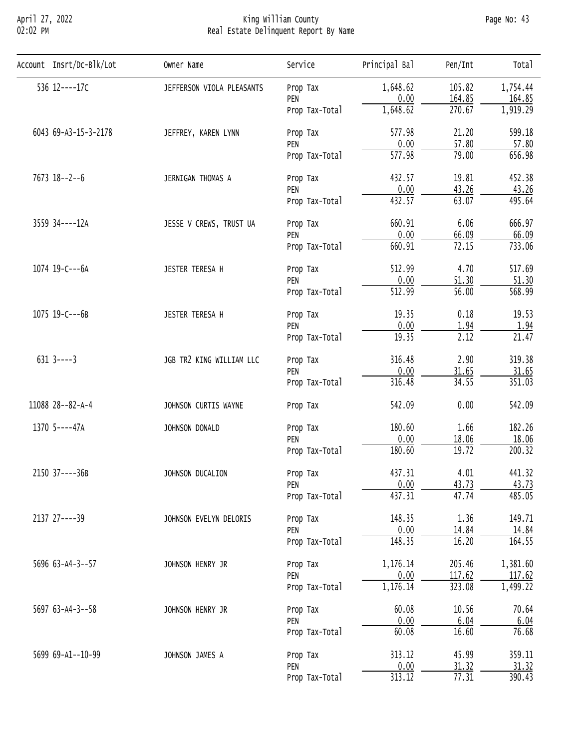## April 27, 2022 King William County Page No: 43 02:02 PM Real Estate Delinquent Report By Name

| Account Insrt/Dc-Blk/Lot | Owner Name                                                                                                                                                                                                                                                                                                                                  | Service                           | Principal Bal                                                                                                                                                                                                                                                                                                                                                                                                                                                                                         | Pen/Int | Total    |
|--------------------------|---------------------------------------------------------------------------------------------------------------------------------------------------------------------------------------------------------------------------------------------------------------------------------------------------------------------------------------------|-----------------------------------|-------------------------------------------------------------------------------------------------------------------------------------------------------------------------------------------------------------------------------------------------------------------------------------------------------------------------------------------------------------------------------------------------------------------------------------------------------------------------------------------------------|---------|----------|
| 536 12----17C            | JEFFERSON VIOLA PLEASANTS                                                                                                                                                                                                                                                                                                                   | Prop Tax                          | 1,648.62                                                                                                                                                                                                                                                                                                                                                                                                                                                                                              | 105.82  | 1,754.44 |
|                          |                                                                                                                                                                                                                                                                                                                                             | PEN                               | 0.00                                                                                                                                                                                                                                                                                                                                                                                                                                                                                                  |         | 164.85   |
|                          |                                                                                                                                                                                                                                                                                                                                             | Prop Tax-Total                    |                                                                                                                                                                                                                                                                                                                                                                                                                                                                                                       |         | 1,919.29 |
| 6043 69-A3-15-3-2178     | JEFFREY, KAREN LYNN                                                                                                                                                                                                                                                                                                                         | Prop Tax                          | 577.98                                                                                                                                                                                                                                                                                                                                                                                                                                                                                                | 21.20   | 599.18   |
|                          |                                                                                                                                                                                                                                                                                                                                             | PEN                               |                                                                                                                                                                                                                                                                                                                                                                                                                                                                                                       |         | 57.80    |
|                          |                                                                                                                                                                                                                                                                                                                                             | Prop Tax-Total                    |                                                                                                                                                                                                                                                                                                                                                                                                                                                                                                       |         | 656.98   |
| $7673$ 18--2--6          | JERNIGAN THOMAS A                                                                                                                                                                                                                                                                                                                           | Prop Tax                          | 432.57                                                                                                                                                                                                                                                                                                                                                                                                                                                                                                | 19.81   | 452.38   |
|                          |                                                                                                                                                                                                                                                                                                                                             | PEN                               |                                                                                                                                                                                                                                                                                                                                                                                                                                                                                                       |         | 43.26    |
|                          |                                                                                                                                                                                                                                                                                                                                             | Prop Tax-Total                    |                                                                                                                                                                                                                                                                                                                                                                                                                                                                                                       |         | 495.64   |
| 3559 34----12A           | JESSE V CREWS, TRUST UA                                                                                                                                                                                                                                                                                                                     | Prop Tax                          | 660.91                                                                                                                                                                                                                                                                                                                                                                                                                                                                                                | 6.06    | 666.97   |
|                          | 0.00<br>66.09<br>PEN<br>72.15<br>660.91<br>Prop Tax-Total<br>512.99<br>4.70<br>JESTER TERESA H<br>Prop Tax<br>51.30<br>0.00<br>PEN<br>512.99<br>56.00<br>Prop Tax-Total<br>19.35<br>0.18<br>JESTER TERESA H<br>Prop Tax<br>0.00<br>1.94<br>PEN<br>19.35<br>2.12<br>Prop Tax-Total<br>2.90<br>316.48<br>JGB TR2 KING WILLIAM LLC<br>Prop Tax | 66.09                             |                                                                                                                                                                                                                                                                                                                                                                                                                                                                                                       |         |          |
|                          |                                                                                                                                                                                                                                                                                                                                             |                                   |                                                                                                                                                                                                                                                                                                                                                                                                                                                                                                       |         | 733.06   |
| 1074 19-C---6A           |                                                                                                                                                                                                                                                                                                                                             | 517.69                            |                                                                                                                                                                                                                                                                                                                                                                                                                                                                                                       |         |          |
|                          |                                                                                                                                                                                                                                                                                                                                             |                                   |                                                                                                                                                                                                                                                                                                                                                                                                                                                                                                       |         | 51.30    |
|                          |                                                                                                                                                                                                                                                                                                                                             |                                   |                                                                                                                                                                                                                                                                                                                                                                                                                                                                                                       |         | 568.99   |
| 1075 19-C---6B           |                                                                                                                                                                                                                                                                                                                                             | 19.53                             |                                                                                                                                                                                                                                                                                                                                                                                                                                                                                                       |         |          |
|                          |                                                                                                                                                                                                                                                                                                                                             |                                   | 164.85<br>1,648.62<br>270.67<br>0.00<br>57.80<br>79.00<br>577.98<br>0.00<br>43.26<br>432.57<br>63.07<br>0.00<br>31.65<br>316.48<br>34.55<br>542.09<br>0.00<br>180.60<br>1.66<br>0.00<br>18.06<br>19.72<br>180.60<br>437.31<br>4.01<br>0.00<br>43.73<br>437.31<br>47.74<br>1.36<br>148.35<br>0.00<br>14.84<br>148.35<br>16.20<br>1,176.14<br>205.46<br>0.00<br>117.62<br>1,176.14<br>323.08<br>60.08<br>10.56<br>0.00<br>6.04<br>60.08<br>16.60<br>313.12<br>45.99<br>0.00<br>31.32<br>77.31<br>313.12 | 1.94    |          |
|                          |                                                                                                                                                                                                                                                                                                                                             |                                   |                                                                                                                                                                                                                                                                                                                                                                                                                                                                                                       |         | 21.47    |
| $631$ 3----3             |                                                                                                                                                                                                                                                                                                                                             |                                   |                                                                                                                                                                                                                                                                                                                                                                                                                                                                                                       |         | 319.38   |
|                          |                                                                                                                                                                                                                                                                                                                                             | PEN                               |                                                                                                                                                                                                                                                                                                                                                                                                                                                                                                       |         | 31.65    |
|                          |                                                                                                                                                                                                                                                                                                                                             | Prop Tax-Total                    |                                                                                                                                                                                                                                                                                                                                                                                                                                                                                                       |         | 351.03   |
| 11088 28--82-A-4         | JOHNSON CURTIS WAYNE                                                                                                                                                                                                                                                                                                                        | Prop Tax                          |                                                                                                                                                                                                                                                                                                                                                                                                                                                                                                       |         | 542.09   |
| 1370 5----47A            | JOHNSON DONALD                                                                                                                                                                                                                                                                                                                              | Prop Tax                          |                                                                                                                                                                                                                                                                                                                                                                                                                                                                                                       |         | 182.26   |
|                          |                                                                                                                                                                                                                                                                                                                                             | PEN                               |                                                                                                                                                                                                                                                                                                                                                                                                                                                                                                       |         | 18.06    |
|                          |                                                                                                                                                                                                                                                                                                                                             | Prop Tax-Total                    |                                                                                                                                                                                                                                                                                                                                                                                                                                                                                                       | 200.32  |          |
| 2150 37----36B           | JOHNSON DUCALION                                                                                                                                                                                                                                                                                                                            |                                   |                                                                                                                                                                                                                                                                                                                                                                                                                                                                                                       |         | 441.32   |
|                          |                                                                                                                                                                                                                                                                                                                                             | PEN                               |                                                                                                                                                                                                                                                                                                                                                                                                                                                                                                       |         | 43.73    |
|                          |                                                                                                                                                                                                                                                                                                                                             | Prop Tax-Total                    |                                                                                                                                                                                                                                                                                                                                                                                                                                                                                                       |         | 485.05   |
| 2137 27----39            | JOHNSON EVELYN DELORIS                                                                                                                                                                                                                                                                                                                      | Prop Tax                          |                                                                                                                                                                                                                                                                                                                                                                                                                                                                                                       |         | 149.71   |
|                          |                                                                                                                                                                                                                                                                                                                                             | Prop Tax<br>PEN<br>Prop Tax-Total | 14.84                                                                                                                                                                                                                                                                                                                                                                                                                                                                                                 |         |          |
|                          |                                                                                                                                                                                                                                                                                                                                             |                                   |                                                                                                                                                                                                                                                                                                                                                                                                                                                                                                       |         | 164.55   |
| 5696 63-A4-3--57         | JOHNSON HENRY JR                                                                                                                                                                                                                                                                                                                            | Prop Tax                          |                                                                                                                                                                                                                                                                                                                                                                                                                                                                                                       |         | 1,381.60 |
|                          |                                                                                                                                                                                                                                                                                                                                             | PEN                               |                                                                                                                                                                                                                                                                                                                                                                                                                                                                                                       |         | 117.62   |
|                          |                                                                                                                                                                                                                                                                                                                                             | Prop Tax-Total                    |                                                                                                                                                                                                                                                                                                                                                                                                                                                                                                       |         | 1,499.22 |
| $5697$ 63-A4-3--58       | JOHNSON HENRY JR                                                                                                                                                                                                                                                                                                                            | Prop Tax                          |                                                                                                                                                                                                                                                                                                                                                                                                                                                                                                       |         | 70.64    |
|                          |                                                                                                                                                                                                                                                                                                                                             | PEN                               |                                                                                                                                                                                                                                                                                                                                                                                                                                                                                                       |         | 6.04     |
|                          |                                                                                                                                                                                                                                                                                                                                             | Prop Tax-Total                    |                                                                                                                                                                                                                                                                                                                                                                                                                                                                                                       |         | 76.68    |
| 5699 69-A1--10-99        | JOHNSON JAMES A                                                                                                                                                                                                                                                                                                                             | Prop Tax                          |                                                                                                                                                                                                                                                                                                                                                                                                                                                                                                       |         | 359.11   |
|                          |                                                                                                                                                                                                                                                                                                                                             | PEN                               |                                                                                                                                                                                                                                                                                                                                                                                                                                                                                                       |         | 31.32    |
|                          |                                                                                                                                                                                                                                                                                                                                             | Prop Tax-Total                    |                                                                                                                                                                                                                                                                                                                                                                                                                                                                                                       |         | 390.43   |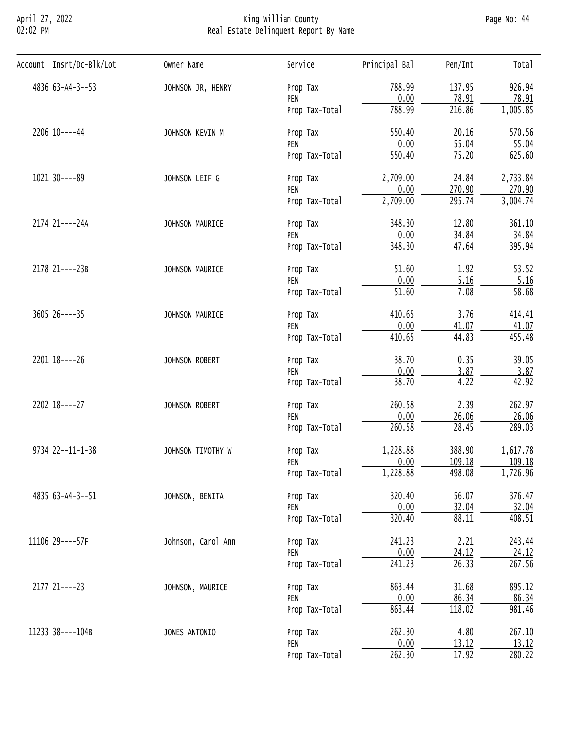## April 27, 2022 King William County Page No: 44 02:02 PM Real Estate Delinquent Report By Name

| Account Insrt/Dc-Blk/Lot | Owner Name                         | Service        | Principal Bal                                                                                                                                                                                                                                                                                                                                                                                                                                                                                                                                                                                                                                                                                                       | Pen/Int | Tota <sub>1</sub> |
|--------------------------|------------------------------------|----------------|---------------------------------------------------------------------------------------------------------------------------------------------------------------------------------------------------------------------------------------------------------------------------------------------------------------------------------------------------------------------------------------------------------------------------------------------------------------------------------------------------------------------------------------------------------------------------------------------------------------------------------------------------------------------------------------------------------------------|---------|-------------------|
| 4836 63-A4-3--53         | JOHNSON JR, HENRY                  | Prop Tax       | 788.99                                                                                                                                                                                                                                                                                                                                                                                                                                                                                                                                                                                                                                                                                                              | 137.95  | 926.94            |
|                          |                                    | PEN            | 0.00                                                                                                                                                                                                                                                                                                                                                                                                                                                                                                                                                                                                                                                                                                                |         | 78.91             |
|                          |                                    | Prop Tax-Total | 788.99                                                                                                                                                                                                                                                                                                                                                                                                                                                                                                                                                                                                                                                                                                              | 216.86  | 1,005.85          |
| 2206 10----44            | JOHNSON KEVIN M                    | Prop Tax       | 78.91<br>550.40<br>20.16<br>0.00<br>55.04<br>550.40<br>75.20<br>24.84<br>2,709.00<br>0.00<br>270.90<br>295.74<br>2,709.00<br>348.30<br>12.80<br>0.00<br>34.84<br>348.30<br>47.64<br>51.60<br>1.92<br>0.00<br>5.16<br>7.08<br>51.60<br>410.65<br>3.76<br>0.00<br>41.07<br>44.83<br>410.65<br>38.70<br>0.35<br>0.00<br>3.87<br>38.70<br>4.22<br>260.58<br>2.39<br>0.00<br>26.06<br>260.58<br>28.45<br>1,228.88<br>388.90<br>0.00<br>109.18<br>1,228.88<br>498.08<br>56.07<br>320.40<br>0.00<br>32.04<br>320.40<br>88.11<br>2.21<br>241.23<br>0.00<br>24.12<br>241.23<br>$\overline{26.33}$<br>863.44<br>31.68<br>0.00<br>86.34<br>118.02<br>863.44<br>262.30<br>4.80<br>0.00<br>13.12<br>$\overline{17.92}$<br>262.30 | 570.56  |                   |
|                          |                                    | PEN            |                                                                                                                                                                                                                                                                                                                                                                                                                                                                                                                                                                                                                                                                                                                     |         | 55.04             |
|                          |                                    | Prop Tax-Total |                                                                                                                                                                                                                                                                                                                                                                                                                                                                                                                                                                                                                                                                                                                     | 625.60  |                   |
| 1021 30----89            | JOHNSON LEIF G                     | Prop Tax       |                                                                                                                                                                                                                                                                                                                                                                                                                                                                                                                                                                                                                                                                                                                     |         | 2,733.84          |
|                          |                                    | PEN            |                                                                                                                                                                                                                                                                                                                                                                                                                                                                                                                                                                                                                                                                                                                     |         | 270.90            |
|                          |                                    | Prop Tax-Total |                                                                                                                                                                                                                                                                                                                                                                                                                                                                                                                                                                                                                                                                                                                     |         | 3,004.74          |
| 2174 21----24A           | JOHNSON MAURICE                    | Prop Tax       |                                                                                                                                                                                                                                                                                                                                                                                                                                                                                                                                                                                                                                                                                                                     |         | 361.10            |
|                          |                                    | PEN            |                                                                                                                                                                                                                                                                                                                                                                                                                                                                                                                                                                                                                                                                                                                     | 34.84   |                   |
|                          |                                    | Prop Tax-Total |                                                                                                                                                                                                                                                                                                                                                                                                                                                                                                                                                                                                                                                                                                                     |         | 395.94            |
| 2178 21----23B           | JOHNSON MAURICE<br>Prop Tax<br>PEN |                | 53.52                                                                                                                                                                                                                                                                                                                                                                                                                                                                                                                                                                                                                                                                                                               |         |                   |
|                          |                                    |                |                                                                                                                                                                                                                                                                                                                                                                                                                                                                                                                                                                                                                                                                                                                     |         | 5.16              |
|                          |                                    | Prop Tax-Total |                                                                                                                                                                                                                                                                                                                                                                                                                                                                                                                                                                                                                                                                                                                     |         | 58.68             |
| $360526---35$            | JOHNSON MAURICE<br>Prop Tax        | 414.41         |                                                                                                                                                                                                                                                                                                                                                                                                                                                                                                                                                                                                                                                                                                                     |         |                   |
|                          |                                    | PEN            |                                                                                                                                                                                                                                                                                                                                                                                                                                                                                                                                                                                                                                                                                                                     |         | 41.07             |
|                          |                                    | Prop Tax-Total |                                                                                                                                                                                                                                                                                                                                                                                                                                                                                                                                                                                                                                                                                                                     |         | 455.48            |
| 2201 18----26            | JOHNSON ROBERT                     | Prop Tax       |                                                                                                                                                                                                                                                                                                                                                                                                                                                                                                                                                                                                                                                                                                                     |         | 39.05             |
|                          | PEN<br>Prop Tax-Total              | 3.87           |                                                                                                                                                                                                                                                                                                                                                                                                                                                                                                                                                                                                                                                                                                                     |         |                   |
|                          |                                    |                |                                                                                                                                                                                                                                                                                                                                                                                                                                                                                                                                                                                                                                                                                                                     |         | 42.92             |
| 2202 18----27            | JOHNSON ROBERT                     | Prop Tax       |                                                                                                                                                                                                                                                                                                                                                                                                                                                                                                                                                                                                                                                                                                                     |         | 262.97            |
|                          |                                    | PEN            |                                                                                                                                                                                                                                                                                                                                                                                                                                                                                                                                                                                                                                                                                                                     |         | 26.06             |
|                          |                                    | Prop Tax-Total |                                                                                                                                                                                                                                                                                                                                                                                                                                                                                                                                                                                                                                                                                                                     |         | 289.03            |
| 9734 22--11-1-38         | JOHNSON TIMOTHY W                  | Prop Tax       |                                                                                                                                                                                                                                                                                                                                                                                                                                                                                                                                                                                                                                                                                                                     |         | 1,617.78          |
|                          |                                    | PEN            |                                                                                                                                                                                                                                                                                                                                                                                                                                                                                                                                                                                                                                                                                                                     |         | 109.18            |
|                          |                                    | Prop Tax-Total |                                                                                                                                                                                                                                                                                                                                                                                                                                                                                                                                                                                                                                                                                                                     |         | 1,726.96          |
| 4835 63-A4-3--51         | JOHNSON, BENITA                    | Prop Tax       |                                                                                                                                                                                                                                                                                                                                                                                                                                                                                                                                                                                                                                                                                                                     |         | 376.47            |
|                          |                                    | PEN            |                                                                                                                                                                                                                                                                                                                                                                                                                                                                                                                                                                                                                                                                                                                     |         | 32.04             |
|                          |                                    | Prop Tax-Total |                                                                                                                                                                                                                                                                                                                                                                                                                                                                                                                                                                                                                                                                                                                     |         | 408.51            |
| 11106 29----57F          | Johnson, Carol Ann                 | Prop Tax       |                                                                                                                                                                                                                                                                                                                                                                                                                                                                                                                                                                                                                                                                                                                     |         | 243.44            |
|                          |                                    | PEN            |                                                                                                                                                                                                                                                                                                                                                                                                                                                                                                                                                                                                                                                                                                                     |         | 24.12             |
|                          |                                    | Prop Tax-Total |                                                                                                                                                                                                                                                                                                                                                                                                                                                                                                                                                                                                                                                                                                                     |         | 267.56            |
| 2177 21----23            | JOHNSON, MAURICE                   | Prop Tax       |                                                                                                                                                                                                                                                                                                                                                                                                                                                                                                                                                                                                                                                                                                                     |         | 895.12            |
|                          |                                    | PEN            |                                                                                                                                                                                                                                                                                                                                                                                                                                                                                                                                                                                                                                                                                                                     |         | 86.34             |
|                          |                                    | Prop Tax-Total |                                                                                                                                                                                                                                                                                                                                                                                                                                                                                                                                                                                                                                                                                                                     |         | 981.46            |
| 11233 38----104B         | JONES ANTONIO                      | Prop Tax       |                                                                                                                                                                                                                                                                                                                                                                                                                                                                                                                                                                                                                                                                                                                     |         | 267.10            |
|                          |                                    | PEN            |                                                                                                                                                                                                                                                                                                                                                                                                                                                                                                                                                                                                                                                                                                                     |         | 13.12             |
|                          |                                    | Prop Tax-Total |                                                                                                                                                                                                                                                                                                                                                                                                                                                                                                                                                                                                                                                                                                                     |         | 280.22            |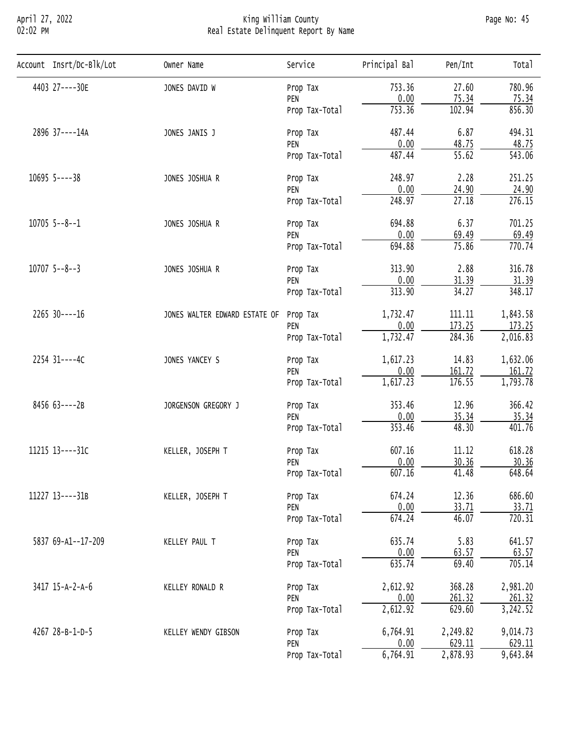## April 27, 2022 King William County Page No: 45 02:02 PM Real Estate Delinquent Report By Name

| Account Insrt/Dc-Blk/Lot | Owner Name                                                                                                                                                                                                                                                                                                                                                                                                                                                                                                                                                                                                                                                                                                                                                                                                                                                                                                                                                                                                                                                                                                                                                                 | Service                                                                | Principal Bal                                                                                                                | Pen/Int | Tota <sup>1</sup> |
|--------------------------|----------------------------------------------------------------------------------------------------------------------------------------------------------------------------------------------------------------------------------------------------------------------------------------------------------------------------------------------------------------------------------------------------------------------------------------------------------------------------------------------------------------------------------------------------------------------------------------------------------------------------------------------------------------------------------------------------------------------------------------------------------------------------------------------------------------------------------------------------------------------------------------------------------------------------------------------------------------------------------------------------------------------------------------------------------------------------------------------------------------------------------------------------------------------------|------------------------------------------------------------------------|------------------------------------------------------------------------------------------------------------------------------|---------|-------------------|
| 4403 27----30E           | JONES DAVID W                                                                                                                                                                                                                                                                                                                                                                                                                                                                                                                                                                                                                                                                                                                                                                                                                                                                                                                                                                                                                                                                                                                                                              | Prop Tax                                                               | 753.36                                                                                                                       | 27.60   | 780.96            |
|                          |                                                                                                                                                                                                                                                                                                                                                                                                                                                                                                                                                                                                                                                                                                                                                                                                                                                                                                                                                                                                                                                                                                                                                                            | PEN                                                                    |                                                                                                                              | 75.34   | 75.34             |
|                          |                                                                                                                                                                                                                                                                                                                                                                                                                                                                                                                                                                                                                                                                                                                                                                                                                                                                                                                                                                                                                                                                                                                                                                            | Prop Tax-Total                                                         |                                                                                                                              |         | 856.30            |
| 2896 37----14A           | 0.00<br>753.36<br>102.94<br>6.87<br>487.44<br>JONES JANIS J<br>Prop Tax<br>0.00<br>48.75<br>PEN<br>$\overline{55.62}$<br>487.44<br>Prop Tax-Total<br>2.28<br>248.97<br>JONES JOSHUA R<br>Prop Tax<br>0.00<br>24.90<br>PEN<br>27.18<br>248.97<br>Prop Tax-Total<br>694.88<br>6.37<br>JONES JOSHUA R<br>Prop Tax<br>0.00<br>69.49<br>PEN<br>694.88<br>75.86<br>Prop Tax-Total<br>2.88<br>313.90<br>JONES JOSHUA R<br>Prop Tax<br>0.00<br>31.39<br>PEN<br>313.90<br>34.27<br>Prop Tax-Total<br>1,732.47<br>111.11<br>JONES WALTER EDWARD ESTATE OF<br>Prop Tax<br>0.00<br>173.25<br>PEN<br>284.36<br>1,732.47<br>Prop Tax-Total<br>14.83<br>1,617.23<br>JONES YANCEY S<br>Prop Tax<br>0.00<br>161.72<br>PEN<br>1,617.23<br>176.55<br>Prop Tax-Total<br>353.46<br>12.96<br>JORGENSON GREGORY J<br>Prop Tax<br>0.00<br>35.34<br>PEN<br>353.46<br>48.30<br>Prop Tax-Total<br>607.16<br>11.12<br>KELLER, JOSEPH T<br>Prop Tax<br>0.00<br>30.36<br>PEN<br>607.16<br>41.48<br>Prop Tax-Total<br>12.36<br>674.24<br>KELLER, JOSEPH T<br>Prop Tax<br>0.00<br>33.71<br>PEN<br>674.24<br>46.07<br>Prop Tax-Total<br>5.83<br>635.74<br>KELLEY PAUL T<br>Prop Tax<br>0.00<br>63.57<br>PEN | 494.31                                                                 |                                                                                                                              |         |                   |
|                          |                                                                                                                                                                                                                                                                                                                                                                                                                                                                                                                                                                                                                                                                                                                                                                                                                                                                                                                                                                                                                                                                                                                                                                            |                                                                        |                                                                                                                              |         | 48.75             |
|                          | 635.74<br>69.40<br>Prop Tax-Total                                                                                                                                                                                                                                                                                                                                                                                                                                                                                                                                                                                                                                                                                                                                                                                                                                                                                                                                                                                                                                                                                                                                          | 543.06                                                                 |                                                                                                                              |         |                   |
| $10695$ 5----38          |                                                                                                                                                                                                                                                                                                                                                                                                                                                                                                                                                                                                                                                                                                                                                                                                                                                                                                                                                                                                                                                                                                                                                                            |                                                                        |                                                                                                                              |         | 251.25            |
|                          |                                                                                                                                                                                                                                                                                                                                                                                                                                                                                                                                                                                                                                                                                                                                                                                                                                                                                                                                                                                                                                                                                                                                                                            |                                                                        | 2,612.92<br>368.28<br>0.00<br>261.32<br>2,612.92<br>629.60<br>6,764.91<br>2,249.82<br>0.00<br>629.11<br>2,878.93<br>6,764.91 | 24.90   |                   |
|                          |                                                                                                                                                                                                                                                                                                                                                                                                                                                                                                                                                                                                                                                                                                                                                                                                                                                                                                                                                                                                                                                                                                                                                                            |                                                                        |                                                                                                                              | 276.15  |                   |
| $10705$ 5--8--1          |                                                                                                                                                                                                                                                                                                                                                                                                                                                                                                                                                                                                                                                                                                                                                                                                                                                                                                                                                                                                                                                                                                                                                                            |                                                                        |                                                                                                                              |         | 701.25            |
|                          |                                                                                                                                                                                                                                                                                                                                                                                                                                                                                                                                                                                                                                                                                                                                                                                                                                                                                                                                                                                                                                                                                                                                                                            |                                                                        |                                                                                                                              | 69.49   |                   |
|                          |                                                                                                                                                                                                                                                                                                                                                                                                                                                                                                                                                                                                                                                                                                                                                                                                                                                                                                                                                                                                                                                                                                                                                                            | 770.74                                                                 |                                                                                                                              |         |                   |
| $10707$ 5--8--3          |                                                                                                                                                                                                                                                                                                                                                                                                                                                                                                                                                                                                                                                                                                                                                                                                                                                                                                                                                                                                                                                                                                                                                                            |                                                                        | 316.78                                                                                                                       |         |                   |
|                          |                                                                                                                                                                                                                                                                                                                                                                                                                                                                                                                                                                                                                                                                                                                                                                                                                                                                                                                                                                                                                                                                                                                                                                            |                                                                        |                                                                                                                              |         | 31.39             |
|                          |                                                                                                                                                                                                                                                                                                                                                                                                                                                                                                                                                                                                                                                                                                                                                                                                                                                                                                                                                                                                                                                                                                                                                                            |                                                                        |                                                                                                                              | 348.17  |                   |
| 2265 30----16            |                                                                                                                                                                                                                                                                                                                                                                                                                                                                                                                                                                                                                                                                                                                                                                                                                                                                                                                                                                                                                                                                                                                                                                            |                                                                        |                                                                                                                              |         | 1,843.58          |
|                          |                                                                                                                                                                                                                                                                                                                                                                                                                                                                                                                                                                                                                                                                                                                                                                                                                                                                                                                                                                                                                                                                                                                                                                            | Prop Tax<br>PEN<br>Prop Tax-Total<br>Prop Tax<br>PEN<br>Prop Tax-Total | 173.25                                                                                                                       |         |                   |
|                          |                                                                                                                                                                                                                                                                                                                                                                                                                                                                                                                                                                                                                                                                                                                                                                                                                                                                                                                                                                                                                                                                                                                                                                            |                                                                        |                                                                                                                              |         | 2,016.83          |
| 2254 31----4C            |                                                                                                                                                                                                                                                                                                                                                                                                                                                                                                                                                                                                                                                                                                                                                                                                                                                                                                                                                                                                                                                                                                                                                                            |                                                                        |                                                                                                                              |         | 1,632.06          |
|                          |                                                                                                                                                                                                                                                                                                                                                                                                                                                                                                                                                                                                                                                                                                                                                                                                                                                                                                                                                                                                                                                                                                                                                                            |                                                                        |                                                                                                                              |         | 161.72            |
|                          |                                                                                                                                                                                                                                                                                                                                                                                                                                                                                                                                                                                                                                                                                                                                                                                                                                                                                                                                                                                                                                                                                                                                                                            | 1,793.78                                                               |                                                                                                                              |         |                   |
| 8456 63----2B            |                                                                                                                                                                                                                                                                                                                                                                                                                                                                                                                                                                                                                                                                                                                                                                                                                                                                                                                                                                                                                                                                                                                                                                            | 366.42                                                                 |                                                                                                                              |         |                   |
|                          |                                                                                                                                                                                                                                                                                                                                                                                                                                                                                                                                                                                                                                                                                                                                                                                                                                                                                                                                                                                                                                                                                                                                                                            |                                                                        |                                                                                                                              |         | 35.34             |
|                          |                                                                                                                                                                                                                                                                                                                                                                                                                                                                                                                                                                                                                                                                                                                                                                                                                                                                                                                                                                                                                                                                                                                                                                            |                                                                        |                                                                                                                              |         | 401.76            |
| 11215 13----31C          |                                                                                                                                                                                                                                                                                                                                                                                                                                                                                                                                                                                                                                                                                                                                                                                                                                                                                                                                                                                                                                                                                                                                                                            |                                                                        |                                                                                                                              |         | 618.28            |
|                          |                                                                                                                                                                                                                                                                                                                                                                                                                                                                                                                                                                                                                                                                                                                                                                                                                                                                                                                                                                                                                                                                                                                                                                            |                                                                        |                                                                                                                              |         | 30.36             |
|                          |                                                                                                                                                                                                                                                                                                                                                                                                                                                                                                                                                                                                                                                                                                                                                                                                                                                                                                                                                                                                                                                                                                                                                                            |                                                                        |                                                                                                                              |         | 648.64            |
| 11227 13----31B          |                                                                                                                                                                                                                                                                                                                                                                                                                                                                                                                                                                                                                                                                                                                                                                                                                                                                                                                                                                                                                                                                                                                                                                            |                                                                        |                                                                                                                              |         | 686.60            |
|                          |                                                                                                                                                                                                                                                                                                                                                                                                                                                                                                                                                                                                                                                                                                                                                                                                                                                                                                                                                                                                                                                                                                                                                                            |                                                                        |                                                                                                                              |         | 33.71             |
|                          |                                                                                                                                                                                                                                                                                                                                                                                                                                                                                                                                                                                                                                                                                                                                                                                                                                                                                                                                                                                                                                                                                                                                                                            |                                                                        |                                                                                                                              |         | 720.31            |
| 5837 69-A1--17-209       |                                                                                                                                                                                                                                                                                                                                                                                                                                                                                                                                                                                                                                                                                                                                                                                                                                                                                                                                                                                                                                                                                                                                                                            |                                                                        |                                                                                                                              |         | 641.57            |
|                          |                                                                                                                                                                                                                                                                                                                                                                                                                                                                                                                                                                                                                                                                                                                                                                                                                                                                                                                                                                                                                                                                                                                                                                            |                                                                        |                                                                                                                              |         | 63.57             |
|                          |                                                                                                                                                                                                                                                                                                                                                                                                                                                                                                                                                                                                                                                                                                                                                                                                                                                                                                                                                                                                                                                                                                                                                                            |                                                                        |                                                                                                                              |         | 705.14            |
| 3417 15-A-2-A-6          | KELLEY RONALD R                                                                                                                                                                                                                                                                                                                                                                                                                                                                                                                                                                                                                                                                                                                                                                                                                                                                                                                                                                                                                                                                                                                                                            |                                                                        |                                                                                                                              |         | 2,981.20          |
|                          |                                                                                                                                                                                                                                                                                                                                                                                                                                                                                                                                                                                                                                                                                                                                                                                                                                                                                                                                                                                                                                                                                                                                                                            |                                                                        |                                                                                                                              |         | 261.32            |
|                          |                                                                                                                                                                                                                                                                                                                                                                                                                                                                                                                                                                                                                                                                                                                                                                                                                                                                                                                                                                                                                                                                                                                                                                            |                                                                        |                                                                                                                              |         | 3,242.52          |
| 4267 28-B-1-D-5          | KELLEY WENDY GIBSON                                                                                                                                                                                                                                                                                                                                                                                                                                                                                                                                                                                                                                                                                                                                                                                                                                                                                                                                                                                                                                                                                                                                                        |                                                                        |                                                                                                                              |         | 9,014.73          |
|                          |                                                                                                                                                                                                                                                                                                                                                                                                                                                                                                                                                                                                                                                                                                                                                                                                                                                                                                                                                                                                                                                                                                                                                                            |                                                                        |                                                                                                                              |         | 629.11            |
|                          |                                                                                                                                                                                                                                                                                                                                                                                                                                                                                                                                                                                                                                                                                                                                                                                                                                                                                                                                                                                                                                                                                                                                                                            |                                                                        |                                                                                                                              |         | 9,643.84          |
|                          |                                                                                                                                                                                                                                                                                                                                                                                                                                                                                                                                                                                                                                                                                                                                                                                                                                                                                                                                                                                                                                                                                                                                                                            |                                                                        |                                                                                                                              |         |                   |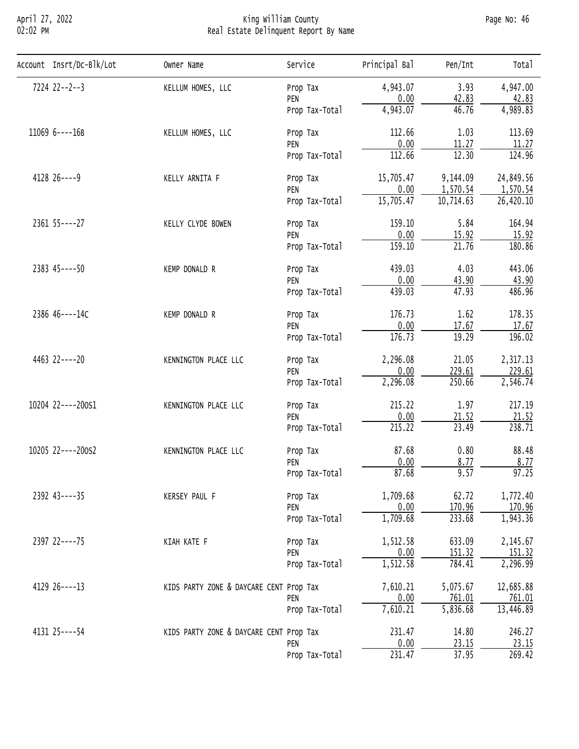#### April 27, 2022 King William County Page No: 46 02:02 PM Real Estate Delinquent Report By Name

| Account Insrt/Dc-Blk/Lot              | Owner Name                              | Service                                                                                         | Principal Bal                                                                                                                                                                                                                                                                                                                                                                                                                                                                                                                                                                                                                                                                               | Pen/Int   | Total     |
|---------------------------------------|-----------------------------------------|-------------------------------------------------------------------------------------------------|---------------------------------------------------------------------------------------------------------------------------------------------------------------------------------------------------------------------------------------------------------------------------------------------------------------------------------------------------------------------------------------------------------------------------------------------------------------------------------------------------------------------------------------------------------------------------------------------------------------------------------------------------------------------------------------------|-----------|-----------|
| 7224 22--2--3                         | KELLUM HOMES, LLC                       | Prop Tax                                                                                        | 4,943.07                                                                                                                                                                                                                                                                                                                                                                                                                                                                                                                                                                                                                                                                                    | 3.93      | 4,947.00  |
|                                       |                                         | PEN                                                                                             |                                                                                                                                                                                                                                                                                                                                                                                                                                                                                                                                                                                                                                                                                             |           | 42.83     |
|                                       |                                         | Prop Tax-Total                                                                                  |                                                                                                                                                                                                                                                                                                                                                                                                                                                                                                                                                                                                                                                                                             |           | 4,989.83  |
| 11069 6----16B                        | KELLUM HOMES, LLC                       | Prop Tax                                                                                        | 112.66                                                                                                                                                                                                                                                                                                                                                                                                                                                                                                                                                                                                                                                                                      | 1.03      | 113.69    |
|                                       |                                         | PEN                                                                                             |                                                                                                                                                                                                                                                                                                                                                                                                                                                                                                                                                                                                                                                                                             |           | 11.27     |
|                                       |                                         | Prop Tax-Total                                                                                  |                                                                                                                                                                                                                                                                                                                                                                                                                                                                                                                                                                                                                                                                                             |           | 124.96    |
| 4128 26 ---- 9                        | KELLY ARNITA F                          | Prop Tax                                                                                        | 15,705.47                                                                                                                                                                                                                                                                                                                                                                                                                                                                                                                                                                                                                                                                                   | 9,144.09  | 24,849.56 |
|                                       |                                         | PEN                                                                                             | 0.00                                                                                                                                                                                                                                                                                                                                                                                                                                                                                                                                                                                                                                                                                        | 1,570.54  | 1,570.54  |
|                                       |                                         | Prop Tax-Total                                                                                  | 0.00<br>42.83<br>4,943.07<br>46.76<br>0.00<br>11.27<br>12.30<br>112.66<br>15,705.47<br>10,714.63<br>5.84<br>159.10<br>0.00<br>15.92<br>159.10<br>21.76<br>4.03<br>439.03<br>0.00<br>43.90<br>47.93<br>439.03<br>1.62<br>176.73<br>0.00<br>17.67<br>176.73<br>19.29<br>2,296.08<br>21.05<br>0.00<br>229.61<br>2,296.08<br>250.66<br>1.97<br>215.22<br>0.00<br>21.52<br>215.22<br>23.49<br>87.68<br>0.80<br>0.00<br>8.77<br>87.68<br>9.57<br>1,709.68<br>62.72<br>0.00<br>170.96<br>1,709.68<br>233.68<br>1,512.58<br>633.09<br>0.00<br>151.32<br>1,512.58<br>784.41<br>7,610.21<br>5,075.67<br>0.00<br>761.01<br>5,836.68<br>7,610.21<br>231.47<br>14.80<br>0.00<br>23.15<br>231.47<br>37.95 | 26,420.10 |           |
| 2361 55 ---- 27                       | KELLY CLYDE BOWEN                       | Prop Tax                                                                                        |                                                                                                                                                                                                                                                                                                                                                                                                                                                                                                                                                                                                                                                                                             |           | 164.94    |
|                                       |                                         | PEN                                                                                             |                                                                                                                                                                                                                                                                                                                                                                                                                                                                                                                                                                                                                                                                                             |           | 15.92     |
|                                       |                                         | Prop Tax-Total                                                                                  |                                                                                                                                                                                                                                                                                                                                                                                                                                                                                                                                                                                                                                                                                             | 180.86    |           |
| 2383 45----50                         | KEMP DONALD R                           | Prop Tax                                                                                        |                                                                                                                                                                                                                                                                                                                                                                                                                                                                                                                                                                                                                                                                                             |           | 443.06    |
|                                       |                                         | PEN                                                                                             |                                                                                                                                                                                                                                                                                                                                                                                                                                                                                                                                                                                                                                                                                             |           | 43.90     |
|                                       |                                         | Prop Tax-Total                                                                                  |                                                                                                                                                                                                                                                                                                                                                                                                                                                                                                                                                                                                                                                                                             |           | 486.96    |
| 2386 46----14C                        | KEMP DONALD R                           | Prop Tax                                                                                        |                                                                                                                                                                                                                                                                                                                                                                                                                                                                                                                                                                                                                                                                                             | 178.35    |           |
|                                       |                                         | PEN                                                                                             |                                                                                                                                                                                                                                                                                                                                                                                                                                                                                                                                                                                                                                                                                             |           | 17.67     |
|                                       |                                         | Prop Tax-Total                                                                                  |                                                                                                                                                                                                                                                                                                                                                                                                                                                                                                                                                                                                                                                                                             | 196.02    |           |
| 4463 22----20<br>KENNINGTON PLACE LLC |                                         | Prop Tax                                                                                        |                                                                                                                                                                                                                                                                                                                                                                                                                                                                                                                                                                                                                                                                                             |           | 2,317.13  |
|                                       |                                         | PEN<br>Prop Tax-Total<br>Prop Tax<br>PEN<br>Prop Tax-Total<br>Prop Tax<br>PEN<br>Prop Tax-Total | 229.61                                                                                                                                                                                                                                                                                                                                                                                                                                                                                                                                                                                                                                                                                      |           |           |
|                                       |                                         |                                                                                                 |                                                                                                                                                                                                                                                                                                                                                                                                                                                                                                                                                                                                                                                                                             |           | 2,546.74  |
| 10204 22----200S1                     | KENNINGTON PLACE LLC                    |                                                                                                 |                                                                                                                                                                                                                                                                                                                                                                                                                                                                                                                                                                                                                                                                                             |           | 217.19    |
|                                       |                                         |                                                                                                 |                                                                                                                                                                                                                                                                                                                                                                                                                                                                                                                                                                                                                                                                                             |           | 21.52     |
|                                       |                                         |                                                                                                 |                                                                                                                                                                                                                                                                                                                                                                                                                                                                                                                                                                                                                                                                                             |           | 238.71    |
| 10205 22----200S2                     | KENNINGTON PLACE LLC                    |                                                                                                 |                                                                                                                                                                                                                                                                                                                                                                                                                                                                                                                                                                                                                                                                                             |           | 88.48     |
|                                       |                                         |                                                                                                 |                                                                                                                                                                                                                                                                                                                                                                                                                                                                                                                                                                                                                                                                                             |           | 8.77      |
|                                       |                                         |                                                                                                 |                                                                                                                                                                                                                                                                                                                                                                                                                                                                                                                                                                                                                                                                                             |           | 97.25     |
| 2392 43----35                         | KERSEY PAUL F                           | Prop Tax                                                                                        |                                                                                                                                                                                                                                                                                                                                                                                                                                                                                                                                                                                                                                                                                             |           | 1,772.40  |
|                                       |                                         | PEN                                                                                             |                                                                                                                                                                                                                                                                                                                                                                                                                                                                                                                                                                                                                                                                                             |           | 170.96    |
|                                       |                                         | Prop Tax-Total                                                                                  |                                                                                                                                                                                                                                                                                                                                                                                                                                                                                                                                                                                                                                                                                             | 1,943.36  |           |
| 2397 22----75                         | KIAH KATE F                             | Prop Tax                                                                                        |                                                                                                                                                                                                                                                                                                                                                                                                                                                                                                                                                                                                                                                                                             |           | 2,145.67  |
|                                       | PEN<br>Prop Tax-Total                   | 151.32                                                                                          |                                                                                                                                                                                                                                                                                                                                                                                                                                                                                                                                                                                                                                                                                             |           |           |
|                                       |                                         |                                                                                                 |                                                                                                                                                                                                                                                                                                                                                                                                                                                                                                                                                                                                                                                                                             |           | 2,296.99  |
| 4129 26 ---- 13                       | KIDS PARTY ZONE & DAYCARE CENT Prop Tax |                                                                                                 |                                                                                                                                                                                                                                                                                                                                                                                                                                                                                                                                                                                                                                                                                             |           | 12,685.88 |
|                                       |                                         | PEN                                                                                             |                                                                                                                                                                                                                                                                                                                                                                                                                                                                                                                                                                                                                                                                                             |           | 761.01    |
|                                       |                                         | Prop Tax-Total                                                                                  |                                                                                                                                                                                                                                                                                                                                                                                                                                                                                                                                                                                                                                                                                             |           | 13,446.89 |
| 4131 25 ---- 54                       | KIDS PARTY ZONE & DAYCARE CENT Prop Tax |                                                                                                 |                                                                                                                                                                                                                                                                                                                                                                                                                                                                                                                                                                                                                                                                                             |           | 246.27    |
|                                       |                                         | PEN                                                                                             |                                                                                                                                                                                                                                                                                                                                                                                                                                                                                                                                                                                                                                                                                             |           | 23.15     |
|                                       |                                         | Prop Tax-Total                                                                                  |                                                                                                                                                                                                                                                                                                                                                                                                                                                                                                                                                                                                                                                                                             |           | 269.42    |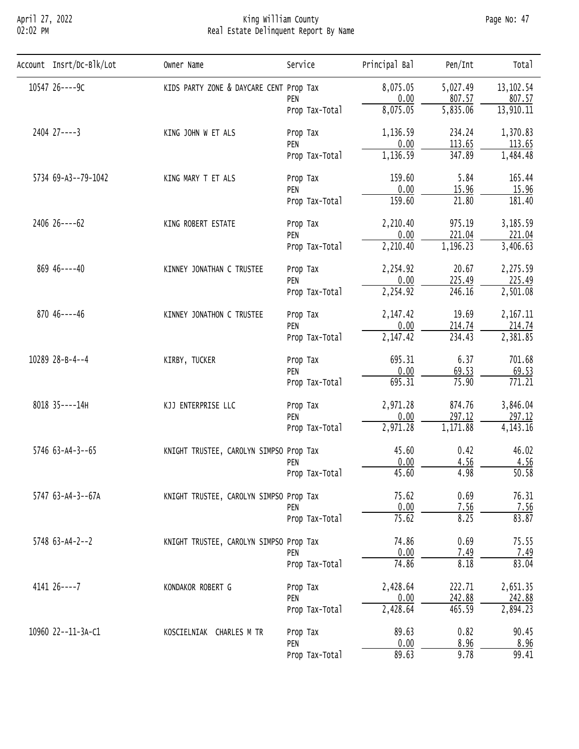## April 27, 2022 King William County Page No: 47 02:02 PM Real Estate Delinquent Report By Name

| Account Insrt/Dc-Blk/Lot | Owner Name                                                                                                                                                                                                                                                                                                                                                     | Service        | Principal Bal                                                                                                                                                                                                                                                                                                                                                                                                                                                                                                                                                                                                                                                                                                              | Pen/Int    | Total              |
|--------------------------|----------------------------------------------------------------------------------------------------------------------------------------------------------------------------------------------------------------------------------------------------------------------------------------------------------------------------------------------------------------|----------------|----------------------------------------------------------------------------------------------------------------------------------------------------------------------------------------------------------------------------------------------------------------------------------------------------------------------------------------------------------------------------------------------------------------------------------------------------------------------------------------------------------------------------------------------------------------------------------------------------------------------------------------------------------------------------------------------------------------------------|------------|--------------------|
| 10547 26----9C           | KIDS PARTY ZONE & DAYCARE CENT Prop Tax                                                                                                                                                                                                                                                                                                                        |                | 8,075.05                                                                                                                                                                                                                                                                                                                                                                                                                                                                                                                                                                                                                                                                                                                   | 5,027.49   | 13, 102.54         |
|                          |                                                                                                                                                                                                                                                                                                                                                                | PEN            |                                                                                                                                                                                                                                                                                                                                                                                                                                                                                                                                                                                                                                                                                                                            |            | 807.57             |
|                          |                                                                                                                                                                                                                                                                                                                                                                | Prop Tax-Total |                                                                                                                                                                                                                                                                                                                                                                                                                                                                                                                                                                                                                                                                                                                            |            | 13,910.11          |
| 2404 27----3             | KING JOHN W ET ALS                                                                                                                                                                                                                                                                                                                                             | Prop Tax       | 1,136.59                                                                                                                                                                                                                                                                                                                                                                                                                                                                                                                                                                                                                                                                                                                   | 234.24     | 1,370.83           |
|                          |                                                                                                                                                                                                                                                                                                                                                                |                |                                                                                                                                                                                                                                                                                                                                                                                                                                                                                                                                                                                                                                                                                                                            |            | 113.65             |
|                          |                                                                                                                                                                                                                                                                                                                                                                |                |                                                                                                                                                                                                                                                                                                                                                                                                                                                                                                                                                                                                                                                                                                                            |            | 1,484.48           |
| 5734 69-A3--79-1042      | KING MARY T ET ALS                                                                                                                                                                                                                                                                                                                                             | Prop Tax       | 0.00<br>807.57<br>8,075.05<br>5,835.06<br>113.65<br>0.00<br>1,136.59<br>347.89<br>159.60<br>5.84<br>0.00<br>15.96<br>159.60<br>21.80<br>2,210.40<br>975.19<br>221.04<br>0.00<br>2,210.40<br>1,196.23<br>2,254.92<br>20.67<br>225.49<br>0.00<br>2,254.92<br>246.16<br>2,147.42<br>19.69<br>0.00<br>214.74<br>2,147.42<br>234.43<br>695.31<br>6.37<br>0.00<br>69.53<br>695.31<br>75.90<br>2,971.28<br>874.76<br>297.12<br>0.00<br>2,971.28<br>1,171.88<br>45.60<br>0.42<br>0.00<br>4.56<br>45.60<br>4.98<br>75.62<br>0.69<br>0.00<br>7.56<br>75.62<br>8.25<br>74.86<br>0.69<br>0.00<br>7.49<br>74.86<br>8.18<br>2,428.64<br>222.71<br>242.88<br>0.00<br>2,428.64<br>465.59<br>89.63<br>0.82<br>0.00<br>8.96<br>89.63<br>9.78 | 165.44     |                    |
|                          |                                                                                                                                                                                                                                                                                                                                                                |                |                                                                                                                                                                                                                                                                                                                                                                                                                                                                                                                                                                                                                                                                                                                            |            | 15.96              |
|                          |                                                                                                                                                                                                                                                                                                                                                                |                |                                                                                                                                                                                                                                                                                                                                                                                                                                                                                                                                                                                                                                                                                                                            | 181.40     |                    |
| 2406 26----62            | PEN<br>Prop Tax-Total<br>PEN<br>Prop Tax-Total<br>KING ROBERT ESTATE<br>Prop Tax<br>PEN<br>Prop Tax-Total<br>KINNEY JONATHAN C TRUSTEE<br>Prop Tax<br>PEN<br>Prop Tax-Total<br>KINNEY JONATHON C TRUSTEE<br>Prop Tax<br>PEN<br>Prop Tax-Total<br>KIRBY, TUCKER<br>Prop Tax<br>PEN<br>Prop Tax-Total<br>KJJ ENTERPRISE LLC<br>Prop Tax<br>PEN<br>Prop Tax-Total | 3,185.59       |                                                                                                                                                                                                                                                                                                                                                                                                                                                                                                                                                                                                                                                                                                                            |            |                    |
|                          |                                                                                                                                                                                                                                                                                                                                                                |                |                                                                                                                                                                                                                                                                                                                                                                                                                                                                                                                                                                                                                                                                                                                            |            | 221.04             |
|                          |                                                                                                                                                                                                                                                                                                                                                                |                |                                                                                                                                                                                                                                                                                                                                                                                                                                                                                                                                                                                                                                                                                                                            |            | 3,406.63           |
| 869 46----40             |                                                                                                                                                                                                                                                                                                                                                                |                |                                                                                                                                                                                                                                                                                                                                                                                                                                                                                                                                                                                                                                                                                                                            |            | 2,275.59           |
|                          |                                                                                                                                                                                                                                                                                                                                                                |                |                                                                                                                                                                                                                                                                                                                                                                                                                                                                                                                                                                                                                                                                                                                            |            | 225.49             |
|                          |                                                                                                                                                                                                                                                                                                                                                                |                |                                                                                                                                                                                                                                                                                                                                                                                                                                                                                                                                                                                                                                                                                                                            |            | 2,501.08           |
| $87046---46$             |                                                                                                                                                                                                                                                                                                                                                                |                |                                                                                                                                                                                                                                                                                                                                                                                                                                                                                                                                                                                                                                                                                                                            | 2, 167. 11 |                    |
|                          |                                                                                                                                                                                                                                                                                                                                                                |                |                                                                                                                                                                                                                                                                                                                                                                                                                                                                                                                                                                                                                                                                                                                            |            | 214.74             |
|                          |                                                                                                                                                                                                                                                                                                                                                                |                |                                                                                                                                                                                                                                                                                                                                                                                                                                                                                                                                                                                                                                                                                                                            |            | 2,381.85           |
| 10289 28-B-4--4          |                                                                                                                                                                                                                                                                                                                                                                |                |                                                                                                                                                                                                                                                                                                                                                                                                                                                                                                                                                                                                                                                                                                                            |            | 701.68             |
|                          |                                                                                                                                                                                                                                                                                                                                                                |                |                                                                                                                                                                                                                                                                                                                                                                                                                                                                                                                                                                                                                                                                                                                            |            | 69.53              |
|                          |                                                                                                                                                                                                                                                                                                                                                                |                |                                                                                                                                                                                                                                                                                                                                                                                                                                                                                                                                                                                                                                                                                                                            |            | 771.21             |
| 8018 35----14H           |                                                                                                                                                                                                                                                                                                                                                                |                |                                                                                                                                                                                                                                                                                                                                                                                                                                                                                                                                                                                                                                                                                                                            |            | 3,846.04           |
|                          |                                                                                                                                                                                                                                                                                                                                                                |                |                                                                                                                                                                                                                                                                                                                                                                                                                                                                                                                                                                                                                                                                                                                            |            | 297.12             |
|                          |                                                                                                                                                                                                                                                                                                                                                                |                |                                                                                                                                                                                                                                                                                                                                                                                                                                                                                                                                                                                                                                                                                                                            |            | 4, 143. 16         |
| $5746$ 63-A4-3--65       |                                                                                                                                                                                                                                                                                                                                                                |                |                                                                                                                                                                                                                                                                                                                                                                                                                                                                                                                                                                                                                                                                                                                            |            | 46.02              |
|                          |                                                                                                                                                                                                                                                                                                                                                                | PEN            |                                                                                                                                                                                                                                                                                                                                                                                                                                                                                                                                                                                                                                                                                                                            |            | 4.56               |
|                          |                                                                                                                                                                                                                                                                                                                                                                | Prop Tax-Total |                                                                                                                                                                                                                                                                                                                                                                                                                                                                                                                                                                                                                                                                                                                            |            | $\overline{50.58}$ |
| 5747 63-A4-3--67A        |                                                                                                                                                                                                                                                                                                                                                                |                |                                                                                                                                                                                                                                                                                                                                                                                                                                                                                                                                                                                                                                                                                                                            |            | 76.31              |
|                          |                                                                                                                                                                                                                                                                                                                                                                | PEN            |                                                                                                                                                                                                                                                                                                                                                                                                                                                                                                                                                                                                                                                                                                                            |            | 7.56               |
|                          |                                                                                                                                                                                                                                                                                                                                                                | Prop Tax-Total |                                                                                                                                                                                                                                                                                                                                                                                                                                                                                                                                                                                                                                                                                                                            |            | 83.87              |
| $5748$ 63-A4-2--2        |                                                                                                                                                                                                                                                                                                                                                                |                |                                                                                                                                                                                                                                                                                                                                                                                                                                                                                                                                                                                                                                                                                                                            |            | 75.55              |
|                          |                                                                                                                                                                                                                                                                                                                                                                | PEN            |                                                                                                                                                                                                                                                                                                                                                                                                                                                                                                                                                                                                                                                                                                                            |            | 7.49               |
|                          |                                                                                                                                                                                                                                                                                                                                                                | Prop Tax-Total |                                                                                                                                                                                                                                                                                                                                                                                                                                                                                                                                                                                                                                                                                                                            |            | 83.04              |
| $414126---7$             | KONDAKOR ROBERT G                                                                                                                                                                                                                                                                                                                                              | Prop Tax       |                                                                                                                                                                                                                                                                                                                                                                                                                                                                                                                                                                                                                                                                                                                            |            | 2,651.35           |
|                          |                                                                                                                                                                                                                                                                                                                                                                | PEN            |                                                                                                                                                                                                                                                                                                                                                                                                                                                                                                                                                                                                                                                                                                                            |            | 242.88             |
|                          |                                                                                                                                                                                                                                                                                                                                                                | Prop Tax-Total |                                                                                                                                                                                                                                                                                                                                                                                                                                                                                                                                                                                                                                                                                                                            |            | 2,894.23           |
| 10960 22--11-3A-C1       | KNIGHT TRUSTEE, CAROLYN SIMPSO Prop Tax<br>KNIGHT TRUSTEE, CAROLYN SIMPSO Prop Tax<br>KNIGHT TRUSTEE, CAROLYN SIMPSO Prop Tax<br>KOSCIELNIAK CHARLES M TR<br>Prop Tax<br>PEN<br>Prop Tax-Total                                                                                                                                                                 | 90.45          |                                                                                                                                                                                                                                                                                                                                                                                                                                                                                                                                                                                                                                                                                                                            |            |                    |
|                          |                                                                                                                                                                                                                                                                                                                                                                |                |                                                                                                                                                                                                                                                                                                                                                                                                                                                                                                                                                                                                                                                                                                                            |            | 8.96               |
|                          |                                                                                                                                                                                                                                                                                                                                                                |                |                                                                                                                                                                                                                                                                                                                                                                                                                                                                                                                                                                                                                                                                                                                            |            | 99.41              |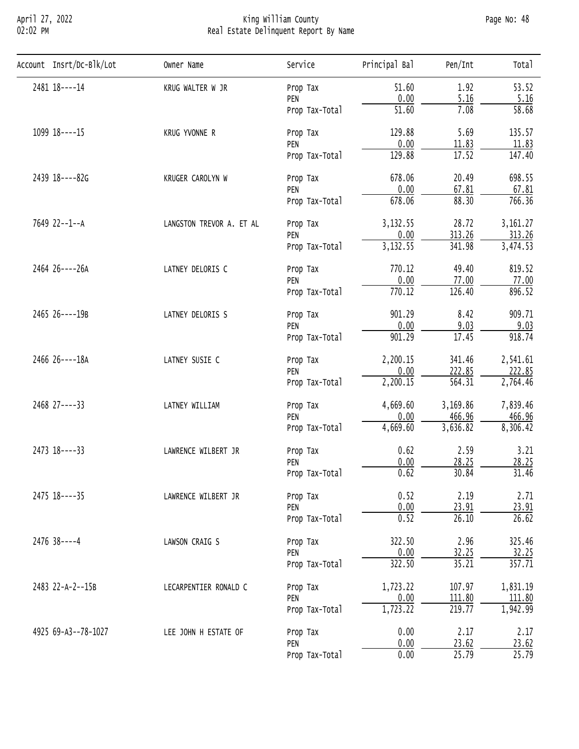## April 27, 2022 King William County Page No: 48 02:02 PM Real Estate Delinquent Report By Name

| Account Insrt/Dc-Blk/Lot | Owner Name                                                                                                                                                                                                      | Service        | Principal Bal      | Pen/Int                                                                                                                                                                                                                                                                                                                                                                                                                                                                                                                                                                                                                                                                                            | Total     |
|--------------------------|-----------------------------------------------------------------------------------------------------------------------------------------------------------------------------------------------------------------|----------------|--------------------|----------------------------------------------------------------------------------------------------------------------------------------------------------------------------------------------------------------------------------------------------------------------------------------------------------------------------------------------------------------------------------------------------------------------------------------------------------------------------------------------------------------------------------------------------------------------------------------------------------------------------------------------------------------------------------------------------|-----------|
| 2481 18----14            | KRUG WALTER W JR                                                                                                                                                                                                | Prop Tax       | 51.60              | 1.92                                                                                                                                                                                                                                                                                                                                                                                                                                                                                                                                                                                                                                                                                               | 53.52     |
|                          |                                                                                                                                                                                                                 | PEN            |                    |                                                                                                                                                                                                                                                                                                                                                                                                                                                                                                                                                                                                                                                                                                    | 5.16      |
|                          |                                                                                                                                                                                                                 | Prop Tax-Total | $\overline{51.60}$ | 7.08                                                                                                                                                                                                                                                                                                                                                                                                                                                                                                                                                                                                                                                                                               | 58.68     |
| 1099 18----15            | KRUG YVONNE R                                                                                                                                                                                                   | Prop Tax       | 129.88             | 5.69                                                                                                                                                                                                                                                                                                                                                                                                                                                                                                                                                                                                                                                                                               | 135.57    |
|                          |                                                                                                                                                                                                                 | PEN            |                    |                                                                                                                                                                                                                                                                                                                                                                                                                                                                                                                                                                                                                                                                                                    | 11.83     |
|                          |                                                                                                                                                                                                                 | Prop Tax-Total |                    | 0.00<br>5.16<br>0.00<br>11.83<br>17.52<br>129.88<br>678.06<br>20.49<br>0.00<br>67.81<br>678.06<br>88.30<br>28.72<br>3,132.55<br>313.26<br>0.00<br>3,132.55<br>341.98<br>770.12<br>49.40<br>0.00<br>77.00<br>126.40<br>770.12<br>901.29<br>8.42<br>0.00<br>9.03<br>17.45<br>901.29<br>341.46<br>2,200.15<br>0.00<br>222.85<br>2,200.15<br>564.31<br>4,669.60<br>3,169.86<br>466.96<br>0.00<br>4,669.60<br>3,636.82<br>0.62<br>2.59<br>0.00<br>28.25<br>0.62<br>30.84<br>0.52<br>2.19<br>$\frac{0.00}{0.52}$<br>23.91<br>26.10<br>322.50<br>2.96<br>32.25<br>0.00<br>322.50<br>35.21<br>1,723.22<br>107.97<br>0.00<br>111.80<br>1,723.22<br>219.77<br>0.00<br>2.17<br>0.00<br>23.62<br>0.00<br>25.79 | 147.40    |
| 2439 18----82G           | KRUGER CAROLYN W<br>Prop Tax<br>PEN<br>Prop Tax-Total<br>LANGSTON TREVOR A. ET AL<br>Prop Tax<br>PEN<br>Prop Tax-Total<br>LATNEY DELORIS C<br>Prop Tax<br>PEN<br>Prop Tax-Total<br>LATNEY DELORIS S<br>Prop Tax | 698.55         |                    |                                                                                                                                                                                                                                                                                                                                                                                                                                                                                                                                                                                                                                                                                                    |           |
|                          |                                                                                                                                                                                                                 |                |                    |                                                                                                                                                                                                                                                                                                                                                                                                                                                                                                                                                                                                                                                                                                    | 67.81     |
|                          |                                                                                                                                                                                                                 |                |                    |                                                                                                                                                                                                                                                                                                                                                                                                                                                                                                                                                                                                                                                                                                    | 766.36    |
| 7649 22--1--A            |                                                                                                                                                                                                                 |                |                    |                                                                                                                                                                                                                                                                                                                                                                                                                                                                                                                                                                                                                                                                                                    | 3, 161.27 |
|                          |                                                                                                                                                                                                                 |                |                    | 313.26                                                                                                                                                                                                                                                                                                                                                                                                                                                                                                                                                                                                                                                                                             |           |
|                          |                                                                                                                                                                                                                 |                |                    | 3,474.53                                                                                                                                                                                                                                                                                                                                                                                                                                                                                                                                                                                                                                                                                           |           |
| 2464 26----26A           |                                                                                                                                                                                                                 |                | 819.52             |                                                                                                                                                                                                                                                                                                                                                                                                                                                                                                                                                                                                                                                                                                    |           |
|                          |                                                                                                                                                                                                                 |                |                    |                                                                                                                                                                                                                                                                                                                                                                                                                                                                                                                                                                                                                                                                                                    | 77.00     |
|                          |                                                                                                                                                                                                                 |                |                    |                                                                                                                                                                                                                                                                                                                                                                                                                                                                                                                                                                                                                                                                                                    | 896.52    |
| 2465 26----19B           | PEN                                                                                                                                                                                                             | 909.71         |                    |                                                                                                                                                                                                                                                                                                                                                                                                                                                                                                                                                                                                                                                                                                    |           |
|                          |                                                                                                                                                                                                                 |                |                    |                                                                                                                                                                                                                                                                                                                                                                                                                                                                                                                                                                                                                                                                                                    | 9.03      |
|                          |                                                                                                                                                                                                                 | Prop Tax-Total |                    |                                                                                                                                                                                                                                                                                                                                                                                                                                                                                                                                                                                                                                                                                                    | 918.74    |
| 2466 26----18A           | LATNEY SUSIE C                                                                                                                                                                                                  | Prop Tax       |                    |                                                                                                                                                                                                                                                                                                                                                                                                                                                                                                                                                                                                                                                                                                    | 2,541.61  |
|                          |                                                                                                                                                                                                                 | PEN            |                    |                                                                                                                                                                                                                                                                                                                                                                                                                                                                                                                                                                                                                                                                                                    | 222.85    |
|                          |                                                                                                                                                                                                                 | Prop Tax-Total |                    |                                                                                                                                                                                                                                                                                                                                                                                                                                                                                                                                                                                                                                                                                                    | 2,764.46  |
| 2468 27----33            | LATNEY WILLIAM<br>Prop Tax                                                                                                                                                                                      | 7,839.46       |                    |                                                                                                                                                                                                                                                                                                                                                                                                                                                                                                                                                                                                                                                                                                    |           |
|                          |                                                                                                                                                                                                                 | PEN            |                    |                                                                                                                                                                                                                                                                                                                                                                                                                                                                                                                                                                                                                                                                                                    | 466.96    |
|                          |                                                                                                                                                                                                                 | Prop Tax-Total |                    |                                                                                                                                                                                                                                                                                                                                                                                                                                                                                                                                                                                                                                                                                                    | 8,306.42  |
| 2473 18----33            | LAWRENCE WILBERT JR                                                                                                                                                                                             | Prop Tax       |                    |                                                                                                                                                                                                                                                                                                                                                                                                                                                                                                                                                                                                                                                                                                    | 3.21      |
|                          |                                                                                                                                                                                                                 | PEN            |                    |                                                                                                                                                                                                                                                                                                                                                                                                                                                                                                                                                                                                                                                                                                    | 28.25     |
|                          |                                                                                                                                                                                                                 | Prop Tax-Total |                    |                                                                                                                                                                                                                                                                                                                                                                                                                                                                                                                                                                                                                                                                                                    | 31.46     |
| 2475 18----35            | LAWRENCE WILBERT JR                                                                                                                                                                                             | Prop Tax       |                    |                                                                                                                                                                                                                                                                                                                                                                                                                                                                                                                                                                                                                                                                                                    | 2.71      |
|                          |                                                                                                                                                                                                                 | PEN            |                    |                                                                                                                                                                                                                                                                                                                                                                                                                                                                                                                                                                                                                                                                                                    | 23.91     |
|                          |                                                                                                                                                                                                                 | Prop Tax-Total |                    |                                                                                                                                                                                                                                                                                                                                                                                                                                                                                                                                                                                                                                                                                                    | 26.62     |
| $2476$ 38 ----4          | LAWSON CRAIG S                                                                                                                                                                                                  | Prop Tax       |                    |                                                                                                                                                                                                                                                                                                                                                                                                                                                                                                                                                                                                                                                                                                    | 325.46    |
|                          |                                                                                                                                                                                                                 | PEN            |                    |                                                                                                                                                                                                                                                                                                                                                                                                                                                                                                                                                                                                                                                                                                    | 32.25     |
|                          |                                                                                                                                                                                                                 | Prop Tax-Total |                    |                                                                                                                                                                                                                                                                                                                                                                                                                                                                                                                                                                                                                                                                                                    | 357.71    |
| 2483 22-A-2--15B         | LECARPENTIER RONALD C                                                                                                                                                                                           | Prop Tax       |                    |                                                                                                                                                                                                                                                                                                                                                                                                                                                                                                                                                                                                                                                                                                    | 1,831.19  |
|                          |                                                                                                                                                                                                                 | PEN            |                    |                                                                                                                                                                                                                                                                                                                                                                                                                                                                                                                                                                                                                                                                                                    | 111.80    |
|                          |                                                                                                                                                                                                                 | Prop Tax-Total |                    |                                                                                                                                                                                                                                                                                                                                                                                                                                                                                                                                                                                                                                                                                                    | 1,942.99  |
| 4925 69-A3--78-1027      | LEE JOHN H ESTATE OF                                                                                                                                                                                            | Prop Tax       |                    |                                                                                                                                                                                                                                                                                                                                                                                                                                                                                                                                                                                                                                                                                                    | 2.17      |
|                          |                                                                                                                                                                                                                 | PEN            |                    |                                                                                                                                                                                                                                                                                                                                                                                                                                                                                                                                                                                                                                                                                                    | 23.62     |
|                          |                                                                                                                                                                                                                 | Prop Tax-Total |                    |                                                                                                                                                                                                                                                                                                                                                                                                                                                                                                                                                                                                                                                                                                    | 25.79     |
|                          |                                                                                                                                                                                                                 |                |                    |                                                                                                                                                                                                                                                                                                                                                                                                                                                                                                                                                                                                                                                                                                    |           |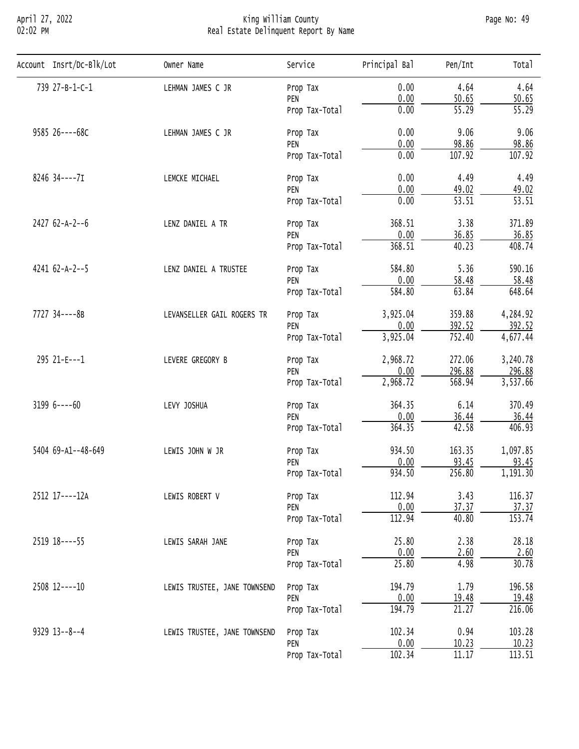## April 27, 2022 King William County Page No: 49 02:02 PM Real Estate Delinquent Report By Name

| Account Insrt/Dc-Blk/Lot | Owner Name                                                                                                                                      | Service                                                                                                                                                                                                                                                                                                                                                                                                                                                                                                                                                                                                                                                                                                                                                                                                                                                                                                                                                                                                                                                                            | Principal Bal | Pen/Int                  | Total              |
|--------------------------|-------------------------------------------------------------------------------------------------------------------------------------------------|------------------------------------------------------------------------------------------------------------------------------------------------------------------------------------------------------------------------------------------------------------------------------------------------------------------------------------------------------------------------------------------------------------------------------------------------------------------------------------------------------------------------------------------------------------------------------------------------------------------------------------------------------------------------------------------------------------------------------------------------------------------------------------------------------------------------------------------------------------------------------------------------------------------------------------------------------------------------------------------------------------------------------------------------------------------------------------|---------------|--------------------------|--------------------|
| 739 27-B-1-C-1           | LEHMAN JAMES C JR                                                                                                                               |                                                                                                                                                                                                                                                                                                                                                                                                                                                                                                                                                                                                                                                                                                                                                                                                                                                                                                                                                                                                                                                                                    | 0.00          | 4.64                     | 4.64               |
|                          |                                                                                                                                                 | PEN                                                                                                                                                                                                                                                                                                                                                                                                                                                                                                                                                                                                                                                                                                                                                                                                                                                                                                                                                                                                                                                                                |               |                          | 50.65              |
|                          |                                                                                                                                                 | Prop Tax-Total                                                                                                                                                                                                                                                                                                                                                                                                                                                                                                                                                                                                                                                                                                                                                                                                                                                                                                                                                                                                                                                                     | 0.00          | $\overline{55.29}$       | $\overline{55.29}$ |
| 9585 26----68C           | LEHMAN JAMES C JR                                                                                                                               | Prop Tax                                                                                                                                                                                                                                                                                                                                                                                                                                                                                                                                                                                                                                                                                                                                                                                                                                                                                                                                                                                                                                                                           | 0.00          | 9.06                     | 9.06               |
|                          |                                                                                                                                                 | PEN                                                                                                                                                                                                                                                                                                                                                                                                                                                                                                                                                                                                                                                                                                                                                                                                                                                                                                                                                                                                                                                                                |               |                          | 98.86              |
|                          |                                                                                                                                                 | Prop Tax<br>0.00<br>50.65<br>0.00<br>98.86<br>0.00<br>107.92<br>Prop Tax-Total<br>4.49<br>0.00<br>Prop Tax<br>0.00<br>49.02<br>PEN<br>0.00<br>$\overline{53.51}$<br>Prop Tax-Total<br>368.51<br>3.38<br>Prop Tax<br>0.00<br>36.85<br>PEN<br>368.51<br>40.23<br>Prop Tax-Total<br>5.36<br>584.80<br>Prop Tax<br>0.00<br>58.48<br>PEN<br>584.80<br>63.84<br>Prop Tax-Total<br>3,925.04<br>359.88<br>Prop Tax<br>0.00<br>392.52<br>PEN<br>3,925.04<br>752.40<br>Prop Tax-Total<br>2,968.72<br>272.06<br>Prop Tax<br>0.00<br>296.88<br>PEN<br>568.94<br>2,968.72<br>Prop Tax-Total<br>6.14<br>364.35<br>Prop Tax<br>0.00<br>36.44<br>PEN<br>42.58<br>364.35<br>Prop Tax-Total<br>934.50<br>163.35<br>Prop Tax<br>0.00<br>93.45<br>PEN<br>934.50<br>256.80<br>Prop Tax-Total<br>112.94<br>3.43<br>Prop Tax<br>0.00<br>37.37<br>PEN<br>40.80<br>112.94<br>Prop Tax-Total<br>2.38<br>25.80<br>Prop Tax<br>0.00<br>2.60<br>PEN<br>25.80<br>4.98<br>Prop Tax-Total<br>1.79<br>194.79<br>Prop Tax<br>0.00<br>19.48<br>PEN<br>194.79<br>21.27<br>Prop Tax-Total<br>0.94<br>102.34<br>Prop Tax | 107.92        |                          |                    |
| 8246 34----7I            | LEMCKE MICHAEL                                                                                                                                  | 0.00<br>PEN                                                                                                                                                                                                                                                                                                                                                                                                                                                                                                                                                                                                                                                                                                                                                                                                                                                                                                                                                                                                                                                                        | 4.49          |                          |                    |
|                          |                                                                                                                                                 |                                                                                                                                                                                                                                                                                                                                                                                                                                                                                                                                                                                                                                                                                                                                                                                                                                                                                                                                                                                                                                                                                    |               | 10.23<br>11.17<br>102.34 | 49.02              |
|                          |                                                                                                                                                 |                                                                                                                                                                                                                                                                                                                                                                                                                                                                                                                                                                                                                                                                                                                                                                                                                                                                                                                                                                                                                                                                                    |               | $\overline{53.51}$       |                    |
| 2427 62-A-2--6           | LENZ DANIEL A TR<br>LENZ DANIEL A TRUSTEE<br>LEVANSELLER GAIL ROGERS TR<br>LEVERE GREGORY B<br>LEVY JOSHUA<br>LEWIS JOHN W JR<br>LEWIS ROBERT V | 371.89                                                                                                                                                                                                                                                                                                                                                                                                                                                                                                                                                                                                                                                                                                                                                                                                                                                                                                                                                                                                                                                                             |               |                          |                    |
|                          |                                                                                                                                                 |                                                                                                                                                                                                                                                                                                                                                                                                                                                                                                                                                                                                                                                                                                                                                                                                                                                                                                                                                                                                                                                                                    |               |                          | 36.85              |
|                          |                                                                                                                                                 |                                                                                                                                                                                                                                                                                                                                                                                                                                                                                                                                                                                                                                                                                                                                                                                                                                                                                                                                                                                                                                                                                    |               | 408.74                   |                    |
| $4241 62 - A - 2 - 5$    |                                                                                                                                                 |                                                                                                                                                                                                                                                                                                                                                                                                                                                                                                                                                                                                                                                                                                                                                                                                                                                                                                                                                                                                                                                                                    |               |                          | 590.16             |
|                          |                                                                                                                                                 |                                                                                                                                                                                                                                                                                                                                                                                                                                                                                                                                                                                                                                                                                                                                                                                                                                                                                                                                                                                                                                                                                    |               |                          | 58.48              |
|                          |                                                                                                                                                 |                                                                                                                                                                                                                                                                                                                                                                                                                                                                                                                                                                                                                                                                                                                                                                                                                                                                                                                                                                                                                                                                                    |               | 648.64                   |                    |
| 7727 34----8B            |                                                                                                                                                 |                                                                                                                                                                                                                                                                                                                                                                                                                                                                                                                                                                                                                                                                                                                                                                                                                                                                                                                                                                                                                                                                                    |               | 4,284.92                 |                    |
|                          |                                                                                                                                                 |                                                                                                                                                                                                                                                                                                                                                                                                                                                                                                                                                                                                                                                                                                                                                                                                                                                                                                                                                                                                                                                                                    |               |                          | 392.52             |
|                          |                                                                                                                                                 |                                                                                                                                                                                                                                                                                                                                                                                                                                                                                                                                                                                                                                                                                                                                                                                                                                                                                                                                                                                                                                                                                    |               |                          | 4,677.44           |
| 295 21-E---1             |                                                                                                                                                 |                                                                                                                                                                                                                                                                                                                                                                                                                                                                                                                                                                                                                                                                                                                                                                                                                                                                                                                                                                                                                                                                                    |               |                          | 3,240.78           |
|                          |                                                                                                                                                 | 296.88                                                                                                                                                                                                                                                                                                                                                                                                                                                                                                                                                                                                                                                                                                                                                                                                                                                                                                                                                                                                                                                                             |               |                          |                    |
|                          |                                                                                                                                                 |                                                                                                                                                                                                                                                                                                                                                                                                                                                                                                                                                                                                                                                                                                                                                                                                                                                                                                                                                                                                                                                                                    |               |                          | 3,537.66           |
| $31996---60$             |                                                                                                                                                 |                                                                                                                                                                                                                                                                                                                                                                                                                                                                                                                                                                                                                                                                                                                                                                                                                                                                                                                                                                                                                                                                                    |               |                          | 370.49             |
|                          |                                                                                                                                                 |                                                                                                                                                                                                                                                                                                                                                                                                                                                                                                                                                                                                                                                                                                                                                                                                                                                                                                                                                                                                                                                                                    |               |                          | 36.44              |
|                          |                                                                                                                                                 |                                                                                                                                                                                                                                                                                                                                                                                                                                                                                                                                                                                                                                                                                                                                                                                                                                                                                                                                                                                                                                                                                    |               |                          | 406.93             |
| 5404 69-A1--48-649       |                                                                                                                                                 |                                                                                                                                                                                                                                                                                                                                                                                                                                                                                                                                                                                                                                                                                                                                                                                                                                                                                                                                                                                                                                                                                    |               |                          | 1,097.85           |
|                          |                                                                                                                                                 |                                                                                                                                                                                                                                                                                                                                                                                                                                                                                                                                                                                                                                                                                                                                                                                                                                                                                                                                                                                                                                                                                    |               |                          | 93.45              |
|                          |                                                                                                                                                 |                                                                                                                                                                                                                                                                                                                                                                                                                                                                                                                                                                                                                                                                                                                                                                                                                                                                                                                                                                                                                                                                                    |               |                          | 1,191.30           |
| 2512 17----12A           |                                                                                                                                                 |                                                                                                                                                                                                                                                                                                                                                                                                                                                                                                                                                                                                                                                                                                                                                                                                                                                                                                                                                                                                                                                                                    |               |                          | 116.37             |
|                          |                                                                                                                                                 |                                                                                                                                                                                                                                                                                                                                                                                                                                                                                                                                                                                                                                                                                                                                                                                                                                                                                                                                                                                                                                                                                    |               |                          | 37.37              |
|                          |                                                                                                                                                 |                                                                                                                                                                                                                                                                                                                                                                                                                                                                                                                                                                                                                                                                                                                                                                                                                                                                                                                                                                                                                                                                                    |               |                          | 153.74             |
| 2519 18----55            | LEWIS SARAH JANE                                                                                                                                | 28.18                                                                                                                                                                                                                                                                                                                                                                                                                                                                                                                                                                                                                                                                                                                                                                                                                                                                                                                                                                                                                                                                              |               |                          |                    |
|                          |                                                                                                                                                 |                                                                                                                                                                                                                                                                                                                                                                                                                                                                                                                                                                                                                                                                                                                                                                                                                                                                                                                                                                                                                                                                                    |               |                          | 2.60               |
|                          |                                                                                                                                                 |                                                                                                                                                                                                                                                                                                                                                                                                                                                                                                                                                                                                                                                                                                                                                                                                                                                                                                                                                                                                                                                                                    |               |                          | 30.78              |
| 2508 12----10            | LEWIS TRUSTEE, JANE TOWNSEND                                                                                                                    |                                                                                                                                                                                                                                                                                                                                                                                                                                                                                                                                                                                                                                                                                                                                                                                                                                                                                                                                                                                                                                                                                    |               |                          | 196.58             |
|                          |                                                                                                                                                 |                                                                                                                                                                                                                                                                                                                                                                                                                                                                                                                                                                                                                                                                                                                                                                                                                                                                                                                                                                                                                                                                                    |               |                          | 19.48              |
|                          |                                                                                                                                                 |                                                                                                                                                                                                                                                                                                                                                                                                                                                                                                                                                                                                                                                                                                                                                                                                                                                                                                                                                                                                                                                                                    |               |                          | 216.06             |
| $9329$ 13--8--4          | LEWIS TRUSTEE, JANE TOWNSEND                                                                                                                    |                                                                                                                                                                                                                                                                                                                                                                                                                                                                                                                                                                                                                                                                                                                                                                                                                                                                                                                                                                                                                                                                                    |               |                          | 103.28             |
|                          |                                                                                                                                                 |                                                                                                                                                                                                                                                                                                                                                                                                                                                                                                                                                                                                                                                                                                                                                                                                                                                                                                                                                                                                                                                                                    |               |                          | 10.23              |
|                          |                                                                                                                                                 | Prop Tax-Total                                                                                                                                                                                                                                                                                                                                                                                                                                                                                                                                                                                                                                                                                                                                                                                                                                                                                                                                                                                                                                                                     |               |                          | 113.51             |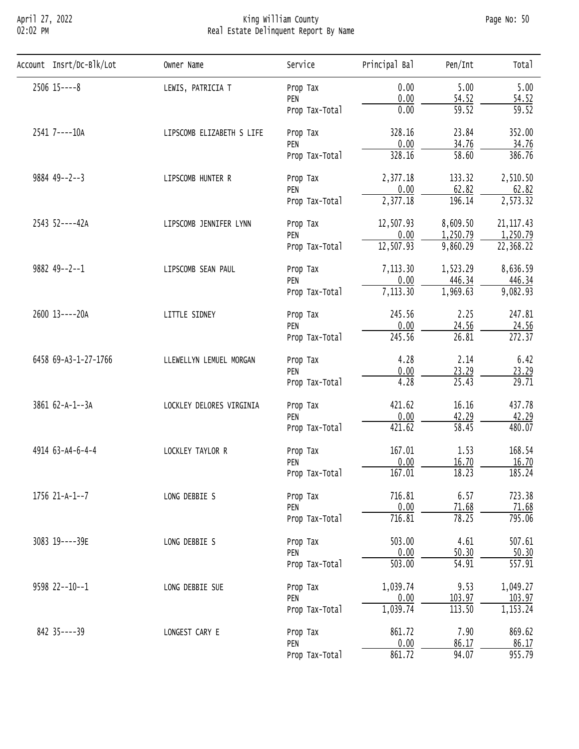## April 27, 2022 King William County Page No: 50 02:02 PM Real Estate Delinquent Report By Name

| Account Insrt/Dc-Blk/Lot | Owner Name                | Service                                                                                                                                                                                                                                                                                                                                                                                                                    | Principal Bal   | Pen/Int                                                                                                                                                                                                                                                                                                                                                                                                                                                                                                                                                                                                                                                                                                                                    | Total              |
|--------------------------|---------------------------|----------------------------------------------------------------------------------------------------------------------------------------------------------------------------------------------------------------------------------------------------------------------------------------------------------------------------------------------------------------------------------------------------------------------------|-----------------|--------------------------------------------------------------------------------------------------------------------------------------------------------------------------------------------------------------------------------------------------------------------------------------------------------------------------------------------------------------------------------------------------------------------------------------------------------------------------------------------------------------------------------------------------------------------------------------------------------------------------------------------------------------------------------------------------------------------------------------------|--------------------|
| $2506$ $15---8$          | LEWIS, PATRICIA T         | Prop Tax                                                                                                                                                                                                                                                                                                                                                                                                                   | 0.00            | 5.00                                                                                                                                                                                                                                                                                                                                                                                                                                                                                                                                                                                                                                                                                                                                       | 5.00               |
|                          |                           | PEN                                                                                                                                                                                                                                                                                                                                                                                                                        | 0.00            | 54.52                                                                                                                                                                                                                                                                                                                                                                                                                                                                                                                                                                                                                                                                                                                                      | 54.52              |
|                          |                           | Prop Tax-Total                                                                                                                                                                                                                                                                                                                                                                                                             |                 |                                                                                                                                                                                                                                                                                                                                                                                                                                                                                                                                                                                                                                                                                                                                            | $\overline{59.52}$ |
| 2541 7----10A            | LIPSCOMB ELIZABETH S LIFE | Prop Tax                                                                                                                                                                                                                                                                                                                                                                                                                   | 328.16          | 23.84                                                                                                                                                                                                                                                                                                                                                                                                                                                                                                                                                                                                                                                                                                                                      | 352.00             |
|                          |                           |                                                                                                                                                                                                                                                                                                                                                                                                                            |                 |                                                                                                                                                                                                                                                                                                                                                                                                                                                                                                                                                                                                                                                                                                                                            | 34.76              |
|                          |                           |                                                                                                                                                                                                                                                                                                                                                                                                                            |                 | $\overline{59.52}$<br>0.00<br>0.00<br>34.76<br>$\overline{58.60}$<br>328.16<br>2,377.18<br>133.32<br>0.00<br>62.82<br>2,377.18<br>196.14<br>12,507.93<br>8,609.50<br>1,250.79<br>0.00<br>12,507.93<br>9,860.29<br>7,113.30<br>1,523.29<br>0.00<br>446.34<br>7,113.30<br>1,969.63<br>245.56<br>2.25<br>0.00<br>24.56<br>26.81<br>245.56<br>4.28<br>2.14<br>0.00<br>23.29<br>25.43<br>4.28<br>421.62<br>16.16<br>0.00<br>42.29<br>$\overline{58.45}$<br>421.62<br>167.01<br>1.53<br>0.00<br>16.70<br>167.01<br>18.23<br>716.81<br>6.57<br>0.00<br>71.68<br>716.81<br>78.25<br>4.61<br>503.00<br>50.30<br>0.00<br>$\overline{503.00}$<br>54.91<br>9.53<br>1,039.74<br>103.97<br>0.00<br>1,039.74<br>113.50<br>7.90<br>861.72<br>0.00<br>86.17 | 386.76             |
| $9884$ 49--2--3          | LIPSCOMB HUNTER R         | PEN<br>Prop Tax-Total<br>Prop Tax<br>PEN<br>Prop Tax-Total<br>Prop Tax<br>PEN<br>Prop Tax-Total<br>Prop Tax<br>PEN<br>Prop Tax-Total<br>Prop Tax<br>PEN<br>Prop Tax-Total<br>Prop Tax<br>PEN<br>Prop Tax-Total<br>Prop Tax<br>PEN<br>Prop Tax-Total<br>Prop Tax<br>PEN<br>Prop Tax-Total<br>Prop Tax<br>PEN<br>Prop Tax-Total<br>Prop Tax<br>PEN<br>Prop Tax-Total<br>Prop Tax<br>PEN<br>Prop Tax-Total<br>Prop Tax<br>PEN | 2,510.50        |                                                                                                                                                                                                                                                                                                                                                                                                                                                                                                                                                                                                                                                                                                                                            |                    |
|                          |                           |                                                                                                                                                                                                                                                                                                                                                                                                                            |                 |                                                                                                                                                                                                                                                                                                                                                                                                                                                                                                                                                                                                                                                                                                                                            | 62.82              |
|                          |                           |                                                                                                                                                                                                                                                                                                                                                                                                                            |                 |                                                                                                                                                                                                                                                                                                                                                                                                                                                                                                                                                                                                                                                                                                                                            | 2,573.32           |
| 2543 52----42A           | LIPSCOMB JENNIFER LYNN    |                                                                                                                                                                                                                                                                                                                                                                                                                            |                 |                                                                                                                                                                                                                                                                                                                                                                                                                                                                                                                                                                                                                                                                                                                                            | 21, 117.43         |
|                          |                           |                                                                                                                                                                                                                                                                                                                                                                                                                            | 861.72<br>94.07 | 1,250.79                                                                                                                                                                                                                                                                                                                                                                                                                                                                                                                                                                                                                                                                                                                                   |                    |
|                          |                           |                                                                                                                                                                                                                                                                                                                                                                                                                            |                 |                                                                                                                                                                                                                                                                                                                                                                                                                                                                                                                                                                                                                                                                                                                                            | 22,368.22          |
| $9882$ 49--2--1          | LIPSCOMB SEAN PAUL        |                                                                                                                                                                                                                                                                                                                                                                                                                            |                 |                                                                                                                                                                                                                                                                                                                                                                                                                                                                                                                                                                                                                                                                                                                                            | 8,636.59           |
|                          |                           |                                                                                                                                                                                                                                                                                                                                                                                                                            |                 |                                                                                                                                                                                                                                                                                                                                                                                                                                                                                                                                                                                                                                                                                                                                            | 446.34             |
|                          |                           |                                                                                                                                                                                                                                                                                                                                                                                                                            |                 |                                                                                                                                                                                                                                                                                                                                                                                                                                                                                                                                                                                                                                                                                                                                            | 9,082.93           |
| 2600 13----20A           | LITTLE SIDNEY             |                                                                                                                                                                                                                                                                                                                                                                                                                            |                 |                                                                                                                                                                                                                                                                                                                                                                                                                                                                                                                                                                                                                                                                                                                                            | 247.81             |
|                          |                           |                                                                                                                                                                                                                                                                                                                                                                                                                            |                 |                                                                                                                                                                                                                                                                                                                                                                                                                                                                                                                                                                                                                                                                                                                                            | 24.56              |
|                          |                           |                                                                                                                                                                                                                                                                                                                                                                                                                            |                 |                                                                                                                                                                                                                                                                                                                                                                                                                                                                                                                                                                                                                                                                                                                                            | 272.37             |
| 6458 69-A3-1-27-1766     | LLEWELLYN LEMUEL MORGAN   |                                                                                                                                                                                                                                                                                                                                                                                                                            | 6.42            |                                                                                                                                                                                                                                                                                                                                                                                                                                                                                                                                                                                                                                                                                                                                            |                    |
|                          |                           |                                                                                                                                                                                                                                                                                                                                                                                                                            | 23.29           |                                                                                                                                                                                                                                                                                                                                                                                                                                                                                                                                                                                                                                                                                                                                            |                    |
|                          |                           |                                                                                                                                                                                                                                                                                                                                                                                                                            |                 |                                                                                                                                                                                                                                                                                                                                                                                                                                                                                                                                                                                                                                                                                                                                            | $\overline{29.71}$ |
| 3861 62-A-1--3A          | LOCKLEY DELORES VIRGINIA  |                                                                                                                                                                                                                                                                                                                                                                                                                            |                 |                                                                                                                                                                                                                                                                                                                                                                                                                                                                                                                                                                                                                                                                                                                                            | 437.78             |
|                          |                           |                                                                                                                                                                                                                                                                                                                                                                                                                            |                 |                                                                                                                                                                                                                                                                                                                                                                                                                                                                                                                                                                                                                                                                                                                                            | 42.29              |
|                          |                           |                                                                                                                                                                                                                                                                                                                                                                                                                            |                 |                                                                                                                                                                                                                                                                                                                                                                                                                                                                                                                                                                                                                                                                                                                                            | 480.07             |
| 4914 63-A4-6-4-4         | LOCKLEY TAYLOR R          |                                                                                                                                                                                                                                                                                                                                                                                                                            |                 |                                                                                                                                                                                                                                                                                                                                                                                                                                                                                                                                                                                                                                                                                                                                            | 168.54             |
|                          |                           |                                                                                                                                                                                                                                                                                                                                                                                                                            |                 |                                                                                                                                                                                                                                                                                                                                                                                                                                                                                                                                                                                                                                                                                                                                            | 16.70              |
|                          |                           |                                                                                                                                                                                                                                                                                                                                                                                                                            |                 |                                                                                                                                                                                                                                                                                                                                                                                                                                                                                                                                                                                                                                                                                                                                            | 185.24             |
| 1756 21-A-1--7           | LONG DEBBIE S             |                                                                                                                                                                                                                                                                                                                                                                                                                            |                 |                                                                                                                                                                                                                                                                                                                                                                                                                                                                                                                                                                                                                                                                                                                                            | 723.38             |
|                          |                           |                                                                                                                                                                                                                                                                                                                                                                                                                            |                 |                                                                                                                                                                                                                                                                                                                                                                                                                                                                                                                                                                                                                                                                                                                                            | 71.68              |
|                          |                           |                                                                                                                                                                                                                                                                                                                                                                                                                            |                 |                                                                                                                                                                                                                                                                                                                                                                                                                                                                                                                                                                                                                                                                                                                                            | 795.06             |
| 3083 19----39E           | LONG DEBBIE S             |                                                                                                                                                                                                                                                                                                                                                                                                                            |                 |                                                                                                                                                                                                                                                                                                                                                                                                                                                                                                                                                                                                                                                                                                                                            | 507.61             |
|                          |                           |                                                                                                                                                                                                                                                                                                                                                                                                                            |                 |                                                                                                                                                                                                                                                                                                                                                                                                                                                                                                                                                                                                                                                                                                                                            | 50.30              |
|                          |                           |                                                                                                                                                                                                                                                                                                                                                                                                                            |                 |                                                                                                                                                                                                                                                                                                                                                                                                                                                                                                                                                                                                                                                                                                                                            | 557.91             |
| 9598 22 -- 10 -- 1       | LONG DEBBIE SUE           |                                                                                                                                                                                                                                                                                                                                                                                                                            |                 |                                                                                                                                                                                                                                                                                                                                                                                                                                                                                                                                                                                                                                                                                                                                            | 1,049.27           |
|                          |                           |                                                                                                                                                                                                                                                                                                                                                                                                                            |                 |                                                                                                                                                                                                                                                                                                                                                                                                                                                                                                                                                                                                                                                                                                                                            | 103.97             |
|                          |                           |                                                                                                                                                                                                                                                                                                                                                                                                                            |                 |                                                                                                                                                                                                                                                                                                                                                                                                                                                                                                                                                                                                                                                                                                                                            | 1,153.24           |
| 842 35----39             | LONGEST CARY E            |                                                                                                                                                                                                                                                                                                                                                                                                                            |                 |                                                                                                                                                                                                                                                                                                                                                                                                                                                                                                                                                                                                                                                                                                                                            | 869.62             |
|                          |                           |                                                                                                                                                                                                                                                                                                                                                                                                                            |                 |                                                                                                                                                                                                                                                                                                                                                                                                                                                                                                                                                                                                                                                                                                                                            | 86.17              |
|                          |                           | Prop Tax-Total                                                                                                                                                                                                                                                                                                                                                                                                             |                 |                                                                                                                                                                                                                                                                                                                                                                                                                                                                                                                                                                                                                                                                                                                                            | 955.79             |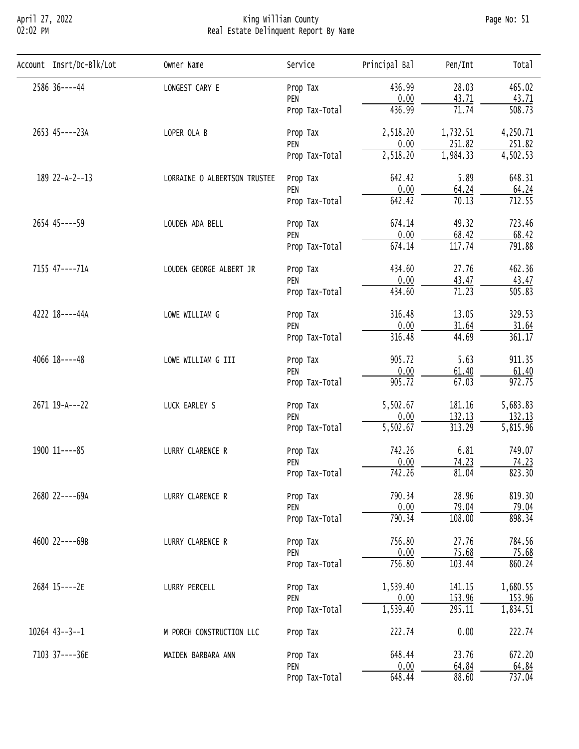## April 27, 2022 King William County Page No: 51 02:02 PM Real Estate Delinquent Report By Name

| Account Insrt/Dc-Blk/Lot | Owner Name                   | Service                                                                                                                                                                                                                                                                                                                                                                                                                                                                     | Principal Bal                                            | Pen/Int                                                                                                                                                                                                                                                                                                                                                                                                                                                                                                                                                                                                                                                          | Total               |
|--------------------------|------------------------------|-----------------------------------------------------------------------------------------------------------------------------------------------------------------------------------------------------------------------------------------------------------------------------------------------------------------------------------------------------------------------------------------------------------------------------------------------------------------------------|----------------------------------------------------------|------------------------------------------------------------------------------------------------------------------------------------------------------------------------------------------------------------------------------------------------------------------------------------------------------------------------------------------------------------------------------------------------------------------------------------------------------------------------------------------------------------------------------------------------------------------------------------------------------------------------------------------------------------------|---------------------|
| 2586 36----44            | LONGEST CARY E               | Prop Tax                                                                                                                                                                                                                                                                                                                                                                                                                                                                    | 436.99                                                   | 28.03                                                                                                                                                                                                                                                                                                                                                                                                                                                                                                                                                                                                                                                            | 465.02              |
|                          |                              | PEN                                                                                                                                                                                                                                                                                                                                                                                                                                                                         | 0.00                                                     | 43.71                                                                                                                                                                                                                                                                                                                                                                                                                                                                                                                                                                                                                                                            | 43.71               |
|                          |                              | Prop Tax-Total                                                                                                                                                                                                                                                                                                                                                                                                                                                              |                                                          |                                                                                                                                                                                                                                                                                                                                                                                                                                                                                                                                                                                                                                                                  | $\overline{508.73}$ |
| 2653 45----23A           | LOPER OLA B                  | Prop Tax                                                                                                                                                                                                                                                                                                                                                                                                                                                                    | 2,518.20                                                 | 71.74<br>436.99<br>1,732.51<br>0.00<br>251.82<br>1,984.33<br>642.42<br>5.89<br>0.00<br>64.24<br>$\overline{70.13}$<br>642.42<br>674.14<br>49.32<br>0.00<br>68.42<br>117.74<br>674.14<br>27.76<br>434.60<br>0.00<br>43.47<br>71.23<br>434.60<br>316.48<br>13.05<br>0.00<br>31.64<br>316.48<br>44.69<br>5.63<br>905.72<br>0.00<br>61.40<br>905.72<br>67.03<br>181.16<br>0.00<br>132.13<br>313.29<br>742.26<br>6.81<br>0.00<br>74.23<br>742.26<br>81.04<br>28.96<br>790.34<br>0.00<br>79.04<br>790.34<br>108.00<br>756.80<br>27.76<br>0.00<br>75.68<br>756.80<br>103.44<br>141.15<br>0.00<br>153.96<br>295.11<br>0.00<br>222.74<br>648.44<br>23.76<br>0.00<br>64.84 | 4,250.71            |
|                          |                              |                                                                                                                                                                                                                                                                                                                                                                                                                                                                             |                                                          |                                                                                                                                                                                                                                                                                                                                                                                                                                                                                                                                                                                                                                                                  | 251.82              |
|                          |                              |                                                                                                                                                                                                                                                                                                                                                                                                                                                                             | 2,518.20<br>5,502.67<br>5,502.67<br>1,539.40<br>1,539.40 | $\overline{4,502.53}$                                                                                                                                                                                                                                                                                                                                                                                                                                                                                                                                                                                                                                            |                     |
| 189 22-A-2--13           | LORRAINE O ALBERTSON TRUSTEE | PEN<br>Prop Tax-Total<br>Prop Tax<br>PEN<br>Prop Tax-Total<br>Prop Tax<br>PEN<br>Prop Tax-Total<br>Prop Tax<br>PEN<br>Prop Tax-Total<br>Prop Tax<br>PEN<br>Prop Tax-Total<br>Prop Tax<br>PEN<br>Prop Tax-Total<br>Prop Tax<br>PEN<br>Prop Tax-Total<br>Prop Tax<br>PEN<br>Prop Tax-Total<br>Prop Tax<br>PEN<br>Prop Tax-Total<br>Prop Tax<br>PEN<br>Prop Tax-Total<br>Prop Tax<br>PEN<br>Prop Tax-Total<br>Prop Tax<br>Prop Tax<br>PEN<br>648.44<br>88.60<br>Prop Tax-Total | 648.31                                                   |                                                                                                                                                                                                                                                                                                                                                                                                                                                                                                                                                                                                                                                                  |                     |
|                          |                              |                                                                                                                                                                                                                                                                                                                                                                                                                                                                             |                                                          |                                                                                                                                                                                                                                                                                                                                                                                                                                                                                                                                                                                                                                                                  | 64.24               |
|                          |                              |                                                                                                                                                                                                                                                                                                                                                                                                                                                                             |                                                          |                                                                                                                                                                                                                                                                                                                                                                                                                                                                                                                                                                                                                                                                  | 712.55              |
| 2654 45----59            | LOUDEN ADA BELL              |                                                                                                                                                                                                                                                                                                                                                                                                                                                                             |                                                          |                                                                                                                                                                                                                                                                                                                                                                                                                                                                                                                                                                                                                                                                  | 723.46              |
|                          |                              |                                                                                                                                                                                                                                                                                                                                                                                                                                                                             |                                                          | 68.42                                                                                                                                                                                                                                                                                                                                                                                                                                                                                                                                                                                                                                                            |                     |
|                          |                              | 791.88                                                                                                                                                                                                                                                                                                                                                                                                                                                                      |                                                          |                                                                                                                                                                                                                                                                                                                                                                                                                                                                                                                                                                                                                                                                  |                     |
| 7155 47----71A           | LOUDEN GEORGE ALBERT JR      |                                                                                                                                                                                                                                                                                                                                                                                                                                                                             |                                                          | 462.36                                                                                                                                                                                                                                                                                                                                                                                                                                                                                                                                                                                                                                                           |                     |
|                          |                              |                                                                                                                                                                                                                                                                                                                                                                                                                                                                             |                                                          |                                                                                                                                                                                                                                                                                                                                                                                                                                                                                                                                                                                                                                                                  | 43.47               |
|                          |                              |                                                                                                                                                                                                                                                                                                                                                                                                                                                                             |                                                          |                                                                                                                                                                                                                                                                                                                                                                                                                                                                                                                                                                                                                                                                  | 505.83              |
| 4222 18----44A           | LOWE WILLIAM G               |                                                                                                                                                                                                                                                                                                                                                                                                                                                                             |                                                          |                                                                                                                                                                                                                                                                                                                                                                                                                                                                                                                                                                                                                                                                  | 329.53              |
|                          |                              |                                                                                                                                                                                                                                                                                                                                                                                                                                                                             |                                                          |                                                                                                                                                                                                                                                                                                                                                                                                                                                                                                                                                                                                                                                                  | 31.64               |
|                          |                              |                                                                                                                                                                                                                                                                                                                                                                                                                                                                             |                                                          |                                                                                                                                                                                                                                                                                                                                                                                                                                                                                                                                                                                                                                                                  | 361.17              |
| $4066$ $18---48$         | LOWE WILLIAM G III           |                                                                                                                                                                                                                                                                                                                                                                                                                                                                             |                                                          |                                                                                                                                                                                                                                                                                                                                                                                                                                                                                                                                                                                                                                                                  | 911.35              |
|                          |                              |                                                                                                                                                                                                                                                                                                                                                                                                                                                                             |                                                          |                                                                                                                                                                                                                                                                                                                                                                                                                                                                                                                                                                                                                                                                  | 61.40               |
|                          |                              |                                                                                                                                                                                                                                                                                                                                                                                                                                                                             |                                                          |                                                                                                                                                                                                                                                                                                                                                                                                                                                                                                                                                                                                                                                                  | 972.75              |
| 2671 19-A---22           | LUCK EARLEY S                | 5,683.83                                                                                                                                                                                                                                                                                                                                                                                                                                                                    |                                                          |                                                                                                                                                                                                                                                                                                                                                                                                                                                                                                                                                                                                                                                                  |                     |
|                          |                              |                                                                                                                                                                                                                                                                                                                                                                                                                                                                             |                                                          |                                                                                                                                                                                                                                                                                                                                                                                                                                                                                                                                                                                                                                                                  | 132.13              |
|                          |                              |                                                                                                                                                                                                                                                                                                                                                                                                                                                                             |                                                          |                                                                                                                                                                                                                                                                                                                                                                                                                                                                                                                                                                                                                                                                  | 5,815.96            |
| 1900 11 ---- 85          | LURRY CLARENCE R             |                                                                                                                                                                                                                                                                                                                                                                                                                                                                             |                                                          | 749.07                                                                                                                                                                                                                                                                                                                                                                                                                                                                                                                                                                                                                                                           |                     |
|                          |                              |                                                                                                                                                                                                                                                                                                                                                                                                                                                                             |                                                          |                                                                                                                                                                                                                                                                                                                                                                                                                                                                                                                                                                                                                                                                  | 74.23               |
|                          |                              |                                                                                                                                                                                                                                                                                                                                                                                                                                                                             |                                                          |                                                                                                                                                                                                                                                                                                                                                                                                                                                                                                                                                                                                                                                                  | 823.30              |
| 2680 22----69A           | LURRY CLARENCE R             |                                                                                                                                                                                                                                                                                                                                                                                                                                                                             |                                                          |                                                                                                                                                                                                                                                                                                                                                                                                                                                                                                                                                                                                                                                                  | 819.30              |
|                          |                              |                                                                                                                                                                                                                                                                                                                                                                                                                                                                             |                                                          |                                                                                                                                                                                                                                                                                                                                                                                                                                                                                                                                                                                                                                                                  | 79.04               |
|                          |                              |                                                                                                                                                                                                                                                                                                                                                                                                                                                                             |                                                          |                                                                                                                                                                                                                                                                                                                                                                                                                                                                                                                                                                                                                                                                  | 898.34              |
| 4600 22----69B           | LURRY CLARENCE R             |                                                                                                                                                                                                                                                                                                                                                                                                                                                                             |                                                          |                                                                                                                                                                                                                                                                                                                                                                                                                                                                                                                                                                                                                                                                  | 784.56              |
|                          |                              |                                                                                                                                                                                                                                                                                                                                                                                                                                                                             |                                                          |                                                                                                                                                                                                                                                                                                                                                                                                                                                                                                                                                                                                                                                                  | 75.68               |
|                          |                              |                                                                                                                                                                                                                                                                                                                                                                                                                                                                             |                                                          |                                                                                                                                                                                                                                                                                                                                                                                                                                                                                                                                                                                                                                                                  | 860.24              |
| 2684 15----2E            | LURRY PERCELL                |                                                                                                                                                                                                                                                                                                                                                                                                                                                                             |                                                          |                                                                                                                                                                                                                                                                                                                                                                                                                                                                                                                                                                                                                                                                  | 1,680.55            |
|                          |                              |                                                                                                                                                                                                                                                                                                                                                                                                                                                                             |                                                          |                                                                                                                                                                                                                                                                                                                                                                                                                                                                                                                                                                                                                                                                  | 153.96              |
|                          |                              |                                                                                                                                                                                                                                                                                                                                                                                                                                                                             |                                                          |                                                                                                                                                                                                                                                                                                                                                                                                                                                                                                                                                                                                                                                                  | 1,834.51            |
| $10264$ $43--3--1$       | M PORCH CONSTRUCTION LLC     |                                                                                                                                                                                                                                                                                                                                                                                                                                                                             |                                                          |                                                                                                                                                                                                                                                                                                                                                                                                                                                                                                                                                                                                                                                                  | 222.74              |
| 7103 37----36E           | MAIDEN BARBARA ANN           |                                                                                                                                                                                                                                                                                                                                                                                                                                                                             |                                                          |                                                                                                                                                                                                                                                                                                                                                                                                                                                                                                                                                                                                                                                                  | 672.20              |
|                          |                              |                                                                                                                                                                                                                                                                                                                                                                                                                                                                             |                                                          |                                                                                                                                                                                                                                                                                                                                                                                                                                                                                                                                                                                                                                                                  | 64.84               |
|                          |                              |                                                                                                                                                                                                                                                                                                                                                                                                                                                                             |                                                          |                                                                                                                                                                                                                                                                                                                                                                                                                                                                                                                                                                                                                                                                  | 737.04              |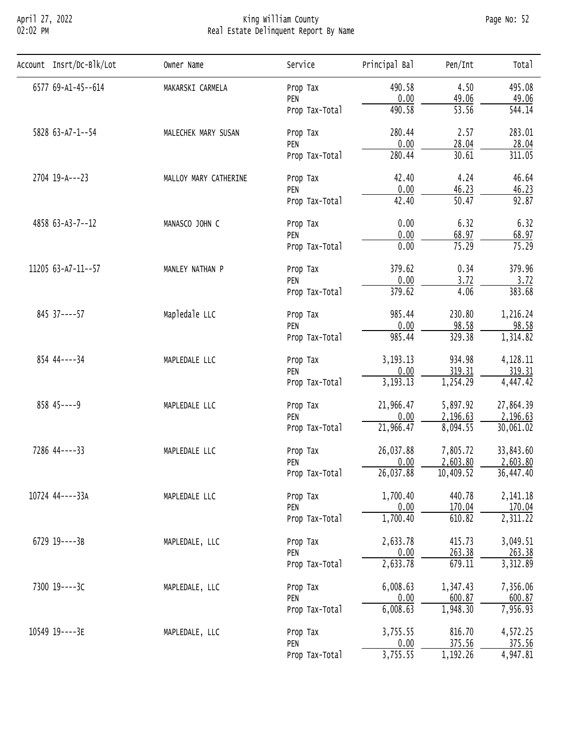## April 27, 2022 King William County Page No: 52 02:02 PM Real Estate Delinquent Report By Name

| Account Insrt/Dc-Blk/Lot | Owner Name                                                                                                                                                                                                                                                                                                                                                                                                                                                                                                                                                                                                                                                                  | Service        | Principal Bal        | Pen/Int                                                                                                                                                                                                                                                                                                                                                                                                                                                                                                                                                                                                                                                                                                                                                      | Tota <sub>1</sub> |
|--------------------------|-----------------------------------------------------------------------------------------------------------------------------------------------------------------------------------------------------------------------------------------------------------------------------------------------------------------------------------------------------------------------------------------------------------------------------------------------------------------------------------------------------------------------------------------------------------------------------------------------------------------------------------------------------------------------------|----------------|----------------------|--------------------------------------------------------------------------------------------------------------------------------------------------------------------------------------------------------------------------------------------------------------------------------------------------------------------------------------------------------------------------------------------------------------------------------------------------------------------------------------------------------------------------------------------------------------------------------------------------------------------------------------------------------------------------------------------------------------------------------------------------------------|-------------------|
| 6577 69-A1-45--614       | MAKARSKI CARMELA                                                                                                                                                                                                                                                                                                                                                                                                                                                                                                                                                                                                                                                            |                | 490.58               | 4.50                                                                                                                                                                                                                                                                                                                                                                                                                                                                                                                                                                                                                                                                                                                                                         | 495.08            |
|                          |                                                                                                                                                                                                                                                                                                                                                                                                                                                                                                                                                                                                                                                                             | PEN            | 0.00                 | 49.06                                                                                                                                                                                                                                                                                                                                                                                                                                                                                                                                                                                                                                                                                                                                                        | 49.06             |
|                          |                                                                                                                                                                                                                                                                                                                                                                                                                                                                                                                                                                                                                                                                             | Prop Tax-Total |                      | $\overline{53.56}$<br>490.58<br>280.44<br>2.57<br>0.00<br>28.04<br>30.61<br>280.44<br>42.40<br>4.24<br>0.00<br>46.23<br>50.47<br>42.40<br>0.00<br>6.32<br>0.00<br>68.97<br>0.00<br>75.29<br>379.62<br>0.34<br>0.00<br>3.72<br>379.62<br>4.06<br>985.44<br>230.80<br>0.00<br>98.58<br>329.38<br>985.44<br>3, 193. 13<br>934.98<br>0.00<br>319.31<br>3, 193. 13<br>1,254.29<br>21,966.47<br>5,897.92<br>0.00<br>2,196.63<br>21,966.47<br>8,094.55<br>26,037.88<br>7,805.72<br>0.00<br>2,603.80<br>26,037.88<br>10,409.52<br>1,700.40<br>440.78<br>0.00<br>170.04<br>610.82<br>1,700.40<br>2,633.78<br>415.73<br>0.00<br>263.38<br>2,633.78<br>679.11<br>6,008.63<br>1,347.43<br>0.00<br>600.87<br>1,948.30<br>6,008.63<br>3,755.55<br>816.70<br>0.00<br>375.56 | 544.14            |
| 5828 63-A7-1--54         | Prop Tax<br>MALECHEK MARY SUSAN<br>Prop Tax<br>PEN<br>Prop Tax-Total<br>MALLOY MARY CATHERINE<br>Prop Tax<br>PEN<br>Prop Tax-Total<br>MANASCO JOHN C<br>Prop Tax<br>PEN<br>Prop Tax-Total<br>MANLEY NATHAN P<br>Prop Tax<br>PEN<br>Prop Tax-Total<br>Mapledale LLC<br>Prop Tax<br>PEN<br>Prop Tax-Total<br>MAPLEDALE LLC<br>Prop Tax<br>PEN<br>Prop Tax-Total<br>MAPLEDALE LLC<br>Prop Tax<br>PEN<br>Prop Tax-Total<br>MAPLEDALE LLC<br>Prop Tax<br>PEN<br>Prop Tax-Total<br>MAPLEDALE LLC<br>Prop Tax<br>PEN<br>Prop Tax-Total<br>MAPLEDALE, LLC<br>Prop Tax<br>PEN<br>Prop Tax-Total<br>MAPLEDALE, LLC<br>Prop Tax<br>PEN<br>Prop Tax-Total<br>MAPLEDALE, LLC<br>Prop Tax | 283.01         |                      |                                                                                                                                                                                                                                                                                                                                                                                                                                                                                                                                                                                                                                                                                                                                                              |                   |
|                          |                                                                                                                                                                                                                                                                                                                                                                                                                                                                                                                                                                                                                                                                             | 28.04          |                      |                                                                                                                                                                                                                                                                                                                                                                                                                                                                                                                                                                                                                                                                                                                                                              |                   |
|                          |                                                                                                                                                                                                                                                                                                                                                                                                                                                                                                                                                                                                                                                                             |                |                      |                                                                                                                                                                                                                                                                                                                                                                                                                                                                                                                                                                                                                                                                                                                                                              | 311.05            |
| 2704 19-A---23           |                                                                                                                                                                                                                                                                                                                                                                                                                                                                                                                                                                                                                                                                             | 46.64          |                      |                                                                                                                                                                                                                                                                                                                                                                                                                                                                                                                                                                                                                                                                                                                                                              |                   |
|                          |                                                                                                                                                                                                                                                                                                                                                                                                                                                                                                                                                                                                                                                                             |                | 3,755.55<br>1,192.26 | 46.23                                                                                                                                                                                                                                                                                                                                                                                                                                                                                                                                                                                                                                                                                                                                                        |                   |
|                          |                                                                                                                                                                                                                                                                                                                                                                                                                                                                                                                                                                                                                                                                             |                |                      |                                                                                                                                                                                                                                                                                                                                                                                                                                                                                                                                                                                                                                                                                                                                                              | 92.87             |
| 4858 63-A3-7--12         | 6.32                                                                                                                                                                                                                                                                                                                                                                                                                                                                                                                                                                                                                                                                        |                |                      |                                                                                                                                                                                                                                                                                                                                                                                                                                                                                                                                                                                                                                                                                                                                                              |                   |
|                          |                                                                                                                                                                                                                                                                                                                                                                                                                                                                                                                                                                                                                                                                             |                |                      |                                                                                                                                                                                                                                                                                                                                                                                                                                                                                                                                                                                                                                                                                                                                                              | 68.97             |
|                          |                                                                                                                                                                                                                                                                                                                                                                                                                                                                                                                                                                                                                                                                             |                | 75.29                |                                                                                                                                                                                                                                                                                                                                                                                                                                                                                                                                                                                                                                                                                                                                                              |                   |
| 11205 63-A7-11--57       | PEN                                                                                                                                                                                                                                                                                                                                                                                                                                                                                                                                                                                                                                                                         | 379.96         |                      |                                                                                                                                                                                                                                                                                                                                                                                                                                                                                                                                                                                                                                                                                                                                                              |                   |
|                          |                                                                                                                                                                                                                                                                                                                                                                                                                                                                                                                                                                                                                                                                             |                |                      |                                                                                                                                                                                                                                                                                                                                                                                                                                                                                                                                                                                                                                                                                                                                                              | 3.72              |
|                          |                                                                                                                                                                                                                                                                                                                                                                                                                                                                                                                                                                                                                                                                             |                |                      | 383.68                                                                                                                                                                                                                                                                                                                                                                                                                                                                                                                                                                                                                                                                                                                                                       |                   |
| 845 37 ---- 57           | Prop Tax-Total                                                                                                                                                                                                                                                                                                                                                                                                                                                                                                                                                                                                                                                              | 1,216.24       |                      |                                                                                                                                                                                                                                                                                                                                                                                                                                                                                                                                                                                                                                                                                                                                                              |                   |
|                          |                                                                                                                                                                                                                                                                                                                                                                                                                                                                                                                                                                                                                                                                             | 98.58          |                      |                                                                                                                                                                                                                                                                                                                                                                                                                                                                                                                                                                                                                                                                                                                                                              |                   |
|                          |                                                                                                                                                                                                                                                                                                                                                                                                                                                                                                                                                                                                                                                                             | 1,314.82       |                      |                                                                                                                                                                                                                                                                                                                                                                                                                                                                                                                                                                                                                                                                                                                                                              |                   |
| 854 44 ---- 34           |                                                                                                                                                                                                                                                                                                                                                                                                                                                                                                                                                                                                                                                                             |                |                      |                                                                                                                                                                                                                                                                                                                                                                                                                                                                                                                                                                                                                                                                                                                                                              | 4,128.11          |
|                          |                                                                                                                                                                                                                                                                                                                                                                                                                                                                                                                                                                                                                                                                             |                |                      |                                                                                                                                                                                                                                                                                                                                                                                                                                                                                                                                                                                                                                                                                                                                                              | 319.31            |
|                          |                                                                                                                                                                                                                                                                                                                                                                                                                                                                                                                                                                                                                                                                             |                |                      |                                                                                                                                                                                                                                                                                                                                                                                                                                                                                                                                                                                                                                                                                                                                                              | 4,447.42          |
| $858$ 45----9            |                                                                                                                                                                                                                                                                                                                                                                                                                                                                                                                                                                                                                                                                             | 27,864.39      |                      |                                                                                                                                                                                                                                                                                                                                                                                                                                                                                                                                                                                                                                                                                                                                                              |                   |
|                          |                                                                                                                                                                                                                                                                                                                                                                                                                                                                                                                                                                                                                                                                             |                |                      | 2,196.63                                                                                                                                                                                                                                                                                                                                                                                                                                                                                                                                                                                                                                                                                                                                                     |                   |
|                          |                                                                                                                                                                                                                                                                                                                                                                                                                                                                                                                                                                                                                                                                             |                |                      | 30,061.02                                                                                                                                                                                                                                                                                                                                                                                                                                                                                                                                                                                                                                                                                                                                                    |                   |
| 7286 44----33            |                                                                                                                                                                                                                                                                                                                                                                                                                                                                                                                                                                                                                                                                             |                |                      | 33,843.60                                                                                                                                                                                                                                                                                                                                                                                                                                                                                                                                                                                                                                                                                                                                                    |                   |
|                          |                                                                                                                                                                                                                                                                                                                                                                                                                                                                                                                                                                                                                                                                             |                |                      |                                                                                                                                                                                                                                                                                                                                                                                                                                                                                                                                                                                                                                                                                                                                                              | 2,603.80          |
|                          |                                                                                                                                                                                                                                                                                                                                                                                                                                                                                                                                                                                                                                                                             |                |                      |                                                                                                                                                                                                                                                                                                                                                                                                                                                                                                                                                                                                                                                                                                                                                              | 36,447.40         |
| 10724 44----33A          |                                                                                                                                                                                                                                                                                                                                                                                                                                                                                                                                                                                                                                                                             |                |                      |                                                                                                                                                                                                                                                                                                                                                                                                                                                                                                                                                                                                                                                                                                                                                              | 2,141.18          |
|                          |                                                                                                                                                                                                                                                                                                                                                                                                                                                                                                                                                                                                                                                                             |                |                      |                                                                                                                                                                                                                                                                                                                                                                                                                                                                                                                                                                                                                                                                                                                                                              | 170.04            |
|                          |                                                                                                                                                                                                                                                                                                                                                                                                                                                                                                                                                                                                                                                                             |                |                      | 2,311.22                                                                                                                                                                                                                                                                                                                                                                                                                                                                                                                                                                                                                                                                                                                                                     |                   |
| $6729$ $19---3B$         |                                                                                                                                                                                                                                                                                                                                                                                                                                                                                                                                                                                                                                                                             |                |                      |                                                                                                                                                                                                                                                                                                                                                                                                                                                                                                                                                                                                                                                                                                                                                              | 3,049.51          |
|                          |                                                                                                                                                                                                                                                                                                                                                                                                                                                                                                                                                                                                                                                                             |                |                      |                                                                                                                                                                                                                                                                                                                                                                                                                                                                                                                                                                                                                                                                                                                                                              | 263.38            |
|                          |                                                                                                                                                                                                                                                                                                                                                                                                                                                                                                                                                                                                                                                                             |                |                      |                                                                                                                                                                                                                                                                                                                                                                                                                                                                                                                                                                                                                                                                                                                                                              | 3,312.89          |
| 7300 19----3C            |                                                                                                                                                                                                                                                                                                                                                                                                                                                                                                                                                                                                                                                                             |                |                      |                                                                                                                                                                                                                                                                                                                                                                                                                                                                                                                                                                                                                                                                                                                                                              | 7,356.06          |
|                          |                                                                                                                                                                                                                                                                                                                                                                                                                                                                                                                                                                                                                                                                             |                |                      |                                                                                                                                                                                                                                                                                                                                                                                                                                                                                                                                                                                                                                                                                                                                                              | 600.87            |
|                          |                                                                                                                                                                                                                                                                                                                                                                                                                                                                                                                                                                                                                                                                             |                |                      |                                                                                                                                                                                                                                                                                                                                                                                                                                                                                                                                                                                                                                                                                                                                                              | 7,956.93          |
| 10549 19----3E           |                                                                                                                                                                                                                                                                                                                                                                                                                                                                                                                                                                                                                                                                             |                |                      |                                                                                                                                                                                                                                                                                                                                                                                                                                                                                                                                                                                                                                                                                                                                                              | 4,572.25          |
|                          |                                                                                                                                                                                                                                                                                                                                                                                                                                                                                                                                                                                                                                                                             |                |                      |                                                                                                                                                                                                                                                                                                                                                                                                                                                                                                                                                                                                                                                                                                                                                              | 375.56            |
|                          |                                                                                                                                                                                                                                                                                                                                                                                                                                                                                                                                                                                                                                                                             |                |                      |                                                                                                                                                                                                                                                                                                                                                                                                                                                                                                                                                                                                                                                                                                                                                              | 4,947.81          |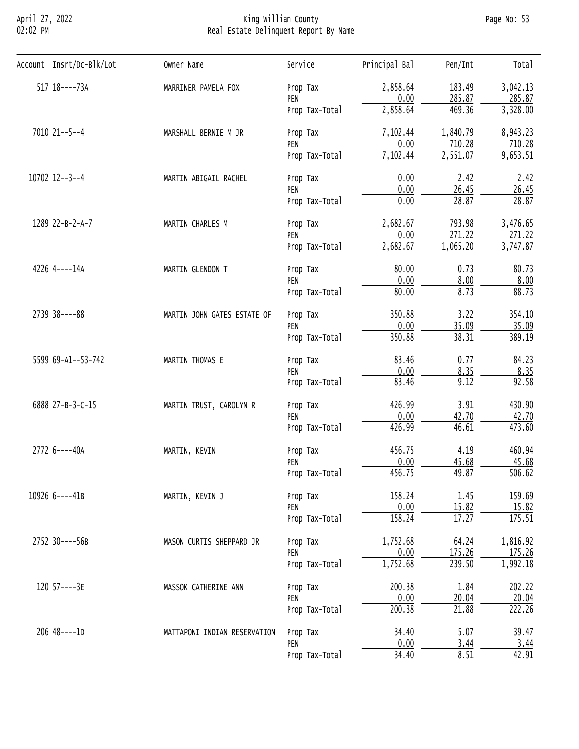## April 27, 2022 King William County Page No: 53 02:02 PM Real Estate Delinquent Report By Name

| Account Insrt/Dc-Blk/Lot | Owner Name                                                                                                           | Service                                                                                                                                                                                                                                                                                                                                                                                                                                                                                                                                                                                                                                                                                                                                                                                                                                                                                                                                                                                                                                         | Principal Bal                 | Pen/Int  | Total    |
|--------------------------|----------------------------------------------------------------------------------------------------------------------|-------------------------------------------------------------------------------------------------------------------------------------------------------------------------------------------------------------------------------------------------------------------------------------------------------------------------------------------------------------------------------------------------------------------------------------------------------------------------------------------------------------------------------------------------------------------------------------------------------------------------------------------------------------------------------------------------------------------------------------------------------------------------------------------------------------------------------------------------------------------------------------------------------------------------------------------------------------------------------------------------------------------------------------------------|-------------------------------|----------|----------|
| $517$ $18$ ----73A       | MARRINER PAMELA FOX                                                                                                  | Prop Tax                                                                                                                                                                                                                                                                                                                                                                                                                                                                                                                                                                                                                                                                                                                                                                                                                                                                                                                                                                                                                                        | 2,858.64                      | 183.49   | 3,042.13 |
|                          |                                                                                                                      | PEN                                                                                                                                                                                                                                                                                                                                                                                                                                                                                                                                                                                                                                                                                                                                                                                                                                                                                                                                                                                                                                             | 0.00                          | 285.87   | 285.87   |
|                          |                                                                                                                      | Prop Tax-Total                                                                                                                                                                                                                                                                                                                                                                                                                                                                                                                                                                                                                                                                                                                                                                                                                                                                                                                                                                                                                                  | 2,858.64                      | 469.36   | 3,328.00 |
| 7010 21 -- 5 -- 4        | MARSHALL BERNIE M JR                                                                                                 | Prop Tax                                                                                                                                                                                                                                                                                                                                                                                                                                                                                                                                                                                                                                                                                                                                                                                                                                                                                                                                                                                                                                        | 7,102.44                      | 1,840.79 | 8,943.23 |
|                          |                                                                                                                      |                                                                                                                                                                                                                                                                                                                                                                                                                                                                                                                                                                                                                                                                                                                                                                                                                                                                                                                                                                                                                                                 |                               |          | 710.28   |
|                          |                                                                                                                      | 0.00<br>710.28<br>PEN<br>7,102.44<br>2,551.07<br>Prop Tax-Total<br>0.00<br>2.42<br>Prop Tax<br>0.00<br>26.45<br>PEN<br>28.87<br>0.00<br>Prop Tax-Total<br>2,682.67<br>793.98<br>Prop Tax<br>271.22<br>0.00<br>PEN<br>2,682.67<br>1,065.20<br>Prop Tax-Total<br>80.00<br>0.73<br>Prop Tax<br>0.00<br>8.00<br>PEN<br>80.00<br>8.73<br>Prop Tax-Total<br>350.88<br>3.22<br>Prop Tax<br>0.00<br>35.09<br>PEN<br>350.88<br>38.31<br>Prop Tax-Total<br>83.46<br>0.77<br>Prop Tax<br>0.00<br>8.35<br>PEN<br>83.46<br>9.12<br>Prop Tax-Total<br>426.99<br>3.91<br>Prop Tax<br>0.00<br>42.70<br>PEN<br>426.99<br>46.61<br>Prop Tax-Total<br>4.19<br>456.75<br>Prop Tax<br>0.00<br>45.68<br>PEN<br>456.75<br>49.87<br>Prop Tax-Total<br>1.45<br>158.24<br>Prop Tax<br>0.00<br>15.82<br>PEN<br>158.24<br>17.27<br>Prop Tax-Total<br>1,752.68<br>64.24<br>Prop Tax<br>0.00<br>175.26<br>PEN<br>1,752.68<br>239.50<br>Prop Tax-Total<br>200.38<br>1.84<br>Prop Tax<br>0.00<br>20.04<br>PEN<br>200.38<br>21.88<br>Prop Tax-Total<br>34.40<br>5.07<br>Prop Tax | 9,653.51                      |          |          |
| $10702$ $12--3--4$       | MARTIN ABIGAIL RACHEL                                                                                                |                                                                                                                                                                                                                                                                                                                                                                                                                                                                                                                                                                                                                                                                                                                                                                                                                                                                                                                                                                                                                                                 |                               |          | 2.42     |
|                          |                                                                                                                      |                                                                                                                                                                                                                                                                                                                                                                                                                                                                                                                                                                                                                                                                                                                                                                                                                                                                                                                                                                                                                                                 |                               |          | 26.45    |
|                          |                                                                                                                      |                                                                                                                                                                                                                                                                                                                                                                                                                                                                                                                                                                                                                                                                                                                                                                                                                                                                                                                                                                                                                                                 | 28.87                         |          |          |
| 1289 22-B-2-A-7          | MARTIN CHARLES M<br>MARTIN GLENDON T<br>MARTIN JOHN GATES ESTATE OF<br>MARTIN THOMAS E<br>MARTIN TRUST, CAROLYN R    | 3,476.65                                                                                                                                                                                                                                                                                                                                                                                                                                                                                                                                                                                                                                                                                                                                                                                                                                                                                                                                                                                                                                        |                               |          |          |
|                          |                                                                                                                      |                                                                                                                                                                                                                                                                                                                                                                                                                                                                                                                                                                                                                                                                                                                                                                                                                                                                                                                                                                                                                                                 |                               |          | 271.22   |
|                          |                                                                                                                      |                                                                                                                                                                                                                                                                                                                                                                                                                                                                                                                                                                                                                                                                                                                                                                                                                                                                                                                                                                                                                                                 |                               |          | 3,747.87 |
| 4226 4----14A            |                                                                                                                      |                                                                                                                                                                                                                                                                                                                                                                                                                                                                                                                                                                                                                                                                                                                                                                                                                                                                                                                                                                                                                                                 | 0.00<br>3.44<br>34.40<br>8.51 | 80.73    |          |
|                          |                                                                                                                      |                                                                                                                                                                                                                                                                                                                                                                                                                                                                                                                                                                                                                                                                                                                                                                                                                                                                                                                                                                                                                                                 |                               |          | 8.00     |
|                          |                                                                                                                      |                                                                                                                                                                                                                                                                                                                                                                                                                                                                                                                                                                                                                                                                                                                                                                                                                                                                                                                                                                                                                                                 |                               | 88.73    |          |
| 2739 38----88            |                                                                                                                      | PEN<br>Prop Tax-Total                                                                                                                                                                                                                                                                                                                                                                                                                                                                                                                                                                                                                                                                                                                                                                                                                                                                                                                                                                                                                           | 354.10                        |          |          |
|                          | MARTIN, KEVIN<br>MARTIN, KEVIN J<br>MASON CURTIS SHEPPARD JR<br>MASSOK CATHERINE ANN<br>MATTAPONI INDIAN RESERVATION | 35.09                                                                                                                                                                                                                                                                                                                                                                                                                                                                                                                                                                                                                                                                                                                                                                                                                                                                                                                                                                                                                                           |                               |          |          |
|                          |                                                                                                                      |                                                                                                                                                                                                                                                                                                                                                                                                                                                                                                                                                                                                                                                                                                                                                                                                                                                                                                                                                                                                                                                 |                               |          | 389.19   |
| 5599 69-A1--53-742       |                                                                                                                      |                                                                                                                                                                                                                                                                                                                                                                                                                                                                                                                                                                                                                                                                                                                                                                                                                                                                                                                                                                                                                                                 |                               |          | 84.23    |
|                          |                                                                                                                      |                                                                                                                                                                                                                                                                                                                                                                                                                                                                                                                                                                                                                                                                                                                                                                                                                                                                                                                                                                                                                                                 |                               |          | 8.35     |
|                          |                                                                                                                      |                                                                                                                                                                                                                                                                                                                                                                                                                                                                                                                                                                                                                                                                                                                                                                                                                                                                                                                                                                                                                                                 |                               |          | 92.58    |
| 6888 27-B-3-C-15         |                                                                                                                      |                                                                                                                                                                                                                                                                                                                                                                                                                                                                                                                                                                                                                                                                                                                                                                                                                                                                                                                                                                                                                                                 |                               |          | 430.90   |
|                          |                                                                                                                      |                                                                                                                                                                                                                                                                                                                                                                                                                                                                                                                                                                                                                                                                                                                                                                                                                                                                                                                                                                                                                                                 |                               |          | 42.70    |
|                          |                                                                                                                      |                                                                                                                                                                                                                                                                                                                                                                                                                                                                                                                                                                                                                                                                                                                                                                                                                                                                                                                                                                                                                                                 |                               |          | 473.60   |
| 2772 6----40A            |                                                                                                                      |                                                                                                                                                                                                                                                                                                                                                                                                                                                                                                                                                                                                                                                                                                                                                                                                                                                                                                                                                                                                                                                 |                               |          | 460.94   |
|                          |                                                                                                                      |                                                                                                                                                                                                                                                                                                                                                                                                                                                                                                                                                                                                                                                                                                                                                                                                                                                                                                                                                                                                                                                 |                               |          | 45.68    |
|                          |                                                                                                                      |                                                                                                                                                                                                                                                                                                                                                                                                                                                                                                                                                                                                                                                                                                                                                                                                                                                                                                                                                                                                                                                 |                               |          | 506.62   |
| 10926 6----41B           |                                                                                                                      |                                                                                                                                                                                                                                                                                                                                                                                                                                                                                                                                                                                                                                                                                                                                                                                                                                                                                                                                                                                                                                                 |                               |          | 159.69   |
|                          |                                                                                                                      |                                                                                                                                                                                                                                                                                                                                                                                                                                                                                                                                                                                                                                                                                                                                                                                                                                                                                                                                                                                                                                                 |                               |          | 15.82    |
|                          |                                                                                                                      |                                                                                                                                                                                                                                                                                                                                                                                                                                                                                                                                                                                                                                                                                                                                                                                                                                                                                                                                                                                                                                                 |                               |          | 175.51   |
| 2752 30----56B           |                                                                                                                      |                                                                                                                                                                                                                                                                                                                                                                                                                                                                                                                                                                                                                                                                                                                                                                                                                                                                                                                                                                                                                                                 |                               |          | 1,816.92 |
|                          |                                                                                                                      |                                                                                                                                                                                                                                                                                                                                                                                                                                                                                                                                                                                                                                                                                                                                                                                                                                                                                                                                                                                                                                                 |                               |          | 175.26   |
|                          |                                                                                                                      |                                                                                                                                                                                                                                                                                                                                                                                                                                                                                                                                                                                                                                                                                                                                                                                                                                                                                                                                                                                                                                                 |                               |          | 1,992.18 |
| 120 57----3E             |                                                                                                                      |                                                                                                                                                                                                                                                                                                                                                                                                                                                                                                                                                                                                                                                                                                                                                                                                                                                                                                                                                                                                                                                 |                               |          | 202.22   |
|                          |                                                                                                                      |                                                                                                                                                                                                                                                                                                                                                                                                                                                                                                                                                                                                                                                                                                                                                                                                                                                                                                                                                                                                                                                 |                               |          | 20.04    |
|                          |                                                                                                                      |                                                                                                                                                                                                                                                                                                                                                                                                                                                                                                                                                                                                                                                                                                                                                                                                                                                                                                                                                                                                                                                 |                               |          | 222.26   |
| $206$ 48 ---- 1D         |                                                                                                                      |                                                                                                                                                                                                                                                                                                                                                                                                                                                                                                                                                                                                                                                                                                                                                                                                                                                                                                                                                                                                                                                 |                               |          | 39.47    |
|                          |                                                                                                                      |                                                                                                                                                                                                                                                                                                                                                                                                                                                                                                                                                                                                                                                                                                                                                                                                                                                                                                                                                                                                                                                 |                               |          | 3.44     |
|                          |                                                                                                                      |                                                                                                                                                                                                                                                                                                                                                                                                                                                                                                                                                                                                                                                                                                                                                                                                                                                                                                                                                                                                                                                 |                               |          | 42.91    |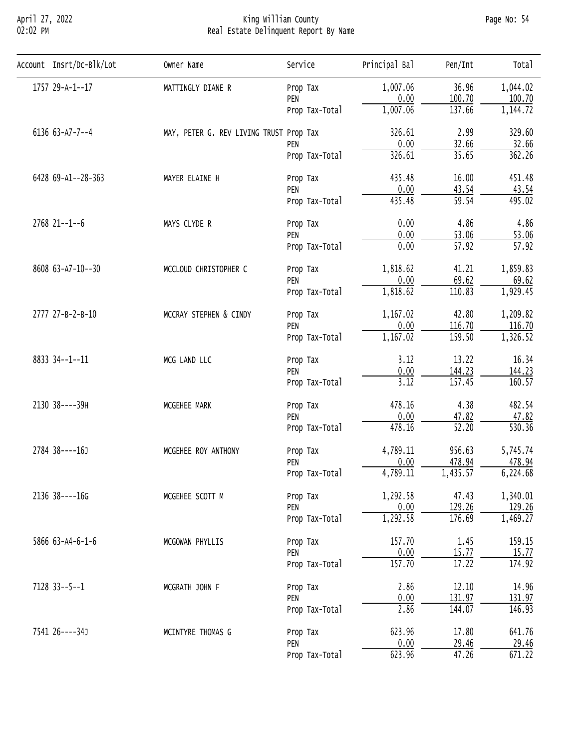# April 27, 2022 King William County Page No: 54 02:02 PM Real Estate Delinquent Report By Name

| Account Insrt/Dc-Blk/Lot | Owner Name                                                                                                                                                                                                                                                                                                                                                                                                                                                                                                                                                                                                                                                                                                                                                                                                                                                                                                                                                                                                                                                                                                                                                                                                                                                                                                                                                                                                                                                         | Service        | Principal Bal | Pen/Int  | Total    |
|--------------------------|--------------------------------------------------------------------------------------------------------------------------------------------------------------------------------------------------------------------------------------------------------------------------------------------------------------------------------------------------------------------------------------------------------------------------------------------------------------------------------------------------------------------------------------------------------------------------------------------------------------------------------------------------------------------------------------------------------------------------------------------------------------------------------------------------------------------------------------------------------------------------------------------------------------------------------------------------------------------------------------------------------------------------------------------------------------------------------------------------------------------------------------------------------------------------------------------------------------------------------------------------------------------------------------------------------------------------------------------------------------------------------------------------------------------------------------------------------------------|----------------|---------------|----------|----------|
| 1757 29-A-1--17          | MATTINGLY DIANE R                                                                                                                                                                                                                                                                                                                                                                                                                                                                                                                                                                                                                                                                                                                                                                                                                                                                                                                                                                                                                                                                                                                                                                                                                                                                                                                                                                                                                                                  | Prop Tax       | 1,007.06      | 36.96    | 1,044.02 |
|                          |                                                                                                                                                                                                                                                                                                                                                                                                                                                                                                                                                                                                                                                                                                                                                                                                                                                                                                                                                                                                                                                                                                                                                                                                                                                                                                                                                                                                                                                                    | PEN            |               |          | 100.70   |
|                          |                                                                                                                                                                                                                                                                                                                                                                                                                                                                                                                                                                                                                                                                                                                                                                                                                                                                                                                                                                                                                                                                                                                                                                                                                                                                                                                                                                                                                                                                    | Prop Tax-Total |               |          | 1,144.72 |
| 6136 63-A7-7--4          |                                                                                                                                                                                                                                                                                                                                                                                                                                                                                                                                                                                                                                                                                                                                                                                                                                                                                                                                                                                                                                                                                                                                                                                                                                                                                                                                                                                                                                                                    |                | 326.61        | 2.99     | 329.60   |
|                          | 0.00<br>100.70<br>1,007.06<br>137.66<br>MAY, PETER G. REV LIVING TRUST Prop Tax<br>0.00<br>32.66<br>PEN<br>35.65<br>326.61<br>Prop Tax-Total<br>435.48<br>16.00<br>MAYER ELAINE H<br>Prop Tax<br>0.00<br>43.54<br>PEN<br>435.48<br>59.54<br>Prop Tax-Total<br>0.00<br>4.86<br>MAYS CLYDE R<br>Prop Tax<br>0.00<br>53.06<br>PEN<br>$\overline{57.92}$<br>0.00<br>Prop Tax-Total<br>1,818.62<br>41.21<br>MCCLOUD CHRISTOPHER C<br>Prop Tax<br>0.00<br>69.62<br>PEN<br>1,818.62<br>110.83<br>Prop Tax-Total<br>MCCRAY STEPHEN & CINDY<br>42.80<br>1,167.02<br>Prop Tax<br>0.00<br>116.70<br>PEN<br>1,167.02<br>159.50<br>Prop Tax-Total<br>3.12<br>13.22<br>MCG LAND LLC<br>Prop Tax<br>0.00<br>144.23<br>PEN<br>3.12<br>157.45<br>Prop Tax-Total<br>478.16<br>4.38<br>MCGEHEE MARK<br>Prop Tax<br>0.00<br>47.82<br>PEN<br>$\overline{52.20}$<br>478.16<br>Prop Tax-Total<br>4,789.11<br>956.63<br>MCGEHEE ROY ANTHONY<br>Prop Tax<br>0.00<br>478.94<br>PEN<br>1,435.57<br>4,789.11<br>Prop Tax-Total<br>1,292.58<br>47.43<br>MCGEHEE SCOTT M<br>Prop Tax<br>129.26<br>0.00<br>PEN<br>1,292.58<br>176.69<br>Prop Tax-Total<br>157.70<br>1.45<br>MCGOWAN PHYLLIS<br>Prop Tax<br>0.00<br>15.77<br>PEN<br>157.70<br>17.22<br>Prop Tax-Total<br>2.86<br>12.10<br>MCGRATH JOHN F<br>Prop Tax<br>0.00<br>131.97<br>PEN<br>2.86<br>144.07<br>Prop Tax-Total<br>623.96<br>17.80<br>MCINTYRE THOMAS G<br>Prop Tax<br>0.00<br>29.46<br>PEN<br>623.96<br>47.26<br>Prop Tax-Total | 32.66          |               |          |          |
|                          |                                                                                                                                                                                                                                                                                                                                                                                                                                                                                                                                                                                                                                                                                                                                                                                                                                                                                                                                                                                                                                                                                                                                                                                                                                                                                                                                                                                                                                                                    | 362.26         |               |          |          |
| 6428 69-A1--28-363       |                                                                                                                                                                                                                                                                                                                                                                                                                                                                                                                                                                                                                                                                                                                                                                                                                                                                                                                                                                                                                                                                                                                                                                                                                                                                                                                                                                                                                                                                    |                |               | 451.48   |          |
|                          |                                                                                                                                                                                                                                                                                                                                                                                                                                                                                                                                                                                                                                                                                                                                                                                                                                                                                                                                                                                                                                                                                                                                                                                                                                                                                                                                                                                                                                                                    |                |               |          | 43.54    |
|                          |                                                                                                                                                                                                                                                                                                                                                                                                                                                                                                                                                                                                                                                                                                                                                                                                                                                                                                                                                                                                                                                                                                                                                                                                                                                                                                                                                                                                                                                                    |                | 495.02        |          |          |
| $2768$ $21--1--6$        |                                                                                                                                                                                                                                                                                                                                                                                                                                                                                                                                                                                                                                                                                                                                                                                                                                                                                                                                                                                                                                                                                                                                                                                                                                                                                                                                                                                                                                                                    |                |               |          | 4.86     |
|                          |                                                                                                                                                                                                                                                                                                                                                                                                                                                                                                                                                                                                                                                                                                                                                                                                                                                                                                                                                                                                                                                                                                                                                                                                                                                                                                                                                                                                                                                                    |                |               |          | 53.06    |
|                          |                                                                                                                                                                                                                                                                                                                                                                                                                                                                                                                                                                                                                                                                                                                                                                                                                                                                                                                                                                                                                                                                                                                                                                                                                                                                                                                                                                                                                                                                    |                |               |          | 57.92    |
| 8608 63-A7-10--30        |                                                                                                                                                                                                                                                                                                                                                                                                                                                                                                                                                                                                                                                                                                                                                                                                                                                                                                                                                                                                                                                                                                                                                                                                                                                                                                                                                                                                                                                                    |                |               | 1,859.83 |          |
|                          |                                                                                                                                                                                                                                                                                                                                                                                                                                                                                                                                                                                                                                                                                                                                                                                                                                                                                                                                                                                                                                                                                                                                                                                                                                                                                                                                                                                                                                                                    |                |               |          | 69.62    |
|                          |                                                                                                                                                                                                                                                                                                                                                                                                                                                                                                                                                                                                                                                                                                                                                                                                                                                                                                                                                                                                                                                                                                                                                                                                                                                                                                                                                                                                                                                                    |                |               | 1,929.45 |          |
| 2777 27-B-2-B-10         |                                                                                                                                                                                                                                                                                                                                                                                                                                                                                                                                                                                                                                                                                                                                                                                                                                                                                                                                                                                                                                                                                                                                                                                                                                                                                                                                                                                                                                                                    |                | 1,209.82      |          |          |
|                          |                                                                                                                                                                                                                                                                                                                                                                                                                                                                                                                                                                                                                                                                                                                                                                                                                                                                                                                                                                                                                                                                                                                                                                                                                                                                                                                                                                                                                                                                    |                |               |          | 116.70   |
|                          |                                                                                                                                                                                                                                                                                                                                                                                                                                                                                                                                                                                                                                                                                                                                                                                                                                                                                                                                                                                                                                                                                                                                                                                                                                                                                                                                                                                                                                                                    |                | 1,326.52      |          |          |
| 8833 34--1--11           |                                                                                                                                                                                                                                                                                                                                                                                                                                                                                                                                                                                                                                                                                                                                                                                                                                                                                                                                                                                                                                                                                                                                                                                                                                                                                                                                                                                                                                                                    |                |               |          | 16.34    |
|                          |                                                                                                                                                                                                                                                                                                                                                                                                                                                                                                                                                                                                                                                                                                                                                                                                                                                                                                                                                                                                                                                                                                                                                                                                                                                                                                                                                                                                                                                                    | 144.23         |               |          |          |
|                          |                                                                                                                                                                                                                                                                                                                                                                                                                                                                                                                                                                                                                                                                                                                                                                                                                                                                                                                                                                                                                                                                                                                                                                                                                                                                                                                                                                                                                                                                    |                |               |          | 160.57   |
| 2130 38----39H           |                                                                                                                                                                                                                                                                                                                                                                                                                                                                                                                                                                                                                                                                                                                                                                                                                                                                                                                                                                                                                                                                                                                                                                                                                                                                                                                                                                                                                                                                    |                |               |          | 482.54   |
|                          |                                                                                                                                                                                                                                                                                                                                                                                                                                                                                                                                                                                                                                                                                                                                                                                                                                                                                                                                                                                                                                                                                                                                                                                                                                                                                                                                                                                                                                                                    |                |               |          | 47.82    |
|                          |                                                                                                                                                                                                                                                                                                                                                                                                                                                                                                                                                                                                                                                                                                                                                                                                                                                                                                                                                                                                                                                                                                                                                                                                                                                                                                                                                                                                                                                                    |                |               |          | 530.36   |
| 2784 38----16J           |                                                                                                                                                                                                                                                                                                                                                                                                                                                                                                                                                                                                                                                                                                                                                                                                                                                                                                                                                                                                                                                                                                                                                                                                                                                                                                                                                                                                                                                                    |                |               |          | 5,745.74 |
|                          |                                                                                                                                                                                                                                                                                                                                                                                                                                                                                                                                                                                                                                                                                                                                                                                                                                                                                                                                                                                                                                                                                                                                                                                                                                                                                                                                                                                                                                                                    |                |               |          | 478.94   |
|                          |                                                                                                                                                                                                                                                                                                                                                                                                                                                                                                                                                                                                                                                                                                                                                                                                                                                                                                                                                                                                                                                                                                                                                                                                                                                                                                                                                                                                                                                                    |                |               |          | 6,224.68 |
| 2136 38----16G           |                                                                                                                                                                                                                                                                                                                                                                                                                                                                                                                                                                                                                                                                                                                                                                                                                                                                                                                                                                                                                                                                                                                                                                                                                                                                                                                                                                                                                                                                    |                |               |          | 1,340.01 |
|                          |                                                                                                                                                                                                                                                                                                                                                                                                                                                                                                                                                                                                                                                                                                                                                                                                                                                                                                                                                                                                                                                                                                                                                                                                                                                                                                                                                                                                                                                                    |                |               |          | 129.26   |
|                          |                                                                                                                                                                                                                                                                                                                                                                                                                                                                                                                                                                                                                                                                                                                                                                                                                                                                                                                                                                                                                                                                                                                                                                                                                                                                                                                                                                                                                                                                    |                |               |          | 1,469.27 |
| 5866 63-A4-6-1-6         |                                                                                                                                                                                                                                                                                                                                                                                                                                                                                                                                                                                                                                                                                                                                                                                                                                                                                                                                                                                                                                                                                                                                                                                                                                                                                                                                                                                                                                                                    |                |               |          | 159.15   |
|                          |                                                                                                                                                                                                                                                                                                                                                                                                                                                                                                                                                                                                                                                                                                                                                                                                                                                                                                                                                                                                                                                                                                                                                                                                                                                                                                                                                                                                                                                                    |                |               |          | 15.77    |
|                          |                                                                                                                                                                                                                                                                                                                                                                                                                                                                                                                                                                                                                                                                                                                                                                                                                                                                                                                                                                                                                                                                                                                                                                                                                                                                                                                                                                                                                                                                    |                |               |          | 174.92   |
| $7128$ 33--5--1          |                                                                                                                                                                                                                                                                                                                                                                                                                                                                                                                                                                                                                                                                                                                                                                                                                                                                                                                                                                                                                                                                                                                                                                                                                                                                                                                                                                                                                                                                    |                |               |          | 14.96    |
|                          |                                                                                                                                                                                                                                                                                                                                                                                                                                                                                                                                                                                                                                                                                                                                                                                                                                                                                                                                                                                                                                                                                                                                                                                                                                                                                                                                                                                                                                                                    | 131.97         |               |          |          |
|                          |                                                                                                                                                                                                                                                                                                                                                                                                                                                                                                                                                                                                                                                                                                                                                                                                                                                                                                                                                                                                                                                                                                                                                                                                                                                                                                                                                                                                                                                                    |                |               |          | 146.93   |
| 7541 26 ---- 34 J        |                                                                                                                                                                                                                                                                                                                                                                                                                                                                                                                                                                                                                                                                                                                                                                                                                                                                                                                                                                                                                                                                                                                                                                                                                                                                                                                                                                                                                                                                    |                |               |          | 641.76   |
|                          |                                                                                                                                                                                                                                                                                                                                                                                                                                                                                                                                                                                                                                                                                                                                                                                                                                                                                                                                                                                                                                                                                                                                                                                                                                                                                                                                                                                                                                                                    |                |               |          | 29.46    |
|                          |                                                                                                                                                                                                                                                                                                                                                                                                                                                                                                                                                                                                                                                                                                                                                                                                                                                                                                                                                                                                                                                                                                                                                                                                                                                                                                                                                                                                                                                                    |                |               |          | 671.22   |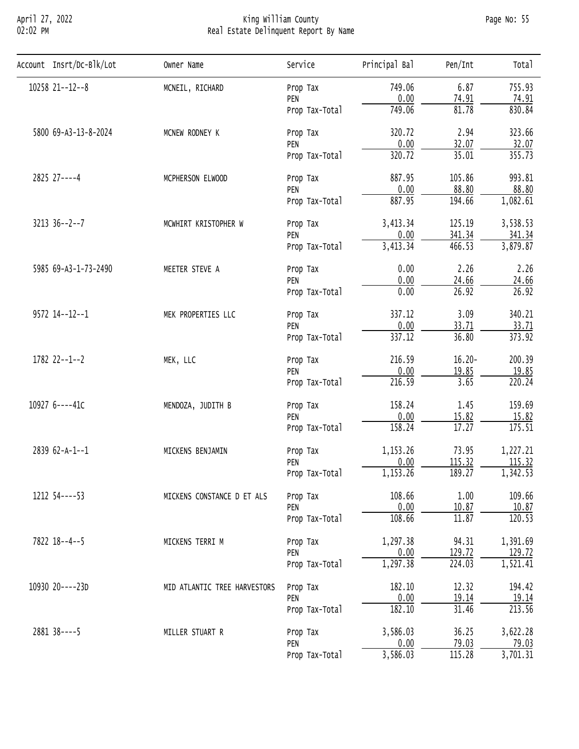## April 27, 2022 King William County Page No: 55 02:02 PM Real Estate Delinquent Report By Name

| Account Insrt/Dc-Blk/Lot | Owner Name                   | Service                                                                                                                                                                                                                                                                                                                                                                                                                                                                                                                                                                                                                                                    | Principal Bal           | Pen/Int                                                                                                                                                                                                                                                                                                                                                                                                                                                                   | Total    |
|--------------------------|------------------------------|------------------------------------------------------------------------------------------------------------------------------------------------------------------------------------------------------------------------------------------------------------------------------------------------------------------------------------------------------------------------------------------------------------------------------------------------------------------------------------------------------------------------------------------------------------------------------------------------------------------------------------------------------------|-------------------------|---------------------------------------------------------------------------------------------------------------------------------------------------------------------------------------------------------------------------------------------------------------------------------------------------------------------------------------------------------------------------------------------------------------------------------------------------------------------------|----------|
| 10258 21--12--8          | MCNEIL, RICHARD              | Prop Tax                                                                                                                                                                                                                                                                                                                                                                                                                                                                                                                                                                                                                                                   | 749.06                  | 6.87                                                                                                                                                                                                                                                                                                                                                                                                                                                                      | 755.93   |
|                          |                              | PEN                                                                                                                                                                                                                                                                                                                                                                                                                                                                                                                                                                                                                                                        |                         |                                                                                                                                                                                                                                                                                                                                                                                                                                                                           | 74.91    |
|                          |                              | Prop Tax-Total                                                                                                                                                                                                                                                                                                                                                                                                                                                                                                                                                                                                                                             |                         |                                                                                                                                                                                                                                                                                                                                                                                                                                                                           | 830.84   |
| 5800 69-A3-13-8-2024     | MCNEW RODNEY K               | Prop Tax                                                                                                                                                                                                                                                                                                                                                                                                                                                                                                                                                                                                                                                   | 320.72                  | 2.94                                                                                                                                                                                                                                                                                                                                                                                                                                                                      | 323.66   |
|                          |                              |                                                                                                                                                                                                                                                                                                                                                                                                                                                                                                                                                                                                                                                            |                         |                                                                                                                                                                                                                                                                                                                                                                                                                                                                           | 32.07    |
|                          |                              | Prop Tax-Total                                                                                                                                                                                                                                                                                                                                                                                                                                                                                                                                                                                                                                             |                         | 0.00<br>74.91<br>81.78<br>0.00<br>32.07<br>35.01<br>105.86<br>0.00<br>88.80<br>194.66<br>125.19<br>0.00<br>341.34<br>466.53<br>0.00<br>2.26<br>0.00<br>24.66<br>0.00<br>26.92<br>3.09<br>0.00<br>33.71<br>36.80<br>$16.20 -$<br>0.00<br>19.85<br>3.65<br>1.45<br>0.00<br>15.82<br>17.27<br>73.95<br>0.00<br>115.32<br>189.27<br>1.00<br>0.00<br>10.87<br>11.87<br>94.31<br>0.00<br>129.72<br>224.03<br>12.32<br>0.00<br>19.14<br>31.46<br>36.25<br><u>79.03</u><br>115.28 | 355.73   |
| 2825 27----4             | MCPHERSON ELWOOD             | 749.06<br>PEN<br>320.72<br>887.95<br>Prop Tax<br>PEN<br>887.95<br>Prop Tax-Total<br>3,413.34<br>Prop Tax<br>PEN<br>3,413.34<br>Prop Tax-Total<br>Prop Tax<br>PEN<br>Prop Tax-Total<br>337.12<br>Prop Tax<br>PEN<br>337.12<br>Prop Tax-Total<br>216.59<br>Prop Tax<br>PEN<br>216.59<br>Prop Tax-Total<br>158.24<br>Prop Tax<br>PEN<br>158.24<br>Prop Tax-Total<br>1,153.26<br>Prop Tax<br>PEN<br>1,153.26<br>Prop Tax-Total<br>108.66<br>Prop Tax<br>PEN<br>108.66<br>Prop Tax-Total<br>1,297.38<br>Prop Tax<br>PEN<br>1,297.38<br>Prop Tax-Total<br>182.10<br>Prop Tax<br>PEN<br>182.10<br>Prop Tax-Total<br>3,586.03<br>Prop Tax<br>PEN<br>Prop Tax-Total | 993.81                  |                                                                                                                                                                                                                                                                                                                                                                                                                                                                           |          |
|                          |                              |                                                                                                                                                                                                                                                                                                                                                                                                                                                                                                                                                                                                                                                            |                         |                                                                                                                                                                                                                                                                                                                                                                                                                                                                           | 88.80    |
|                          |                              |                                                                                                                                                                                                                                                                                                                                                                                                                                                                                                                                                                                                                                                            |                         | 1,082.61                                                                                                                                                                                                                                                                                                                                                                                                                                                                  |          |
| $3213$ $36--2--7$        | MCWHIRT KRISTOPHER W         |                                                                                                                                                                                                                                                                                                                                                                                                                                                                                                                                                                                                                                                            |                         |                                                                                                                                                                                                                                                                                                                                                                                                                                                                           | 3,538.53 |
|                          |                              |                                                                                                                                                                                                                                                                                                                                                                                                                                                                                                                                                                                                                                                            | $\frac{0.00}{3,586.03}$ | 341.34                                                                                                                                                                                                                                                                                                                                                                                                                                                                    |          |
|                          |                              |                                                                                                                                                                                                                                                                                                                                                                                                                                                                                                                                                                                                                                                            |                         | 3,879.87                                                                                                                                                                                                                                                                                                                                                                                                                                                                  |          |
| 5985 69-A3-1-73-2490     | MEETER STEVE A               |                                                                                                                                                                                                                                                                                                                                                                                                                                                                                                                                                                                                                                                            |                         | 2.26                                                                                                                                                                                                                                                                                                                                                                                                                                                                      |          |
|                          |                              |                                                                                                                                                                                                                                                                                                                                                                                                                                                                                                                                                                                                                                                            |                         |                                                                                                                                                                                                                                                                                                                                                                                                                                                                           | 24.66    |
|                          |                              |                                                                                                                                                                                                                                                                                                                                                                                                                                                                                                                                                                                                                                                            |                         | 26.92                                                                                                                                                                                                                                                                                                                                                                                                                                                                     |          |
| 9572 14 -- 12 -- 1       | MEK PROPERTIES LLC           |                                                                                                                                                                                                                                                                                                                                                                                                                                                                                                                                                                                                                                                            |                         |                                                                                                                                                                                                                                                                                                                                                                                                                                                                           | 340.21   |
|                          |                              |                                                                                                                                                                                                                                                                                                                                                                                                                                                                                                                                                                                                                                                            |                         |                                                                                                                                                                                                                                                                                                                                                                                                                                                                           | 33.71    |
|                          |                              |                                                                                                                                                                                                                                                                                                                                                                                                                                                                                                                                                                                                                                                            |                         | 373.92                                                                                                                                                                                                                                                                                                                                                                                                                                                                    |          |
| $1782$ $22--1--2$        | MEK, LLC                     |                                                                                                                                                                                                                                                                                                                                                                                                                                                                                                                                                                                                                                                            | 200.39                  |                                                                                                                                                                                                                                                                                                                                                                                                                                                                           |          |
|                          |                              | 19.85                                                                                                                                                                                                                                                                                                                                                                                                                                                                                                                                                                                                                                                      |                         |                                                                                                                                                                                                                                                                                                                                                                                                                                                                           |          |
|                          |                              |                                                                                                                                                                                                                                                                                                                                                                                                                                                                                                                                                                                                                                                            |                         |                                                                                                                                                                                                                                                                                                                                                                                                                                                                           | 220.24   |
| 10927 6----41C           | MENDOZA, JUDITH B            |                                                                                                                                                                                                                                                                                                                                                                                                                                                                                                                                                                                                                                                            |                         |                                                                                                                                                                                                                                                                                                                                                                                                                                                                           | 159.69   |
|                          |                              |                                                                                                                                                                                                                                                                                                                                                                                                                                                                                                                                                                                                                                                            |                         |                                                                                                                                                                                                                                                                                                                                                                                                                                                                           | 15.82    |
|                          |                              |                                                                                                                                                                                                                                                                                                                                                                                                                                                                                                                                                                                                                                                            |                         |                                                                                                                                                                                                                                                                                                                                                                                                                                                                           | 175.51   |
| 2839 62-A-1--1           | MICKENS BENJAMIN             |                                                                                                                                                                                                                                                                                                                                                                                                                                                                                                                                                                                                                                                            |                         |                                                                                                                                                                                                                                                                                                                                                                                                                                                                           | 1,227.21 |
|                          |                              |                                                                                                                                                                                                                                                                                                                                                                                                                                                                                                                                                                                                                                                            |                         |                                                                                                                                                                                                                                                                                                                                                                                                                                                                           | 115.32   |
|                          |                              |                                                                                                                                                                                                                                                                                                                                                                                                                                                                                                                                                                                                                                                            |                         |                                                                                                                                                                                                                                                                                                                                                                                                                                                                           | 1,342.53 |
| 1212 54----53            | MICKENS CONSTANCE D ET ALS   |                                                                                                                                                                                                                                                                                                                                                                                                                                                                                                                                                                                                                                                            |                         |                                                                                                                                                                                                                                                                                                                                                                                                                                                                           | 109.66   |
|                          |                              |                                                                                                                                                                                                                                                                                                                                                                                                                                                                                                                                                                                                                                                            |                         |                                                                                                                                                                                                                                                                                                                                                                                                                                                                           | 10.87    |
|                          |                              |                                                                                                                                                                                                                                                                                                                                                                                                                                                                                                                                                                                                                                                            |                         |                                                                                                                                                                                                                                                                                                                                                                                                                                                                           | 120.53   |
| 7822 18--4--5            | MICKENS TERRI M              |                                                                                                                                                                                                                                                                                                                                                                                                                                                                                                                                                                                                                                                            |                         |                                                                                                                                                                                                                                                                                                                                                                                                                                                                           | 1,391.69 |
|                          |                              |                                                                                                                                                                                                                                                                                                                                                                                                                                                                                                                                                                                                                                                            |                         |                                                                                                                                                                                                                                                                                                                                                                                                                                                                           | 129.72   |
|                          |                              |                                                                                                                                                                                                                                                                                                                                                                                                                                                                                                                                                                                                                                                            |                         |                                                                                                                                                                                                                                                                                                                                                                                                                                                                           | 1,521.41 |
| 10930 20----23D          | MID ATLANTIC TREE HARVESTORS |                                                                                                                                                                                                                                                                                                                                                                                                                                                                                                                                                                                                                                                            |                         |                                                                                                                                                                                                                                                                                                                                                                                                                                                                           | 194.42   |
|                          |                              |                                                                                                                                                                                                                                                                                                                                                                                                                                                                                                                                                                                                                                                            |                         |                                                                                                                                                                                                                                                                                                                                                                                                                                                                           | 19.14    |
|                          |                              |                                                                                                                                                                                                                                                                                                                                                                                                                                                                                                                                                                                                                                                            |                         |                                                                                                                                                                                                                                                                                                                                                                                                                                                                           | 213.56   |
| 2881 38 ---- 5           | MILLER STUART R              |                                                                                                                                                                                                                                                                                                                                                                                                                                                                                                                                                                                                                                                            |                         |                                                                                                                                                                                                                                                                                                                                                                                                                                                                           | 3,622.28 |
|                          |                              |                                                                                                                                                                                                                                                                                                                                                                                                                                                                                                                                                                                                                                                            |                         |                                                                                                                                                                                                                                                                                                                                                                                                                                                                           | 79.03    |
|                          |                              |                                                                                                                                                                                                                                                                                                                                                                                                                                                                                                                                                                                                                                                            |                         |                                                                                                                                                                                                                                                                                                                                                                                                                                                                           | 3,701.31 |
|                          |                              |                                                                                                                                                                                                                                                                                                                                                                                                                                                                                                                                                                                                                                                            |                         |                                                                                                                                                                                                                                                                                                                                                                                                                                                                           |          |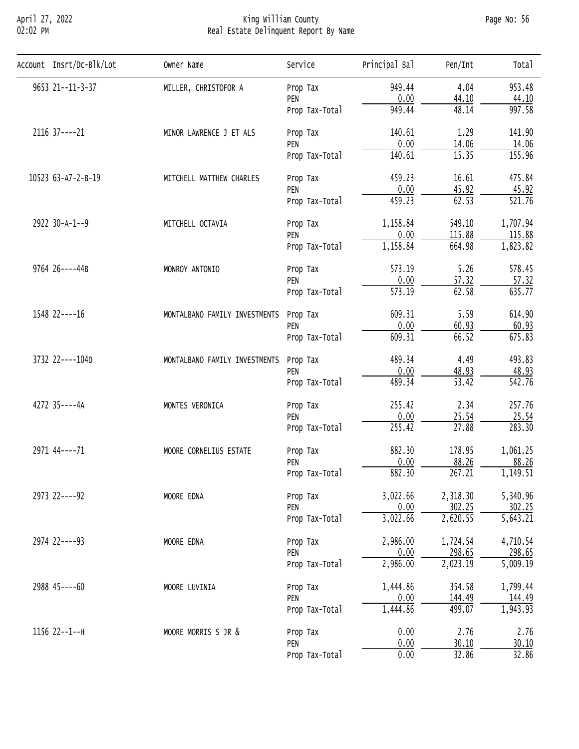## April 27, 2022 King William County Page No: 56 02:02 PM Real Estate Delinquent Report By Name

| Account Insrt/Dc-Blk/Lot | Owner Name                                                                                                                                                                      | Service                                                                                                                                                                                                                                                                                                                                                      | Principal Bal | Pen/Int                                                                                                                                                                                                                                                                                                                                      | Tota <sub>1</sub>     |
|--------------------------|---------------------------------------------------------------------------------------------------------------------------------------------------------------------------------|--------------------------------------------------------------------------------------------------------------------------------------------------------------------------------------------------------------------------------------------------------------------------------------------------------------------------------------------------------------|---------------|----------------------------------------------------------------------------------------------------------------------------------------------------------------------------------------------------------------------------------------------------------------------------------------------------------------------------------------------|-----------------------|
| 9653 21--11-3-37         | MILLER, CHRISTOFOR A                                                                                                                                                            | Prop Tax                                                                                                                                                                                                                                                                                                                                                     | 949.44        | 4.04                                                                                                                                                                                                                                                                                                                                         | 953.48                |
|                          |                                                                                                                                                                                 | PEN                                                                                                                                                                                                                                                                                                                                                          | 0.00          | 44.10                                                                                                                                                                                                                                                                                                                                        | 44.10                 |
|                          |                                                                                                                                                                                 | Prop Tax-Total                                                                                                                                                                                                                                                                                                                                               | 949.44        | 48.14                                                                                                                                                                                                                                                                                                                                        | 997.58                |
| 2116 37 ---- 21          | MINOR LAWRENCE J ET ALS                                                                                                                                                         | Prop Tax                                                                                                                                                                                                                                                                                                                                                     | 140.61        | 1.29                                                                                                                                                                                                                                                                                                                                         | 141.90                |
|                          |                                                                                                                                                                                 | PEN                                                                                                                                                                                                                                                                                                                                                          | 0.00          |                                                                                                                                                                                                                                                                                                                                              | 14.06                 |
|                          |                                                                                                                                                                                 | Prop Tax-Total                                                                                                                                                                                                                                                                                                                                               | 140.61        | 14.06<br>15.35<br>16.61<br>45.92<br>62.53<br>549.10<br>115.88<br>664.98<br>5.26<br>57.32<br>62.58<br>5.59<br>60.93<br>66.52<br>4.49<br>48.93<br>$\overline{53.42}$<br>2.34<br>25.54<br>27.88<br>178.95<br>88.26<br>267.21<br>2,318.30<br>302.25<br>2,620.55<br>1,724.54<br>298.65<br>2,023.19<br>354.58<br>144.49<br>499.07<br>2.76<br>30.10 | 155.96                |
| 10523 63-A7-2-B-19       | MITCHELL MATTHEW CHARLES                                                                                                                                                        | Prop Tax                                                                                                                                                                                                                                                                                                                                                     | 459.23        | 0.00<br>459.23<br>1,158.84<br>0.00<br>1,158.84<br>573.19<br>0.00<br>573.19<br>609.31<br>0.00<br>609.31<br>489.34<br>0.00<br>489.34<br>255.42<br>0.00<br>255.42<br>882.30<br>0.00<br>882.30<br>3,022.66<br>0.00<br>3,022.66<br>2,986.00<br>0.00<br>2,986.00<br>1,444.86<br>0.00<br>1,444.86<br>0.00<br>0.00<br>0.00<br>32.86                  | 475.84                |
|                          |                                                                                                                                                                                 | PEN                                                                                                                                                                                                                                                                                                                                                          |               |                                                                                                                                                                                                                                                                                                                                              | 45.92                 |
|                          |                                                                                                                                                                                 | Prop Tax-Total                                                                                                                                                                                                                                                                                                                                               |               |                                                                                                                                                                                                                                                                                                                                              | 521.76                |
| 2922 30-A-1--9           | MITCHELL OCTAVIA                                                                                                                                                                | Prop Tax<br>PEN<br>Prop Tax-Total<br>Prop Tax<br>PEN<br>Prop Tax-Total<br>Prop Tax<br>PEN<br>Prop Tax-Total<br>Prop Tax<br>PEN<br>Prop Tax-Total<br>Prop Tax<br>PEN<br>Prop Tax-Total<br>Prop Tax<br>PEN<br>Prop Tax-Total<br>Prop Tax<br>PEN<br>Prop Tax-Total<br>Prop Tax<br>PEN<br>Prop Tax-Total<br>Prop Tax<br>PEN<br>Prop Tax-Total<br>Prop Tax<br>PEN | 1,707.94      |                                                                                                                                                                                                                                                                                                                                              |                       |
|                          |                                                                                                                                                                                 |                                                                                                                                                                                                                                                                                                                                                              |               |                                                                                                                                                                                                                                                                                                                                              | 115.88                |
|                          |                                                                                                                                                                                 |                                                                                                                                                                                                                                                                                                                                                              |               |                                                                                                                                                                                                                                                                                                                                              | 1,823.82              |
| 9764 26----44B           | MONROY ANTONIO                                                                                                                                                                  |                                                                                                                                                                                                                                                                                                                                                              |               | 578.45                                                                                                                                                                                                                                                                                                                                       |                       |
|                          |                                                                                                                                                                                 |                                                                                                                                                                                                                                                                                                                                                              |               |                                                                                                                                                                                                                                                                                                                                              | 57.32                 |
|                          |                                                                                                                                                                                 |                                                                                                                                                                                                                                                                                                                                                              |               | 635.77                                                                                                                                                                                                                                                                                                                                       |                       |
| 1548 22----16            | MONTALBANO FAMILY INVESTMENTS<br>MONTALBANO FAMILY INVESTMENTS<br>MONTES VERONICA<br>MOORE CORNELIUS ESTATE<br>MOORE EDNA<br>MOORE EDNA<br>MOORE LUVINIA<br>MOORE MORRIS S JR & | 614.90                                                                                                                                                                                                                                                                                                                                                       |               |                                                                                                                                                                                                                                                                                                                                              |                       |
|                          |                                                                                                                                                                                 | 60.93                                                                                                                                                                                                                                                                                                                                                        |               |                                                                                                                                                                                                                                                                                                                                              |                       |
|                          |                                                                                                                                                                                 |                                                                                                                                                                                                                                                                                                                                                              |               | 675.83                                                                                                                                                                                                                                                                                                                                       |                       |
| 3732 22----104D          |                                                                                                                                                                                 |                                                                                                                                                                                                                                                                                                                                                              |               |                                                                                                                                                                                                                                                                                                                                              | 493.83                |
|                          |                                                                                                                                                                                 |                                                                                                                                                                                                                                                                                                                                                              |               |                                                                                                                                                                                                                                                                                                                                              | 48.93                 |
|                          |                                                                                                                                                                                 |                                                                                                                                                                                                                                                                                                                                                              |               |                                                                                                                                                                                                                                                                                                                                              | 542.76                |
| 4272 35----4A            |                                                                                                                                                                                 |                                                                                                                                                                                                                                                                                                                                                              |               |                                                                                                                                                                                                                                                                                                                                              | 257.76                |
|                          |                                                                                                                                                                                 |                                                                                                                                                                                                                                                                                                                                                              |               |                                                                                                                                                                                                                                                                                                                                              | 25.54                 |
|                          |                                                                                                                                                                                 |                                                                                                                                                                                                                                                                                                                                                              |               |                                                                                                                                                                                                                                                                                                                                              | 283.30                |
| 2971 44 ---- 71          |                                                                                                                                                                                 |                                                                                                                                                                                                                                                                                                                                                              |               |                                                                                                                                                                                                                                                                                                                                              | 1,061.25              |
|                          |                                                                                                                                                                                 |                                                                                                                                                                                                                                                                                                                                                              |               |                                                                                                                                                                                                                                                                                                                                              | 88.26                 |
|                          |                                                                                                                                                                                 |                                                                                                                                                                                                                                                                                                                                                              |               |                                                                                                                                                                                                                                                                                                                                              | 1,149.51              |
| 2973 22----92            |                                                                                                                                                                                 |                                                                                                                                                                                                                                                                                                                                                              |               |                                                                                                                                                                                                                                                                                                                                              | 5,340.96              |
|                          |                                                                                                                                                                                 |                                                                                                                                                                                                                                                                                                                                                              |               |                                                                                                                                                                                                                                                                                                                                              | 302.25                |
|                          |                                                                                                                                                                                 |                                                                                                                                                                                                                                                                                                                                                              |               |                                                                                                                                                                                                                                                                                                                                              | $\overline{5,643.21}$ |
| 2974 22----93            |                                                                                                                                                                                 |                                                                                                                                                                                                                                                                                                                                                              |               |                                                                                                                                                                                                                                                                                                                                              | 4,710.54              |
|                          |                                                                                                                                                                                 |                                                                                                                                                                                                                                                                                                                                                              |               |                                                                                                                                                                                                                                                                                                                                              | 298.65                |
|                          |                                                                                                                                                                                 |                                                                                                                                                                                                                                                                                                                                                              |               |                                                                                                                                                                                                                                                                                                                                              | 5,009.19              |
| 2988 45----60            |                                                                                                                                                                                 |                                                                                                                                                                                                                                                                                                                                                              |               |                                                                                                                                                                                                                                                                                                                                              | 1,799.44              |
|                          |                                                                                                                                                                                 |                                                                                                                                                                                                                                                                                                                                                              |               |                                                                                                                                                                                                                                                                                                                                              | 144.49                |
|                          |                                                                                                                                                                                 |                                                                                                                                                                                                                                                                                                                                                              |               |                                                                                                                                                                                                                                                                                                                                              | 1,943.93              |
| 1156 22--1--H            |                                                                                                                                                                                 |                                                                                                                                                                                                                                                                                                                                                              |               |                                                                                                                                                                                                                                                                                                                                              | 2.76                  |
|                          |                                                                                                                                                                                 |                                                                                                                                                                                                                                                                                                                                                              |               |                                                                                                                                                                                                                                                                                                                                              | 30.10                 |
|                          |                                                                                                                                                                                 | Prop Tax-Total                                                                                                                                                                                                                                                                                                                                               |               |                                                                                                                                                                                                                                                                                                                                              | 32.86                 |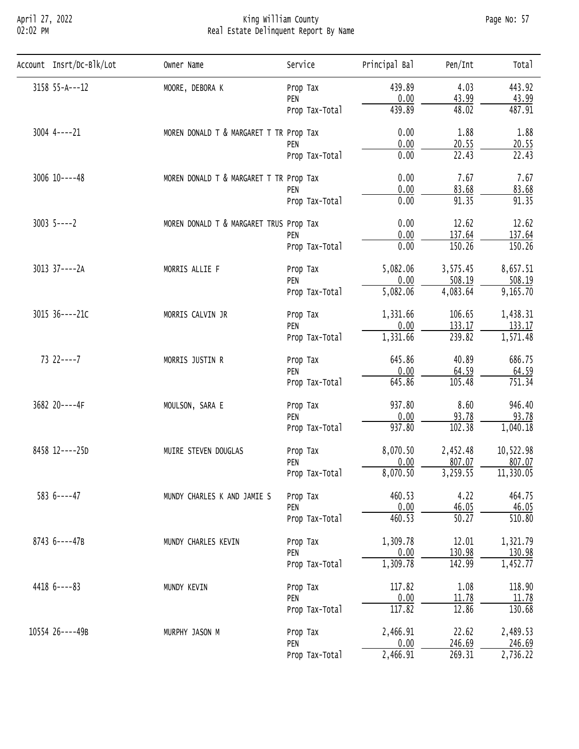# April 27, 2022 King William County Page No: 57 02:02 PM Real Estate Delinquent Report By Name

| Account Insrt/Dc-Blk/Lot | Owner Name                              | Service        | Principal Bal | Pen/Int                                                                                                                                                                                                                                                                                                                                                                                                                                                                                                                                                                                                                                                                               | Total     |
|--------------------------|-----------------------------------------|----------------|---------------|---------------------------------------------------------------------------------------------------------------------------------------------------------------------------------------------------------------------------------------------------------------------------------------------------------------------------------------------------------------------------------------------------------------------------------------------------------------------------------------------------------------------------------------------------------------------------------------------------------------------------------------------------------------------------------------|-----------|
| 3158 55-A---12           | MOORE, DEBORA K                         | Prop Tax       | 439.89        | 4.03                                                                                                                                                                                                                                                                                                                                                                                                                                                                                                                                                                                                                                                                                  | 443.92    |
|                          |                                         | PEN            | 0.00          |                                                                                                                                                                                                                                                                                                                                                                                                                                                                                                                                                                                                                                                                                       | 43.99     |
|                          |                                         | Prop Tax-Total | 439.89        |                                                                                                                                                                                                                                                                                                                                                                                                                                                                                                                                                                                                                                                                                       | 487.91    |
| $3004$ 4 - - - - 21      | MOREN DONALD T & MARGARET T TR Prop Tax |                | 0.00          | 1.88                                                                                                                                                                                                                                                                                                                                                                                                                                                                                                                                                                                                                                                                                  | 1.88      |
|                          |                                         | PEN            |               |                                                                                                                                                                                                                                                                                                                                                                                                                                                                                                                                                                                                                                                                                       | 20.55     |
|                          |                                         | Prop Tax-Total |               |                                                                                                                                                                                                                                                                                                                                                                                                                                                                                                                                                                                                                                                                                       | 22.43     |
| $3006$ $10---48$         | MOREN DONALD T & MARGARET T TR Prop Tax |                | 0.00          | 7.67                                                                                                                                                                                                                                                                                                                                                                                                                                                                                                                                                                                                                                                                                  | 7.67      |
|                          |                                         | PEN            |               |                                                                                                                                                                                                                                                                                                                                                                                                                                                                                                                                                                                                                                                                                       | 83.68     |
|                          |                                         | Prop Tax-Total |               | 43.99<br>48.02<br>0.00<br>20.55<br>$\overline{22.43}$<br>0.00<br>0.00<br>83.68<br>91.35<br>0.00<br>0.00<br>12.62<br>0.00<br>137.64<br>150.26<br>0.00<br>5,082.06<br>3,575.45<br>0.00<br>508.19<br>5,082.06<br>4,083.64<br>1,331.66<br>106.65<br>0.00<br>133.17<br>239.82<br>1,331.66<br>645.86<br>40.89<br>0.00<br>64.59<br>105.48<br>645.86<br>937.80<br>8.60<br>93.78<br>0.00<br>102.38<br>937.80<br>8,070.50<br>2,452.48<br>807.07<br>0.00<br>3,259.55<br>8,070.50<br>460.53<br>4.22<br>0.00<br>46.05<br>460.53<br>50.27<br>1,309.78<br>12.01<br>130.98<br>0.00<br>1,309.78<br>142.99<br>117.82<br>1.08<br>0.00<br>11.78<br>117.82<br>12.86<br>2,466.91<br>22.62<br>0.00<br>246.69 | 91.35     |
| $3003$ 5----2            | MOREN DONALD T & MARGARET TRUS Prop Tax |                |               |                                                                                                                                                                                                                                                                                                                                                                                                                                                                                                                                                                                                                                                                                       | 12.62     |
|                          |                                         | PEN            |               |                                                                                                                                                                                                                                                                                                                                                                                                                                                                                                                                                                                                                                                                                       | 137.64    |
|                          |                                         | Prop Tax-Total |               |                                                                                                                                                                                                                                                                                                                                                                                                                                                                                                                                                                                                                                                                                       | 150.26    |
| 3013 37----2A            | MORRIS ALLIE F                          | Prop Tax       |               |                                                                                                                                                                                                                                                                                                                                                                                                                                                                                                                                                                                                                                                                                       | 8,657.51  |
|                          |                                         | PEN            |               |                                                                                                                                                                                                                                                                                                                                                                                                                                                                                                                                                                                                                                                                                       | 508.19    |
|                          |                                         | Prop Tax-Total |               |                                                                                                                                                                                                                                                                                                                                                                                                                                                                                                                                                                                                                                                                                       | 9,165.70  |
| 3015 36----21C           | MORRIS CALVIN JR                        | Prop Tax       |               |                                                                                                                                                                                                                                                                                                                                                                                                                                                                                                                                                                                                                                                                                       | 1,438.31  |
|                          |                                         | PEN            |               |                                                                                                                                                                                                                                                                                                                                                                                                                                                                                                                                                                                                                                                                                       | 133.17    |
|                          |                                         | Prop Tax-Total |               |                                                                                                                                                                                                                                                                                                                                                                                                                                                                                                                                                                                                                                                                                       | 1,571.48  |
| $732---7$                | MORRIS JUSTIN R                         | Prop Tax       |               | 269.31                                                                                                                                                                                                                                                                                                                                                                                                                                                                                                                                                                                                                                                                                | 686.75    |
|                          |                                         | PEN            |               |                                                                                                                                                                                                                                                                                                                                                                                                                                                                                                                                                                                                                                                                                       | 64.59     |
|                          |                                         | Prop Tax-Total |               |                                                                                                                                                                                                                                                                                                                                                                                                                                                                                                                                                                                                                                                                                       | 751.34    |
| 3682 20----4F            | MOULSON, SARA E                         | Prop Tax       |               |                                                                                                                                                                                                                                                                                                                                                                                                                                                                                                                                                                                                                                                                                       | 946.40    |
|                          |                                         | PEN            |               |                                                                                                                                                                                                                                                                                                                                                                                                                                                                                                                                                                                                                                                                                       | 93.78     |
|                          |                                         | Prop Tax-Total |               |                                                                                                                                                                                                                                                                                                                                                                                                                                                                                                                                                                                                                                                                                       | 1,040.18  |
| 8458 12----25D           | MUIRE STEVEN DOUGLAS                    | Prop Tax       |               |                                                                                                                                                                                                                                                                                                                                                                                                                                                                                                                                                                                                                                                                                       | 10,522.98 |
|                          |                                         | PEN            |               |                                                                                                                                                                                                                                                                                                                                                                                                                                                                                                                                                                                                                                                                                       | 807.07    |
|                          |                                         | Prop Tax-Total |               |                                                                                                                                                                                                                                                                                                                                                                                                                                                                                                                                                                                                                                                                                       | 11,330.05 |
| $5836---47$              | MUNDY CHARLES K AND JAMIE S             | Prop Tax       |               |                                                                                                                                                                                                                                                                                                                                                                                                                                                                                                                                                                                                                                                                                       | 464.75    |
|                          |                                         | PEN            |               |                                                                                                                                                                                                                                                                                                                                                                                                                                                                                                                                                                                                                                                                                       | 46.05     |
|                          |                                         | Prop Tax-Total |               |                                                                                                                                                                                                                                                                                                                                                                                                                                                                                                                                                                                                                                                                                       | 510.80    |
| 8743 6----47B            | MUNDY CHARLES KEVIN                     | Prop Tax       |               |                                                                                                                                                                                                                                                                                                                                                                                                                                                                                                                                                                                                                                                                                       | 1,321.79  |
|                          |                                         | PEN            |               |                                                                                                                                                                                                                                                                                                                                                                                                                                                                                                                                                                                                                                                                                       | 130.98    |
|                          |                                         | Prop Tax-Total |               |                                                                                                                                                                                                                                                                                                                                                                                                                                                                                                                                                                                                                                                                                       | 1,452.77  |
| $44186---83$             | MUNDY KEVIN                             | Prop Tax       | 2,466.91      | 118.90                                                                                                                                                                                                                                                                                                                                                                                                                                                                                                                                                                                                                                                                                |           |
|                          |                                         | PEN            |               |                                                                                                                                                                                                                                                                                                                                                                                                                                                                                                                                                                                                                                                                                       | 11.78     |
|                          |                                         | Prop Tax-Total |               |                                                                                                                                                                                                                                                                                                                                                                                                                                                                                                                                                                                                                                                                                       | 130.68    |
|                          |                                         |                |               |                                                                                                                                                                                                                                                                                                                                                                                                                                                                                                                                                                                                                                                                                       |           |
| 10554 26----49B          | MURPHY JASON M                          | Prop Tax       |               |                                                                                                                                                                                                                                                                                                                                                                                                                                                                                                                                                                                                                                                                                       | 2,489.53  |
|                          |                                         | PEN            |               |                                                                                                                                                                                                                                                                                                                                                                                                                                                                                                                                                                                                                                                                                       | 246.69    |
|                          |                                         | Prop Tax-Total |               |                                                                                                                                                                                                                                                                                                                                                                                                                                                                                                                                                                                                                                                                                       | 2,736.22  |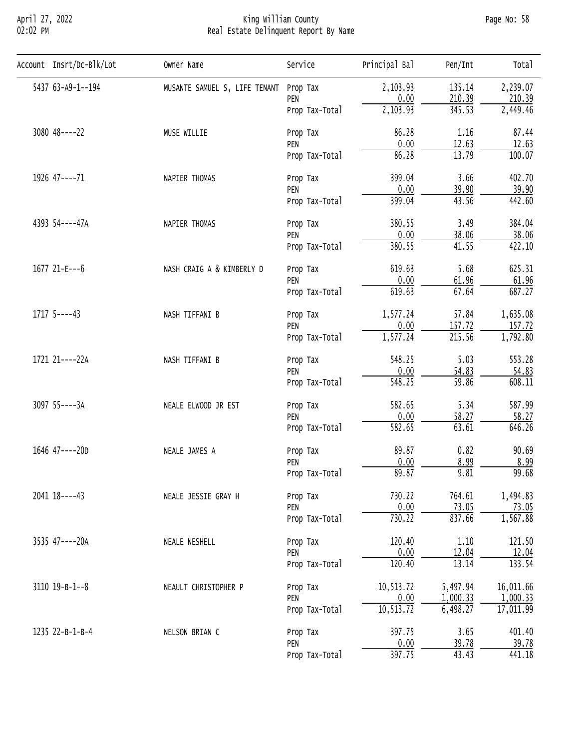## April 27, 2022 King William County Page No: 58 02:02 PM Real Estate Delinquent Report By Name

| Account Insrt/Dc-Blk/Lot | Owner Name                            | Service                                                                                                                                                                                                                                                                                                                                                                         | Principal Bal                                                                                                                                                                                                                                                                                                                                   | Pen/Int                                                                                                                                                                                                                                                                                                                                  | Total     |
|--------------------------|---------------------------------------|---------------------------------------------------------------------------------------------------------------------------------------------------------------------------------------------------------------------------------------------------------------------------------------------------------------------------------------------------------------------------------|-------------------------------------------------------------------------------------------------------------------------------------------------------------------------------------------------------------------------------------------------------------------------------------------------------------------------------------------------|------------------------------------------------------------------------------------------------------------------------------------------------------------------------------------------------------------------------------------------------------------------------------------------------------------------------------------------|-----------|
| 5437 63-A9-1--194        | MUSANTE SAMUEL S, LIFE TENANT         |                                                                                                                                                                                                                                                                                                                                                                                 | 2,103.93                                                                                                                                                                                                                                                                                                                                        | 135.14                                                                                                                                                                                                                                                                                                                                   | 2,239.07  |
|                          |                                       | PEN                                                                                                                                                                                                                                                                                                                                                                             |                                                                                                                                                                                                                                                                                                                                                 |                                                                                                                                                                                                                                                                                                                                          | 210.39    |
|                          |                                       | Prop Tax-Total                                                                                                                                                                                                                                                                                                                                                                  | 2,103.93                                                                                                                                                                                                                                                                                                                                        | 345.53                                                                                                                                                                                                                                                                                                                                   | 2,449.46  |
| $3080$ 48 ---- 22        | MUSE WILLIE                           | Prop Tax                                                                                                                                                                                                                                                                                                                                                                        | 86.28                                                                                                                                                                                                                                                                                                                                           | 1.16                                                                                                                                                                                                                                                                                                                                     | 87.44     |
|                          |                                       | PEN                                                                                                                                                                                                                                                                                                                                                                             |                                                                                                                                                                                                                                                                                                                                                 |                                                                                                                                                                                                                                                                                                                                          | 12.63     |
|                          |                                       | Prop Tax-Total                                                                                                                                                                                                                                                                                                                                                                  |                                                                                                                                                                                                                                                                                                                                                 | 210.39<br>12.63<br>13.79<br>3.66<br>39.90<br>43.56<br>3.49<br>38.06<br>41.55<br>5.68<br>61.96<br>67.64<br>57.84<br>157.72<br>215.56<br>5.03<br>54.83<br>$\overline{59.86}$<br>5.34<br>58.27<br>63.61<br>0.82<br>8.99<br>9.81<br>764.61<br>73.05<br>837.66<br>1.10<br>12.04<br>13.14<br>5,497.94<br>1,000.33<br>6,498.27<br>3.65<br>39.78 | 100.07    |
| 1926 47----71            | NAPIER THOMAS                         | Prop Tax                                                                                                                                                                                                                                                                                                                                                                        | 0.00<br>0.00<br>86.28<br>399.04<br>0.00<br>399.04<br>380.55<br>0.00<br>380.55<br>619.63<br>0.00<br>619.63<br>1,577.24<br>0.00<br>1,577.24<br>548.25<br>0.00<br>548.25<br>582.65<br>0.00<br>582.65<br>89.87<br>0.00<br>89.87<br>730.22<br>$\frac{0.00}{730.22}$<br>120.40<br>0.00<br>120.40<br>10,513.72<br>0.00<br>10, 513.72<br>397.75<br>0.00 | 402.70                                                                                                                                                                                                                                                                                                                                   |           |
|                          |                                       |                                                                                                                                                                                                                                                                                                                                                                                 |                                                                                                                                                                                                                                                                                                                                                 |                                                                                                                                                                                                                                                                                                                                          | 39.90     |
|                          |                                       | Prop Tax-Total                                                                                                                                                                                                                                                                                                                                                                  |                                                                                                                                                                                                                                                                                                                                                 |                                                                                                                                                                                                                                                                                                                                          | 442.60    |
| 4393 54----47A           | NAPIER THOMAS                         | Prop Tax<br>PEN<br>Prop Tax<br>PEN<br>Prop Tax-Total<br>Prop Tax<br>PEN<br>Prop Tax-Total<br>Prop Tax<br>PEN<br>Prop Tax-Total<br>Prop Tax<br>PEN<br>Prop Tax-Total<br>Prop Tax<br>PEN<br>Prop Tax-Total<br>Prop Tax<br>PEN<br>Prop Tax-Total<br>Prop Tax<br>PEN<br>Prop Tax-Total<br>Prop Tax<br>PEN<br>Prop Tax-Total<br>Prop Tax<br>PEN<br>Prop Tax-Total<br>Prop Tax<br>PEN | 384.04                                                                                                                                                                                                                                                                                                                                          |                                                                                                                                                                                                                                                                                                                                          |           |
|                          |                                       |                                                                                                                                                                                                                                                                                                                                                                                 |                                                                                                                                                                                                                                                                                                                                                 |                                                                                                                                                                                                                                                                                                                                          | 38.06     |
|                          |                                       |                                                                                                                                                                                                                                                                                                                                                                                 |                                                                                                                                                                                                                                                                                                                                                 | 397.75<br>43.43                                                                                                                                                                                                                                                                                                                          | 422.10    |
| 1677 21-E---6            | NASH CRAIG A & KIMBERLY D             |                                                                                                                                                                                                                                                                                                                                                                                 |                                                                                                                                                                                                                                                                                                                                                 |                                                                                                                                                                                                                                                                                                                                          | 625.31    |
|                          |                                       |                                                                                                                                                                                                                                                                                                                                                                                 |                                                                                                                                                                                                                                                                                                                                                 |                                                                                                                                                                                                                                                                                                                                          | 61.96     |
|                          |                                       |                                                                                                                                                                                                                                                                                                                                                                                 |                                                                                                                                                                                                                                                                                                                                                 |                                                                                                                                                                                                                                                                                                                                          | 687.27    |
| $1717$ 5----43           | NASH TIFFANI B                        |                                                                                                                                                                                                                                                                                                                                                                                 |                                                                                                                                                                                                                                                                                                                                                 |                                                                                                                                                                                                                                                                                                                                          | 1,635.08  |
|                          |                                       |                                                                                                                                                                                                                                                                                                                                                                                 |                                                                                                                                                                                                                                                                                                                                                 |                                                                                                                                                                                                                                                                                                                                          | 157.72    |
|                          |                                       |                                                                                                                                                                                                                                                                                                                                                                                 |                                                                                                                                                                                                                                                                                                                                                 |                                                                                                                                                                                                                                                                                                                                          | 1,792.80  |
| 1721 21----22A           | NASH TIFFANI B<br>NEALE ELWOOD JR EST | 553.28                                                                                                                                                                                                                                                                                                                                                                          |                                                                                                                                                                                                                                                                                                                                                 |                                                                                                                                                                                                                                                                                                                                          |           |
|                          |                                       | 54.83                                                                                                                                                                                                                                                                                                                                                                           |                                                                                                                                                                                                                                                                                                                                                 |                                                                                                                                                                                                                                                                                                                                          |           |
|                          |                                       |                                                                                                                                                                                                                                                                                                                                                                                 |                                                                                                                                                                                                                                                                                                                                                 |                                                                                                                                                                                                                                                                                                                                          | 608.11    |
| 3097 55----3A            |                                       |                                                                                                                                                                                                                                                                                                                                                                                 |                                                                                                                                                                                                                                                                                                                                                 |                                                                                                                                                                                                                                                                                                                                          | 587.99    |
|                          |                                       |                                                                                                                                                                                                                                                                                                                                                                                 |                                                                                                                                                                                                                                                                                                                                                 |                                                                                                                                                                                                                                                                                                                                          | 58.27     |
|                          |                                       |                                                                                                                                                                                                                                                                                                                                                                                 |                                                                                                                                                                                                                                                                                                                                                 |                                                                                                                                                                                                                                                                                                                                          | 646.26    |
| 1646 47----20D           | NEALE JAMES A                         |                                                                                                                                                                                                                                                                                                                                                                                 |                                                                                                                                                                                                                                                                                                                                                 |                                                                                                                                                                                                                                                                                                                                          | 90.69     |
|                          |                                       |                                                                                                                                                                                                                                                                                                                                                                                 |                                                                                                                                                                                                                                                                                                                                                 |                                                                                                                                                                                                                                                                                                                                          | 8.99      |
|                          |                                       |                                                                                                                                                                                                                                                                                                                                                                                 |                                                                                                                                                                                                                                                                                                                                                 |                                                                                                                                                                                                                                                                                                                                          | 99.68     |
| 2041 18----43            | NEALE JESSIE GRAY H                   |                                                                                                                                                                                                                                                                                                                                                                                 |                                                                                                                                                                                                                                                                                                                                                 |                                                                                                                                                                                                                                                                                                                                          | 1,494.83  |
|                          |                                       |                                                                                                                                                                                                                                                                                                                                                                                 |                                                                                                                                                                                                                                                                                                                                                 |                                                                                                                                                                                                                                                                                                                                          | 73.05     |
|                          |                                       |                                                                                                                                                                                                                                                                                                                                                                                 |                                                                                                                                                                                                                                                                                                                                                 |                                                                                                                                                                                                                                                                                                                                          | 1,567.88  |
| 3535 47----20A           | NEALE NESHELL                         | Prop Tax-Total                                                                                                                                                                                                                                                                                                                                                                  | 121.50                                                                                                                                                                                                                                                                                                                                          |                                                                                                                                                                                                                                                                                                                                          |           |
|                          |                                       |                                                                                                                                                                                                                                                                                                                                                                                 |                                                                                                                                                                                                                                                                                                                                                 |                                                                                                                                                                                                                                                                                                                                          | 12.04     |
|                          |                                       |                                                                                                                                                                                                                                                                                                                                                                                 |                                                                                                                                                                                                                                                                                                                                                 |                                                                                                                                                                                                                                                                                                                                          | 133.54    |
| $3110$ $19 - B - 1 - 8$  | NEAULT CHRISTOPHER P                  |                                                                                                                                                                                                                                                                                                                                                                                 |                                                                                                                                                                                                                                                                                                                                                 |                                                                                                                                                                                                                                                                                                                                          | 16,011.66 |
|                          |                                       |                                                                                                                                                                                                                                                                                                                                                                                 |                                                                                                                                                                                                                                                                                                                                                 |                                                                                                                                                                                                                                                                                                                                          | 1,000.33  |
|                          |                                       |                                                                                                                                                                                                                                                                                                                                                                                 |                                                                                                                                                                                                                                                                                                                                                 |                                                                                                                                                                                                                                                                                                                                          | 17,011.99 |
| 1235 22-B-1-B-4          | NELSON BRIAN C                        |                                                                                                                                                                                                                                                                                                                                                                                 |                                                                                                                                                                                                                                                                                                                                                 |                                                                                                                                                                                                                                                                                                                                          | 401.40    |
|                          |                                       |                                                                                                                                                                                                                                                                                                                                                                                 |                                                                                                                                                                                                                                                                                                                                                 |                                                                                                                                                                                                                                                                                                                                          | 39.78     |
|                          |                                       |                                                                                                                                                                                                                                                                                                                                                                                 |                                                                                                                                                                                                                                                                                                                                                 |                                                                                                                                                                                                                                                                                                                                          | 441.18    |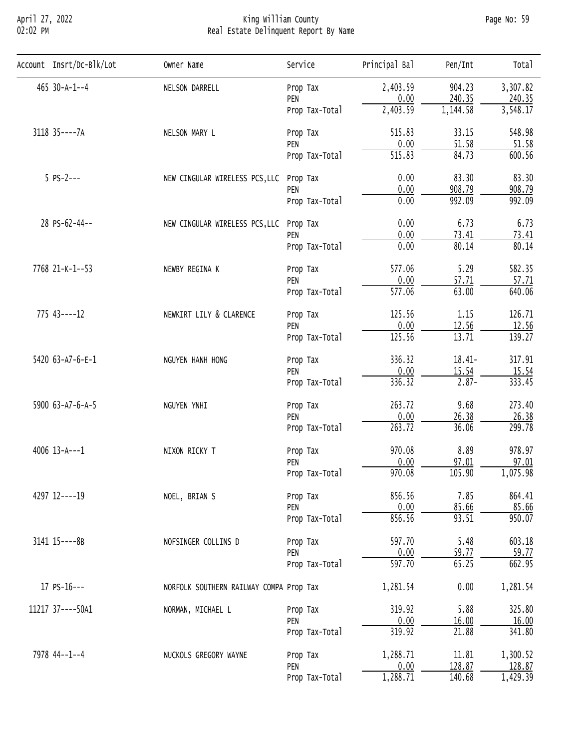## April 27, 2022 King William County Page No: 59 02:02 PM Real Estate Delinquent Report By Name

| Account Insrt/Dc-Blk/Lot | Owner Name                                                                                            | Service                                                                                                                                                                                                                                                                                                                                                                                                                                                                                                                                                                                                                                                | Principal Bal        | Pen/Int                                                                                                                                                                                                                                                                                                                                                                                                                                                                                                  | Total    |
|--------------------------|-------------------------------------------------------------------------------------------------------|--------------------------------------------------------------------------------------------------------------------------------------------------------------------------------------------------------------------------------------------------------------------------------------------------------------------------------------------------------------------------------------------------------------------------------------------------------------------------------------------------------------------------------------------------------------------------------------------------------------------------------------------------------|----------------------|----------------------------------------------------------------------------------------------------------------------------------------------------------------------------------------------------------------------------------------------------------------------------------------------------------------------------------------------------------------------------------------------------------------------------------------------------------------------------------------------------------|----------|
| 465 30-A-1--4            | NELSON DARRELL                                                                                        | Prop Tax                                                                                                                                                                                                                                                                                                                                                                                                                                                                                                                                                                                                                                               | 2,403.59             | 904.23                                                                                                                                                                                                                                                                                                                                                                                                                                                                                                   | 3,307.82 |
|                          |                                                                                                       | PEN                                                                                                                                                                                                                                                                                                                                                                                                                                                                                                                                                                                                                                                    |                      |                                                                                                                                                                                                                                                                                                                                                                                                                                                                                                          | 240.35   |
|                          |                                                                                                       |                                                                                                                                                                                                                                                                                                                                                                                                                                                                                                                                                                                                                                                        |                      |                                                                                                                                                                                                                                                                                                                                                                                                                                                                                                          | 3,548.17 |
| 3118 35----7A            | NELSON MARY L                                                                                         | Prop Tax                                                                                                                                                                                                                                                                                                                                                                                                                                                                                                                                                                                                                                               | 515.83               | 33.15                                                                                                                                                                                                                                                                                                                                                                                                                                                                                                    | 548.98   |
|                          |                                                                                                       |                                                                                                                                                                                                                                                                                                                                                                                                                                                                                                                                                                                                                                                        |                      |                                                                                                                                                                                                                                                                                                                                                                                                                                                                                                          | 51.58    |
|                          |                                                                                                       |                                                                                                                                                                                                                                                                                                                                                                                                                                                                                                                                                                                                                                                        |                      | 0.00<br>240.35<br>1,144.58<br>0.00<br>51.58<br>84.73<br>0.00<br>83.30<br>0.00<br>908.79<br>0.00<br>992.09<br>0.00<br>6.73<br>0.00<br>73.41<br>0.00<br>80.14<br>5.29<br>0.00<br>57.71<br>63.00<br>1.15<br>0.00<br><u>12.56</u><br>13.71<br>$18.41 -$<br>0.00<br>15.54<br>$2.87 -$<br>9.68<br>0.00<br>26.38<br>36.06<br>8.89<br>0.00<br>97.01<br>105.90<br>7.85<br>0.00<br>85.66<br>93.51<br>5.48<br>0.00<br>59.77<br>65.25<br>0.00<br>5.88<br>0.00<br>16.00<br>21.88<br>11.81<br>0.00<br>128.87<br>140.68 | 600.56   |
| $5$ PS-2---              | NEW CINGULAR WIRELESS PCS, LLC                                                                        | Prop Tax                                                                                                                                                                                                                                                                                                                                                                                                                                                                                                                                                                                                                                               |                      |                                                                                                                                                                                                                                                                                                                                                                                                                                                                                                          | 83.30    |
|                          |                                                                                                       |                                                                                                                                                                                                                                                                                                                                                                                                                                                                                                                                                                                                                                                        |                      |                                                                                                                                                                                                                                                                                                                                                                                                                                                                                                          | 908.79   |
|                          |                                                                                                       |                                                                                                                                                                                                                                                                                                                                                                                                                                                                                                                                                                                                                                                        |                      |                                                                                                                                                                                                                                                                                                                                                                                                                                                                                                          | 992.09   |
| 28 PS-62-44--            | NEW CINGULAR WIRELESS PCS, LLC                                                                        | 2,403.59<br>Prop Tax-Total<br>PEN<br>$\overline{515.83}$<br>Prop Tax-Total<br>PEN<br>Prop Tax-Total<br>Prop Tax<br>PEN<br>Prop Tax-Total<br>577.06<br>Prop Tax<br>PEN<br>577.06<br>Prop Tax-Total<br>125.56<br>Prop Tax<br>PEN<br>125.56<br>Prop Tax-Total<br>336.32<br>Prop Tax<br>PEN<br>336.32<br>Prop Tax-Total<br>263.72<br>Prop Tax<br>PEN<br>263.72<br>Prop Tax-Total<br>970.08<br>Prop Tax<br>PEN<br>$\overline{970.08}$<br>Prop Tax-Total<br>856.56<br>Prop Tax<br>PEN<br>856.56<br>Prop Tax-Total<br>597.70<br>Prop Tax<br>PEN<br>$\overline{597.70}$<br>Prop Tax-Total<br>1,281.54<br>319.92<br>Prop Tax<br>PEN<br>319.92<br>Prop Tax-Total | 6.73                 |                                                                                                                                                                                                                                                                                                                                                                                                                                                                                                          |          |
|                          |                                                                                                       |                                                                                                                                                                                                                                                                                                                                                                                                                                                                                                                                                                                                                                                        | 1,288.71<br>1,288.71 | 73.41                                                                                                                                                                                                                                                                                                                                                                                                                                                                                                    |          |
|                          |                                                                                                       |                                                                                                                                                                                                                                                                                                                                                                                                                                                                                                                                                                                                                                                        |                      | 80.14                                                                                                                                                                                                                                                                                                                                                                                                                                                                                                    |          |
| 7768 21-K-1--53          | NEWBY REGINA K                                                                                        |                                                                                                                                                                                                                                                                                                                                                                                                                                                                                                                                                                                                                                                        |                      |                                                                                                                                                                                                                                                                                                                                                                                                                                                                                                          | 582.35   |
|                          |                                                                                                       |                                                                                                                                                                                                                                                                                                                                                                                                                                                                                                                                                                                                                                                        |                      |                                                                                                                                                                                                                                                                                                                                                                                                                                                                                                          | 57.71    |
|                          |                                                                                                       |                                                                                                                                                                                                                                                                                                                                                                                                                                                                                                                                                                                                                                                        |                      |                                                                                                                                                                                                                                                                                                                                                                                                                                                                                                          | 640.06   |
| $775$ 43----12           | NEWKIRT LILY & CLARENCE                                                                               |                                                                                                                                                                                                                                                                                                                                                                                                                                                                                                                                                                                                                                                        |                      |                                                                                                                                                                                                                                                                                                                                                                                                                                                                                                          | 126.71   |
|                          |                                                                                                       |                                                                                                                                                                                                                                                                                                                                                                                                                                                                                                                                                                                                                                                        |                      |                                                                                                                                                                                                                                                                                                                                                                                                                                                                                                          | 12.56    |
|                          |                                                                                                       |                                                                                                                                                                                                                                                                                                                                                                                                                                                                                                                                                                                                                                                        |                      |                                                                                                                                                                                                                                                                                                                                                                                                                                                                                                          | 139.27   |
| 5420 63-A7-6-E-1         | NGUYEN HANH HONG                                                                                      |                                                                                                                                                                                                                                                                                                                                                                                                                                                                                                                                                                                                                                                        |                      |                                                                                                                                                                                                                                                                                                                                                                                                                                                                                                          | 317.91   |
|                          |                                                                                                       |                                                                                                                                                                                                                                                                                                                                                                                                                                                                                                                                                                                                                                                        |                      |                                                                                                                                                                                                                                                                                                                                                                                                                                                                                                          | 15.54    |
|                          |                                                                                                       |                                                                                                                                                                                                                                                                                                                                                                                                                                                                                                                                                                                                                                                        |                      |                                                                                                                                                                                                                                                                                                                                                                                                                                                                                                          | 333.45   |
| 5900 63-A7-6-A-5         | NGUYEN YNHI                                                                                           |                                                                                                                                                                                                                                                                                                                                                                                                                                                                                                                                                                                                                                                        |                      | 273.40                                                                                                                                                                                                                                                                                                                                                                                                                                                                                                   |          |
|                          |                                                                                                       |                                                                                                                                                                                                                                                                                                                                                                                                                                                                                                                                                                                                                                                        |                      |                                                                                                                                                                                                                                                                                                                                                                                                                                                                                                          | 26.38    |
|                          |                                                                                                       |                                                                                                                                                                                                                                                                                                                                                                                                                                                                                                                                                                                                                                                        |                      |                                                                                                                                                                                                                                                                                                                                                                                                                                                                                                          | 299.78   |
| 4006 13-A---1            | NIXON RICKY T                                                                                         |                                                                                                                                                                                                                                                                                                                                                                                                                                                                                                                                                                                                                                                        |                      |                                                                                                                                                                                                                                                                                                                                                                                                                                                                                                          | 978.97   |
|                          |                                                                                                       |                                                                                                                                                                                                                                                                                                                                                                                                                                                                                                                                                                                                                                                        |                      |                                                                                                                                                                                                                                                                                                                                                                                                                                                                                                          | 97.01    |
|                          |                                                                                                       |                                                                                                                                                                                                                                                                                                                                                                                                                                                                                                                                                                                                                                                        |                      |                                                                                                                                                                                                                                                                                                                                                                                                                                                                                                          | 1,075.98 |
| 4297 12----19            | NOEL, BRIAN S                                                                                         |                                                                                                                                                                                                                                                                                                                                                                                                                                                                                                                                                                                                                                                        |                      |                                                                                                                                                                                                                                                                                                                                                                                                                                                                                                          | 864.41   |
|                          |                                                                                                       |                                                                                                                                                                                                                                                                                                                                                                                                                                                                                                                                                                                                                                                        |                      |                                                                                                                                                                                                                                                                                                                                                                                                                                                                                                          | 85.66    |
|                          |                                                                                                       |                                                                                                                                                                                                                                                                                                                                                                                                                                                                                                                                                                                                                                                        |                      |                                                                                                                                                                                                                                                                                                                                                                                                                                                                                                          | 950.07   |
| 3141 15----8B            | NOFSINGER COLLINS D                                                                                   |                                                                                                                                                                                                                                                                                                                                                                                                                                                                                                                                                                                                                                                        |                      |                                                                                                                                                                                                                                                                                                                                                                                                                                                                                                          | 603.18   |
|                          |                                                                                                       |                                                                                                                                                                                                                                                                                                                                                                                                                                                                                                                                                                                                                                                        |                      |                                                                                                                                                                                                                                                                                                                                                                                                                                                                                                          | 59.77    |
|                          |                                                                                                       |                                                                                                                                                                                                                                                                                                                                                                                                                                                                                                                                                                                                                                                        |                      |                                                                                                                                                                                                                                                                                                                                                                                                                                                                                                          | 662.95   |
| $17$ PS- $16$ ---        |                                                                                                       |                                                                                                                                                                                                                                                                                                                                                                                                                                                                                                                                                                                                                                                        |                      |                                                                                                                                                                                                                                                                                                                                                                                                                                                                                                          | 1,281.54 |
| 11217 37----50A1         | NORMAN, MICHAEL L                                                                                     |                                                                                                                                                                                                                                                                                                                                                                                                                                                                                                                                                                                                                                                        |                      |                                                                                                                                                                                                                                                                                                                                                                                                                                                                                                          | 325.80   |
|                          |                                                                                                       |                                                                                                                                                                                                                                                                                                                                                                                                                                                                                                                                                                                                                                                        |                      |                                                                                                                                                                                                                                                                                                                                                                                                                                                                                                          | 16.00    |
|                          |                                                                                                       |                                                                                                                                                                                                                                                                                                                                                                                                                                                                                                                                                                                                                                                        |                      |                                                                                                                                                                                                                                                                                                                                                                                                                                                                                                          | 341.80   |
| 7978 44--1--4            | NORFOLK SOUTHERN RAILWAY COMPA Prop Tax<br>NUCKOLS GREGORY WAYNE<br>Prop Tax<br>PEN<br>Prop Tax-Total | 1,300.52                                                                                                                                                                                                                                                                                                                                                                                                                                                                                                                                                                                                                                               |                      |                                                                                                                                                                                                                                                                                                                                                                                                                                                                                                          |          |
|                          |                                                                                                       |                                                                                                                                                                                                                                                                                                                                                                                                                                                                                                                                                                                                                                                        |                      |                                                                                                                                                                                                                                                                                                                                                                                                                                                                                                          | 128.87   |
|                          |                                                                                                       |                                                                                                                                                                                                                                                                                                                                                                                                                                                                                                                                                                                                                                                        |                      |                                                                                                                                                                                                                                                                                                                                                                                                                                                                                                          | 1,429.39 |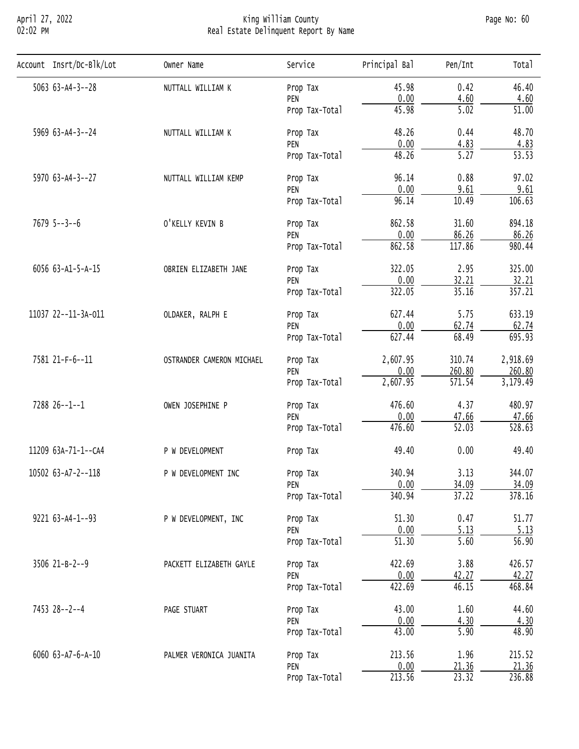## April 27, 2022 King William County Page No: 60 02:02 PM Real Estate Delinquent Report By Name

| Account Insrt/Dc-Blk/Lot  | Owner Name                | Service                                                                                                                                                                                                                                                                                                                                                                                                                                                                                                   | Principal Bal | Pen/Int                                                                                                                                                                                                                                                                                                                                                                                                                                                                                                                                                                                                                                                                                                                              | Total              |
|---------------------------|---------------------------|-----------------------------------------------------------------------------------------------------------------------------------------------------------------------------------------------------------------------------------------------------------------------------------------------------------------------------------------------------------------------------------------------------------------------------------------------------------------------------------------------------------|---------------|--------------------------------------------------------------------------------------------------------------------------------------------------------------------------------------------------------------------------------------------------------------------------------------------------------------------------------------------------------------------------------------------------------------------------------------------------------------------------------------------------------------------------------------------------------------------------------------------------------------------------------------------------------------------------------------------------------------------------------------|--------------------|
| $5063$ $63 - A4 - 3 - 28$ | NUTTALL WILLIAM K         | Prop Tax                                                                                                                                                                                                                                                                                                                                                                                                                                                                                                  | 45.98         | 0.42                                                                                                                                                                                                                                                                                                                                                                                                                                                                                                                                                                                                                                                                                                                                 | 46.40              |
|                           |                           |                                                                                                                                                                                                                                                                                                                                                                                                                                                                                                           |               |                                                                                                                                                                                                                                                                                                                                                                                                                                                                                                                                                                                                                                                                                                                                      | 4.60               |
|                           |                           |                                                                                                                                                                                                                                                                                                                                                                                                                                                                                                           |               |                                                                                                                                                                                                                                                                                                                                                                                                                                                                                                                                                                                                                                                                                                                                      | $\overline{51.00}$ |
| 5969 63-A4-3--24          | NUTTALL WILLIAM K         | Prop Tax                                                                                                                                                                                                                                                                                                                                                                                                                                                                                                  | 48.26         | 0.00<br>4.60<br>45.98<br>5.02<br>0.44<br>0.00<br>4.83<br>48.26<br>$\overline{5.27}$<br>96.14<br>0.88<br>0.00<br>9.61<br>96.14<br>10.49<br>862.58<br>31.60<br>0.00<br>86.26<br>117.86<br>862.58<br>322.05<br>2.95<br>0.00<br>32.21<br>322.05<br>35.16<br>627.44<br>5.75<br>0.00<br>62.74<br>627.44<br>68.49<br>310.74<br>0.00<br>260.80<br>571.54<br>4.37<br>476.60<br>0.00<br>47.66<br>$\overline{52.03}$<br>476.60<br>49.40<br>0.00<br>340.94<br>3.13<br>0.00<br>34.09<br>340.94<br>37.22<br>0.47<br>51.30<br>0.00<br>5.13<br>$\overline{51.30}$<br>5.60<br>422.69<br>3.88<br>0.00<br>42.27<br>422.69<br>46.15<br>43.00<br>1.60<br>0.00<br>4.30<br>43.00<br>5.90<br>1.96<br>213.56<br>0.00<br>21.36<br>213.56<br>$\overline{23.32}$ | 48.70              |
|                           |                           |                                                                                                                                                                                                                                                                                                                                                                                                                                                                                                           |               |                                                                                                                                                                                                                                                                                                                                                                                                                                                                                                                                                                                                                                                                                                                                      | 4.83               |
|                           |                           |                                                                                                                                                                                                                                                                                                                                                                                                                                                                                                           |               |                                                                                                                                                                                                                                                                                                                                                                                                                                                                                                                                                                                                                                                                                                                                      | $\overline{53.53}$ |
| 5970 63-A4-3--27          | NUTTALL WILLIAM KEMP      | PEN<br>Prop Tax-Total<br>PEN<br>Prop Tax-Total<br>Prop Tax<br>PEN<br>Prop Tax-Total<br>Prop Tax<br>PEN<br>Prop Tax-Total<br>Prop Tax<br>PEN<br>Prop Tax-Total<br>Prop Tax<br>PEN<br>Prop Tax-Total<br>2,607.95<br>Prop Tax<br>PEN<br>2,607.95<br>Prop Tax-Total<br>Prop Tax<br>PEN<br>Prop Tax-Total<br>Prop Tax<br>Prop Tax<br>PEN<br>Prop Tax-Total<br>Prop Tax<br>PEN<br>Prop Tax-Total<br>Prop Tax<br>PEN<br>Prop Tax-Total<br>Prop Tax<br>PEN<br>Prop Tax-Total<br>Prop Tax<br>PEN<br>Prop Tax-Total | 97.02         |                                                                                                                                                                                                                                                                                                                                                                                                                                                                                                                                                                                                                                                                                                                                      |                    |
|                           |                           |                                                                                                                                                                                                                                                                                                                                                                                                                                                                                                           |               |                                                                                                                                                                                                                                                                                                                                                                                                                                                                                                                                                                                                                                                                                                                                      | 9.61               |
|                           |                           |                                                                                                                                                                                                                                                                                                                                                                                                                                                                                                           |               |                                                                                                                                                                                                                                                                                                                                                                                                                                                                                                                                                                                                                                                                                                                                      | 106.63             |
| $7679$ 5--3--6            | O'KELLY KEVIN B           | PALMER VERONICA JUANITA                                                                                                                                                                                                                                                                                                                                                                                                                                                                                   | 894.18        |                                                                                                                                                                                                                                                                                                                                                                                                                                                                                                                                                                                                                                                                                                                                      |                    |
|                           |                           |                                                                                                                                                                                                                                                                                                                                                                                                                                                                                                           |               |                                                                                                                                                                                                                                                                                                                                                                                                                                                                                                                                                                                                                                                                                                                                      | 86.26              |
|                           |                           |                                                                                                                                                                                                                                                                                                                                                                                                                                                                                                           |               |                                                                                                                                                                                                                                                                                                                                                                                                                                                                                                                                                                                                                                                                                                                                      | 980.44             |
| 6056 63-A1-5-A-15         | OBRIEN ELIZABETH JANE     |                                                                                                                                                                                                                                                                                                                                                                                                                                                                                                           |               | 325.00                                                                                                                                                                                                                                                                                                                                                                                                                                                                                                                                                                                                                                                                                                                               |                    |
|                           |                           |                                                                                                                                                                                                                                                                                                                                                                                                                                                                                                           |               |                                                                                                                                                                                                                                                                                                                                                                                                                                                                                                                                                                                                                                                                                                                                      | 32.21              |
|                           |                           |                                                                                                                                                                                                                                                                                                                                                                                                                                                                                                           |               |                                                                                                                                                                                                                                                                                                                                                                                                                                                                                                                                                                                                                                                                                                                                      | 357.21             |
| 11037 22--11-3A-011       | OLDAKER, RALPH E          |                                                                                                                                                                                                                                                                                                                                                                                                                                                                                                           |               | 633.19                                                                                                                                                                                                                                                                                                                                                                                                                                                                                                                                                                                                                                                                                                                               |                    |
|                           |                           |                                                                                                                                                                                                                                                                                                                                                                                                                                                                                                           |               |                                                                                                                                                                                                                                                                                                                                                                                                                                                                                                                                                                                                                                                                                                                                      | 62.74              |
|                           |                           |                                                                                                                                                                                                                                                                                                                                                                                                                                                                                                           | 695.93        |                                                                                                                                                                                                                                                                                                                                                                                                                                                                                                                                                                                                                                                                                                                                      |                    |
| 7581 21-F-6--11           | OSTRANDER CAMERON MICHAEL |                                                                                                                                                                                                                                                                                                                                                                                                                                                                                                           |               |                                                                                                                                                                                                                                                                                                                                                                                                                                                                                                                                                                                                                                                                                                                                      | 2,918.69           |
|                           |                           |                                                                                                                                                                                                                                                                                                                                                                                                                                                                                                           |               |                                                                                                                                                                                                                                                                                                                                                                                                                                                                                                                                                                                                                                                                                                                                      | 260.80             |
|                           |                           |                                                                                                                                                                                                                                                                                                                                                                                                                                                                                                           |               |                                                                                                                                                                                                                                                                                                                                                                                                                                                                                                                                                                                                                                                                                                                                      | 3,179.49           |
| 7288 26--1--1             | OWEN JOSEPHINE P          |                                                                                                                                                                                                                                                                                                                                                                                                                                                                                                           |               |                                                                                                                                                                                                                                                                                                                                                                                                                                                                                                                                                                                                                                                                                                                                      | 480.97             |
|                           |                           |                                                                                                                                                                                                                                                                                                                                                                                                                                                                                                           |               |                                                                                                                                                                                                                                                                                                                                                                                                                                                                                                                                                                                                                                                                                                                                      | 47.66              |
|                           |                           |                                                                                                                                                                                                                                                                                                                                                                                                                                                                                                           |               |                                                                                                                                                                                                                                                                                                                                                                                                                                                                                                                                                                                                                                                                                                                                      | 528.63             |
| 11209 63A-71-1--CA4       | P W DEVELOPMENT           |                                                                                                                                                                                                                                                                                                                                                                                                                                                                                                           |               |                                                                                                                                                                                                                                                                                                                                                                                                                                                                                                                                                                                                                                                                                                                                      | 49.40              |
| 10502 63-A7-2--118        | P W DEVELOPMENT INC       | 344.07                                                                                                                                                                                                                                                                                                                                                                                                                                                                                                    |               |                                                                                                                                                                                                                                                                                                                                                                                                                                                                                                                                                                                                                                                                                                                                      |                    |
|                           |                           |                                                                                                                                                                                                                                                                                                                                                                                                                                                                                                           |               |                                                                                                                                                                                                                                                                                                                                                                                                                                                                                                                                                                                                                                                                                                                                      | 34.09              |
|                           |                           |                                                                                                                                                                                                                                                                                                                                                                                                                                                                                                           |               |                                                                                                                                                                                                                                                                                                                                                                                                                                                                                                                                                                                                                                                                                                                                      | 378.16             |
| 9221 63-A4-1--93          | P W DEVELOPMENT, INC      |                                                                                                                                                                                                                                                                                                                                                                                                                                                                                                           |               |                                                                                                                                                                                                                                                                                                                                                                                                                                                                                                                                                                                                                                                                                                                                      | 51.77              |
|                           |                           |                                                                                                                                                                                                                                                                                                                                                                                                                                                                                                           |               |                                                                                                                                                                                                                                                                                                                                                                                                                                                                                                                                                                                                                                                                                                                                      | 5.13               |
|                           |                           |                                                                                                                                                                                                                                                                                                                                                                                                                                                                                                           |               |                                                                                                                                                                                                                                                                                                                                                                                                                                                                                                                                                                                                                                                                                                                                      | $\overline{56.90}$ |
| 3506 21-B-2--9            | PACKETT ELIZABETH GAYLE   |                                                                                                                                                                                                                                                                                                                                                                                                                                                                                                           |               |                                                                                                                                                                                                                                                                                                                                                                                                                                                                                                                                                                                                                                                                                                                                      | 426.57             |
|                           |                           |                                                                                                                                                                                                                                                                                                                                                                                                                                                                                                           |               |                                                                                                                                                                                                                                                                                                                                                                                                                                                                                                                                                                                                                                                                                                                                      | 42.27              |
|                           |                           |                                                                                                                                                                                                                                                                                                                                                                                                                                                                                                           |               |                                                                                                                                                                                                                                                                                                                                                                                                                                                                                                                                                                                                                                                                                                                                      | 468.84             |
| 7453 28--2--4             | PAGE STUART               |                                                                                                                                                                                                                                                                                                                                                                                                                                                                                                           |               |                                                                                                                                                                                                                                                                                                                                                                                                                                                                                                                                                                                                                                                                                                                                      | 44.60              |
|                           |                           |                                                                                                                                                                                                                                                                                                                                                                                                                                                                                                           |               |                                                                                                                                                                                                                                                                                                                                                                                                                                                                                                                                                                                                                                                                                                                                      | 4.30               |
|                           |                           |                                                                                                                                                                                                                                                                                                                                                                                                                                                                                                           |               |                                                                                                                                                                                                                                                                                                                                                                                                                                                                                                                                                                                                                                                                                                                                      | 48.90              |
|                           |                           |                                                                                                                                                                                                                                                                                                                                                                                                                                                                                                           |               |                                                                                                                                                                                                                                                                                                                                                                                                                                                                                                                                                                                                                                                                                                                                      |                    |
| 6060 63-A7-6-A-10         |                           |                                                                                                                                                                                                                                                                                                                                                                                                                                                                                                           |               |                                                                                                                                                                                                                                                                                                                                                                                                                                                                                                                                                                                                                                                                                                                                      | 215.52             |
|                           |                           |                                                                                                                                                                                                                                                                                                                                                                                                                                                                                                           |               |                                                                                                                                                                                                                                                                                                                                                                                                                                                                                                                                                                                                                                                                                                                                      | 21.36              |
|                           |                           |                                                                                                                                                                                                                                                                                                                                                                                                                                                                                                           |               |                                                                                                                                                                                                                                                                                                                                                                                                                                                                                                                                                                                                                                                                                                                                      | 236.88             |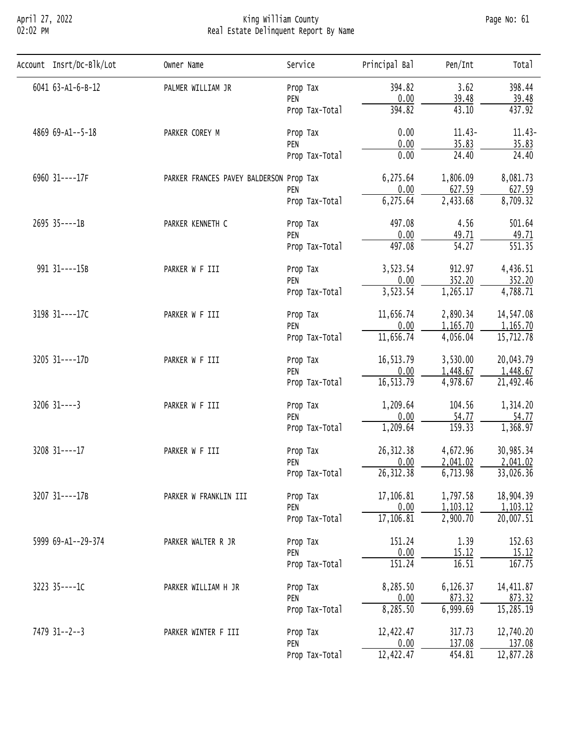## April 27, 2022 King William County Page No: 61 02:02 PM Real Estate Delinquent Report By Name

| Account Insrt/Dc-Blk/Lot | Owner Name                                                                                                                                                                                                                                                                                                                                                                                                                                                                                                                                                                                                                                                                                                                                                                                                                                                                                                                                                                                                                                                                                                                                                                                                                                                           | Service             | Principal Bal                         | Pen/Int   | Total      |
|--------------------------|----------------------------------------------------------------------------------------------------------------------------------------------------------------------------------------------------------------------------------------------------------------------------------------------------------------------------------------------------------------------------------------------------------------------------------------------------------------------------------------------------------------------------------------------------------------------------------------------------------------------------------------------------------------------------------------------------------------------------------------------------------------------------------------------------------------------------------------------------------------------------------------------------------------------------------------------------------------------------------------------------------------------------------------------------------------------------------------------------------------------------------------------------------------------------------------------------------------------------------------------------------------------|---------------------|---------------------------------------|-----------|------------|
| 6041 63-A1-6-B-12        | PALMER WILLIAM JR                                                                                                                                                                                                                                                                                                                                                                                                                                                                                                                                                                                                                                                                                                                                                                                                                                                                                                                                                                                                                                                                                                                                                                                                                                                    | Prop Tax            | 394.82                                | 3.62      | 398.44     |
|                          |                                                                                                                                                                                                                                                                                                                                                                                                                                                                                                                                                                                                                                                                                                                                                                                                                                                                                                                                                                                                                                                                                                                                                                                                                                                                      | PEN                 |                                       |           | 39.48      |
|                          |                                                                                                                                                                                                                                                                                                                                                                                                                                                                                                                                                                                                                                                                                                                                                                                                                                                                                                                                                                                                                                                                                                                                                                                                                                                                      | Prop Tax-Total      | 394.82                                | 43.10     | 437.92     |
| 4869 69-A1--5-18         | PARKER COREY M                                                                                                                                                                                                                                                                                                                                                                                                                                                                                                                                                                                                                                                                                                                                                                                                                                                                                                                                                                                                                                                                                                                                                                                                                                                       | Prop Tax            | 0.00                                  | $11.43-$  | $11.43-$   |
|                          |                                                                                                                                                                                                                                                                                                                                                                                                                                                                                                                                                                                                                                                                                                                                                                                                                                                                                                                                                                                                                                                                                                                                                                                                                                                                      | PEN                 |                                       |           | 35.83      |
|                          |                                                                                                                                                                                                                                                                                                                                                                                                                                                                                                                                                                                                                                                                                                                                                                                                                                                                                                                                                                                                                                                                                                                                                                                                                                                                      | Prop Tax-Total      |                                       |           | 24.40      |
| 6960 31 ---- 17F         |                                                                                                                                                                                                                                                                                                                                                                                                                                                                                                                                                                                                                                                                                                                                                                                                                                                                                                                                                                                                                                                                                                                                                                                                                                                                      |                     | 6,275.64                              | 1,806.09  | 8,081.73   |
|                          |                                                                                                                                                                                                                                                                                                                                                                                                                                                                                                                                                                                                                                                                                                                                                                                                                                                                                                                                                                                                                                                                                                                                                                                                                                                                      | PEN                 |                                       |           | 627.59     |
|                          |                                                                                                                                                                                                                                                                                                                                                                                                                                                                                                                                                                                                                                                                                                                                                                                                                                                                                                                                                                                                                                                                                                                                                                                                                                                                      | Prop Tax-Total      |                                       |           | 8,709.32   |
| 2695 35----1B            | PARKER KENNETH C                                                                                                                                                                                                                                                                                                                                                                                                                                                                                                                                                                                                                                                                                                                                                                                                                                                                                                                                                                                                                                                                                                                                                                                                                                                     | Prop Tax            | 497.08                                | 4.56      | 501.64     |
|                          |                                                                                                                                                                                                                                                                                                                                                                                                                                                                                                                                                                                                                                                                                                                                                                                                                                                                                                                                                                                                                                                                                                                                                                                                                                                                      | PEN                 | 0.00                                  |           | 49.71      |
|                          | 0.00<br>39.48<br>0.00<br>35.83<br>0.00<br>24.40<br>PARKER FRANCES PAVEY BALDERSON Prop Tax<br>0.00<br>627.59<br>2,433.68<br>6,275.64<br>49.71<br>54.27<br>497.08<br>Prop Tax-Total<br>912.97<br>3,523.54<br>PARKER W F III<br>Prop Tax<br>0.00<br>352.20<br>PEN<br>3,523.54<br>1,265.17<br>Prop Tax-Total<br>2,890.34<br>11,656.74<br>PARKER W F III<br>Prop Tax<br>0.00<br>1,165.70<br>PEN<br>11,656.74<br>4,056.04<br>Prop Tax-Total<br>16,513.79<br>3,530.00<br>PARKER W F III<br>Prop Tax<br>0.00<br>1,448.67<br>PEN<br>16,513.79<br>4,978.67<br>Prop Tax-Total<br>1,209.64<br>104.56<br>PARKER W F III<br>Prop Tax<br>0.00<br>54.77<br>PEN<br>1,209.64<br>159.33<br>Prop Tax-Total<br>26, 312.38<br>4,672.96<br>Prop Tax<br>PARKER W F III<br>0.00<br>2,041.02<br>PEN<br>26, 312. 38<br>6,713.98<br>Prop Tax-Total<br>17,106.81<br>1,797.58<br>PARKER W FRANKLIN III<br>Prop Tax<br>0.00<br>1,103.12<br>PEN<br>2,900.70<br>17,106.81<br>Prop Tax-Total<br>1.39<br>151.24<br>PARKER WALTER R JR<br>Prop Tax<br>0.00<br>15.12<br>PEN<br>151.24<br>16.51<br>Prop Tax-Total<br>8,285.50<br>6,126.37<br>PARKER WILLIAM H JR<br>Prop Tax<br>873.32<br>0.00<br>PEN<br>6,999.69<br>8,285.50<br>Prop Tax-Total<br>12,422.47<br>317.73<br>PARKER WINTER F III<br>Prop Tax | $\overline{551.35}$ |                                       |           |            |
| 991 31----15B            |                                                                                                                                                                                                                                                                                                                                                                                                                                                                                                                                                                                                                                                                                                                                                                                                                                                                                                                                                                                                                                                                                                                                                                                                                                                                      |                     |                                       |           | 4,436.51   |
|                          |                                                                                                                                                                                                                                                                                                                                                                                                                                                                                                                                                                                                                                                                                                                                                                                                                                                                                                                                                                                                                                                                                                                                                                                                                                                                      |                     |                                       |           | 352.20     |
|                          |                                                                                                                                                                                                                                                                                                                                                                                                                                                                                                                                                                                                                                                                                                                                                                                                                                                                                                                                                                                                                                                                                                                                                                                                                                                                      |                     |                                       |           | 4,788.71   |
| 3198 31----17C           |                                                                                                                                                                                                                                                                                                                                                                                                                                                                                                                                                                                                                                                                                                                                                                                                                                                                                                                                                                                                                                                                                                                                                                                                                                                                      |                     |                                       |           | 14,547.08  |
|                          |                                                                                                                                                                                                                                                                                                                                                                                                                                                                                                                                                                                                                                                                                                                                                                                                                                                                                                                                                                                                                                                                                                                                                                                                                                                                      |                     |                                       |           | 1,165.70   |
|                          |                                                                                                                                                                                                                                                                                                                                                                                                                                                                                                                                                                                                                                                                                                                                                                                                                                                                                                                                                                                                                                                                                                                                                                                                                                                                      |                     |                                       |           | 15,712.78  |
| 3205 31----17D           |                                                                                                                                                                                                                                                                                                                                                                                                                                                                                                                                                                                                                                                                                                                                                                                                                                                                                                                                                                                                                                                                                                                                                                                                                                                                      |                     |                                       |           | 20,043.79  |
|                          |                                                                                                                                                                                                                                                                                                                                                                                                                                                                                                                                                                                                                                                                                                                                                                                                                                                                                                                                                                                                                                                                                                                                                                                                                                                                      |                     | 1,448.67                              |           |            |
|                          |                                                                                                                                                                                                                                                                                                                                                                                                                                                                                                                                                                                                                                                                                                                                                                                                                                                                                                                                                                                                                                                                                                                                                                                                                                                                      |                     |                                       |           | 21,492.46  |
| $3206$ $31---3$          |                                                                                                                                                                                                                                                                                                                                                                                                                                                                                                                                                                                                                                                                                                                                                                                                                                                                                                                                                                                                                                                                                                                                                                                                                                                                      |                     |                                       |           | 1,314.20   |
|                          |                                                                                                                                                                                                                                                                                                                                                                                                                                                                                                                                                                                                                                                                                                                                                                                                                                                                                                                                                                                                                                                                                                                                                                                                                                                                      |                     |                                       |           | 54.77      |
|                          |                                                                                                                                                                                                                                                                                                                                                                                                                                                                                                                                                                                                                                                                                                                                                                                                                                                                                                                                                                                                                                                                                                                                                                                                                                                                      |                     |                                       |           | 1,368.97   |
| 3208 31 ---- 17          |                                                                                                                                                                                                                                                                                                                                                                                                                                                                                                                                                                                                                                                                                                                                                                                                                                                                                                                                                                                                                                                                                                                                                                                                                                                                      |                     |                                       |           | 30,985.34  |
|                          |                                                                                                                                                                                                                                                                                                                                                                                                                                                                                                                                                                                                                                                                                                                                                                                                                                                                                                                                                                                                                                                                                                                                                                                                                                                                      |                     |                                       |           | 2,041.02   |
|                          |                                                                                                                                                                                                                                                                                                                                                                                                                                                                                                                                                                                                                                                                                                                                                                                                                                                                                                                                                                                                                                                                                                                                                                                                                                                                      |                     |                                       |           | 33,026.36  |
| 3207 31----17B           |                                                                                                                                                                                                                                                                                                                                                                                                                                                                                                                                                                                                                                                                                                                                                                                                                                                                                                                                                                                                                                                                                                                                                                                                                                                                      |                     | 0.00<br>137.08<br>12,422.47<br>454.81 | 18,904.39 |            |
|                          |                                                                                                                                                                                                                                                                                                                                                                                                                                                                                                                                                                                                                                                                                                                                                                                                                                                                                                                                                                                                                                                                                                                                                                                                                                                                      |                     |                                       |           | 1, 103.12  |
|                          |                                                                                                                                                                                                                                                                                                                                                                                                                                                                                                                                                                                                                                                                                                                                                                                                                                                                                                                                                                                                                                                                                                                                                                                                                                                                      |                     |                                       |           | 20,007.51  |
| 5999 69-A1--29-374       |                                                                                                                                                                                                                                                                                                                                                                                                                                                                                                                                                                                                                                                                                                                                                                                                                                                                                                                                                                                                                                                                                                                                                                                                                                                                      |                     |                                       |           | 152.63     |
|                          |                                                                                                                                                                                                                                                                                                                                                                                                                                                                                                                                                                                                                                                                                                                                                                                                                                                                                                                                                                                                                                                                                                                                                                                                                                                                      |                     |                                       |           | 15.12      |
|                          |                                                                                                                                                                                                                                                                                                                                                                                                                                                                                                                                                                                                                                                                                                                                                                                                                                                                                                                                                                                                                                                                                                                                                                                                                                                                      |                     |                                       |           | 167.75     |
| 3223 35----1C            |                                                                                                                                                                                                                                                                                                                                                                                                                                                                                                                                                                                                                                                                                                                                                                                                                                                                                                                                                                                                                                                                                                                                                                                                                                                                      |                     |                                       |           | 14, 411.87 |
|                          |                                                                                                                                                                                                                                                                                                                                                                                                                                                                                                                                                                                                                                                                                                                                                                                                                                                                                                                                                                                                                                                                                                                                                                                                                                                                      |                     |                                       |           | 873.32     |
|                          |                                                                                                                                                                                                                                                                                                                                                                                                                                                                                                                                                                                                                                                                                                                                                                                                                                                                                                                                                                                                                                                                                                                                                                                                                                                                      |                     |                                       |           | 15,285.19  |
| 7479 31--2--3            |                                                                                                                                                                                                                                                                                                                                                                                                                                                                                                                                                                                                                                                                                                                                                                                                                                                                                                                                                                                                                                                                                                                                                                                                                                                                      |                     |                                       |           | 12,740.20  |
|                          |                                                                                                                                                                                                                                                                                                                                                                                                                                                                                                                                                                                                                                                                                                                                                                                                                                                                                                                                                                                                                                                                                                                                                                                                                                                                      | PEN                 |                                       |           | 137.08     |
|                          |                                                                                                                                                                                                                                                                                                                                                                                                                                                                                                                                                                                                                                                                                                                                                                                                                                                                                                                                                                                                                                                                                                                                                                                                                                                                      | Prop Tax-Total      |                                       |           | 12,877.28  |
|                          |                                                                                                                                                                                                                                                                                                                                                                                                                                                                                                                                                                                                                                                                                                                                                                                                                                                                                                                                                                                                                                                                                                                                                                                                                                                                      |                     |                                       |           |            |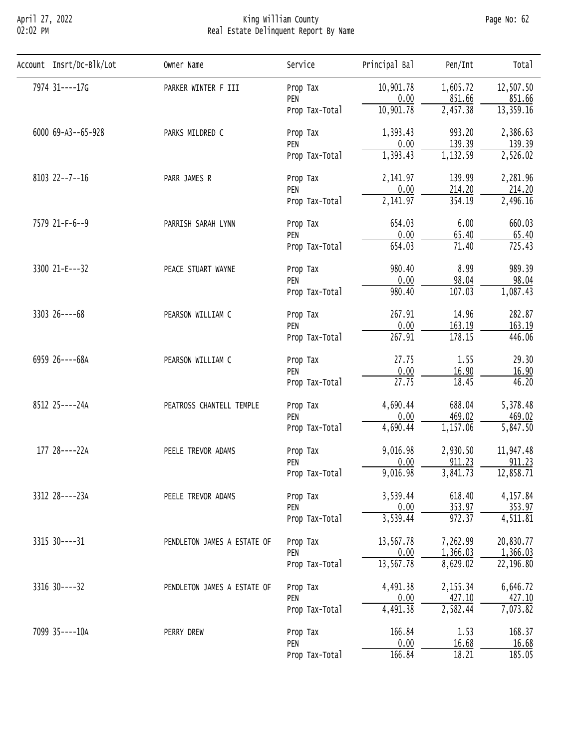## April 27, 2022 King William County Page No: 62 02:02 PM Real Estate Delinquent Report By Name

| Account Insrt/Dc-Blk/Lot | Owner Name                                                                                                                                                                                                                                                                                                                                                                                                                                                                                                                                                                                                                                                                                                                                                                                                                                                                                                                                                                                                                                                                                                                                                                                          | Service        | Principal Bal                                                                                                         | Pen/Int  | Total     |
|--------------------------|-----------------------------------------------------------------------------------------------------------------------------------------------------------------------------------------------------------------------------------------------------------------------------------------------------------------------------------------------------------------------------------------------------------------------------------------------------------------------------------------------------------------------------------------------------------------------------------------------------------------------------------------------------------------------------------------------------------------------------------------------------------------------------------------------------------------------------------------------------------------------------------------------------------------------------------------------------------------------------------------------------------------------------------------------------------------------------------------------------------------------------------------------------------------------------------------------------|----------------|-----------------------------------------------------------------------------------------------------------------------|----------|-----------|
| 7974 31----17G           | PARKER WINTER F III                                                                                                                                                                                                                                                                                                                                                                                                                                                                                                                                                                                                                                                                                                                                                                                                                                                                                                                                                                                                                                                                                                                                                                                 | Prop Tax       | 10,901.78                                                                                                             | 1,605.72 | 12,507.50 |
|                          |                                                                                                                                                                                                                                                                                                                                                                                                                                                                                                                                                                                                                                                                                                                                                                                                                                                                                                                                                                                                                                                                                                                                                                                                     | PEN            | 0.00                                                                                                                  | 851.66   | 851.66    |
|                          |                                                                                                                                                                                                                                                                                                                                                                                                                                                                                                                                                                                                                                                                                                                                                                                                                                                                                                                                                                                                                                                                                                                                                                                                     | Prop Tax-Total | 10,901.78                                                                                                             |          | 13,359.16 |
| 6000 69-A3--65-928       | PARKS MILDRED C                                                                                                                                                                                                                                                                                                                                                                                                                                                                                                                                                                                                                                                                                                                                                                                                                                                                                                                                                                                                                                                                                                                                                                                     | Prop Tax       | 1,393.43                                                                                                              | 993.20   | 2,386.63  |
|                          | 2,457.38<br>0.00<br>139.39<br>PEN<br>1,393.43<br>1,132.59<br>Prop Tax-Total<br>2,141.97<br>139.99<br>PARR JAMES R<br>Prop Tax<br>0.00<br>214.20<br>PEN<br>354.19<br>2,141.97<br>Prop Tax-Total<br>6.00<br>654.03<br>PARRISH SARAH LYNN<br>Prop Tax<br>0.00<br>65.40<br>PEN<br>71.40<br>654.03<br>Prop Tax-Total<br>980.40<br>8.99<br>PEACE STUART WAYNE<br>Prop Tax<br>0.00<br>98.04<br>PEN<br>107.03<br>980.40<br>Prop Tax-Total<br>267.91<br>14.96<br>PEARSON WILLIAM C<br>Prop Tax<br>0.00<br>163.19<br>PEN<br>267.91<br>178.15<br>Prop Tax-Total<br>27.75<br>1.55<br>PEARSON WILLIAM C<br>Prop Tax<br>0.00<br>16.90<br>PEN<br>27.75<br>18.45<br>Prop Tax-Total<br>688.04<br>4,690.44<br>PEATROSS CHANTELL TEMPLE<br>Prop Tax<br>0.00<br>469.02<br>PEN<br>4,690.44<br>1,157.06<br>Prop Tax-Total<br>9,016.98<br>2,930.50<br>PEELE TREVOR ADAMS<br>Prop Tax<br>0.00<br>911.23<br>PEN<br>9,016.98<br>3,841.73<br>Prop Tax-Total<br>3,539.44<br>618.40<br>PEELE TREVOR ADAMS<br>Prop Tax<br>0.00<br>353.97<br>PEN<br>3,539.44<br>972.37<br>Prop Tax-Total<br>13,567.78<br>7,262.99<br>PENDLETON JAMES A ESTATE OF<br>Prop Tax<br>0.00<br>1,366.03<br>PEN<br>13,567.78<br>8,629.02<br>Prop Tax-Total | 139.39         |                                                                                                                       |          |           |
|                          |                                                                                                                                                                                                                                                                                                                                                                                                                                                                                                                                                                                                                                                                                                                                                                                                                                                                                                                                                                                                                                                                                                                                                                                                     |                |                                                                                                                       |          | 2,526.02  |
| $8103$ $22--7--16$       |                                                                                                                                                                                                                                                                                                                                                                                                                                                                                                                                                                                                                                                                                                                                                                                                                                                                                                                                                                                                                                                                                                                                                                                                     |                |                                                                                                                       |          | 2,281.96  |
|                          |                                                                                                                                                                                                                                                                                                                                                                                                                                                                                                                                                                                                                                                                                                                                                                                                                                                                                                                                                                                                                                                                                                                                                                                                     |                | 214.20                                                                                                                |          |           |
|                          |                                                                                                                                                                                                                                                                                                                                                                                                                                                                                                                                                                                                                                                                                                                                                                                                                                                                                                                                                                                                                                                                                                                                                                                                     |                |                                                                                                                       |          | 2,496.16  |
| 7579 21-F-6--9           |                                                                                                                                                                                                                                                                                                                                                                                                                                                                                                                                                                                                                                                                                                                                                                                                                                                                                                                                                                                                                                                                                                                                                                                                     |                |                                                                                                                       |          | 660.03    |
|                          |                                                                                                                                                                                                                                                                                                                                                                                                                                                                                                                                                                                                                                                                                                                                                                                                                                                                                                                                                                                                                                                                                                                                                                                                     |                |                                                                                                                       |          | 65.40     |
|                          |                                                                                                                                                                                                                                                                                                                                                                                                                                                                                                                                                                                                                                                                                                                                                                                                                                                                                                                                                                                                                                                                                                                                                                                                     |                |                                                                                                                       |          | 725.43    |
| 3300 21-E---32           |                                                                                                                                                                                                                                                                                                                                                                                                                                                                                                                                                                                                                                                                                                                                                                                                                                                                                                                                                                                                                                                                                                                                                                                                     |                |                                                                                                                       |          | 989.39    |
|                          |                                                                                                                                                                                                                                                                                                                                                                                                                                                                                                                                                                                                                                                                                                                                                                                                                                                                                                                                                                                                                                                                                                                                                                                                     |                |                                                                                                                       |          | 98.04     |
|                          |                                                                                                                                                                                                                                                                                                                                                                                                                                                                                                                                                                                                                                                                                                                                                                                                                                                                                                                                                                                                                                                                                                                                                                                                     |                |                                                                                                                       |          | 1,087.43  |
| $3303$ $26---68$         |                                                                                                                                                                                                                                                                                                                                                                                                                                                                                                                                                                                                                                                                                                                                                                                                                                                                                                                                                                                                                                                                                                                                                                                                     |                |                                                                                                                       |          | 282.87    |
|                          |                                                                                                                                                                                                                                                                                                                                                                                                                                                                                                                                                                                                                                                                                                                                                                                                                                                                                                                                                                                                                                                                                                                                                                                                     |                |                                                                                                                       |          | 163.19    |
|                          |                                                                                                                                                                                                                                                                                                                                                                                                                                                                                                                                                                                                                                                                                                                                                                                                                                                                                                                                                                                                                                                                                                                                                                                                     |                |                                                                                                                       |          | 446.06    |
| 6959 26----68A           |                                                                                                                                                                                                                                                                                                                                                                                                                                                                                                                                                                                                                                                                                                                                                                                                                                                                                                                                                                                                                                                                                                                                                                                                     |                |                                                                                                                       |          | 29.30     |
|                          |                                                                                                                                                                                                                                                                                                                                                                                                                                                                                                                                                                                                                                                                                                                                                                                                                                                                                                                                                                                                                                                                                                                                                                                                     |                |                                                                                                                       |          | 16.90     |
|                          |                                                                                                                                                                                                                                                                                                                                                                                                                                                                                                                                                                                                                                                                                                                                                                                                                                                                                                                                                                                                                                                                                                                                                                                                     |                |                                                                                                                       |          | 46.20     |
| 8512 25----24A           |                                                                                                                                                                                                                                                                                                                                                                                                                                                                                                                                                                                                                                                                                                                                                                                                                                                                                                                                                                                                                                                                                                                                                                                                     |                |                                                                                                                       |          | 5,378.48  |
|                          |                                                                                                                                                                                                                                                                                                                                                                                                                                                                                                                                                                                                                                                                                                                                                                                                                                                                                                                                                                                                                                                                                                                                                                                                     |                |                                                                                                                       |          | 469.02    |
|                          |                                                                                                                                                                                                                                                                                                                                                                                                                                                                                                                                                                                                                                                                                                                                                                                                                                                                                                                                                                                                                                                                                                                                                                                                     |                |                                                                                                                       |          | 5,847.50  |
| 177 28----22A            |                                                                                                                                                                                                                                                                                                                                                                                                                                                                                                                                                                                                                                                                                                                                                                                                                                                                                                                                                                                                                                                                                                                                                                                                     |                |                                                                                                                       |          | 11,947.48 |
|                          |                                                                                                                                                                                                                                                                                                                                                                                                                                                                                                                                                                                                                                                                                                                                                                                                                                                                                                                                                                                                                                                                                                                                                                                                     |                |                                                                                                                       |          | 911.23    |
|                          |                                                                                                                                                                                                                                                                                                                                                                                                                                                                                                                                                                                                                                                                                                                                                                                                                                                                                                                                                                                                                                                                                                                                                                                                     |                |                                                                                                                       |          | 12,858.71 |
| 3312 28----23A           |                                                                                                                                                                                                                                                                                                                                                                                                                                                                                                                                                                                                                                                                                                                                                                                                                                                                                                                                                                                                                                                                                                                                                                                                     |                |                                                                                                                       |          | 4,157.84  |
|                          |                                                                                                                                                                                                                                                                                                                                                                                                                                                                                                                                                                                                                                                                                                                                                                                                                                                                                                                                                                                                                                                                                                                                                                                                     |                | 4,491.38<br>2, 155.34<br>0.00<br>427.10<br>4,491.38<br>2,582.44<br>1.53<br>166.84<br>0.00<br>16.68<br>18.21<br>166.84 | 353.97   |           |
|                          |                                                                                                                                                                                                                                                                                                                                                                                                                                                                                                                                                                                                                                                                                                                                                                                                                                                                                                                                                                                                                                                                                                                                                                                                     |                |                                                                                                                       |          | 4,511.81  |
| 3315 30----31            |                                                                                                                                                                                                                                                                                                                                                                                                                                                                                                                                                                                                                                                                                                                                                                                                                                                                                                                                                                                                                                                                                                                                                                                                     |                |                                                                                                                       |          | 20,830.77 |
|                          |                                                                                                                                                                                                                                                                                                                                                                                                                                                                                                                                                                                                                                                                                                                                                                                                                                                                                                                                                                                                                                                                                                                                                                                                     |                |                                                                                                                       |          | 1,366.03  |
|                          |                                                                                                                                                                                                                                                                                                                                                                                                                                                                                                                                                                                                                                                                                                                                                                                                                                                                                                                                                                                                                                                                                                                                                                                                     |                |                                                                                                                       |          | 22,196.80 |
| 3316 30----32            | PENDLETON JAMES A ESTATE OF                                                                                                                                                                                                                                                                                                                                                                                                                                                                                                                                                                                                                                                                                                                                                                                                                                                                                                                                                                                                                                                                                                                                                                         | Prop Tax       |                                                                                                                       |          | 6,646.72  |
|                          |                                                                                                                                                                                                                                                                                                                                                                                                                                                                                                                                                                                                                                                                                                                                                                                                                                                                                                                                                                                                                                                                                                                                                                                                     | PEN            |                                                                                                                       |          | 427.10    |
|                          |                                                                                                                                                                                                                                                                                                                                                                                                                                                                                                                                                                                                                                                                                                                                                                                                                                                                                                                                                                                                                                                                                                                                                                                                     | Prop Tax-Total |                                                                                                                       |          | 7,073.82  |
| 7099 35 ---- 10A         | PERRY DREW                                                                                                                                                                                                                                                                                                                                                                                                                                                                                                                                                                                                                                                                                                                                                                                                                                                                                                                                                                                                                                                                                                                                                                                          | Prop Tax       |                                                                                                                       |          | 168.37    |
|                          |                                                                                                                                                                                                                                                                                                                                                                                                                                                                                                                                                                                                                                                                                                                                                                                                                                                                                                                                                                                                                                                                                                                                                                                                     | PEN            |                                                                                                                       |          | 16.68     |
|                          |                                                                                                                                                                                                                                                                                                                                                                                                                                                                                                                                                                                                                                                                                                                                                                                                                                                                                                                                                                                                                                                                                                                                                                                                     | Prop Tax-Total |                                                                                                                       |          | 185.05    |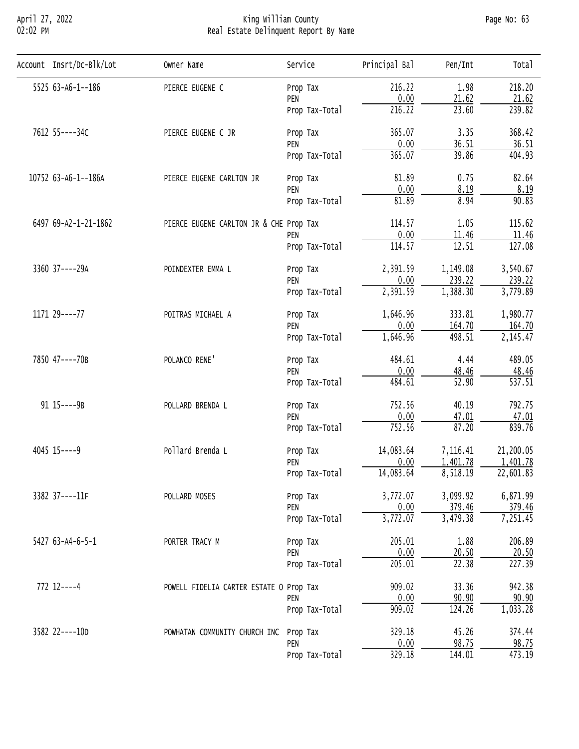#### April 27, 2022 King William County Page No: 63 02:02 PM Real Estate Delinquent Report By Name

| Account Insrt/Dc-Blk/Lot                                                                                 | Owner Name                    | Service                                                                                                                                                                                                                                                                                                                                                                                                                                                                                                                                                                                                                                                                                                                                                                                                                                                                                                                                                                                                                                                                                                                                                                                                               | Principal Bal | Pen/Int | Total    |
|----------------------------------------------------------------------------------------------------------|-------------------------------|-----------------------------------------------------------------------------------------------------------------------------------------------------------------------------------------------------------------------------------------------------------------------------------------------------------------------------------------------------------------------------------------------------------------------------------------------------------------------------------------------------------------------------------------------------------------------------------------------------------------------------------------------------------------------------------------------------------------------------------------------------------------------------------------------------------------------------------------------------------------------------------------------------------------------------------------------------------------------------------------------------------------------------------------------------------------------------------------------------------------------------------------------------------------------------------------------------------------------|---------------|---------|----------|
| 5525 63-A6-1--186                                                                                        | PIERCE EUGENE C               |                                                                                                                                                                                                                                                                                                                                                                                                                                                                                                                                                                                                                                                                                                                                                                                                                                                                                                                                                                                                                                                                                                                                                                                                                       | 216.22        | 1.98    |          |
|                                                                                                          |                               | PEN                                                                                                                                                                                                                                                                                                                                                                                                                                                                                                                                                                                                                                                                                                                                                                                                                                                                                                                                                                                                                                                                                                                                                                                                                   |               |         |          |
|                                                                                                          |                               | Prop Tax-Total                                                                                                                                                                                                                                                                                                                                                                                                                                                                                                                                                                                                                                                                                                                                                                                                                                                                                                                                                                                                                                                                                                                                                                                                        | 216.22        | 23.60   |          |
| 7612 55----34C                                                                                           | PIERCE EUGENE C JR            | Prop Tax                                                                                                                                                                                                                                                                                                                                                                                                                                                                                                                                                                                                                                                                                                                                                                                                                                                                                                                                                                                                                                                                                                                                                                                                              | 365.07        | 3.35    |          |
|                                                                                                          |                               | PEN                                                                                                                                                                                                                                                                                                                                                                                                                                                                                                                                                                                                                                                                                                                                                                                                                                                                                                                                                                                                                                                                                                                                                                                                                   |               |         |          |
|                                                                                                          |                               | Prop Tax-Total                                                                                                                                                                                                                                                                                                                                                                                                                                                                                                                                                                                                                                                                                                                                                                                                                                                                                                                                                                                                                                                                                                                                                                                                        |               |         |          |
| 10752 63-A6-1--186A                                                                                      | PIERCE EUGENE CARLTON JR      | Prop Tax                                                                                                                                                                                                                                                                                                                                                                                                                                                                                                                                                                                                                                                                                                                                                                                                                                                                                                                                                                                                                                                                                                                                                                                                              | 81.89         | 0.75    |          |
|                                                                                                          |                               | 218.20<br>Prop Tax<br>0.00<br>21.62<br>21.62<br>239.82<br>368.42<br>36.51<br>0.00<br>36.51<br>39.86<br>365.07<br>404.93<br>82.64<br>0.00<br>8.19<br>8.19<br>PEN<br>8.94<br>81.89<br>90.83<br>Prop Tax-Total<br>1.05<br>114.57<br>115.62<br>PIERCE EUGENE CARLTON JR & CHE Prop Tax<br>0.00<br>11.46<br>11.46<br>PEN<br>12.51<br>127.08<br>114.57<br>Prop Tax-Total<br>2,391.59<br>1,149.08<br>3,540.67<br>Prop Tax<br>0.00<br>239.22<br>239.22<br>PEN<br>2,391.59<br>1,388.30<br>3,779.89<br>Prop Tax-Total<br>333.81<br>1,646.96<br>1,980.77<br>Prop Tax<br>0.00<br>164.70<br>164.70<br>PEN<br>1,646.96<br>498.51<br>2,145.47<br>Prop Tax-Total<br>484.61<br>4.44<br>489.05<br>Prop Tax<br>0.00<br>48.46<br>48.46<br>PEN<br>$\overline{52.90}$<br>$\overline{537.51}$<br>484.61<br>Prop Tax-Total<br>752.56<br>40.19<br>792.75<br>Prop Tax<br>0.00<br>47.01<br>47.01<br>PEN<br>87.20<br>752.56<br>839.76<br>Prop Tax-Total<br>14,083.64<br>7,116.41<br>21,200.05<br>Prop Tax<br>1,401.78<br>0.00<br>1,401.78<br>PEN<br>14,083.64<br>8,518.19<br>22,601.83<br>Prop Tax-Total<br>3,772.07<br>3,099.92<br>6,871.99<br>Prop Tax<br>0.00<br>379.46<br>379.46<br>PEN<br>3,772.07<br>3,479.38<br>7,251.45<br>Prop Tax-Total |               |         |          |
|                                                                                                          |                               |                                                                                                                                                                                                                                                                                                                                                                                                                                                                                                                                                                                                                                                                                                                                                                                                                                                                                                                                                                                                                                                                                                                                                                                                                       |               |         |          |
| 6497 69-A2-1-21-1862                                                                                     |                               |                                                                                                                                                                                                                                                                                                                                                                                                                                                                                                                                                                                                                                                                                                                                                                                                                                                                                                                                                                                                                                                                                                                                                                                                                       |               |         |          |
|                                                                                                          |                               |                                                                                                                                                                                                                                                                                                                                                                                                                                                                                                                                                                                                                                                                                                                                                                                                                                                                                                                                                                                                                                                                                                                                                                                                                       |               |         |          |
|                                                                                                          |                               |                                                                                                                                                                                                                                                                                                                                                                                                                                                                                                                                                                                                                                                                                                                                                                                                                                                                                                                                                                                                                                                                                                                                                                                                                       |               |         |          |
| 3360 37----29A                                                                                           | POINDEXTER EMMA L             |                                                                                                                                                                                                                                                                                                                                                                                                                                                                                                                                                                                                                                                                                                                                                                                                                                                                                                                                                                                                                                                                                                                                                                                                                       |               |         |          |
|                                                                                                          |                               |                                                                                                                                                                                                                                                                                                                                                                                                                                                                                                                                                                                                                                                                                                                                                                                                                                                                                                                                                                                                                                                                                                                                                                                                                       |               |         |          |
|                                                                                                          |                               |                                                                                                                                                                                                                                                                                                                                                                                                                                                                                                                                                                                                                                                                                                                                                                                                                                                                                                                                                                                                                                                                                                                                                                                                                       |               |         |          |
| 1171 29----77                                                                                            | POITRAS MICHAEL A             |                                                                                                                                                                                                                                                                                                                                                                                                                                                                                                                                                                                                                                                                                                                                                                                                                                                                                                                                                                                                                                                                                                                                                                                                                       |               |         |          |
| 7850 47----70B<br>POLANCO RENE'<br>91 15----9B<br>POLLARD BRENDA L<br>4045 15 ---- 9<br>Pollard Brenda L |                               |                                                                                                                                                                                                                                                                                                                                                                                                                                                                                                                                                                                                                                                                                                                                                                                                                                                                                                                                                                                                                                                                                                                                                                                                                       |               |         |          |
|                                                                                                          |                               |                                                                                                                                                                                                                                                                                                                                                                                                                                                                                                                                                                                                                                                                                                                                                                                                                                                                                                                                                                                                                                                                                                                                                                                                                       |               |         |          |
|                                                                                                          |                               |                                                                                                                                                                                                                                                                                                                                                                                                                                                                                                                                                                                                                                                                                                                                                                                                                                                                                                                                                                                                                                                                                                                                                                                                                       |               |         |          |
|                                                                                                          |                               |                                                                                                                                                                                                                                                                                                                                                                                                                                                                                                                                                                                                                                                                                                                                                                                                                                                                                                                                                                                                                                                                                                                                                                                                                       |               |         |          |
|                                                                                                          |                               |                                                                                                                                                                                                                                                                                                                                                                                                                                                                                                                                                                                                                                                                                                                                                                                                                                                                                                                                                                                                                                                                                                                                                                                                                       |               |         |          |
|                                                                                                          |                               |                                                                                                                                                                                                                                                                                                                                                                                                                                                                                                                                                                                                                                                                                                                                                                                                                                                                                                                                                                                                                                                                                                                                                                                                                       |               |         |          |
|                                                                                                          |                               |                                                                                                                                                                                                                                                                                                                                                                                                                                                                                                                                                                                                                                                                                                                                                                                                                                                                                                                                                                                                                                                                                                                                                                                                                       |               |         |          |
|                                                                                                          |                               |                                                                                                                                                                                                                                                                                                                                                                                                                                                                                                                                                                                                                                                                                                                                                                                                                                                                                                                                                                                                                                                                                                                                                                                                                       |               |         |          |
|                                                                                                          |                               |                                                                                                                                                                                                                                                                                                                                                                                                                                                                                                                                                                                                                                                                                                                                                                                                                                                                                                                                                                                                                                                                                                                                                                                                                       |               |         |          |
|                                                                                                          |                               |                                                                                                                                                                                                                                                                                                                                                                                                                                                                                                                                                                                                                                                                                                                                                                                                                                                                                                                                                                                                                                                                                                                                                                                                                       |               |         |          |
|                                                                                                          |                               |                                                                                                                                                                                                                                                                                                                                                                                                                                                                                                                                                                                                                                                                                                                                                                                                                                                                                                                                                                                                                                                                                                                                                                                                                       |               |         |          |
| 3382 37----11F                                                                                           | POLLARD MOSES                 | 1.88<br>205.01<br>Prop Tax<br>0.00<br>20.50<br>PEN<br>205.01<br>22.38<br>Prop Tax-Total<br>33.36<br>909.02<br>POWELL FIDELIA CARTER ESTATE O Prop Tax<br>0.00<br>90.90<br>PEN<br>909.02<br>124.26<br>Prop Tax-Total<br>329.18<br>45.26<br>Prop Tax<br>0.00<br>98.75<br>PEN<br>329.18<br>144.01<br>Prop Tax-Total                                                                                                                                                                                                                                                                                                                                                                                                                                                                                                                                                                                                                                                                                                                                                                                                                                                                                                      |               |         |          |
|                                                                                                          |                               |                                                                                                                                                                                                                                                                                                                                                                                                                                                                                                                                                                                                                                                                                                                                                                                                                                                                                                                                                                                                                                                                                                                                                                                                                       |               |         |          |
|                                                                                                          |                               |                                                                                                                                                                                                                                                                                                                                                                                                                                                                                                                                                                                                                                                                                                                                                                                                                                                                                                                                                                                                                                                                                                                                                                                                                       |               |         |          |
| 5427 63-A4-6-5-1                                                                                         | PORTER TRACY M                |                                                                                                                                                                                                                                                                                                                                                                                                                                                                                                                                                                                                                                                                                                                                                                                                                                                                                                                                                                                                                                                                                                                                                                                                                       |               |         | 206.89   |
|                                                                                                          |                               |                                                                                                                                                                                                                                                                                                                                                                                                                                                                                                                                                                                                                                                                                                                                                                                                                                                                                                                                                                                                                                                                                                                                                                                                                       |               |         | 20.50    |
|                                                                                                          |                               |                                                                                                                                                                                                                                                                                                                                                                                                                                                                                                                                                                                                                                                                                                                                                                                                                                                                                                                                                                                                                                                                                                                                                                                                                       |               |         | 227.39   |
| $772$ 12----4                                                                                            |                               |                                                                                                                                                                                                                                                                                                                                                                                                                                                                                                                                                                                                                                                                                                                                                                                                                                                                                                                                                                                                                                                                                                                                                                                                                       |               |         | 942.38   |
|                                                                                                          |                               |                                                                                                                                                                                                                                                                                                                                                                                                                                                                                                                                                                                                                                                                                                                                                                                                                                                                                                                                                                                                                                                                                                                                                                                                                       |               |         | 90.90    |
|                                                                                                          |                               |                                                                                                                                                                                                                                                                                                                                                                                                                                                                                                                                                                                                                                                                                                                                                                                                                                                                                                                                                                                                                                                                                                                                                                                                                       |               |         | 1,033.28 |
| 3582 22----10D                                                                                           | POWHATAN COMMUNITY CHURCH INC |                                                                                                                                                                                                                                                                                                                                                                                                                                                                                                                                                                                                                                                                                                                                                                                                                                                                                                                                                                                                                                                                                                                                                                                                                       |               |         | 374.44   |
|                                                                                                          |                               |                                                                                                                                                                                                                                                                                                                                                                                                                                                                                                                                                                                                                                                                                                                                                                                                                                                                                                                                                                                                                                                                                                                                                                                                                       |               |         | 98.75    |
|                                                                                                          |                               |                                                                                                                                                                                                                                                                                                                                                                                                                                                                                                                                                                                                                                                                                                                                                                                                                                                                                                                                                                                                                                                                                                                                                                                                                       |               |         | 473.19   |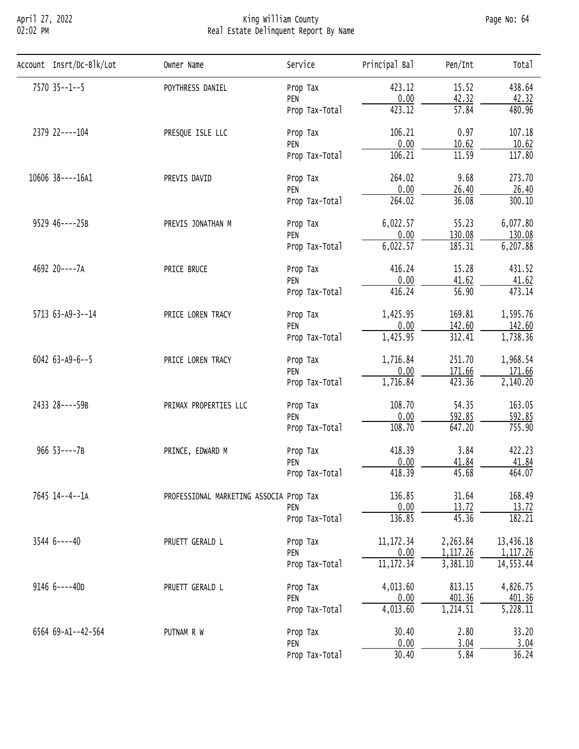## April 27, 2022 King William County Page No: 64 02:02 PM Real Estate Delinquent Report By Name

| Account Insrt/Dc-Blk/Lot | Owner Name                                                                                                                                                                                                                                                                                                                                                                                                                                                                                                                                        | Service                                                                                                                                                                                                                                                                                                   | Principal Bal | Pen/Int            | Total         |
|--------------------------|---------------------------------------------------------------------------------------------------------------------------------------------------------------------------------------------------------------------------------------------------------------------------------------------------------------------------------------------------------------------------------------------------------------------------------------------------------------------------------------------------------------------------------------------------|-----------------------------------------------------------------------------------------------------------------------------------------------------------------------------------------------------------------------------------------------------------------------------------------------------------|---------------|--------------------|---------------|
| 7570 35 -- 1 -- 5        | POYTHRESS DANIEL                                                                                                                                                                                                                                                                                                                                                                                                                                                                                                                                  | Prop Tax                                                                                                                                                                                                                                                                                                  | 423.12        | 15.52              | 438.64        |
|                          |                                                                                                                                                                                                                                                                                                                                                                                                                                                                                                                                                   | PEN                                                                                                                                                                                                                                                                                                       |               |                    | 42.32         |
|                          |                                                                                                                                                                                                                                                                                                                                                                                                                                                                                                                                                   | Prop Tax-Total                                                                                                                                                                                                                                                                                            | 423.12        | $\overline{57.84}$ | 480.96        |
| 2379 22----104           | PRESQUE ISLE LLC                                                                                                                                                                                                                                                                                                                                                                                                                                                                                                                                  | Prop Tax                                                                                                                                                                                                                                                                                                  | 106.21        | 0.97               | 107.18        |
|                          |                                                                                                                                                                                                                                                                                                                                                                                                                                                                                                                                                   | PEN                                                                                                                                                                                                                                                                                                       |               |                    | 10.62         |
|                          |                                                                                                                                                                                                                                                                                                                                                                                                                                                                                                                                                   | Prop Tax-Total                                                                                                                                                                                                                                                                                            |               |                    | 117.80        |
| 10606 38----16A1         | PREVIS DAVID                                                                                                                                                                                                                                                                                                                                                                                                                                                                                                                                      | Prop Tax                                                                                                                                                                                                                                                                                                  | 264.02        | 9.68               | 273.70        |
|                          |                                                                                                                                                                                                                                                                                                                                                                                                                                                                                                                                                   | PEN                                                                                                                                                                                                                                                                                                       |               |                    | 26.40         |
|                          | 0.00<br>26.40<br>264.02<br>36.08<br>Prop Tax-Total<br>6,022.57<br>55.23<br>PREVIS JONATHAN M<br>Prop Tax<br>0.00<br>130.08<br>PEN<br>6,022.57<br>185.31<br>Prop Tax-Total<br>15.28<br>416.24<br>PRICE BRUCE<br>Prop Tax<br>0.00<br>41.62<br>PEN<br>$\overline{56.90}$<br>416.24<br>Prop Tax-Total<br>169.81<br>1,425.95<br>PRICE LOREN TRACY<br>Prop Tax<br>0.00<br>142.60<br>PEN<br>312.41<br>1,425.95<br>Prop Tax-Total<br>1,716.84<br>251.70<br>PRICE LOREN TRACY<br>Prop Tax<br>0.00<br>171.66<br>PEN<br>423.36<br>1,716.84<br>Prop Tax-Total | 300.10                                                                                                                                                                                                                                                                                                    |               |                    |               |
| 9529 46----25B           |                                                                                                                                                                                                                                                                                                                                                                                                                                                                                                                                                   |                                                                                                                                                                                                                                                                                                           |               |                    | 6,077.80      |
|                          |                                                                                                                                                                                                                                                                                                                                                                                                                                                                                                                                                   |                                                                                                                                                                                                                                                                                                           |               |                    | 130.08        |
|                          |                                                                                                                                                                                                                                                                                                                                                                                                                                                                                                                                                   | 0.00<br>10.62<br>106.21<br>11.59<br>108.70<br>54.35<br>Prop Tax<br>0.00<br>592.85<br>PEN<br>108.70<br>647.20<br>Prop Tax-Total<br>3.84<br>418.39<br>Prop Tax<br>0.00<br>41.84<br>PEN<br>418.39<br>45.68<br>Prop Tax-Total<br>31.64<br>136.85<br>0.00<br>13.72<br>PEN<br>136.85<br>45.36<br>Prop Tax-Total | 6, 207.88     |                    |               |
| 4692 20----7A            | PRIMAX PROPERTIES LLC<br>PRINCE, EDWARD M                                                                                                                                                                                                                                                                                                                                                                                                                                                                                                         |                                                                                                                                                                                                                                                                                                           | 431.52        |                    |               |
|                          |                                                                                                                                                                                                                                                                                                                                                                                                                                                                                                                                                   |                                                                                                                                                                                                                                                                                                           |               |                    | 41.62         |
|                          |                                                                                                                                                                                                                                                                                                                                                                                                                                                                                                                                                   |                                                                                                                                                                                                                                                                                                           |               |                    | 473.14        |
| 5713 63-A9-3--14         |                                                                                                                                                                                                                                                                                                                                                                                                                                                                                                                                                   |                                                                                                                                                                                                                                                                                                           |               |                    | 1,595.76      |
|                          | 0.00<br>42.32<br>PROFESSIONAL MARKETING ASSOCIA Prop Tax<br>11, 172.34<br>2,263.84<br>PRUETT GERALD L<br>Prop Tax<br>0.00<br>1, 117.26<br>PEN<br>11, 172.34<br>3,381.10<br>Prop Tax-Total<br>4,013.60<br>813.15<br>PRUETT GERALD L<br>Prop Tax<br>0.00<br>401.36<br>PEN<br>4,013.60<br>1,214.51<br>Prop Tax-Total<br>30.40<br>2.80<br>PUTNAM R W<br>Prop Tax<br>0.00<br>3.04<br>PEN<br>30.40<br>5.84<br>Prop Tax-Total                                                                                                                            | 142.60                                                                                                                                                                                                                                                                                                    |               |                    |               |
|                          |                                                                                                                                                                                                                                                                                                                                                                                                                                                                                                                                                   |                                                                                                                                                                                                                                                                                                           |               |                    | 1,738.36      |
| 6042 $63 - A9 - 6 - 5$   |                                                                                                                                                                                                                                                                                                                                                                                                                                                                                                                                                   |                                                                                                                                                                                                                                                                                                           |               |                    | 1,968.54      |
|                          |                                                                                                                                                                                                                                                                                                                                                                                                                                                                                                                                                   | 171.66                                                                                                                                                                                                                                                                                                    |               |                    |               |
|                          |                                                                                                                                                                                                                                                                                                                                                                                                                                                                                                                                                   |                                                                                                                                                                                                                                                                                                           |               |                    | 2,140.20      |
| 2433 28----59B           |                                                                                                                                                                                                                                                                                                                                                                                                                                                                                                                                                   |                                                                                                                                                                                                                                                                                                           |               |                    | 163.05        |
|                          |                                                                                                                                                                                                                                                                                                                                                                                                                                                                                                                                                   |                                                                                                                                                                                                                                                                                                           |               |                    | 592.85        |
|                          |                                                                                                                                                                                                                                                                                                                                                                                                                                                                                                                                                   |                                                                                                                                                                                                                                                                                                           |               |                    | 755.90        |
| $966$ 53----7B           |                                                                                                                                                                                                                                                                                                                                                                                                                                                                                                                                                   |                                                                                                                                                                                                                                                                                                           | 422.23        |                    |               |
|                          |                                                                                                                                                                                                                                                                                                                                                                                                                                                                                                                                                   |                                                                                                                                                                                                                                                                                                           |               |                    | 41.84         |
|                          |                                                                                                                                                                                                                                                                                                                                                                                                                                                                                                                                                   |                                                                                                                                                                                                                                                                                                           |               |                    | 464.07        |
| 7645 14--4--1A           |                                                                                                                                                                                                                                                                                                                                                                                                                                                                                                                                                   |                                                                                                                                                                                                                                                                                                           |               |                    | 168.49        |
|                          |                                                                                                                                                                                                                                                                                                                                                                                                                                                                                                                                                   |                                                                                                                                                                                                                                                                                                           |               |                    | 13.72         |
|                          |                                                                                                                                                                                                                                                                                                                                                                                                                                                                                                                                                   |                                                                                                                                                                                                                                                                                                           |               |                    | 182.21        |
| $35446---40$             |                                                                                                                                                                                                                                                                                                                                                                                                                                                                                                                                                   |                                                                                                                                                                                                                                                                                                           |               |                    | 13,436.18     |
|                          |                                                                                                                                                                                                                                                                                                                                                                                                                                                                                                                                                   |                                                                                                                                                                                                                                                                                                           |               |                    | 1, 117.26     |
|                          |                                                                                                                                                                                                                                                                                                                                                                                                                                                                                                                                                   |                                                                                                                                                                                                                                                                                                           |               |                    | 14, 553.44    |
| $91466 - - - 40D$        |                                                                                                                                                                                                                                                                                                                                                                                                                                                                                                                                                   |                                                                                                                                                                                                                                                                                                           |               |                    | 4,826.75      |
|                          |                                                                                                                                                                                                                                                                                                                                                                                                                                                                                                                                                   |                                                                                                                                                                                                                                                                                                           |               |                    | 401.36        |
|                          |                                                                                                                                                                                                                                                                                                                                                                                                                                                                                                                                                   |                                                                                                                                                                                                                                                                                                           |               |                    | 5,228.11      |
|                          |                                                                                                                                                                                                                                                                                                                                                                                                                                                                                                                                                   |                                                                                                                                                                                                                                                                                                           |               |                    |               |
| 6564 69-A1--42-564       |                                                                                                                                                                                                                                                                                                                                                                                                                                                                                                                                                   |                                                                                                                                                                                                                                                                                                           |               |                    | 33.20<br>3.04 |
|                          |                                                                                                                                                                                                                                                                                                                                                                                                                                                                                                                                                   |                                                                                                                                                                                                                                                                                                           |               |                    | 36.24         |
|                          |                                                                                                                                                                                                                                                                                                                                                                                                                                                                                                                                                   |                                                                                                                                                                                                                                                                                                           |               |                    |               |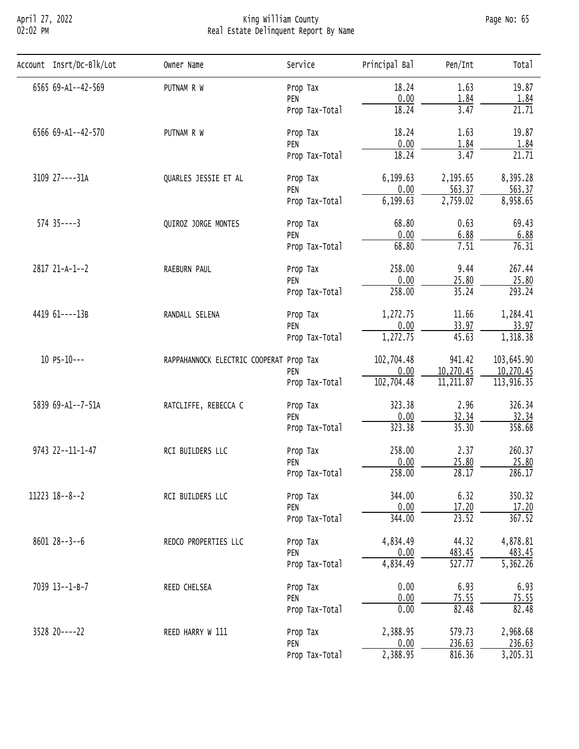## April 27, 2022 King William County Page No: 65 02:02 PM Real Estate Delinquent Report By Name

| Account Insrt/Dc-Blk/Lot | Owner Name                                                                                                                                                                                                                                                                                   | Service                                                                                                                                                                                                                                                                                                                                                                                                                                                                                                                                                                                                                                                                                                                                                                                                                                                                                                                                                                                                                                                                                                                                                                | Principal Bal | Pen/Int | Tota <sub>1</sub> |
|--------------------------|----------------------------------------------------------------------------------------------------------------------------------------------------------------------------------------------------------------------------------------------------------------------------------------------|------------------------------------------------------------------------------------------------------------------------------------------------------------------------------------------------------------------------------------------------------------------------------------------------------------------------------------------------------------------------------------------------------------------------------------------------------------------------------------------------------------------------------------------------------------------------------------------------------------------------------------------------------------------------------------------------------------------------------------------------------------------------------------------------------------------------------------------------------------------------------------------------------------------------------------------------------------------------------------------------------------------------------------------------------------------------------------------------------------------------------------------------------------------------|---------------|---------|-------------------|
| 6565 69-A1--42-569       | PUTNAM R W                                                                                                                                                                                                                                                                                   | Prop Tax                                                                                                                                                                                                                                                                                                                                                                                                                                                                                                                                                                                                                                                                                                                                                                                                                                                                                                                                                                                                                                                                                                                                                               | 18.24         | 1.63    | 19.87             |
|                          |                                                                                                                                                                                                                                                                                              | PEN                                                                                                                                                                                                                                                                                                                                                                                                                                                                                                                                                                                                                                                                                                                                                                                                                                                                                                                                                                                                                                                                                                                                                                    |               |         | 1.84              |
|                          |                                                                                                                                                                                                                                                                                              | 0.00<br>1.84<br>18.24<br>3.47<br>Prop Tax-Total<br>18.24<br>1.63<br>Prop Tax<br>0.00<br>1.84<br>PEN<br>18.24<br>3.47<br>Prop Tax-Total<br>6,199.63<br>2,195.65<br>Prop Tax<br>0.00<br>563.37<br>PEN<br>6,199.63<br>2,759.02<br>Prop Tax-Total<br>0.63<br>68.80<br>Prop Tax<br>0.00<br>6.88<br>PEN<br>68.80<br>7.51<br>Prop Tax-Total<br>9.44<br>258.00<br>Prop Tax<br>0.00<br>25.80<br>PEN<br>258.00<br>35.24<br>Prop Tax-Total<br>11.66<br>1,272.75<br>Prop Tax<br>0.00<br>33.97<br>PEN<br>45.63<br>1,272.75<br>Prop Tax-Total<br>941.42<br>102,704.48<br>0.00<br>10,270.45<br>PEN<br>102,704.48<br>11, 211.87<br>Prop Tax-Total<br>323.38<br>2.96<br>Prop Tax<br>0.00<br>32.34<br>PEN<br>323.38<br>35.30<br>Prop Tax-Total<br>258.00<br>2.37<br>Prop Tax<br>0.00<br>25.80<br>PEN<br>258.00<br>28.17<br>Prop Tax-Total<br>6.32<br>344.00<br>Prop Tax<br>0.00<br>17.20<br>PEN<br>344.00<br>23.52<br>Prop Tax-Total<br>4,834.49<br>44.32<br>Prop Tax<br>0.00<br>483.45<br>PEN<br>4,834.49<br>527.77<br>Prop Tax-Total<br>0.00<br>6.93<br>Prop Tax<br>0.00<br>75.55<br>PEN<br>0.00<br>82.48<br>Prop Tax-Total<br>2,388.95<br>579.73<br>Prop Tax<br>236.63<br>0.00<br>PEN | 21.71         |         |                   |
| 6566 69-A1--42-570       | PUTNAM R W                                                                                                                                                                                                                                                                                   |                                                                                                                                                                                                                                                                                                                                                                                                                                                                                                                                                                                                                                                                                                                                                                                                                                                                                                                                                                                                                                                                                                                                                                        |               |         | 19.87             |
|                          | QUARLES JESSIE ET AL<br>QUIROZ JORGE MONTES<br>RAEBURN PAUL<br>RANDALL SELENA<br>RAPPAHANNOCK ELECTRIC COOPERAT Prop Tax<br>RATCLIFFE, REBECCA C<br>RCI BUILDERS LLC<br>RCI BUILDERS LLC<br>REDCO PROPERTIES LLC<br>REED CHELSEA<br>REED HARRY W 111<br>816.36<br>2,388.95<br>Prop Tax-Total | 1.84                                                                                                                                                                                                                                                                                                                                                                                                                                                                                                                                                                                                                                                                                                                                                                                                                                                                                                                                                                                                                                                                                                                                                                   |               |         |                   |
|                          |                                                                                                                                                                                                                                                                                              |                                                                                                                                                                                                                                                                                                                                                                                                                                                                                                                                                                                                                                                                                                                                                                                                                                                                                                                                                                                                                                                                                                                                                                        |               |         | 21.71             |
| 3109 27----31A           |                                                                                                                                                                                                                                                                                              |                                                                                                                                                                                                                                                                                                                                                                                                                                                                                                                                                                                                                                                                                                                                                                                                                                                                                                                                                                                                                                                                                                                                                                        |               |         | 8,395.28          |
|                          |                                                                                                                                                                                                                                                                                              | 563.37                                                                                                                                                                                                                                                                                                                                                                                                                                                                                                                                                                                                                                                                                                                                                                                                                                                                                                                                                                                                                                                                                                                                                                 |               |         |                   |
|                          |                                                                                                                                                                                                                                                                                              |                                                                                                                                                                                                                                                                                                                                                                                                                                                                                                                                                                                                                                                                                                                                                                                                                                                                                                                                                                                                                                                                                                                                                                        |               |         | 8,958.65          |
| $574$ $35---3$           |                                                                                                                                                                                                                                                                                              |                                                                                                                                                                                                                                                                                                                                                                                                                                                                                                                                                                                                                                                                                                                                                                                                                                                                                                                                                                                                                                                                                                                                                                        |               |         | 69.43             |
|                          |                                                                                                                                                                                                                                                                                              |                                                                                                                                                                                                                                                                                                                                                                                                                                                                                                                                                                                                                                                                                                                                                                                                                                                                                                                                                                                                                                                                                                                                                                        |               |         | 6.88              |
|                          |                                                                                                                                                                                                                                                                                              | 76.31                                                                                                                                                                                                                                                                                                                                                                                                                                                                                                                                                                                                                                                                                                                                                                                                                                                                                                                                                                                                                                                                                                                                                                  |               |         |                   |
| 2817 21-A-1--2           |                                                                                                                                                                                                                                                                                              |                                                                                                                                                                                                                                                                                                                                                                                                                                                                                                                                                                                                                                                                                                                                                                                                                                                                                                                                                                                                                                                                                                                                                                        |               |         | 267.44            |
|                          |                                                                                                                                                                                                                                                                                              |                                                                                                                                                                                                                                                                                                                                                                                                                                                                                                                                                                                                                                                                                                                                                                                                                                                                                                                                                                                                                                                                                                                                                                        |               |         | 25.80             |
|                          |                                                                                                                                                                                                                                                                                              |                                                                                                                                                                                                                                                                                                                                                                                                                                                                                                                                                                                                                                                                                                                                                                                                                                                                                                                                                                                                                                                                                                                                                                        |               |         | 293.24            |
| 4419 61----13B           |                                                                                                                                                                                                                                                                                              |                                                                                                                                                                                                                                                                                                                                                                                                                                                                                                                                                                                                                                                                                                                                                                                                                                                                                                                                                                                                                                                                                                                                                                        |               |         | 1,284.41          |
|                          | $10$ PS- $10$ ---                                                                                                                                                                                                                                                                            | 33.97                                                                                                                                                                                                                                                                                                                                                                                                                                                                                                                                                                                                                                                                                                                                                                                                                                                                                                                                                                                                                                                                                                                                                                  |               |         |                   |
|                          |                                                                                                                                                                                                                                                                                              |                                                                                                                                                                                                                                                                                                                                                                                                                                                                                                                                                                                                                                                                                                                                                                                                                                                                                                                                                                                                                                                                                                                                                                        |               |         | 1,318.38          |
|                          |                                                                                                                                                                                                                                                                                              |                                                                                                                                                                                                                                                                                                                                                                                                                                                                                                                                                                                                                                                                                                                                                                                                                                                                                                                                                                                                                                                                                                                                                                        |               |         | 103,645.90        |
|                          |                                                                                                                                                                                                                                                                                              |                                                                                                                                                                                                                                                                                                                                                                                                                                                                                                                                                                                                                                                                                                                                                                                                                                                                                                                                                                                                                                                                                                                                                                        |               |         | 10,270.45         |
|                          |                                                                                                                                                                                                                                                                                              |                                                                                                                                                                                                                                                                                                                                                                                                                                                                                                                                                                                                                                                                                                                                                                                                                                                                                                                                                                                                                                                                                                                                                                        |               |         | 113,916.35        |
| 5839 69-A1--7-51A        |                                                                                                                                                                                                                                                                                              |                                                                                                                                                                                                                                                                                                                                                                                                                                                                                                                                                                                                                                                                                                                                                                                                                                                                                                                                                                                                                                                                                                                                                                        |               |         | 326.34            |
|                          |                                                                                                                                                                                                                                                                                              |                                                                                                                                                                                                                                                                                                                                                                                                                                                                                                                                                                                                                                                                                                                                                                                                                                                                                                                                                                                                                                                                                                                                                                        |               |         | 32.34             |
|                          |                                                                                                                                                                                                                                                                                              |                                                                                                                                                                                                                                                                                                                                                                                                                                                                                                                                                                                                                                                                                                                                                                                                                                                                                                                                                                                                                                                                                                                                                                        |               |         | 358.68            |
| 9743 22--11-1-47         |                                                                                                                                                                                                                                                                                              |                                                                                                                                                                                                                                                                                                                                                                                                                                                                                                                                                                                                                                                                                                                                                                                                                                                                                                                                                                                                                                                                                                                                                                        |               |         | 260.37            |
|                          |                                                                                                                                                                                                                                                                                              |                                                                                                                                                                                                                                                                                                                                                                                                                                                                                                                                                                                                                                                                                                                                                                                                                                                                                                                                                                                                                                                                                                                                                                        |               |         | 25.80             |
|                          |                                                                                                                                                                                                                                                                                              |                                                                                                                                                                                                                                                                                                                                                                                                                                                                                                                                                                                                                                                                                                                                                                                                                                                                                                                                                                                                                                                                                                                                                                        |               |         | 286.17            |
| 11223 18--8--2           |                                                                                                                                                                                                                                                                                              |                                                                                                                                                                                                                                                                                                                                                                                                                                                                                                                                                                                                                                                                                                                                                                                                                                                                                                                                                                                                                                                                                                                                                                        |               | 350.32  |                   |
|                          |                                                                                                                                                                                                                                                                                              |                                                                                                                                                                                                                                                                                                                                                                                                                                                                                                                                                                                                                                                                                                                                                                                                                                                                                                                                                                                                                                                                                                                                                                        |               |         | 17.20             |
|                          |                                                                                                                                                                                                                                                                                              |                                                                                                                                                                                                                                                                                                                                                                                                                                                                                                                                                                                                                                                                                                                                                                                                                                                                                                                                                                                                                                                                                                                                                                        |               |         | 367.52            |
| $8601$ $28--3--6$        |                                                                                                                                                                                                                                                                                              |                                                                                                                                                                                                                                                                                                                                                                                                                                                                                                                                                                                                                                                                                                                                                                                                                                                                                                                                                                                                                                                                                                                                                                        |               |         | 4,878.81          |
|                          |                                                                                                                                                                                                                                                                                              |                                                                                                                                                                                                                                                                                                                                                                                                                                                                                                                                                                                                                                                                                                                                                                                                                                                                                                                                                                                                                                                                                                                                                                        |               |         | 483.45            |
|                          |                                                                                                                                                                                                                                                                                              |                                                                                                                                                                                                                                                                                                                                                                                                                                                                                                                                                                                                                                                                                                                                                                                                                                                                                                                                                                                                                                                                                                                                                                        |               |         | 5,362.26          |
| 7039 13--1-B-7           |                                                                                                                                                                                                                                                                                              |                                                                                                                                                                                                                                                                                                                                                                                                                                                                                                                                                                                                                                                                                                                                                                                                                                                                                                                                                                                                                                                                                                                                                                        |               |         | 6.93              |
|                          |                                                                                                                                                                                                                                                                                              |                                                                                                                                                                                                                                                                                                                                                                                                                                                                                                                                                                                                                                                                                                                                                                                                                                                                                                                                                                                                                                                                                                                                                                        |               |         | 75.55             |
|                          |                                                                                                                                                                                                                                                                                              |                                                                                                                                                                                                                                                                                                                                                                                                                                                                                                                                                                                                                                                                                                                                                                                                                                                                                                                                                                                                                                                                                                                                                                        |               |         | 82.48             |
| 3528 20----22            |                                                                                                                                                                                                                                                                                              |                                                                                                                                                                                                                                                                                                                                                                                                                                                                                                                                                                                                                                                                                                                                                                                                                                                                                                                                                                                                                                                                                                                                                                        |               |         | 2,968.68          |
|                          |                                                                                                                                                                                                                                                                                              |                                                                                                                                                                                                                                                                                                                                                                                                                                                                                                                                                                                                                                                                                                                                                                                                                                                                                                                                                                                                                                                                                                                                                                        |               |         | 236.63            |
|                          |                                                                                                                                                                                                                                                                                              |                                                                                                                                                                                                                                                                                                                                                                                                                                                                                                                                                                                                                                                                                                                                                                                                                                                                                                                                                                                                                                                                                                                                                                        |               |         | 3,205.31          |
|                          |                                                                                                                                                                                                                                                                                              |                                                                                                                                                                                                                                                                                                                                                                                                                                                                                                                                                                                                                                                                                                                                                                                                                                                                                                                                                                                                                                                                                                                                                                        |               |         |                   |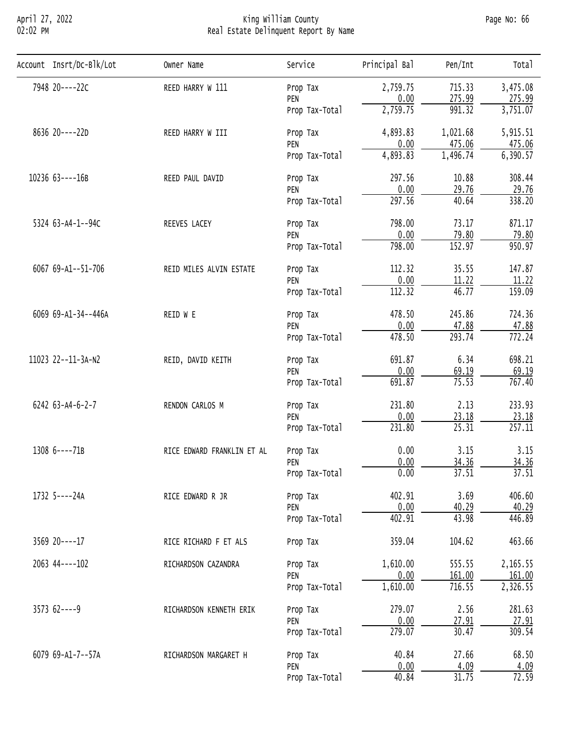# April 27, 2022 King William County Page No: 66 02:02 PM Real Estate Delinquent Report By Name

| Account Insrt/Dc-Blk/Lot | Owner Name                                                                                                                                                                                                                                                                                                                                                                                                                                                                                                                                                                                                                                                                                                                                                                                                                                                                                                                                                                                                                                                                                                                                                                                                                                                                                                                                                                                                                                                          | Service                          | Principal Bal | Pen/Int  | Total    |
|--------------------------|---------------------------------------------------------------------------------------------------------------------------------------------------------------------------------------------------------------------------------------------------------------------------------------------------------------------------------------------------------------------------------------------------------------------------------------------------------------------------------------------------------------------------------------------------------------------------------------------------------------------------------------------------------------------------------------------------------------------------------------------------------------------------------------------------------------------------------------------------------------------------------------------------------------------------------------------------------------------------------------------------------------------------------------------------------------------------------------------------------------------------------------------------------------------------------------------------------------------------------------------------------------------------------------------------------------------------------------------------------------------------------------------------------------------------------------------------------------------|----------------------------------|---------------|----------|----------|
| 7948 20----22C           | REED HARRY W 111                                                                                                                                                                                                                                                                                                                                                                                                                                                                                                                                                                                                                                                                                                                                                                                                                                                                                                                                                                                                                                                                                                                                                                                                                                                                                                                                                                                                                                                    | Prop Tax                         | 2,759.75      | 715.33   | 3,475.08 |
|                          |                                                                                                                                                                                                                                                                                                                                                                                                                                                                                                                                                                                                                                                                                                                                                                                                                                                                                                                                                                                                                                                                                                                                                                                                                                                                                                                                                                                                                                                                     |                                  |               |          | 275.99   |
|                          |                                                                                                                                                                                                                                                                                                                                                                                                                                                                                                                                                                                                                                                                                                                                                                                                                                                                                                                                                                                                                                                                                                                                                                                                                                                                                                                                                                                                                                                                     |                                  |               |          | 3,751.07 |
| 8636 20----22D           | REED HARRY W III                                                                                                                                                                                                                                                                                                                                                                                                                                                                                                                                                                                                                                                                                                                                                                                                                                                                                                                                                                                                                                                                                                                                                                                                                                                                                                                                                                                                                                                    | Prop Tax                         | 4,893.83      | 1,021.68 | 5,915.51 |
|                          | 0.00<br>275.99<br>PEN<br>2,759.75<br>991.32<br>Prop Tax-Total<br>0.00<br>475.06<br>PEN<br>4,893.83<br>1,496.74<br>Prop Tax-Total<br>297.56<br>10.88<br>REED PAUL DAVID<br>Prop Tax<br>0.00<br>29.76<br>PEN<br>297.56<br>40.64<br>Prop Tax-Total<br>798.00<br>73.17<br>REEVES LACEY<br>Prop Tax<br>0.00<br>79.80<br>PEN<br>152.97<br>798.00<br>Prop Tax-Total<br>112.32<br>35.55<br>REID MILES ALVIN ESTATE<br>Prop Tax<br>0.00<br>11.22<br>PEN<br>112.32<br>46.77<br>Prop Tax-Total<br>478.50<br>245.86<br>REID W E<br>Prop Tax<br>0.00<br>47.88<br>PEN<br>$\overline{293.74}$<br>478.50<br>Prop Tax-Total<br>6.34<br>691.87<br>REID, DAVID KEITH<br>Prop Tax<br>0.00<br>69.19<br>PEN<br>75.53<br>691.87<br>Prop Tax-Total<br>2.13<br>231.80<br>RENDON CARLOS M<br>Prop Tax<br>0.00<br>23.18<br>PEN<br>231.80<br>25.31<br>Prop Tax-Total<br>0.00<br>3.15<br>RICE EDWARD FRANKLIN ET AL<br>Prop Tax<br>0.00<br>34.36<br>PEN<br>37.51<br>0.00<br>Prop Tax-Total<br>402.91<br>3.69<br>RICE EDWARD R JR<br>Prop Tax<br>0.00<br>40.29<br>PEN<br>402.91<br>43.98<br>Prop Tax-Total<br>359.04<br>104.62<br>RICE RICHARD F ET ALS<br>Prop Tax<br>1,610.00<br>555.55<br>RICHARDSON CAZANDRA<br>Prop Tax<br>0.00<br>161.00<br>PEN<br>1,610.00<br>716.55<br>Prop Tax-Total<br>279.07<br>2.56<br>Prop Tax<br>RICHARDSON KENNETH ERIK<br>0.00<br>27.91<br>PEN<br>279.07<br>30.47<br>Prop Tax-Total<br>40.84<br>27.66<br>RICHARDSON MARGARET H<br>Prop Tax<br>0.00<br>4.09<br>PEN | 475.06                           |               |          |          |
|                          |                                                                                                                                                                                                                                                                                                                                                                                                                                                                                                                                                                                                                                                                                                                                                                                                                                                                                                                                                                                                                                                                                                                                                                                                                                                                                                                                                                                                                                                                     |                                  |               |          | 6,390.57 |
| 10236 63----16B          |                                                                                                                                                                                                                                                                                                                                                                                                                                                                                                                                                                                                                                                                                                                                                                                                                                                                                                                                                                                                                                                                                                                                                                                                                                                                                                                                                                                                                                                                     |                                  |               |          | 308.44   |
|                          |                                                                                                                                                                                                                                                                                                                                                                                                                                                                                                                                                                                                                                                                                                                                                                                                                                                                                                                                                                                                                                                                                                                                                                                                                                                                                                                                                                                                                                                                     |                                  |               |          | 29.76    |
|                          |                                                                                                                                                                                                                                                                                                                                                                                                                                                                                                                                                                                                                                                                                                                                                                                                                                                                                                                                                                                                                                                                                                                                                                                                                                                                                                                                                                                                                                                                     |                                  |               |          | 338.20   |
| 5324 63-A4-1--94C        |                                                                                                                                                                                                                                                                                                                                                                                                                                                                                                                                                                                                                                                                                                                                                                                                                                                                                                                                                                                                                                                                                                                                                                                                                                                                                                                                                                                                                                                                     | 871.17                           |               |          |          |
|                          |                                                                                                                                                                                                                                                                                                                                                                                                                                                                                                                                                                                                                                                                                                                                                                                                                                                                                                                                                                                                                                                                                                                                                                                                                                                                                                                                                                                                                                                                     |                                  |               |          | 79.80    |
|                          |                                                                                                                                                                                                                                                                                                                                                                                                                                                                                                                                                                                                                                                                                                                                                                                                                                                                                                                                                                                                                                                                                                                                                                                                                                                                                                                                                                                                                                                                     |                                  |               |          | 950.97   |
| 6067 69-A1--51-706       |                                                                                                                                                                                                                                                                                                                                                                                                                                                                                                                                                                                                                                                                                                                                                                                                                                                                                                                                                                                                                                                                                                                                                                                                                                                                                                                                                                                                                                                                     |                                  |               |          | 147.87   |
|                          |                                                                                                                                                                                                                                                                                                                                                                                                                                                                                                                                                                                                                                                                                                                                                                                                                                                                                                                                                                                                                                                                                                                                                                                                                                                                                                                                                                                                                                                                     |                                  |               |          | 11.22    |
|                          |                                                                                                                                                                                                                                                                                                                                                                                                                                                                                                                                                                                                                                                                                                                                                                                                                                                                                                                                                                                                                                                                                                                                                                                                                                                                                                                                                                                                                                                                     |                                  |               |          | 159.09   |
| 6069 69-A1-34--446A      |                                                                                                                                                                                                                                                                                                                                                                                                                                                                                                                                                                                                                                                                                                                                                                                                                                                                                                                                                                                                                                                                                                                                                                                                                                                                                                                                                                                                                                                                     |                                  |               |          | 724.36   |
|                          |                                                                                                                                                                                                                                                                                                                                                                                                                                                                                                                                                                                                                                                                                                                                                                                                                                                                                                                                                                                                                                                                                                                                                                                                                                                                                                                                                                                                                                                                     | 47.88                            |               |          |          |
|                          |                                                                                                                                                                                                                                                                                                                                                                                                                                                                                                                                                                                                                                                                                                                                                                                                                                                                                                                                                                                                                                                                                                                                                                                                                                                                                                                                                                                                                                                                     |                                  |               |          | 772.24   |
| 11023 22--11-3A-N2       |                                                                                                                                                                                                                                                                                                                                                                                                                                                                                                                                                                                                                                                                                                                                                                                                                                                                                                                                                                                                                                                                                                                                                                                                                                                                                                                                                                                                                                                                     |                                  |               |          | 698.21   |
|                          |                                                                                                                                                                                                                                                                                                                                                                                                                                                                                                                                                                                                                                                                                                                                                                                                                                                                                                                                                                                                                                                                                                                                                                                                                                                                                                                                                                                                                                                                     |                                  |               |          | 69.19    |
|                          |                                                                                                                                                                                                                                                                                                                                                                                                                                                                                                                                                                                                                                                                                                                                                                                                                                                                                                                                                                                                                                                                                                                                                                                                                                                                                                                                                                                                                                                                     |                                  |               |          | 767.40   |
| 6242 63-A4-6-2-7         |                                                                                                                                                                                                                                                                                                                                                                                                                                                                                                                                                                                                                                                                                                                                                                                                                                                                                                                                                                                                                                                                                                                                                                                                                                                                                                                                                                                                                                                                     |                                  |               |          | 233.93   |
|                          |                                                                                                                                                                                                                                                                                                                                                                                                                                                                                                                                                                                                                                                                                                                                                                                                                                                                                                                                                                                                                                                                                                                                                                                                                                                                                                                                                                                                                                                                     |                                  |               |          | 23.18    |
|                          |                                                                                                                                                                                                                                                                                                                                                                                                                                                                                                                                                                                                                                                                                                                                                                                                                                                                                                                                                                                                                                                                                                                                                                                                                                                                                                                                                                                                                                                                     |                                  |               |          | 257.11   |
| 1308 6----71B            |                                                                                                                                                                                                                                                                                                                                                                                                                                                                                                                                                                                                                                                                                                                                                                                                                                                                                                                                                                                                                                                                                                                                                                                                                                                                                                                                                                                                                                                                     |                                  |               |          | 3.15     |
|                          |                                                                                                                                                                                                                                                                                                                                                                                                                                                                                                                                                                                                                                                                                                                                                                                                                                                                                                                                                                                                                                                                                                                                                                                                                                                                                                                                                                                                                                                                     |                                  |               |          | 34.36    |
|                          |                                                                                                                                                                                                                                                                                                                                                                                                                                                                                                                                                                                                                                                                                                                                                                                                                                                                                                                                                                                                                                                                                                                                                                                                                                                                                                                                                                                                                                                                     |                                  |               |          | 37.51    |
| 1732 5----24A            |                                                                                                                                                                                                                                                                                                                                                                                                                                                                                                                                                                                                                                                                                                                                                                                                                                                                                                                                                                                                                                                                                                                                                                                                                                                                                                                                                                                                                                                                     | 40.84<br>31.75<br>Prop Tax-Total | 406.60        |          |          |
|                          |                                                                                                                                                                                                                                                                                                                                                                                                                                                                                                                                                                                                                                                                                                                                                                                                                                                                                                                                                                                                                                                                                                                                                                                                                                                                                                                                                                                                                                                                     |                                  |               |          | 40.29    |
|                          |                                                                                                                                                                                                                                                                                                                                                                                                                                                                                                                                                                                                                                                                                                                                                                                                                                                                                                                                                                                                                                                                                                                                                                                                                                                                                                                                                                                                                                                                     |                                  |               |          | 446.89   |
| 3569 20----17            |                                                                                                                                                                                                                                                                                                                                                                                                                                                                                                                                                                                                                                                                                                                                                                                                                                                                                                                                                                                                                                                                                                                                                                                                                                                                                                                                                                                                                                                                     |                                  |               |          | 463.66   |
| 2063 44 ---- 102         |                                                                                                                                                                                                                                                                                                                                                                                                                                                                                                                                                                                                                                                                                                                                                                                                                                                                                                                                                                                                                                                                                                                                                                                                                                                                                                                                                                                                                                                                     |                                  |               |          | 2,165.55 |
|                          |                                                                                                                                                                                                                                                                                                                                                                                                                                                                                                                                                                                                                                                                                                                                                                                                                                                                                                                                                                                                                                                                                                                                                                                                                                                                                                                                                                                                                                                                     |                                  |               |          | 161.00   |
|                          |                                                                                                                                                                                                                                                                                                                                                                                                                                                                                                                                                                                                                                                                                                                                                                                                                                                                                                                                                                                                                                                                                                                                                                                                                                                                                                                                                                                                                                                                     |                                  |               |          | 2,326.55 |
| $357362---9$             |                                                                                                                                                                                                                                                                                                                                                                                                                                                                                                                                                                                                                                                                                                                                                                                                                                                                                                                                                                                                                                                                                                                                                                                                                                                                                                                                                                                                                                                                     |                                  |               |          | 281.63   |
|                          |                                                                                                                                                                                                                                                                                                                                                                                                                                                                                                                                                                                                                                                                                                                                                                                                                                                                                                                                                                                                                                                                                                                                                                                                                                                                                                                                                                                                                                                                     |                                  |               |          | 27.91    |
|                          |                                                                                                                                                                                                                                                                                                                                                                                                                                                                                                                                                                                                                                                                                                                                                                                                                                                                                                                                                                                                                                                                                                                                                                                                                                                                                                                                                                                                                                                                     |                                  |               |          | 309.54   |
| 6079 69-A1-7--57A        |                                                                                                                                                                                                                                                                                                                                                                                                                                                                                                                                                                                                                                                                                                                                                                                                                                                                                                                                                                                                                                                                                                                                                                                                                                                                                                                                                                                                                                                                     |                                  |               |          | 68.50    |
|                          |                                                                                                                                                                                                                                                                                                                                                                                                                                                                                                                                                                                                                                                                                                                                                                                                                                                                                                                                                                                                                                                                                                                                                                                                                                                                                                                                                                                                                                                                     |                                  |               |          | 4.09     |
|                          |                                                                                                                                                                                                                                                                                                                                                                                                                                                                                                                                                                                                                                                                                                                                                                                                                                                                                                                                                                                                                                                                                                                                                                                                                                                                                                                                                                                                                                                                     |                                  |               |          | 72.59    |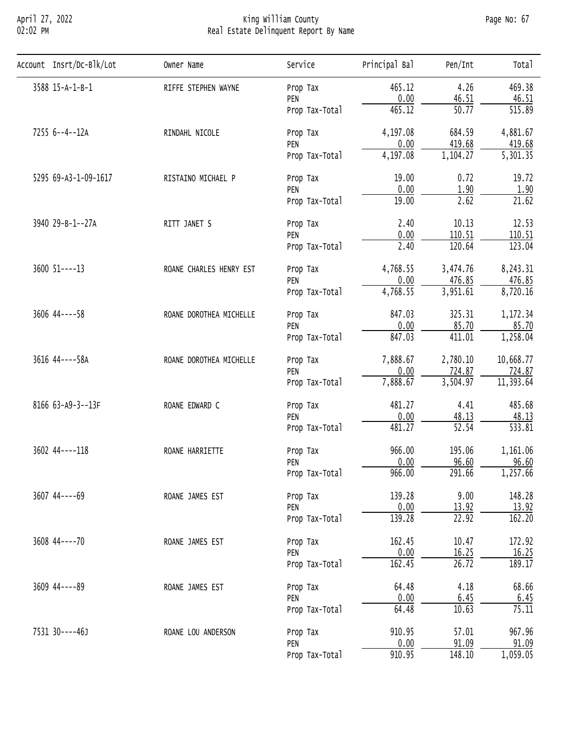## April 27, 2022 King William County Page No: 67 02:02 PM Real Estate Delinquent Report By Name

| Account Insrt/Dc-Blk/Lot | Owner Name                                                                                                                                                                                                                                                           | Service        | Principal Bal | Pen/Int            | Total     |
|--------------------------|----------------------------------------------------------------------------------------------------------------------------------------------------------------------------------------------------------------------------------------------------------------------|----------------|---------------|--------------------|-----------|
| 3588 15-A-1-B-1          | RIFFE STEPHEN WAYNE                                                                                                                                                                                                                                                  | Prop Tax       | 465.12        | 4.26               | 469.38    |
|                          |                                                                                                                                                                                                                                                                      | PEN            | 0.00          | 46.51              | 46.51     |
|                          |                                                                                                                                                                                                                                                                      | Prop Tax-Total | 465.12        | 50.77              | 515.89    |
| 7255 6--4--12A           | RINDAHL NICOLE                                                                                                                                                                                                                                                       | Prop Tax       | 4,197.08      | 684.59             | 4,881.67  |
|                          |                                                                                                                                                                                                                                                                      | PEN            | 0.00          | 419.68             | 419.68    |
|                          |                                                                                                                                                                                                                                                                      | Prop Tax-Total | 4,197.08      | 1,104.27           | 5,301.35  |
| 5295 69-A3-1-09-1617     | RISTAINO MICHAEL P                                                                                                                                                                                                                                                   | Prop Tax       | 19.00         | 0.72               | 19.72     |
|                          |                                                                                                                                                                                                                                                                      | PEN            | 0.00          | 1.90               | 1.90      |
|                          |                                                                                                                                                                                                                                                                      | Prop Tax-Total | 19.00         | 2.62               | 21.62     |
| 3940 29-B-1--27A         | RITT JANET S                                                                                                                                                                                                                                                         | Prop Tax       | 2.40          | 10.13              | 12.53     |
|                          |                                                                                                                                                                                                                                                                      | PEN            | 0.00          | 110.51             | 110.51    |
|                          |                                                                                                                                                                                                                                                                      | Prop Tax-Total | 2.40          | 120.64             | 123.04    |
| $3600$ $51---13$         | ROANE CHARLES HENRY EST                                                                                                                                                                                                                                              | Prop Tax       | 4,768.55      | 3,474.76           | 8,243.31  |
|                          |                                                                                                                                                                                                                                                                      | PEN            | 0.00          | 476.85             | 476.85    |
|                          |                                                                                                                                                                                                                                                                      | Prop Tax-Total |               |                    | 8,720.16  |
| $3606$ 44 - - - - 58     | ROANE DOROTHEA MICHELLE                                                                                                                                                                                                                                              | Prop Tax       | 847.03        | 325.31             | 1,172.34  |
|                          | 4,768.55<br>3,951.61<br>0.00<br>85.70<br>PEN<br>847.03<br>411.01<br>Prop Tax-Total<br>7,888.67<br>2,780.10<br>ROANE DOROTHEA MICHELLE<br>Prop Tax<br>724.87<br>0.00<br>PEN<br>7,888.67<br>3,504.97<br>Prop Tax-Total<br>481.27<br>4.41<br>ROANE EDWARD C<br>Prop Tax | 85.70          |               |                    |           |
|                          |                                                                                                                                                                                                                                                                      |                |               |                    | 1,258.04  |
| 3616 44 ---- 58A         |                                                                                                                                                                                                                                                                      |                |               |                    | 10,668.77 |
|                          |                                                                                                                                                                                                                                                                      |                |               |                    | 724.87    |
|                          |                                                                                                                                                                                                                                                                      |                |               |                    | 11,393.64 |
| 8166 63-A9-3--13F        |                                                                                                                                                                                                                                                                      |                |               |                    | 485.68    |
|                          |                                                                                                                                                                                                                                                                      | PEN            | 0.00          | 48.13              | 48.13     |
|                          |                                                                                                                                                                                                                                                                      | Prop Tax-Total | 481.27        |                    | 533.81    |
| 3602 44----118           | $\overline{52.54}$<br>966.00<br>195.06<br>ROANE HARRIETTE<br>Prop Tax<br>96.60<br>0.00<br>PEN<br>966.00<br>291.66<br>Prop Tax-Total                                                                                                                                  |                | 1,161.06      |                    |           |
|                          |                                                                                                                                                                                                                                                                      |                |               |                    | 96.60     |
|                          |                                                                                                                                                                                                                                                                      |                |               |                    | 1,257.66  |
| 3607 44----69            | ROANE JAMES EST                                                                                                                                                                                                                                                      | Prop Tax       | 139.28        | 9.00               | 148.28    |
|                          |                                                                                                                                                                                                                                                                      | PEN            | 0.00          | 13.92              | 13.92     |
|                          |                                                                                                                                                                                                                                                                      | Prop Tax-Total | 139.28        | $\overline{22.92}$ | 162.20    |
| 3608 44----70            | ROANE JAMES EST                                                                                                                                                                                                                                                      | Prop Tax       | 162.45        | 10.47              | 172.92    |
|                          |                                                                                                                                                                                                                                                                      | PEN            | 0.00          | 16.25              | 16.25     |
|                          |                                                                                                                                                                                                                                                                      | Prop Tax-Total | 162.45        | 26.72              | 189.17    |
| 3609 44 ---- 89          | ROANE JAMES EST                                                                                                                                                                                                                                                      | Prop Tax       | 64.48         | 4.18               | 68.66     |
|                          |                                                                                                                                                                                                                                                                      | PEN            | 0.00          | 6.45               | 6.45      |
|                          |                                                                                                                                                                                                                                                                      | Prop Tax-Total | 64.48         | 10.63              | 75.11     |
| 7531 30----46J           | ROANE LOU ANDERSON                                                                                                                                                                                                                                                   | Prop Tax       | 910.95        | 57.01              | 967.96    |
|                          |                                                                                                                                                                                                                                                                      | PEN            | 0.00          | 91.09              | 91.09     |
|                          |                                                                                                                                                                                                                                                                      | Prop Tax-Total | 910.95        | 148.10             | 1,059.05  |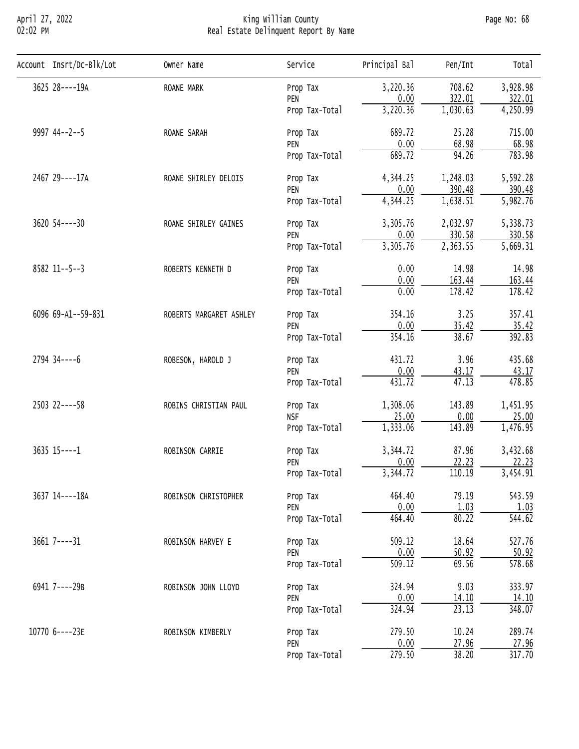## April 27, 2022 King William County Page No: 68 02:02 PM Real Estate Delinquent Report By Name

| Account Insrt/Dc-Blk/Lot | Owner Name                                                                                                                                                                                                                                                                                                                                                                             | Service        | Principal Bal | Pen/Int      | Tota <sub>1</sub>     |
|--------------------------|----------------------------------------------------------------------------------------------------------------------------------------------------------------------------------------------------------------------------------------------------------------------------------------------------------------------------------------------------------------------------------------|----------------|---------------|--------------|-----------------------|
| 3625 28----19A           | ROANE MARK                                                                                                                                                                                                                                                                                                                                                                             | Prop Tax       | 3,220.36      | 708.62       | 3,928.98              |
|                          |                                                                                                                                                                                                                                                                                                                                                                                        | PEN            | 0.00          | 322.01       | 322.01                |
|                          |                                                                                                                                                                                                                                                                                                                                                                                        | Prop Tax-Total | 3,220.36      | 1,030.63     | 4,250.99              |
| $9997$ 44--2--5          | ROANE SARAH                                                                                                                                                                                                                                                                                                                                                                            | Prop Tax       | 689.72        | 25.28        | 715.00                |
|                          |                                                                                                                                                                                                                                                                                                                                                                                        | PEN            | 0.00          | 68.98        | 68.98                 |
|                          |                                                                                                                                                                                                                                                                                                                                                                                        | Prop Tax-Total | 689.72        | 94.26        | 783.98                |
| 2467 29----17A           | ROANE SHIRLEY DELOIS                                                                                                                                                                                                                                                                                                                                                                   | Prop Tax       | 4,344.25      | 1,248.03     | 5,592.28              |
|                          |                                                                                                                                                                                                                                                                                                                                                                                        | PEN            | 0.00          | 390.48       | 390.48                |
|                          |                                                                                                                                                                                                                                                                                                                                                                                        | Prop Tax-Total | 4,344.25      | 1,638.51     | 5,982.76              |
| $3620$ $54---30$         | ROANE SHIRLEY GAINES                                                                                                                                                                                                                                                                                                                                                                   | Prop Tax       | 3,305.76      | 2,032.97     | 5,338.73              |
|                          |                                                                                                                                                                                                                                                                                                                                                                                        | PEN            | 0.00          | 330.58       | 330.58                |
|                          |                                                                                                                                                                                                                                                                                                                                                                                        | Prop Tax-Total | 3,305.76      | 2,363.55     | $\overline{5,669.31}$ |
| 8582 11--5--3            | ROBERTS KENNETH D                                                                                                                                                                                                                                                                                                                                                                      | Prop Tax       | 0.00          | 14.98        | 14.98                 |
|                          |                                                                                                                                                                                                                                                                                                                                                                                        | PEN            |               | 163.44       | 163.44                |
|                          |                                                                                                                                                                                                                                                                                                                                                                                        |                |               |              | 178.42                |
| 6096 69-A1--59-831       | ROBERTS MARGARET ASHLEY                                                                                                                                                                                                                                                                                                                                                                | Prop Tax       | 354.16        | 3.25         | 357.41                |
|                          | 0.00<br>0.00<br>178.42<br>Prop Tax-Total<br>0.00<br>35.42<br>PEN<br>38.67<br>354.16<br>Prop Tax-Total<br>431.72<br>3.96<br>ROBESON, HAROLD J<br>Prop Tax<br>0.00<br>43.17<br>PEN<br>47.13<br>431.72<br>Prop Tax-Total<br>143.89<br>1,308.06<br>ROBINS CHRISTIAN PAUL<br>Prop Tax<br>25.00<br>0.00<br><b>NSF</b>                                                                        | 35.42          |               |              |                       |
|                          |                                                                                                                                                                                                                                                                                                                                                                                        |                |               |              | 392.83                |
| $2794$ 34 ----6          |                                                                                                                                                                                                                                                                                                                                                                                        |                |               |              | 435.68                |
|                          |                                                                                                                                                                                                                                                                                                                                                                                        |                |               |              | 43.17                 |
|                          |                                                                                                                                                                                                                                                                                                                                                                                        |                |               |              | 478.85                |
| 2503 22----58            |                                                                                                                                                                                                                                                                                                                                                                                        |                |               |              | 1,451.95              |
|                          |                                                                                                                                                                                                                                                                                                                                                                                        |                |               |              | 25.00                 |
|                          |                                                                                                                                                                                                                                                                                                                                                                                        |                |               |              | 1,476.95              |
| 3635 15----1             | ROBINSON CARRIE                                                                                                                                                                                                                                                                                                                                                                        | Prop Tax       | 3,344.72      | 87.96        | 3,432.68              |
|                          |                                                                                                                                                                                                                                                                                                                                                                                        | PEN            |               |              | 22.23                 |
|                          |                                                                                                                                                                                                                                                                                                                                                                                        |                |               |              | 3,454.91              |
| 3637 14----18A           | 1,333.06<br>143.89<br>Prop Tax-Total<br>0.00<br>22.23<br>3,344.72<br>110.19<br>Prop Tax-Total<br>79.19<br>464.40<br>ROBINSON CHRISTOPHER<br>Prop Tax<br>0.00<br>1.03<br>PEN<br>80.22<br>464.40<br>Prop Tax-Total<br>18.64<br>509.12<br>ROBINSON HARVEY E<br>Prop Tax<br>0.00<br>50.92<br>PEN<br>69.56<br>509.12<br>Prop Tax-Total<br>9.03<br>324.94<br>ROBINSON JOHN LLOYD<br>Prop Tax | 543.59         |               |              |                       |
|                          |                                                                                                                                                                                                                                                                                                                                                                                        |                |               |              | 1.03                  |
|                          |                                                                                                                                                                                                                                                                                                                                                                                        |                |               |              | 544.62                |
| $3661$ 7----31           |                                                                                                                                                                                                                                                                                                                                                                                        |                |               |              | 527.76                |
|                          |                                                                                                                                                                                                                                                                                                                                                                                        |                |               |              | 50.92                 |
|                          |                                                                                                                                                                                                                                                                                                                                                                                        |                |               |              | 578.68                |
| 6941 7----29B            |                                                                                                                                                                                                                                                                                                                                                                                        |                |               |              | 333.97                |
|                          |                                                                                                                                                                                                                                                                                                                                                                                        | PEN            | 0.00          | <u>14.10</u> | 14.10                 |
|                          |                                                                                                                                                                                                                                                                                                                                                                                        | Prop Tax-Total | 324.94        | 23.13        | 348.07                |
| 10770 6----23E           | ROBINSON KIMBERLY                                                                                                                                                                                                                                                                                                                                                                      | Prop Tax       | 279.50        | 10.24        | 289.74                |
|                          |                                                                                                                                                                                                                                                                                                                                                                                        | PEN            | 0.00          | 27.96        | 27.96                 |
|                          |                                                                                                                                                                                                                                                                                                                                                                                        | Prop Tax-Total | 279.50        | 38.20        | 317.70                |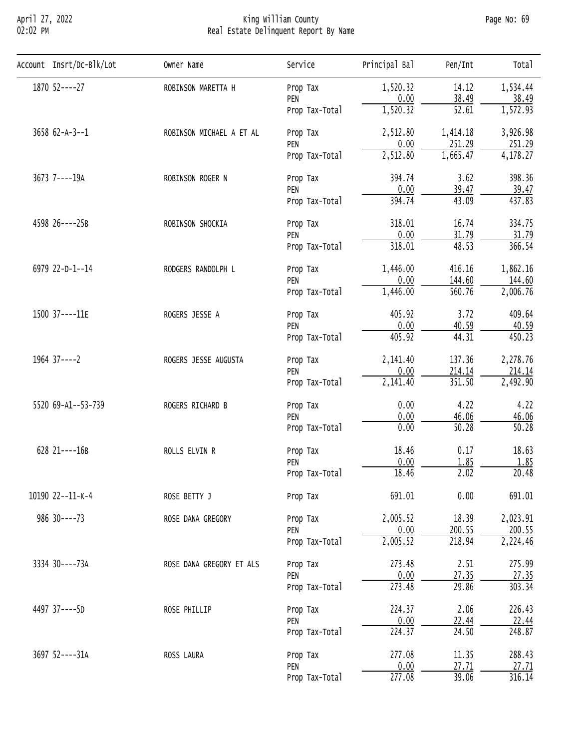## April 27, 2022 King William County Page No: 69 02:02 PM Real Estate Delinquent Report By Name

| Account Insrt/Dc-Blk/Lot | Owner Name                                                                                                                                               | Service                                                                                                                                                                                                                                                                                                                                                                                                                                                                                                                                                                                                                                                                                                                                                                                                                                                                                                                                                                                                                                                                                                                                                                                                    | Principal Bal | Pen/Int  | Total    |
|--------------------------|----------------------------------------------------------------------------------------------------------------------------------------------------------|------------------------------------------------------------------------------------------------------------------------------------------------------------------------------------------------------------------------------------------------------------------------------------------------------------------------------------------------------------------------------------------------------------------------------------------------------------------------------------------------------------------------------------------------------------------------------------------------------------------------------------------------------------------------------------------------------------------------------------------------------------------------------------------------------------------------------------------------------------------------------------------------------------------------------------------------------------------------------------------------------------------------------------------------------------------------------------------------------------------------------------------------------------------------------------------------------------|---------------|----------|----------|
| 1870 52----27            | ROBINSON MARETTA H                                                                                                                                       | Prop Tax                                                                                                                                                                                                                                                                                                                                                                                                                                                                                                                                                                                                                                                                                                                                                                                                                                                                                                                                                                                                                                                                                                                                                                                                   | 1,520.32      | 14.12    | 1,534.44 |
|                          |                                                                                                                                                          | PEN                                                                                                                                                                                                                                                                                                                                                                                                                                                                                                                                                                                                                                                                                                                                                                                                                                                                                                                                                                                                                                                                                                                                                                                                        |               |          | 38.49    |
|                          |                                                                                                                                                          | Prop Tax-Total                                                                                                                                                                                                                                                                                                                                                                                                                                                                                                                                                                                                                                                                                                                                                                                                                                                                                                                                                                                                                                                                                                                                                                                             |               |          | 1,572.93 |
| $3658$ $62-A-3--1$       | ROBINSON MICHAEL A ET AL                                                                                                                                 | Prop Tax                                                                                                                                                                                                                                                                                                                                                                                                                                                                                                                                                                                                                                                                                                                                                                                                                                                                                                                                                                                                                                                                                                                                                                                                   | 2,512.80      | 1,414.18 | 3,926.98 |
|                          |                                                                                                                                                          | 0.00<br>38.49<br>1,520.32<br>$\overline{52.61}$<br>0.00<br>251.29<br>PEN<br>2,512.80<br>1,665.47<br>Prop Tax-Total<br>394.74<br>3.62<br>Prop Tax<br>0.00<br>39.47<br>PEN<br>394.74<br>43.09<br>Prop Tax-Total<br>318.01<br>16.74<br>Prop Tax<br>0.00<br>31.79<br>PEN<br>48.53<br>318.01<br>Prop Tax-Total<br>1,446.00<br>416.16<br>Prop Tax<br>0.00<br>144.60<br>PEN<br>1,446.00<br>560.76<br>Prop Tax-Total<br>405.92<br>3.72<br>Prop Tax<br>0.00<br>PEN<br>40.59<br>405.92<br>44.31<br>Prop Tax-Total<br>2,141.40<br>137.36<br>Prop Tax<br>0.00<br>214.14<br>PEN<br>351.50<br>2,141.40<br>Prop Tax-Total<br>0.00<br>4.22<br>Prop Tax<br>0.00<br>46.06<br>PEN<br>0.00<br>50.28<br>Prop Tax-Total<br>0.17<br>18.46<br>Prop Tax<br>0.00<br>1.85<br>PEN<br>18.46<br>2.02<br>Prop Tax-Total<br>0.00<br>691.01<br>Prop Tax<br>2,005.52<br>18.39<br>Prop Tax<br>0.00<br>200.55<br>PEN<br>2,005.52<br>218.94<br>Prop Tax-Total<br>2.51<br>273.48<br>Prop Tax<br>0.00<br>27.35<br>PEN<br>273.48<br>29.86<br>Prop Tax-Total<br>2.06<br>224.37<br>Prop Tax<br>0.00<br>22.44<br>PEN<br>224.37<br>24.50<br>Prop Tax-Total<br>277.08<br>11.35<br>Prop Tax<br>0.00<br>27.71<br>PEN<br>39.06<br>277.08<br>Prop Tax-Total | 251.29        |          |          |
|                          |                                                                                                                                                          |                                                                                                                                                                                                                                                                                                                                                                                                                                                                                                                                                                                                                                                                                                                                                                                                                                                                                                                                                                                                                                                                                                                                                                                                            |               |          | 4,178.27 |
| 3673 7----19A            | ROBINSON ROGER N                                                                                                                                         |                                                                                                                                                                                                                                                                                                                                                                                                                                                                                                                                                                                                                                                                                                                                                                                                                                                                                                                                                                                                                                                                                                                                                                                                            |               |          | 398.36   |
|                          |                                                                                                                                                          |                                                                                                                                                                                                                                                                                                                                                                                                                                                                                                                                                                                                                                                                                                                                                                                                                                                                                                                                                                                                                                                                                                                                                                                                            |               |          | 39.47    |
|                          |                                                                                                                                                          |                                                                                                                                                                                                                                                                                                                                                                                                                                                                                                                                                                                                                                                                                                                                                                                                                                                                                                                                                                                                                                                                                                                                                                                                            |               |          | 437.83   |
| 4598 26----25B           | ROBINSON SHOCKIA                                                                                                                                         |                                                                                                                                                                                                                                                                                                                                                                                                                                                                                                                                                                                                                                                                                                                                                                                                                                                                                                                                                                                                                                                                                                                                                                                                            |               |          | 334.75   |
|                          |                                                                                                                                                          |                                                                                                                                                                                                                                                                                                                                                                                                                                                                                                                                                                                                                                                                                                                                                                                                                                                                                                                                                                                                                                                                                                                                                                                                            |               |          | 31.79    |
|                          |                                                                                                                                                          |                                                                                                                                                                                                                                                                                                                                                                                                                                                                                                                                                                                                                                                                                                                                                                                                                                                                                                                                                                                                                                                                                                                                                                                                            |               |          | 366.54   |
| 6979 22-D-1--14          | RODGERS RANDOLPH L                                                                                                                                       |                                                                                                                                                                                                                                                                                                                                                                                                                                                                                                                                                                                                                                                                                                                                                                                                                                                                                                                                                                                                                                                                                                                                                                                                            |               |          | 1,862.16 |
|                          |                                                                                                                                                          |                                                                                                                                                                                                                                                                                                                                                                                                                                                                                                                                                                                                                                                                                                                                                                                                                                                                                                                                                                                                                                                                                                                                                                                                            |               |          | 144.60   |
|                          |                                                                                                                                                          |                                                                                                                                                                                                                                                                                                                                                                                                                                                                                                                                                                                                                                                                                                                                                                                                                                                                                                                                                                                                                                                                                                                                                                                                            |               |          | 2,006.76 |
| 1500 37----11E           | ROGERS JESSE A                                                                                                                                           |                                                                                                                                                                                                                                                                                                                                                                                                                                                                                                                                                                                                                                                                                                                                                                                                                                                                                                                                                                                                                                                                                                                                                                                                            |               |          | 409.64   |
|                          | ROGERS JESSE AUGUSTA<br>ROGERS RICHARD B<br>ROLLS ELVIN R<br>ROSE BETTY J<br>ROSE DANA GREGORY<br>ROSE DANA GREGORY ET ALS<br>ROSE PHILLIP<br>ROSS LAURA | 40.59                                                                                                                                                                                                                                                                                                                                                                                                                                                                                                                                                                                                                                                                                                                                                                                                                                                                                                                                                                                                                                                                                                                                                                                                      |               |          |          |
|                          |                                                                                                                                                          |                                                                                                                                                                                                                                                                                                                                                                                                                                                                                                                                                                                                                                                                                                                                                                                                                                                                                                                                                                                                                                                                                                                                                                                                            |               |          | 450.23   |
| $1964$ $37---2$          |                                                                                                                                                          |                                                                                                                                                                                                                                                                                                                                                                                                                                                                                                                                                                                                                                                                                                                                                                                                                                                                                                                                                                                                                                                                                                                                                                                                            |               |          | 2,278.76 |
|                          |                                                                                                                                                          |                                                                                                                                                                                                                                                                                                                                                                                                                                                                                                                                                                                                                                                                                                                                                                                                                                                                                                                                                                                                                                                                                                                                                                                                            |               |          | 214.14   |
|                          |                                                                                                                                                          |                                                                                                                                                                                                                                                                                                                                                                                                                                                                                                                                                                                                                                                                                                                                                                                                                                                                                                                                                                                                                                                                                                                                                                                                            |               |          | 2,492.90 |
| 5520 69-A1--53-739       |                                                                                                                                                          |                                                                                                                                                                                                                                                                                                                                                                                                                                                                                                                                                                                                                                                                                                                                                                                                                                                                                                                                                                                                                                                                                                                                                                                                            |               |          | 4.22     |
|                          |                                                                                                                                                          |                                                                                                                                                                                                                                                                                                                                                                                                                                                                                                                                                                                                                                                                                                                                                                                                                                                                                                                                                                                                                                                                                                                                                                                                            |               |          | 46.06    |
|                          |                                                                                                                                                          |                                                                                                                                                                                                                                                                                                                                                                                                                                                                                                                                                                                                                                                                                                                                                                                                                                                                                                                                                                                                                                                                                                                                                                                                            |               |          | 50.28    |
| $628$ $21---16B$         |                                                                                                                                                          |                                                                                                                                                                                                                                                                                                                                                                                                                                                                                                                                                                                                                                                                                                                                                                                                                                                                                                                                                                                                                                                                                                                                                                                                            |               |          | 18.63    |
|                          |                                                                                                                                                          |                                                                                                                                                                                                                                                                                                                                                                                                                                                                                                                                                                                                                                                                                                                                                                                                                                                                                                                                                                                                                                                                                                                                                                                                            |               |          | 1.85     |
|                          |                                                                                                                                                          |                                                                                                                                                                                                                                                                                                                                                                                                                                                                                                                                                                                                                                                                                                                                                                                                                                                                                                                                                                                                                                                                                                                                                                                                            |               |          | 20.48    |
| 10190 22--11-K-4         |                                                                                                                                                          |                                                                                                                                                                                                                                                                                                                                                                                                                                                                                                                                                                                                                                                                                                                                                                                                                                                                                                                                                                                                                                                                                                                                                                                                            |               |          | 691.01   |
| $986$ 30----73           |                                                                                                                                                          |                                                                                                                                                                                                                                                                                                                                                                                                                                                                                                                                                                                                                                                                                                                                                                                                                                                                                                                                                                                                                                                                                                                                                                                                            |               |          | 2,023.91 |
|                          |                                                                                                                                                          |                                                                                                                                                                                                                                                                                                                                                                                                                                                                                                                                                                                                                                                                                                                                                                                                                                                                                                                                                                                                                                                                                                                                                                                                            |               |          | 200.55   |
|                          |                                                                                                                                                          |                                                                                                                                                                                                                                                                                                                                                                                                                                                                                                                                                                                                                                                                                                                                                                                                                                                                                                                                                                                                                                                                                                                                                                                                            |               |          | 2,224.46 |
| 3334 30----73A           |                                                                                                                                                          |                                                                                                                                                                                                                                                                                                                                                                                                                                                                                                                                                                                                                                                                                                                                                                                                                                                                                                                                                                                                                                                                                                                                                                                                            |               |          | 275.99   |
|                          |                                                                                                                                                          |                                                                                                                                                                                                                                                                                                                                                                                                                                                                                                                                                                                                                                                                                                                                                                                                                                                                                                                                                                                                                                                                                                                                                                                                            |               |          | 27.35    |
|                          |                                                                                                                                                          |                                                                                                                                                                                                                                                                                                                                                                                                                                                                                                                                                                                                                                                                                                                                                                                                                                                                                                                                                                                                                                                                                                                                                                                                            |               |          | 303.34   |
| 4497 37----5D            |                                                                                                                                                          |                                                                                                                                                                                                                                                                                                                                                                                                                                                                                                                                                                                                                                                                                                                                                                                                                                                                                                                                                                                                                                                                                                                                                                                                            |               |          | 226.43   |
|                          |                                                                                                                                                          |                                                                                                                                                                                                                                                                                                                                                                                                                                                                                                                                                                                                                                                                                                                                                                                                                                                                                                                                                                                                                                                                                                                                                                                                            |               |          | 22.44    |
|                          |                                                                                                                                                          |                                                                                                                                                                                                                                                                                                                                                                                                                                                                                                                                                                                                                                                                                                                                                                                                                                                                                                                                                                                                                                                                                                                                                                                                            |               |          | 248.87   |
| 3697 52----31A           |                                                                                                                                                          |                                                                                                                                                                                                                                                                                                                                                                                                                                                                                                                                                                                                                                                                                                                                                                                                                                                                                                                                                                                                                                                                                                                                                                                                            |               |          | 288.43   |
|                          |                                                                                                                                                          |                                                                                                                                                                                                                                                                                                                                                                                                                                                                                                                                                                                                                                                                                                                                                                                                                                                                                                                                                                                                                                                                                                                                                                                                            |               |          | 27.71    |
|                          |                                                                                                                                                          |                                                                                                                                                                                                                                                                                                                                                                                                                                                                                                                                                                                                                                                                                                                                                                                                                                                                                                                                                                                                                                                                                                                                                                                                            |               |          | 316.14   |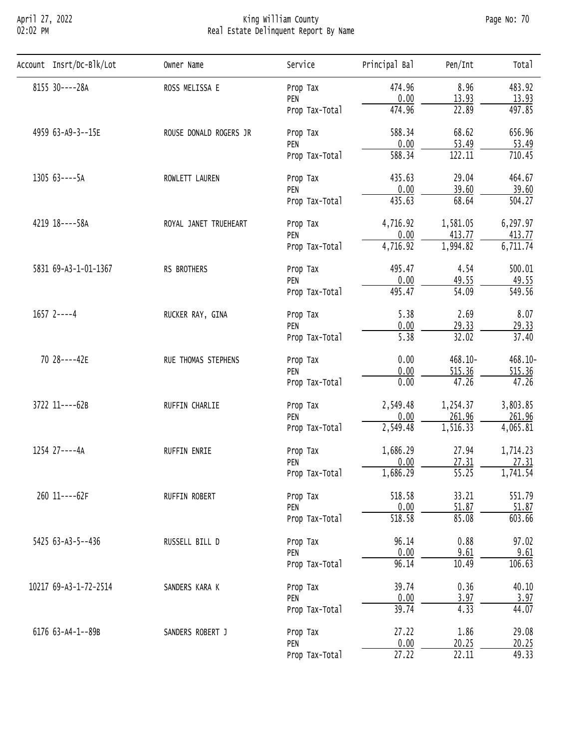## April 27, 2022 King William County Page No: 70 02:02 PM Real Estate Delinquent Report By Name

| Account Insrt/Dc-Blk/Lot | Owner Name                                                                                                                                                                                                                                                                                       | Service        | Principal Bal      | Pen/Int            | Total               |
|--------------------------|--------------------------------------------------------------------------------------------------------------------------------------------------------------------------------------------------------------------------------------------------------------------------------------------------|----------------|--------------------|--------------------|---------------------|
| 8155 30----28A           | ROSS MELISSA E                                                                                                                                                                                                                                                                                   | Prop Tax       | 474.96             | 8.96               | 483.92              |
|                          |                                                                                                                                                                                                                                                                                                  | PEN            | 0.00               | 13.93              | 13.93               |
|                          |                                                                                                                                                                                                                                                                                                  | Prop Tax-Total | 474.96             | 22.89              | 497.85              |
| 4959 63-A9-3--15E        | ROUSE DONALD ROGERS JR                                                                                                                                                                                                                                                                           | Prop Tax       | 588.34             | 68.62              | 656.96              |
|                          |                                                                                                                                                                                                                                                                                                  | PEN            | 0.00               | 53.49              | 53.49               |
|                          |                                                                                                                                                                                                                                                                                                  | Prop Tax-Total | 588.34             | 122.11             | 710.45              |
| 1305 63----5A            | ROWLETT LAUREN                                                                                                                                                                                                                                                                                   | Prop Tax       | 435.63             | 29.04              | 464.67              |
|                          |                                                                                                                                                                                                                                                                                                  | PEN            | 0.00               | 39.60              | 39.60               |
|                          |                                                                                                                                                                                                                                                                                                  | Prop Tax-Total | 435.63             | 68.64              | 504.27              |
| 4219 18----58A           | ROYAL JANET TRUEHEART                                                                                                                                                                                                                                                                            | Prop Tax       | 4,716.92           | 1,581.05           | 6,297.97            |
|                          |                                                                                                                                                                                                                                                                                                  | PEN            | 0.00               | 413.77             | 413.77              |
|                          |                                                                                                                                                                                                                                                                                                  | Prop Tax-Total | 4,716.92           | 1,994.82           | 6,711.74            |
| 5831 69-A3-1-01-1367     | RS BROTHERS                                                                                                                                                                                                                                                                                      | Prop Tax       | 495.47             | 4.54               | 500.01              |
|                          |                                                                                                                                                                                                                                                                                                  | PEN            |                    |                    | 49.55               |
|                          |                                                                                                                                                                                                                                                                                                  | Prop Tax-Total |                    |                    | $\overline{549.56}$ |
| $1657$ 2----4            | RUCKER RAY, GINA                                                                                                                                                                                                                                                                                 | Prop Tax       | 5.38               | 2.69               | 8.07                |
|                          |                                                                                                                                                                                                                                                                                                  | PEN            |                    |                    | 29.33               |
|                          |                                                                                                                                                                                                                                                                                                  | Prop Tax-Total |                    |                    | 37.40               |
| 70 28----42E             | RUE THOMAS STEPHENS                                                                                                                                                                                                                                                                              | Prop Tax       | 0.00               | 468.10-            | $468.10 -$          |
|                          |                                                                                                                                                                                                                                                                                                  | PEN            |                    |                    | 515.36              |
|                          |                                                                                                                                                                                                                                                                                                  |                |                    |                    | 47.26               |
| 3722 11----62B           | RUFFIN CHARLIE                                                                                                                                                                                                                                                                                   | Prop Tax       | 2,549.48           | 1,254.37           | 3,803.85            |
|                          |                                                                                                                                                                                                                                                                                                  |                |                    |                    | 261.96              |
|                          |                                                                                                                                                                                                                                                                                                  |                |                    |                    | 4,065.81            |
| 1254 27----4A            | 0.00<br>29.33<br>$\overline{5.38}$<br>32.02<br>0.00<br>515.36<br>47.26<br>0.00<br>Prop Tax-Total<br>0.00<br>261.96<br>PEN<br>2,549.48<br>1,516.33<br>Prop Tax-Total<br>1,686.29<br>27.94<br>RUFFIN ENRIE<br>Prop Tax<br>0.00<br>27.31<br>PEN<br>1,686.29<br>$\overline{55.25}$<br>Prop Tax-Total |                | 1,714.23           |                    |                     |
|                          |                                                                                                                                                                                                                                                                                                  |                |                    |                    | 27.31               |
|                          |                                                                                                                                                                                                                                                                                                  |                |                    |                    | 1,741.54            |
| 260 11----62F            | RUFFIN ROBERT                                                                                                                                                                                                                                                                                    | Prop Tax       | 518.58             | 33.21              | 551.79              |
|                          | 0.00<br>49.55<br>$\overline{54.09}$<br>495.47<br>0.00<br>51.87<br>PEN<br>518.58<br>85.08<br>Prop Tax-Total<br>0.88<br>96.14<br>RUSSELL BILL D<br>Prop Tax<br>0.00<br>9.61<br>PEN<br>96.14<br>10.49<br>Prop Tax-Total                                                                             | 51.87          |                    |                    |                     |
|                          |                                                                                                                                                                                                                                                                                                  |                |                    |                    | 603.66              |
| 5425 63-A3-5--436        |                                                                                                                                                                                                                                                                                                  |                |                    |                    | 97.02               |
|                          |                                                                                                                                                                                                                                                                                                  |                |                    |                    | 9.61                |
|                          |                                                                                                                                                                                                                                                                                                  |                |                    |                    | 106.63              |
| 10217 69-A3-1-72-2514    | SANDERS KARA K                                                                                                                                                                                                                                                                                   | Prop Tax       | 39.74              | 0.36               | 40.10               |
|                          |                                                                                                                                                                                                                                                                                                  | PEN            | 0.00               | 3.97               | 3.97                |
|                          |                                                                                                                                                                                                                                                                                                  | Prop Tax-Total | 39.74              | 4.33               | 44.07               |
| 6176 63-A4-1--89B        | SANDERS ROBERT J                                                                                                                                                                                                                                                                                 | Prop Tax       | 27.22              | 1.86               | 29.08               |
|                          |                                                                                                                                                                                                                                                                                                  | PEN            | 0.00               | 20.25              | 20.25               |
|                          |                                                                                                                                                                                                                                                                                                  | Prop Tax-Total | $\overline{27.22}$ | $\overline{22.11}$ | 49.33               |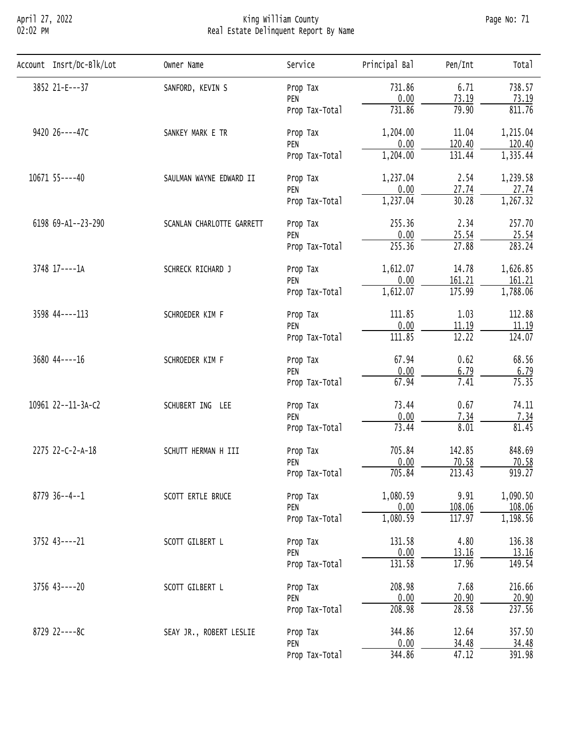## April 27, 2022 King William County Page No: 71 02:02 PM Real Estate Delinquent Report By Name

| Account Insrt/Dc-Blk/Lot | Owner Name       | Service                                                                                                                                                                                                                                                                                                                                                                                                                                                                                                                                                                                                                                                                                                                                                                                                                                                                                                                                                                                                                                                                                                                                                                                                                                                                                                                                                                                    | Principal Bal | Pen/Int | Total    |
|--------------------------|------------------|--------------------------------------------------------------------------------------------------------------------------------------------------------------------------------------------------------------------------------------------------------------------------------------------------------------------------------------------------------------------------------------------------------------------------------------------------------------------------------------------------------------------------------------------------------------------------------------------------------------------------------------------------------------------------------------------------------------------------------------------------------------------------------------------------------------------------------------------------------------------------------------------------------------------------------------------------------------------------------------------------------------------------------------------------------------------------------------------------------------------------------------------------------------------------------------------------------------------------------------------------------------------------------------------------------------------------------------------------------------------------------------------|---------------|---------|----------|
| 3852 21-E---37           | SANFORD, KEVIN S | Prop Tax                                                                                                                                                                                                                                                                                                                                                                                                                                                                                                                                                                                                                                                                                                                                                                                                                                                                                                                                                                                                                                                                                                                                                                                                                                                                                                                                                                                   | 731.86        | 6.71    | 738.57   |
|                          |                  | PEN                                                                                                                                                                                                                                                                                                                                                                                                                                                                                                                                                                                                                                                                                                                                                                                                                                                                                                                                                                                                                                                                                                                                                                                                                                                                                                                                                                                        | 0.00          |         | 73.19    |
|                          |                  | Prop Tax-Total                                                                                                                                                                                                                                                                                                                                                                                                                                                                                                                                                                                                                                                                                                                                                                                                                                                                                                                                                                                                                                                                                                                                                                                                                                                                                                                                                                             |               | 79.90   | 811.76   |
| 9420 26----47C           | SANKEY MARK E TR | Prop Tax                                                                                                                                                                                                                                                                                                                                                                                                                                                                                                                                                                                                                                                                                                                                                                                                                                                                                                                                                                                                                                                                                                                                                                                                                                                                                                                                                                                   | 1,204.00      | 11.04   | 1,215.04 |
|                          |                  | 73.19<br>731.86<br>0.00<br>120.40<br>PEN<br>1,204.00<br>131.44<br>Prop Tax-Total<br>1,237.04<br>2.54<br>SAULMAN WAYNE EDWARD II<br>Prop Tax<br>0.00<br>27.74<br>PEN<br>30.28<br>1,237.04<br>Prop Tax-Total<br>255.36<br>2.34<br>SCANLAN CHARLOTTE GARRETT<br>Prop Tax<br>0.00<br>25.54<br>PEN<br>255.36<br>27.88<br>Prop Tax-Total<br>1,612.07<br>14.78<br>SCHRECK RICHARD J<br>Prop Tax<br>0.00<br>161.21<br>PEN<br>1,612.07<br>175.99<br>Prop Tax-Total<br>111.85<br>1.03<br>SCHROEDER KIM F<br>Prop Tax<br>0.00<br>PEN<br>11.19<br>12.22<br>111.85<br>Prop Tax-Total<br>67.94<br>0.62<br>SCHROEDER KIM F<br>Prop Tax<br>0.00<br>6.79<br>PEN<br>67.94<br>7.41<br>Prop Tax-Total<br>0.67<br>73.44<br>SCHUBERT ING LEE<br>Prop Tax<br>0.00<br>7.34<br>PEN<br>73.44<br>8.01<br>Prop Tax-Total<br>705.84<br>142.85<br>SCHUTT HERMAN H III<br>Prop Tax<br>0.00<br>70.58<br>PEN<br>705.84<br>213.43<br>Prop Tax-Total<br>1,080.59<br>9.91<br>SCOTT ERTLE BRUCE<br>Prop Tax<br>0.00<br>108.06<br>PEN<br>1,080.59<br>117.97<br>Prop Tax-Total<br>4.80<br>131.58<br>SCOTT GILBERT L<br>Prop Tax<br>0.00<br>13.16<br>PEN<br>131.58<br>17.96<br>Prop Tax-Total<br>208.98<br>7.68<br>SCOTT GILBERT L<br>Prop Tax<br>0.00<br>20.90<br>PEN<br>208.98<br>28.58<br>Prop Tax-Total<br>344.86<br>12.64<br>SEAY JR., ROBERT LESLIE<br>Prop Tax<br>0.00<br>34.48<br>PEN<br>47.12<br>344.86<br>Prop Tax-Total | 120.40        |         |          |
|                          |                  | 1,335.44                                                                                                                                                                                                                                                                                                                                                                                                                                                                                                                                                                                                                                                                                                                                                                                                                                                                                                                                                                                                                                                                                                                                                                                                                                                                                                                                                                                   |               |         |          |
| 10671 55----40           |                  |                                                                                                                                                                                                                                                                                                                                                                                                                                                                                                                                                                                                                                                                                                                                                                                                                                                                                                                                                                                                                                                                                                                                                                                                                                                                                                                                                                                            |               |         | 1,239.58 |
|                          |                  |                                                                                                                                                                                                                                                                                                                                                                                                                                                                                                                                                                                                                                                                                                                                                                                                                                                                                                                                                                                                                                                                                                                                                                                                                                                                                                                                                                                            |               |         | 27.74    |
|                          |                  |                                                                                                                                                                                                                                                                                                                                                                                                                                                                                                                                                                                                                                                                                                                                                                                                                                                                                                                                                                                                                                                                                                                                                                                                                                                                                                                                                                                            |               |         | 1,267.32 |
| 6198 69-A1--23-290       |                  |                                                                                                                                                                                                                                                                                                                                                                                                                                                                                                                                                                                                                                                                                                                                                                                                                                                                                                                                                                                                                                                                                                                                                                                                                                                                                                                                                                                            |               |         | 257.70   |
|                          |                  |                                                                                                                                                                                                                                                                                                                                                                                                                                                                                                                                                                                                                                                                                                                                                                                                                                                                                                                                                                                                                                                                                                                                                                                                                                                                                                                                                                                            |               |         | 25.54    |
|                          |                  | 283.24                                                                                                                                                                                                                                                                                                                                                                                                                                                                                                                                                                                                                                                                                                                                                                                                                                                                                                                                                                                                                                                                                                                                                                                                                                                                                                                                                                                     |               |         |          |
| 3748 17----1A            |                  |                                                                                                                                                                                                                                                                                                                                                                                                                                                                                                                                                                                                                                                                                                                                                                                                                                                                                                                                                                                                                                                                                                                                                                                                                                                                                                                                                                                            |               |         | 1,626.85 |
|                          |                  |                                                                                                                                                                                                                                                                                                                                                                                                                                                                                                                                                                                                                                                                                                                                                                                                                                                                                                                                                                                                                                                                                                                                                                                                                                                                                                                                                                                            |               |         | 161.21   |
|                          |                  |                                                                                                                                                                                                                                                                                                                                                                                                                                                                                                                                                                                                                                                                                                                                                                                                                                                                                                                                                                                                                                                                                                                                                                                                                                                                                                                                                                                            |               |         | 1,788.06 |
| 3598 44----113           |                  |                                                                                                                                                                                                                                                                                                                                                                                                                                                                                                                                                                                                                                                                                                                                                                                                                                                                                                                                                                                                                                                                                                                                                                                                                                                                                                                                                                                            |               |         | 112.88   |
|                          |                  |                                                                                                                                                                                                                                                                                                                                                                                                                                                                                                                                                                                                                                                                                                                                                                                                                                                                                                                                                                                                                                                                                                                                                                                                                                                                                                                                                                                            |               |         | 11.19    |
|                          |                  |                                                                                                                                                                                                                                                                                                                                                                                                                                                                                                                                                                                                                                                                                                                                                                                                                                                                                                                                                                                                                                                                                                                                                                                                                                                                                                                                                                                            |               |         | 124.07   |
| 3680 44 --- - 16         |                  |                                                                                                                                                                                                                                                                                                                                                                                                                                                                                                                                                                                                                                                                                                                                                                                                                                                                                                                                                                                                                                                                                                                                                                                                                                                                                                                                                                                            |               |         | 68.56    |
|                          |                  | 6.79                                                                                                                                                                                                                                                                                                                                                                                                                                                                                                                                                                                                                                                                                                                                                                                                                                                                                                                                                                                                                                                                                                                                                                                                                                                                                                                                                                                       |               |         |          |
|                          |                  |                                                                                                                                                                                                                                                                                                                                                                                                                                                                                                                                                                                                                                                                                                                                                                                                                                                                                                                                                                                                                                                                                                                                                                                                                                                                                                                                                                                            |               |         | 75.35    |
| 10961 22--11-3A-C2       |                  |                                                                                                                                                                                                                                                                                                                                                                                                                                                                                                                                                                                                                                                                                                                                                                                                                                                                                                                                                                                                                                                                                                                                                                                                                                                                                                                                                                                            |               |         | 74.11    |
|                          |                  |                                                                                                                                                                                                                                                                                                                                                                                                                                                                                                                                                                                                                                                                                                                                                                                                                                                                                                                                                                                                                                                                                                                                                                                                                                                                                                                                                                                            |               |         | 7.34     |
|                          |                  |                                                                                                                                                                                                                                                                                                                                                                                                                                                                                                                                                                                                                                                                                                                                                                                                                                                                                                                                                                                                                                                                                                                                                                                                                                                                                                                                                                                            |               |         | 81.45    |
| 2275 22-C-2-A-18         |                  |                                                                                                                                                                                                                                                                                                                                                                                                                                                                                                                                                                                                                                                                                                                                                                                                                                                                                                                                                                                                                                                                                                                                                                                                                                                                                                                                                                                            | 848.69        |         |          |
|                          |                  |                                                                                                                                                                                                                                                                                                                                                                                                                                                                                                                                                                                                                                                                                                                                                                                                                                                                                                                                                                                                                                                                                                                                                                                                                                                                                                                                                                                            |               |         | 70.58    |
|                          |                  |                                                                                                                                                                                                                                                                                                                                                                                                                                                                                                                                                                                                                                                                                                                                                                                                                                                                                                                                                                                                                                                                                                                                                                                                                                                                                                                                                                                            |               |         | 919.27   |
| $8779$ 36--4--1          |                  | 1,090.50                                                                                                                                                                                                                                                                                                                                                                                                                                                                                                                                                                                                                                                                                                                                                                                                                                                                                                                                                                                                                                                                                                                                                                                                                                                                                                                                                                                   |               |         |          |
|                          |                  |                                                                                                                                                                                                                                                                                                                                                                                                                                                                                                                                                                                                                                                                                                                                                                                                                                                                                                                                                                                                                                                                                                                                                                                                                                                                                                                                                                                            |               | 108.06  |          |
|                          |                  |                                                                                                                                                                                                                                                                                                                                                                                                                                                                                                                                                                                                                                                                                                                                                                                                                                                                                                                                                                                                                                                                                                                                                                                                                                                                                                                                                                                            |               |         | 1,198.56 |
| 3752 43----21            |                  |                                                                                                                                                                                                                                                                                                                                                                                                                                                                                                                                                                                                                                                                                                                                                                                                                                                                                                                                                                                                                                                                                                                                                                                                                                                                                                                                                                                            |               |         | 136.38   |
|                          |                  |                                                                                                                                                                                                                                                                                                                                                                                                                                                                                                                                                                                                                                                                                                                                                                                                                                                                                                                                                                                                                                                                                                                                                                                                                                                                                                                                                                                            |               |         | 13.16    |
|                          |                  |                                                                                                                                                                                                                                                                                                                                                                                                                                                                                                                                                                                                                                                                                                                                                                                                                                                                                                                                                                                                                                                                                                                                                                                                                                                                                                                                                                                            |               |         | 149.54   |
| $3756$ $43---20$         |                  |                                                                                                                                                                                                                                                                                                                                                                                                                                                                                                                                                                                                                                                                                                                                                                                                                                                                                                                                                                                                                                                                                                                                                                                                                                                                                                                                                                                            |               |         | 216.66   |
|                          |                  |                                                                                                                                                                                                                                                                                                                                                                                                                                                                                                                                                                                                                                                                                                                                                                                                                                                                                                                                                                                                                                                                                                                                                                                                                                                                                                                                                                                            |               |         | 20.90    |
|                          |                  |                                                                                                                                                                                                                                                                                                                                                                                                                                                                                                                                                                                                                                                                                                                                                                                                                                                                                                                                                                                                                                                                                                                                                                                                                                                                                                                                                                                            |               |         | 237.56   |
| 8729 22----8C            |                  |                                                                                                                                                                                                                                                                                                                                                                                                                                                                                                                                                                                                                                                                                                                                                                                                                                                                                                                                                                                                                                                                                                                                                                                                                                                                                                                                                                                            |               |         | 357.50   |
|                          |                  |                                                                                                                                                                                                                                                                                                                                                                                                                                                                                                                                                                                                                                                                                                                                                                                                                                                                                                                                                                                                                                                                                                                                                                                                                                                                                                                                                                                            |               |         | 34.48    |
|                          |                  |                                                                                                                                                                                                                                                                                                                                                                                                                                                                                                                                                                                                                                                                                                                                                                                                                                                                                                                                                                                                                                                                                                                                                                                                                                                                                                                                                                                            |               |         | 391.98   |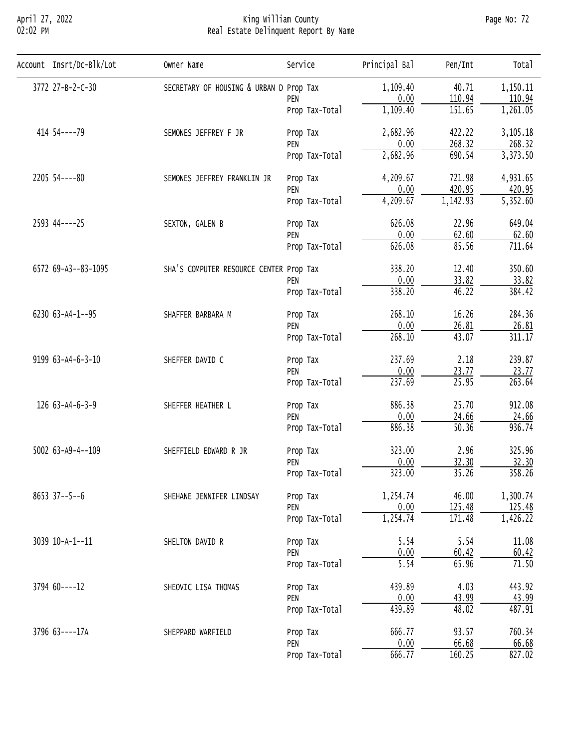# April 27, 2022 King William County Page No: 72 02:02 PM Real Estate Delinquent Report By Name

| Account Insrt/Dc-Blk/Lot | Owner Name                                                                                                                                                                                                                                                                                                                                                                                                                                                                                                                                                                                                                                                                                                                                                                                                                                                                                                                                                                                                                                                                                                                                                                                                                                          | Service                                                                                                        | Principal Bal | Pen/Int | Total    |
|--------------------------|-----------------------------------------------------------------------------------------------------------------------------------------------------------------------------------------------------------------------------------------------------------------------------------------------------------------------------------------------------------------------------------------------------------------------------------------------------------------------------------------------------------------------------------------------------------------------------------------------------------------------------------------------------------------------------------------------------------------------------------------------------------------------------------------------------------------------------------------------------------------------------------------------------------------------------------------------------------------------------------------------------------------------------------------------------------------------------------------------------------------------------------------------------------------------------------------------------------------------------------------------------|----------------------------------------------------------------------------------------------------------------|---------------|---------|----------|
| 3772 27-B-2-C-30         |                                                                                                                                                                                                                                                                                                                                                                                                                                                                                                                                                                                                                                                                                                                                                                                                                                                                                                                                                                                                                                                                                                                                                                                                                                                     |                                                                                                                | 1,109.40      | 40.71   | 1,150.11 |
|                          |                                                                                                                                                                                                                                                                                                                                                                                                                                                                                                                                                                                                                                                                                                                                                                                                                                                                                                                                                                                                                                                                                                                                                                                                                                                     | PEN                                                                                                            |               |         | 110.94   |
|                          |                                                                                                                                                                                                                                                                                                                                                                                                                                                                                                                                                                                                                                                                                                                                                                                                                                                                                                                                                                                                                                                                                                                                                                                                                                                     | Prop Tax-Total                                                                                                 | 1,109.40      | 151.65  | 1,261.05 |
| 414 54 ---- 79           | SEMONES JEFFREY F JR                                                                                                                                                                                                                                                                                                                                                                                                                                                                                                                                                                                                                                                                                                                                                                                                                                                                                                                                                                                                                                                                                                                                                                                                                                | Prop Tax                                                                                                       | 2,682.96      | 422.22  | 3,105.18 |
|                          |                                                                                                                                                                                                                                                                                                                                                                                                                                                                                                                                                                                                                                                                                                                                                                                                                                                                                                                                                                                                                                                                                                                                                                                                                                                     | PEN                                                                                                            |               |         | 268.32   |
|                          |                                                                                                                                                                                                                                                                                                                                                                                                                                                                                                                                                                                                                                                                                                                                                                                                                                                                                                                                                                                                                                                                                                                                                                                                                                                     | Prop Tax-Total                                                                                                 |               |         | 3,373.50 |
| 2205 54 ---- 80          | SEMONES JEFFREY FRANKLIN JR                                                                                                                                                                                                                                                                                                                                                                                                                                                                                                                                                                                                                                                                                                                                                                                                                                                                                                                                                                                                                                                                                                                                                                                                                         | Prop Tax                                                                                                       | 4,209.67      | 721.98  | 4,931.65 |
|                          |                                                                                                                                                                                                                                                                                                                                                                                                                                                                                                                                                                                                                                                                                                                                                                                                                                                                                                                                                                                                                                                                                                                                                                                                                                                     |                                                                                                                |               |         | 420.95   |
|                          | SECRETARY OF HOUSING & URBAN D Prop Tax<br>0.00<br>110.94<br>0.00<br>268.32<br>2,682.96<br>690.54<br>0.00<br>420.95<br>PEN<br>1,142.93<br>4,209.67<br>Prop Tax-Total<br>626.08<br>22.96<br>SEXTON, GALEN B<br>Prop Tax<br>0.00<br>62.60<br>PEN<br>626.08<br>85.56<br>Prop Tax-Total<br>338.20<br>12.40<br>SHA'S COMPUTER RESOURCE CENTER Prop Tax<br>0.00<br>33.82<br>PEN<br>338.20<br>46.22<br>Prop Tax-Total<br>268.10<br>16.26<br>SHAFFER BARBARA M<br>Prop Tax<br>0.00<br>26.81<br>PEN<br>268.10<br>43.07<br>Prop Tax-Total<br>2.18<br>237.69<br>SHEFFER DAVID C<br>Prop Tax<br>0.00<br>23.77<br>PEN<br>237.69<br>25.95<br>Prop Tax-Total<br>886.38<br>25.70<br>SHEFFER HEATHER L<br>Prop Tax<br>0.00<br>24.66<br>PEN<br>886.38<br>50.36<br>Prop Tax-Total<br>2.96<br>323.00<br>SHEFFIELD EDWARD R JR<br>Prop Tax<br>0.00<br>32.30<br>PEN<br>323.00<br>35.26<br>Prop Tax-Total<br>1,254.74<br>46.00<br>SHEHANE JENNIFER LINDSAY<br>Prop Tax<br>0.00<br>125.48<br>PEN<br>1,254.74<br>171.48<br>Prop Tax-Total<br>5.54<br>5.54<br>SHELTON DAVID R<br>Prop Tax<br>0.00<br>60.42<br>PEN<br>5.54<br>65.96<br>Prop Tax-Total<br>4.03<br>439.89<br>SHEOVIC LISA THOMAS<br>Prop Tax<br>0.00<br><u>43.99</u><br>PEN<br>439.89<br>48.02<br>Prop Tax-Total | 5,352.60                                                                                                       |               |         |          |
| 2593 44----25            |                                                                                                                                                                                                                                                                                                                                                                                                                                                                                                                                                                                                                                                                                                                                                                                                                                                                                                                                                                                                                                                                                                                                                                                                                                                     |                                                                                                                |               |         | 649.04   |
|                          |                                                                                                                                                                                                                                                                                                                                                                                                                                                                                                                                                                                                                                                                                                                                                                                                                                                                                                                                                                                                                                                                                                                                                                                                                                                     |                                                                                                                |               |         | 62.60    |
|                          |                                                                                                                                                                                                                                                                                                                                                                                                                                                                                                                                                                                                                                                                                                                                                                                                                                                                                                                                                                                                                                                                                                                                                                                                                                                     | 711.64                                                                                                         |               |         |          |
| 6572 69-A3--83-1095      |                                                                                                                                                                                                                                                                                                                                                                                                                                                                                                                                                                                                                                                                                                                                                                                                                                                                                                                                                                                                                                                                                                                                                                                                                                                     |                                                                                                                |               |         | 350.60   |
|                          |                                                                                                                                                                                                                                                                                                                                                                                                                                                                                                                                                                                                                                                                                                                                                                                                                                                                                                                                                                                                                                                                                                                                                                                                                                                     |                                                                                                                |               |         | 33.82    |
|                          |                                                                                                                                                                                                                                                                                                                                                                                                                                                                                                                                                                                                                                                                                                                                                                                                                                                                                                                                                                                                                                                                                                                                                                                                                                                     |                                                                                                                |               |         | 384.42   |
| 6230 63-A4-1--95         |                                                                                                                                                                                                                                                                                                                                                                                                                                                                                                                                                                                                                                                                                                                                                                                                                                                                                                                                                                                                                                                                                                                                                                                                                                                     |                                                                                                                |               |         | 284.36   |
|                          |                                                                                                                                                                                                                                                                                                                                                                                                                                                                                                                                                                                                                                                                                                                                                                                                                                                                                                                                                                                                                                                                                                                                                                                                                                                     |                                                                                                                |               |         | 26.81    |
|                          |                                                                                                                                                                                                                                                                                                                                                                                                                                                                                                                                                                                                                                                                                                                                                                                                                                                                                                                                                                                                                                                                                                                                                                                                                                                     |                                                                                                                |               |         | 311.17   |
| 9199 63-A4-6-3-10        |                                                                                                                                                                                                                                                                                                                                                                                                                                                                                                                                                                                                                                                                                                                                                                                                                                                                                                                                                                                                                                                                                                                                                                                                                                                     |                                                                                                                |               |         | 239.87   |
|                          |                                                                                                                                                                                                                                                                                                                                                                                                                                                                                                                                                                                                                                                                                                                                                                                                                                                                                                                                                                                                                                                                                                                                                                                                                                                     |                                                                                                                |               |         | 23.77    |
|                          |                                                                                                                                                                                                                                                                                                                                                                                                                                                                                                                                                                                                                                                                                                                                                                                                                                                                                                                                                                                                                                                                                                                                                                                                                                                     |                                                                                                                |               |         | 263.64   |
| 126 63-A4-6-3-9          |                                                                                                                                                                                                                                                                                                                                                                                                                                                                                                                                                                                                                                                                                                                                                                                                                                                                                                                                                                                                                                                                                                                                                                                                                                                     |                                                                                                                |               |         | 912.08   |
|                          |                                                                                                                                                                                                                                                                                                                                                                                                                                                                                                                                                                                                                                                                                                                                                                                                                                                                                                                                                                                                                                                                                                                                                                                                                                                     |                                                                                                                |               |         | 24.66    |
|                          |                                                                                                                                                                                                                                                                                                                                                                                                                                                                                                                                                                                                                                                                                                                                                                                                                                                                                                                                                                                                                                                                                                                                                                                                                                                     |                                                                                                                |               |         | 936.74   |
| 5002 63-A9-4--109        |                                                                                                                                                                                                                                                                                                                                                                                                                                                                                                                                                                                                                                                                                                                                                                                                                                                                                                                                                                                                                                                                                                                                                                                                                                                     | 666.77<br>93.57<br>SHEPPARD WARFIELD<br>Prop Tax<br>0.00<br>66.68<br>PEN<br>160.25<br>666.77<br>Prop Tax-Total | 325.96        |         |          |
|                          |                                                                                                                                                                                                                                                                                                                                                                                                                                                                                                                                                                                                                                                                                                                                                                                                                                                                                                                                                                                                                                                                                                                                                                                                                                                     |                                                                                                                |               |         | 32.30    |
|                          |                                                                                                                                                                                                                                                                                                                                                                                                                                                                                                                                                                                                                                                                                                                                                                                                                                                                                                                                                                                                                                                                                                                                                                                                                                                     |                                                                                                                |               |         | 358.26   |
| $8653$ 37--5--6          |                                                                                                                                                                                                                                                                                                                                                                                                                                                                                                                                                                                                                                                                                                                                                                                                                                                                                                                                                                                                                                                                                                                                                                                                                                                     |                                                                                                                |               |         | 1,300.74 |
|                          |                                                                                                                                                                                                                                                                                                                                                                                                                                                                                                                                                                                                                                                                                                                                                                                                                                                                                                                                                                                                                                                                                                                                                                                                                                                     |                                                                                                                |               |         | 125.48   |
|                          |                                                                                                                                                                                                                                                                                                                                                                                                                                                                                                                                                                                                                                                                                                                                                                                                                                                                                                                                                                                                                                                                                                                                                                                                                                                     |                                                                                                                |               |         | 1,426.22 |
| 3039 10-A-1--11          |                                                                                                                                                                                                                                                                                                                                                                                                                                                                                                                                                                                                                                                                                                                                                                                                                                                                                                                                                                                                                                                                                                                                                                                                                                                     |                                                                                                                |               |         | 11.08    |
|                          |                                                                                                                                                                                                                                                                                                                                                                                                                                                                                                                                                                                                                                                                                                                                                                                                                                                                                                                                                                                                                                                                                                                                                                                                                                                     |                                                                                                                |               |         | 60.42    |
|                          |                                                                                                                                                                                                                                                                                                                                                                                                                                                                                                                                                                                                                                                                                                                                                                                                                                                                                                                                                                                                                                                                                                                                                                                                                                                     |                                                                                                                |               |         | 71.50    |
| $3794$ 60 ---- 12        |                                                                                                                                                                                                                                                                                                                                                                                                                                                                                                                                                                                                                                                                                                                                                                                                                                                                                                                                                                                                                                                                                                                                                                                                                                                     |                                                                                                                |               |         | 443.92   |
|                          |                                                                                                                                                                                                                                                                                                                                                                                                                                                                                                                                                                                                                                                                                                                                                                                                                                                                                                                                                                                                                                                                                                                                                                                                                                                     |                                                                                                                |               |         | 43.99    |
|                          |                                                                                                                                                                                                                                                                                                                                                                                                                                                                                                                                                                                                                                                                                                                                                                                                                                                                                                                                                                                                                                                                                                                                                                                                                                                     |                                                                                                                |               |         | 487.91   |
| 3796 63----17A           |                                                                                                                                                                                                                                                                                                                                                                                                                                                                                                                                                                                                                                                                                                                                                                                                                                                                                                                                                                                                                                                                                                                                                                                                                                                     |                                                                                                                |               |         | 760.34   |
|                          |                                                                                                                                                                                                                                                                                                                                                                                                                                                                                                                                                                                                                                                                                                                                                                                                                                                                                                                                                                                                                                                                                                                                                                                                                                                     |                                                                                                                |               |         | 66.68    |
|                          |                                                                                                                                                                                                                                                                                                                                                                                                                                                                                                                                                                                                                                                                                                                                                                                                                                                                                                                                                                                                                                                                                                                                                                                                                                                     |                                                                                                                |               |         | 827.02   |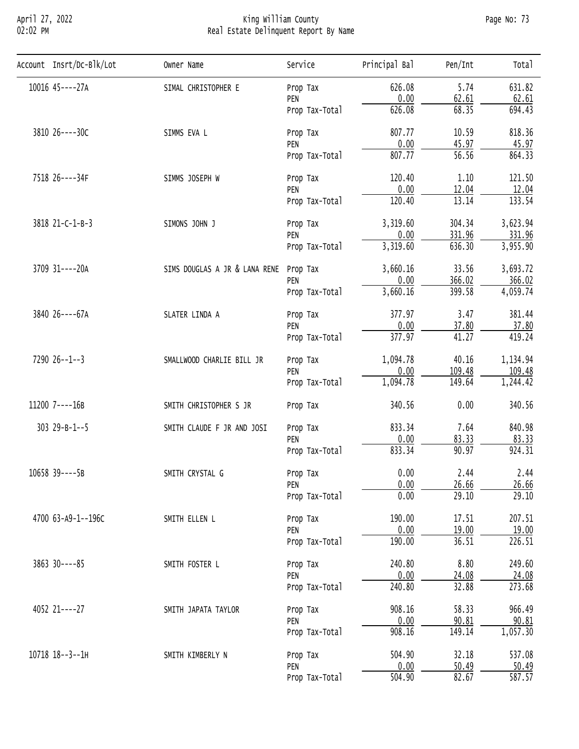## April 27, 2022 King William County Page No: 73 02:02 PM Real Estate Delinquent Report By Name

| Account Insrt/Dc-Blk/Lot | Owner Name                    | Service        | Principal Bal | Pen/Int            | Total               |
|--------------------------|-------------------------------|----------------|---------------|--------------------|---------------------|
| 10016 45 ---- 27A        | SIMAL CHRISTOPHER E           | Prop Tax       | 626.08        | 5.74               | 631.82              |
|                          |                               | PEN            | 0.00          | 62.61              | 62.61               |
|                          |                               | Prop Tax-Total | 626.08        | 68.35              | 694.43              |
| 3810 26----30C           | SIMMS EVA L                   | Prop Tax       | 807.77        | 10.59              | 818.36              |
|                          |                               | PEN            | 0.00          | 45.97              | 45.97               |
|                          |                               | Prop Tax-Total | 807.77        | $\overline{56.56}$ | 864.33              |
| 7518 26----34F           | SIMMS JOSEPH W                | Prop Tax       | 120.40        | 1.10               | 121.50              |
|                          |                               | PEN            | 0.00          | 12.04              | 12.04               |
|                          |                               | Prop Tax-Total | 120.40        | 13.14              | 133.54              |
| 3818 21-C-1-B-3          | SIMONS JOHN J                 | Prop Tax       | 3,319.60      | 304.34             | 3,623.94            |
|                          |                               | PEN            | 0.00          | 331.96             | 331.96              |
|                          |                               | Prop Tax-Total | 3,319.60      | 636.30             | 3,955.90            |
| 3709 31----20A           | SIMS DOUGLAS A JR & LANA RENE | Prop Tax       | 3,660.16      | 33.56              | 3,693.72            |
|                          |                               | PEN            | 0.00          | 366.02             | 366.02              |
|                          |                               | Prop Tax-Total | 3,660.16      | 399.58             | 4,059.74            |
| 3840 26----67A           | SLATER LINDA A                | Prop Tax       | 377.97        | 3.47               | 381.44              |
|                          |                               | PEN            | 0.00          | 37.80              | 37.80               |
|                          |                               | Prop Tax-Total | 377.97        | 41.27              | 419.24              |
| $7290$ $26--1--3$        | SMALLWOOD CHARLIE BILL JR     | Prop Tax       | 1,094.78      | 40.16              | 1,134.94            |
|                          |                               | PEN            | 0.00          | 109.48             | 109.48              |
|                          |                               | Prop Tax-Total | 1,094.78      | 149.64             | 1,244.42            |
| 11200 7----16B           | SMITH CHRISTOPHER S JR        | Prop Tax       | 340.56        | 0.00               | 340.56              |
| $303$ $29 - B - 1 - 5$   | SMITH CLAUDE F JR AND JOSI    | Prop Tax       | 833.34        | 7.64               | 840.98              |
|                          |                               | PEN            | 0.00          | 83.33              | 83.33               |
|                          |                               | Prop Tax-Total | 833.34        | 90.97              | 924.31              |
| 10658 39----5B           | SMITH CRYSTAL G               | Prop Tax       | 0.00          | 2.44               | 2.44                |
|                          |                               | PEN            | 0.00          | 26.66              | 26.66               |
|                          |                               | Prop Tax-Total | 0.00          | 29.10              | 29.10               |
| 4700 63-A9-1--196C       | SMITH ELLEN L                 | Prop Tax       | 190.00        | 17.51              | 207.51              |
|                          |                               | PEN            | 0.00          | 19.00              | 19.00               |
|                          |                               | Prop Tax-Total | 190.00        | 36.51              | $\overline{226.51}$ |
| $3863$ $30---85$         | SMITH FOSTER L                | Prop Tax       | 240.80        | 8.80               | 249.60              |
|                          |                               | PEN            | 0.00          | 24.08              | 24.08               |
|                          |                               | Prop Tax-Total | 240.80        | 32.88              | 273.68              |
| 4052 21----27            | SMITH JAPATA TAYLOR           | Prop Tax       | 908.16        | 58.33              | 966.49              |
|                          |                               | PEN            | 0.00          | 90.81              | 90.81               |
|                          |                               | Prop Tax-Total | 908.16        | 149.14             | 1,057.30            |
|                          |                               |                |               |                    |                     |
| 10718 18--3--1H          | SMITH KIMBERLY N              | Prop Tax       | 504.90        | 32.18              | 537.08              |
|                          |                               | PEN            | 0.00          | 50.49              | 50.49               |
|                          |                               | Prop Tax-Total | 504.90        | 82.67              | $\overline{587.57}$ |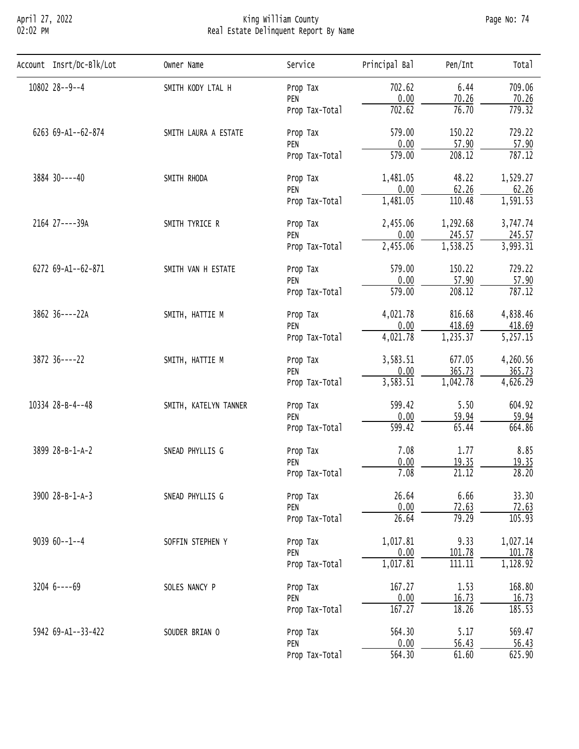## April 27, 2022 King William County Page No: 74 02:02 PM Real Estate Delinquent Report By Name

| Account Insrt/Dc-Blk/Lot | Owner Name            | Service        | Principal Bal       | Pen/Int  | Total                 |
|--------------------------|-----------------------|----------------|---------------------|----------|-----------------------|
| 10802 28--9--4           | SMITH KODY LTAL H     | Prop Tax       | 702.62              | 6.44     | 709.06                |
|                          |                       | PEN            | 0.00                | 70.26    | 70.26                 |
|                          |                       | Prop Tax-Total | 702.62              | 76.70    | 779.32                |
| 6263 69-A1--62-874       | SMITH LAURA A ESTATE  | Prop Tax       | 579.00              | 150.22   | 729.22                |
|                          |                       | PEN            | 0.00                | 57.90    | 57.90                 |
|                          |                       | Prop Tax-Total | 579.00              | 208.12   | 787.12                |
| 3884 30----40            | SMITH RHODA           | Prop Tax       | 1,481.05            | 48.22    | 1,529.27              |
|                          |                       | PEN            | 0.00                | 62.26    | 62.26                 |
|                          |                       | Prop Tax-Total | 1,481.05            | 110.48   | 1,591.53              |
| 2164 27----39A           | SMITH TYRICE R        | Prop Tax       | 2,455.06            | 1,292.68 | 3,747.74              |
|                          |                       | PEN            | 0.00                | 245.57   | 245.57                |
|                          |                       | Prop Tax-Total | 2,455.06            | 1,538.25 | 3,993.31              |
| 6272 69-A1--62-871       | SMITH VAN H ESTATE    | Prop Tax       | 579.00              | 150.22   | 729.22                |
|                          |                       | PEN            | 0.00                | 57.90    | 57.90                 |
|                          |                       | Prop Tax-Total | 579.00              | 208.12   | 787.12                |
| 3862 36----22A           | SMITH, HATTIE M       | Prop Tax       | 4,021.78            | 816.68   | 4,838.46              |
|                          |                       | PEN            | 0.00                | 418.69   | 418.69                |
|                          |                       | Prop Tax-Total | 4,021.78            | 1,235.37 | $\overline{5,257.15}$ |
| 3872 36----22            | SMITH, HATTIE M       | Prop Tax       | 3,583.51            | 677.05   | 4,260.56              |
|                          |                       | PEN            | 0.00                | 365.73   | 365.73                |
|                          |                       | Prop Tax-Total | 3,583.51            | 1,042.78 | 4,626.29              |
| 10334 28-B-4--48         | SMITH, KATELYN TANNER | Prop Tax       | 599.42              | 5.50     | 604.92                |
|                          |                       | PEN            | 0.00                | 59.94    | 59.94                 |
|                          |                       | Prop Tax-Total | 599.42              | 65.44    | 664.86                |
| 3899 28-B-1-A-2          | SNEAD PHYLLIS G       | Prop Tax       | 7.08                | 1.77     | 8.85                  |
|                          |                       | PEN            | 0.00                | 19.35    | 19.35                 |
|                          |                       | Prop Tax-Total | 7.08                | 21.12    | 28.20                 |
| 3900 28-B-1-A-3          | SNEAD PHYLLIS G       | Prop Tax       | 26.64               | 6.66     | 33.30                 |
|                          |                       | PEN            | 0.00                | 72.63    | 72.63                 |
|                          |                       | Prop Tax-Total | 26.64               | 79.29    | 105.93                |
| $903960--1--4$           | SOFFIN STEPHEN Y      | Prop Tax       | 1,017.81            | 9.33     | 1,027.14              |
|                          |                       | PEN            | 0.00                | 101.78   | 101.78                |
|                          |                       | Prop Tax-Total | 1,017.81            | 111.11   | 1,128.92              |
| $3204$ 6----69           | SOLES NANCY P         | Prop Tax       | 167.27              | 1.53     | 168.80                |
|                          |                       | PEN            | 0.00                | 16.73    | 16.73                 |
|                          |                       | Prop Tax-Total | 167.27              | 18.26    | 185.53                |
| 5942 69-A1--33-422       | SOUDER BRIAN O        | Prop Tax       | 564.30              | 5.17     | 569.47                |
|                          |                       | PEN            | 0.00                | 56.43    | 56.43                 |
|                          |                       | Prop Tax-Total | $\overline{564.30}$ | 61.60    | 625.90                |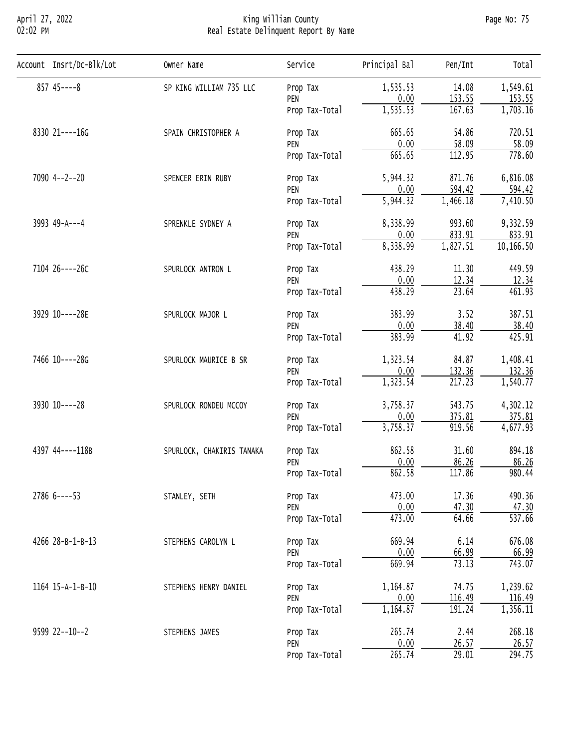### April 27, 2022 King William County Page No: 75 02:02 PM Real Estate Delinquent Report By Name

| Account Insrt/Dc-Blk/Lot | Owner Name                | Service        | Principal Bal | Pen/Int  | Total     |
|--------------------------|---------------------------|----------------|---------------|----------|-----------|
| $857$ 45----8            | SP KING WILLIAM 735 LLC   | Prop Tax       | 1,535.53      | 14.08    | 1,549.61  |
|                          |                           | PEN            | 0.00          | 153.55   | 153.55    |
|                          |                           | Prop Tax-Total | 1, 535.53     | 167.63   | 1,703.16  |
| 8330 21----16G           | SPAIN CHRISTOPHER A       | Prop Tax       | 665.65        | 54.86    | 720.51    |
|                          |                           | PEN            | 0.00          | 58.09    | 58.09     |
|                          |                           | Prop Tax-Total | 665.65        | 112.95   | 778.60    |
| $7090$ 4--2--20          | SPENCER ERIN RUBY         | Prop Tax       | 5,944.32      | 871.76   | 6,816.08  |
|                          |                           | PEN            | 0.00          | 594.42   | 594.42    |
|                          |                           | Prop Tax-Total | 5,944.32      | 1,466.18 | 7,410.50  |
| 3993 49-A---4            | SPRENKLE SYDNEY A         | Prop Tax       | 8,338.99      | 993.60   | 9,332.59  |
|                          |                           | PEN            | 0.00          | 833.91   | 833.91    |
|                          |                           | Prop Tax-Total | 8,338.99      | 1,827.51 | 10,166.50 |
| 7104 26----26C           | SPURLOCK ANTRON L         | Prop Tax       | 438.29        | 11.30    | 449.59    |
|                          |                           | PEN            | 0.00          | 12.34    | 12.34     |
|                          |                           | Prop Tax-Total | 438.29        | 23.64    | 461.93    |
| 3929 10----28E           | SPURLOCK MAJOR L          | Prop Tax       | 383.99        | 3.52     | 387.51    |
|                          |                           | PEN            | 0.00          | 38.40    | 38.40     |
|                          |                           | Prop Tax-Total | 383.99        | 41.92    | 425.91    |
| 7466 10----28G           | SPURLOCK MAURICE B SR     | Prop Tax       | 1,323.54      | 84.87    | 1,408.41  |
|                          |                           | PEN            | 0.00          | 132.36   | 132.36    |
|                          |                           | Prop Tax-Total | 1,323.54      | 217.23   | 1,540.77  |
| 3930 10----28            | SPURLOCK RONDEU MCCOY     | Prop Tax       | 3,758.37      | 543.75   | 4,302.12  |
|                          |                           | PEN            | 0.00          | 375.81   | 375.81    |
|                          |                           | Prop Tax-Total | 3,758.37      | 919.56   | 4,677.93  |
| 4397 44----118B          | SPURLOCK, CHAKIRIS TANAKA | Prop Tax       | 862.58        | 31.60    | 894.18    |
|                          |                           | PEN            | 0.00          | 86.26    | 86.26     |
|                          |                           | Prop Tax-Total | 862.58        | 117.86   | 980.44    |
| $27866 - - -53$          | STANLEY, SETH             | Prop Tax       | 473.00        | 17.36    | 490.36    |
|                          |                           | PEN            | 0.00          | 47.30    | 47.30     |
|                          |                           | Prop Tax-Total | 473.00        | 64.66    | 537.66    |
| 4266 28-B-1-B-13         | STEPHENS CAROLYN L        | Prop Tax       | 669.94        | 6.14     | 676.08    |
|                          |                           | PEN            | 0.00          | 66.99    | 66.99     |
|                          |                           | Prop Tax-Total | 669.94        | 73.13    | 743.07    |
| 1164 15-A-1-B-10         | STEPHENS HENRY DANIEL     | Prop Tax       | 1,164.87      | 74.75    | 1,239.62  |
|                          |                           | PEN            | 0.00          | 116.49   | 116.49    |
|                          |                           | Prop Tax-Total | 1,164.87      | 191.24   | 1,356.11  |
| 9599 22--10--2           | STEPHENS JAMES            | Prop Tax       | 265.74        | 2.44     | 268.18    |
|                          |                           | PEN            | 0.00          | 26.57    | 26.57     |
|                          |                           | Prop Tax-Total | 265.74        | 29.01    | 294.75    |
|                          |                           |                |               |          |           |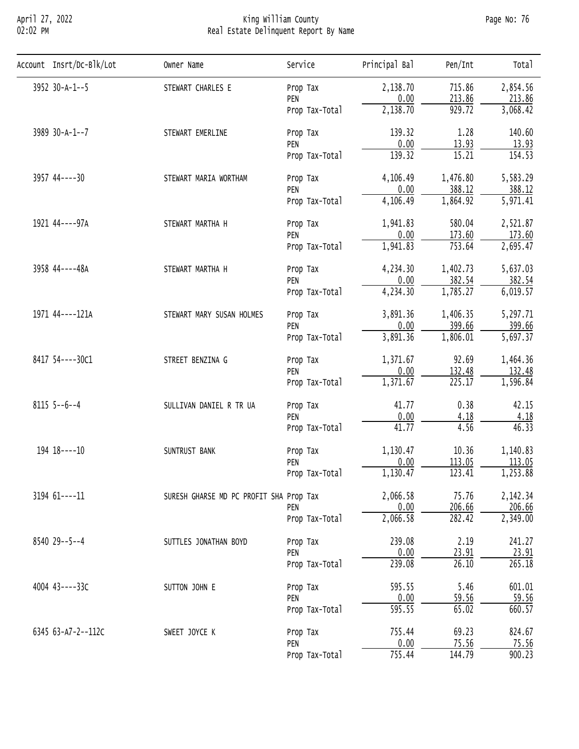## April 27, 2022 King William County Page No: 76 02:02 PM Real Estate Delinquent Report By Name

| Account Insrt/Dc-Blk/Lot | Owner Name                              | Service        | Principal Bal | Pen/Int  | Total                 |
|--------------------------|-----------------------------------------|----------------|---------------|----------|-----------------------|
| 3952 30-A-1--5           | STEWART CHARLES E                       | Prop Tax       | 2,138.70      | 715.86   | 2,854.56              |
|                          |                                         | PEN            | 0.00          | 213.86   | 213.86                |
|                          |                                         | Prop Tax-Total | 2,138.70      | 929.72   | 3,068.42              |
| 3989 30-A-1--7           | STEWART EMERLINE                        | Prop Tax       | 139.32        | 1.28     | 140.60                |
|                          |                                         | PEN            | 0.00          | 13.93    | 13.93                 |
|                          |                                         | Prop Tax-Total | 139.32        | 15.21    | 154.53                |
| 3957 44----30            | STEWART MARIA WORTHAM                   | Prop Tax       | 4,106.49      | 1,476.80 | 5,583.29              |
|                          |                                         | PEN            | 0.00          | 388.12   | 388.12                |
|                          |                                         | Prop Tax-Total | 4,106.49      | 1,864.92 | 5,971.41              |
| 1921 44----97A           | STEWART MARTHA H                        | Prop Tax       | 1,941.83      | 580.04   | 2,521.87              |
|                          |                                         | PEN            | 0.00          | 173.60   | 173.60                |
|                          |                                         | Prop Tax-Total | 1,941.83      | 753.64   | 2,695.47              |
| 3958 44----48A           | STEWART MARTHA H                        | Prop Tax       | 4,234.30      | 1,402.73 | 5,637.03              |
|                          |                                         | PEN            | 0.00          | 382.54   | 382.54                |
|                          |                                         | Prop Tax-Total | 4,234.30      | 1,785.27 | 6,019.57              |
| 1971 44----121A          | STEWART MARY SUSAN HOLMES               | Prop Tax       | 3,891.36      | 1,406.35 | 5,297.71              |
|                          |                                         | PEN            | 0.00          | 399.66   | 399.66                |
|                          |                                         | Prop Tax-Total | 3,891.36      | 1,806.01 | $\overline{5,697.37}$ |
| 8417 54 ---- 30C1        | STREET BENZINA G                        | Prop Tax       | 1,371.67      | 92.69    | 1,464.36              |
|                          |                                         | PEN            | 0.00          | 132.48   | 132.48                |
|                          |                                         | Prop Tax-Total | 1,371.67      | 225.17   | 1,596.84              |
| $8115$ 5--6--4           | SULLIVAN DANIEL R TR UA                 | Prop Tax       | 41.77         | 0.38     | 42.15                 |
|                          |                                         | PEN            | 0.00          | 4.18     | 4.18                  |
|                          |                                         | Prop Tax-Total | 41.77         | 4.56     | 46.33                 |
| 194 18----10             | SUNTRUST BANK                           | Prop Tax       | 1,130.47      | 10.36    | 1,140.83              |
|                          |                                         | PEN            | 0.00          | 113.05   | 113.05                |
|                          |                                         | Prop Tax-Total | 1,130.47      | 123.41   | 1,253.88              |
| 3194 61----11            | SURESH GHARSE MD PC PROFIT SHA Prop Tax |                | 2,066.58      | 75.76    | 2,142.34              |
|                          |                                         | PEN            | 0.00          | 206.66   | 206.66                |
|                          |                                         | Prop Tax-Total | 2,066.58      | 282.42   | 2,349.00              |
| 8540 29 - - 5 - - 4      | SUTTLES JONATHAN BOYD                   | Prop Tax       | 239.08        | 2.19     | 241.27                |
|                          |                                         | PEN            | 0.00          | 23.91    | 23.91                 |
|                          |                                         | Prop Tax-Total | 239.08        | 26.10    | 265.18                |
| 4004 43----33C           | SUTTON JOHN E                           | Prop Tax       | 595.55        | 5.46     | 601.01                |
|                          |                                         | PEN            | 0.00          | 59.56    | 59.56                 |
|                          |                                         | Prop Tax-Total | 595.55        | 65.02    | 660.57                |
| 6345 63-A7-2--112C       | SWEET JOYCE K                           | Prop Tax       | 755.44        | 69.23    | 824.67                |
|                          |                                         | PEN            | 0.00          | 75.56    | 75.56                 |
|                          |                                         | Prop Tax-Total | 755.44        | 144.79   | 900.23                |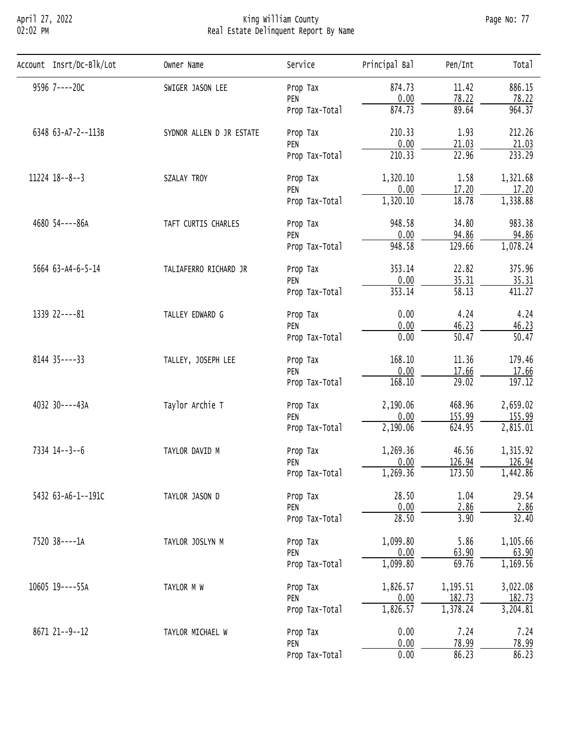## April 27, 2022 King William County Page No: 77 02:02 PM Real Estate Delinquent Report By Name

| Account Insrt/Dc-Blk/Lot | Owner Name               | Service        | Principal Bal | Pen/Int            | Total    |
|--------------------------|--------------------------|----------------|---------------|--------------------|----------|
| 9596 7----20C            | SWIGER JASON LEE         | Prop Tax       | 874.73        | 11.42              | 886.15   |
|                          |                          | PEN            | 0.00          | 78.22              | 78.22    |
|                          |                          | Prop Tax-Total | 874.73        | 89.64              | 964.37   |
| 6348 63-A7-2--113B       | SYDNOR ALLEN D JR ESTATE | Prop Tax       | 210.33        | 1.93               | 212.26   |
|                          |                          | PEN            | 0.00          | 21.03              | 21.03    |
|                          |                          | Prop Tax-Total | 210.33        | 22.96              | 233.29   |
| 11224 18--8--3           | SZALAY TROY              | Prop Tax       | 1,320.10      | 1.58               | 1,321.68 |
|                          |                          | PEN            | 0.00          | 17.20              | 17.20    |
|                          |                          | Prop Tax-Total | 1,320.10      | 18.78              | 1,338.88 |
| 4680 54----86A           | TAFT CURTIS CHARLES      | Prop Tax       | 948.58        | 34.80              | 983.38   |
|                          |                          | PEN            | 0.00          | 94.86              | 94.86    |
|                          |                          | Prop Tax-Total | 948.58        | 129.66             | 1,078.24 |
| 5664 63-A4-6-5-14        | TALIAFERRO RICHARD JR    | Prop Tax       | 353.14        | 22.82              | 375.96   |
|                          |                          | PEN            | 0.00          | 35.31              | 35.31    |
|                          |                          | Prop Tax-Total | 353.14        | $\overline{58.13}$ | 411.27   |
| 1339 22----81            | TALLEY EDWARD G          | Prop Tax       | 0.00          | 4.24               | 4.24     |
|                          |                          | PEN            | 0.00          | 46.23              | 46.23    |
|                          |                          | Prop Tax-Total | 0.00          | 50.47              | 50.47    |
| $8144$ 35 - - - - 33     | TALLEY, JOSEPH LEE       | Prop Tax       | 168.10        | 11.36              | 179.46   |
|                          |                          | PEN            | 0.00          | 17.66              | 17.66    |
|                          |                          | Prop Tax-Total | 168.10        | $\overline{29.02}$ | 197.12   |
| 4032 30----43A           | Taylor Archie T          | Prop Tax       | 2,190.06      | 468.96             | 2,659.02 |
|                          |                          | PEN            | 0.00          | 155.99             | 155.99   |
|                          |                          | Prop Tax-Total | 2,190.06      | 624.95             | 2,815.01 |
| 7334 14--3--6            | TAYLOR DAVID M           | Prop Tax       | 1,269.36      | 46.56              | 1,315.92 |
|                          |                          | PEN            | 0.00          | 126.94             | 126.94   |
|                          |                          | Prop Tax-Total | 1,269.36      | 173.50             | 1,442.86 |
| 5432 63-A6-1--191C       | TAYLOR JASON D           | Prop Tax       | 28.50         | 1.04               | 29.54    |
|                          |                          | PEN            | 0.00          | 2.86               | 2.86     |
|                          |                          | Prop Tax-Total | 28.50         | 3.90               | 32.40    |
| 7520 38----1A            | TAYLOR JOSLYN M          | Prop Tax       | 1,099.80      | 5.86               | 1,105.66 |
|                          |                          | PEN            | 0.00          | 63.90              | 63.90    |
|                          |                          | Prop Tax-Total | 1,099.80      | 69.76              | 1,169.56 |
| 10605 19----55A          | TAYLOR M W               | Prop Tax       | 1,826.57      | 1,195.51           | 3,022.08 |
|                          |                          | PEN            | 0.00          | 182.73             | 182.73   |
|                          |                          | Prop Tax-Total | 1,826.57      | 1,378.24           | 3,204.81 |
| 8671 21--9--12           | TAYLOR MICHAEL W         | Prop Tax       | 0.00          | 7.24               | 7.24     |
|                          |                          | PEN            | 0.00          | 78.99              | 78.99    |
|                          |                          | Prop Tax-Total | 0.00          | 86.23              | 86.23    |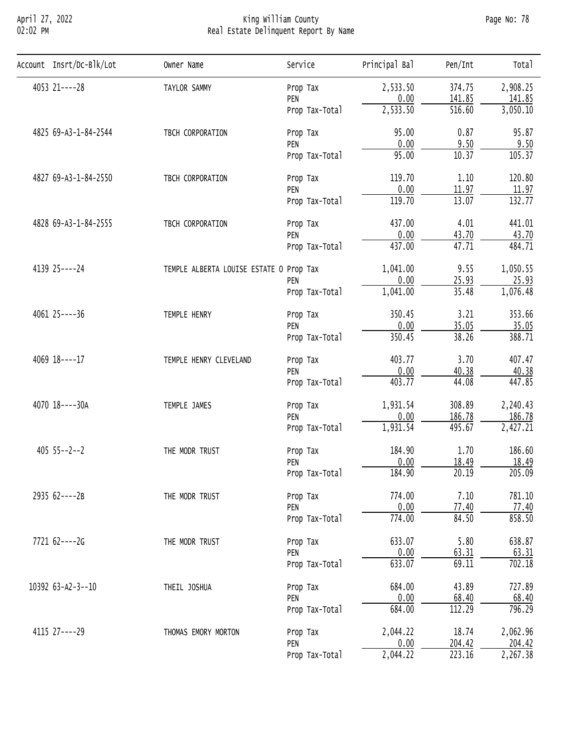## April 27, 2022 King William County Page No: 78 02:02 PM Real Estate Delinquent Report By Name

| Account Insrt/Dc-Blk/Lot | Owner Name                              | Service        | Principal Bal | Pen/Int             | Total                 |
|--------------------------|-----------------------------------------|----------------|---------------|---------------------|-----------------------|
| 4053 21----28            | TAYLOR SAMMY                            | Prop Tax       | 2,533.50      | 374.75              | 2,908.25              |
|                          |                                         | PEN            | 0.00          | 141.85              | 141.85                |
|                          |                                         | Prop Tax-Total | 2,533.50      | $\overline{516.60}$ | $\overline{3,050.10}$ |
| 4825 69-A3-1-84-2544     | TBCH CORPORATION                        | Prop Tax       | 95.00         | 0.87                | 95.87                 |
|                          |                                         | PEN            | 0.00          | 9.50                | 9.50                  |
|                          |                                         | Prop Tax-Total | 95.00         | 10.37               | 105.37                |
| 4827 69-A3-1-84-2550     | TBCH CORPORATION                        | Prop Tax       | 119.70        | 1.10                | 120.80                |
|                          |                                         | PEN            | 0.00          | 11.97               | 11.97                 |
|                          |                                         | Prop Tax-Total | 119.70        | 13.07               | 132.77                |
| 4828 69-A3-1-84-2555     | TBCH CORPORATION                        | Prop Tax       | 437.00        | 4.01                | 441.01                |
|                          |                                         | PEN            | 0.00          | 43.70               | 43.70                 |
|                          |                                         | Prop Tax-Total | 437.00        | 47.71               | 484.71                |
| 4139 25 ---- 24          | TEMPLE ALBERTA LOUISE ESTATE O Prop Tax |                | 1,041.00      | 9.55                | 1,050.55              |
|                          |                                         | PEN            | 0.00          | 25.93               | 25.93                 |
|                          |                                         | Prop Tax-Total | 1,041.00      | 35.48               | 1,076.48              |
| $4061$ $25---36$         | TEMPLE HENRY                            | Prop Tax       | 350.45        | 3.21                | 353.66                |
|                          |                                         | PEN            | 0.00          | 35.05               | 35.05                 |
|                          |                                         | Prop Tax-Total | 350.45        | 38.26               | 388.71                |
| 4069 18----17            | TEMPLE HENRY CLEVELAND                  | Prop Tax       | 403.77        | 3.70                | 407.47                |
|                          |                                         | PEN            | 0.00          | 40.38               | 40.38                 |
|                          |                                         | Prop Tax-Total | 403.77        | 44.08               | 447.85                |
| 4070 18----30A           | TEMPLE JAMES                            | Prop Tax       | 1,931.54      | 308.89              | 2,240.43              |
|                          |                                         | PEN            | 0.00          | 186.78              | 186.78                |
|                          |                                         | Prop Tax-Total | 1,931.54      | 495.67              | 2,427.21              |
| $405$ $55--2--2$         | THE MODR TRUST                          | Prop Tax       | 184.90        | 1.70                | 186.60                |
|                          |                                         | PEN            | 0.00          | 18.49               | 18.49                 |
|                          |                                         | Prop Tax-Total | 184.90        | 20.19               | 205.09                |
| 2935 62----2B            | THE MODR TRUST                          | Prop Tax       | 774.00        | 7.10                | 781.10                |
|                          |                                         | PEN            | 0.00          | 77.40               | 77.40                 |
|                          |                                         | Prop Tax-Total | 774.00        | 84.50               | 858.50                |
| 7721 62----2G            | THE MODR TRUST                          | Prop Tax       | 633.07        | 5.80                | 638.87                |
|                          |                                         | PEN            | 0.00          | 63.31               | 63.31                 |
|                          |                                         | Prop Tax-Total | 633.07        | 69.11               | 702.18                |
| 10392 63-A2-3--10        | THEIL JOSHUA                            | Prop Tax       | 684.00        | 43.89               | 727.89                |
|                          |                                         | PEN            | 0.00          | 68.40               | 68.40                 |
|                          |                                         | Prop Tax-Total | 684.00        | 112.29              | 796.29                |
| 4115 27----29            | THOMAS EMORY MORTON                     | Prop Tax       | 2,044.22      | 18.74               | 2,062.96              |
|                          |                                         | PEN            | 0.00          | 204.42              | 204.42                |
|                          |                                         | Prop Tax-Total | 2,044.22      | $\overline{223.16}$ | 2,267.38              |
|                          |                                         |                |               |                     |                       |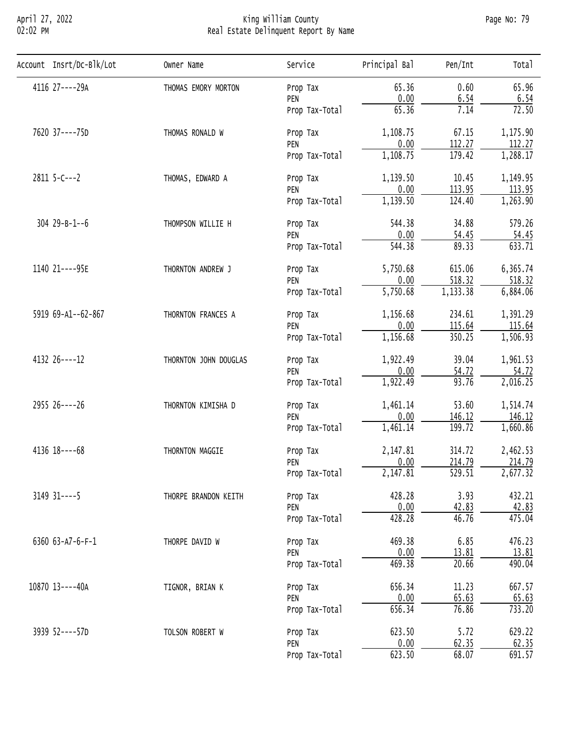## April 27, 2022 King William County Page No: 79 02:02 PM Real Estate Delinquent Report By Name

| 4116 27----29A<br>65.96<br>65.36<br>0.60<br>THOMAS EMORY MORTON<br>Prop Tax<br>0.00<br>6.54<br>6.54<br>PEN<br>65.36<br>7.14<br>72.50<br>Prop Tax-Total<br>7620 37----75D<br>1,108.75<br>67.15<br>THOMAS RONALD W<br>Prop Tax<br>0.00<br>112.27<br>112.27<br>PEN<br>1,108.75<br>179.42<br>Prop Tax-Total<br>$2811$ 5-C---2<br>1,139.50<br>10.45<br>THOMAS, EDWARD A<br>Prop Tax<br>113.95<br>0.00<br>PEN<br>1,139.50<br>124.40<br>Prop Tax-Total<br>$304$ $29 - B - 1 - 6$<br>544.38<br>34.88<br>THOMPSON WILLIE H<br>Prop Tax<br>0.00<br>54.45<br>PEN<br>$\overline{544.38}$<br>89.33<br>Prop Tax-Total |
|---------------------------------------------------------------------------------------------------------------------------------------------------------------------------------------------------------------------------------------------------------------------------------------------------------------------------------------------------------------------------------------------------------------------------------------------------------------------------------------------------------------------------------------------------------------------------------------------------------|
|                                                                                                                                                                                                                                                                                                                                                                                                                                                                                                                                                                                                         |
| 1,175.90<br>1,288.17<br>1,149.95<br>113.95<br>1,263.90<br>579.26<br>54.45<br>633.71                                                                                                                                                                                                                                                                                                                                                                                                                                                                                                                     |
|                                                                                                                                                                                                                                                                                                                                                                                                                                                                                                                                                                                                         |
|                                                                                                                                                                                                                                                                                                                                                                                                                                                                                                                                                                                                         |
|                                                                                                                                                                                                                                                                                                                                                                                                                                                                                                                                                                                                         |
|                                                                                                                                                                                                                                                                                                                                                                                                                                                                                                                                                                                                         |
|                                                                                                                                                                                                                                                                                                                                                                                                                                                                                                                                                                                                         |
|                                                                                                                                                                                                                                                                                                                                                                                                                                                                                                                                                                                                         |
|                                                                                                                                                                                                                                                                                                                                                                                                                                                                                                                                                                                                         |
|                                                                                                                                                                                                                                                                                                                                                                                                                                                                                                                                                                                                         |
|                                                                                                                                                                                                                                                                                                                                                                                                                                                                                                                                                                                                         |
|                                                                                                                                                                                                                                                                                                                                                                                                                                                                                                                                                                                                         |
| 1140 21----95E<br>5,750.68<br>615.06<br>6,365.74<br>THORNTON ANDREW J<br>Prop Tax                                                                                                                                                                                                                                                                                                                                                                                                                                                                                                                       |
| 518.32<br>0.00<br>518.32<br>PEN                                                                                                                                                                                                                                                                                                                                                                                                                                                                                                                                                                         |
| 1, 133.38<br>6,884.06<br>5,750.68<br>Prop Tax-Total                                                                                                                                                                                                                                                                                                                                                                                                                                                                                                                                                     |
| 5919 69-A1--62-867<br>1,156.68<br>234.61<br>1,391.29<br>THORNTON FRANCES A<br>Prop Tax                                                                                                                                                                                                                                                                                                                                                                                                                                                                                                                  |
| 0.00<br>115.64<br>115.64<br>PEN                                                                                                                                                                                                                                                                                                                                                                                                                                                                                                                                                                         |
| 1,156.68<br>350.25<br>1,506.93<br>Prop Tax-Total                                                                                                                                                                                                                                                                                                                                                                                                                                                                                                                                                        |
| 4132 26----12<br>1,922.49<br>39.04<br>1,961.53<br>THORNTON JOHN DOUGLAS<br>Prop Tax                                                                                                                                                                                                                                                                                                                                                                                                                                                                                                                     |
| 0.00<br>54.72<br>54.72<br>PEN                                                                                                                                                                                                                                                                                                                                                                                                                                                                                                                                                                           |
| 93.76<br>2,016.25<br>1,922.49<br>Prop Tax-Total                                                                                                                                                                                                                                                                                                                                                                                                                                                                                                                                                         |
| 2955 26----26<br>1,461.14<br>53.60<br>1,514.74<br>THORNTON KIMISHA D<br>Prop Tax                                                                                                                                                                                                                                                                                                                                                                                                                                                                                                                        |
| 0.00<br>146.12<br>146.12<br>PEN                                                                                                                                                                                                                                                                                                                                                                                                                                                                                                                                                                         |
| 199.72<br>1,660.86<br>1,461.14<br>Prop Tax-Total                                                                                                                                                                                                                                                                                                                                                                                                                                                                                                                                                        |
| 4136 18----68<br>2,147.81<br>314.72<br>2,462.53<br>THORNTON MAGGIE<br>Prop Tax                                                                                                                                                                                                                                                                                                                                                                                                                                                                                                                          |
| 214.79<br>0.00<br>214.79<br>PEN                                                                                                                                                                                                                                                                                                                                                                                                                                                                                                                                                                         |
| 2,677.32<br>$\overline{2,147.81}$<br>529.51<br>Prop Tax-Total                                                                                                                                                                                                                                                                                                                                                                                                                                                                                                                                           |
| 3.93<br>432.21<br>$3149$ $31---5$<br>428.28<br>THORPE BRANDON KEITH<br>Prop Tax                                                                                                                                                                                                                                                                                                                                                                                                                                                                                                                         |
| 42.83<br>0.00<br>42.83<br>PEN                                                                                                                                                                                                                                                                                                                                                                                                                                                                                                                                                                           |
| 428.28<br>475.04<br>46.76<br>Prop Tax-Total                                                                                                                                                                                                                                                                                                                                                                                                                                                                                                                                                             |
| 6.85<br>476.23<br>6360 63-A7-6-F-1<br>469.38<br>THORPE DAVID W<br>Prop Tax                                                                                                                                                                                                                                                                                                                                                                                                                                                                                                                              |
| 0.00<br>13.81<br>13.81<br>PEN                                                                                                                                                                                                                                                                                                                                                                                                                                                                                                                                                                           |
| 469.38<br>20.66<br>490.04<br>Prop Tax-Total                                                                                                                                                                                                                                                                                                                                                                                                                                                                                                                                                             |
| 667.57<br>656.34<br>11.23<br>10870 13----40A<br>TIGNOR, BRIAN K<br>Prop Tax                                                                                                                                                                                                                                                                                                                                                                                                                                                                                                                             |
| 0.00<br>65.63<br>65.63<br>PEN                                                                                                                                                                                                                                                                                                                                                                                                                                                                                                                                                                           |
| 656.34<br>76.86<br>733.20<br>Prop Tax-Total                                                                                                                                                                                                                                                                                                                                                                                                                                                                                                                                                             |
| 5.72<br>629.22<br>623.50<br>3939 52----57D<br>TOLSON ROBERT W<br>Prop Tax                                                                                                                                                                                                                                                                                                                                                                                                                                                                                                                               |
| 0.00<br>62.35<br>62.35<br>PEN                                                                                                                                                                                                                                                                                                                                                                                                                                                                                                                                                                           |
| 623.50<br>691.57<br>68.07<br>Prop Tax-Total                                                                                                                                                                                                                                                                                                                                                                                                                                                                                                                                                             |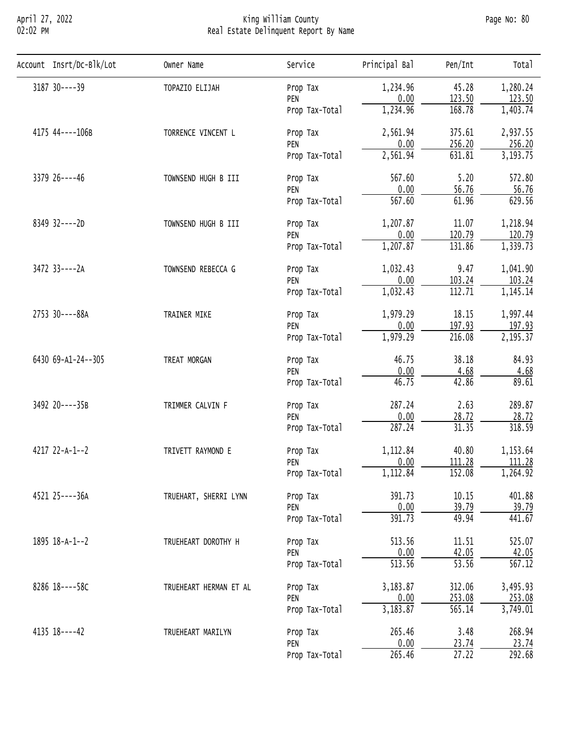## April 27, 2022 King William County Page No: 80 02:02 PM Real Estate Delinquent Report By Name

| Account Insrt/Dc-Blk/Lot | Owner Name             | Service        | Principal Bal | Pen/Int            | Total     |
|--------------------------|------------------------|----------------|---------------|--------------------|-----------|
| 3187 30----39            | TOPAZIO ELIJAH         | Prop Tax       | 1,234.96      | 45.28              | 1,280.24  |
|                          |                        | PEN            | 0.00          | 123.50             | 123.50    |
|                          |                        | Prop Tax-Total | 1,234.96      | 168.78             | 1,403.74  |
| 4175 44----106B          | TORRENCE VINCENT L     | Prop Tax       | 2,561.94      | 375.61             | 2,937.55  |
|                          |                        | PEN            | 0.00          | 256.20             | 256.20    |
|                          |                        | Prop Tax-Total | 2,561.94      | 631.81             | 3, 193.75 |
| 3379 26----46            | TOWNSEND HUGH B III    | Prop Tax       | 567.60        | 5.20               | 572.80    |
|                          |                        | PEN            | 0.00          | 56.76              | 56.76     |
|                          |                        | Prop Tax-Total | 567.60        | 61.96              | 629.56    |
| 8349 32----2D            | TOWNSEND HUGH B III    | Prop Tax       | 1,207.87      | 11.07              | 1,218.94  |
|                          |                        | PEN            | 0.00          | 120.79             | 120.79    |
|                          |                        | Prop Tax-Total | 1,207.87      | 131.86             | 1,339.73  |
| 3472 33----2A            | TOWNSEND REBECCA G     | Prop Tax       | 1,032.43      | 9.47               | 1,041.90  |
|                          |                        | PEN            | 0.00          | 103.24             | 103.24    |
|                          |                        | Prop Tax-Total | 1,032.43      | 112.71             | 1,145.14  |
| 2753 30----88A           | TRAINER MIKE           | Prop Tax       | 1,979.29      | 18.15              | 1,997.44  |
|                          |                        | PEN            | 0.00          | 197.93             | 197.93    |
|                          |                        | Prop Tax-Total | 1,979.29      | 216.08             | 2,195.37  |
| 6430 69-A1-24--305       | TREAT MORGAN           | Prop Tax       | 46.75         | 38.18              | 84.93     |
|                          |                        | PEN            | 0.00          | 4.68               | 4.68      |
|                          |                        | Prop Tax-Total | 46.75         | 42.86              | 89.61     |
| 3492 20----35B           | TRIMMER CALVIN F       | Prop Tax       | 287.24        | 2.63               | 289.87    |
|                          |                        | PEN            | 0.00          | 28.72              | 28.72     |
|                          |                        | Prop Tax-Total | 287.24        | 31.35              | 318.59    |
| 4217 22-A-1--2           | TRIVETT RAYMOND E      | Prop Tax       | 1,112.84      | 40.80              | 1,153.64  |
|                          |                        | PEN            | 0.00          | 111.28             | 111.28    |
|                          |                        | Prop Tax-Total | 1,112.84      | 152.08             | 1,264.92  |
| 4521 25----36A           | TRUEHART, SHERRI LYNN  | Prop Tax       | 391.73        | 10.15              | 401.88    |
|                          |                        | PEN            | 0.00          | 39.79              | 39.79     |
|                          |                        | Prop Tax-Total | 391.73        | 49.94              | 441.67    |
| 1895 18-A-1--2           | TRUEHEART DOROTHY H    | Prop Tax       | 513.56        | 11.51              | 525.07    |
|                          |                        | PEN            | 0.00          | 42.05              | 42.05     |
|                          |                        | Prop Tax-Total | 513.56        | $\overline{53.56}$ | 567.12    |
| 8286 18----58C           | TRUEHEART HERMAN ET AL | Prop Tax       | 3,183.87      | 312.06             | 3,495.93  |
|                          |                        | PEN            | 0.00          | 253.08             | 253.08    |
|                          |                        | Prop Tax-Total | 3,183.87      | 565.14             | 3,749.01  |
| 4135 18----42            | TRUEHEART MARILYN      | Prop Tax       | 265.46        | 3.48               | 268.94    |
|                          |                        | PEN            | 0.00          | 23.74              | 23.74     |
|                          |                        | Prop Tax-Total | 265.46        | 27.22              | 292.68    |
|                          |                        |                |               |                    |           |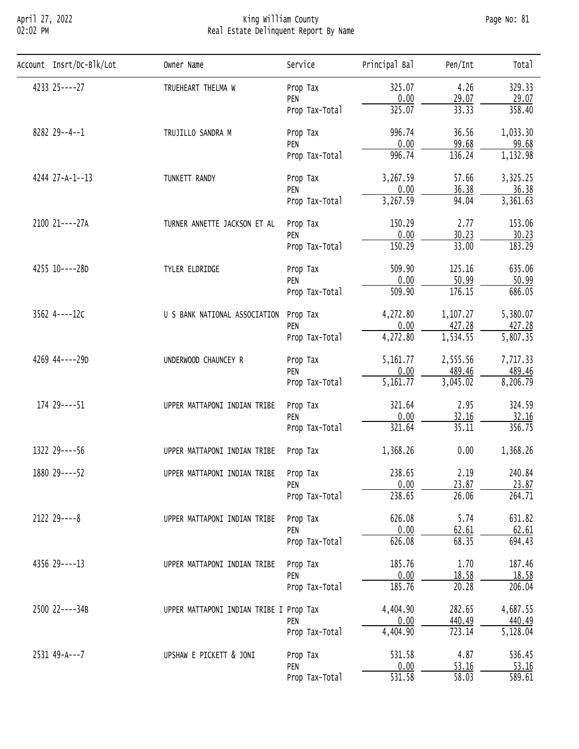### April 27, 2022 King William County Page No: 81 02:02 PM Real Estate Delinquent Report By Name

| Account Insrt/Dc-Blk/Lot | Owner Name                              | Service        | Principal Bal | Pen/Int            | Total    |
|--------------------------|-----------------------------------------|----------------|---------------|--------------------|----------|
| 4233 25----27            | TRUEHEART THELMA W                      | Prop Tax       | 325.07        | 4.26               | 329.33   |
|                          |                                         | PEN            | 0.00          | 29.07              | 29.07    |
|                          |                                         | Prop Tax-Total | 325.07        | 33.33              | 358.40   |
| 8282 29--4--1            | TRUJILLO SANDRA M                       | Prop Tax       | 996.74        | 36.56              | 1,033.30 |
|                          |                                         | PEN            | 0.00          | 99.68              | 99.68    |
|                          |                                         | Prop Tax-Total | 996.74        | 136.24             | 1,132.98 |
| 4244 27-A-1--13          | TUNKETT RANDY                           | Prop Tax       | 3,267.59      | 57.66              | 3,325.25 |
|                          |                                         | PEN            | 0.00          | 36.38              | 36.38    |
|                          |                                         | Prop Tax-Total | 3,267.59      | 94.04              | 3,361.63 |
| 2100 21----27A           | TURNER ANNETTE JACKSON ET AL            | Prop Tax       | 150.29        | 2.77               | 153.06   |
|                          |                                         | PEN            | 0.00          | 30.23              | 30.23    |
|                          |                                         | Prop Tax-Total | 150.29        | 33.00              | 183.29   |
| 4255 10----28D           | TYLER ELDRIDGE                          | Prop Tax       | 509.90        | 125.16             | 635.06   |
|                          |                                         | PEN            | 0.00          | 50.99              | 50.99    |
|                          |                                         | Prop Tax-Total | 509.90        | 176.15             | 686.05   |
| 3562 4----12C            | U S BANK NATIONAL ASSOCIATION           | Prop Tax       | 4,272.80      | 1,107.27           | 5,380.07 |
|                          |                                         | PEN            | 0.00          | 427.28             | 427.28   |
|                          |                                         | Prop Tax-Total | 4,272.80      | 1,534.55           | 5,807.35 |
| 4269 44----29D           | UNDERWOOD CHAUNCEY R                    | Prop Tax       | 5,161.77      | 2,555.56           | 7,717.33 |
|                          |                                         | PEN            | 0.00          | 489.46             | 489.46   |
|                          |                                         | Prop Tax-Total | 5,161.77      | 3,045.02           | 8,206.79 |
| 174 29 ---- 51           | UPPER MATTAPONI INDIAN TRIBE            | Prop Tax       | 321.64        | 2.95               | 324.59   |
|                          |                                         | PEN            | 0.00          | 32.16              | 32.16    |
|                          |                                         | Prop Tax-Total | 321.64        | 35.11              | 356.75   |
| 1322 29----56            | UPPER MATTAPONI INDIAN TRIBE            | Prop Tax       | 1,368.26      | 0.00               | 1,368.26 |
| 1880 29 ---- 52          | UPPER MATTAPONI INDIAN TRIBE Prop Tax   |                | 238.65        | 2.19               | 240.84   |
|                          |                                         | PEN            | 0.00          | 23.87              | 23.87    |
|                          |                                         | Prop Tax-Total | 238.65        | 26.06              | 264.71   |
| $2122$ $29---8$          | UPPER MATTAPONI INDIAN TRIBE            | Prop Tax       | 626.08        | 5.74               | 631.82   |
|                          |                                         | PEN            | 0.00          | 62.61              | 62.61    |
|                          |                                         | Prop Tax-Total | 626.08        | 68.35              | 694.43   |
| 4356 29----13            | UPPER MATTAPONI INDIAN TRIBE            | Prop Tax       | 185.76        | 1.70               | 187.46   |
|                          |                                         | PEN            | 0.00          | 18.58              | 18.58    |
|                          |                                         | Prop Tax-Total | 185.76        | 20.28              | 206.04   |
| 2500 22----34B           | UPPER MATTAPONI INDIAN TRIBE I Prop Tax |                | 4,404.90      | 282.65             | 4,687.55 |
|                          |                                         | PEN            | 0.00          | 440.49             | 440.49   |
|                          |                                         | Prop Tax-Total | 4,404.90      | 723.14             | 5,128.04 |
| 2531 49-A---7            | UPSHAW E PICKETT & JONI                 | Prop Tax       | 531.58        | 4.87               | 536.45   |
|                          |                                         | PEN            | 0.00          | 53.16              | 53.16    |
|                          |                                         | Prop Tax-Total | 531.58        | $\overline{58.03}$ | 589.61   |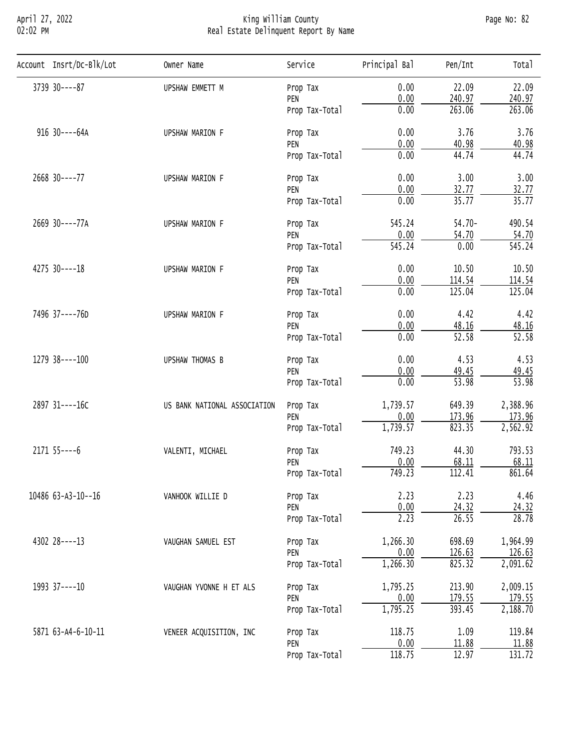## April 27, 2022 King William County Page No: 82 02:02 PM Real Estate Delinquent Report By Name

| Account Insrt/Dc-Blk/Lot | Owner Name                   | Service        | Principal Bal | Pen/Int            | Total              |
|--------------------------|------------------------------|----------------|---------------|--------------------|--------------------|
| 3739 30----87            | UPSHAW EMMETT M              | Prop Tax       | 0.00          | 22.09              | 22.09              |
|                          |                              | PEN            | 0.00          | 240.97             | 240.97             |
|                          |                              | Prop Tax-Total | 0.00          | 263.06             | 263.06             |
| 916 30----64A            | UPSHAW MARION F              | Prop Tax       | 0.00          | 3.76               | 3.76               |
|                          |                              | PEN            | 0.00          | 40.98              | 40.98              |
|                          |                              | Prop Tax-Total | 0.00          | 44.74              | 44.74              |
| 2668 30----77            | UPSHAW MARION F              | Prop Tax       | 0.00          | 3.00               | 3.00               |
|                          |                              | PEN            | 0.00          | 32.77              | 32.77              |
|                          |                              | Prop Tax-Total | 0.00          | 35.77              | 35.77              |
| 2669 30----77A           | UPSHAW MARION F              | Prop Tax       | 545.24        | $54.70 -$          | 490.54             |
|                          |                              | PEN            | 0.00          | 54.70              | 54.70              |
|                          |                              | Prop Tax-Total | 545.24        | 0.00               | 545.24             |
| 4275 30----18            | UPSHAW MARION F              | Prop Tax       | 0.00          | 10.50              | 10.50              |
|                          |                              | PEN            | 0.00          | 114.54             | 114.54             |
|                          |                              | Prop Tax-Total | 0.00          | 125.04             | 125.04             |
| 7496 37----76D           | UPSHAW MARION F              | Prop Tax       | 0.00          | 4.42               | 4.42               |
|                          |                              | PEN            | 0.00          | 48.16              | 48.16              |
|                          |                              | Prop Tax-Total | 0.00          | $\overline{52.58}$ | 52.58              |
| 1279 38----100           | UPSHAW THOMAS B              | Prop Tax       | 0.00          | 4.53               | 4.53               |
|                          |                              | PEN            | 0.00          | 49.45              | 49.45              |
|                          |                              | Prop Tax-Total | 0.00          | $\overline{53.98}$ | $\overline{53.98}$ |
| 2897 31----16C           | US BANK NATIONAL ASSOCIATION | Prop Tax       | 1,739.57      | 649.39             | 2,388.96           |
|                          |                              | PEN            | 0.00          | 173.96             | 173.96             |
|                          |                              | Prop Tax-Total | 1,739.57      | 823.35             | 2,562.92           |
| $2171$ 55 - - - - 6      | VALENTI, MICHAEL             | Prop Tax       | 749.23        | 44.30              | 793.53             |
|                          |                              | PEN            | 0.00          | 68.11              | 68.11              |
|                          |                              | Prop Tax-Total | 749.23        | 112.41             | 861.64             |
| 10486 63-A3-10--16       | VANHOOK WILLIE D             | Prop Tax       | 2.23          | 2.23               | 4.46               |
|                          |                              | PEN            | 0.00          | 24.32              | 24.32              |
|                          |                              | Prop Tax-Total | 2.23          | 26.55              | 28.78              |
| 4302 28----13            | VAUGHAN SAMUEL EST           | Prop Tax       | 1,266.30      | 698.69             | 1,964.99           |
|                          |                              | PEN            | 0.00          | 126.63             | 126.63             |
|                          |                              | Prop Tax-Total | 1,266.30      | 825.32             | 2,091.62           |
| 1993 37----10            | VAUGHAN YVONNE H ET ALS      | Prop Tax       | 1,795.25      | 213.90             | 2,009.15           |
|                          |                              | PEN            | 0.00          | 179.55             | 179.55             |
|                          |                              | Prop Tax-Total | 1,795.25      | 393.45             | 2,188.70           |
| 5871 63-A4-6-10-11       | VENEER ACQUISITION, INC      | Prop Tax       | 118.75        | 1.09               | 119.84             |
|                          |                              | PEN            | 0.00          | 11.88              | 11.88              |
|                          |                              | Prop Tax-Total | 118.75        | 12.97              | 131.72             |
|                          |                              |                |               |                    |                    |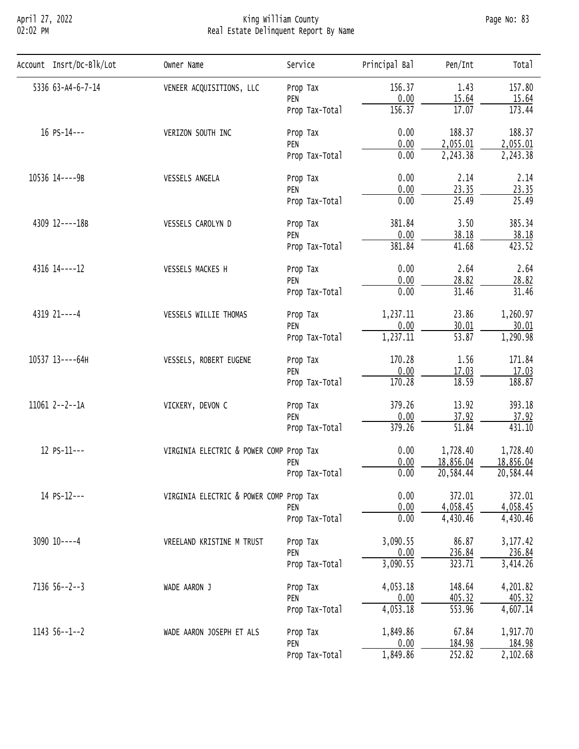## April 27, 2022 King William County Page No: 83 02:02 PM Real Estate Delinquent Report By Name

| 5336 63-A4-6-7-14<br>156.37<br>1.43<br>VENEER ACQUISITIONS, LLC<br>Prop Tax<br>0.00<br>15.64<br>15.64<br>PEN<br>17.07<br>156.37<br>173.44<br>Prop Tax-Total<br>16 PS-14---<br>0.00<br>188.37<br>VERIZON SOUTH INC<br>Prop Tax<br>0.00<br>2,055.01<br>PEN<br>0.00<br>2,243.38<br>Prop Tax-Total<br>0.00<br>2.14<br>10536 14----9B<br>VESSELS ANGELA<br>Prop Tax<br>0.00<br>23.35<br>PEN<br>0.00<br>25.49<br>Prop Tax-Total<br>3.50<br>4309 12----18B<br>381.84<br>VESSELS CAROLYN D<br>Prop Tax<br>0.00<br>38.18<br>PEN<br>381.84<br>41.68<br>Prop Tax-Total<br>0.00<br>2.64<br>4316 14----12<br>VESSELS MACKES H<br>Prop Tax<br>0.00<br>28.82<br>PEN<br>0.00<br>31.46<br>Prop Tax-Total<br>4319 21 ---- 4<br>1,237.11<br>23.86<br>VESSELS WILLIE THOMAS<br>Prop Tax<br>0.00<br>30.01<br>PEN<br>1,237.11<br>$\overline{53.87}$<br>Prop Tax-Total<br>170.28<br>1.56<br>10537 13----64H<br>VESSELS, ROBERT EUGENE<br>Prop Tax<br>0.00<br>17.03<br>PEN<br>18.59<br>170.28<br>188.87<br>Prop Tax-Total<br>379.26<br>13.92<br>11061 2--2--1A<br>VICKERY, DEVON C<br>Prop Tax<br>0.00<br>37.92<br>PEN<br>51.84<br>379.26<br>Prop Tax-Total<br>12 PS-11---<br>0.00<br>1,728.40<br>VIRGINIA ELECTRIC & POWER COMP Prop Tax<br>0.00<br>18,856.04<br>18,856.04<br>PEN<br>0.00<br>20,584.44<br>Prop Tax-Total<br>0.00<br>14 PS-12---<br>372.01<br>VIRGINIA ELECTRIC & POWER COMP Prop Tax<br>0.00<br>4,058.45<br>PEN<br>0.00<br>4,430.46<br>Prop Tax-Total<br>3,090.55<br>86.87<br>$3090$ $10---4$<br>VREELAND KRISTINE M TRUST<br>Prop Tax<br>$\frac{0.00}{3,090.55}$<br>236.84<br>PEN<br>323.71<br>Prop Tax-Total<br>4,053.18<br>148.64<br>$7136$ $56--2--3$<br>WADE AARON J<br>Prop Tax<br>0.00<br>405.32<br>PEN<br>4,053.18<br>553.96<br>Prop Tax-Total<br>67.84<br>1,849.86<br>$114356--1--2$<br>WADE AARON JOSEPH ET ALS<br>Prop Tax | Account Insrt/Dc-Blk/Lot | Owner Name | Service | Principal Bal | Pen/Int | Total  |
|--------------------------------------------------------------------------------------------------------------------------------------------------------------------------------------------------------------------------------------------------------------------------------------------------------------------------------------------------------------------------------------------------------------------------------------------------------------------------------------------------------------------------------------------------------------------------------------------------------------------------------------------------------------------------------------------------------------------------------------------------------------------------------------------------------------------------------------------------------------------------------------------------------------------------------------------------------------------------------------------------------------------------------------------------------------------------------------------------------------------------------------------------------------------------------------------------------------------------------------------------------------------------------------------------------------------------------------------------------------------------------------------------------------------------------------------------------------------------------------------------------------------------------------------------------------------------------------------------------------------------------------------------------------------------------------------------------------------------------------------------------------------------------------------------------------------------------|--------------------------|------------|---------|---------------|---------|--------|
| 188.37<br>2,055.01<br>2,243.38<br>2.14<br>23.35<br>25.49<br>385.34<br>38.18<br>423.52<br>2.64<br>28.82<br>31.46<br>1,260.97<br>30.01<br>171.84<br>17.03<br>393.18<br>37.92<br>431.10<br>1,728.40<br>20,584.44<br>3, 177.42<br>236.84<br>405.32<br>4,607.14<br>1,917.70                                                                                                                                                                                                                                                                                                                                                                                                                                                                                                                                                                                                                                                                                                                                                                                                                                                                                                                                                                                                                                                                                                                                                                                                                                                                                                                                                                                                                                                                                                                                                         |                          |            |         |               |         | 157.80 |
|                                                                                                                                                                                                                                                                                                                                                                                                                                                                                                                                                                                                                                                                                                                                                                                                                                                                                                                                                                                                                                                                                                                                                                                                                                                                                                                                                                                                                                                                                                                                                                                                                                                                                                                                                                                                                                |                          |            |         |               |         |        |
|                                                                                                                                                                                                                                                                                                                                                                                                                                                                                                                                                                                                                                                                                                                                                                                                                                                                                                                                                                                                                                                                                                                                                                                                                                                                                                                                                                                                                                                                                                                                                                                                                                                                                                                                                                                                                                |                          |            |         |               |         |        |
| 1,290.98<br>372.01<br>4,058.45<br>4,430.46<br>3,414.26<br>4,201.82                                                                                                                                                                                                                                                                                                                                                                                                                                                                                                                                                                                                                                                                                                                                                                                                                                                                                                                                                                                                                                                                                                                                                                                                                                                                                                                                                                                                                                                                                                                                                                                                                                                                                                                                                             |                          |            |         |               |         |        |
|                                                                                                                                                                                                                                                                                                                                                                                                                                                                                                                                                                                                                                                                                                                                                                                                                                                                                                                                                                                                                                                                                                                                                                                                                                                                                                                                                                                                                                                                                                                                                                                                                                                                                                                                                                                                                                |                          |            |         |               |         |        |
|                                                                                                                                                                                                                                                                                                                                                                                                                                                                                                                                                                                                                                                                                                                                                                                                                                                                                                                                                                                                                                                                                                                                                                                                                                                                                                                                                                                                                                                                                                                                                                                                                                                                                                                                                                                                                                |                          |            |         |               |         |        |
|                                                                                                                                                                                                                                                                                                                                                                                                                                                                                                                                                                                                                                                                                                                                                                                                                                                                                                                                                                                                                                                                                                                                                                                                                                                                                                                                                                                                                                                                                                                                                                                                                                                                                                                                                                                                                                |                          |            |         |               |         |        |
|                                                                                                                                                                                                                                                                                                                                                                                                                                                                                                                                                                                                                                                                                                                                                                                                                                                                                                                                                                                                                                                                                                                                                                                                                                                                                                                                                                                                                                                                                                                                                                                                                                                                                                                                                                                                                                |                          |            |         |               |         |        |
|                                                                                                                                                                                                                                                                                                                                                                                                                                                                                                                                                                                                                                                                                                                                                                                                                                                                                                                                                                                                                                                                                                                                                                                                                                                                                                                                                                                                                                                                                                                                                                                                                                                                                                                                                                                                                                |                          |            |         |               |         |        |
|                                                                                                                                                                                                                                                                                                                                                                                                                                                                                                                                                                                                                                                                                                                                                                                                                                                                                                                                                                                                                                                                                                                                                                                                                                                                                                                                                                                                                                                                                                                                                                                                                                                                                                                                                                                                                                |                          |            |         |               |         |        |
|                                                                                                                                                                                                                                                                                                                                                                                                                                                                                                                                                                                                                                                                                                                                                                                                                                                                                                                                                                                                                                                                                                                                                                                                                                                                                                                                                                                                                                                                                                                                                                                                                                                                                                                                                                                                                                |                          |            |         |               |         |        |
|                                                                                                                                                                                                                                                                                                                                                                                                                                                                                                                                                                                                                                                                                                                                                                                                                                                                                                                                                                                                                                                                                                                                                                                                                                                                                                                                                                                                                                                                                                                                                                                                                                                                                                                                                                                                                                |                          |            |         |               |         |        |
|                                                                                                                                                                                                                                                                                                                                                                                                                                                                                                                                                                                                                                                                                                                                                                                                                                                                                                                                                                                                                                                                                                                                                                                                                                                                                                                                                                                                                                                                                                                                                                                                                                                                                                                                                                                                                                |                          |            |         |               |         |        |
|                                                                                                                                                                                                                                                                                                                                                                                                                                                                                                                                                                                                                                                                                                                                                                                                                                                                                                                                                                                                                                                                                                                                                                                                                                                                                                                                                                                                                                                                                                                                                                                                                                                                                                                                                                                                                                |                          |            |         |               |         |        |
|                                                                                                                                                                                                                                                                                                                                                                                                                                                                                                                                                                                                                                                                                                                                                                                                                                                                                                                                                                                                                                                                                                                                                                                                                                                                                                                                                                                                                                                                                                                                                                                                                                                                                                                                                                                                                                |                          |            |         |               |         |        |
|                                                                                                                                                                                                                                                                                                                                                                                                                                                                                                                                                                                                                                                                                                                                                                                                                                                                                                                                                                                                                                                                                                                                                                                                                                                                                                                                                                                                                                                                                                                                                                                                                                                                                                                                                                                                                                |                          |            |         |               |         |        |
|                                                                                                                                                                                                                                                                                                                                                                                                                                                                                                                                                                                                                                                                                                                                                                                                                                                                                                                                                                                                                                                                                                                                                                                                                                                                                                                                                                                                                                                                                                                                                                                                                                                                                                                                                                                                                                |                          |            |         |               |         |        |
|                                                                                                                                                                                                                                                                                                                                                                                                                                                                                                                                                                                                                                                                                                                                                                                                                                                                                                                                                                                                                                                                                                                                                                                                                                                                                                                                                                                                                                                                                                                                                                                                                                                                                                                                                                                                                                |                          |            |         |               |         |        |
|                                                                                                                                                                                                                                                                                                                                                                                                                                                                                                                                                                                                                                                                                                                                                                                                                                                                                                                                                                                                                                                                                                                                                                                                                                                                                                                                                                                                                                                                                                                                                                                                                                                                                                                                                                                                                                |                          |            |         |               |         |        |
|                                                                                                                                                                                                                                                                                                                                                                                                                                                                                                                                                                                                                                                                                                                                                                                                                                                                                                                                                                                                                                                                                                                                                                                                                                                                                                                                                                                                                                                                                                                                                                                                                                                                                                                                                                                                                                |                          |            |         |               |         |        |
|                                                                                                                                                                                                                                                                                                                                                                                                                                                                                                                                                                                                                                                                                                                                                                                                                                                                                                                                                                                                                                                                                                                                                                                                                                                                                                                                                                                                                                                                                                                                                                                                                                                                                                                                                                                                                                |                          |            |         |               |         |        |
|                                                                                                                                                                                                                                                                                                                                                                                                                                                                                                                                                                                                                                                                                                                                                                                                                                                                                                                                                                                                                                                                                                                                                                                                                                                                                                                                                                                                                                                                                                                                                                                                                                                                                                                                                                                                                                |                          |            |         |               |         |        |
|                                                                                                                                                                                                                                                                                                                                                                                                                                                                                                                                                                                                                                                                                                                                                                                                                                                                                                                                                                                                                                                                                                                                                                                                                                                                                                                                                                                                                                                                                                                                                                                                                                                                                                                                                                                                                                |                          |            |         |               |         |        |
|                                                                                                                                                                                                                                                                                                                                                                                                                                                                                                                                                                                                                                                                                                                                                                                                                                                                                                                                                                                                                                                                                                                                                                                                                                                                                                                                                                                                                                                                                                                                                                                                                                                                                                                                                                                                                                |                          |            |         |               |         |        |
|                                                                                                                                                                                                                                                                                                                                                                                                                                                                                                                                                                                                                                                                                                                                                                                                                                                                                                                                                                                                                                                                                                                                                                                                                                                                                                                                                                                                                                                                                                                                                                                                                                                                                                                                                                                                                                |                          |            |         |               |         |        |
|                                                                                                                                                                                                                                                                                                                                                                                                                                                                                                                                                                                                                                                                                                                                                                                                                                                                                                                                                                                                                                                                                                                                                                                                                                                                                                                                                                                                                                                                                                                                                                                                                                                                                                                                                                                                                                |                          |            |         |               |         |        |
|                                                                                                                                                                                                                                                                                                                                                                                                                                                                                                                                                                                                                                                                                                                                                                                                                                                                                                                                                                                                                                                                                                                                                                                                                                                                                                                                                                                                                                                                                                                                                                                                                                                                                                                                                                                                                                |                          |            |         |               |         |        |
|                                                                                                                                                                                                                                                                                                                                                                                                                                                                                                                                                                                                                                                                                                                                                                                                                                                                                                                                                                                                                                                                                                                                                                                                                                                                                                                                                                                                                                                                                                                                                                                                                                                                                                                                                                                                                                |                          |            |         |               |         |        |
|                                                                                                                                                                                                                                                                                                                                                                                                                                                                                                                                                                                                                                                                                                                                                                                                                                                                                                                                                                                                                                                                                                                                                                                                                                                                                                                                                                                                                                                                                                                                                                                                                                                                                                                                                                                                                                |                          |            |         |               |         |        |
|                                                                                                                                                                                                                                                                                                                                                                                                                                                                                                                                                                                                                                                                                                                                                                                                                                                                                                                                                                                                                                                                                                                                                                                                                                                                                                                                                                                                                                                                                                                                                                                                                                                                                                                                                                                                                                |                          |            |         |               |         |        |
|                                                                                                                                                                                                                                                                                                                                                                                                                                                                                                                                                                                                                                                                                                                                                                                                                                                                                                                                                                                                                                                                                                                                                                                                                                                                                                                                                                                                                                                                                                                                                                                                                                                                                                                                                                                                                                |                          |            |         |               |         |        |
|                                                                                                                                                                                                                                                                                                                                                                                                                                                                                                                                                                                                                                                                                                                                                                                                                                                                                                                                                                                                                                                                                                                                                                                                                                                                                                                                                                                                                                                                                                                                                                                                                                                                                                                                                                                                                                |                          |            |         |               |         |        |
|                                                                                                                                                                                                                                                                                                                                                                                                                                                                                                                                                                                                                                                                                                                                                                                                                                                                                                                                                                                                                                                                                                                                                                                                                                                                                                                                                                                                                                                                                                                                                                                                                                                                                                                                                                                                                                |                          |            |         |               |         |        |
|                                                                                                                                                                                                                                                                                                                                                                                                                                                                                                                                                                                                                                                                                                                                                                                                                                                                                                                                                                                                                                                                                                                                                                                                                                                                                                                                                                                                                                                                                                                                                                                                                                                                                                                                                                                                                                |                          |            |         |               |         |        |
|                                                                                                                                                                                                                                                                                                                                                                                                                                                                                                                                                                                                                                                                                                                                                                                                                                                                                                                                                                                                                                                                                                                                                                                                                                                                                                                                                                                                                                                                                                                                                                                                                                                                                                                                                                                                                                |                          |            |         |               |         |        |
|                                                                                                                                                                                                                                                                                                                                                                                                                                                                                                                                                                                                                                                                                                                                                                                                                                                                                                                                                                                                                                                                                                                                                                                                                                                                                                                                                                                                                                                                                                                                                                                                                                                                                                                                                                                                                                |                          |            |         |               |         |        |
|                                                                                                                                                                                                                                                                                                                                                                                                                                                                                                                                                                                                                                                                                                                                                                                                                                                                                                                                                                                                                                                                                                                                                                                                                                                                                                                                                                                                                                                                                                                                                                                                                                                                                                                                                                                                                                |                          |            |         |               |         |        |
|                                                                                                                                                                                                                                                                                                                                                                                                                                                                                                                                                                                                                                                                                                                                                                                                                                                                                                                                                                                                                                                                                                                                                                                                                                                                                                                                                                                                                                                                                                                                                                                                                                                                                                                                                                                                                                |                          |            | PEN     | 0.00          | 184.98  | 184.98 |
| 1,849.86<br>252.82<br>2,102.68<br>Prop Tax-Total                                                                                                                                                                                                                                                                                                                                                                                                                                                                                                                                                                                                                                                                                                                                                                                                                                                                                                                                                                                                                                                                                                                                                                                                                                                                                                                                                                                                                                                                                                                                                                                                                                                                                                                                                                               |                          |            |         |               |         |        |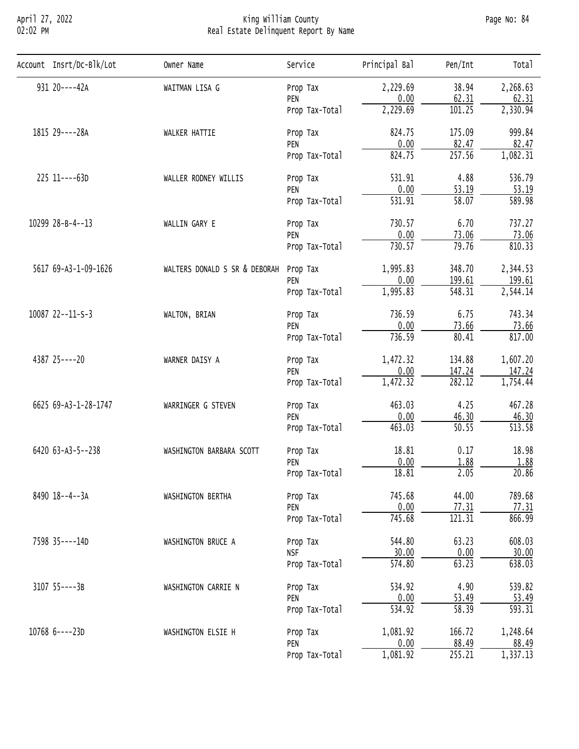## April 27, 2022 King William County Page No: 84 02:02 PM Real Estate Delinquent Report By Name

| Account Insrt/Dc-Blk/Lot | Owner Name                    | Service        | Principal Bal | Pen/Int                | Total    |
|--------------------------|-------------------------------|----------------|---------------|------------------------|----------|
| 931 20----42A            | WAITMAN LISA G                | Prop Tax       | 2,229.69      | 38.94                  | 2,268.63 |
|                          |                               | PEN            | 0.00          | 62.31                  | 62.31    |
|                          |                               | Prop Tax-Total | 2,229.69      | 101.25                 | 2,330.94 |
| 1815 29----28A           | WALKER HATTIE                 | Prop Tax       | 824.75        | 175.09                 | 999.84   |
|                          |                               | PEN            | 0.00          | 82.47                  | 82.47    |
|                          |                               | Prop Tax-Total | 824.75        | 257.56                 | 1,082.31 |
| 225 11----63D            | WALLER RODNEY WILLIS          | Prop Tax       | 531.91        | 4.88                   | 536.79   |
|                          |                               | PEN            | 0.00          | 53.19                  | 53.19    |
|                          |                               | Prop Tax-Total | 531.91        | 58.07                  | 589.98   |
| 10299 28-B-4--13         | WALLIN GARY E                 | Prop Tax       | 730.57        | 6.70                   | 737.27   |
|                          |                               | PEN            | 0.00          | 73.06                  | 73.06    |
|                          |                               | Prop Tax-Total | 730.57        | 79.76                  | 810.33   |
| 5617 69-A3-1-09-1626     | WALTERS DONALD S SR & DEBORAH | Prop Tax       | 1,995.83      | 348.70                 | 2,344.53 |
|                          |                               | PEN            | 0.00          | 199.61                 | 199.61   |
|                          |                               | Prop Tax-Total | 1,995.83      | 548.31                 | 2,544.14 |
| 10087 22--11-S-3         | WALTON, BRIAN                 | Prop Tax       | 736.59        | 6.75                   | 743.34   |
|                          |                               | PEN            | 0.00          | 73.66                  | 73.66    |
|                          |                               | Prop Tax-Total | 736.59        | 80.41                  | 817.00   |
| 4387 25----20            | WARNER DAISY A                | Prop Tax       | 1,472.32      | 134.88                 | 1,607.20 |
|                          |                               | PEN            | 0.00          | 147.24                 | 147.24   |
|                          |                               | Prop Tax-Total | 1,472.32      | 282.12                 | 1,754.44 |
| 6625 69-A3-1-28-1747     | WARRINGER G STEVEN            | Prop Tax       | 463.03        | 4.25                   | 467.28   |
|                          |                               | PEN            | 0.00          | 46.30                  | 46.30    |
|                          |                               | Prop Tax-Total | 463.03        | $\overline{50.55}$     | 513.58   |
| 6420 63-A3-5--238        | WASHINGTON BARBARA SCOTT      | Prop Tax       | 18.81         | 0.17                   | 18.98    |
|                          |                               | PEN            | 0.00          | 1.88                   | 1.88     |
|                          |                               | Prop Tax-Total | 18.81         | 2.05                   | 20.86    |
| 8490 18--4--3A           | WASHINGTON BERTHA             | Prop Tax       | 745.68        | 44.00                  | 789.68   |
|                          |                               | PEN            | 0.00          |                        | 77.31    |
|                          |                               | Prop Tax-Total | 745.68        | $\frac{77.31}{121.31}$ | 866.99   |
| 7598 35----14D           | WASHINGTON BRUCE A            | Prop Tax       | 544.80        | 63.23                  | 608.03   |
|                          |                               | <b>NSF</b>     | 30.00         | 0.00                   | 30.00    |
|                          |                               | Prop Tax-Total | 574.80        | 63.23                  | 638.03   |
| $3107$ $55---3B$         | WASHINGTON CARRIE N           | Prop Tax       | 534.92        | 4.90                   | 539.82   |
|                          |                               | PEN            | 0.00          | 53.49                  | 53.49    |
|                          |                               | Prop Tax-Total | 534.92        | 58.39                  | 593.31   |
| 10768 6----23D           | WASHINGTON ELSIE H            | Prop Tax       | 1,081.92      | 166.72                 | 1,248.64 |
|                          |                               | PEN            | 0.00          | 88.49                  | 88.49    |
|                          |                               | Prop Tax-Total | 1,081.92      | 255.21                 | 1,337.13 |
|                          |                               |                |               |                        |          |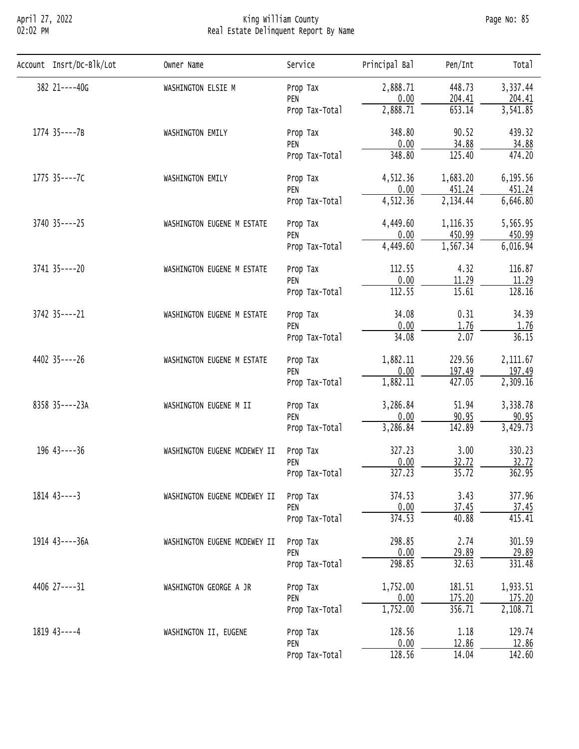## April 27, 2022 King William County Page No: 85 02:02 PM Real Estate Delinquent Report By Name

| Account Insrt/Dc-Blk/Lot | Owner Name                   | Service        | Principal Bal | Pen/Int   | Total    |
|--------------------------|------------------------------|----------------|---------------|-----------|----------|
| 382 21----40G            | WASHINGTON ELSIE M           | Prop Tax       | 2,888.71      | 448.73    | 3,337.44 |
|                          |                              | PEN            | 0.00          | 204.41    | 204.41   |
|                          |                              | Prop Tax-Total | 2,888.71      | 653.14    | 3,541.85 |
| 1774 35----7B            | WASHINGTON EMILY             | Prop Tax       | 348.80        | 90.52     | 439.32   |
|                          |                              | PEN            | 0.00          | 34.88     | 34.88    |
|                          |                              | Prop Tax-Total | 348.80        | 125.40    | 474.20   |
| 1775 35----7C            | WASHINGTON EMILY             | Prop Tax       | 4,512.36      | 1,683.20  | 6,195.56 |
|                          |                              | PEN            | 0.00          | 451.24    | 451.24   |
|                          |                              | Prop Tax-Total | 4,512.36      | 2,134.44  | 6,646.80 |
| $3740$ $35---25$         | WASHINGTON EUGENE M ESTATE   | Prop Tax       | 4,449.60      | 1, 116.35 | 5,565.95 |
|                          |                              | PEN            | 0.00          | 450.99    | 450.99   |
|                          |                              | Prop Tax-Total | 4,449.60      | 1,567.34  | 6,016.94 |
| 3741 35 ---- 20          | WASHINGTON EUGENE M ESTATE   | Prop Tax       | 112.55        | 4.32      | 116.87   |
|                          |                              | PEN            | 0.00          | 11.29     | 11.29    |
|                          |                              | Prop Tax-Total | 112.55        | 15.61     | 128.16   |
| 3742 35 ---- 21          | WASHINGTON EUGENE M ESTATE   | Prop Tax       | 34.08         | 0.31      | 34.39    |
|                          |                              | PEN            | 0.00          | 1.76      | 1.76     |
|                          |                              | Prop Tax-Total | 34.08         | 2.07      | 36.15    |
| 4402 35----26            | WASHINGTON EUGENE M ESTATE   | Prop Tax       | 1,882.11      | 229.56    | 2,111.67 |
|                          |                              | PEN            | 0.00          | 197.49    | 197.49   |
|                          |                              | Prop Tax-Total | 1,882.11      | 427.05    | 2,309.16 |
| 8358 35----23A           | WASHINGTON EUGENE M II       | Prop Tax       | 3,286.84      | 51.94     | 3,338.78 |
|                          |                              | PEN            | 0.00          | 90.95     | 90.95    |
|                          |                              | Prop Tax-Total | 3,286.84      | 142.89    | 3,429.73 |
| $196$ 43----36           | WASHINGTON EUGENE MCDEWEY II | Prop Tax       | 327.23        | 3.00      | 330.23   |
|                          |                              | PEN            | 0.00          | 32.72     | 32.72    |
|                          |                              | Prop Tax-Total | 327.23        | 35.72     | 362.95   |
| $1814$ $43---3$          | WASHINGTON EUGENE MCDEWEY II | Prop Tax       | 374.53        | 3.43      | 377.96   |
|                          |                              | PEN            | 0.00          | 37.45     | 37.45    |
|                          |                              | Prop Tax-Total | 374.53        | 40.88     | 415.41   |
| 1914 43----36A           | WASHINGTON EUGENE MCDEWEY II | Prop Tax       | 298.85        | 2.74      | 301.59   |
|                          |                              | PEN            | 0.00          | 29.89     | 29.89    |
|                          |                              | Prop Tax-Total | 298.85        | 32.63     | 331.48   |
| 4406 27----31            | WASHINGTON GEORGE A JR       | Prop Tax       | 1,752.00      | 181.51    | 1,933.51 |
|                          |                              | PEN            | 0.00          | 175.20    | 175.20   |
|                          |                              | Prop Tax-Total | 1,752.00      | 356.71    | 2,108.71 |
| $1819$ 43----4           | WASHINGTON II, EUGENE        | Prop Tax       | 128.56        | 1.18      | 129.74   |
|                          |                              | PEN            | 0.00          | 12.86     | 12.86    |
|                          |                              | Prop Tax-Total | 128.56        | 14.04     | 142.60   |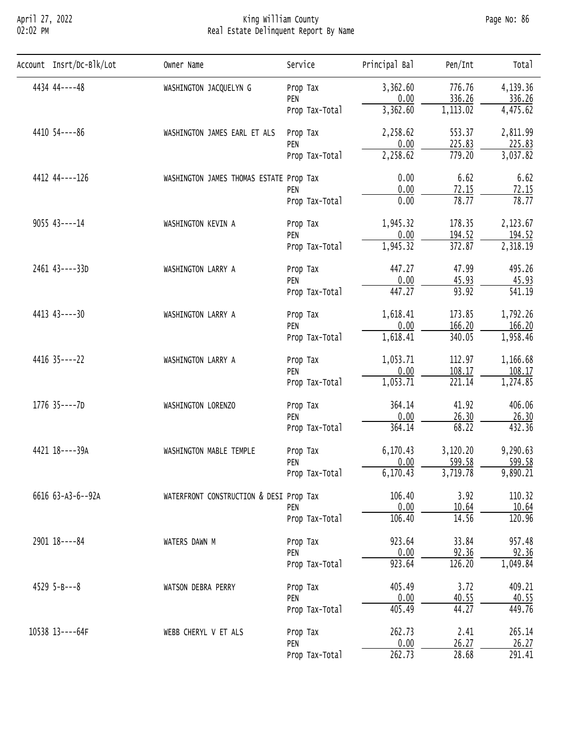## April 27, 2022 King William County Page No: 86 02:02 PM Real Estate Delinquent Report By Name

| Account Insrt/Dc-Blk/Lot | Owner Name                              | Service        | Principal Bal | Pen/Int  | Total    |
|--------------------------|-----------------------------------------|----------------|---------------|----------|----------|
| 4434 44----48            | WASHINGTON JACQUELYN G                  | Prop Tax       | 3,362.60      | 776.76   | 4,139.36 |
|                          |                                         | PEN            | 0.00          | 336.26   | 336.26   |
|                          |                                         | Prop Tax-Total | 3,362.60      | 1,113.02 | 4,475.62 |
| 4410 54 ---- 86          | WASHINGTON JAMES EARL ET ALS            | Prop Tax       | 2,258.62      | 553.37   | 2,811.99 |
|                          |                                         | PEN            | 0.00          | 225.83   | 225.83   |
|                          |                                         | Prop Tax-Total | 2,258.62      | 779.20   | 3,037.82 |
| 4412 44 ---- 126         | WASHINGTON JAMES THOMAS ESTATE Prop Tax |                | 0.00          | 6.62     | 6.62     |
|                          |                                         | PEN            | 0.00          | 72.15    | 72.15    |
|                          |                                         | Prop Tax-Total | 0.00          | 78.77    | 78.77    |
| $9055$ 43----14          | WASHINGTON KEVIN A                      | Prop Tax       | 1,945.32      | 178.35   | 2,123.67 |
|                          |                                         | PEN            | 0.00          | 194.52   | 194.52   |
|                          |                                         | Prop Tax-Total | 1,945.32      | 372.87   | 2,318.19 |
| 2461 43----33D           | WASHINGTON LARRY A                      | Prop Tax       | 447.27        | 47.99    | 495.26   |
|                          |                                         | PEN            | 0.00          | 45.93    | 45.93    |
|                          |                                         | Prop Tax-Total | 447.27        | 93.92    | 541.19   |
| 4413 43----30            | WASHINGTON LARRY A                      | Prop Tax       | 1,618.41      | 173.85   | 1,792.26 |
|                          |                                         | PEN            | 0.00          | 166.20   | 166.20   |
|                          |                                         | Prop Tax-Total | 1,618.41      | 340.05   | 1,958.46 |
| 4416 35----22            | WASHINGTON LARRY A                      | Prop Tax       | 1,053.71      | 112.97   | 1,166.68 |
|                          |                                         | PEN            | 0.00          | 108.17   | 108.17   |
|                          |                                         | Prop Tax-Total | 1,053.71      | 221.14   | 1,274.85 |
| 1776 35----7D            | WASHINGTON LORENZO                      | Prop Tax       | 364.14        | 41.92    | 406.06   |
|                          |                                         | PEN            | 0.00          | 26.30    | 26.30    |
|                          |                                         | Prop Tax-Total | 364.14        | 68.22    | 432.36   |
| 4421 18----39A           | WASHINGTON MABLE TEMPLE                 | Prop Tax       | 6,170.43      | 3,120.20 | 9,290.63 |
|                          |                                         | PEN            | 0.00          | 599.58   | 599.58   |
|                          |                                         | Prop Tax-Total | 6,170.43      | 3,719.78 | 9,890.21 |
| 6616 63-A3-6--92A        | WATERFRONT CONSTRUCTION & DESI Prop Tax |                | 106.40        | 3.92     | 110.32   |
|                          |                                         | PEN            | 0.00          | 10.64    | 10.64    |
|                          |                                         | Prop Tax-Total | 106.40        | 14.56    | 120.96   |
| 2901 18 ---- 84          | WATERS DAWN M                           | Prop Tax       | 923.64        | 33.84    | 957.48   |
|                          |                                         | PEN            | 0.00          | 92.36    | 92.36    |
|                          |                                         | Prop Tax-Total | 923.64        | 126.20   | 1,049.84 |
| $4529$ 5-B---8           | WATSON DEBRA PERRY                      | Prop Tax       | 405.49        | 3.72     | 409.21   |
|                          |                                         | PEN            | 0.00          | 40.55    | 40.55    |
|                          |                                         | Prop Tax-Total | 405.49        | 44.27    | 449.76   |
| 10538 13----64F          | WEBB CHERYL V ET ALS                    | Prop Tax       | 262.73        | 2.41     | 265.14   |
|                          |                                         | PEN            | 0.00          | 26.27    | 26.27    |
|                          |                                         | Prop Tax-Total | 262.73        | 28.68    | 291.41   |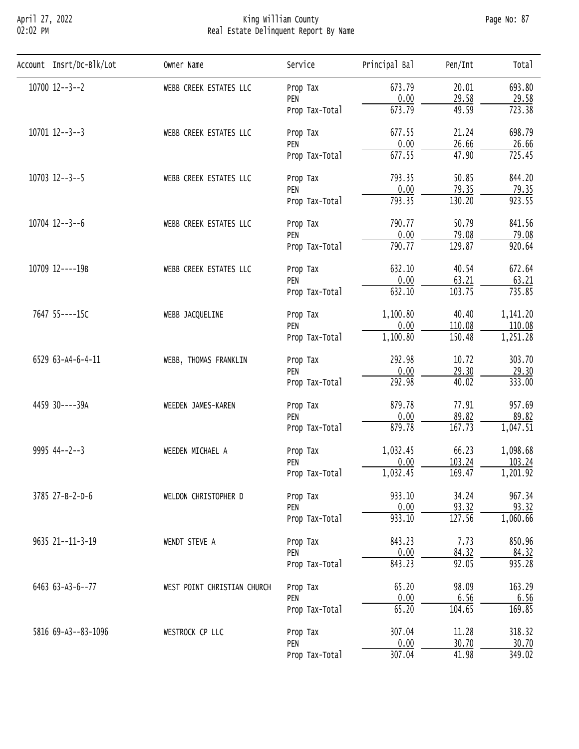## April 27, 2022 King William County Page No: 87 02:02 PM Real Estate Delinquent Report By Name

| Account Insrt/Dc-Blk/Lot | Owner Name                  | Service        | Principal Bal | Pen/Int | Total    |
|--------------------------|-----------------------------|----------------|---------------|---------|----------|
| $10700$ $12--3--2$       | WEBB CREEK ESTATES LLC      | Prop Tax       | 673.79        | 20.01   | 693.80   |
|                          |                             | PEN            | 0.00          | 29.58   | 29.58    |
|                          |                             | Prop Tax-Total | 673.79        | 49.59   | 723.38   |
| $10701$ $12--3--3$       | WEBB CREEK ESTATES LLC      | Prop Tax       | 677.55        | 21.24   | 698.79   |
|                          |                             | PEN            | 0.00          | 26.66   | 26.66    |
|                          |                             | Prop Tax-Total | 677.55        | 47.90   | 725.45   |
| $10703$ $12--3--5$       | WEBB CREEK ESTATES LLC      | Prop Tax       | 793.35        | 50.85   | 844.20   |
|                          |                             | PEN            | 0.00          | 79.35   | 79.35    |
|                          |                             | Prop Tax-Total | 793.35        | 130.20  | 923.55   |
| $10704$ $12--3--6$       | WEBB CREEK ESTATES LLC      | Prop Tax       | 790.77        | 50.79   | 841.56   |
|                          |                             | PEN            | 0.00          | 79.08   | 79.08    |
|                          |                             | Prop Tax-Total | 790.77        | 129.87  | 920.64   |
| 10709 12----19B          | WEBB CREEK ESTATES LLC      | Prop Tax       | 632.10        | 40.54   | 672.64   |
|                          |                             | PEN            | 0.00          | 63.21   | 63.21    |
|                          |                             | Prop Tax-Total | 632.10        | 103.75  | 735.85   |
| 7647 55----15C           | WEBB JACQUELINE             | Prop Tax       | 1,100.80      | 40.40   | 1,141.20 |
|                          |                             | PEN            | 0.00          | 110.08  | 110.08   |
|                          |                             | Prop Tax-Total | 1,100.80      | 150.48  | 1,251.28 |
| 6529 63-A4-6-4-11        | WEBB, THOMAS FRANKLIN       | Prop Tax       | 292.98        | 10.72   | 303.70   |
|                          |                             | PEN            | 0.00          | 29.30   | 29.30    |
|                          |                             | Prop Tax-Total | 292.98        | 40.02   | 333.00   |
| 4459 30----39A           | WEEDEN JAMES-KAREN          | Prop Tax       | 879.78        | 77.91   | 957.69   |
|                          |                             | PEN            | 0.00          | 89.82   | 89.82    |
|                          |                             | Prop Tax-Total | 879.78        | 167.73  | 1,047.51 |
| $9995$ 44--2--3          | WEEDEN MICHAEL A            | Prop Tax       | 1,032.45      | 66.23   | 1,098.68 |
|                          |                             | PEN            | 0.00          | 103.24  | 103.24   |
|                          |                             | Prop Tax-Total | 1,032.45      | 169.47  | 1,201.92 |
| 3785 27-B-2-D-6          | WELDON CHRISTOPHER D        | Prop Tax       | 933.10        | 34.24   | 967.34   |
|                          |                             | PEN            | 0.00          | 93.32   | 93.32    |
|                          |                             | Prop Tax-Total | 933.10        | 127.56  | 1,060.66 |
| 9635 21--11-3-19         | WENDT STEVE A               | Prop Tax       | 843.23        | 7.73    | 850.96   |
|                          |                             | PEN            | 0.00          | 84.32   | 84.32    |
|                          |                             | Prop Tax-Total | 843.23        | 92.05   | 935.28   |
| 6463 63-A3-6--77         | WEST POINT CHRISTIAN CHURCH | Prop Tax       | 65.20         | 98.09   | 163.29   |
|                          |                             | PEN            | 0.00          | 6.56    | 6.56     |
|                          |                             | Prop Tax-Total | 65.20         | 104.65  | 169.85   |
| 5816 69-A3--83-1096      | WESTROCK CP LLC             | Prop Tax       | 307.04        | 11.28   | 318.32   |
|                          |                             | PEN            | 0.00          | 30.70   | 30.70    |
|                          |                             | Prop Tax-Total | 307.04        | 41.98   | 349.02   |
|                          |                             |                |               |         |          |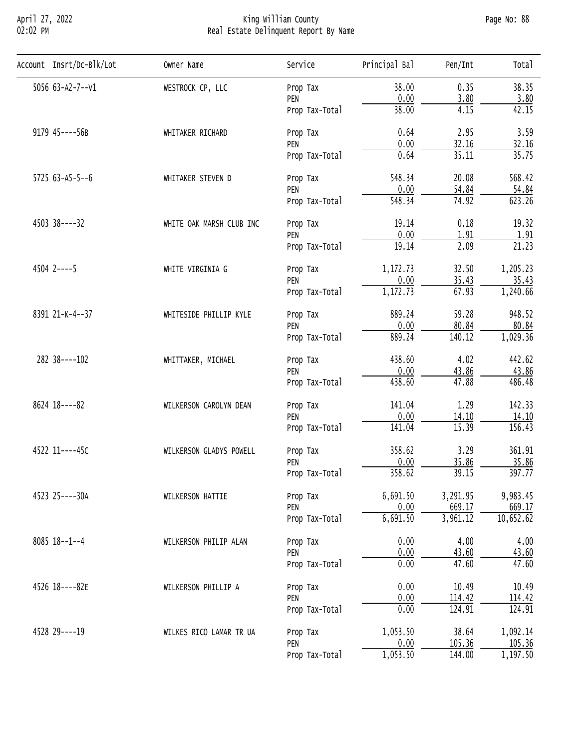## April 27, 2022 King William County Page No: 88 02:02 PM Real Estate Delinquent Report By Name

| Account Insrt/Dc-Blk/Lot | Owner Name               | Service        | Principal Bal | Pen/Int  | Total     |
|--------------------------|--------------------------|----------------|---------------|----------|-----------|
| 5056 63-A2-7--V1         | WESTROCK CP, LLC         | Prop Tax       | 38.00         | 0.35     | 38.35     |
|                          |                          | PEN            | 0.00          | 3.80     | 3.80      |
|                          |                          | Prop Tax-Total | 38.00         | 4.15     | 42.15     |
| 9179 45----56B           | WHITAKER RICHARD         | Prop Tax       | 0.64          | 2.95     | 3.59      |
|                          |                          | PEN            | 0.00          | 32.16    | 32.16     |
|                          |                          | Prop Tax-Total | 0.64          | 35.11    | 35.75     |
| $5725$ 63-A5-5--6        | WHITAKER STEVEN D        | Prop Tax       | 548.34        | 20.08    | 568.42    |
|                          |                          | PEN            | 0.00          | 54.84    | 54.84     |
|                          |                          | Prop Tax-Total | 548.34        | 74.92    | 623.26    |
| 4503 38----32            | WHITE OAK MARSH CLUB INC | Prop Tax       | 19.14         | 0.18     | 19.32     |
|                          |                          | PEN            | 0.00          | 1.91     | 1.91      |
|                          |                          | Prop Tax-Total | 19.14         | 2.09     | 21.23     |
| $4504$ 2----5            | WHITE VIRGINIA G         | Prop Tax       | 1,172.73      | 32.50    | 1,205.23  |
|                          |                          | PEN            | 0.00          | 35.43    | 35.43     |
|                          |                          | Prop Tax-Total | 1,172.73      | 67.93    | 1,240.66  |
| 8391 21-K-4--37          | WHITESIDE PHILLIP KYLE   | Prop Tax       | 889.24        | 59.28    | 948.52    |
|                          |                          | PEN            | 0.00          | 80.84    | 80.84     |
|                          |                          | Prop Tax-Total | 889.24        | 140.12   | 1,029.36  |
| 282 38----102            | WHITTAKER, MICHAEL       | Prop Tax       | 438.60        | 4.02     | 442.62    |
|                          |                          | PEN            | 0.00          | 43.86    | 43.86     |
|                          |                          | Prop Tax-Total | 438.60        | 47.88    | 486.48    |
| 8624 18----82            | WILKERSON CAROLYN DEAN   | Prop Tax       | 141.04        | 1.29     | 142.33    |
|                          |                          | PEN            | 0.00          | 14.10    | 14.10     |
|                          |                          | Prop Tax-Total | 141.04        | 15.39    | 156.43    |
| 4522 11----45C           | WILKERSON GLADYS POWELL  | Prop Tax       | 358.62        | 3.29     | 361.91    |
|                          |                          | PEN            | 0.00          | 35.86    | 35.86     |
|                          |                          | Prop Tax-Total | 358.62        | 39.15    | 397.77    |
| 4523 25----30A           | WILKERSON HATTIE         | Prop Tax       | 6,691.50      | 3,291.95 | 9,983.45  |
|                          |                          | PEN            | 0.00          | 669.17   | 669.17    |
|                          |                          | Prop Tax-Total | 6,691.50      | 3,961.12 | 10,652.62 |
| $8085$ 18--1--4          | WILKERSON PHILIP ALAN    | Prop Tax       | 0.00          | 4.00     | 4.00      |
|                          |                          | PEN            | 0.00          | 43.60    | 43.60     |
|                          |                          | Prop Tax-Total | 0.00          | 47.60    | 47.60     |
| 4526 18----82E           | WILKERSON PHILLIP A      | Prop Tax       | 0.00          | 10.49    | 10.49     |
|                          |                          | PEN            | 0.00          | 114.42   | 114.42    |
|                          |                          | Prop Tax-Total | 0.00          | 124.91   | 124.91    |
| 4528 29 ---- 19          | WILKES RICO LAMAR TR UA  | Prop Tax       | 1,053.50      | 38.64    | 1,092.14  |
|                          |                          | PEN            | 0.00          | 105.36   | 105.36    |
|                          |                          | Prop Tax-Total | 1,053.50      | 144.00   | 1,197.50  |
|                          |                          |                |               |          |           |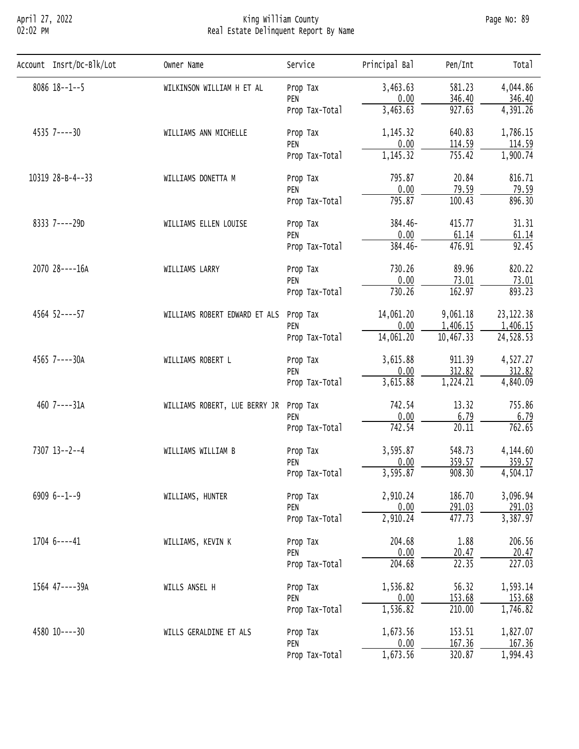## April 27, 2022 King William County Page No: 89 02:02 PM Real Estate Delinquent Report By Name

| Account Insrt/Dc-Blk/Lot | Owner Name                    | Service        | Principal Bal | Pen/Int   | Total      |
|--------------------------|-------------------------------|----------------|---------------|-----------|------------|
| $8086$ 18 - - 1 - - 5    | WILKINSON WILLIAM H ET AL     | Prop Tax       | 3,463.63      | 581.23    | 4,044.86   |
|                          |                               | PEN            | 0.00          | 346.40    | 346.40     |
|                          |                               | Prop Tax-Total | 3,463.63      | 927.63    | 4,391.26   |
| 4535 7----30             | WILLIAMS ANN MICHELLE         | Prop Tax       | 1,145.32      | 640.83    | 1,786.15   |
|                          |                               | PEN            | 0.00          | 114.59    | 114.59     |
|                          |                               | Prop Tax-Total | 1,145.32      | 755.42    | 1,900.74   |
| 10319 28-B-4--33         | WILLIAMS DONETTA M            | Prop Tax       | 795.87        | 20.84     | 816.71     |
|                          |                               | PEN            | 0.00          | 79.59     | 79.59      |
|                          |                               | Prop Tax-Total | 795.87        | 100.43    | 896.30     |
| 8333 7----29D            | WILLIAMS ELLEN LOUISE         | Prop Tax       | 384.46-       | 415.77    | 31.31      |
|                          |                               | PEN            | 0.00          | 61.14     | 61.14      |
|                          |                               | Prop Tax-Total | 384.46-       | 476.91    | 92.45      |
| 2070 28----16A           | WILLIAMS LARRY                | Prop Tax       | 730.26        | 89.96     | 820.22     |
|                          |                               | PEN            | 0.00          | 73.01     | 73.01      |
|                          |                               | Prop Tax-Total | 730.26        | 162.97    | 893.23     |
| 4564 52----57            | WILLIAMS ROBERT EDWARD ET ALS | Prop Tax       | 14,061.20     | 9,061.18  | 23, 122.38 |
|                          |                               | PEN            | 0.00          | 1,406.15  | 1,406.15   |
|                          |                               | Prop Tax-Total | 14,061.20     | 10,467.33 | 24,528.53  |
| 4565 7----30A            | WILLIAMS ROBERT L             | Prop Tax       | 3,615.88      | 911.39    | 4,527.27   |
|                          |                               | PEN            | 0.00          | 312.82    | 312.82     |
|                          |                               | Prop Tax-Total | 3,615.88      | 1,224.21  | 4,840.09   |
| 460 7----31A             | WILLIAMS ROBERT, LUE BERRY JR | Prop Tax       | 742.54        | 13.32     | 755.86     |
|                          |                               | PEN            | 0.00          | 6.79      | 6.79       |
|                          |                               | Prop Tax-Total | 742.54        | 20.11     | 762.65     |
| 7307 13--2--4            | WILLIAMS WILLIAM B            | Prop Tax       | 3,595.87      | 548.73    | 4,144.60   |
|                          |                               | PEN            | 0.00          | 359.57    | 359.57     |
|                          |                               | Prop Tax-Total | 3,595.87      | 908.30    | 4,504.17   |
| $69096 - -1 - -9$        | WILLIAMS, HUNTER              | Prop Tax       | 2,910.24      | 186.70    | 3,096.94   |
|                          |                               | PEN            | 0.00          | 291.03    | 291.03     |
|                          |                               | Prop Tax-Total | 2,910.24      | 477.73    | 3,387.97   |
| $17046---41$             | WILLIAMS, KEVIN K             | Prop Tax       | 204.68        | 1.88      | 206.56     |
|                          |                               | PEN            | 0.00          | 20.47     | 20.47      |
|                          |                               | Prop Tax-Total | 204.68        | 22.35     | 227.03     |
| 1564 47----39A           | WILLS ANSEL H                 | Prop Tax       | 1,536.82      | 56.32     | 1,593.14   |
|                          |                               | PEN            | 0.00          | 153.68    | 153.68     |
|                          |                               | Prop Tax-Total | 1,536.82      | 210.00    | 1,746.82   |
| 4580 10----30            | WILLS GERALDINE ET ALS        | Prop Tax       | 1,673.56      | 153.51    | 1,827.07   |
|                          |                               | PEN            | 0.00          | 167.36    | 167.36     |
|                          |                               | Prop Tax-Total | 1,673.56      | 320.87    | 1,994.43   |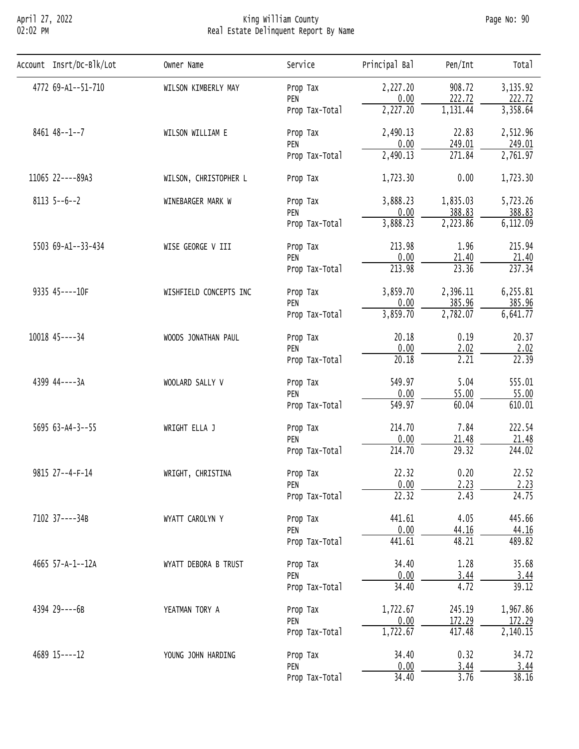## April 27, 2022 King William County Page No: 90 02:02 PM Real Estate Delinquent Report By Name

| Account Insrt/Dc-Blk/Lot | Owner Name             | Service        | Principal Bal           | Pen/Int           | Total    |
|--------------------------|------------------------|----------------|-------------------------|-------------------|----------|
| 4772 69-A1--51-710       | WILSON KIMBERLY MAY    | Prop Tax       | 2,227.20                | 908.72            | 3,135.92 |
|                          |                        | PEN            | 0.00                    | 222.72            | 222.72   |
|                          |                        | Prop Tax-Total | 2,227.20                | 1,131.44          | 3,358.64 |
| $8461$ $48--1--7$        | WILSON WILLIAM E       | Prop Tax       | 2,490.13                | 22.83             | 2,512.96 |
|                          |                        | PEN            | 0.00                    | 249.01            | 249.01   |
|                          |                        | Prop Tax-Total | 2,490.13                | 271.84            | 2,761.97 |
| 11065 22----89A3         | WILSON, CHRISTOPHER L  | Prop Tax       | 1,723.30                | 0.00              | 1,723.30 |
| $8113$ 5--6--2           | WINEBARGER MARK W      | Prop Tax       | 3,888.23                | 1,835.03          | 5,723.26 |
|                          |                        | PEN            | 0.00                    | 388.83            | 388.83   |
|                          |                        | Prop Tax-Total | 3,888.23                | 2,223.86          | 6,112.09 |
| 5503 69-A1--33-434       | WISE GEORGE V III      | Prop Tax       | 213.98                  | 1.96              | 215.94   |
|                          |                        | PEN            | 0.00                    | 21.40             | 21.40    |
|                          |                        | Prop Tax-Total | 213.98                  | 23.36             | 237.34   |
| 9335 45----10F           | WISHFIELD CONCEPTS INC | Prop Tax       | 3,859.70                | 2,396.11          | 6,255.81 |
|                          |                        | PEN            | 0.00                    | 385.96            | 385.96   |
|                          |                        | Prop Tax-Total | 3,859.70                | 2,782.07          | 6,641.77 |
| 10018 45 ---- 34         | WOODS JONATHAN PAUL    | Prop Tax       | 20.18                   | 0.19              | 20.37    |
|                          |                        | PEN            | 0.00                    | 2.02              | 2.02     |
|                          |                        | Prop Tax-Total | 20.18                   | 2.21              | 22.39    |
| 4399 44----3A            | WOOLARD SALLY V        | Prop Tax       | 549.97                  | 5.04              | 555.01   |
|                          |                        | PEN            | 0.00                    | 55.00             | 55.00    |
|                          |                        | Prop Tax-Total | 549.97                  | 60.04             | 610.01   |
| $5695$ 63-A4-3--55       | WRIGHT ELLA J          | Prop Tax       | 214.70                  | 7.84              | 222.54   |
|                          |                        | PEN            | 0.00                    | 21.48             | 21.48    |
|                          |                        | Prop Tax-Total | 214.70                  | 29.32             | 244.02   |
| 9815 27--4-F-14          | WRIGHT, CHRISTINA      | Prop Tax       | 22.32                   | 0.20              | 22.52    |
|                          |                        | PEN            | 0.00                    | 2.23              | 2.23     |
|                          |                        | Prop Tax-Total | $\overline{22.32}$      | 2.43              | 24.75    |
| 7102 37----34B           | WYATT CAROLYN Y        | Prop Tax       | 441.61                  | 4.05              | 445.66   |
|                          |                        | PEN            | 0.00                    | 44.16             | 44.16    |
|                          |                        | Prop Tax-Total | 441.61                  | 48.21             | 489.82   |
| 4665 57-A-1--12A         | WYATT DEBORA B TRUST   | Prop Tax       | 34.40                   | 1.28              | 35.68    |
|                          |                        | PEN            | 0.00                    | 3.44              | 3.44     |
|                          |                        | Prop Tax-Total | 34.40                   | 4.72              | 39.12    |
| 4394 29----6B            | YEATMAN TORY A         | Prop Tax       | 1,722.67                | 245.19            | 1,967.86 |
|                          |                        | PEN            | $\frac{0.00}{1,722.67}$ | 172.29            | 172.29   |
|                          |                        | Prop Tax-Total |                         | 417.48            | 2,140.15 |
| 4689 15 ---- 12          | YOUNG JOHN HARDING     | Prop Tax       | 34.40                   | 0.32              | 34.72    |
|                          |                        | PEN            | 0.00                    | 3.44              | 3.44     |
|                          |                        | Prop Tax-Total | 34.40                   | $\overline{3.76}$ | 38.16    |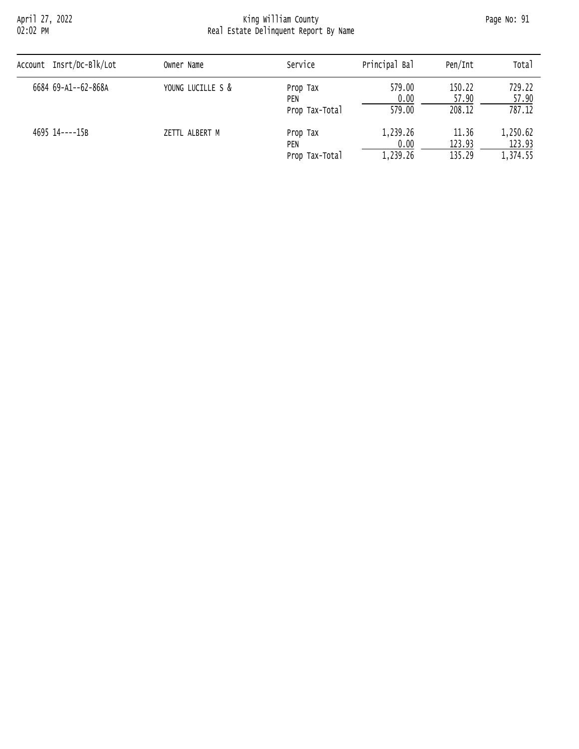# April 27, 2022 King William County Page No: 91 02:02 PM Real Estate Delinquent Report By Name

| Account Insrt/Dc-Blk/Lot | Owner Name        | Service         | Principal Bal | Pen/Int | Total    |  |
|--------------------------|-------------------|-----------------|---------------|---------|----------|--|
| 6684 69-A1--62-868A      | YOUNG LUCILLE S & |                 | 579.00        | 150.22  | 729.22   |  |
|                          |                   | Prop Tax<br>PEN | 0.00          | 57.90   | 57.90    |  |
|                          |                   | Prop Tax-Total  | 579.00        | 208.12  | 787.12   |  |
| 4695 14----15B           | ZETTL ALBERT M    | Prop Tax        | 1,239.26      | 11.36   | 1,250.62 |  |
|                          |                   | PEN             | 0.00          | 123.93  | 123.93   |  |
|                          |                   | Prop Tax-Total  | 1,239.26      | 135.29  | 1,374.55 |  |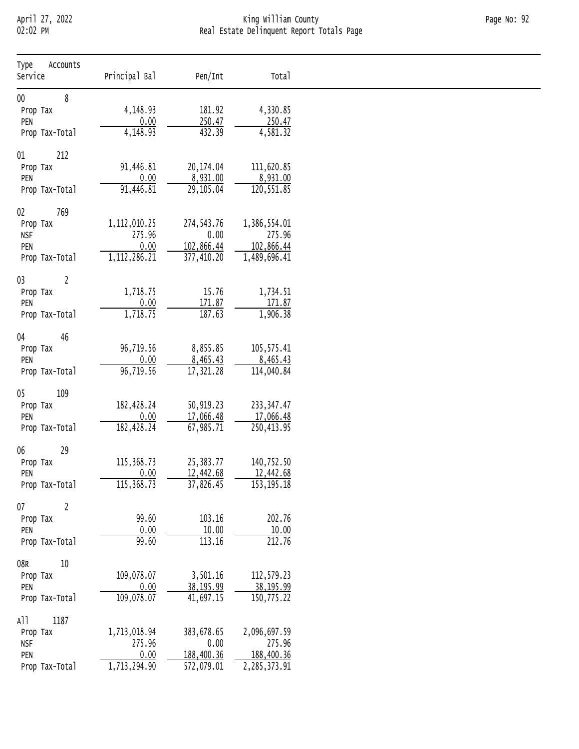# April 27, 2022 King William County Page No: 92 02:02 PM Real Estate Delinquent Report Totals Page

| Accounts<br>Type<br>Service | Principal Bal             | Pen/Int            | Total                  |
|-----------------------------|---------------------------|--------------------|------------------------|
| $00\,$<br>8                 |                           |                    |                        |
| Prop Tax                    | 4,148.93                  | 181.92             | 4,330.85               |
| PEN                         | 0.00                      | 250.47             | 250.47                 |
| Prop Tax-Total              | 4,148.93                  | 432.39             | 4,581.32               |
| 212<br>$01\,$               |                           |                    |                        |
| Prop Tax                    | 91,446.81                 | 20,174.04          | 111,620.85             |
| PEN                         | 0.00                      | 8,931.00           | 8,931.00               |
| Prop Tax-Total              | 91,446.81                 | 29,105.04          | 120,551.85             |
|                             |                           |                    |                        |
| 769<br>$02\,$               |                           |                    |                        |
| Prop Tax                    | 1, 112, 010.25            | 274, 543.76        | 1,386,554.01           |
| <b>NSF</b>                  | 275.96                    | 0.00               | 275.96                 |
| PEN                         | 0.00                      | 102,866.44         | 102,866.44             |
| Prop Tax-Total              | $1,1\overline{12,286.21}$ | 377,410.20         | 1,489,696.41           |
| 03<br>$\overline{2}$        |                           |                    |                        |
| Prop Tax                    | 1,718.75                  | 15.76              | 1,734.51               |
| PEN                         | 0.00                      | 171.87             | 171.87                 |
| Prop Tax-Total              | 1,718.75                  | 187.63             | 1,906.38               |
|                             |                           |                    |                        |
| 04<br>46<br>Prop Tax        | 96,719.56                 | 8,855.85           | 105, 575.41            |
| PEN                         | 0.00                      | 8,465.43           | 8,465.43               |
| Prop Tax-Total              | 96,719.56                 | 17,321.28          | 114,040.84             |
|                             |                           |                    |                        |
| 109<br>05                   |                           |                    |                        |
| Prop Tax                    | 182,428.24                | 50,919.23          | 233, 347.47            |
| PEN                         | 0.00                      | 17,066.48          | 17,066.48              |
| Prop Tax-Total              | 182,428.24                | 67,985.71          | 250,413.95             |
| 29<br>06                    |                           |                    |                        |
| Prop Tax                    | 115, 368.73               | 25, 383. 77        | 140,752.50             |
| PEN                         | 0.00                      | 12,442.68          | 12,442.68              |
| Prop Tax-Total              | 115,368.73                | 37,826.45          | 153, 195. 18           |
|                             |                           |                    |                        |
| 07<br>$\overline{2}$        |                           |                    |                        |
| Prop Tax                    | 99.60                     | 103.16             | 202.76                 |
| PEN                         | 0.00                      | 10.00              | 10.00                  |
| Prop Tax-Total              | 99.60                     | 113.16             | 212.76                 |
| $10\,$<br>08R               |                           |                    |                        |
| Prop Tax                    | 109,078.07                | 3,501.16           | 112,579.23             |
| PEN                         | 0.00                      | 38, 195.99         | 38,195.99              |
| Prop Tax-Total              | 109,078.07                | 41,697.15          | 150,775.22             |
|                             |                           |                    |                        |
| 1187<br>A11                 |                           |                    |                        |
| Prop Tax<br><b>NSF</b>      | 1,713,018.94<br>275.96    | 383,678.65<br>0.00 | 2,096,697.59<br>275.96 |
| PEN                         | 0.00                      | 188,400.36         | 188,400.36             |
| Prop Tax-Total              | 1,713,294.90              | 572,079.01         | 2,285,373.91           |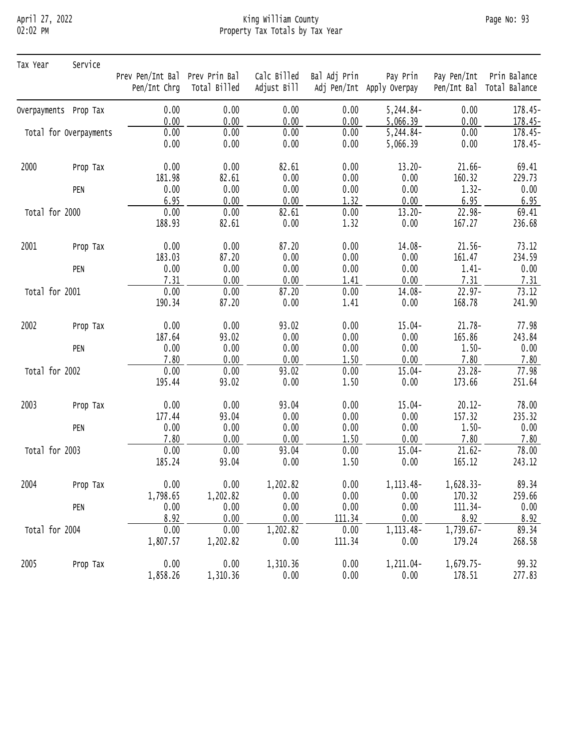# April 27, 2022 King William County Page No: 93 02:02 PM Property Tax Totals by Tax Year

| Tax Year              | Service                |                                |                           |             |              |                           |             |               |
|-----------------------|------------------------|--------------------------------|---------------------------|-------------|--------------|---------------------------|-------------|---------------|
|                       |                        | Prev Pen/Int Bal Prev Prin Bal |                           | Calc Billed | Bal Adj Prin | Pay Prin                  | Pay Pen/Int | Prin Balance  |
|                       |                        |                                | Pen/Int Chrg Total Billed | Adjust Bill |              | Adj Pen/Int Apply Overpay | Pen/Int Bal | Total Balance |
| Overpayments Prop Tax |                        | 0.00                           | 0.00                      | 0.00        | 0.00         | 5,244.84-                 | 0.00        | 178.45-       |
|                       |                        | 0.00                           | 0.00                      | 0.00        | 0.00         | 5,066.39                  | 0.00        | 178.45-       |
|                       | Total for Overpayments | 0.00                           | 0.00                      | 0.00        | 0.00         | 5,244.84-                 | 0.00        | 178.45-       |
|                       |                        | 0.00                           | 0.00                      | 0.00        | 0.00         | 5,066.39                  | 0.00        | 178.45-       |
| 2000                  | Prop Tax               | 0.00                           | 0.00                      | 82.61       | 0.00         | $13.20 -$                 | $21.66 -$   | 69.41         |
|                       |                        | 181.98                         | 82.61                     | 0.00        | 0.00         | 0.00                      | 160.32      | 229.73        |
|                       | PEN                    | 0.00                           | 0.00                      | 0.00        | 0.00         | 0.00                      | $1.32 -$    | 0.00          |
|                       |                        | 6.95                           | 0.00                      | 0.00        | 1.32         | 0.00                      | 6.95        | 6.95          |
| Total for 2000        |                        | 0.00                           | 0.00                      | 82.61       | 0.00         | $13.20 -$                 | 22.98-      | 69.41         |
|                       |                        | 188.93                         | 82.61                     | 0.00        | 1.32         | 0.00                      | 167.27      | 236.68        |
| 2001                  | Prop Tax               | 0.00                           | 0.00                      | 87.20       | 0.00         | 14.08-                    | $21.56 -$   | 73.12         |
|                       |                        | 183.03                         | 87.20                     | 0.00        | 0.00         | 0.00                      | 161.47      | 234.59        |
|                       | PEN                    | 0.00                           | 0.00                      | 0.00        | 0.00         | 0.00                      | $1.41 -$    | 0.00          |
|                       |                        | 7.31                           | 0.00                      | 0.00        | 1.41         | 0.00                      | 7.31        | 7.31          |
| Total for 2001        |                        | 0.00                           | 0.00                      | 87.20       | 0.00         | 14.08-                    | $22.97 -$   | 73.12         |
|                       |                        | 190.34                         | 87.20                     | 0.00        | 1.41         | 0.00                      | 168.78      | 241.90        |
| 2002                  | Prop Tax               | 0.00                           | 0.00                      | 93.02       | 0.00         | $15.04 -$                 | $21.78 -$   | 77.98         |
|                       |                        | 187.64                         | 93.02                     | 0.00        | 0.00         | 0.00                      | 165.86      | 243.84        |
|                       | PEN                    | 0.00                           | 0.00                      | 0.00        | 0.00         | 0.00                      | $1.50 -$    | 0.00          |
|                       |                        | 7.80                           | 0.00                      | 0.00        | 1.50         | 0.00                      | 7.80        | 7.80          |
| Total for 2002        |                        | 0.00                           | 0.00                      | 93.02       | 0.00         | $15.04 -$                 | $23.28 -$   | 77.98         |
|                       |                        | 195.44                         | 93.02                     | 0.00        | 1.50         | 0.00                      | 173.66      | 251.64        |
| 2003                  | Prop Tax               | 0.00                           | 0.00                      | 93.04       | 0.00         | $15.04 -$                 | $20.12 -$   | 78.00         |
|                       |                        | 177.44                         | 93.04                     | 0.00        | 0.00         | 0.00                      | 157.32      | 235.32        |
|                       | PEN                    | 0.00                           | 0.00                      | 0.00        | 0.00         | 0.00                      | $1.50 -$    | 0.00          |
|                       |                        | 7.80                           | 0.00                      | 0.00        | 1.50         | 0.00                      | 7.80        | 7.80          |
| Total for 2003        |                        | 0.00                           | 0.00                      | 93.04       | 0.00         | $15.04 -$                 | $21.62 -$   | 78.00         |
|                       |                        | 185.24                         | 93.04                     | 0.00        | 1.50         | 0.00                      | 165.12      | 243.12        |
| 2004                  | Prop Tax               | 0.00                           | 0.00                      | 1,202.82    | 0.00         | 1, 113.48-                | 1,628.33-   | 89.34         |
|                       |                        | 1,798.65                       | 1,202.82                  | 0.00        | 0.00         | 0.00                      | 170.32      | 259.66        |
|                       | PEN                    | 0.00                           | 0.00                      | 0.00        | 0.00         | 0.00                      | 111.34-     | 0.00          |
|                       |                        | 8.92                           | 0.00                      | 0.00        | 111.34       | 0.00                      | 8.92        | 8.92          |
| Total for 2004        |                        | 0.00                           | 0.00                      | 1,202.82    | 0.00         | 1, 113.48-                | 1,739.67-   | 89.34         |
|                       |                        | 1,807.57                       | 1,202.82                  | 0.00        | 111.34       | 0.00                      | 179.24      | 268.58        |
| 2005                  | Prop Tax               | 0.00                           | 0.00                      | 1,310.36    | 0.00         | 1,211.04-                 | $1,679.75-$ | 99.32         |
|                       |                        | 1,858.26                       | 1,310.36                  | 0.00        | 0.00         | 0.00                      | 178.51      | 277.83        |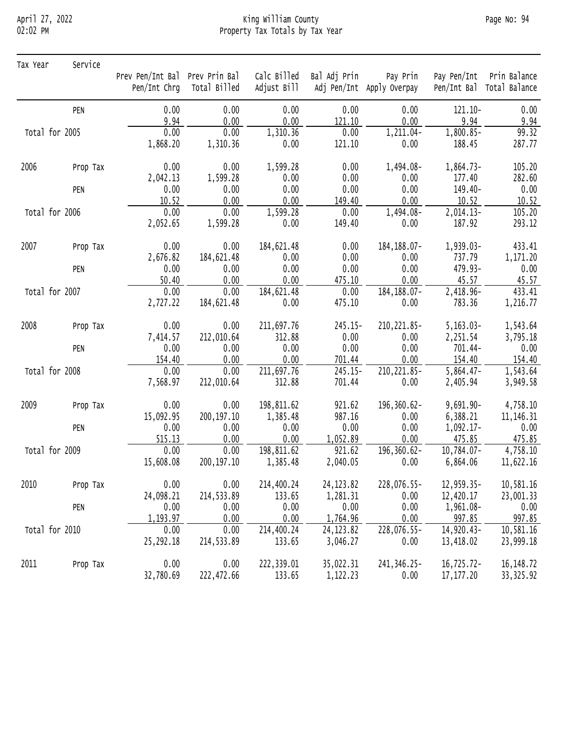## April 27, 2022 King William County Page No: 94 02:02 PM Property Tax Totals by Tax Year

| Tax Year       | Service  |                                |                           |             |              |                           |               |                           |
|----------------|----------|--------------------------------|---------------------------|-------------|--------------|---------------------------|---------------|---------------------------|
|                |          | Prev Pen/Int Bal Prev Prin Bal |                           | Calc Billed | Bal Adj Prin | Pay Prin                  | Pay Pen/Int   | Prin Balance              |
|                |          |                                | Pen/Int Chrg Total Billed | Adjust Bill |              | Adj Pen/Int Apply Overpay |               | Pen/Int Bal Total Balance |
|                | PEN      | 0.00                           | 0.00                      | 0.00        | 0.00         | 0.00                      | $121.10 -$    | 0.00                      |
|                |          | 9.94                           | 0.00                      | 0.00        | 121.10       | 0.00                      | 9.94          | 9.94                      |
| Total for 2005 |          | 0.00                           | 0.00                      | 1,310.36    | 0.00         | 1,211.04-                 | 1,800.85-     | 99.32                     |
|                |          | 1,868.20                       | 1,310.36                  | 0.00        | 121.10       | 0.00                      | 188.45        | 287.77                    |
| 2006           | Prop Tax | 0.00                           | 0.00                      | 1,599.28    | 0.00         | 1,494.08-                 | 1,864.73-     | 105.20                    |
|                |          | 2,042.13                       | 1,599.28                  | 0.00        | 0.00         | 0.00                      | 177.40        | 282.60                    |
|                | PEN      | 0.00                           | 0.00                      | 0.00        | 0.00         | 0.00                      | 149.40-       | 0.00                      |
|                |          | 10.52                          | 0.00                      | 0.00        | 149.40       | 0.00                      | 10.52         | 10.52                     |
| Total for 2006 |          | 0.00                           | 0.00                      | 1,599.28    | 0.00         | 1,494.08-                 | 2,014.13-     | 105.20                    |
|                |          | 2,052.65                       | 1,599.28                  | 0.00        | 149.40       | 0.00                      | 187.92        | 293.12                    |
| 2007           | Prop Tax | 0.00                           | 0.00                      | 184,621.48  | 0.00         | 184, 188.07-              | 1,939.03-     | 433.41                    |
|                |          | 2,676.82                       | 184,621.48                | 0.00        | 0.00         | 0.00                      | 737.79        | 1,171.20                  |
|                | PEN      | 0.00                           | 0.00                      | 0.00        | 0.00         | 0.00                      | 479.93-       | 0.00                      |
|                |          | 50.40                          | 0.00                      | 0.00        | 475.10       | 0.00                      | 45.57         | 45.57                     |
| Total for 2007 |          | 0.00                           | 0.00                      | 184,621.48  | 0.00         | 184, 188.07-              | 2,418.96-     | 433.41                    |
|                |          | 2,727.22                       | 184,621.48                | 0.00        | 475.10       | 0.00                      | 783.36        | 1,216.77                  |
| 2008           | Prop Tax | 0.00                           | 0.00                      | 211,697.76  | 245.15-      | 210, 221.85-              | $5,163.03-$   | 1,543.64                  |
|                |          | 7,414.57                       | 212,010.64                | 312.88      | 0.00         | 0.00                      | 2,251.54      | 3,795.18                  |
|                | PEN      | 0.00                           | 0.00                      | 0.00        | 0.00         | 0.00                      | 701.44-       | 0.00                      |
|                |          | 154.40                         | 0.00                      | 0.00        | 701.44       | 0.00                      | 154.40        | 154.40                    |
| Total for 2008 |          | 0.00                           | 0.00                      | 211,697.76  | 245.15-      | 210, 221.85-              | $5,864.47-$   | 1,543.64                  |
|                |          | 7,568.97                       | 212,010.64                | 312.88      | 701.44       | 0.00                      | 2,405.94      | 3,949.58                  |
| 2009           | Prop Tax | 0.00                           | 0.00                      | 198,811.62  | 921.62       | 196,360.62-               | $9,691.90 -$  | 4,758.10                  |
|                |          | 15,092.95                      | 200,197.10                | 1,385.48    | 987.16       | 0.00                      | 6,388.21      | 11, 146. 31               |
|                | PEN      | 0.00                           | 0.00                      | 0.00        | 0.00         | 0.00                      | $1,092.17-$   | 0.00                      |
|                |          | 515.13                         | 0.00                      | 0.00        | 1,052.89     | 0.00                      | 475.85        | 475.85                    |
| Total for 2009 |          | 0.00                           | 0.00                      | 198,811.62  | 921.62       | $196, 360.62 -$           | $10,784.07 -$ | 4,758.10                  |
|                |          | 15,608.08                      | 200, 197. 10              | 1,385.48    | 2,040.05     | 0.00                      | 6,864.06      | 11,622.16                 |
| 2010           | Prop Tax | 0.00                           | 0.00                      | 214,400.24  | 24, 123.82   | 228,076.55-               | 12,959.35-    | 10,581.16                 |
|                |          | 24,098.21                      | 214,533.89                | 133.65      | 1,281.31     | 0.00                      | 12,420.17     | 23,001.33                 |
|                | PEN      | 0.00                           | 0.00                      | 0.00        | 0.00         | 0.00                      | 1,961.08-     | 0.00                      |
|                |          | 1, 193.97                      | 0.00                      | 0.00        | 1,764.96     | 0.00                      | 997.85        | 997.85                    |
| Total for 2010 |          | 0.00                           | 0.00                      | 214,400.24  | 24, 123.82   | 228,076.55-               | 14,920.43-    | 10,581.16                 |
|                |          | 25, 292. 18                    | 214,533.89                | 133.65      | 3,046.27     | 0.00                      | 13,418.02     | 23,999.18                 |
| 2011           | Prop Tax | 0.00                           | 0.00                      | 222,339.01  | 35,022.31    | 241, 346. 25-             | 16,725.72-    | 16, 148. 72               |
|                |          | 32,780.69                      | 222,472.66                | 133.65      | 1,122.23     | 0.00                      | 17, 177.20    | 33, 325.92                |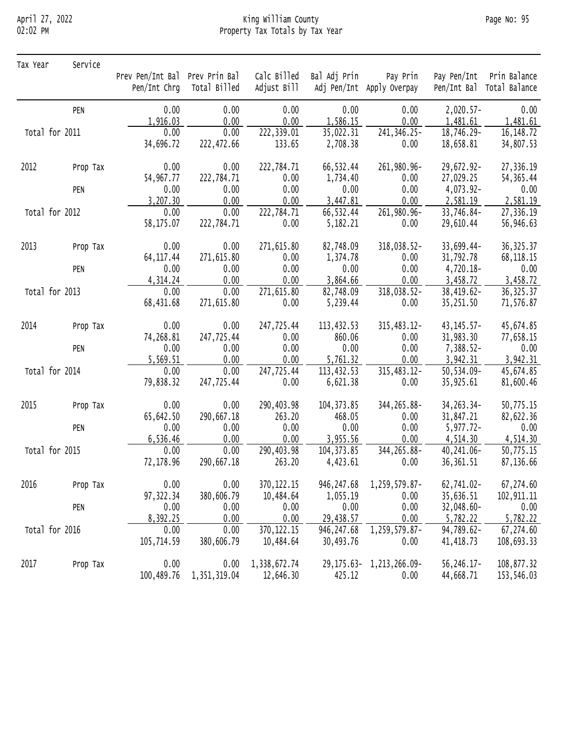## April 27, 2022 King William County Page No: 95 02:02 PM Property Tax Totals by Tax Year

| Tax Year       | Service  |                  |                              |              |              |                                 |                |                           |
|----------------|----------|------------------|------------------------------|--------------|--------------|---------------------------------|----------------|---------------------------|
|                |          | Prev Pen/Int Bal | Prev Prin Bal                | Calc Billed  | Bal Adj Prin | Pay Prin                        |                | Pay Pen/Int Prin Balance  |
|                |          |                  | Pen/Int Chrg Total Billed    | Adjust Bill  |              | Adj Pen/Int Apply Overpay       |                | Pen/Int Bal Total Balance |
|                | PEN      | 0.00             | 0.00                         | 0.00         | 0.00         | 0.00                            | $2,020.57-$    | 0.00                      |
|                |          | 1,916.03         | 0.00                         | 0.00         | 1,586.15     | 0.00                            | 1,481.61       | 1,481.61                  |
| Total for 2011 |          | 0.00             | 0.00                         | 222,339.01   | 35,022.31    | 241, 346. 25-                   | 18,746.29-     | 16, 148.72                |
|                |          | 34,696.72        | 222,472.66                   | 133.65       | 2,708.38     | 0.00                            | 18,658.81      | 34,807.53                 |
| 2012           | Prop Tax | 0.00             | 0.00                         | 222,784.71   | 66,532.44    | 261,980.96-                     | 29,672.92-     | 27,336.19                 |
|                |          | 54,967.77        | 222,784.71                   | 0.00         | 1,734.40     | 0.00                            | 27,029.25      | 54, 365.44                |
|                | PEN      | 0.00             | 0.00                         | 0.00         | 0.00         | 0.00                            | 4,073.92-      | 0.00                      |
|                |          | 3,207.30         | 0.00                         | 0.00         | 3,447.81     | 0.00                            | 2,581.19       | 2,581.19                  |
| Total for 2012 |          | 0.00             | 0.00                         | 222,784.71   | 66,532.44    | 261,980.96-                     | 33,746.84-     | 27,336.19                 |
|                |          | 58,175.07        | 222,784.71                   | 0.00         | 5,182.21     | 0.00                            | 29,610.44      | 56,946.63                 |
| 2013           | Prop Tax | 0.00             | 0.00                         | 271,615.80   | 82,748.09    | 318,038.52-                     | 33,699.44-     | 36, 325.37                |
|                |          | 64, 117.44       | 271,615.80                   | 0.00         | 1,374.78     | 0.00                            | 31,792.78      | 68, 118. 15               |
|                | PEN      | 0.00             | 0.00                         | 0.00         | 0.00         | 0.00                            | 4,720.18-      | 0.00                      |
|                |          | 4,314.24         | 0.00                         | 0.00         | 3,864.66     | 0.00                            | 3,458.72       | 3,458.72                  |
| Total for 2013 |          | 0.00             | 0.00                         | 271,615.80   | 82,748.09    | 318,038.52-                     | 38,419.62-     | 36, 325.37                |
|                |          | 68,431.68        | 271,615.80                   | 0.00         | 5,239.44     | 0.00                            | 35,251.50      | 71,576.87                 |
| 2014           | Prop Tax | 0.00             | 0.00                         | 247,725.44   | 113,432.53   | 315,483.12-                     | $43, 145.57 -$ | 45,674.85                 |
|                |          | 74,268.81        | 247,725.44                   | 0.00         | 860.06       | 0.00                            | 31,983.30      | 77,658.15                 |
|                | PEN      | 0.00             | 0.00                         | 0.00         | 0.00         | 0.00                            | 7,388.52-      | 0.00                      |
|                |          | 5,569.51         | 0.00                         | 0.00         | 5,761.32     | 0.00                            | 3,942.31       | 3,942.31                  |
| Total for 2014 |          | 0.00             | 0.00                         | 247,725.44   | 113,432.53   | 315,483.12-                     | 50,534.09-     | 45,674.85                 |
|                |          | 79,838.32        | 247,725.44                   | 0.00         | 6,621.38     | 0.00                            | 35,925.61      | 81,600.46                 |
| 2015           | Prop Tax | 0.00             | 0.00                         | 290,403.98   | 104, 373.85  | 344, 265.88-                    | 34, 263. 34 -  | 50,775.15                 |
|                |          | 65,642.50        | 290,667.18                   | 263.20       | 468.05       | 0.00                            | 31,847.21      | 82,622.36                 |
|                | PEN      | 0.00             | 0.00                         | 0.00         | 0.00         | 0.00                            | $5,977.72-$    | 0.00                      |
|                |          | 6,536.46         | 0.00                         | 0.00         | 3,955.56     | 0.00                            | 4,514.30       | 4,514.30                  |
| Total for 2015 |          | 0.00             | 0.00                         | 290,403.98   | 104, 373.85  | 344, 265.88-                    | 40,241.06-     | 50,775.15                 |
|                |          | 72,178.96        | 290,667.18                   | 263.20       | 4,423.61     | 0.00                            | 36, 361.51     | 87,136.66                 |
| 2016           | Prop Tax | 0.00             | 0.00                         | 370, 122. 15 |              | 946, 247.68 1, 259, 579.87-     | 62,741.02-     | 67,274.60                 |
|                |          | 97, 322.34       | 380,606.79                   | 10,484.64    | 1,055.19     | 0.00                            | 35,636.51      | 102, 911.11               |
|                | PEN      | 0.00             | 0.00                         | 0.00         | 0.00         | 0.00                            | 32,048.60-     | 0.00                      |
|                |          | 8,392.25         | 0.00                         | 0.00         | 29,438.57    | 0.00                            | 5,782.22       | 5,782.22                  |
| Total for 2016 |          | 0.00             | 0.00                         | 370, 122. 15 | 946, 247.68  | 1,259,579.87-                   | 94,789.62-     | 67,274.60                 |
|                |          | 105,714.59       | 380,606.79                   | 10,484.64    | 30,493.76    | 0.00                            | 41, 418.73     | 108,693.33                |
| 2017           | Prop Tax | 0.00             | 0.00                         | 1,338,672.74 |              | 29, 175. 63 - 1, 213, 266. 09 - | 56, 246. 17-   | 108,877.32                |
|                |          |                  | 100, 489. 76 1, 351, 319. 04 | 12,646.30    | 425.12       | 0.00                            | 44,668.71      | 153,546.03                |